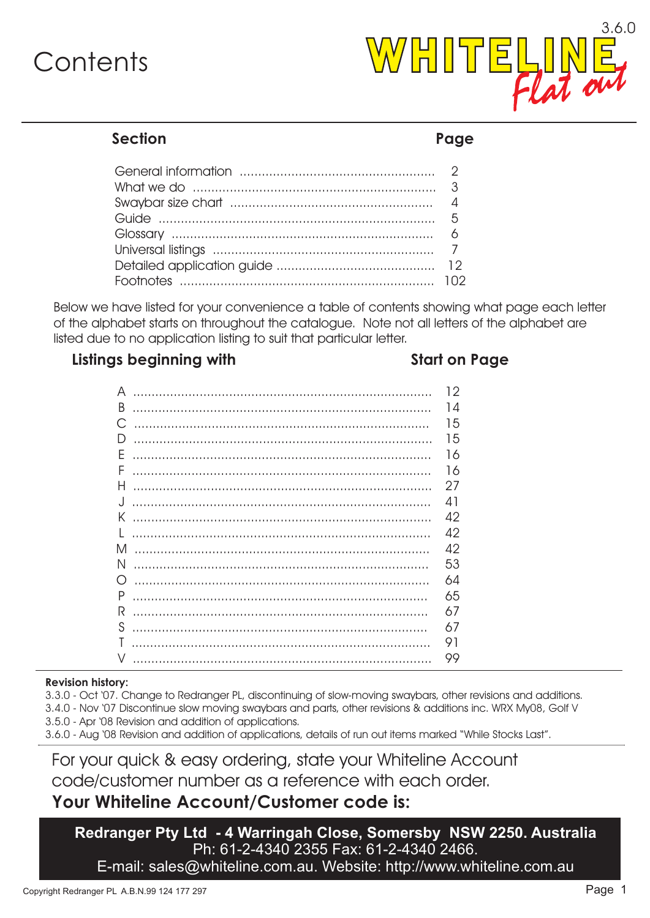# **Contents**



# **Section Page**

Below we have listed for your convenience a table of contents showing what page each letter of the alphabet starts on throughout the catalogue. Note not all letters of the alphabet are listed due to no application listing to suit that particular letter.

# **Listings beginning with Start on Page**

|   | 2  |
|---|----|
| Β | 4  |
|   |    |
|   | 5  |
|   | 15 |
|   |    |
| Ε | 16 |
| F | 16 |
| Н | 27 |
|   |    |
|   | 41 |
| Κ | 42 |
|   | 42 |
|   |    |
| M | 42 |
| Ν | 53 |
|   | 64 |
|   |    |
| Ρ | 65 |
| R | 67 |
|   |    |
| S |    |
|   |    |
|   | 99 |
|   |    |

### **Revision history:**

3.3.0 - Oct '07. Change to Redranger PL, discontinuing of slow-moving swaybars, other revisions and additions.

3.4.0 - Nov '07 Discontinue slow moving swaybars and parts, other revisions & additions inc. WRX My08, Golf V

3.5.0 - Apr '08 Revision and addition of applications.

3.6.0 - Aug '08 Revision and addition of applications, details of run out items marked "While Stocks Last".

For your quick & easy ordering, state your Whiteline Account code/customer number as a reference with each order. **Your Whiteline Account/Customer code is:**

**Redranger Pty Ltd - 4 Warringah Close, Somersby NSW 2250. Australia** Ph: 61-2-4340 2355 Fax: 61-2-4340 2466. E-mail: sales@whiteline.com.au. Website: http://www.whiteline.com.au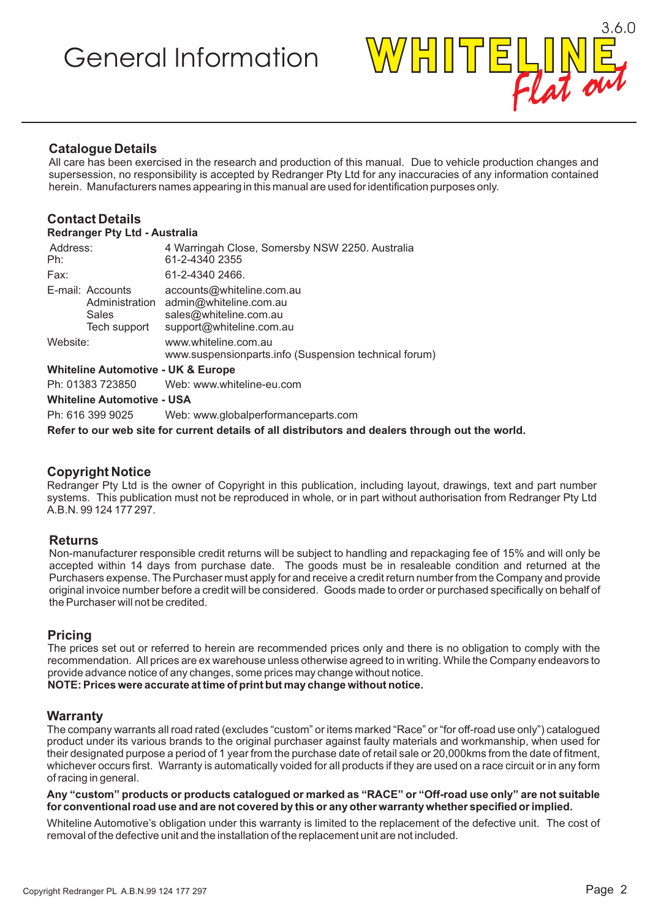# General Information



#### **Catalogue Details**

All care has been exercised in the research and production of this manual. Due to vehicle production changes and supersession, no responsibility is accepted by Redranger Pty Ltd for any inaccuracies of any information contained herein. Manufacturers names appearing in this manual are used for identification purposes only.

#### **Contact Details Redranger Pty Ltd - Australia**

| <b>Redigitivel Livest Controller</b>                        |                                                                                                           |
|-------------------------------------------------------------|-----------------------------------------------------------------------------------------------------------|
| Address:<br>Ph:                                             | 4 Warringah Close, Somersby NSW 2250. Australia<br>61-2-4340 2355                                         |
| Fax:                                                        | 61-2-4340 2466.                                                                                           |
| E-mail: Accounts<br>Administration<br>Sales<br>Tech support | accounts@whiteline.com.au<br>admin@whiteline.com.au<br>sales@whiteline.com.au<br>support@whiteline.com.au |
| Website:                                                    | www.whiteline.com.au<br>www.suspensionparts.info (Suspension technical forum)                             |
| Whiteline Automotive - IIK & Furone                         |                                                                                                           |

**Whiteline Automotive - UK & Europe**

Ph: 01383 723850 Web: www.whiteline-eu.com

#### **Whiteline Automotive - USA**

Ph: 616 399 9025 Web: www.globalperformanceparts.com

**Refer to our web site for current details of all distributors and dealers through out the world.**

### **Copyright Notice**

Redranger Pty Ltd is the owner of Copyright in this publication, including layout, drawings, text and part number systems. This publication must not be reproduced in whole, or in part without authorisation from Redranger Pty Ltd A.B.N. 99 124 177 297.

#### **Returns**

Non-manufacturer responsible credit returns will be subject to handling and repackaging fee of 15% and will only be accepted within 14 days from purchase date. The goods must be in resaleable condition and returned at the Purchasers expense. The Purchaser must apply for and receive a credit return number from the Company and provide original invoice number before a credit will be considered. Goods made to order or purchased specifically on behalf of the Purchaser will not be credited.

### **Pricing**

The prices set out or referred to herein are recommended prices only and there is no obligation to comply with the recommendation. All prices are ex warehouse unless otherwise agreed to in writing. While the Company endeavors to provide advance notice of any changes, some prices may change without notice.

**NOTE: Prices were accurate at time of print but may change without notice.**

### **Warranty**

The company warrants all road rated (excludes "custom" or items marked "Race" or "for off-road use only") catalogued product under its various brands to the original purchaser against faulty materials and workmanship, when used for their designated purpose a period of 1 year from the purchase date of retail sale or 20,000kms from the date of fitment, whichever occurs first. Warranty is automatically voided for all products if they are used on a race circuit or in any form of racing in general.

#### **Any "custom" products or products catalogued or marked as "RACE" or "Off-road use only" are not suitable for conventional road use and are not covered by this or any other warranty whether specified or implied.**

Whiteline Automotive's obligation under this warranty is limited to the replacement of the defective unit. The cost of removal of the defective unit and the installation of the replacement unit are not included.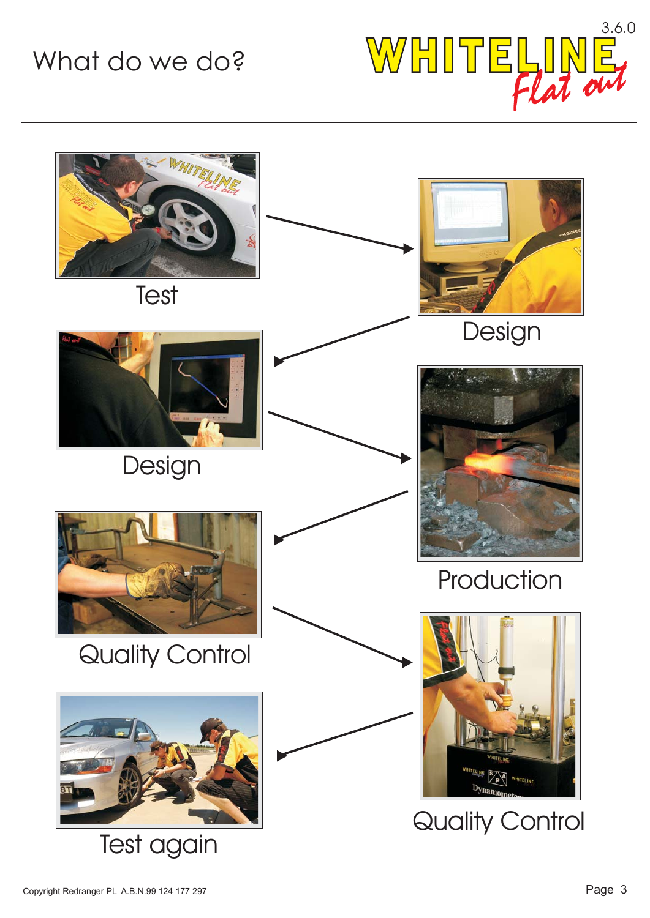# What do we do?





**Test** 



Design



Quality Control



Test again



Design



# Production



Quality Control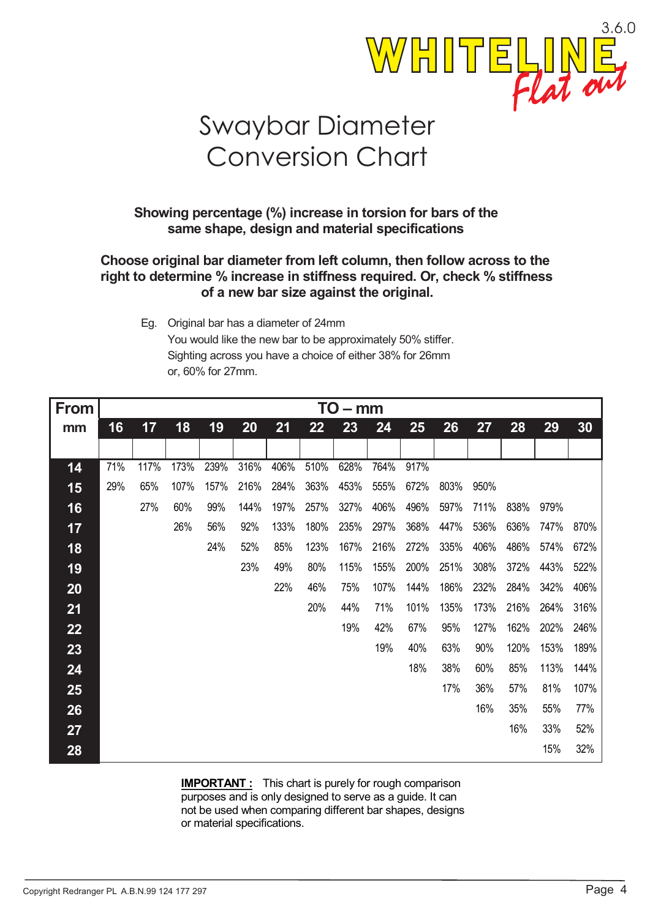

# Swaybar Diameter Conversion Chart

# **Showing percentage (%) increase in torsion for bars of the same shape, design and material specifications**

### **Choose original bar diameter from left column, then follow across to the right to determine % increase in stiffness required. Or, check % stiffness of a new bar size against the original.**

Eg. Original bar has a diameter of 24mm You would like the new bar to be approximately 50% stiffer. Sighting across you have a choice of either 38% for 26mm or, 60% for 27mm.

| From |     |      |      |      |      |      |      | $TO - mm$ |      |      |      |      |      |      |      |
|------|-----|------|------|------|------|------|------|-----------|------|------|------|------|------|------|------|
| mm   | 16  | 17   | 18   | 19   | 20   | 21   | 22   | 23        | 24   | 25   | 26   | 27   | 28   | 29   | 30   |
|      |     |      |      |      |      |      |      |           |      |      |      |      |      |      |      |
| 14   | 71% | 117% | 173% | 239% | 316% | 406% | 510% | 628%      | 764% | 917% |      |      |      |      |      |
| 15   | 29% | 65%  | 107% | 157% | 216% | 284% | 363% | 453%      | 555% | 672% | 803% | 950% |      |      |      |
| 16   |     | 27%  | 60%  | 99%  | 144% | 197% | 257% | 327%      | 406% | 496% | 597% | 711% | 838% | 979% |      |
| 17   |     |      | 26%  | 56%  | 92%  | 133% | 180% | 235%      | 297% | 368% | 447% | 536% | 636% | 747% | 870% |
| 18   |     |      |      | 24%  | 52%  | 85%  | 123% | 167%      | 216% | 272% | 335% | 406% | 486% | 574% | 672% |
| 19   |     |      |      |      | 23%  | 49%  | 80%  | 115%      | 155% | 200% | 251% | 308% | 372% | 443% | 522% |
| 20   |     |      |      |      |      | 22%  | 46%  | 75%       | 107% | 144% | 186% | 232% | 284% | 342% | 406% |
| 21   |     |      |      |      |      |      | 20%  | 44%       | 71%  | 101% | 135% | 173% | 216% | 264% | 316% |
| 22   |     |      |      |      |      |      |      | 19%       | 42%  | 67%  | 95%  | 127% | 162% | 202% | 246% |
| 23   |     |      |      |      |      |      |      |           | 19%  | 40%  | 63%  | 90%  | 120% | 153% | 189% |
| 24   |     |      |      |      |      |      |      |           |      | 18%  | 38%  | 60%  | 85%  | 113% | 144% |
| 25   |     |      |      |      |      |      |      |           |      |      | 17%  | 36%  | 57%  | 81%  | 107% |
| 26   |     |      |      |      |      |      |      |           |      |      |      | 16%  | 35%  | 55%  | 77%  |
| 27   |     |      |      |      |      |      |      |           |      |      |      |      | 16%  | 33%  | 52%  |
| 28   |     |      |      |      |      |      |      |           |      |      |      |      |      | 15%  | 32%  |

**IMPORTANT :** This chart is purely for rough comparison purposes and is only designed to serve as a guide. It can not be used when comparing different bar shapes, designs or material specifications.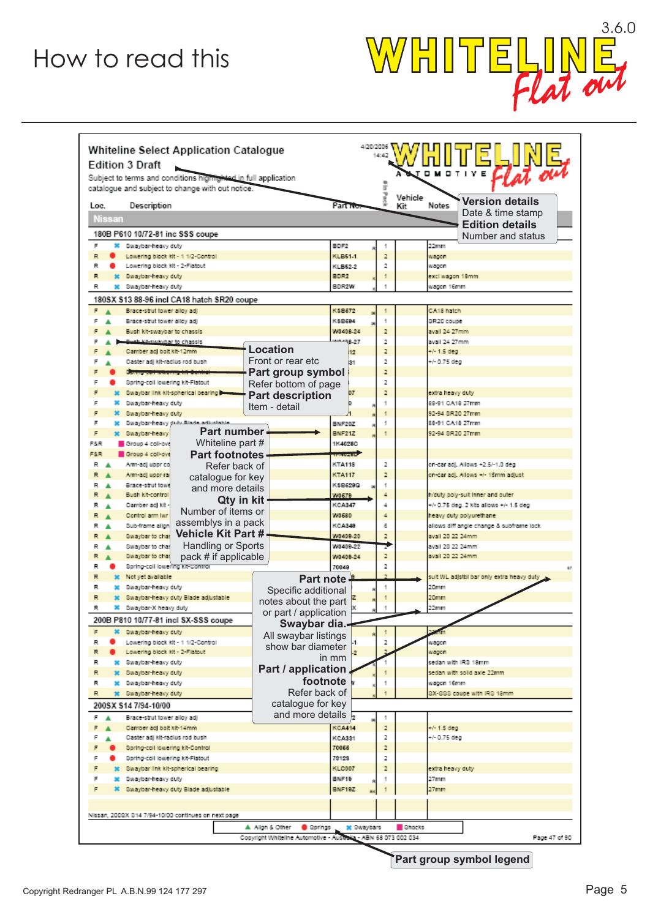# How to read this



| Whiteline Select Application Catalogue<br><b>Edition 3 Draft</b><br>Subject to terms and conditions highlighted in full application<br>catalogue and subject to change with out notice. |                                             |                         | 4/20/2006<br>14:42<br>5 | TIVE<br>Vehicle                                                        |
|-----------------------------------------------------------------------------------------------------------------------------------------------------------------------------------------|---------------------------------------------|-------------------------|-------------------------|------------------------------------------------------------------------|
| Description<br>Loc.                                                                                                                                                                     |                                             | Part ive                |                         | <b>Version details</b><br>Notes<br>Kit<br>Date & time stamp            |
| Nissan                                                                                                                                                                                  |                                             |                         |                         | <b>Edition details</b>                                                 |
| 180B P610 10/72-81 inc SSS coupe                                                                                                                                                        |                                             |                         |                         | Number and status                                                      |
| F<br>Swaybar-heavy duty<br>R<br>Lowering block kit - 1 1/2-Control                                                                                                                      |                                             | BDF2<br>KLB61-1         | 2                       | 22mm<br>wagon                                                          |
| Lowering block kit - 2-Flatout<br>R                                                                                                                                                     |                                             | KLB62-2                 | 2                       | wagon                                                                  |
| R<br>Swaybar-heavy duty                                                                                                                                                                 |                                             | <b>BDR2</b>             | 1                       | excl wagon 18mm                                                        |
| R<br>Swaybar-heavy duty                                                                                                                                                                 |                                             | BDR2W                   |                         | wagon 16mm                                                             |
| 180SX S13 88-96 incl CA18 hatch SR20 coupe                                                                                                                                              |                                             |                         |                         |                                                                        |
| F<br>Brace-strut tower alloy adj<br>F<br>Brace-strut tower alloy adj                                                                                                                    |                                             | <b>KSB672</b><br>KSB694 | 1                       | CA18 hatch<br>SR20 coupe                                               |
| Bush kit-swaybar to chassis                                                                                                                                                             |                                             | W0408-24                | 2                       | avail 24.27mm                                                          |
| Such kilosusybar to chassis                                                                                                                                                             |                                             | 8-27                    | 2                       | avall 24 27mm                                                          |
| F<br>Camber adj bolt klt-12mm                                                                                                                                                           | <b>Location</b><br>Front or rear etc        | 12                      | $\overline{z}$          | $+1.5$ deg                                                             |
| F<br>Caster adj kit-radius rod bush<br><b>CONTRACTOR</b>                                                                                                                                | Part group symbol                           | 31                      | 2<br>z                  | $+ - 0.75$ deg                                                         |
| F<br>Spring-coll lowering kit-Flatout                                                                                                                                                   | Refer bottom of page                        |                         | 2                       |                                                                        |
| F<br>Swaybar link kit-spherical bearing                                                                                                                                                 | <b>Part description</b>                     |                         | z                       | extra heavy duty                                                       |
| Е<br>Swaybar-heavy duty                                                                                                                                                                 | Item - detail                               |                         |                         | 88-91 CA18 27mm                                                        |
| E<br>Swaybar-heavy duty<br>F<br>Swaybar-heavy duty Blade adjustable                                                                                                                     |                                             | BNF20Z                  |                         | 92-94 8R20 27mm<br>88-91 CA18 27mm                                     |
| <b>Part number</b><br>F<br>Swaybar neavy                                                                                                                                                |                                             | <b>BNF21Z</b>           | $\overline{1}$          | 92-94 8R20 27mm                                                        |
| Whiteline part #<br>F&R<br>Group 4 coll-ove                                                                                                                                             |                                             | 1K4028C                 |                         |                                                                        |
| F&R<br>Group 4 coll-ow<br><b>Part footnotes</b>                                                                                                                                         |                                             | <b>CONTROL</b>          |                         |                                                                        |
| Arm-adj uppr co<br>R<br>Refer back of<br>R<br>Arm-adj upprira                                                                                                                           |                                             | KTA118<br><b>KTA117</b> | 2<br>$\overline{z}$     | on-car adj. Allows +2.5/-1.0 deg<br>on-car adj. Allows +/- 15mm adjust |
| catalogue for key<br>Brace-strut towe<br>R                                                                                                                                              |                                             | KSB629Q                 | 1                       |                                                                        |
| and more details<br>R<br>Bush kit-control<br>Qty in kit                                                                                                                                 |                                             | W0679                   | 4                       | h/duty poly-suit inner and outer                                       |
| Camber adj kit<br>R<br>Number of items or                                                                                                                                               |                                             | KCA347                  | 4                       | +/- 0.75 deg. 2 kits allows +/- 1.5 deg                                |
| Control arm fair<br>R<br>assemblys in a pack<br>Sub-frame allon<br>R                                                                                                                    |                                             | W0680<br><b>KCA348</b>  | 4<br>6                  | heavy duty polyurethane<br>allows diff angle change & subframe lock    |
| Swaybar to chas<br>R                                                                                                                                                                    | Vehicle Kit Part #.                         |                         |                         | avail 20 22 24mm                                                       |
| Handling or Sports<br>Swaybar to cha<br>R                                                                                                                                               |                                             | W0409-22                |                         | avail 20 22 24mm                                                       |
| R<br>Swaybar to chas<br>pack # if applicable                                                                                                                                            |                                             | W0409-24                | z                       | avail 20 22 24mm                                                       |
| Spring-coll lowering kit-control<br>R<br>Not yet available<br>R                                                                                                                         |                                             | 70048                   | 2                       | suit WL adjstbl bar only extra heavy duty                              |
| R<br>Swaybar-heavy duty                                                                                                                                                                 | Part note                                   |                         | 1                       | 20mm                                                                   |
| R<br>Swaybar-heavy duty Blade adjustable                                                                                                                                                | Specific additional<br>notes about the part |                         | 1                       | 20mm                                                                   |
| Swaybar-X heavy duty<br>R                                                                                                                                                               | or part / application                       |                         |                         | 22mm                                                                   |
| 200B P810 10/77-81 incl SX-SSS coupe                                                                                                                                                    | Swaybar dia.-                               |                         |                         |                                                                        |
| F<br>Swaybar-heavy duty<br>R                                                                                                                                                            | All swaybar listings                        |                         | 2                       |                                                                        |
| Lowering block kit - 1 1/2-Control<br>R<br>Lowering block kit - 2 Flatout                                                                                                               | show bar diameter                           |                         |                         | wagon<br>wagon                                                         |
| Swaybar-heavy duty<br>R                                                                                                                                                                 |                                             | in mm                   |                         | sedan with IRS 18mm                                                    |
| R<br>Swaybar-heavy duty                                                                                                                                                                 | Part / application<br>footnote              |                         |                         | sedan with solid axle 22mm                                             |
| Swaybar-heavy duty<br>R<br>R<br>Swaybar-neavy duty<br>盆                                                                                                                                 | Refer back of                               |                         | 1                       | wagon 16mm<br>SX-SSS coupe with IRS 18mm                               |
| 200SX S14 7/94-10/00                                                                                                                                                                    | catalogue for key                           |                         |                         |                                                                        |
| F.<br>Brace-strut tower alloy adj                                                                                                                                                       | and more details $\sqrt{2}$                 |                         |                         |                                                                        |
| F<br>Camber adj bolt kit-14mm                                                                                                                                                           |                                             | KCA414                  | 2                       | $+1.5$ deg                                                             |
| Caster adj kit-radius rod bush<br>F                                                                                                                                                     |                                             | KCA331                  | 2                       | $+ - 0.75$ deg                                                         |
| F<br>Spring-coll lowering kit-Control                                                                                                                                                   |                                             | 70066                   | $\overline{a}$          |                                                                        |
| Spring-coll lowering kit-Flatout<br>F<br>F<br>Swaybar link kit-spherical bearing                                                                                                        | 73123<br><b>KI_C007</b>                     | 2<br>z                  | extra heavy duty        |                                                                        |
| F<br>Swaybar-heavy duty                                                                                                                                                                 | BNF19                                       |                         | 27mm                    |                                                                        |
| F<br>Swaybar-heavy duty Blade adjustable                                                                                                                                                |                                             | <b>BMF19Z</b>           |                         | 27mm                                                                   |
| Nissan, 2008X 814 7/94-10/00 continues on next page                                                                                                                                     |                                             |                         |                         |                                                                        |
|                                                                                                                                                                                         | A Allan & Other<br>Springs                  | 第 Swaybars              |                         | <b>Bhocks</b>                                                          |
|                                                                                                                                                                                         | Copyright Whiteline Automotive - Austra     |                         |                         | a - ABN 68 073 002 034<br>Page 47 of 90                                |

**Part group symbol legend**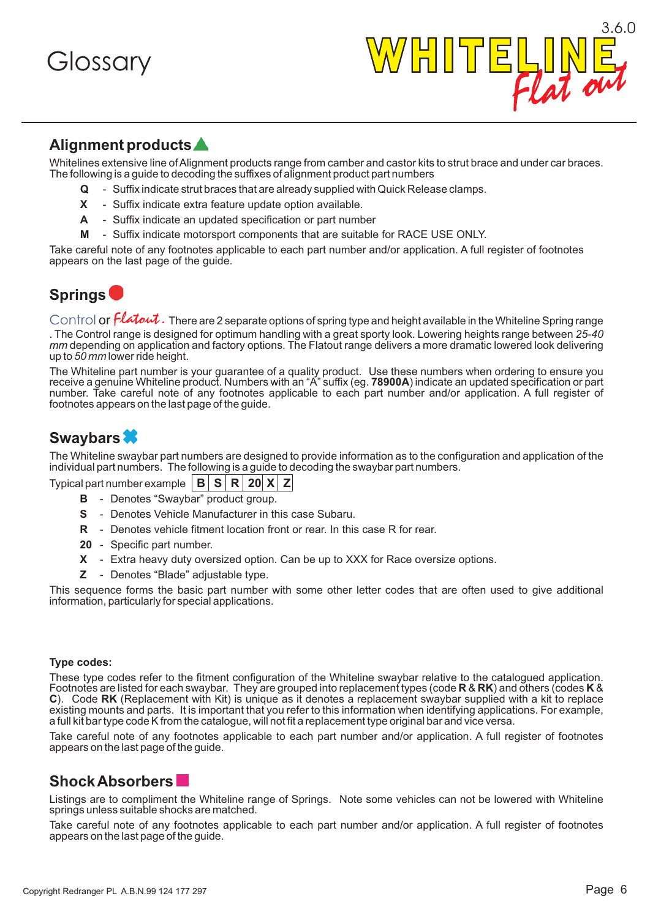Glossary



# **Alignment products**

Whitelines extensive line ofAlignment products range from camber and castor kits to strut brace and under car braces. The following is a guide to decoding the suffixes of alignment product part numbers

- Suffix indicate strut braces that are already supplied with Quick Release clamps. **Q**
- Suffix indicate extra feature update option available. **X**
- Suffix indicate an updated specification or part number **A**
- Suffix indicate motorsport components that are suitable for RACE USE ONLY. **M**

Take careful note of any footnotes applicable to each part number and/or application. A full register of footnotes appears on the last page of the guide.

# **Springs**

Control **or** *flatout* . There are 2 separate options of spring type and height available in the Whiteline Spring range . The Control range is designed for optimum handling with a great sporty look. Lowering heights range between *25-40* mm depending on application and factory options. The Flatout range delivers a more dramatic lowered look delivering up to 50 mm lower ride height.

The Whiteline part number is your guarantee of a quality product. Use these numbers when ordering to ensure you receive a genuine Whiteline product. Numbers with an "A" suffix (eg. **78900A**) indicate an updated specification or part number. Take careful note of any footnotes applicable to each part number and/or application. A full register of footnotes appears on the last page of the guide.

# **Swaybars**

The Whiteline swaybar part numbers are designed to provide information as to the configuration and application of the individual part numbers. The following is a guide to decoding the swaybar part numbers.

Typical part number example **B S R 20 X Z**

- Denotes "Swaybar" product group. **B**
- Denotes Vehicle Manufacturer in this case Subaru. **S**
- Denotes vehicle fitment location front or rear. In this case R for rear. **R**
- 20 Specific part number.
- Extra heavy duty oversized option. Can be up to XXX for Race oversize options. **X**
- Denotes "Blade" adjustable type. **Z**

This sequence forms the basic part number with some other letter codes that are often used to give additional information, particularly for special applications.

#### **Type codes:**

These type codes refer to the fitment configuration of the Whiteline swaybar relative to the catalogued application. Footnotes are listed for each swaybar. They are grouped into replacement types (code **R** & **RK**) and others (codes **K** & **C**). Code RK (Replacement with Kit) is unique as it denotes a replacement swaybar supplied with a kit to replace existing mounts and parts. It is important that you refer to this information when identifying applications. For example, a full kit bar type code K from the catalogue, will not fit a replacement type original bar and vice versa.

Take careful note of any footnotes applicable to each part number and/or application. A full register of footnotes appears on the last page of the guide.

# **ShockAbsorbers**

Listings are to compliment the Whiteline range of Springs. Note some vehicles can not be lowered with Whiteline springs unless suitable shocks are matched.

Take careful note of any footnotes applicable to each part number and/or application. A full register of footnotes appears on the last page of the guide.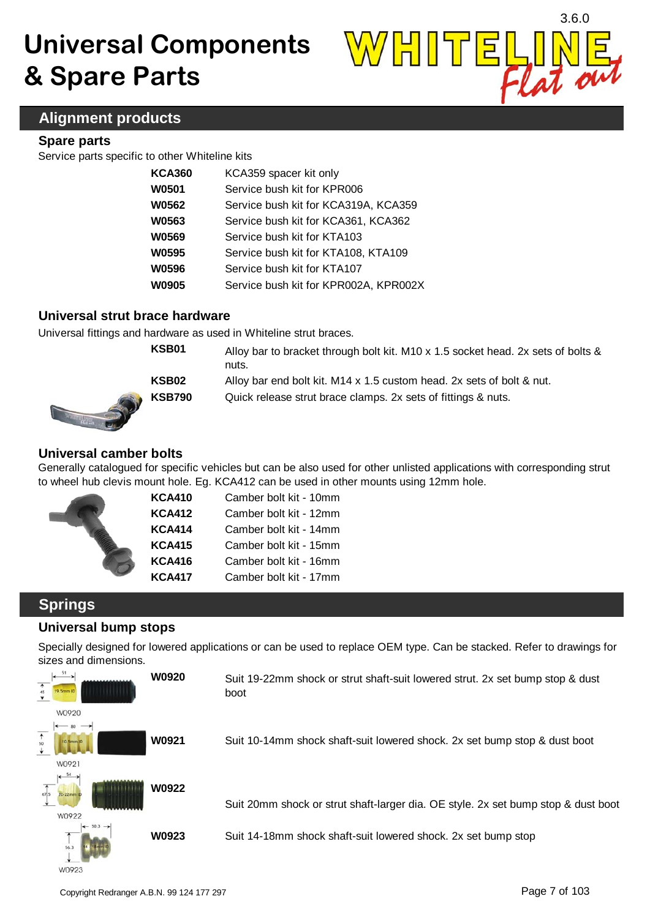

# **Alignment products**

#### **Spare parts**

Service parts specific to other Whiteline kits

| <b>KCA360</b> | KCA359 spacer kit only                |
|---------------|---------------------------------------|
| W0501         | Service bush kit for KPR006           |
| W0562         | Service bush kit for KCA319A, KCA359  |
| W0563         | Service bush kit for KCA361, KCA362   |
| W0569         | Service bush kit for KTA103           |
| W0595         | Service bush kit for KTA108, KTA109   |
| W0596         | Service bush kit for KTA107           |
| <b>W0905</b>  | Service bush kit for KPR002A, KPR002X |
|               |                                       |

#### **Universal strut brace hardware**

Universal fittings and hardware as used in Whiteline strut braces.

| KSB01         | Alloy bar to bracket through bolt kit. M10 x 1.5 socket head. 2x sets of bolts &<br>nuts. |
|---------------|-------------------------------------------------------------------------------------------|
| KSB02         | Alloy bar end bolt kit. M14 x 1.5 custom head. 2x sets of bolt & nut.                     |
| <b>KSB790</b> | Quick release strut brace clamps. 2x sets of fittings & nuts.                             |

#### **Universal camber bolts**

Generally catalogued for specific vehicles but can be also used for other unlisted applications with corresponding strut to wheel hub clevis mount hole. Eg. KCA412 can be used in other mounts using 12mm hole.

|  | <b>KCA410</b> | Camber bolt kit - 10mm |
|--|---------------|------------------------|
|  | <b>KCA412</b> | Camber bolt kit - 12mm |
|  | <b>KCA414</b> | Camber bolt kit - 14mm |
|  | <b>KCA415</b> | Camber bolt kit - 15mm |
|  | <b>KCA416</b> | Camber bolt kit - 16mm |
|  | <b>KCA417</b> | Camber bolt kit - 17mm |

# **Springs**

### **Universal bump stops**

Specially designed for lowered applications or can be used to replace OEM type. Can be stacked. Refer to drawings for sizes and dimensions.

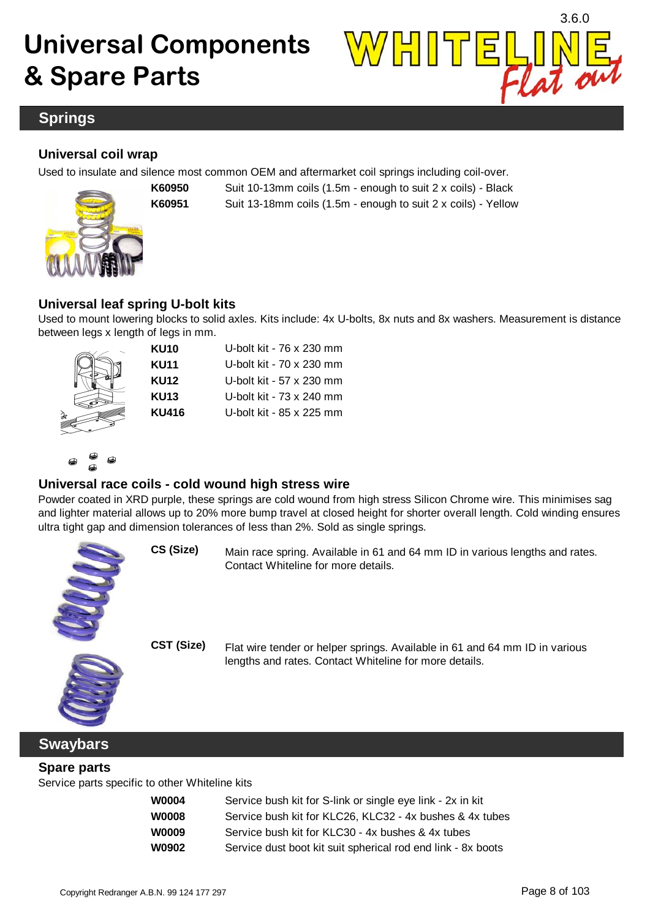

# **Springs**

# **Universal coil wrap**

Used to insulate and silence most common OEM and aftermarket coil springs including coil-over.



**K60950** Suit 10-13mm coils (1.5m - enough to suit 2 x coils) - Black **K60951** Suit 13-18mm coils (1.5m - enough to suit 2 x coils) - Yellow

### **Universal leaf spring U-bolt kits**

Used to mount lowering blocks to solid axles. Kits include: 4x U-bolts, 8x nuts and 8x washers. Measurement is distance between legs x length of legs in mm.



| <b>KU10</b>  | U-bolt kit - 76 x 230 mm |
|--------------|--------------------------|
| <b>KU11</b>  | U-bolt kit - 70 x 230 mm |
| KU12         | U-bolt kit - 57 x 230 mm |
| <b>KU13</b>  | U-bolt kit - 73 x 240 mm |
| <b>KU416</b> | U-bolt kit - 85 x 225 mm |



### **Universal race coils - cold wound high stress wire**

Powder coated in XRD purple, these springs are cold wound from high stress Silicon Chrome wire. This minimises sag and lighter material allows up to 20% more bump travel at closed height for shorter overall length. Cold winding ensures ultra tight gap and dimension tolerances of less than 2%. Sold as single springs.



- **CS (Size)** Main race spring. Available in 61 and 64 mm ID in various lengths and rates. Contact Whiteline for more details.
- **CST (Size)** Flat wire tender or helper springs. Available in 61 and 64 mm ID in various lengths and rates. Contact Whiteline for more details.

### **Swaybars**

### **Spare parts**

Service parts specific to other Whiteline kits

| <b>W0004</b> | Service bush kit for S-link or single eye link - 2x in kit   |
|--------------|--------------------------------------------------------------|
| <b>W0008</b> | Service bush kit for KLC26, KLC32 - 4x bushes & 4x tubes     |
| <b>W0009</b> | Service bush kit for KLC30 - 4x bushes & 4x tubes            |
| W0902        | Service dust boot kit suit spherical rod end link - 8x boots |
|              |                                                              |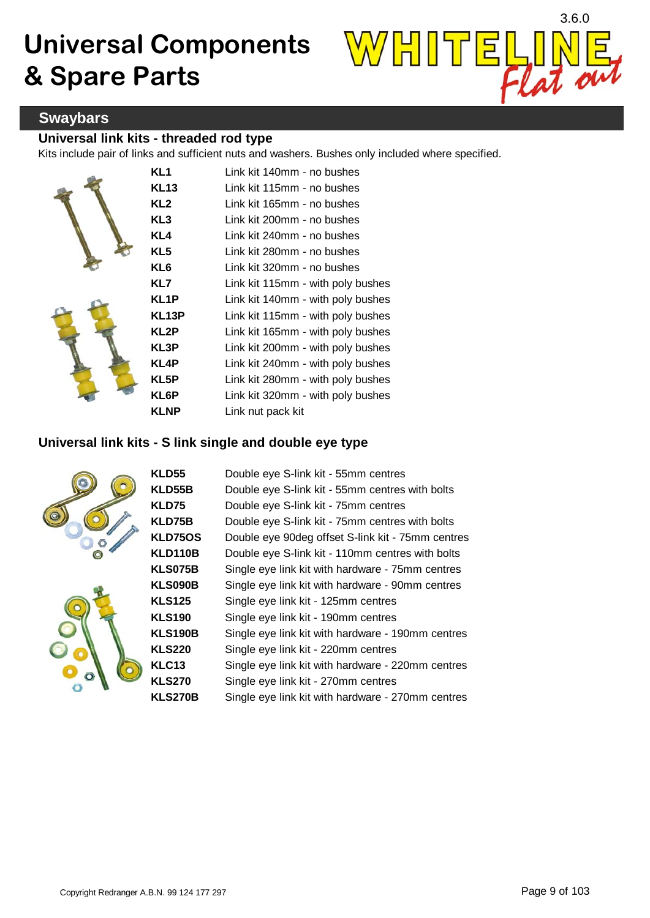

### **Swaybars**

### **Universal link kits - threaded rod type**

Kits include pair of links and sufficient nuts and washers. Bushes only included where specified.

| KL <sub>1</sub>   | Link kit 140mm - no bushes        |
|-------------------|-----------------------------------|
| <b>KL13</b>       | Link kit 115mm - no bushes        |
| KL2               | Link kit 165mm - no bushes        |
| KL <sub>3</sub>   | Link kit 200mm - no bushes        |
| KL <sub>4</sub>   | Link kit 240mm - no bushes        |
| KL <sub>5</sub>   | Link kit 280mm - no bushes        |
| KL <sub>6</sub>   | Link kit 320mm - no bushes        |
| KL7               | Link kit 115mm - with poly bushes |
| KL <sub>1</sub> P | Link kit 140mm - with poly bushes |
| KL13P             | Link kit 115mm - with poly bushes |
| KL <sub>2</sub> P | Link kit 165mm - with poly bushes |
| KL3P              | Link kit 200mm - with poly bushes |
| <b>KL4P</b>       | Link kit 240mm - with poly bushes |
| KL5P              | Link kit 280mm - with poly bushes |
| KL6P              | Link kit 320mm - with poly bushes |
| <b>KLNP</b>       | Link nut pack kit                 |
|                   |                                   |

### **Universal link kits - S link single and double eye type**



**KLD55** Double eye S-link kit - 55mm centres **KLD55B** Double eye S-link kit - 55mm centres with bolts **KLD75** Double eye S-link kit - 75mm centres **KLD75B** Double eye S-link kit - 75mm centres with bolts **KLD75OS** Double eye 90deg offset S-link kit - 75mm centres **KLD110B** Double eye S-link kit - 110mm centres with bolts **KLS075B** Single eye link kit with hardware - 75mm centres **KLS090B** Single eye link kit with hardware - 90mm centres **KLS125** Single eye link kit - 125mm centres **KLS190** Single eye link kit - 190mm centres **KLS190B** Single eye link kit with hardware - 190mm centres **KLS220** Single eye link kit - 220mm centres **KLC13** Single eye link kit with hardware - 220mm centres **KLS270** Single eye link kit - 270mm centres **KLS270B** Single eye link kit with hardware - 270mm centres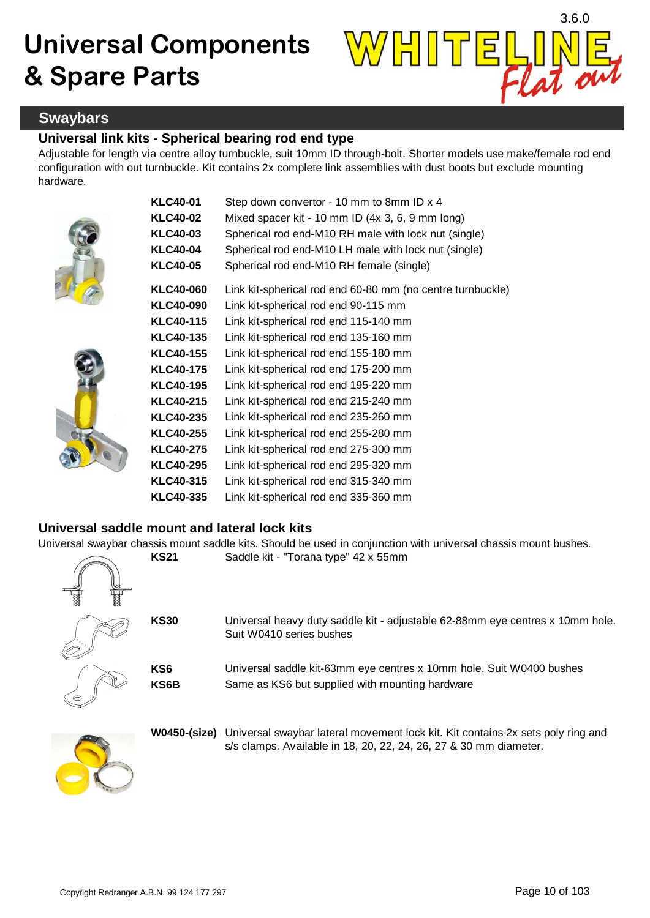

# **Swaybars**

#### **Universal link kits - Spherical bearing rod end type**

Adjustable for length via centre alloy turnbuckle, suit 10mm ID through-bolt. Shorter models use make/female rod end configuration with out turnbuckle. Kit contains 2x complete link assemblies with dust boots but exclude mounting hardware.

| <b>KLC40-01</b>  | Step down convertor - 10 mm to 8mm ID x 4                  |
|------------------|------------------------------------------------------------|
| <b>KLC40-02</b>  | Mixed spacer kit - 10 mm ID (4x 3, 6, 9 mm long)           |
| <b>KLC40-03</b>  | Spherical rod end-M10 RH male with lock nut (single)       |
| <b>KLC40-04</b>  | Spherical rod end-M10 LH male with lock nut (single)       |
| <b>KLC40-05</b>  | Spherical rod end-M10 RH female (single)                   |
| <b>KLC40-060</b> | Link kit-spherical rod end 60-80 mm (no centre turnbuckle) |
| KLC40-090        | Link kit-spherical rod end 90-115 mm                       |
| <b>KLC40-115</b> | Link kit-spherical rod end 115-140 mm                      |
| KLC40-135        | Link kit-spherical rod end 135-160 mm                      |
| <b>KLC40-155</b> | Link kit-spherical rod end 155-180 mm                      |
| <b>KLC40-175</b> | Link kit-spherical rod end 175-200 mm                      |
| KLC40-195        | Link kit-spherical rod end 195-220 mm                      |
| <b>KLC40-215</b> | Link kit-spherical rod end 215-240 mm                      |
| <b>KLC40-235</b> | Link kit-spherical rod end 235-260 mm                      |
| <b>KLC40-255</b> | Link kit-spherical rod end 255-280 mm                      |
| <b>KLC40-275</b> | Link kit-spherical rod end 275-300 mm                      |
| <b>KLC40-295</b> | Link kit-spherical rod end 295-320 mm                      |
| KLC40-315        | Link kit-spherical rod end 315-340 mm                      |
| KLC40-335        | Link kit-spherical rod end 335-360 mm                      |

### **Universal saddle mount and lateral lock kits**

Universal swaybar chassis mount saddle kits. Should be used in conjunction with universal chassis mount bushes.

| <b>KS21</b>             | Saddle kit - "Torana type" 42 x 55mm                                                                                                                 |
|-------------------------|------------------------------------------------------------------------------------------------------------------------------------------------------|
| <b>KS30</b>             | Universal heavy duty saddle kit - adjustable 62-88mm eye centres x 10mm hole.<br>Suit W0410 series bushes                                            |
| KS <sub>6</sub><br>KS6B | Universal saddle kit-63mm eye centres x 10mm hole. Suit W0400 bushes<br>Same as KS6 but supplied with mounting hardware                              |
| <b>W0450-(size)</b>     | Universal swaybar lateral movement lock kit. Kit contains 2x sets poly ring and<br>s/s clamps. Available in 18, 20, 22, 24, 26, 27 & 30 mm diameter. |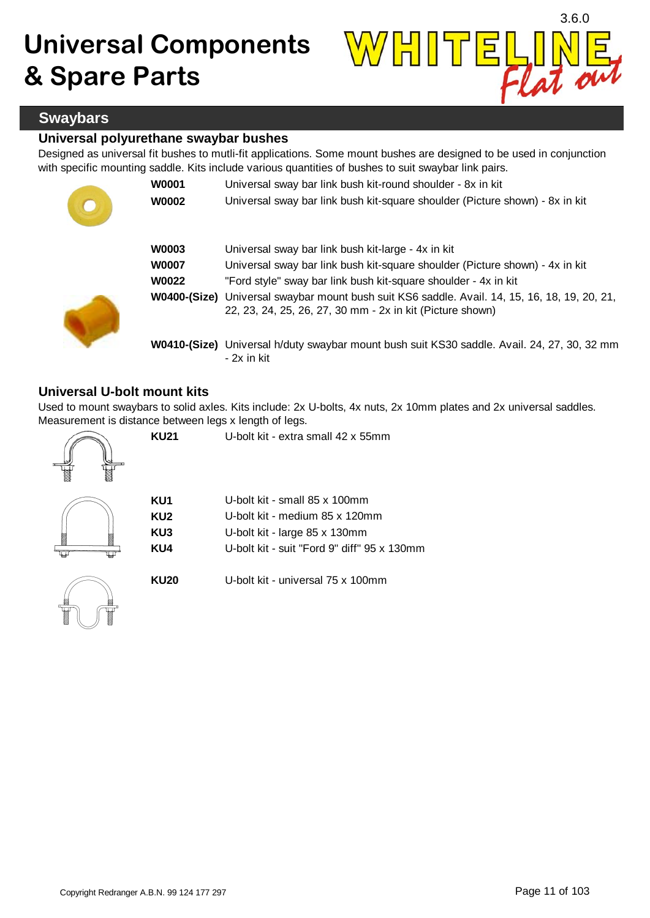

# **Swaybars**

#### **Universal polyurethane swaybar bushes**

Designed as universal fit bushes to mutli-fit applications. Some mount bushes are designed to be used in conjunction with specific mounting saddle. Kits include various quantities of bushes to suit swaybar link pairs.

| <b>W0001</b><br><b>W0002</b> | Universal sway bar link bush kit-round shoulder - 8x in kit<br>Universal sway bar link bush kit-square shoulder (Picture shown) - 8x in kit   |
|------------------------------|-----------------------------------------------------------------------------------------------------------------------------------------------|
| W0003<br><b>W0007</b>        | Universal sway bar link bush kit-large - 4x in kit<br>Universal sway bar link bush kit-square shoulder (Picture shown) - 4x in kit            |
| <b>W0022</b>                 | "Ford style" sway bar link bush kit-square shoulder - 4x in kit                                                                               |
| <b>W0400-(Size)</b>          | Universal swaybar mount bush suit KS6 saddle. Avail. 14, 15, 16, 18, 19, 20, 21,<br>22, 23, 24, 25, 26, 27, 30 mm - 2x in kit (Picture shown) |
|                              | W0410-(Size) Universal h/duty swaybar mount bush suit KS30 saddle. Avail. 24, 27, 30, 32 mm<br>- 2x in kit                                    |

### **Universal U-bolt mount kits**

Used to mount swaybars to solid axles. Kits include: 2x U-bolts, 4x nuts, 2x 10mm plates and 2x universal saddles. Measurement is distance between legs x length of legs.



| KU1  | U-bolt kit - small 85 x 100mm  |
|------|--------------------------------|
| KU2. | U-bolt kit - medium 85 x 120mm |
| KU3  | U-bolt kit - large 85 x 130mm  |

**KU21** U-bolt kit - extra small 42 x 55mm

| .   | $\sigma$ bon m. ango oo $\lambda$ roomm.    |
|-----|---------------------------------------------|
| KU4 | U-bolt kit - suit "Ford 9" diff" 95 x 130mm |



| <b>KU20</b> | U-bolt kit - universal 75 x 100mm |  |
|-------------|-----------------------------------|--|
|             |                                   |  |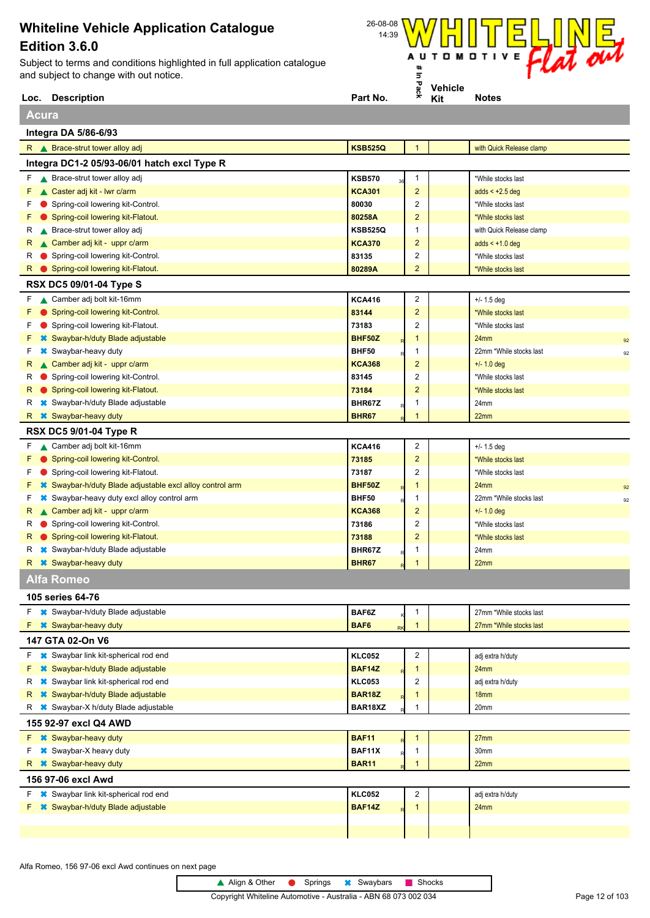

|              | Loc. Description                                                              | Part No.               | ×.                      | Kit | <b>Notes</b>                  |
|--------------|-------------------------------------------------------------------------------|------------------------|-------------------------|-----|-------------------------------|
| <b>Acura</b> |                                                                               |                        |                         |     |                               |
|              | Integra DA 5/86-6/93                                                          |                        |                         |     |                               |
|              | R Brace-strut tower alloy adj                                                 | <b>KSB525Q</b>         | $\mathbf{1}$            |     | with Quick Release clamp      |
|              | Integra DC1-2 05/93-06/01 hatch excl Type R                                   |                        |                         |     |                               |
| F            | ▲ Brace-strut tower alloy adj                                                 | <b>KSB570</b><br>36    | 1                       |     | *While stocks last            |
| F            | Caster adj kit - Iwr c/arm                                                    | <b>KCA301</b>          | $\overline{\mathbf{c}}$ |     | adds $< +2.5$ deg             |
| F            | Spring-coil lowering kit-Control.                                             | 80030                  | 2                       |     | *While stocks last            |
| F            | Spring-coil lowering kit-Flatout.                                             | 80258A                 | $\overline{\mathbf{c}}$ |     | *While stocks last            |
| R            | Brace-strut tower alloy adj                                                   | <b>KSB525Q</b>         | 1                       |     | with Quick Release clamp      |
| R.           | Camber adj kit - uppr c/arm                                                   | <b>KCA370</b>          | $\overline{\mathbf{c}}$ |     | $adds < +1.0 deg$             |
| R            | Spring-coil lowering kit-Control.                                             | 83135                  | 2                       |     | *While stocks last            |
| R.           | Spring-coil lowering kit-Flatout.                                             | 80289A                 | $\overline{2}$          |     | *While stocks last            |
|              | <b>RSX DC5 09/01-04 Type S</b>                                                |                        |                         |     |                               |
|              | F Camber adj bolt kit-16mm                                                    | <b>KCA416</b>          | 2                       |     | +/- 1.5 deg                   |
| F.           | Spring-coil lowering kit-Control.                                             | 83144                  | $\overline{\mathbf{c}}$ |     | *While stocks last            |
| F            | Spring-coil lowering kit-Flatout.                                             | 73183                  | 2                       |     | *While stocks last            |
|              | <b>*</b> Swaybar-h/duty Blade adjustable                                      | <b>BHF50Z</b>          | 1                       |     | 24mm<br>92                    |
| F            | <b>*</b> Swaybar-heavy duty                                                   | BHF50                  | 1                       |     | 22mm *While stocks last<br>92 |
| R.           | Camber adj kit - uppr c/arm                                                   | <b>KCA368</b>          | 2                       |     | $+/- 1.0$ deg                 |
| R            | Spring-coil lowering kit-Control.                                             | 83145                  | 2                       |     | *While stocks last            |
| R.           | Spring-coil lowering kit-Flatout.                                             | 73184                  | 2                       |     | *While stocks last            |
| R            | <b>*</b> Swaybar-h/duty Blade adjustable                                      | BHR67Z                 | 1                       |     | 24mm                          |
| R.           | <b>*</b> Swaybar-heavy duty                                                   | <b>BHR67</b>           | 1                       |     | 22mm                          |
|              | <b>RSX DC5 9/01-04 Type R</b>                                                 |                        |                         |     |                               |
|              | F Camber adj bolt kit-16mm                                                    | <b>KCA416</b>          | 2                       |     | +/- 1.5 deg                   |
| F.           | Spring-coil lowering kit-Control.                                             | 73185                  | $\overline{\mathbf{c}}$ |     | *While stocks last            |
| F            | Spring-coil lowering kit-Flatout.                                             | 73187                  | 2                       |     | *While stocks last            |
| F            | <sup>■</sup> Swaybar-h/duty Blade adjustable excl alloy control arm           | <b>BHF50Z</b>          | 1                       |     | 24mm<br>92                    |
| F            | <b><sup>■</sup></b> Swaybar-heavy duty excl alloy control arm                 | <b>BHF50</b>           | 1                       |     | 22mm *While stocks last<br>92 |
| R            | Camber adj kit - uppr c/arm                                                   | <b>KCA368</b>          | $\overline{\mathbf{c}}$ |     | $+/- 1.0$ deg                 |
| R            | Spring-coil lowering kit-Control.                                             | 73186                  | 2                       |     | *While stocks last            |
| R.           | Spring-coil lowering kit-Flatout.<br><b>*</b> Swaybar-h/duty Blade adjustable | 73188                  | $\overline{c}$          |     | *While stocks last            |
| R            | R <b>*</b> Swaybar-heavy duty                                                 | BHR67Z<br><b>BHR67</b> | 1<br>1                  |     | 24mm<br>22mm                  |
|              |                                                                               |                        |                         |     |                               |
|              | Alfa Romeo                                                                    |                        |                         |     |                               |
|              | 105 series 64-76                                                              |                        |                         |     |                               |
|              | F * Swaybar-h/duty Blade adjustable                                           | BAF6Z                  | 1                       |     | 27mm *While stocks last       |
|              | <b>*</b> Swaybar-heavy duty                                                   | BAF6<br>RK             | $\mathbf{1}$            |     | 27mm *While stocks last       |
|              | 147 GTA 02-On V6                                                              |                        |                         |     |                               |
| F            | <b></b> Swaybar link kit-spherical rod end                                    | <b>KLC052</b>          | 2                       |     | adj extra h/duty              |
| F.           | <b>*</b> Swaybar-h/duty Blade adjustable                                      | <b>BAF14Z</b>          | $\mathbf{1}$            |     | 24mm                          |
| R            | <b>*</b> Swaybar link kit-spherical rod end                                   | <b>KLC053</b>          | 2                       |     | adj extra h/duty              |
| R            | <b>*</b> Swaybar-h/duty Blade adjustable                                      | <b>BAR18Z</b>          | 1                       |     | 18mm                          |
| R            | <b><sup>■</sup></b> Swaybar-X h/duty Blade adjustable                         | BAR18XZ                | 1                       |     | 20mm                          |
|              | 155 92-97 excl Q4 AWD                                                         |                        |                         |     |                               |
|              | F <b>*</b> Swaybar-heavy duty                                                 | <b>BAF11</b>           | $\mathbf{1}$            |     | 27mm                          |
| F            | <b>*</b> Swaybar-X heavy duty                                                 | <b>BAF11X</b>          | 1                       |     | 30mm                          |
| R.           | <b>*</b> Swaybar-heavy duty                                                   | <b>BAR11</b>           | $\mathbf{1}$            |     | 22mm                          |
|              | 156 97-06 excl Awd                                                            |                        |                         |     |                               |
| F.           | <b>*</b> Swaybar link kit-spherical rod end                                   | <b>KLC052</b>          | 2                       |     | adj extra h/duty              |
|              | Swaybar-h/duty Blade adjustable                                               | <b>BAF14Z</b>          | 1                       |     | 24mm                          |
|              |                                                                               |                        |                         |     |                               |
|              |                                                                               |                        |                         |     |                               |

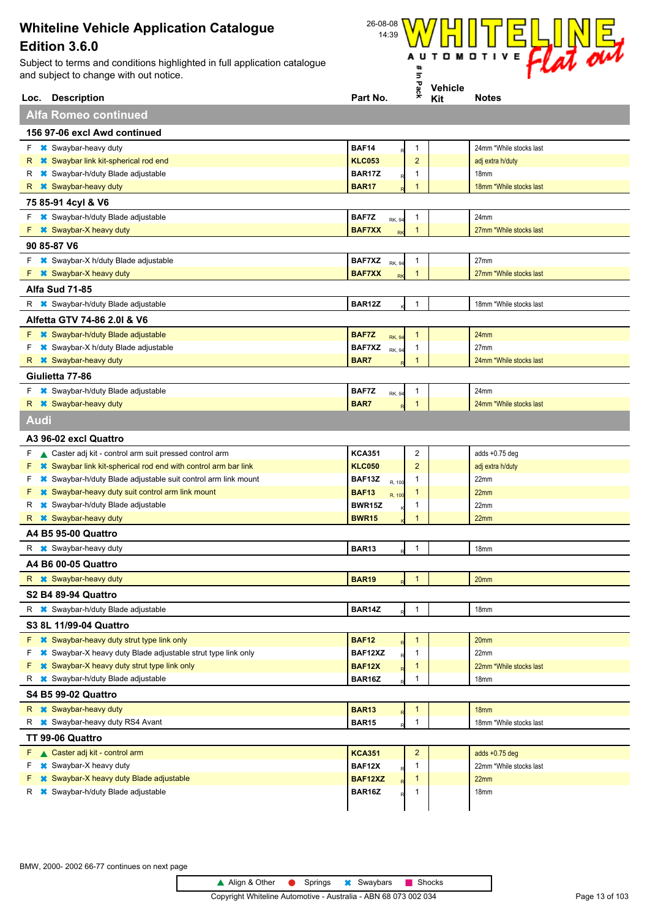

|             | Loc. Description                                                          | Part No.                         | 웃              | Kit | <b>Notes</b>            |
|-------------|---------------------------------------------------------------------------|----------------------------------|----------------|-----|-------------------------|
|             | <b>Alfa Romeo continued</b>                                               |                                  |                |     |                         |
|             | 156 97-06 excl Awd continued                                              |                                  |                |     |                         |
|             | $F$ $\ast$ Swaybar-heavy duty                                             | <b>BAF14</b>                     | $\mathbf 1$    |     | 24mm *While stocks last |
| R.          | <b>*</b> Swaybar link kit-spherical rod end                               | <b>KLC053</b>                    | $\overline{2}$ |     | adj extra h/duty        |
| R           | <b>*</b> Swaybar-h/duty Blade adjustable                                  | <b>BAR17Z</b>                    | 1              |     | 18mm                    |
| R.          | <b>*</b> Swaybar-heavy duty                                               | <b>BAR17</b>                     | $\overline{1}$ |     | 18mm *While stocks last |
|             | 75 85-91 4cyl & V6                                                        |                                  |                |     |                         |
|             | F * Swaybar-h/duty Blade adjustable                                       | BAF7Z<br><b>RK, 94</b>           | 1              |     | 24mm                    |
|             | <b>*</b> Swaybar-X heavy duty                                             | <b>BAF7XX</b><br>RK              |                |     | 27mm *While stocks last |
|             | 90 85-87 V6                                                               |                                  |                |     |                         |
| F.          | <b>*</b> Swaybar-X h/duty Blade adjustable                                | BAF7XZ<br><b>RK, 94</b>          | $\mathbf 1$    |     | 27mm                    |
|             | <b>*</b> Swaybar-X heavy duty                                             | <b>BAF7XX</b><br>RK              | $\mathbf 1$    |     | 27mm *While stocks last |
|             | <b>Alfa Sud 71-85</b>                                                     |                                  |                |     |                         |
|             | R * Swaybar-h/duty Blade adjustable                                       | <b>BAR12Z</b>                    | $\mathbf{1}$   |     | 18mm *While stocks last |
|             | Alfetta GTV 74-86 2.01 & V6                                               |                                  |                |     |                         |
|             | F * Swaybar-h/duty Blade adjustable                                       | BAF7Z<br><b>RK, 94</b>           | $\mathbf{1}$   |     | 24mm                    |
| F           | <b>*</b> Swaybar-X h/duty Blade adjustable                                | BAF7XZ<br><b>RK, 94</b>          | $\mathbf{1}$   |     | 27mm                    |
|             | R <b>*</b> Swaybar-heavy duty                                             | <b>BAR7</b>                      | 1              |     | 24mm *While stocks last |
|             | Giulietta 77-86                                                           |                                  |                |     |                         |
|             | F * Swaybar-h/duty Blade adjustable                                       | BAF7Z<br><b>RK, 94</b>           | 1              |     | 24mm                    |
|             | R <b>*</b> Swaybar-heavy duty                                             | <b>BAR7</b>                      | $\mathbf 1$    |     | 24mm *While stocks last |
| <b>Audi</b> |                                                                           |                                  |                |     |                         |
|             | A3 96-02 excl Quattro                                                     |                                  |                |     |                         |
|             | F Caster adj kit - control arm suit pressed control arm                   | <b>KCA351</b>                    | $\overline{c}$ |     | adds $+0.75$ deg        |
| F.          | <sup>■</sup> Swaybar link kit-spherical rod end with control arm bar link | <b>KLC050</b>                    | $\overline{2}$ |     | adj extra h/duty        |
| F           | <sup>■</sup> Swaybar-h/duty Blade adjustable suit control arm link mount  | BAF13Z                           | -1             |     | 22mm                    |
| F           | <b>*</b> Swaybar-heavy duty suit control arm link mount                   | R, 100<br><b>BAF13</b><br>R, 100 | $\mathbf{1}$   |     | 22mm                    |
| R           | <b>*</b> Swaybar-h/duty Blade adjustable                                  | <b>BWR15Z</b>                    | -1             |     | 22mm                    |
| R.          | <b>*</b> Swaybar-heavy duty                                               | <b>BWR15</b>                     | 1              |     | 22mm                    |
|             | <b>A4 B5 95-00 Quattro</b>                                                |                                  |                |     |                         |
|             | R <b>*</b> Swaybar-heavy duty                                             | <b>BAR13</b>                     | 1              |     | 18mm                    |
|             | <b>A4 B6 00-05 Quattro</b>                                                |                                  |                |     |                         |
|             | R <b>*</b> Swaybar-heavy duty                                             | <b>BAR19</b>                     | $\mathbf{1}$   |     | 20 <sub>mm</sub>        |
|             | <b>S2 B4 89-94 Quattro</b>                                                |                                  |                |     |                         |
|             | R <u></u> <b>*</b> Swaybar-h/duty Blade adjustable                        | BAR14Z                           | 1              |     | 18mm                    |
|             | S3 8L 11/99-04 Quattro                                                    |                                  |                |     |                         |
| F.          | <b>*</b> Swaybar-heavy duty strut type link only                          | <b>BAF12</b>                     | $\mathbf{1}$   |     | 20 <sub>mm</sub>        |
| F           | <sup>■</sup> Swaybar-X heavy duty Blade adjustable strut type link only   | BAF12XZ                          | $\mathbf{1}$   |     | 22mm                    |
| F.          | <b>*</b> Swaybar-X heavy duty strut type link only                        | <b>BAF12X</b>                    | $\mathbf{1}$   |     | 22mm *While stocks last |
| R           | <b>*</b> Swaybar-h/duty Blade adjustable                                  | BAR16Z                           | -1             |     | 18mm                    |
|             | S4 B5 99-02 Quattro                                                       |                                  |                |     |                         |
|             | R <b>*</b> Swaybar-heavy duty                                             | <b>BAR13</b>                     | $\mathbf{1}$   |     | 18mm                    |
|             | R <b>*</b> Swaybar-heavy duty RS4 Avant                                   | <b>BAR15</b>                     | 1              |     | 18mm *While stocks last |
|             | TT 99-06 Quattro                                                          |                                  |                |     |                         |
| F.          | Caster adj kit - control arm                                              | <b>KCA351</b>                    | $\overline{2}$ |     | adds $+0.75$ deg        |
| F           | <b>*</b> Swaybar-X heavy duty                                             | BAF12X                           | $\mathbf{1}$   |     | 22mm *While stocks last |
| F           | <b>*</b> Swaybar-X heavy duty Blade adjustable                            | BAF12XZ                          | $\mathbf{1}$   |     | 22mm                    |
|             | R * Swaybar-h/duty Blade adjustable                                       | BAR16Z                           | $\mathbf{1}$   |     | 18mm                    |

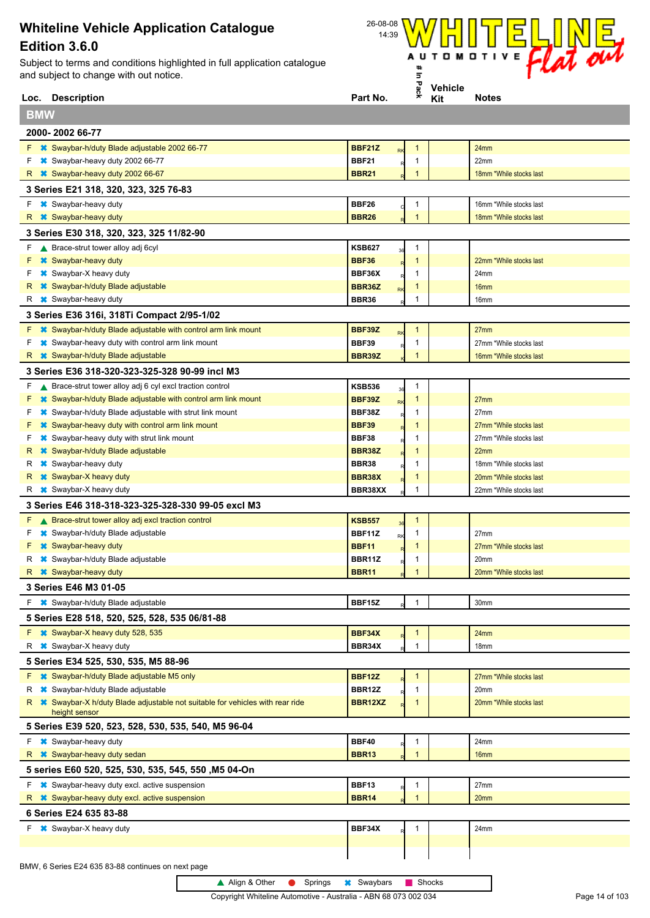Subject to terms and conditions highlighted in full application catalogue<br>and subject to change with out notice.<br>Loc. Description Part No. <sup>a</sup> Kit Notes Subject to terms and conditions highlighted in full application catalogue and subject to change with out notice.



|            | Loc. Description                                                               | Part No.               |           | ⊼            | Kit | <b>Notes</b>                                       |
|------------|--------------------------------------------------------------------------------|------------------------|-----------|--------------|-----|----------------------------------------------------|
| <b>BMW</b> |                                                                                |                        |           |              |     |                                                    |
|            | 2000-2002 66-77                                                                |                        |           |              |     |                                                    |
| F          | ■ Swaybar-h/duty Blade adjustable 2002 66-77                                   | <b>BBF21Z</b>          |           | 1            |     | 24mm                                               |
| F          | Swaybar-heavy duty 2002 66-77                                                  | <b>BBF21</b>           | <b>RK</b> | 1            |     | 22mm                                               |
| R          | <b>*</b> Swaybar-heavy duty 2002 66-67                                         | <b>BBR21</b>           |           | 1            |     | 18mm *While stocks last                            |
|            | 3 Series E21 318, 320, 323, 325 76-83                                          |                        |           |              |     |                                                    |
| F.         | <b>*</b> Swaybar-heavy duty                                                    | <b>BBF26</b>           |           | 1            |     | 16mm *While stocks last                            |
| R.         | <b>*</b> Swaybar-heavy duty                                                    | <b>BBR26</b>           |           | $\mathbf{1}$ |     | 18mm *While stocks last                            |
|            | 3 Series E30 318, 320, 323, 325 11/82-90                                       |                        |           |              |     |                                                    |
| F.         | ▲ Brace-strut tower alloy adj 6cyl                                             | <b>KSB627</b>          | 36        | 1            |     |                                                    |
| F          | <b>*</b> Swaybar-heavy duty                                                    | <b>BBF36</b>           |           | 1            |     | 22mm *While stocks last                            |
| F          | <b>*</b> Swaybar-X heavy duty                                                  | BBF36X                 |           | 1            |     | 24mm                                               |
| R.         | <b>*</b> Swaybar-h/duty Blade adjustable                                       | BBR36Z                 | <b>RK</b> | 1            |     | 16 <sub>mm</sub>                                   |
| R          | <b>*</b> Swaybar-heavy duty                                                    | <b>BBR36</b>           |           | 1            |     | 16mm                                               |
|            | 3 Series E36 316i, 318Ti Compact 2/95-1/02                                     |                        |           |              |     |                                                    |
| F          | <b>*</b> Swaybar-h/duty Blade adjustable with control arm link mount           | BBF39Z                 | RK        | 1            |     | 27 <sub>mm</sub>                                   |
| F          | <b>*</b> Swaybar-heavy duty with control arm link mount                        | <b>BBF39</b>           |           | 1            |     | 27mm *While stocks last                            |
| R          | <b>*</b> Swaybar-h/duty Blade adjustable                                       | <b>BBR39Z</b>          |           | $\mathbf{1}$ |     | 16mm *While stocks last                            |
|            | 3 Series E36 318-320-323-325-328 90-99 incl M3                                 |                        |           |              |     |                                                    |
| F          | ▲ Brace-strut tower alloy adj 6 cyl excl traction control                      | <b>KSB536</b>          | 36        | 1            |     |                                                    |
| F          | <b>*</b> Swaybar-h/duty Blade adjustable with control arm link mount           | BBF39Z                 | <b>RK</b> | 1            |     | 27 <sub>mm</sub>                                   |
| F          | <b><sup>■</sup></b> Swaybar-h/duty Blade adjustable with strut link mount      | BBF38Z                 |           | 1            |     | 27 <sub>mm</sub>                                   |
| F          | <b>■ Swaybar-heavy duty with control arm link mount</b>                        | <b>BBF39</b>           |           | 1            |     | 27mm *While stocks last                            |
| F          | <b><sup>■</sup></b> Swaybar-heavy duty with strut link mount                   | <b>BBF38</b>           |           | 1            |     | 27mm *While stocks last                            |
| R          | <b>*</b> Swaybar-h/duty Blade adjustable                                       | BBR38Z                 |           | 1<br>1       |     | 22mm                                               |
| R<br>R.    | <b>*</b> Swaybar-heavy duty<br><b>*</b> Swaybar-X heavy duty                   | <b>BBR38</b><br>BBR38X |           | 1            |     | 18mm *While stocks last<br>20mm *While stocks last |
| R          | <b>*</b> Swaybar-X heavy duty                                                  | BBR38XX                |           | 1            |     | 22mm *While stocks last                            |
|            | 3 Series E46 318-318-323-325-328-330 99-05 excl M3                             |                        |           |              |     |                                                    |
| F          | ▲ Brace-strut tower alloy adj excl traction control                            | <b>KSB557</b>          |           | $\mathbf{1}$ |     |                                                    |
| F          | Swaybar-h/duty Blade adjustable                                                | BBF11Z                 | 36        | $\mathbf{1}$ |     | 27mm                                               |
| F          | <b>*</b> Swaybar-heavy duty                                                    | <b>BBF11</b>           | RK        | 1            |     | 27mm *While stocks last                            |
| R          | <b></b> Swaybar-h/duty Blade adjustable                                        | BBR11Z                 |           | 1            |     | 20mm                                               |
| R.         | <b>*</b> Swaybar-heavy duty                                                    | <b>BBR11</b>           |           | 1            |     | 20mm *While stocks last                            |
|            | 3 Series E46 M3 01-05                                                          |                        |           |              |     |                                                    |
|            | F <b>*</b> Swaybar-h/duty Blade adjustable                                     | BBF15Z                 |           | 1            |     | 30mm                                               |
|            | 5 Series E28 518, 520, 525, 528, 535 06/81-88                                  |                        |           |              |     |                                                    |
|            | F * Swaybar-X heavy duty 528, 535                                              | BBF34X                 |           | $\mathbf{1}$ |     | 24mm                                               |
|            | R <b>*</b> Swaybar-X heavy duty                                                | BBR34X                 |           | 1            |     | 18 <sub>mm</sub>                                   |
|            | 5 Series E34 525, 530, 535, M5 88-96                                           |                        |           |              |     |                                                    |
|            | F <b>*</b> Swaybar-h/duty Blade adjustable M5 only                             | BBF12Z                 |           | 1            |     | 27mm *While stocks last                            |
| R          | <b>*</b> Swaybar-h/duty Blade adjustable                                       | BBR12Z                 |           | 1            |     | 20mm                                               |
|            | R * Swaybar-X h/duty Blade adjustable not suitable for vehicles with rear ride | BBR12XZ                |           | $\mathbf{1}$ |     | 20mm *While stocks last                            |
|            | height sensor                                                                  |                        |           |              |     |                                                    |
|            | 5 Series E39 520, 523, 528, 530, 535, 540, M5 96-04                            |                        |           |              |     |                                                    |
|            | $F \rightarrow$ Swaybar-heavy duty                                             | <b>BBF40</b>           |           | 1            |     | 24mm                                               |
|            | R <b>*</b> Swaybar-heavy duty sedan                                            | <b>BBR13</b>           |           | $\mathbf{1}$ |     | 16 <sub>mm</sub>                                   |
|            | 5 series E60 520, 525, 530, 535, 545, 550, M5 04-On                            |                        |           |              |     |                                                    |
|            | $F$ $\ast$ Swaybar-heavy duty excl. active suspension                          | BBF13                  |           | 1            |     | 27 <sub>mm</sub>                                   |
| R          | <b>*</b> Swaybar-heavy duty excl. active suspension                            | <b>BBR14</b>           |           | $\mathbf{1}$ |     | 20 <sub>mm</sub>                                   |
|            | 6 Series E24 635 83-88                                                         |                        |           |              |     |                                                    |
|            | F * Swaybar-X heavy duty                                                       | BBF34X                 |           | 1            |     | 24mm                                               |
|            |                                                                                |                        |           |              |     |                                                    |
|            | BMW, 6 Series E24 635 83-88 continues on next page                             |                        |           |              |     |                                                    |
|            |                                                                                |                        |           |              |     |                                                    |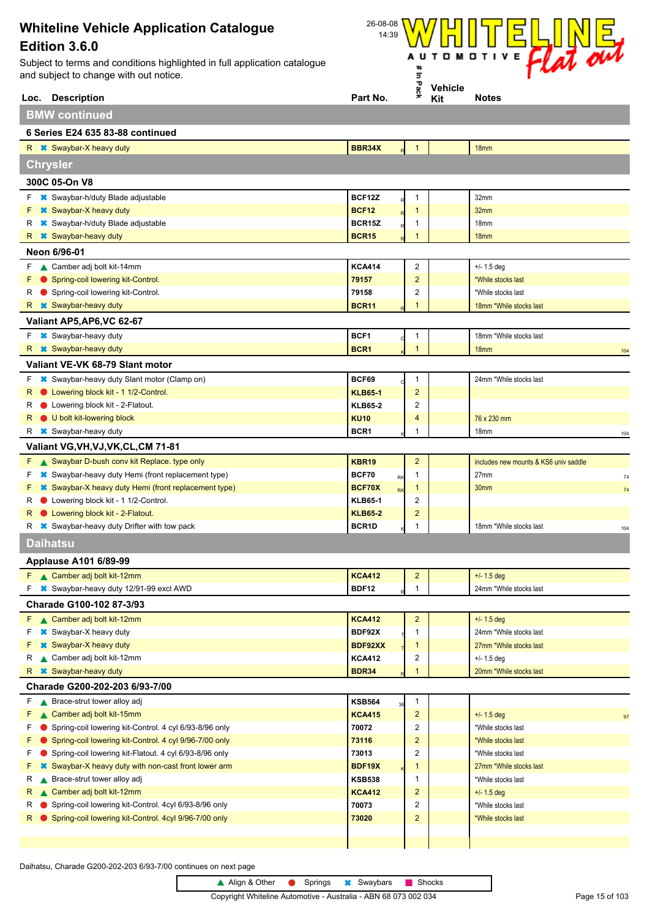Subject to terms and conditions highlighted in full application catalogue and subject to change with out notice.



|          | Loc. Description                                                                                                 | Part No.                      | ۶Ļ                           | Kit | <b>Notes</b>                             |
|----------|------------------------------------------------------------------------------------------------------------------|-------------------------------|------------------------------|-----|------------------------------------------|
|          | <b>BMW continued</b>                                                                                             |                               |                              |     |                                          |
|          | 6 Series E24 635 83-88 continued                                                                                 |                               |                              |     |                                          |
|          | R <b>*</b> Swaybar-X heavy duty                                                                                  | BBR34X                        | 1                            |     | 18mm                                     |
|          | <b>Chrysler</b>                                                                                                  |                               |                              |     |                                          |
|          |                                                                                                                  |                               |                              |     |                                          |
|          | 300C 05-On V8                                                                                                    |                               |                              |     |                                          |
|          | <b><sup>■</sup></b> Swaybar-h/duty Blade adjustable                                                              | BCF12Z                        | 1                            |     | 32mm                                     |
|          | <b>*</b> Swaybar-X heavy duty<br>R * Swaybar-h/duty Blade adjustable                                             | <b>BCF12</b><br><b>BCR15Z</b> | $\mathbf{1}$<br>1            |     | 32mm<br>18 <sub>mm</sub>                 |
| R.       | <b>*</b> Swaybar-heavy duty                                                                                      | <b>BCR15</b>                  | 1                            |     | 18 <sub>mm</sub>                         |
|          | Neon 6/96-01                                                                                                     |                               |                              |     |                                          |
|          | F Camber adj bolt kit-14mm                                                                                       | <b>KCA414</b>                 | 2                            |     | $+/- 1.5$ deg                            |
| F.       | Spring-coil lowering kit-Control.                                                                                | 79157                         | $\overline{\mathbf{c}}$      |     | *While stocks last                       |
| R        | Spring-coil lowering kit-Control.                                                                                | 79158                         | 2                            |     | *While stocks last                       |
|          | R <b>*</b> Swaybar-heavy duty                                                                                    | <b>BCR11</b>                  | 1                            |     | 18mm *While stocks last                  |
|          | Valiant AP5, AP6, VC 62-67                                                                                       |                               |                              |     |                                          |
|          | F * Swaybar-heavy duty                                                                                           | BCF1                          | 1                            |     | 18mm *While stocks last                  |
|          | R <b>*</b> Swaybar-heavy duty                                                                                    | BCR <sub>1</sub>              | $\mathbf{1}$                 |     | 18 <sub>mm</sub><br>104                  |
|          | Valiant VE-VK 68-79 Slant motor                                                                                  |                               |                              |     |                                          |
|          | <b>F</b> * Swaybar-heavy duty Slant motor (Clamp on)                                                             | BCF69                         | 1                            |     | 24mm *While stocks last                  |
| R.       | • Lowering block kit - 1 1/2-Control.                                                                            | <b>KLB65-1</b>                | $\overline{c}$               |     |                                          |
| R        | • Lowering block kit - 2-Flatout.                                                                                | <b>KLB65-2</b>                | 2                            |     |                                          |
| R        | U bolt kit-lowering block                                                                                        | <b>KU10</b>                   | 4                            |     | 76 x 230 mm                              |
| R        | <b>*</b> Swaybar-heavy duty                                                                                      | BCR1                          | 1                            |     | 18mm<br>104                              |
|          | Valiant VG, VH, VJ, VK, CL, CM 71-81                                                                             |                               |                              |     |                                          |
|          | F Swaybar D-bush conv kit Replace. type only                                                                     | <b>KBR19</b>                  | $\overline{\mathbf{c}}$      |     | includes new mounts & KS6 univ saddle    |
| F.       | <b><sup>■</sup></b> Swaybar-heavy duty Hemi (front replacement type)                                             | BCF70<br>RK                   | 1                            |     | 27mm<br>74                               |
| F.       | <b><sup>■</sup></b> Swaybar-X heavy duty Hemi (front replacement type)                                           | BCF70X<br><b>RK</b>           | 1                            |     | 30mm<br>74                               |
| R        | Lowering block kit - 1 1/2-Control.                                                                              | <b>KLB65-1</b>                | 2                            |     |                                          |
| R        | • Lowering block kit - 2-Flatout.                                                                                | <b>KLB65-2</b>                | $\overline{2}$               |     |                                          |
|          | $R \times$ Swaybar-heavy duty Drifter with tow pack                                                              | BCR1D                         | 1                            |     | 18mm *While stocks last<br>104           |
|          | <b>Daihatsu</b>                                                                                                  |                               |                              |     |                                          |
|          | <b>Applause A101 6/89-99</b>                                                                                     |                               |                              |     |                                          |
|          | F Camber adj bolt kit-12mm                                                                                       | <b>KCA412</b>                 | $\overline{c}$               |     | $+/- 1.5$ deg                            |
|          | <del></del> Swaybar-heavy duty 12/91-99 excl AWD                                                                 | <b>BDF12</b>                  | 1                            |     | 24mm *While stocks last                  |
|          | <b>Charade G100-102 87-3/93</b>                                                                                  |                               |                              |     |                                          |
|          | $F \wedge$ Camber adj bolt kit-12mm                                                                              | <b>KCA412</b>                 | $\overline{c}$               |     | $+/- 1.5$ deg                            |
| F.       | <b>*</b> Swaybar-X heavy duty                                                                                    | BDF92X                        | 1                            |     | 24mm *While stocks last                  |
|          | F <b>*</b> Swaybar-X heavy duty                                                                                  | BDF92XX                       | 1                            |     | 27mm *While stocks last                  |
|          | R Camber adj bolt kit-12mm                                                                                       | <b>KCA412</b>                 | 2                            |     | $+/- 1.5$ deg                            |
|          | R <b>*</b> Swaybar-heavy duty                                                                                    | <b>BDR34</b>                  | 1                            |     | 20mm *While stocks last                  |
|          | Charade G200-202-203 6/93-7/00                                                                                   |                               |                              |     |                                          |
|          | $F \wedge$ Brace-strut tower alloy adj                                                                           | <b>KSB564</b>                 | 1                            |     |                                          |
| F.       | Camber adj bolt kit-15mm                                                                                         | <b>KCA415</b>                 | $\overline{c}$               |     | $+/- 1.5$ deg<br>97                      |
| F        | Spring-coil lowering kit-Control. 4 cyl 6/93-8/96 only                                                           | 70072                         | 2                            |     | *While stocks last                       |
| F.<br>F. | Spring-coil lowering kit-Control. 4 cyl 9/96-7/00 only<br>Spring-coil lowering kit-Flatout. 4 cyl 6/93-8/96 only | 73116<br>73013                | $\overline{\mathbf{c}}$<br>2 |     | *While stocks last<br>*While stocks last |
| F.       | <b>■ Swaybar-X heavy duty with non-cast front lower arm</b>                                                      | <b>BDF19X</b>                 | 1                            |     | 27mm *While stocks last                  |
| R        | Brace-strut tower alloy adj                                                                                      | <b>KSB538</b>                 | 1                            |     | *While stocks last                       |
| R        | Camber adj bolt kit-12mm                                                                                         | <b>KCA412</b>                 | 2                            |     | $+/- 1.5$ deg                            |
| R        | Spring-coil lowering kit-Control. 4cyl 6/93-8/96 only                                                            | 70073                         | 2                            |     | *While stocks last                       |
| R.       | Spring-coil lowering kit-Control. 4cyl 9/96-7/00 only                                                            | 73020                         | $\overline{\mathbf{c}}$      |     | *While stocks last                       |
|          |                                                                                                                  |                               |                              |     |                                          |

Daihatsu, Charade G200-202-203 6/93-7/00 continues on next page

▲ Align & Other ● Springs <sup>★</sup> Swaybars ■ Shocks

Τ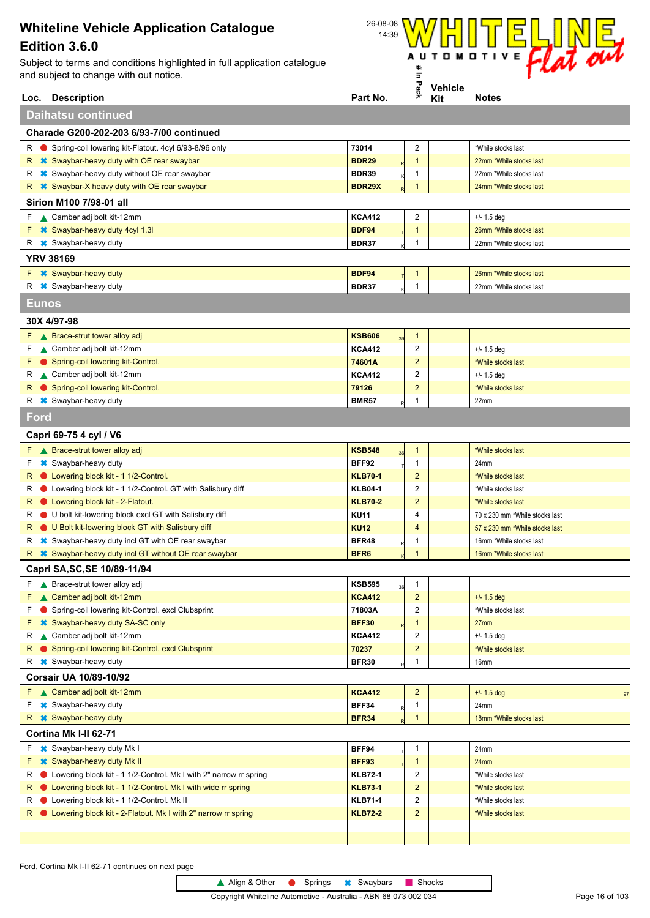

|       | Loc. Description                                                                                              | Part No.                    | ×.                      | Kit | <b>Notes</b>                                       |
|-------|---------------------------------------------------------------------------------------------------------------|-----------------------------|-------------------------|-----|----------------------------------------------------|
|       | <b>Daihatsu continued</b>                                                                                     |                             |                         |     |                                                    |
|       | Charade G200-202-203 6/93-7/00 continued                                                                      |                             |                         |     |                                                    |
|       | R Spring-coil lowering kit-Flatout. 4cyl 6/93-8/96 only                                                       | 73014                       | 2                       |     | *While stocks last                                 |
|       | R * Swaybar-heavy duty with OE rear swaybar                                                                   | <b>BDR29</b>                | $\mathbf{1}$            |     | 22mm *While stocks last                            |
|       | R * Swaybar-heavy duty without OE rear swaybar                                                                | <b>BDR39</b>                | 1                       |     | 22mm *While stocks last                            |
|       | R * Swaybar-X heavy duty with OE rear swaybar                                                                 | <b>BDR29X</b>               | $\mathbf 1$             |     | 24mm *While stocks last                            |
|       | Sirion M100 7/98-01 all                                                                                       |                             |                         |     |                                                    |
|       | F Camber adj bolt kit-12mm                                                                                    | <b>KCA412</b>               | $\overline{2}$          |     | $+/- 1.5$ deg                                      |
|       | F * Swaybar-heavy duty 4cyl 1.3I                                                                              | <b>BDF94</b>                | $\mathbf{1}$            |     | 26mm *While stocks last                            |
| R     | <b>*</b> Swaybar-heavy duty                                                                                   | <b>BDR37</b>                | 1                       |     | 22mm *While stocks last                            |
|       | <b>YRV 38169</b>                                                                                              |                             |                         |     |                                                    |
|       | F * Swaybar-heavy duty                                                                                        | <b>BDF94</b>                | 1                       |     | 26mm *While stocks last                            |
|       | R <b>*</b> Swaybar-heavy duty                                                                                 | <b>BDR37</b>                | 1                       |     | 22mm *While stocks last                            |
| Eunos |                                                                                                               |                             |                         |     |                                                    |
|       | 30X 4/97-98                                                                                                   |                             |                         |     |                                                    |
|       | F A Brace-strut tower alloy adj                                                                               | <b>KSB606</b>               | $\mathbf{1}$            |     |                                                    |
| F.    | Camber adj bolt kit-12mm                                                                                      | <b>KCA412</b>               | 2                       |     | $+/- 1.5$ deg                                      |
| F.    | Spring-coil lowering kit-Control.                                                                             | 74601A                      | $\overline{2}$          |     | *While stocks last                                 |
| R.    | Camber adj bolt kit-12mm                                                                                      | <b>KCA412</b>               | 2                       |     | $+/- 1.5$ deg                                      |
|       | R Spring-coil lowering kit-Control.                                                                           | 79126                       | $\overline{\mathbf{c}}$ |     | *While stocks last                                 |
|       | R <b>*</b> Swaybar-heavy duty                                                                                 | <b>BMR57</b>                | 1                       |     | 22mm                                               |
| Ford  |                                                                                                               |                             |                         |     |                                                    |
|       | Capri 69-75 4 cyl / V6                                                                                        |                             |                         |     |                                                    |
|       | F A Brace-strut tower alloy adj                                                                               | <b>KSB548</b><br>36         | 1                       |     | *While stocks last                                 |
| F.    | <b>*</b> Swaybar-heavy duty                                                                                   | BFF92                       | 1                       |     | 24mm                                               |
| R.    | • Lowering block kit - 1 1/2-Control.                                                                         | <b>KLB70-1</b>              | $\overline{2}$          |     | *While stocks last                                 |
| R.    | • Lowering block kit - 1 1/2-Control. GT with Salisbury diff                                                  | <b>KLB04-1</b>              | 2                       |     | *While stocks last                                 |
| R.    | • Lowering block kit - 2-Flatout.                                                                             | <b>KLB70-2</b>              | $\overline{2}$          |     | *While stocks last                                 |
| R.    | U bolt kit-lowering block excl GT with Salisbury diff                                                         | <b>KU11</b>                 | 4                       |     | 70 x 230 mm *While stocks last                     |
|       | R U Bolt kit-lowering block GT with Salisbury diff                                                            | <b>KU12</b><br><b>BFR48</b> | 4                       |     | 57 x 230 mm *While stocks last                     |
|       | R * Swaybar-heavy duty incl GT with OE rear swaybar<br>R * Swaybar-heavy duty incl GT without OE rear swaybar | BFR <sub>6</sub>            | 1<br>$\mathbf 1$        |     | 16mm *While stocks last<br>16mm *While stocks last |
|       |                                                                                                               |                             |                         |     |                                                    |
|       | Capri SA, SC, SE 10/89-11/94                                                                                  |                             |                         |     |                                                    |
|       | ▲ Brace-strut tower alloy adj                                                                                 | <b>KSB595</b><br>36         | $\mathbf{1}$            |     |                                                    |
| F.    | F Camber adj bolt kit-12mm<br>Spring-coil lowering kit-Control. excl Clubsprint                               | <b>KCA412</b><br>71803A     | $\overline{a}$<br>2     |     | $+/- 1.5$ deg<br>*While stocks last                |
|       | <b>F *</b> Swaybar-heavy duty SA-SC only                                                                      | <b>BFF30</b>                | 1                       |     | 27 <sub>mm</sub>                                   |
| R     | ▲ Camber adj bolt kit-12mm                                                                                    | <b>KCA412</b>               | $\overline{\mathbf{c}}$ |     | $+/- 1.5$ deg                                      |
|       | R Spring-coil lowering kit-Control. excl Clubsprint                                                           | 70237                       | $\overline{\mathbf{c}}$ |     | *While stocks last                                 |
|       | R <b>*</b> Swaybar-heavy duty                                                                                 | <b>BFR30</b>                | 1                       |     | 16mm                                               |
|       | Corsair UA 10/89-10/92                                                                                        |                             |                         |     |                                                    |
|       | F Camber adj bolt kit-12mm                                                                                    | <b>KCA412</b>               | $\overline{c}$          |     | $+/- 1.5$ deg<br>97                                |
|       | $F \rightarrow$ Swaybar-heavy duty                                                                            | BFF34                       | 1                       |     | 24mm                                               |
|       | R <b>*</b> Swaybar-heavy duty                                                                                 | <b>BFR34</b>                | $\mathbf{1}$            |     | 18mm *While stocks last                            |
|       | Cortina Mk I-II 62-71                                                                                         |                             |                         |     |                                                    |
|       | $F \times$ Swaybar-heavy duty Mk I                                                                            | BFF94                       | $\mathbf{1}$            |     | 24mm                                               |
| F.    | <b>*</b> Swaybar-heavy duty Mk II                                                                             | BFF93                       | $\mathbf{1}$            |     | 24mm                                               |
| R     | • Lowering block kit - 1 1/2-Control. Mk I with 2" narrow rr spring                                           | <b>KLB72-1</b>              | 2                       |     | *While stocks last                                 |
| R.    | • Lowering block kit - 1 1/2-Control. Mk I with wide rr spring                                                | <b>KLB73-1</b>              | $\overline{c}$          |     | *While stocks last                                 |
| R.    | Lowering block kit - 1 1/2-Control. Mk II                                                                     | <b>KLB71-1</b>              | $\overline{c}$          |     | *While stocks last                                 |
|       | R C Lowering block kit - 2-Flatout. Mk I with 2" narrow rr spring                                             | <b>KLB72-2</b>              | $\overline{\mathbf{c}}$ |     | *While stocks last                                 |
|       |                                                                                                               |                             |                         |     |                                                    |
|       |                                                                                                               |                             |                         |     |                                                    |

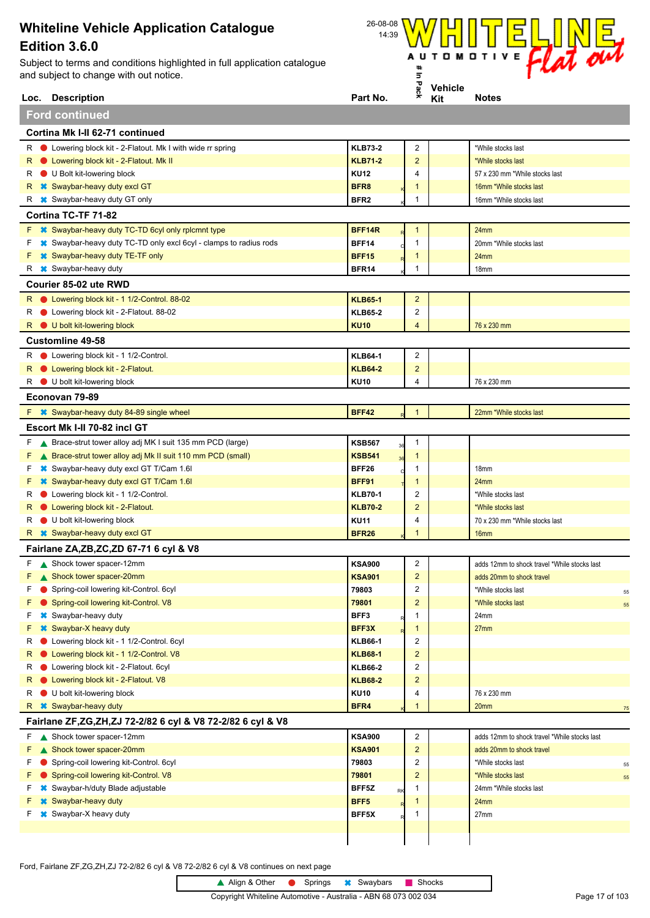

|    | Loc. Description                                                                   | Part No.                       | 읏                       | Kit | <b>Notes</b>                                                              |
|----|------------------------------------------------------------------------------------|--------------------------------|-------------------------|-----|---------------------------------------------------------------------------|
|    | <b>Ford continued</b>                                                              |                                |                         |     |                                                                           |
|    | Cortina Mk I-II 62-71 continued                                                    |                                |                         |     |                                                                           |
|    | R C Lowering block kit - 2-Flatout. Mk I with wide rr spring                       | <b>KLB73-2</b>                 | $\overline{c}$          |     | *While stocks last                                                        |
| R  | • Lowering block kit - 2-Flatout. Mk II                                            | <b>KLB71-2</b>                 | $\overline{2}$          |     | *While stocks last                                                        |
| R  | U Bolt kit-lowering block                                                          | <b>KU12</b>                    | $\overline{4}$          |     | 57 x 230 mm *While stocks last                                            |
| R  | <b>*</b> Swaybar-heavy duty excl GT                                                | BFR <sub>8</sub>               | $\mathbf{1}$            |     | 16mm *While stocks last                                                   |
| R  | <b>*</b> Swaybar-heavy duty GT only                                                | BFR <sub>2</sub>               | -1                      |     | 16mm *While stocks last                                                   |
|    | Cortina TC-TF 71-82                                                                |                                |                         |     |                                                                           |
|    | <b>F</b> * Swaybar-heavy duty TC-TD 6cyl only rplcmnt type                         | BFF14R                         | $\mathbf{1}$            |     | 24mm                                                                      |
| F  | <sup>■</sup> Swaybar-heavy duty TC-TD only excl 6cyl - clamps to radius rods       | BFF14                          | 1                       |     | 20mm *While stocks last                                                   |
|    | <b>*</b> Swaybar-heavy duty TE-TF only                                             | <b>BFF15</b>                   | $\mathbf{1}$            |     | 24mm                                                                      |
| R  | <b>*</b> Swaybar-heavy duty                                                        | BFR14                          | 1                       |     | 18 <sub>mm</sub>                                                          |
|    | Courier 85-02 ute RWD                                                              |                                |                         |     |                                                                           |
|    | R C Lowering block kit - 1 1/2-Control. 88-02                                      | <b>KLB65-1</b>                 | $\overline{2}$          |     |                                                                           |
| R  | ● Lowering block kit - 2-Flatout. 88-02                                            | <b>KLB65-2</b>                 | 2                       |     |                                                                           |
|    | R U bolt kit-lowering block                                                        | <b>KU10</b>                    | $\overline{4}$          |     | 76 x 230 mm                                                               |
|    | <b>Customline 49-58</b>                                                            |                                |                         |     |                                                                           |
|    | R C Lowering block kit - 1 1/2-Control.                                            | <b>KLB64-1</b>                 | $\overline{c}$          |     |                                                                           |
| R  | • Lowering block kit - 2-Flatout.                                                  | <b>KLB64-2</b>                 | $\overline{2}$          |     |                                                                           |
|    | R U bolt kit-lowering block                                                        | <b>KU10</b>                    | $\overline{4}$          |     | 76 x 230 mm                                                               |
|    | Econovan 79-89                                                                     |                                |                         |     |                                                                           |
| F. | <b>■ Swaybar-heavy duty 84-89 single wheel</b>                                     | <b>BFF42</b>                   | $\mathbf{1}$            |     | 22mm *While stocks last                                                   |
|    | Escort Mk I-II 70-82 incl GT                                                       |                                |                         |     |                                                                           |
|    | F A Brace-strut tower alloy adj MK I suit 135 mm PCD (large)                       | <b>KSB567</b>                  | 1                       |     |                                                                           |
| F. | ▲ Brace-strut tower alloy adj Mk II suit 110 mm PCD (small)                        | 36<br><b>KSB541</b>            | $\mathbf{1}$            |     |                                                                           |
| F  | <sup>■</sup> Swaybar-heavy duty excl GT T/Cam 1.6                                  | 36<br><b>BFF26</b>             |                         |     | 18mm                                                                      |
| F  | <b>*</b> Swaybar-heavy duty excl GT T/Cam 1.6                                      | <b>BFF91</b>                   | 1<br>$\mathbf{1}$       |     | 24mm                                                                      |
| R  | • Lowering block kit - 1 1/2-Control.                                              | <b>KLB70-1</b>                 | 2                       |     | *While stocks last                                                        |
| R. | • Lowering block kit - 2-Flatout.                                                  | <b>KLB70-2</b>                 | $\overline{2}$          |     | *While stocks last                                                        |
| R  | U bolt kit-lowering block                                                          | <b>KU11</b>                    | 4                       |     | 70 x 230 mm *While stocks last                                            |
|    | R * Swaybar-heavy duty excl GT                                                     | <b>BFR26</b>                   | 1                       |     | 16 <sub>mm</sub>                                                          |
|    | Fairlane ZA, ZB, ZC, ZD 67-71 6 cyl & V8                                           |                                |                         |     |                                                                           |
|    | F Shock tower spacer-12mm                                                          | <b>KSA900</b>                  | $\overline{2}$          |     | adds 12mm to shock travel *While stocks last                              |
|    | Shock tower spacer-20mm                                                            | <b>KSA901</b>                  | $\overline{2}$          |     | adds 20mm to shock travel                                                 |
| F  | Spring-coil lowering kit-Control. 6cyl                                             | 79803                          | $\overline{c}$          |     | *While stocks last                                                        |
|    | Spring-coil lowering kit-Control. V8                                               | 79801                          | $\overline{2}$          |     | 55                                                                        |
| F  | <b>*</b> Swaybar-heavy duty                                                        | BFF3                           | $\mathbf{1}$            |     | *While stocks last<br>55<br>24mm                                          |
| F  | Swaybar-X heavy duty                                                               | BFF3X                          | $\mathbf{1}$            |     | 27mm                                                                      |
| R  | Lowering block kit - 1 1/2-Control. 6cyl                                           | <b>KLB66-1</b>                 | 2                       |     |                                                                           |
| R  | Lowering block kit - 1 1/2-Control. V8                                             | <b>KLB68-1</b>                 | $\overline{2}$          |     |                                                                           |
| R  | Lowering block kit - 2-Flatout. 6cyl                                               | <b>KLB66-2</b>                 | 2                       |     |                                                                           |
| R  | ● Lowering block kit - 2-Flatout. V8                                               | <b>KLB68-2</b>                 | $\overline{2}$          |     |                                                                           |
| R  | U bolt kit-lowering block                                                          | <b>KU10</b>                    | 4                       |     |                                                                           |
|    | <b>*</b> Swaybar-heavy duty                                                        | BFR4                           |                         |     | 76 x 230 mm<br>20 <sub>mm</sub>                                           |
| R  | Fairlane ZF, ZG, ZH, ZJ 72-2/82 6 cyl & V8 72-2/82 6 cyl & V8                      |                                |                         |     | ${\bf 75}$                                                                |
|    | F A Shock tower spacer-12mm                                                        |                                | $\overline{\mathbf{c}}$ |     |                                                                           |
| F  | Shock tower spacer-20mm                                                            | <b>KSA900</b><br><b>KSA901</b> | $\overline{2}$          |     | adds 12mm to shock travel *While stocks last<br>adds 20mm to shock travel |
| F  | Spring-coil lowering kit-Control. 6cyl                                             | 79803                          | 2                       |     | *While stocks last                                                        |
| F  | Spring-coil lowering kit-Control. V8                                               | 79801                          | $\overline{2}$          |     | 55<br>*While stocks last                                                  |
|    |                                                                                    | BFF5Z                          |                         |     | 55<br>24mm *While stocks last                                             |
| F  | <b><sup>■</sup></b> Swaybar-h/duty Blade adjustable<br><b>*</b> Swaybar-heavy duty | RK<br>BFF5                     | -1                      |     | 24mm                                                                      |
| F  | <b>*</b> Swaybar-X heavy duty                                                      | BFF5X                          | $\mathbf{1}$<br>-1      |     |                                                                           |
|    |                                                                                    |                                |                         |     | 27mm                                                                      |
|    |                                                                                    |                                |                         |     |                                                                           |

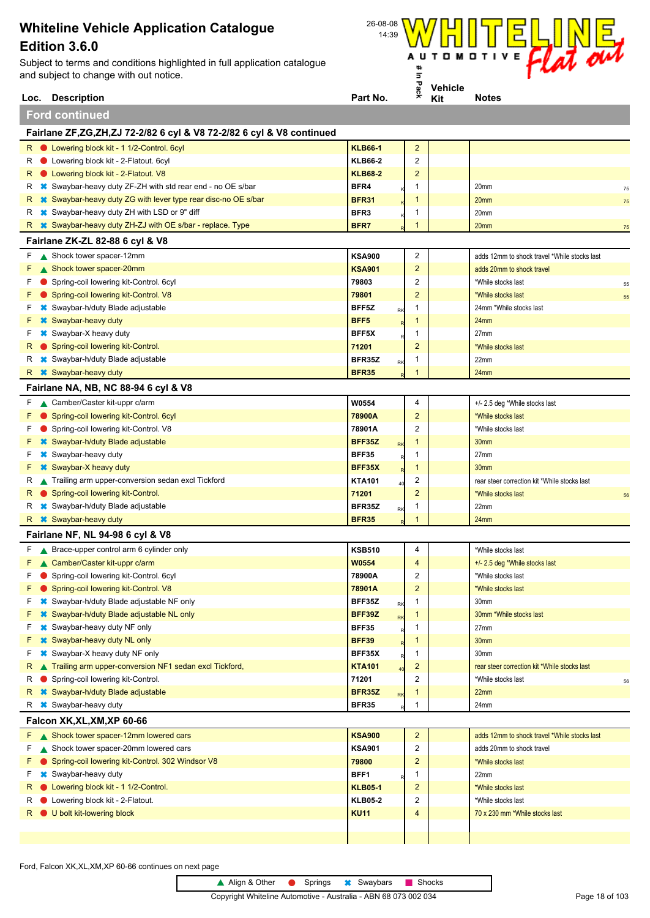Subject to terms and conditions highlighted in full application catalogue and subject to change with out notice.



|    | Loc. Description                                                                | Part No.                  | 읏                       | Kit | <b>Notes</b>                                 |    |
|----|---------------------------------------------------------------------------------|---------------------------|-------------------------|-----|----------------------------------------------|----|
|    | <b>Ford continued</b>                                                           |                           |                         |     |                                              |    |
|    | Fairlane ZF, ZG, ZH, ZJ 72-2/82 6 cyl & V8 72-2/82 6 cyl & V8 continued         |                           |                         |     |                                              |    |
|    | R C Lowering block kit - 1 1/2-Control. 6cyl                                    | <b>KLB66-1</b>            | $\overline{c}$          |     |                                              |    |
| R  | • Lowering block kit - 2-Flatout. 6cyl                                          | <b>KLB66-2</b>            | 2                       |     |                                              |    |
| R  | • Lowering block kit - 2-Flatout. V8                                            | <b>KLB68-2</b>            | $\overline{2}$          |     |                                              |    |
| R  | <sup>■</sup> Swaybar-heavy duty ZF-ZH with std rear end - no OE s/bar           | BFR4                      | 1                       |     | 20mm                                         |    |
| R  | <b><sup>■</sup></b> Swaybar-heavy duty ZG with lever type rear disc-no OE s/bar | <b>BFR31</b>              | 1                       |     | 20 <sub>mm</sub>                             | 75 |
| R  | <sup>■</sup> Swaybar-heavy duty ZH with LSD or 9" diff                          | BFR3                      | 1                       |     | 20mm                                         | 75 |
| R  | <b><sup>■</sup></b> Swaybar-heavy duty ZH-ZJ with OE s/bar - replace. Type      | BFR7                      | 1                       |     | 20 <sub>mm</sub>                             | 75 |
|    | Fairlane ZK-ZL 82-88 6 cyl & V8                                                 |                           |                         |     |                                              |    |
|    | F Shock tower spacer-12mm                                                       | <b>KSA900</b>             | 2                       |     | adds 12mm to shock travel *While stocks last |    |
| F. | Shock tower spacer-20mm                                                         | <b>KSA901</b>             | 2                       |     | adds 20mm to shock travel                    |    |
| F  | Spring-coil lowering kit-Control. 6cyl                                          | 79803                     | 2                       |     | *While stocks last                           |    |
|    | Spring-coil lowering kit-Control. V8                                            | 79801                     | $\overline{2}$          |     | *While stocks last                           | 55 |
|    | <b><sup>■</sup></b> Swaybar-h/duty Blade adjustable                             | BFF5Z                     | 1                       |     | 24mm *While stocks last                      | 55 |
|    | <b>*</b> Swaybar-heavy duty                                                     | RK<br>BFF <sub>5</sub>    | 1                       |     | 24mm                                         |    |
|    | <b>*</b> Swaybar-X heavy duty                                                   | BFF5X                     | 1                       |     | 27mm                                         |    |
| R  | Spring-coil lowering kit-Control.                                               | 71201                     | 2                       |     | *While stocks last                           |    |
| R  | <b><sup>■</sup></b> Swaybar-h/duty Blade adjustable                             | BFR35Z                    | 1                       |     | 22mm                                         |    |
|    | <b>*</b> Swaybar-heavy duty                                                     | RK<br><b>BFR35</b>        | 1                       |     | 24mm                                         |    |
|    | Fairlane NA, NB, NC 88-94 6 cyl & V8                                            |                           |                         |     |                                              |    |
|    | F Camber/Caster kit-uppr c/arm                                                  | W0554                     | 4                       |     | +/- 2.5 deg *While stocks last               |    |
| F. | Spring-coil lowering kit-Control. 6cyl                                          | 78900A                    | $\overline{2}$          |     | *While stocks last                           |    |
| F  | Spring-coil lowering kit-Control. V8                                            | 78901A                    | 2                       |     | *While stocks last                           |    |
|    | <b><sup>■</sup></b> Swaybar-h/duty Blade adjustable                             | <b>BFF35Z</b>             | 1                       |     | 30mm                                         |    |
| F  | <b>*</b> Swaybar-heavy duty                                                     | <b>RK</b><br><b>BFF35</b> | 1                       |     | 27mm                                         |    |
|    | <b>*</b> Swaybar-X heavy duty                                                   | <b>BFF35X</b>             | 1                       |     | 30 <sub>mm</sub>                             |    |
| к  | Trailing arm upper-conversion sedan excl Tickford                               | R<br><b>KTA101</b>        | 2                       |     | rear steer correction kit *While stocks last |    |
| к  | Spring-coil lowering kit-Control.                                               | 71201                     | $\overline{2}$          |     | *While stocks last                           | 56 |
| К  | <b>*</b> Swaybar-h/duty Blade adjustable                                        | BFR35Z                    | 1                       |     | 22mm                                         |    |
| R. | <b>*</b> Swaybar-heavy duty                                                     | RK<br><b>BFR35</b>        | 1                       |     | 24mm                                         |    |
|    | Fairlane NF, NL 94-98 6 cyl & V8                                                |                           |                         |     |                                              |    |
|    | Brace-upper control arm 6 cylinder only                                         | <b>KSB510</b>             | 4                       |     | *While stocks last                           |    |
|    | Camber/Caster kit-uppr c/arm                                                    | <b>W0554</b>              | 4                       |     | +/- 2.5 deg *While stocks last               |    |
| F  | Spring-coil lowering kit-Control. 6cyl                                          | 78900A                    | 2                       |     | *While stocks last                           |    |
| F  | Spring-coil lowering kit-Control. V8                                            | 78901A                    | $\overline{\mathbf{c}}$ |     | *While stocks last                           |    |
|    | Swaybar-h/duty Blade adjustable NF only                                         | BFF35Z                    | 1                       |     | 30mm                                         |    |
| F  | Swaybar-h/duty Blade adjustable NL only                                         | RK<br>BFF39Z              | 1                       |     | 30mm *While stocks last                      |    |
| F  | Swaybar-heavy duty NF only                                                      | <b>RK</b><br><b>BFF35</b> | 1                       |     | 27 <sub>mm</sub>                             |    |
| F  | Swaybar-heavy duty NL only                                                      | <b>BFF39</b>              | 1                       |     | 30 <sub>mm</sub>                             |    |
| F  | Swaybar-X heavy duty NF only                                                    | BFF35X                    | 1                       |     | 30mm                                         |    |
| R  | Trailing arm upper-conversion NF1 sedan excl Tickford,                          | <b>KTA101</b>             | 2                       |     | rear steer correction kit *While stocks last |    |
| R  | Spring-coil lowering kit-Control.                                               | 71201                     | 2                       |     | *While stocks last                           | 56 |
| R  | <b>*</b> Swaybar-h/duty Blade adjustable                                        | <b>BFR35Z</b><br>RK       | 1                       |     | 22mm                                         |    |
| R  | <b>*</b> Swaybar-heavy duty                                                     | <b>BFR35</b>              |                         |     | 24mm                                         |    |
|    | Falcon XK, XL, XM, XP 60-66                                                     |                           |                         |     |                                              |    |
|    | F A Shock tower spacer-12mm lowered cars                                        | <b>KSA900</b>             | $\overline{c}$          |     | adds 12mm to shock travel *While stocks last |    |
| F  | Shock tower spacer-20mm lowered cars                                            | <b>KSA901</b>             | 2                       |     | adds 20mm to shock travel                    |    |
| F  | Spring-coil lowering kit-Control. 302 Windsor V8                                | 79800                     | 2                       |     | *While stocks last                           |    |
| F  | Swaybar-heavy duty                                                              | BFF1                      | 1                       |     | 22mm                                         |    |
|    | Lowering block kit - 1 1/2-Control.                                             | <b>KLB05-1</b>            | 2                       |     | *While stocks last                           |    |
| R  | Lowering block kit - 2-Flatout.                                                 | <b>KLB05-2</b>            | 2                       |     | *While stocks last                           |    |
|    | R U bolt kit-lowering block                                                     | <b>KU11</b>               | 4                       |     | 70 x 230 mm *While stocks last               |    |
|    |                                                                                 |                           |                         |     |                                              |    |

Ford, Falcon XK,XL,XM,XP 60-66 continues on next page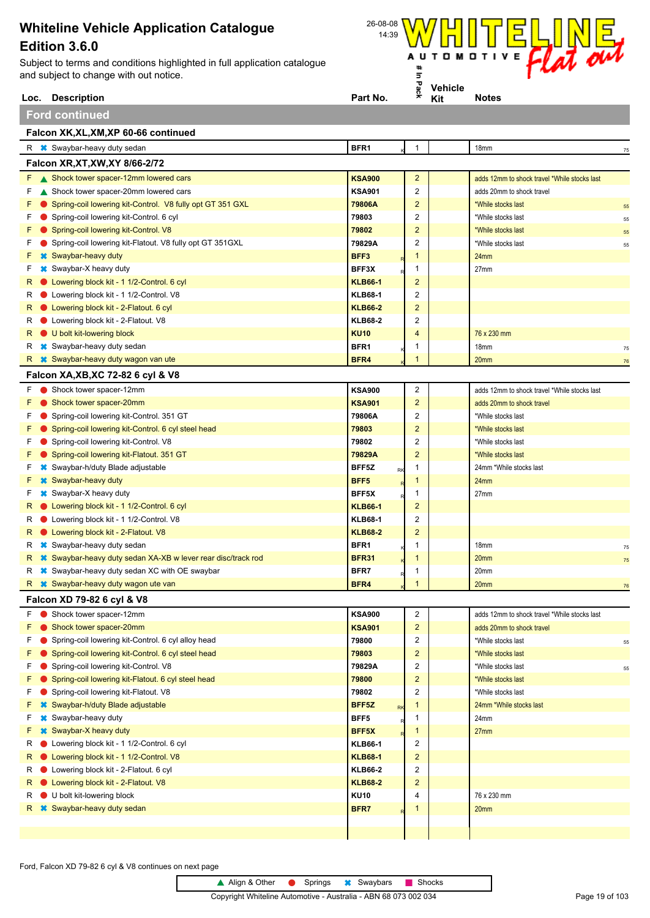

|         | Loc. Description                                           | Part No.           | ×.                      | Kit | <b>Notes</b>                                 |    |  |  |
|---------|------------------------------------------------------------|--------------------|-------------------------|-----|----------------------------------------------|----|--|--|
|         | <b>Ford continued</b>                                      |                    |                         |     |                                              |    |  |  |
|         | Falcon XK, XL, XM, XP 60-66 continued                      |                    |                         |     |                                              |    |  |  |
|         | R <b>*</b> Swaybar-heavy duty sedan                        | BFR1               | $\mathbf{1}$            |     | 18mm                                         | 75 |  |  |
|         | Falcon XR, XT, XW, XY 8/66-2/72                            |                    |                         |     |                                              |    |  |  |
|         | F A Shock tower spacer-12mm lowered cars                   | <b>KSA900</b>      | $\overline{c}$          |     | adds 12mm to shock travel *While stocks last |    |  |  |
| F.      | Shock tower spacer-20mm lowered cars                       | <b>KSA901</b>      | $\overline{2}$          |     | adds 20mm to shock travel                    |    |  |  |
| F.      | Spring-coil lowering kit-Control. V8 fully opt GT 351 GXL  | 79806A             | $\overline{2}$          |     | *While stocks last                           | 55 |  |  |
| F.      | Spring-coil lowering kit-Control. 6 cyl                    | 79803              | 2                       |     | *While stocks last                           | 55 |  |  |
| F.      | Spring-coil lowering kit-Control. V8<br>o                  | 79802              | 2                       |     | *While stocks last                           | 55 |  |  |
| F       | Spring-coil lowering kit-Flatout. V8 fully opt GT 351GXL   | 79829A             | 2                       |     | *While stocks last                           | 55 |  |  |
| F.<br>× | Swaybar-heavy duty                                         | BFF3               | $\mathbf{1}$            |     | 24mm                                         |    |  |  |
| F       | <b>*</b> Swaybar-X heavy duty                              | BFF3X              | $\mathbf{1}$            |     | 27 <sub>mm</sub>                             |    |  |  |
| R.      | Lowering block kit - 1 1/2-Control. 6 cyl                  | <b>KLB66-1</b>     | $\overline{2}$          |     |                                              |    |  |  |
| R       | Lowering block kit - 1 1/2-Control. V8                     | <b>KLB68-1</b>     | $\overline{2}$          |     |                                              |    |  |  |
| R.      | Lowering block kit - 2-Flatout. 6 cyl                      | <b>KLB66-2</b>     | $\overline{2}$          |     |                                              |    |  |  |
| R       | Lowering block kit - 2-Flatout. V8                         | <b>KLB68-2</b>     | $\overline{c}$          |     |                                              |    |  |  |
| R.      | U bolt kit-lowering block                                  | <b>KU10</b>        | 4                       |     | 76 x 230 mm                                  |    |  |  |
| R       | <b>*</b> Swaybar-heavy duty sedan                          | BFR1               | 1                       |     | 18mm                                         | 75 |  |  |
| R       | <b>*</b> Swaybar-heavy duty wagon van ute                  | BFR4               | 1                       |     | 20mm                                         | 76 |  |  |
|         | Falcon XA,XB,XC 72-82 6 cyl & V8                           |                    |                         |     |                                              |    |  |  |
| F.      | Shock tower spacer-12mm                                    | <b>KSA900</b>      | 2                       |     | adds 12mm to shock travel *While stocks last |    |  |  |
|         | Shock tower spacer-20mm                                    | <b>KSA901</b>      | $\overline{2}$          |     | adds 20mm to shock travel                    |    |  |  |
| F       | Spring-coil lowering kit-Control. 351 GT                   | 79806A             | $\overline{2}$          |     | *While stocks last                           |    |  |  |
|         | Spring-coil lowering kit-Control. 6 cyl steel head         | 79803              | $\overline{2}$          |     | *While stocks last                           |    |  |  |
| F       | Spring-coil lowering kit-Control. V8                       | 79802              | 2                       |     | *While stocks last                           |    |  |  |
|         | Spring-coil lowering kit-Flatout. 351 GT                   | 79829A             | $\overline{2}$          |     | *While stocks last                           |    |  |  |
| F       | Swaybar-h/duty Blade adjustable                            | BFF5Z<br>RK        | $\mathbf{1}$            |     | 24mm *While stocks last                      |    |  |  |
|         | Swaybar-heavy duty                                         | BFF5               | $\mathbf{1}$            |     | 24mm                                         |    |  |  |
| F.      | Swaybar-X heavy duty                                       | BFF5X              | 1                       |     | 27mm                                         |    |  |  |
| R.      | Lowering block kit - 1 1/2-Control. 6 cyl                  | <b>KLB66-1</b>     | $\overline{2}$          |     |                                              |    |  |  |
| R       | Lowering block kit - 1 1/2-Control. V8                     | <b>KLB68-1</b>     | $\overline{2}$          |     |                                              |    |  |  |
| R       | Lowering block kit - 2-Flatout. V8                         | <b>KLB68-2</b>     | $\overline{2}$          |     |                                              |    |  |  |
| R<br>×  | Swaybar-heavy duty sedan                                   | BFR <sub>1</sub>   | 1                       |     | 18mm                                         | 75 |  |  |
| R       | Swaybar-heavy duty sedan XA-XB w lever rear disc/track rod | <b>BFR31</b>       | $\mathbf{1}$            |     | 20 <sub>mm</sub>                             | 75 |  |  |
| R       | <sup>■</sup> Swaybar-heavy duty sedan XC with OE swaybar   | BFR7               | $\mathbf{1}$            |     | 20mm                                         |    |  |  |
|         | $R$ $\ast$ Swaybar-heavy duty wagon ute van                | BFR4<br>ĸ          | 1                       |     | 20mm                                         | 76 |  |  |
|         | Falcon XD 79-82 6 cyl & V8                                 |                    |                         |     |                                              |    |  |  |
| F.      | Shock tower spacer-12mm                                    | <b>KSA900</b>      | $\overline{2}$          |     | adds 12mm to shock travel *While stocks last |    |  |  |
| F.      | Shock tower spacer-20mm                                    | <b>KSA901</b>      | $\overline{2}$          |     | adds 20mm to shock travel                    |    |  |  |
| F.      | Spring-coil lowering kit-Control. 6 cyl alloy head         | 79800              | $\overline{c}$          |     | *While stocks last                           | 55 |  |  |
| F.      | Spring-coil lowering kit-Control. 6 cyl steel head         | 79803              | $\overline{\mathbf{c}}$ |     | *While stocks last                           |    |  |  |
| F.      | Spring-coil lowering kit-Control. V8                       | 79829A             | 2                       |     | *While stocks last                           | 55 |  |  |
| F.      | Spring-coil lowering kit-Flatout. 6 cyl steel head         | 79800              | $\overline{c}$          |     | *While stocks last                           |    |  |  |
| F.      | Spring-coil lowering kit-Flatout. V8                       | 79802              | $\overline{2}$          |     | *While stocks last                           |    |  |  |
| F.      | Swaybar-h/duty Blade adjustable                            | BFF5Z<br><b>RK</b> | 1                       |     | 24mm *While stocks last                      |    |  |  |
| F.      | Swaybar-heavy duty                                         | BFF5               | 1                       |     | 24mm                                         |    |  |  |
| F.      | Swaybar-X heavy duty                                       | BFF5X              | $\mathbf{1}$            |     | 27mm                                         |    |  |  |
| R       | Lowering block kit - 1 1/2-Control. 6 cyl                  | <b>KLB66-1</b>     | 2                       |     |                                              |    |  |  |
| R.      | Lowering block kit - 1 1/2-Control. V8                     | KLB68-1            | $\overline{2}$          |     |                                              |    |  |  |
| R       | Lowering block kit - 2-Flatout. 6 cyl                      | <b>KLB66-2</b>     | $\overline{2}$          |     |                                              |    |  |  |
| R.      | Lowering block kit - 2-Flatout. V8                         | <b>KLB68-2</b>     | $\overline{2}$          |     |                                              |    |  |  |
| R       | U bolt kit-lowering block                                  | <b>KU10</b>        | 4                       |     | 76 x 230 mm                                  |    |  |  |
| R.      | Swaybar-heavy duty sedan                                   | BFR7               | 1                       |     | 20 <sub>mm</sub>                             |    |  |  |
|         |                                                            |                    |                         |     |                                              |    |  |  |

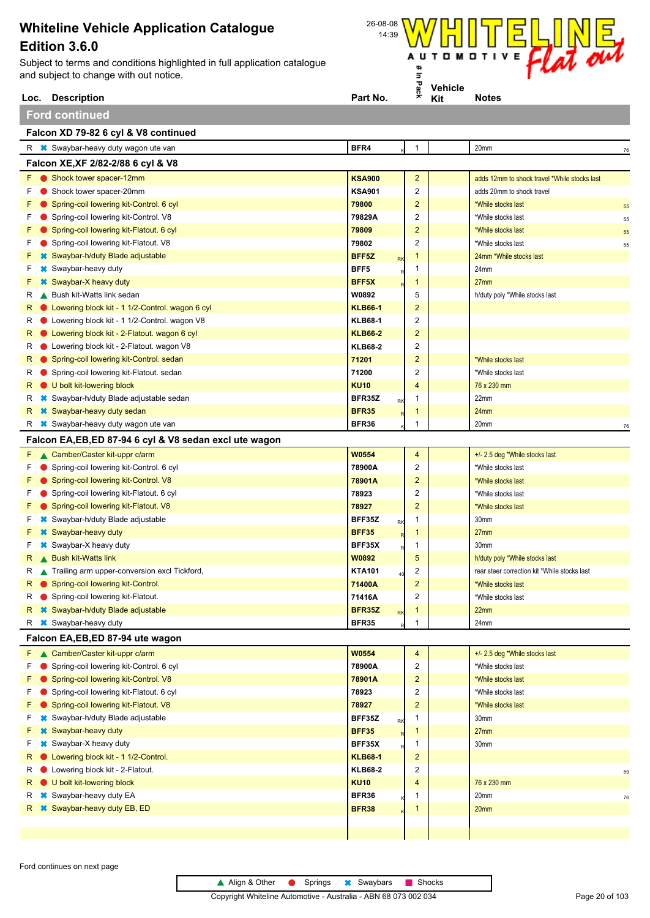Subject to terms and conditions highlighted in full application catalogue and subject to change with out notice.



|    | Loc. Description                                                          | Part No.               |           | ×,                               | Kit | <b>Notes</b>                                         |    |
|----|---------------------------------------------------------------------------|------------------------|-----------|----------------------------------|-----|------------------------------------------------------|----|
|    | <b>Ford continued</b>                                                     |                        |           |                                  |     |                                                      |    |
|    | Falcon XD 79-82 6 cyl & V8 continued                                      |                        |           |                                  |     |                                                      |    |
|    | R <b>*</b> Swaybar-heavy duty wagon ute van                               | BFR4                   |           | $\mathbf{1}$                     |     | 20mm                                                 | 76 |
|    | Falcon XE, XF 2/82-2/88 6 cyl & V8                                        |                        |           |                                  |     |                                                      |    |
|    | Shock tower spacer-12mm                                                   | <b>KSA900</b>          |           | $\overline{2}$                   |     | adds 12mm to shock travel *While stocks last         |    |
| F  | Shock tower spacer-20mm                                                   | <b>KSA901</b>          |           | $\overline{c}$                   |     | adds 20mm to shock travel                            |    |
| F  | Spring-coil lowering kit-Control. 6 cyl                                   | 79800                  |           | $\overline{\mathbf{c}}$          |     | *While stocks last                                   | 55 |
| F  | Spring-coil lowering kit-Control. V8                                      | 79829A                 |           | 2                                |     | *While stocks last                                   | 55 |
| F  | Spring-coil lowering kit-Flatout. 6 cyl                                   | 79809                  |           | $\overline{c}$                   |     | *While stocks last                                   | 55 |
| F  | Spring-coil lowering kit-Flatout. V8                                      | 79802                  |           | 2                                |     | *While stocks last                                   | 55 |
| F  | Swaybar-h/duty Blade adjustable                                           | BFF <sub>5</sub> Z     | <b>RK</b> | 1                                |     | 24mm *While stocks last                              |    |
| F  | Swaybar-heavy duty                                                        | BFF5                   |           | 1                                |     | 24mm                                                 |    |
| F  | <b>*</b> Swaybar-X heavy duty                                             | BFF <sub>5</sub> X     |           | $\mathbf{1}$                     |     | 27 <sub>mm</sub>                                     |    |
| R  | Bush kit-Watts link sedan                                                 | W0892                  |           | 5                                |     | h/duty poly *While stocks last                       |    |
| R  | Lowering block kit - 1 1/2-Control. wagon 6 cyl                           | <b>KLB66-1</b>         |           | $\overline{2}$                   |     |                                                      |    |
| R  | Lowering block kit - 1 1/2-Control. wagon V8                              | <b>KLB68-1</b>         |           | $\overline{c}$                   |     |                                                      |    |
| R  | Lowering block kit - 2-Flatout. wagon 6 cyl                               | <b>KLB66-2</b>         |           | $\overline{2}$                   |     |                                                      |    |
| к  | Lowering block kit - 2-Flatout. wagon V8                                  | <b>KLB68-2</b>         |           | 2                                |     |                                                      |    |
| R  | Spring-coil lowering kit-Control. sedan                                   | 71201                  |           | $\overline{c}$                   |     | *While stocks last                                   |    |
| R  | Spring-coil lowering kit-Flatout. sedan                                   | 71200                  |           | 2                                |     | *While stocks last                                   |    |
| R  | U bolt kit-lowering block                                                 | <b>KU10</b>            |           | 4                                |     | 76 x 230 mm                                          |    |
| R  | <b><sup>■</sup></b> Swaybar-h/duty Blade adjustable sedan                 | BFR35Z                 | RK        | 1                                |     | 22mm                                                 |    |
| R. | <b>*</b> Swaybar-heavy duty sedan                                         | <b>BFR35</b>           |           | 1                                |     | 24mm                                                 |    |
| R. | <b>■ Swaybar-heavy duty wagon ute van</b>                                 | BFR36                  |           | 1                                |     | 20mm                                                 | 76 |
|    | Falcon EA, EB, ED 87-94 6 cyl & V8 sedan excl ute wagon                   |                        |           |                                  |     |                                                      |    |
| F  | Camber/Caster kit-uppr c/arm                                              | <b>W0554</b>           |           | 4                                |     | +/- 2.5 deg *While stocks last                       |    |
| F  | Spring-coil lowering kit-Control. 6 cyl                                   | 78900A                 |           | 2                                |     | *While stocks last                                   |    |
| F  | Spring-coil lowering kit-Control. V8                                      | 78901A                 |           | $\overline{2}$                   |     | *While stocks last                                   |    |
| F  | Spring-coil lowering kit-Flatout. 6 cyl                                   | 78923                  |           | 2                                |     | *While stocks last                                   |    |
| F  | Spring-coil lowering kit-Flatout. V8                                      | 78927                  |           | $\overline{2}$                   |     | *While stocks last                                   |    |
| F  | Swaybar-h/duty Blade adjustable                                           | BFF35Z                 | RK        | $\mathbf{1}$                     |     | 30mm                                                 |    |
| F  | Swaybar-heavy duty<br>Swaybar-X heavy duty                                | <b>BFF35</b><br>BFF35X |           | $\mathbf{1}$                     |     | 27mm<br>30mm                                         |    |
| R  | <b>Bush kit-Watts link</b>                                                | <b>W0892</b>           |           | 1<br>$\sqrt{5}$                  |     | h/duty poly *While stocks last                       |    |
| R  | Trailing arm upper-conversion excl Tickford,                              | <b>KTA101</b>          |           | $\overline{c}$                   |     | rear steer correction kit *While stocks last         |    |
|    | R Spring-coil lowering kit-Control.                                       | 71400A                 | 40        | $\overline{\mathbf{c}}$          |     | *While stocks last                                   |    |
| R  | Spring-coil lowering kit-Flatout.                                         | 71416A                 |           | 2                                |     | *While stocks last                                   |    |
| R  | <b>*</b> Swaybar-h/duty Blade adjustable                                  | <b>BFR35Z</b>          |           | $\mathbf{1}$                     |     | 22mm                                                 |    |
| R  | <b>*</b> Swaybar-heavy duty                                               | <b>BFR35</b>           | RK        | 1                                |     | 24mm                                                 |    |
|    | Falcon EA,EB,ED 87-94 ute wagon                                           |                        |           |                                  |     |                                                      |    |
|    |                                                                           |                        |           |                                  |     |                                                      |    |
| F  | F Camber/Caster kit-uppr c/arm<br>Spring-coil lowering kit-Control. 6 cyl | W0554<br>78900A        |           | $\overline{4}$<br>$\overline{2}$ |     | +/- 2.5 deg *While stocks last<br>*While stocks last |    |
| F. | Spring-coil lowering kit-Control. V8                                      | 78901A                 |           | $\overline{2}$                   |     | *While stocks last                                   |    |
| F. | Spring-coil lowering kit-Flatout. 6 cyl                                   | 78923                  |           | 2                                |     | *While stocks last                                   |    |
| F. | Spring-coil lowering kit-Flatout. V8                                      | 78927                  |           | $\overline{c}$                   |     | *While stocks last                                   |    |
| F  | Swaybar-h/duty Blade adjustable                                           | BFF35Z                 | RK        | 1                                |     | 30mm                                                 |    |
| F  | <b>*</b> Swaybar-heavy duty                                               | <b>BFF35</b>           |           | $\mathbf{1}$                     |     | 27mm                                                 |    |
| F  | Swaybar-X heavy duty                                                      | BFF35X                 |           | $\mathbf{1}$                     |     | 30mm                                                 |    |
| R  | Lowering block kit - 1 1/2-Control.                                       | <b>KLB68-1</b>         |           | $\overline{2}$                   |     |                                                      |    |
| R  | Lowering block kit - 2-Flatout.                                           | <b>KLB68-2</b>         |           | $\overline{\mathbf{c}}$          |     |                                                      | 59 |
| R  | U bolt kit-lowering block                                                 | <b>KU10</b>            |           | $\overline{4}$                   |     | 76 x 230 mm                                          |    |
| R  | Swaybar-heavy duty EA                                                     | BFR36                  |           | 1                                |     | 20mm                                                 | 76 |
| R  | <b>*</b> Swaybar-heavy duty EB, ED                                        | <b>BFR38</b>           |           | $\mathbf{1}$                     |     | 20 <sub>mm</sub>                                     |    |
|    |                                                                           |                        |           |                                  |     |                                                      |    |
|    |                                                                           |                        |           |                                  |     |                                                      |    |

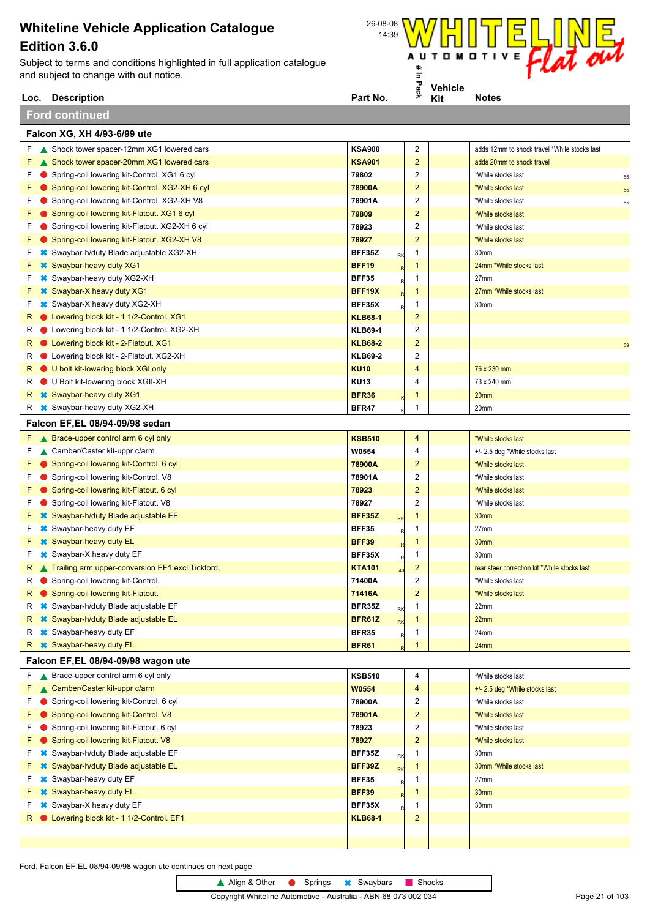Subject to terms and conditions highlighted in full application catalogue and subject to change with out notice.



| Loc. | <b>Description</b>    | Part No. | * | ,,,,,,,,,<br>Kit | <b>Notes</b> |
|------|-----------------------|----------|---|------------------|--------------|
|      | <b>Ford continued</b> |          |   |                  |              |

|    | Falcon XG, XH 4/93-6/99 ute                                            |                  |    |                         |                                              |    |
|----|------------------------------------------------------------------------|------------------|----|-------------------------|----------------------------------------------|----|
| F. | Shock tower spacer-12mm XG1 lowered cars                               | <b>KSA900</b>    |    | 2                       | adds 12mm to shock travel *While stocks last |    |
| F. | Shock tower spacer-20mm XG1 lowered cars                               | <b>KSA901</b>    |    | $\overline{c}$          | adds 20mm to shock travel                    |    |
| F. | Spring-coil lowering kit-Control. XG1 6 cyl                            | 79802            |    | 2                       | *While stocks last                           | 55 |
| F. | Spring-coil lowering kit-Control. XG2-XH 6 cyl                         | 78900A           |    | $\overline{\mathbf{c}}$ | *While stocks last                           | 55 |
| F. | Spring-coil lowering kit-Control. XG2-XH V8                            | 78901A           |    | 2                       | *While stocks last                           | 55 |
| F. | Spring-coil lowering kit-Flatout. XG1 6 cyl                            | 79809            |    | 2                       | *While stocks last                           |    |
| F  | Spring-coil lowering kit-Flatout. XG2-XH 6 cyl                         | 78923            |    | 2                       | *While stocks last                           |    |
| F. | Spring-coil lowering kit-Flatout. XG2-XH V8                            | 78927            |    | $\overline{c}$          | *While stocks last                           |    |
| F. | <b><sup>■</sup></b> Swaybar-h/duty Blade adjustable XG2-XH             | BFF35Z           | RK | 1                       | 30mm                                         |    |
| F  | <b>*</b> Swaybar-heavy duty XG1                                        | <b>BFF19</b>     |    | 1                       | 24mm *While stocks last                      |    |
| F. | <b><sup>■</sup></b> Swaybar-heavy duty XG2-XH                          | <b>BFF35</b>     |    | 1                       | 27mm                                         |    |
| F  | <b>*</b> Swaybar-X heavy duty XG1                                      | BFF19X           |    | 1                       | 27mm *While stocks last                      |    |
| F. | <b><sup>■</sup></b> Swaybar-X heavy duty XG2-XH                        | BFF35X           |    | 1                       | 30mm                                         |    |
| R. | <b>D</b> Lowering block kit - 1 1/2-Control. XG1                       | <b>KLB68-1</b>   |    | $\overline{\mathbf{c}}$ |                                              |    |
| R  | ■ Lowering block kit - 1 1/2-Control. XG2-XH                           | <b>KLB69-1</b>   |    | 2                       |                                              |    |
| R. | C Lowering block kit - 2-Flatout. XG1                                  | <b>KLB68-2</b>   |    | $\overline{\mathbf{c}}$ |                                              | 59 |
| R  | Lowering block kit - 2-Flatout. XG2-XH                                 | <b>KLB69-2</b>   |    | 2                       |                                              |    |
| R. | U bolt kit-lowering block XGI only                                     | <b>KU10</b>      |    | 4                       | 76 x 230 mm                                  |    |
| R  | U Bolt kit-lowering block XGII-XH                                      | <b>KU13</b>      |    | 4                       | 73 x 240 mm                                  |    |
|    | R <b>*</b> Swaybar-heavy duty XG1                                      | <b>BFR36</b>     |    | 1                       | 20mm                                         |    |
| R  | <b>*</b> Swaybar-heavy duty XG2-XH                                     | BFR47            |    | 1                       | 20mm                                         |    |
|    | Falcon EF, EL 08/94-09/98 sedan                                        |                  |    |                         |                                              |    |
| F. | Brace-upper control arm 6 cyl only                                     | <b>KSB510</b>    |    | $\overline{4}$          | *While stocks last                           |    |
| F  | Camber/Caster kit-uppr c/arm                                           | W0554            |    | 4                       | +/- 2.5 deg *While stocks last               |    |
| F. | Spring-coil lowering kit-Control. 6 cyl                                | 78900A           |    | 2                       | *While stocks last                           |    |
| F  | Spring-coil lowering kit-Control. V8                                   | 78901A           |    | 2                       | *While stocks last                           |    |
| F. | Spring-coil lowering kit-Flatout. 6 cyl                                | 78923            |    | $\overline{\mathbf{c}}$ | *While stocks last                           |    |
| F. | Spring-coil lowering kit-Flatout. V8                                   | 78927            |    | 2                       | *While stocks last                           |    |
| F. | <b>*</b> Swaybar-h/duty Blade adjustable EF                            | <b>BFF35Z</b>    |    | 1                       | 30 <sub>mm</sub>                             |    |
| F  | <b>*</b> Swaybar-heavy duty EF                                         | <b>BFF35</b>     | RK | 1                       | 27mm                                         |    |
| F. | <b>*</b> Swaybar-heavy duty EL                                         |                  |    | 1                       | 30mm                                         |    |
| F. |                                                                        | <b>BFF39</b>     |    | 1                       |                                              |    |
|    | <b>*</b> Swaybar-X heavy duty EF                                       | BFF35X           |    |                         | 30mm                                         |    |
| R. | ▲ Trailing arm upper-conversion EF1 excl Tickford,                     | <b>KTA101</b>    | 4( | 2<br>2                  | rear steer correction kit *While stocks last |    |
| R  | Spring-coil lowering kit-Control.<br>Spring-coil lowering kit-Flatout. | 71400A<br>71416A |    | $\overline{a}$          | *While stocks last                           |    |
| R. | <u><sup>■</sup></u> Swaybar-h/duty Blade adjustable EF                 |                  |    | 1                       | *While stocks last                           |    |
| R  | <b>**</b> Swaybar-h/duty Blade adjustable EL                           | BFR35Z<br>BFR61Z | RK |                         | 22mm                                         |    |
|    |                                                                        | <b>BFR35</b>     |    |                         | 22mm                                         |    |
|    | R <b>*</b> Swaybar-heavy duty EF                                       |                  |    | $\mathbf{1}$<br>1       | 24mm                                         |    |
|    | R <b>*</b> Swaybar-heavy duty EL                                       | <b>BFR61</b>     |    |                         | 24mm                                         |    |
|    | Falcon EF, EL 08/94-09/98 wagon ute                                    |                  |    |                         |                                              |    |
|    | $F \triangle$ Brace-upper control arm 6 cyl only                       | <b>KSB510</b>    |    | 4                       | *While stocks last                           |    |
| F. | Camber/Caster kit-uppr c/arm                                           | <b>W0554</b>     |    | $\overline{4}$          | +/- 2.5 deg *While stocks last               |    |
| F. | Spring-coil lowering kit-Control. 6 cyl                                | 78900A           |    | 2                       | *While stocks last                           |    |
|    | Spring-coil lowering kit-Control. V8                                   | 78901A           |    | 2                       | *While stocks last                           |    |
|    | Spring-coil lowering kit-Flatout. 6 cyl                                | 78923            |    | 2                       | *While stocks last                           |    |
|    | Spring-coil lowering kit-Flatout. V8                                   | 78927            |    | $\overline{\mathbf{c}}$ | *While stocks last                           |    |
|    | F * Swaybar-h/duty Blade adjustable EF                                 | BFF35Z           |    |                         | 30mm                                         |    |

Ford, Falcon EF,EL 08/94-09/98 wagon ute continues on next page

**R** ● Lowering block kit - 1 1/2-Control. EF1



F **\*** Swaybar-h/duty Blade adjustable EL **BFF39Z** <sub>RK</sub> 1 30mm \*While stocks last

F **\*** Swaybar-heavy duty EF **CONSUMPERS** R 27mm **F**  $\ast$  Swaybar-heavy duty EL **BFF39** R 1 30mm F Ó Swaybar-X heavy duty EF **BFF35X** <sup>R</sup> 1 30mm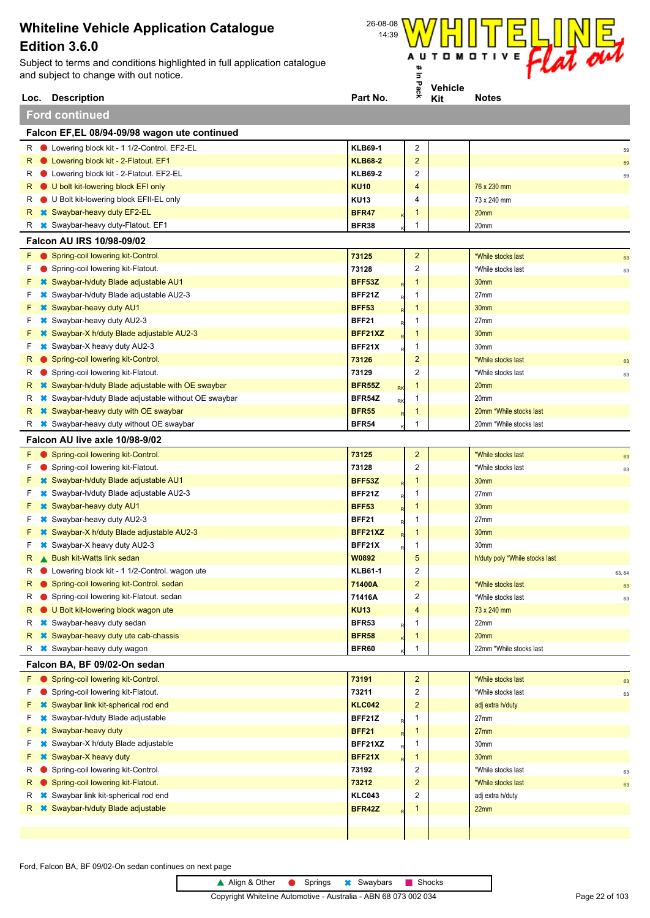Subject to terms and conditions highlighted in full application catalogue and subject to change with out notice.



| Loc.                       | <b>Description</b>                                                                                 | Part No.               | 흇                       | ,,,,,,,,,<br>Kit | <b>Notes</b>                                |        |
|----------------------------|----------------------------------------------------------------------------------------------------|------------------------|-------------------------|------------------|---------------------------------------------|--------|
|                            | <b>Ford continued</b>                                                                              |                        |                         |                  |                                             |        |
|                            | Falcon EF, EL 08/94-09/98 wagon ute continued                                                      |                        |                         |                  |                                             |        |
| R                          | ● Lowering block kit - 1 1/2-Control. EF2-EL                                                       | <b>KLB69-1</b>         | 2                       |                  |                                             |        |
| R                          | <b>Lowering block kit - 2-Flatout. EF1</b>                                                         | <b>KLB68-2</b>         | $\overline{\mathbf{c}}$ |                  |                                             | 59     |
| R                          | Lowering block kit - 2-Flatout. EF2-EL                                                             | <b>KLB69-2</b>         | 2                       |                  |                                             | 59     |
| R                          | U bolt kit-lowering block EFI only                                                                 | <b>KU10</b>            | 4                       |                  | 76 x 230 mm                                 | 59     |
| R                          | U Bolt kit-lowering block EFII-EL only                                                             | <b>KU13</b>            | 4                       |                  | 73 x 240 mm                                 |        |
| R                          | <b>*</b> Swaybar-heavy duty EF2-EL                                                                 | <b>BFR47</b>           | 1                       |                  | 20mm                                        |        |
| R                          | <b>*</b> Swaybar-heavy duty-Flatout. EF1                                                           | <b>BFR38</b>           | 1                       |                  | 20mm                                        |        |
|                            | Falcon AU IRS 10/98-09/02                                                                          |                        |                         |                  |                                             |        |
| F.                         | Spring-coil lowering kit-Control.                                                                  | 73125                  | $\overline{c}$          |                  | *While stocks last                          |        |
| F                          | Spring-coil lowering kit-Flatout.                                                                  | 73128                  | 2                       |                  | *While stocks last                          | 63     |
|                            | <b>*</b> Swaybar-h/duty Blade adjustable AU1                                                       | <b>BFF53Z</b>          | 1                       |                  | 30mm                                        | 63     |
| F                          | <b><sup>■</sup></b> Swaybar-h/duty Blade adjustable AU2-3                                          | <b>BFF21Z</b>          | 1                       |                  | 27mm                                        |        |
| F                          | <b>*</b> Swaybar-heavy duty AU1                                                                    | R<br><b>BFF53</b>      | 1                       |                  | 30mm                                        |        |
| F                          | <b>*</b> Swaybar-heavy duty AU2-3                                                                  | <b>BFF21</b>           | 1                       |                  | 27mm                                        |        |
| F                          | <b><sup>■</sup></b> Swaybar-X h/duty Blade adjustable AU2-3                                        | BFF21XZ                | 1                       |                  | 30mm                                        |        |
| F                          | Swaybar-X heavy duty AU2-3                                                                         | BFF21X                 | 1                       |                  | 30mm                                        |        |
| R                          | Spring-coil lowering kit-Control.                                                                  | 73126                  | $\overline{c}$          |                  | *While stocks last                          |        |
| R                          | Spring-coil lowering kit-Flatout.                                                                  | 73129                  | 2                       |                  | *While stocks last                          | 63     |
| R                          | <b>■ Swaybar-h/duty Blade adjustable with OE swaybar</b>                                           | <b>BFR55Z</b>          | 1                       |                  | 20 <sub>mm</sub>                            | 63     |
| R                          | <b><sup>■</sup></b> Swaybar-h/duty Blade adjustable without OE swaybar                             | <b>RK</b><br>BFR54Z    | 1                       |                  | 20mm                                        |        |
| R                          | <b><sup>■</sup></b> Swaybar-heavy duty with OE swaybar                                             | RK<br><b>BFR55</b>     | 1                       |                  | 20mm *While stocks last                     |        |
| R                          | <b><sup>■</sup></b> Swaybar-heavy duty without OE swaybar                                          | <b>BFR54</b>           | 1                       |                  | 20mm *While stocks last                     |        |
|                            |                                                                                                    |                        |                         |                  |                                             |        |
|                            | Falcon AU live axle 10/98-9/02                                                                     |                        |                         |                  |                                             |        |
| F.<br>$\qquad \qquad$<br>F | Spring-coil lowering kit-Control.                                                                  | 73125                  | $\overline{c}$<br>2     |                  | *While stocks last                          | 63     |
|                            | Spring-coil lowering kit-Flatout.                                                                  | 73128<br><b>BFF53Z</b> |                         |                  | *While stocks last<br>30mm                  | 63     |
| F<br>F                     | <b>*</b> Swaybar-h/duty Blade adjustable AU1                                                       | BFF21Z                 | 1<br>1                  |                  | 27mm                                        |        |
| F                          | <b><sup>■</sup></b> Swaybar-h/duty Blade adjustable AU2-3                                          | <b>BFF53</b>           |                         |                  |                                             |        |
|                            | <b>*</b> Swaybar-heavy duty AU1                                                                    | <b>BFF21</b>           | 1                       |                  | 30mm<br>27mm                                |        |
| F                          | <b>*</b> Swaybar-heavy duty AU2-3                                                                  | BFF21XZ                | 1<br>1                  |                  | 30mm                                        |        |
| F                          | <b><sup>■</sup></b> Swaybar-X h/duty Blade adjustable AU2-3<br><b>*</b> Swaybar-X heavy duty AU2-3 | BFF21X                 | 1                       |                  | 30mm                                        |        |
|                            | ▲ Bush kit-Watts link sedan                                                                        | W0892                  | 5                       |                  |                                             |        |
| к                          |                                                                                                    | <b>KLB61-1</b>         | 2                       |                  | h/duty poly *While stocks last              |        |
| R                          | • Lowering block kit - 1 1/2-Control. wagon ute<br>Spring-coil lowering kit-Control. sedan         | 71400A                 | $\overline{2}$          |                  | *While stocks last                          | 63, 64 |
| R<br>R                     | Spring-coil lowering kit-Flatout. sedan                                                            | 71416A                 | 2                       |                  |                                             | 63     |
| R.                         |                                                                                                    | <b>KU13</b>            | 4                       |                  | *While stocks last<br>73 x 240 mm           | 63     |
| R                          | U Bolt kit-lowering block wagon ute<br><b>*</b> Swaybar-heavy duty sedan                           | <b>BFR53</b>           | 1                       |                  |                                             |        |
| R                          | <b>*</b> Swaybar-heavy duty ute cab-chassis                                                        | <b>BFR58</b>           | 1                       |                  | 22mm                                        |        |
|                            |                                                                                                    | <b>BFR60</b>           | 1                       |                  | 20 <sub>mm</sub><br>22mm *While stocks last |        |
| R                          | <b>*</b> Swaybar-heavy duty wagon                                                                  |                        |                         |                  |                                             |        |
|                            | Falcon BA, BF 09/02-On sedan                                                                       |                        |                         |                  |                                             |        |
| F<br>$\bullet$             | Spring-coil lowering kit-Control.                                                                  | 73191                  | $\overline{c}$          |                  | *While stocks last                          | 63     |
| F                          | Spring-coil lowering kit-Flatout.                                                                  | 73211                  | 2                       |                  | *While stocks last                          | 63     |
| F<br>×                     | Swaybar link kit-spherical rod end                                                                 | <b>KLC042</b>          | $\overline{\mathbf{c}}$ |                  | adj extra h/duty                            |        |
| F<br>×                     | Swaybar-h/duty Blade adjustable                                                                    | BFF21Z                 | 1                       |                  | 27mm                                        |        |
| F<br>×                     | Swaybar-heavy duty                                                                                 | <b>BFF21</b>           | 1                       |                  | 27 <sub>mm</sub>                            |        |
| F                          | Swaybar-X h/duty Blade adjustable                                                                  | BFF21XZ                | 1                       |                  | 30mm                                        |        |
| F                          | Swaybar-X heavy duty                                                                               | BFF21X                 | 1                       |                  | 30mm                                        |        |
| R                          | Spring-coil lowering kit-Control.                                                                  | 73192                  | $\overline{\mathbf{c}}$ |                  | *While stocks last                          | 63     |
| R                          | Spring-coil lowering kit-Flatout.                                                                  | 73212                  | $\overline{\mathbf{c}}$ |                  | *While stocks last                          | 63     |
| R<br>×                     | Swaybar link kit-spherical rod end                                                                 | <b>KLC043</b>          | 2                       |                  | adj extra h/duty                            |        |
| R                          | <b>*</b> Swaybar-h/duty Blade adjustable                                                           | <b>BFR42Z</b>          | 1                       |                  | 22mm                                        |        |
|                            |                                                                                                    |                        |                         |                  |                                             |        |

Ford, Falcon BA, BF 09/02-On sedan continues on next page

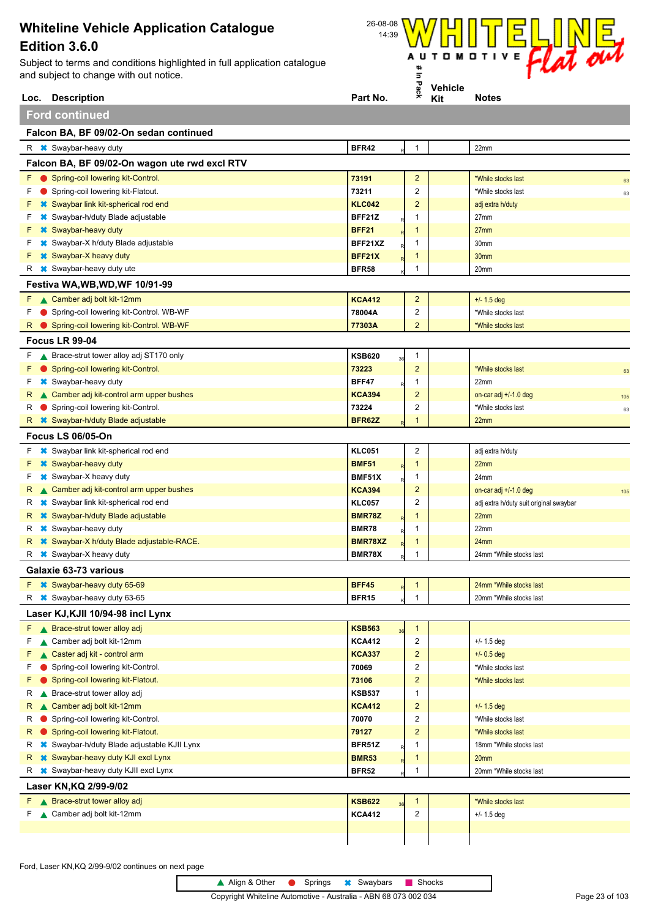Subject to terms and conditions highlighted in full application catalogue and subject to change with out notice.



|        | Loc. Description                                                                       | Part No.                       | ×.                      | Kit | <b>Notes</b>                                   |
|--------|----------------------------------------------------------------------------------------|--------------------------------|-------------------------|-----|------------------------------------------------|
|        | <b>Ford continued</b>                                                                  |                                |                         |     |                                                |
|        | Falcon BA, BF 09/02-On sedan continued                                                 |                                |                         |     |                                                |
|        | R <b>*</b> Swaybar-heavy duty                                                          | <b>BFR42</b>                   | 1                       |     | 22mm                                           |
|        | Falcon BA, BF 09/02-On wagon ute rwd excl RTV                                          |                                |                         |     |                                                |
| F.     | Spring-coil lowering kit-Control.                                                      | 73191                          | $\overline{c}$          |     | *While stocks last<br>63                       |
| F      | Spring-coil lowering kit-Flatout.                                                      | 73211                          | 2                       |     | *While stocks last<br>63                       |
| F      | <b>*</b> Swaybar link kit-spherical rod end                                            | <b>KLC042</b>                  | 2                       |     | adj extra h/duty                               |
| F      | Swaybar-h/duty Blade adjustable                                                        | BFF21Z                         | 1                       |     | 27mm                                           |
| F      | Swaybar-heavy duty                                                                     | <b>BFF21</b>                   | 1                       |     | 27 <sub>mm</sub>                               |
| F      | Swaybar-X h/duty Blade adjustable                                                      | BFF21XZ                        | 1                       |     | 30mm                                           |
|        | <b>*</b> Swaybar-X heavy duty                                                          | BFF21X                         | 1                       |     | 30 <sub>mm</sub>                               |
| R      | <b><sup>■</sup></b> Swaybar-heavy duty ute                                             | <b>BFR58</b>                   | 1                       |     | 20mm                                           |
|        | Festiva WA,WB,WD,WF 10/91-99                                                           |                                |                         |     |                                                |
|        | F Camber adj bolt kit-12mm                                                             | <b>KCA412</b>                  | $\overline{c}$          |     | $+/- 1.5$ deg                                  |
| F.     | Spring-coil lowering kit-Control. WB-WF                                                | 78004A                         | 2                       |     | *While stocks last                             |
|        | R Spring-coil lowering kit-Control. WB-WF                                              | 77303A                         | $\overline{2}$          |     | *While stocks last                             |
|        | Focus LR 99-04                                                                         |                                |                         |     |                                                |
| F.     | Brace-strut tower alloy adj ST170 only                                                 | <b>KSB620</b><br>36            | 1                       |     |                                                |
| F.     | Spring-coil lowering kit-Control.                                                      | 73223                          | $\overline{c}$          |     | *While stocks last<br>63                       |
| F.     | <b>*</b> Swaybar-heavy duty                                                            | <b>BFF47</b>                   | 1                       |     | 22mm                                           |
| R.     | ▲ Camber adj kit-control arm upper bushes                                              | <b>KCA394</b>                  | $\overline{c}$          |     | on-car adj $+/-1.0$ deg<br>105                 |
| R      | Spring-coil lowering kit-Control.                                                      | 73224                          | 2                       |     | *While stocks last<br>63                       |
|        | <b>*</b> Swaybar-h/duty Blade adjustable                                               | <b>BFR62Z</b>                  | $\mathbf{1}$            |     | 22mm                                           |
|        | <b>Focus LS 06/05-On</b>                                                               |                                |                         |     |                                                |
| F.     | <b><sup>■</sup></b> Swaybar link kit-spherical rod end                                 | <b>KLC051</b>                  | 2                       |     | adj extra h/duty                               |
| F.     | <b>*</b> Swaybar-heavy duty                                                            | <b>BMF51</b>                   | 1                       |     | 22mm                                           |
| F.     | <b>*</b> Swaybar-X heavy duty                                                          | BMF51X                         | 1                       |     | 24mm                                           |
| R.     | ▲ Camber adj kit-control arm upper bushes                                              | <b>KCA394</b>                  | $\overline{c}$<br>2     |     | on-car adj +/-1.0 deg<br>105                   |
| R<br>R | <b></b> Swaybar link kit-spherical rod end<br><b>*</b> Swaybar-h/duty Blade adjustable | <b>KLC057</b><br><b>BMR78Z</b> | 1                       |     | adj extra h/duty suit original swaybar<br>22mm |
| R      | <b>*</b> Swaybar-heavy duty                                                            | <b>BMR78</b>                   | 1                       |     | 22mm                                           |
| R.     | <b>*</b> Swaybar-X h/duty Blade adjustable-RACE.                                       | BMR78XZ                        | $\mathbf{1}$            |     | 24mm                                           |
| R      | <b>*</b> Swaybar-X heavy duty                                                          | BMR78X                         | 1                       |     | 24mm *While stocks last                        |
|        | Galaxie 63-73 various                                                                  |                                |                         |     |                                                |
|        | <b>*</b> Swaybar-heavy duty 65-69                                                      | <b>BFF45</b>                   | 1                       |     | 24mm *While stocks last                        |
|        | R $\text{*}$ Swaybar-heavy duty 63-65                                                  | <b>BFR15</b>                   | 1                       |     | 20mm *While stocks last                        |
|        | Laser KJ, KJII 10/94-98 incl Lynx                                                      |                                |                         |     |                                                |
|        | $F \wedge$ Brace-strut tower alloy adj                                                 | <b>KSB563</b>                  | $\mathbf{1}$            |     |                                                |
| F.     | Camber adj bolt kit-12mm                                                               | <b>KCA412</b>                  | 2                       |     | $+/- 1.5$ deg                                  |
| F.     | ▲ Caster adj kit - control arm                                                         | <b>KCA337</b>                  | 2                       |     | $+/- 0.5$ deg                                  |
| F.     | Spring-coil lowering kit-Control.                                                      | 70069                          | 2                       |     | *While stocks last                             |
| F.     | Spring-coil lowering kit-Flatout.                                                      | 73106                          | 2                       |     | *While stocks last                             |
| R      | ▲ Brace-strut tower alloy adj                                                          | <b>KSB537</b>                  | 1                       |     |                                                |
| R.     | ▲ Camber adj bolt kit-12mm                                                             | <b>KCA412</b>                  | $\overline{c}$          |     | $+/- 1.5$ deg                                  |
| R      | Spring-coil lowering kit-Control.                                                      | 70070                          | 2                       |     | *While stocks last                             |
| R.     | Spring-coil lowering kit-Flatout.                                                      | 79127                          | $\overline{\mathbf{c}}$ |     | *While stocks last                             |
| R      | <b>*</b> Swaybar-h/duty Blade adjustable KJII Lynx                                     | BFR51Z                         | 1                       |     | 18mm *While stocks last                        |
| R.     | <b>*</b> Swaybar-heavy duty KJI excl Lynx                                              | <b>BMR53</b>                   | 1                       |     | 20mm                                           |
| R      | <b>*</b> Swaybar-heavy duty KJII excl Lynx                                             | <b>BFR52</b>                   | 1                       |     | 20mm *While stocks last                        |
|        | Laser KN, KQ 2/99-9/02                                                                 |                                |                         |     |                                                |
|        | $F \wedge$ Brace-strut tower alloy adj                                                 | <b>KSB622</b>                  | 1                       |     | *While stocks last                             |
|        | F Camber adj bolt kit-12mm                                                             | <b>KCA412</b>                  | 2                       |     | $+/- 1.5$ deg                                  |
|        |                                                                                        |                                |                         |     |                                                |
|        |                                                                                        |                                |                         |     |                                                |

Ford, Laser KN,KQ 2/99-9/02 continues on next page

▲ Align & Other ● Springs <sup>★</sup> Swaybars ■ Shocks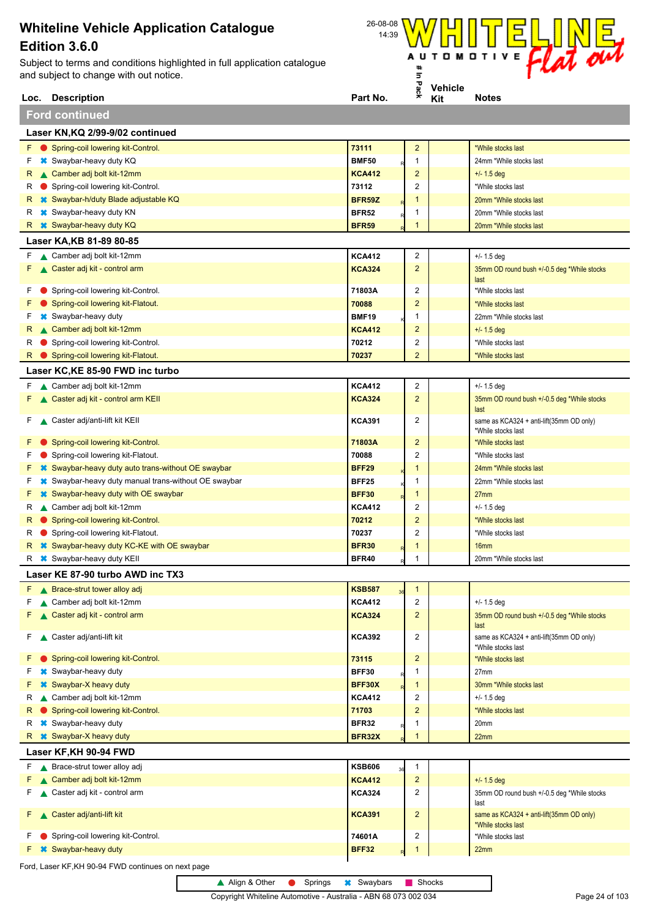

| Loc. | <b>Description</b>                                                     | Part No.            | 읏                       | Kit | <b>Notes</b>                                                   |
|------|------------------------------------------------------------------------|---------------------|-------------------------|-----|----------------------------------------------------------------|
|      | <b>Ford continued</b>                                                  |                     |                         |     |                                                                |
|      | Laser KN, KQ 2/99-9/02 continued                                       |                     |                         |     |                                                                |
| F.   | Spring-coil lowering kit-Control.                                      | 73111               | $\overline{2}$          |     | *While stocks last                                             |
| F    | <b>*</b> Swaybar-heavy duty KQ                                         | <b>BMF50</b>        | $\mathbf{1}$            |     | 24mm *While stocks last                                        |
| R    | Camber adj bolt kit-12mm                                               | <b>KCA412</b>       | $\overline{\mathbf{c}}$ |     | $+/- 1.5$ deg                                                  |
| R    | Spring-coil lowering kit-Control.                                      | 73112               | 2                       |     | *While stocks last                                             |
| R.   | <b><sup>■</sup></b> Swaybar-h/duty Blade adjustable KQ                 | <b>BFR59Z</b>       | 1                       |     | 20mm *While stocks last                                        |
| R    | <b>*</b> Swaybar-heavy duty KN                                         | <b>BFR52</b>        | 1                       |     | 20mm *While stocks last                                        |
| R.   | <b>*</b> Swaybar-heavy duty KQ                                         | <b>BFR59</b>        | 1                       |     | 20mm *While stocks last                                        |
|      | Laser KA, KB 81-89 80-85                                               |                     |                         |     |                                                                |
| F.   | ▲ Camber adj bolt kit-12mm                                             | <b>KCA412</b>       | $\overline{c}$          |     | $+/- 1.5$ deg                                                  |
|      | Caster adj kit - control arm                                           | <b>KCA324</b>       | $\overline{\mathbf{c}}$ |     | 35mm OD round bush +/-0.5 deg *While stocks<br>last            |
| F    | Spring-coil lowering kit-Control.                                      | 71803A              | 2                       |     | *While stocks last                                             |
|      | Spring-coil lowering kit-Flatout.                                      | 70088               | $\overline{2}$          |     | *While stocks last                                             |
|      | <b>*</b> Swaybar-heavy duty                                            | <b>BMF19</b>        | 1                       |     | 22mm *While stocks last                                        |
| R.   | ▲ Camber adj bolt kit-12mm                                             | <b>KCA412</b>       | $\overline{\mathbf{c}}$ |     | $+/- 1.5$ deg                                                  |
| к    | Spring-coil lowering kit-Control.                                      | 70212               | 2                       |     | *While stocks last                                             |
| R.   | Spring-coil lowering kit-Flatout.                                      | 70237               | $\overline{a}$          |     | *While stocks last                                             |
|      | Laser KC, KE 85-90 FWD inc turbo                                       |                     |                         |     |                                                                |
| F    | Camber adj bolt kit-12mm                                               | <b>KCA412</b>       | $\overline{2}$          |     | $+/- 1.5$ deg                                                  |
| F    | Caster adj kit - control arm KEII                                      | <b>KCA324</b>       | $\overline{\mathbf{c}}$ |     | 35mm OD round bush +/-0.5 deg *While stocks<br>last            |
| F.   | ▲ Caster adj/anti-lift kit KEII                                        | <b>KCA391</b>       | 2                       |     | same as KCA324 + anti-lift(35mm OD only)<br>*While stocks last |
|      | Spring-coil lowering kit-Control.                                      | 71803A              | $\overline{2}$          |     | *While stocks last                                             |
| F    | Spring-coil lowering kit-Flatout.                                      | 70088               | 2                       |     | *While stocks last                                             |
|      | <b><sup>■</sup></b> Swaybar-heavy duty auto trans-without OE swaybar   | <b>BFF29</b>        | 1                       |     | 24mm *While stocks last                                        |
| F    | <b><sup>■</sup></b> Swaybar-heavy duty manual trans-without OE swaybar | <b>BFF25</b>        | 1                       |     | 22mm *While stocks last                                        |
|      | <b>*</b> Swaybar-heavy duty with OE swaybar                            | <b>BFF30</b>        | $\mathbf{1}$            |     | 27 <sub>mm</sub>                                               |
| R    | ▲ Camber adj bolt kit-12mm                                             | <b>KCA412</b>       | 2                       |     | $+/- 1.5$ deg                                                  |
| к    | Spring-coil lowering kit-Control.                                      | 70212               | $\overline{\mathbf{c}}$ |     | *While stocks last                                             |
| к    | Spring-coil lowering kit-Flatout.                                      | 70237               | 2                       |     | *While stocks last                                             |
|      | <b>■ Swaybar-heavy duty KC-KE with OE swaybar</b>                      | <b>BFR30</b>        | 1                       |     | 16 <sub>mm</sub>                                               |
| R    | <b><sup>■</sup></b> Swaybar-heavy duty KEII                            | <b>BFR40</b>        | 1                       |     | 20mm *While stocks last                                        |
|      | Laser KE 87-90 turbo AWD inc TX3                                       |                     |                         |     |                                                                |
| F    | ▲ Brace-strut tower alloy adj                                          | <b>KSB587</b>       | $\mathbf{1}$            |     |                                                                |
|      | Camber adj bolt kit-12mm                                               | <b>KCA412</b>       | 2                       |     | $+/- 1.5$ deg                                                  |
|      | Caster adj kit - control arm                                           | <b>KCA324</b>       | 2                       |     | 35mm OD round bush +/-0.5 deg *While stocks<br>last            |
| F.   | Caster adj/anti-lift kit                                               | <b>KCA392</b>       | $\overline{2}$          |     | same as KCA324 + anti-lift(35mm OD only)<br>*While stocks last |
|      | Spring-coil lowering kit-Control.                                      | 73115               | $\overline{2}$          |     | *While stocks last                                             |
|      | <b>*</b> Swaybar-heavy duty                                            | <b>BFF30</b>        | 1                       |     | 27mm                                                           |
|      | <b>*</b> Swaybar-X heavy duty                                          | BFF30X              | 1                       |     | 30mm *While stocks last                                        |
| R    | Camber adj bolt kit-12mm                                               | <b>KCA412</b>       | 2                       |     | $+/- 1.5$ deg                                                  |
| R.   | Spring-coil lowering kit-Control.                                      | 71703               | $\overline{\mathbf{c}}$ |     | *While stocks last                                             |
| R    | <b>*</b> Swaybar-heavy duty                                            | <b>BFR32</b>        | 1                       |     | 20mm                                                           |
|      | R <b>*</b> Swaybar-X heavy duty                                        | BFR32X              | $\mathbf{1}$            |     | 22mm                                                           |
|      | Laser KF, KH 90-94 FWD                                                 |                     |                         |     |                                                                |
| F.   | ▲ Brace-strut tower alloy adj                                          | <b>KSB606</b><br>36 | $\mathbf{1}$            |     |                                                                |
| F    | Camber adj bolt kit-12mm                                               | <b>KCA412</b>       | $\overline{2}$          |     | $+/- 1.5$ deg                                                  |
| F    | Caster adj kit - control arm                                           | <b>KCA324</b>       | 2                       |     | 35mm OD round bush +/-0.5 deg *While stocks<br>last            |
| F.   | Caster adj/anti-lift kit                                               | <b>KCA391</b>       | $\overline{2}$          |     | same as KCA324 + anti-lift(35mm OD only)<br>*While stocks last |
| F.   | Spring-coil lowering kit-Control.                                      | 74601A              | 2                       |     | *While stocks last                                             |
| F    | <b>*</b> Swaybar-heavy duty                                            | <b>BFF32</b>        | 1                       |     | 22mm                                                           |
|      | Ford, Laser KF, KH 90-94 FWD continues on next page                    |                     |                         |     |                                                                |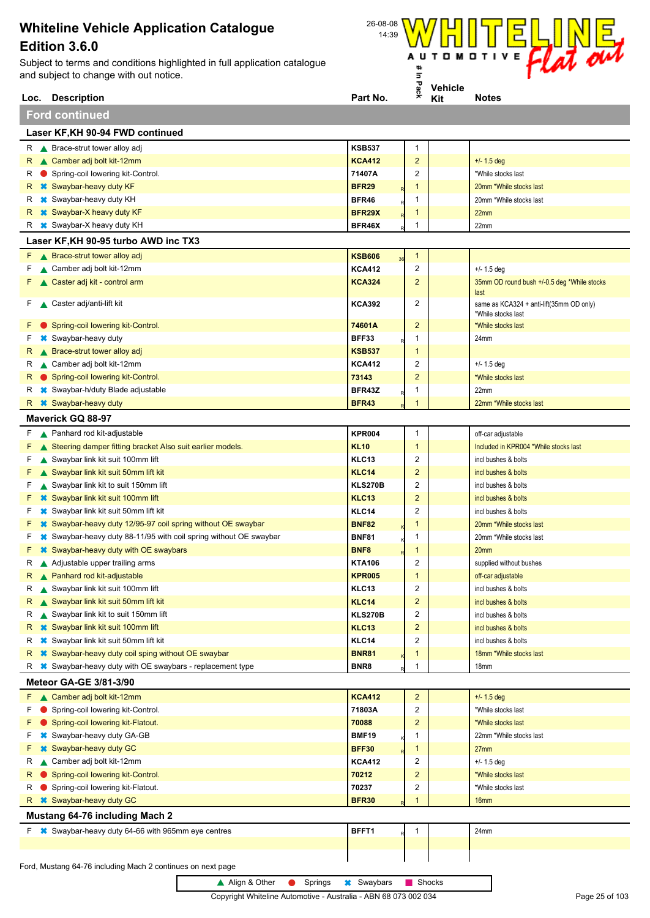Subject to terms and conditions highlighted in full application catalogue and subject to change with out notice.



|        | Loc. Description                                                                                         | Part No.                     | ×.                | Kit | Notes                                                          |
|--------|----------------------------------------------------------------------------------------------------------|------------------------------|-------------------|-----|----------------------------------------------------------------|
|        | <b>Ford continued</b>                                                                                    |                              |                   |     |                                                                |
|        | Laser KF, KH 90-94 FWD continued                                                                         |                              |                   |     |                                                                |
|        | R Brace-strut tower alloy adj                                                                            | <b>KSB537</b>                | 1                 |     |                                                                |
|        | R Camber adj bolt kit-12mm                                                                               | <b>KCA412</b>                | $\overline{c}$    |     | $+/- 1.5$ deg                                                  |
| R      | Spring-coil lowering kit-Control.                                                                        | 71407A                       | 2                 |     | *While stocks last                                             |
| R      | <b>*</b> Swaybar-heavy duty KF                                                                           | <b>BFR29</b>                 | -1                |     | 20mm *While stocks last                                        |
| R      | <b>*</b> Swaybar-heavy duty KH                                                                           | BFR46                        | 1                 |     | 20mm *While stocks last                                        |
|        | R <b>*</b> Swaybar-X heavy duty KF                                                                       | BFR29X                       | $\mathbf{1}$      |     | 22mm                                                           |
|        | R <b>*</b> Swaybar-X heavy duty KH                                                                       | BFR46X                       | 1                 |     | 22mm                                                           |
|        | Laser KF, KH 90-95 turbo AWD inc TX3                                                                     |                              |                   |     |                                                                |
|        | $F \wedge$ Brace-strut tower alloy adj                                                                   | <b>KSB606</b>                | $\mathbf{1}$      |     |                                                                |
| F.     | ▲ Camber adj bolt kit-12mm                                                                               | <b>KCA412</b>                | 2                 |     | $+/- 1.5$ deg                                                  |
| F.     | Caster adj kit - control arm                                                                             | <b>KCA324</b>                | $\overline{c}$    |     | 35mm OD round bush +/-0.5 deg *While stocks                    |
|        |                                                                                                          |                              |                   |     | last                                                           |
| FA     | Caster adj/anti-lift kit                                                                                 | <b>KCA392</b>                | 2                 |     | same as KCA324 + anti-lift(35mm OD only)<br>*While stocks last |
|        | Spring-coil lowering kit-Control.                                                                        | 74601A                       | $\overline{c}$    |     | *While stocks last                                             |
| ۲.     | <b>*</b> Swaybar-heavy duty                                                                              | <b>BFF33</b>                 | 1                 |     | 24mm                                                           |
| R.     | ▲ Brace-strut tower alloy adj                                                                            | <b>KSB537</b>                | $\mathbf{1}$      |     |                                                                |
| R      | ▲ Camber adj bolt kit-12mm                                                                               | <b>KCA412</b>                | 2                 |     | $+/- 1.5$ deg                                                  |
|        | Spring-coil lowering kit-Control.                                                                        | 73143                        | $\overline{2}$    |     | *While stocks last                                             |
|        | <b>*</b> Swaybar-h/duty Blade adjustable                                                                 | BFR43Z                       | -1                |     | 22mm                                                           |
|        | R <b>*</b> Swaybar-heavy duty                                                                            | <b>BFR43</b>                 | $\overline{1}$    |     | 22mm *While stocks last                                        |
|        | Maverick GQ 88-97                                                                                        |                              |                   |     |                                                                |
| F.     | ▲ Panhard rod kit-adjustable                                                                             | <b>KPR004</b>                | 1                 |     | off-car adjustable                                             |
|        | Steering damper fitting bracket Also suit earlier models.                                                | <b>KL10</b>                  | $\mathbf{1}$      |     | Included in KPR004 *While stocks last                          |
| F.     | Swaybar link kit suit 100mm lift                                                                         | KLC <sub>13</sub>            | 2                 |     | incl bushes & bolts                                            |
| F.     | ▲ Swaybar link kit suit 50mm lift kit                                                                    | KLC14                        | $\overline{2}$    |     | incl bushes & bolts                                            |
| F.     | Swaybar link kit to suit 150mm lift                                                                      | <b>KLS270B</b>               | 2                 |     | incl bushes & bolts                                            |
| F.     | <b>☀</b> Swaybar link kit suit 100mm lift                                                                | KLC13                        | $\overline{2}$    |     | incl bushes & bolts                                            |
| F.     | <b><sup>■</sup></b> Swaybar link kit suit 50mm lift kit                                                  | KLC14                        | 2                 |     | incl bushes & bolts                                            |
| F.     | <sup>■</sup> Swaybar-heavy duty 12/95-97 coil spring without OE swaybar                                  | <b>BNF82</b>                 | 1                 |     | 20mm *While stocks last                                        |
| F.     | <sup>■</sup> Swaybar-heavy duty 88-11/95 with coil spring without OE swaybar                             | <b>BNF81</b>                 | 1                 |     | 20mm *While stocks last                                        |
| F.     | <b><sup>■</sup></b> Swaybar-heavy duty with OE swaybars                                                  | BNF8                         | $\mathbf{1}$      |     | 20 <sub>mm</sub>                                               |
| R      | A Adjustable upper trailing arms                                                                         | <b>KTA106</b>                | 2                 |     | supplied without bushes                                        |
| R      | ▲ Panhard rod kit-adjustable                                                                             | <b>KPR005</b>                | $\mathbf{1}$      |     | off-car adjustable                                             |
| R      | Swaybar link kit suit 100mm lift                                                                         | KLC13                        | 2                 |     | incl bushes & bolts                                            |
| R      | Swaybar link kit suit 50mm lift kit                                                                      | <b>KLC14</b>                 | $\overline{c}$    |     | incl bushes & bolts                                            |
| к      | Swaybar link kit to suit 150mm lift                                                                      | <b>KLS270B</b>               | 2                 |     | incl bushes & bolts                                            |
| R.     | <b>*</b> Swaybar link kit suit 100mm lift                                                                | <b>KLC13</b>                 | $\overline{c}$    |     | incl bushes & bolts                                            |
| R      | <b></b> Swaybar link kit suit 50mm lift kit<br><b>■ Swaybar-heavy duty coil sping without OE swaybar</b> | KLC14<br><b>BNR81</b>        | 2<br>-1           |     | incl bushes & bolts                                            |
| R<br>R | <sup>■</sup> Swaybar-heavy duty with OE swaybars - replacement type                                      | BNR8                         | -1                |     | 18mm *While stocks last<br>18mm                                |
|        |                                                                                                          |                              |                   |     |                                                                |
|        | <b>Meteor GA-GE 3/81-3/90</b>                                                                            |                              |                   |     |                                                                |
| F.     | Camber adj bolt kit-12mm                                                                                 | <b>KCA412</b>                | $\overline{2}$    |     | $+/- 1.5$ deg                                                  |
| F      | Spring-coil lowering kit-Control.                                                                        | 71803A                       | 2                 |     | *While stocks last                                             |
|        | Spring-coil lowering kit-Flatout.                                                                        | 70088                        | $\overline{c}$    |     | *While stocks last                                             |
| F<br>F | Swaybar-heavy duty GA-GB                                                                                 | <b>BMF19</b><br><b>BFF30</b> | 1                 |     | 22mm *While stocks last                                        |
| R      | Swaybar-heavy duty GC<br>Camber adj bolt kit-12mm                                                        | <b>KCA412</b>                | $\mathbf{1}$<br>2 |     | 27 <sub>mm</sub><br>$+/- 1.5$ deg                              |
| R      | Spring-coil lowering kit-Control.                                                                        | 70212                        | $\overline{c}$    |     | *While stocks last                                             |
| R      | Spring-coil lowering kit-Flatout.                                                                        | 70237                        | 2                 |     | *While stocks last                                             |
| R      | <b>*</b> Swaybar-heavy duty GC                                                                           | <b>BFR30</b>                 | 1                 |     | 16 <sub>mm</sub>                                               |
|        |                                                                                                          |                              |                   |     |                                                                |
|        | Mustang 64-76 including Mach 2                                                                           |                              |                   |     |                                                                |
|        | $F$ $\ast$ Swaybar-heavy duty 64-66 with 965mm eye centres                                               | BFFT1                        | 1                 |     | 24mm                                                           |
|        |                                                                                                          |                              |                   |     |                                                                |
|        | Ford, Mustang 64-76 including Mach 2 continues on next page                                              |                              |                   |     |                                                                |

▲ Align & Other ● Springs <sup>★</sup> Swaybars ■ Shocks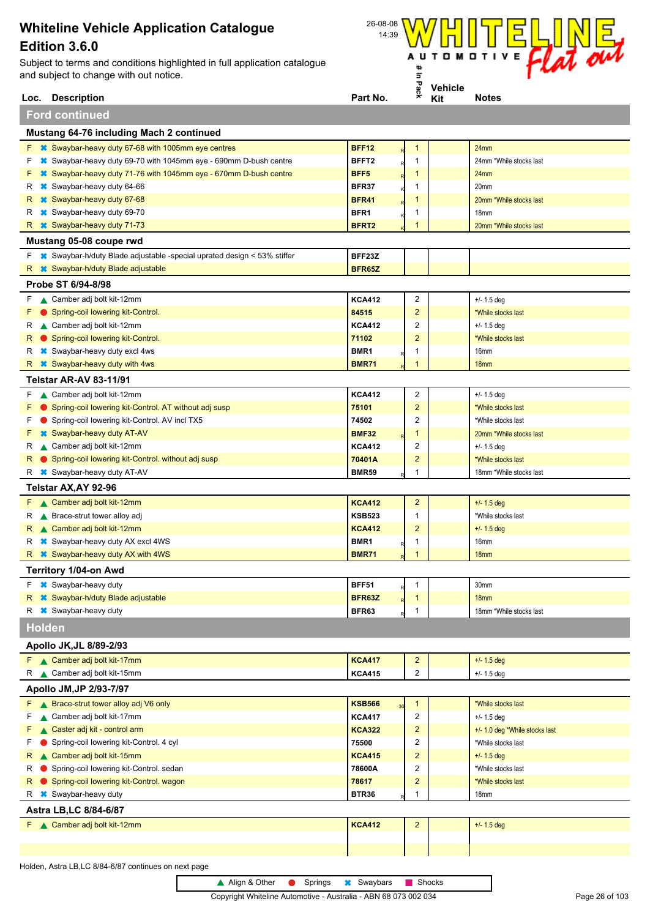

|               | Loc. Description                                                            | Part No.            | ×,                      | Kit | <b>Notes</b>                   |
|---------------|-----------------------------------------------------------------------------|---------------------|-------------------------|-----|--------------------------------|
|               | <b>Ford continued</b>                                                       |                     |                         |     |                                |
|               | Mustang 64-76 including Mach 2 continued                                    |                     |                         |     |                                |
|               | F <b>*</b> Swaybar-heavy duty 67-68 with 1005mm eye centres                 | BFF12               | $\mathbf{1}$            |     | 24mm                           |
| F             | <sup>■</sup> Swaybar-heavy duty 69-70 with 1045mm eye - 690mm D-bush centre | BFFT2               | 1                       |     | 24mm *While stocks last        |
| F             | <b>■ Swaybar-heavy duty 71-76 with 1045mm eye - 670mm D-bush centre</b>     | BFF5                | 1                       |     | 24mm                           |
| R             | <b>*</b> Swaybar-heavy duty 64-66                                           | BFR37               | 1                       |     | 20mm                           |
| R             | <b>*</b> Swaybar-heavy duty 67-68                                           | <b>BFR41</b>        | 1                       |     | 20mm *While stocks last        |
| R             | <b>*</b> Swaybar-heavy duty 69-70                                           | BFR1                | 1                       |     | 18 <sub>mm</sub>               |
| R.            | <b>*</b> Swaybar-heavy duty 71-73                                           | BFRT <sub>2</sub>   | 1                       |     | 20mm *While stocks last        |
|               | Mustang 05-08 coupe rwd                                                     |                     |                         |     |                                |
|               | F * Swaybar-h/duty Blade adjustable -special uprated design < 53% stiffer   | BFF23Z              |                         |     |                                |
| R.            | <b>*</b> Swaybar-h/duty Blade adjustable                                    | BFR65Z              |                         |     |                                |
|               | Probe ST 6/94-8/98                                                          |                     |                         |     |                                |
|               | F Camber adj bolt kit-12mm                                                  | <b>KCA412</b>       | $\overline{2}$          |     | $+/- 1.5$ deg                  |
| F             | Spring-coil lowering kit-Control.                                           | 84515               | $\overline{2}$          |     | *While stocks last             |
| R             | Camber adj bolt kit-12mm                                                    | <b>KCA412</b>       | $\overline{2}$          |     | $+/- 1.5$ deg                  |
| R             | Spring-coil lowering kit-Control.                                           | 71102               | 2                       |     | *While stocks last             |
| R             | <b>*</b> Swaybar-heavy duty excl 4ws                                        | BMR1                | 1                       |     | 16mm                           |
| R.            | <b>*</b> Swaybar-heavy duty with 4ws                                        | <b>BMR71</b>        | 1                       |     | 18 <sub>mm</sub>               |
|               | Telstar AR-AV 83-11/91                                                      |                     |                         |     |                                |
| F.            | ▲ Camber adj bolt kit-12mm                                                  | <b>KCA412</b>       | $\overline{2}$          |     | $+/- 1.5$ deg                  |
| F             | Spring-coil lowering kit-Control. AT without adj susp                       | 75101               | $\overline{2}$          |     | *While stocks last             |
| F             | Spring-coil lowering kit-Control. AV incl TX5                               | 74502               | 2                       |     | *While stocks last             |
| F             | <b>*</b> Swaybar-heavy duty AT-AV                                           | <b>BMF32</b>        | 1                       |     | 20mm *While stocks last        |
| R             | Camber adj bolt kit-12mm                                                    | <b>KCA412</b>       | 2                       |     | $+/- 1.5$ deg                  |
| R             | Spring-coil lowering kit-Control. without adj susp                          | 70401A              | 2                       |     | *While stocks last             |
| к             | <b>*</b> Swaybar-heavy duty AT-AV                                           | <b>BMR59</b>        | 1                       |     | 18mm *While stocks last        |
|               | Telstar AX, AY 92-96                                                        |                     |                         |     |                                |
| F.            | Camber adj bolt kit-12mm                                                    | <b>KCA412</b>       | $\overline{2}$          |     | $+/- 1.5$ deg                  |
| R             | Brace-strut tower alloy adj                                                 | <b>KSB523</b>       | $\mathbf{1}$            |     | *While stocks last             |
| R.            | Camber adj bolt kit-12mm                                                    | <b>KCA412</b>       | $\overline{2}$          |     | $+/- 1.5$ deg                  |
| R             | <b>■ Swaybar-heavy duty AX excl 4WS</b>                                     | BMR1                | 1                       |     | 16mm                           |
|               | R * Swaybar-heavy duty AX with 4WS                                          | <b>BMR71</b>        | 1                       |     | 18 <sub>mm</sub>               |
|               | Territory 1/04-on Awd                                                       |                     |                         |     |                                |
|               | <b><sup>■</sup></b> Swaybar-heavy duty                                      | BFF51<br>R          | $\mathbf{1}$            |     | 30mm                           |
|               | R * Swaybar-h/duty Blade adjustable                                         | BFR63Z              | $\mathbf{1}$            |     | 18 <sub>mm</sub>               |
|               | R <b>*</b> Swaybar-heavy duty                                               | BFR63<br>R          | 1                       |     | 18mm *While stocks last        |
| <b>Holden</b> |                                                                             |                     |                         |     |                                |
|               |                                                                             |                     |                         |     |                                |
|               | Apollo JK, JL 8/89-2/93                                                     |                     |                         |     |                                |
|               | F A Camber adj bolt kit-17mm                                                | <b>KCA417</b>       | $\overline{2}$<br>2     |     | $+/- 1.5$ deg                  |
|               | R Camber adj bolt kit-15mm                                                  | <b>KCA415</b>       |                         |     | $+/- 1.5$ deg                  |
|               | Apollo JM, JP 2/93-7/97                                                     |                     |                         |     |                                |
|               | F Reflective Brace-strut tower alloy adj V6 only                            | <b>KSB566</b><br>36 | $\mathbf{1}$            |     | *While stocks last             |
| F             | Camber adj bolt kit-17mm                                                    | <b>KCA417</b>       | $\overline{\mathbf{c}}$ |     | $+/- 1.5$ deg                  |
| F             | Caster adj kit - control arm                                                | <b>KCA322</b>       | $\overline{\mathbf{c}}$ |     | +/- 1.0 deg *While stocks last |
| F             | Spring-coil lowering kit-Control. 4 cyl                                     | 75500               | $\overline{\mathbf{c}}$ |     | *While stocks last             |
| R.            | ▲ Camber adj bolt kit-15mm                                                  | <b>KCA415</b>       | $\overline{2}$          |     | $+/- 1.5$ deg                  |
| R             | Spring-coil lowering kit-Control. sedan                                     | 78600A              | 2                       |     | *While stocks last             |
| R             | Spring-coil lowering kit-Control. wagon                                     | 78617               | 2                       |     | *While stocks last             |
|               | R <b>*</b> Swaybar-heavy duty                                               | <b>BTR36</b>        | 1                       |     | 18mm                           |
|               | Astra LB, LC 8/84-6/87                                                      |                     |                         |     |                                |
|               | F Camber adj bolt kit-12mm                                                  | <b>KCA412</b>       | $\overline{2}$          |     | $+/- 1.5$ deg                  |
|               |                                                                             |                     |                         |     |                                |
|               |                                                                             |                     |                         |     |                                |
|               | Holden, Astra LB,LC 8/84-6/87 continues on next page                        |                     |                         |     |                                |
|               | ▲ Align & Other<br>Springs<br>$\bullet$                                     | <b>*</b> Swaybars   | Shocks                  |     |                                |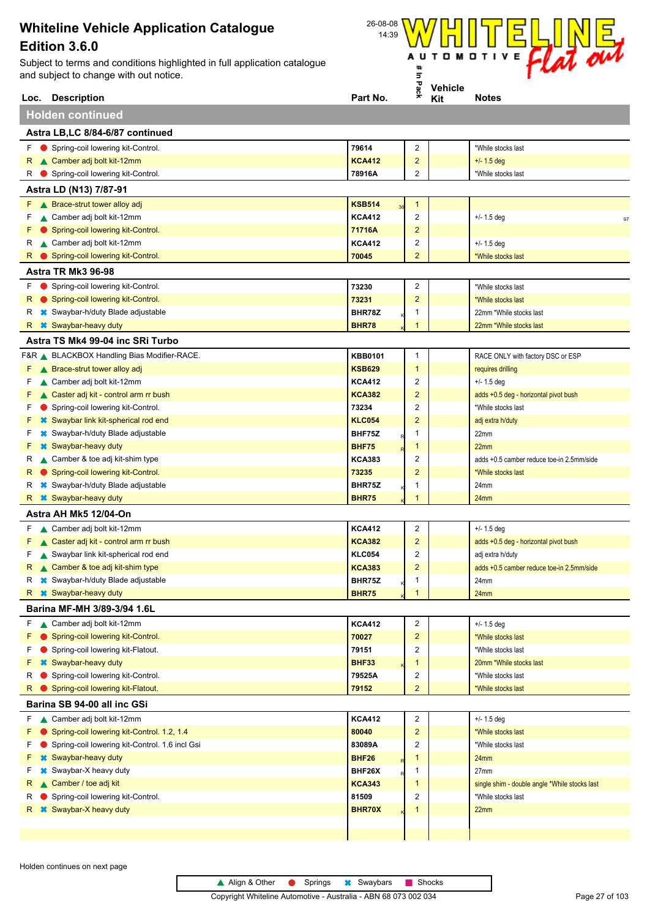Subject to terms and conditions highlighted in full application catalogue and subject to change with out notice.



|         | Loc. Description                                                              | Part No.                       | 쥿                                | <b>A</b> employ<br>Kit | <b>Notes</b>                                              |
|---------|-------------------------------------------------------------------------------|--------------------------------|----------------------------------|------------------------|-----------------------------------------------------------|
|         | <b>Holden continued</b>                                                       |                                |                                  |                        |                                                           |
|         | Astra LB,LC 8/84-6/87 continued                                               |                                |                                  |                        |                                                           |
| F.      | Spring-coil lowering kit-Control.                                             | 79614                          | $\overline{2}$                   |                        | *While stocks last                                        |
| R       | Camber adj bolt kit-12mm                                                      | <b>KCA412</b>                  | $\overline{c}$                   |                        | $+/- 1.5$ deg                                             |
| к       | Spring-coil lowering kit-Control.                                             | 78916A                         | $\overline{2}$                   |                        | *While stocks last                                        |
|         | Astra LD (N13) 7/87-91                                                        |                                |                                  |                        |                                                           |
|         | $F \wedge$ Brace-strut tower alloy adj                                        | <b>KSB514</b>                  | $\mathbf{1}$                     |                        |                                                           |
| F.      | ▲ Camber adj bolt kit-12mm                                                    | <b>KCA412</b>                  | 2                                |                        | $+/- 1.5$ deg                                             |
|         | Spring-coil lowering kit-Control.                                             | 71716A                         | $\overline{c}$                   |                        | 97                                                        |
| R       | ▲ Camber adj bolt kit-12mm                                                    | <b>KCA412</b>                  | 2                                |                        | $+/- 1.5$ deg                                             |
|         | R Spring-coil lowering kit-Control.                                           | 70045                          | $\overline{\mathbf{c}}$          |                        | *While stocks last                                        |
|         | Astra TR Mk3 96-98                                                            |                                |                                  |                        |                                                           |
| F.      | Spring-coil lowering kit-Control.                                             | 73230                          | $\overline{c}$                   |                        | *While stocks last                                        |
| R       | Spring-coil lowering kit-Control.                                             | 73231                          | $\overline{2}$                   |                        | *While stocks last                                        |
| R       | <b>☀ Swaybar-h/duty Blade adjustable</b>                                      | BHR78Z                         | -1                               |                        | 22mm *While stocks last                                   |
| R.      | <b>*</b> Swaybar-heavy duty                                                   | <b>BHR78</b>                   | 1                                |                        | 22mm *While stocks last                                   |
|         | Astra TS Mk4 99-04 inc SRi Turbo                                              |                                |                                  |                        |                                                           |
|         |                                                                               |                                |                                  |                        |                                                           |
|         | F&R BLACKBOX Handling Bias Modifier-RACE.                                     | KBB0101                        | $\mathbf{1}$                     |                        | RACE ONLY with factory DSC or ESP                         |
| F.      | ▲ Brace-strut tower alloy adj                                                 | <b>KSB629</b>                  | $\mathbf{1}$                     |                        | requires drilling                                         |
| F       | Camber adj bolt kit-12mm                                                      | <b>KCA412</b>                  | $\overline{2}$                   |                        | $+/- 1.5$ deg                                             |
| F       | Caster adj kit - control arm rr bush                                          | <b>KCA382</b>                  | $\overline{2}$                   |                        | adds +0.5 deg - horizontal pivot bush                     |
| F       | Spring-coil lowering kit-Control.                                             | 73234                          | $\overline{2}$                   |                        | *While stocks last                                        |
|         | <b>*</b> Swaybar link kit-spherical rod end                                   | <b>KLC054</b>                  | $\overline{2}$                   |                        | adj extra h/duty                                          |
| F       | <b><sup>■</sup></b> Swaybar-h/duty Blade adjustable                           | BHF75Z                         | 1                                |                        | 22mm                                                      |
| F       | <b>*</b> Swaybar-heavy duty                                                   | <b>BHF75</b>                   | $\mathbf{1}$                     |                        | 22mm                                                      |
| R       | ▲ Camber & toe adj kit-shim type                                              | <b>KCA383</b>                  | 2                                |                        | adds +0.5 camber reduce toe-in 2.5mm/side                 |
| R       | Spring-coil lowering kit-Control.<br><b>☀</b> Swaybar-h/duty Blade adjustable | 73235<br>BHR75Z                | $\overline{2}$<br>-1             |                        | *While stocks last<br>24mm                                |
| к<br>R. | <b>*</b> Swaybar-heavy duty                                                   | <b>BHR75</b>                   | 1                                |                        | 24 <sub>mm</sub>                                          |
|         | Astra AH Mk5 12/04-On                                                         |                                |                                  |                        |                                                           |
|         |                                                                               |                                |                                  |                        |                                                           |
| F.      | ▲ Camber adj bolt kit-12mm                                                    | <b>KCA412</b>                  | 2                                |                        | $+/- 1.5$ deg                                             |
| F<br>F  | ▲ Caster adj kit - control arm rr bush                                        | <b>KCA382</b><br><b>KLC054</b> | $\overline{2}$<br>$\overline{2}$ |                        | adds +0.5 deg - horizontal pivot bush<br>adj extra h/duty |
| R       | Swaybar link kit-spherical rod end<br>▲ Camber & toe adj kit-shim type        | <b>KCA383</b>                  | $\overline{2}$                   |                        | adds +0.5 camber reduce toe-in 2.5mm/side                 |
|         | <b>*</b> Swaybar-h/duty Blade adjustable                                      | BHR75Z                         | 1                                |                        | 24mm                                                      |
|         | R <b>*</b> Swaybar-heavy duty                                                 | <b>BHR75</b>                   | $\mathbf{1}$                     |                        | 24mm                                                      |
|         | Barina MF-MH 3/89-3/94 1.6L                                                   |                                |                                  |                        |                                                           |
| F.      | ▲ Camber adj bolt kit-12mm                                                    | <b>KCA412</b>                  | $\overline{c}$                   |                        | $+/- 1.5$ deg                                             |
| F       | Spring-coil lowering kit-Control.                                             | 70027                          | $\overline{2}$                   |                        | *While stocks last                                        |
| F       | Spring-coil lowering kit-Flatout.                                             | 79151                          | $\overline{2}$                   |                        | *While stocks last                                        |
| F       | <b>*</b> Swaybar-heavy duty                                                   | <b>BHF33</b>                   | $\mathbf 1$                      |                        | 20mm *While stocks last                                   |
| R       | Spring-coil lowering kit-Control.                                             | 79525A                         | 2                                |                        | *While stocks last                                        |
| R       | Spring-coil lowering kit-Flatout.                                             | 79152                          | $\overline{2}$                   |                        | *While stocks last                                        |
|         | Barina SB 94-00 all inc GSi                                                   |                                |                                  |                        |                                                           |
|         | ▲ Camber adj bolt kit-12mm                                                    |                                | $\overline{2}$                   |                        |                                                           |
| F.<br>F | Spring-coil lowering kit-Control. 1.2, 1.4                                    | <b>KCA412</b>                  | $\overline{2}$                   |                        | $+/- 1.5$ deg                                             |
| F       | Spring-coil lowering kit-Control. 1.6 incl Gsi                                | 80040<br>83089A                | $\overline{2}$                   |                        | *While stocks last<br>*While stocks last                  |
|         | <b>*</b> Swaybar-heavy duty                                                   | <b>BHF26</b>                   | -1                               |                        | 24mm                                                      |
| F       | <b>*</b> Swaybar-X heavy duty                                                 | BHF26X                         | 1                                |                        | 27mm                                                      |
| R       | Camber / toe adj kit                                                          | <b>KCA343</b>                  | $\mathbf{1}$                     |                        | single shim - double angle *While stocks last             |
| R       | Spring-coil lowering kit-Control.                                             | 81509                          | $\overline{2}$                   |                        | *While stocks last                                        |
| R       | <b>*</b> Swaybar-X heavy duty                                                 | BHR70X                         | 1                                |                        | 22mm                                                      |
|         |                                                                               |                                |                                  |                        |                                                           |



 $\mathbf{I}$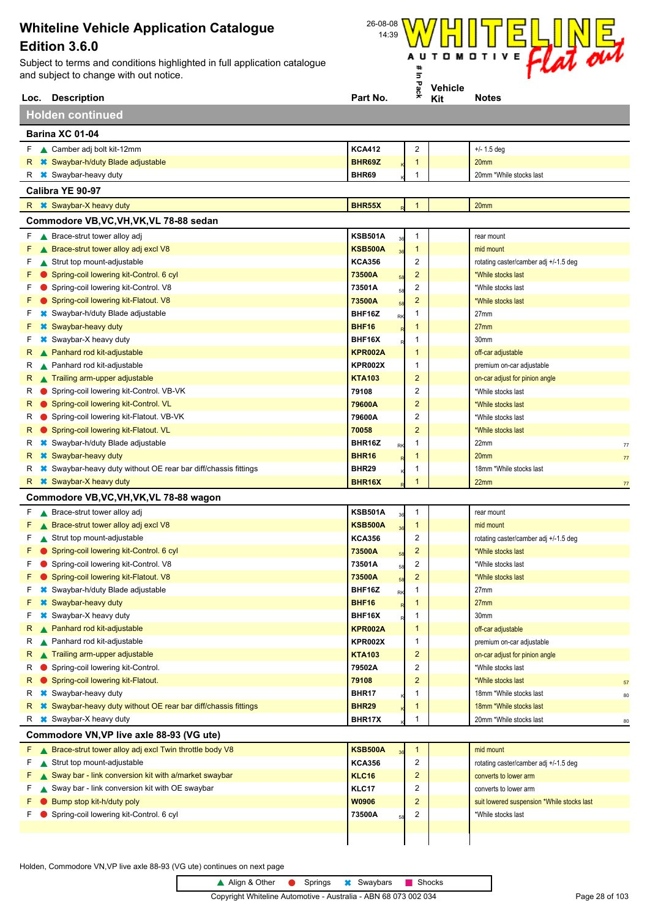Subject to terms and conditions highlighted in full application catalogue and subject to change with out notice.



| <b>Description</b><br>Loc.                                                       | Part No.                | *                              | Kit | Notes                                      |
|----------------------------------------------------------------------------------|-------------------------|--------------------------------|-----|--------------------------------------------|
| <b>Holden continued</b>                                                          |                         |                                |     |                                            |
| Barina XC 01-04                                                                  |                         |                                |     |                                            |
| F Camber adj bolt kit-12mm                                                       | <b>KCA412</b>           | $\overline{c}$                 |     | $+/- 1.5$ deg                              |
| R * Swaybar-h/duty Blade adjustable                                              | BHR69Z                  | $\mathbf 1$                    |     | 20 <sub>mm</sub>                           |
| <b>*</b> Swaybar-heavy duty<br>К                                                 | BHR69                   | 1                              |     | 20mm *While stocks last                    |
| Calibra YE 90-97                                                                 |                         |                                |     |                                            |
| $R \times$ Swaybar-X heavy duty                                                  | BHR55X                  | $\mathbf{1}$                   |     | 20 <sub>mm</sub>                           |
|                                                                                  |                         |                                |     |                                            |
| Commodore VB,VC,VH,VK,VL 78-88 sedan                                             |                         |                                |     |                                            |
| ▲ Brace-strut tower alloy adj<br>F.                                              | <b>KSB501A</b>          | $\mathbf{1}$                   |     | rear mount                                 |
| ▲ Brace-strut tower alloy adj excl V8<br>F                                       | <b>KSB500A</b>          | $\mathbf{1}$<br>$\overline{c}$ |     | mid mount                                  |
| Strut top mount-adjustable<br>F<br>Spring-coil lowering kit-Control. 6 cyl<br>F  | <b>KCA356</b><br>73500A | $\overline{2}$                 |     | rotating caster/camber adj +/-1.5 deg      |
| Spring-coil lowering kit-Control. V8<br>F                                        | 58<br>73501A            | $\overline{c}$                 |     | *While stocks last<br>*While stocks last   |
| Spring-coil lowering kit-Flatout. V8                                             | 58<br>73500A            | $\overline{c}$                 |     | *While stocks last                         |
| <b>*</b> Swaybar-h/duty Blade adjustable<br>F                                    | 58<br>BHF16Z            | -1                             |     | 27 <sub>mm</sub>                           |
| <b>*</b> Swaybar-heavy duty                                                      | RK<br>BHF16             | 1                              |     | 27 <sub>mm</sub>                           |
| <b>*</b> Swaybar-X heavy duty<br>F                                               | BHF16X                  | -1                             |     | 30mm                                       |
| ▲ Panhard rod kit-adjustable<br>R                                                | KPR002A                 | -1                             |     | off-car adjustable                         |
| ▲ Panhard rod kit-adjustable<br>R                                                | KPR002X                 | $\mathbf 1$                    |     | premium on-car adjustable                  |
| Trailing arm-upper adjustable<br>R                                               | KTA103                  | $\overline{c}$                 |     | on-car adjust for pinion angle             |
| Spring-coil lowering kit-Control. VB-VK<br>R                                     | 79108                   | 2                              |     | *While stocks last                         |
| Spring-coil lowering kit-Control. VL<br>R                                        | 79600A                  | $\overline{c}$                 |     | *While stocks last                         |
| Spring-coil lowering kit-Flatout. VB-VK<br>R                                     | 79600A                  | 2                              |     | *While stocks last                         |
| Spring-coil lowering kit-Flatout. VL<br>R                                        | 70058                   | $\overline{2}$                 |     | *While stocks last                         |
| <b><sup>■</sup></b> Swaybar-h/duty Blade adjustable<br>R                         | BHR16Z<br>RK            | -1                             |     | 22mm<br>77                                 |
| <b>*</b> Swaybar-heavy duty<br>R                                                 | <b>BHR16</b>            | 1                              |     | 20 <sub>mm</sub><br>$77\,$                 |
| <sup>■</sup> Swaybar-heavy duty without OE rear bar diff/chassis fittings<br>R   | <b>BHR29</b>            | -1                             |     | 18mm *While stocks last                    |
| <b>*</b> Swaybar-X heavy duty<br>R.                                              | <b>BHR16X</b>           | 1                              |     | 22mm<br>$77$                               |
| Commodore VB, VC, VH, VK, VL 78-88 wagon                                         |                         |                                |     |                                            |
| ▲ Brace-strut tower alloy adj<br>F                                               | <b>KSB501A</b><br>36    | $\mathbf{1}$                   |     | rear mount                                 |
| ▲ Brace-strut tower alloy adj excl V8<br>F                                       | KSB500A<br>36           | $\mathbf{1}$                   |     | mid mount                                  |
| Strut top mount-adjustable<br>F                                                  | <b>KCA356</b>           | $\overline{c}$                 |     | rotating caster/camber adj +/-1.5 deg      |
| Spring-coil lowering kit-Control. 6 cyl<br>F                                     | 73500A<br>58            | $\overline{2}$                 |     | *While stocks last                         |
| Spring-coil lowering kit-Control. V8                                             | 73501A<br>58            | 2                              |     | *While stocks last                         |
| Spring-coil lowering kit-Flatout. V8<br>F.                                       | 73500A<br>58            | $\overline{2}$                 |     | *While stocks last                         |
| <b>*</b> Swaybar-h/duty Blade adjustable<br>F.                                   | BHF16Z<br>RK            | $\mathbf{1}$                   |     | 27mm                                       |
| <b>*</b> Swaybar-heavy duty                                                      | BHF16                   | $\mathbf{1}$                   |     | 27mm                                       |
| <b>*</b> Swaybar-X heavy duty<br>F                                               | BHF16X                  | $\mathbf{1}$                   |     | 30mm                                       |
| ▲ Panhard rod kit-adjustable<br>R                                                | KPR002A                 | $\mathbf{1}$                   |     | off-car adjustable                         |
| ▲ Panhard rod kit-adjustable<br>R                                                | <b>KPR002X</b>          | $\mathbf{1}$                   |     | premium on-car adjustable                  |
| ▲ Trailing arm-upper adjustable<br>R                                             | <b>KTA103</b>           | $\overline{2}$                 |     | on-car adjust for pinion angle             |
| Spring-coil lowering kit-Control.<br>R                                           | 79502A                  | $\overline{c}$                 |     | *While stocks last                         |
| Spring-coil lowering kit-Flatout.<br>R                                           | 79108                   | $\overline{c}$                 |     | *While stocks last<br>57                   |
| <b>*</b> Swaybar-heavy duty<br>R                                                 | BHR17                   | -1                             |     | 18mm *While stocks last<br>80              |
| <b><sup>■</sup></b> Swaybar-heavy duty without OE rear bar diff/chassis fittings | <b>BHR29</b>            | 1                              |     | 18mm *While stocks last                    |
| <b>*</b> Swaybar-X heavy duty<br>R                                               | BHR17X                  | 1                              |     | 20mm *While stocks last<br>80              |
| Commodore VN, VP live axle 88-93 (VG ute)                                        |                         |                                |     |                                            |
| ▲ Brace-strut tower alloy adj excl Twin throttle body V8<br>F.                   | KSB500A                 | $\mathbf{1}$                   |     | mid mount                                  |
| F<br>Strut top mount-adjustable                                                  | <b>KCA356</b>           | $\overline{2}$                 |     | rotating caster/camber adj +/-1.5 deg      |
| ▲ Sway bar - link conversion kit with a/market swaybar<br>F                      | <b>KLC16</b>            | $\overline{2}$                 |     | converts to lower arm                      |
| Sway bar - link conversion kit with OE swaybar<br>F                              | KLC17                   | 2                              |     | converts to lower arm                      |
| Bump stop kit-h/duty poly                                                        | <b>W0906</b>            | $\overline{2}$                 |     | suit lowered suspension *While stocks last |
| Spring-coil lowering kit-Control. 6 cyl                                          | 73500A                  | 2                              |     | *While stocks last                         |
|                                                                                  |                         |                                |     |                                            |
|                                                                                  |                         |                                |     |                                            |

Holden, Commodore VN,VP live axle 88-93 (VG ute) continues on next page

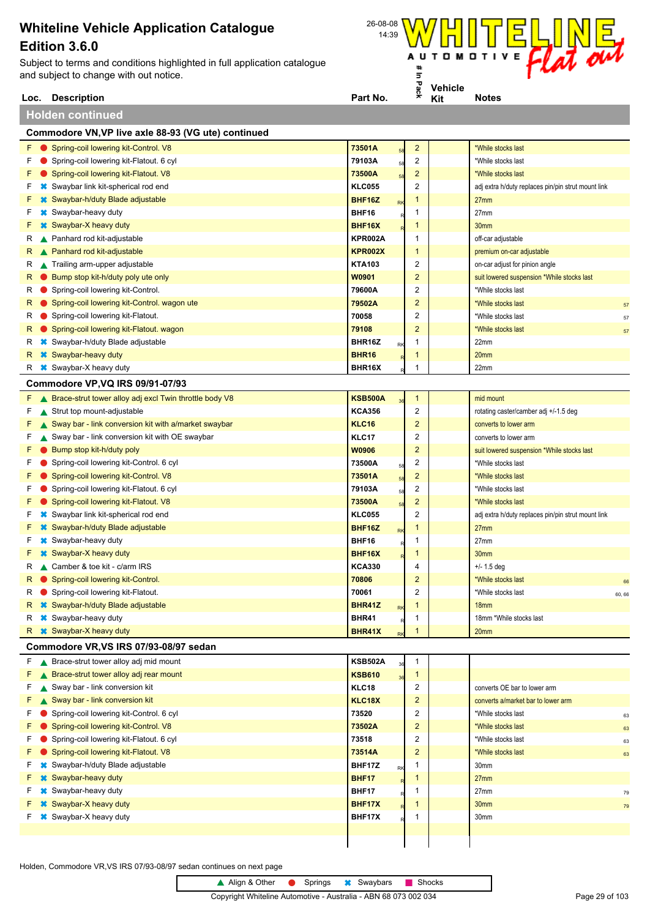**Loc. Description**<br> **Loc. Description**<br> **Part No. Part No. Part No. Part No. Part No. Part No. Part No. Part No. Part No. Part No. Part No. Part No. Part No. Part No. Part No. Part No. P** Subject to terms and conditions highlighted in full application catalogue and subject to change with out notice.



|    | <b>Holden continued</b>                                  |                |           |                         |                                                    |        |
|----|----------------------------------------------------------|----------------|-----------|-------------------------|----------------------------------------------------|--------|
|    | Commodore VN, VP live axle 88-93 (VG ute) continued      |                |           |                         |                                                    |        |
|    | F Spring-coil lowering kit-Control. V8                   | 73501A         | 58        | $\overline{\mathbf{c}}$ | *While stocks last                                 |        |
| F  | Spring-coil lowering kit-Flatout. 6 cyl                  | 79103A         | 58        | $\overline{\mathbf{c}}$ | *While stocks last                                 |        |
| F  | Spring-coil lowering kit-Flatout. V8                     | 73500A         | 58        | 2                       | *While stocks last                                 |        |
| F  | <b><sup>■</sup></b> Swaybar link kit-spherical rod end   | <b>KLC055</b>  |           | 2                       | adj extra h/duty replaces pin/pin strut mount link |        |
| F  | Swaybar-h/duty Blade adjustable                          | BHF16Z         | <b>RK</b> | 1                       | 27 <sub>mm</sub>                                   |        |
| F  | Swaybar-heavy duty                                       | BHF16          |           | 1                       | 27mm                                               |        |
| F. | Swaybar-X heavy duty                                     | BHF16X         |           | $\mathbf 1$             | 30mm                                               |        |
| R  | ▲ Panhard rod kit-adjustable                             | KPR002A        |           | 1                       | off-car adjustable                                 |        |
| R. | ▲ Panhard rod kit-adjustable                             | KPR002X        |           | $\mathbf 1$             | premium on-car adjustable                          |        |
| R  | Trailing arm-upper adjustable                            | KTA103         |           | $\overline{\mathbf{c}}$ | on-car adjust for pinion angle                     |        |
| R. | Bump stop kit-h/duty poly ute only                       | W0901          |           | $\overline{2}$          | suit lowered suspension *While stocks last         |        |
| R  | Spring-coil lowering kit-Control.                        | 79600A         |           | 2                       | *While stocks last                                 |        |
| R. | Spring-coil lowering kit-Control. wagon ute              | 79502A         |           | $\overline{2}$          | *While stocks last                                 | 57     |
| R  | Spring-coil lowering kit-Flatout.                        | 70058          |           | 2                       | *While stocks last                                 | 57     |
| R  | Spring-coil lowering kit-Flatout. wagon                  | 79108          |           | $\overline{2}$          | *While stocks last                                 | 57     |
| R  | <b>☀</b> Swaybar-h/duty Blade adjustable                 | BHR16Z         | RK        | 1                       | 22mm                                               |        |
|    | R <b>*</b> Swaybar-heavy duty                            | <b>BHR16</b>   |           | 1                       | 20 <sub>mm</sub>                                   |        |
| R  | <b><del></del></b> Swaybar-X heavy duty                  | BHR16X         |           | 1                       | 22mm                                               |        |
|    | Commodore VP, VQ IRS 09/91-07/93                         |                |           |                         |                                                    |        |
| F  | ▲ Brace-strut tower alloy adj excl Twin throttle body V8 | <b>KSB500A</b> |           | 1                       | mid mount                                          |        |
| F  | Strut top mount-adjustable                               | <b>KCA356</b>  |           | $\overline{\mathbf{c}}$ | rotating caster/camber adj +/-1.5 deg              |        |
| F  | Sway bar - link conversion kit with a/market swaybar     | <b>KLC16</b>   |           | $\overline{2}$          | converts to lower arm                              |        |
| F  | Sway bar - link conversion kit with OE swaybar           | KLC17          |           | 2                       | converts to lower arm                              |        |
| F  | Bump stop kit-h/duty poly                                | <b>W0906</b>   |           | $\overline{2}$          | suit lowered suspension *While stocks last         |        |
| F  | Spring-coil lowering kit-Control. 6 cyl                  | 73500A         | 58        | 2                       | *While stocks last                                 |        |
| F  | Spring-coil lowering kit-Control. V8                     | 73501A         | 58        | 2                       | *While stocks last                                 |        |
| F. | Spring-coil lowering kit-Flatout. 6 cyl                  | 79103A         | 58        | $\overline{\mathbf{c}}$ | *While stocks last                                 |        |
| F. | Spring-coil lowering kit-Flatout. V8                     | 73500A         | 58        | $\overline{2}$          | *While stocks last                                 |        |
| F. | <b></b> Swaybar link kit-spherical rod end               | <b>KLC055</b>  |           | 2                       | adj extra h/duty replaces pin/pin strut mount link |        |
| F. | Swaybar-h/duty Blade adjustable                          | BHF16Z         | <b>RK</b> | 1                       | 27 <sub>mm</sub>                                   |        |
| F  | Swaybar-heavy duty                                       | BHF16          |           | 1                       | 27mm                                               |        |
| F. | Swaybar-X heavy duty                                     | BHF16X         |           | 1                       | 30mm                                               |        |
| R  | Camber & toe kit - c/arm IRS                             | <b>KCA330</b>  |           | 4                       | $+/- 1.5$ deg                                      |        |
| R. | Spring-coil lowering kit-Control.                        | 70806          |           | $\overline{2}$          | *While stocks last                                 | 66     |
| R  | Spring-coil lowering kit-Flatout.                        | 70061          |           | 2                       | *While stocks last                                 | 60, 66 |
|    | R * Swaybar-h/duty Blade adjustable                      | <b>BHR41Z</b>  | <b>RK</b> | $\mathbf{1}$            | 18mm                                               |        |
|    | <b>*</b> Swaybar-heavy duty                              | BHR41          |           | 1                       | 18mm *While stocks last                            |        |
|    | R <b>*</b> Swaybar-X heavy duty                          | <b>BHR41X</b>  |           | 1                       | 20 <sub>mm</sub>                                   |        |
|    | Commodore VR, VS IRS 07/93-08/97 sedan                   |                |           |                         |                                                    |        |
|    | $F \wedge$ Brace-strut tower alloy adj mid mount         | <b>KSB502A</b> | 36        | 1                       |                                                    |        |
|    | $F \wedge$ Brace-strut tower alloy adj rear mount        | <b>KSB610</b>  | 36        | $\mathbf{1}$            |                                                    |        |
| F. | Sway bar - link conversion kit                           | KLC18          |           | 2                       | converts OE bar to lower arm                       |        |
| F. | Sway bar - link conversion kit                           | <b>KLC18X</b>  |           | 2                       | converts a/market bar to lower arm                 |        |
| F  | Spring-coil lowering kit-Control. 6 cyl                  | 73520          |           | 2                       | *While stocks last                                 | 63     |
| F. | Spring-coil lowering kit-Control. V8                     | 73502A         |           | $\overline{c}$          | *While stocks last                                 | 63     |
| F. | Spring-coil lowering kit-Flatout. 6 cyl                  | 73518          |           | $\overline{c}$          | *While stocks last                                 | 63     |
| F. | Spring-coil lowering kit-Flatout. V8                     | 73514A         |           | $\overline{c}$          | *While stocks last                                 | 63     |
| F. | <b><sup>■</sup></b> Swaybar-h/duty Blade adjustable      | BHF17Z         | RK        | 1                       | 30mm                                               |        |
| F  | <b>*</b> Swaybar-heavy duty                              | BHF17          |           | 1                       | 27mm                                               |        |
| F  | <b>*</b> Swaybar-heavy duty                              | BHF17          |           | 1                       | 27mm                                               | 79     |
|    | <b>*</b> Swaybar-X heavy duty                            | BHF17X         |           | 1                       | 30mm                                               | 79     |
| F. | <b>*</b> Swaybar-X heavy duty                            | BHF17X         |           | 1                       | 30mm                                               |        |
|    |                                                          |                |           |                         |                                                    |        |
|    |                                                          |                |           |                         |                                                    |        |

Holden, Commodore VR,VS IRS 07/93-08/97 sedan continues on next page

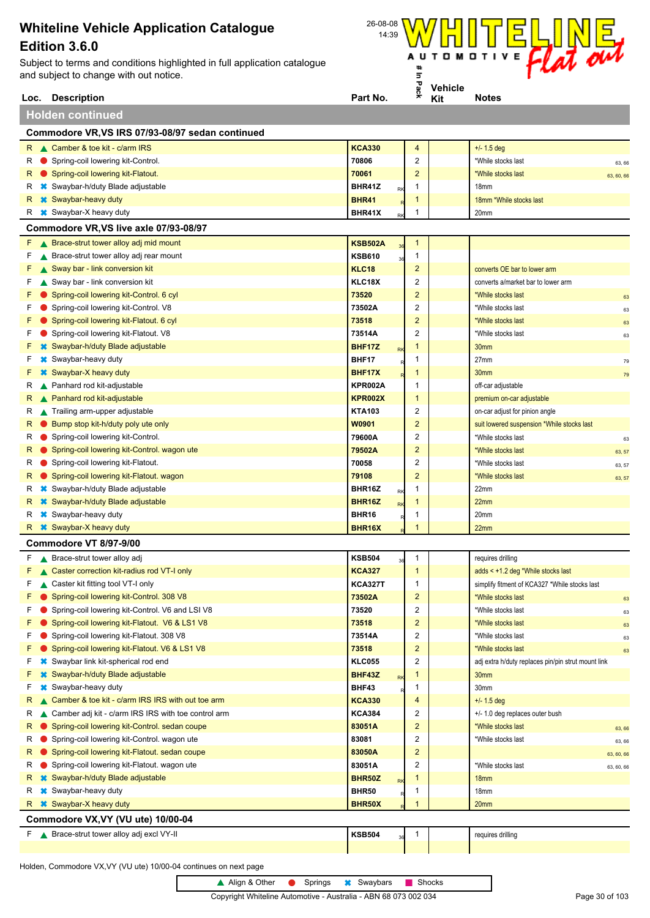Subject to terms and conditions highlighted in full application catalogue and subject to change with out notice.



|    | Loc. Description                                    | Part No.       |           | ×.                      | Kit | <b>Notes</b>                                       |            |
|----|-----------------------------------------------------|----------------|-----------|-------------------------|-----|----------------------------------------------------|------------|
|    | <b>Holden continued</b>                             |                |           |                         |     |                                                    |            |
|    | Commodore VR, VS IRS 07/93-08/97 sedan continued    |                |           |                         |     |                                                    |            |
|    | R Camber & toe kit - $c/arm$ IRS                    | <b>KCA330</b>  |           | $\overline{4}$          |     | $+/- 1.5$ deg                                      |            |
| R  | Spring-coil lowering kit-Control.                   | 70806          |           | $\overline{c}$          |     | *While stocks last                                 | 63, 66     |
| R  | Spring-coil lowering kit-Flatout.                   | 70061          |           | $\overline{c}$          |     | *While stocks last                                 | 63, 60, 66 |
| R  | <b><sup>■</sup></b> Swaybar-h/duty Blade adjustable | BHR41Z         | RK        | 1                       |     | 18mm                                               |            |
| R  | <b>*</b> Swaybar-heavy duty                         | BHR41          |           | $\mathbf{1}$            |     | 18mm *While stocks last                            |            |
| R  | <b>*</b> Swaybar-X heavy duty                       | BHR41X         | RK        | $\mathbf 1$             |     | 20mm                                               |            |
|    | Commodore VR, VS live axle 07/93-08/97              |                |           |                         |     |                                                    |            |
| F  | ▲ Brace-strut tower alloy adj mid mount             | KSB502A        | 36        | $\mathbf{1}$            |     |                                                    |            |
| F  | Brace-strut tower alloy adj rear mount              | <b>KSB610</b>  | 36        | $\mathbf{1}$            |     |                                                    |            |
| F  | Sway bar - link conversion kit                      | <b>KLC18</b>   |           | $\overline{\mathbf{c}}$ |     | converts OE bar to lower arm                       |            |
| F  | Sway bar - link conversion kit                      | KLC18X         |           | $\overline{2}$          |     | converts a/market bar to lower arm                 |            |
| F  | Spring-coil lowering kit-Control. 6 cyl             | 73520          |           | $\overline{c}$          |     | *While stocks last                                 | 63         |
| F  | Spring-coil lowering kit-Control. V8                | 73502A         |           | $\overline{2}$          |     | *While stocks last                                 | 63         |
| F  | Spring-coil lowering kit-Flatout. 6 cyl             | 73518          |           | $\overline{\mathbf{c}}$ |     | *While stocks last                                 | 63         |
| F  | Spring-coil lowering kit-Flatout. V8                | 73514A         |           | $\overline{2}$          |     | *While stocks last                                 | 63         |
| F  | <b>*</b> Swaybar-h/duty Blade adjustable            | BHF17Z         | <b>RK</b> | 1                       |     | 30mm                                               |            |
| F  | <b>*</b> Swaybar-heavy duty                         | BHF17          |           | -1                      |     | 27 <sub>mm</sub>                                   | 79         |
| F  | <b>*</b> Swaybar-X heavy duty                       | BHF17X         |           | $\mathbf{1}$            |     | 30mm                                               | 79         |
| к  | Panhard rod kit-adjustable                          | <b>KPR002A</b> |           | 1                       |     | off-car adjustable                                 |            |
| R. | ▲ Panhard rod kit-adjustable                        | KPR002X        |           | $\mathbf{1}$            |     | premium on-car adjustable                          |            |
| к  | Trailing arm-upper adjustable                       | <b>KTA103</b>  |           | 2                       |     | on-car adjust for pinion angle                     |            |
| R  | Bump stop kit-h/duty poly ute only                  | <b>W0901</b>   |           | $\mathbf 2$             |     | suit lowered suspension *While stocks last         |            |
| R  | Spring-coil lowering kit-Control.                   | 79600A         |           | 2                       |     | *While stocks last                                 | 63         |
| R  | Spring-coil lowering kit-Control. wagon ute         | 79502A         |           | $\overline{\mathbf{c}}$ |     | *While stocks last                                 | 63, 57     |
| R  | Spring-coil lowering kit-Flatout.                   | 70058          |           | 2                       |     | *While stocks last                                 | 63, 57     |
| R  | Spring-coil lowering kit-Flatout. wagon             | 79108          |           | $\overline{c}$          |     | *While stocks last                                 | 63, 57     |
| R  | <b><sup>■</sup></b> Swaybar-h/duty Blade adjustable | BHR16Z         | RK        | 1                       |     | 22mm                                               |            |
| R  | <b>*</b> Swaybar-h/duty Blade adjustable            | BHR16Z         | <b>RK</b> | 1                       |     | 22mm                                               |            |
| R  | <b>*</b> Swaybar-heavy duty                         | BHR16          |           | 1                       |     | 20mm                                               |            |
| R. | <b>*</b> Swaybar-X heavy duty                       | BHR16X         |           | 1                       |     | 22mm                                               |            |
|    | Commodore VT 8/97-9/00                              |                |           |                         |     |                                                    |            |
| F  | ▲ Brace-strut tower alloy adj                       | <b>KSB504</b>  |           | $\mathbf{1}$            |     | requires drilling                                  |            |
|    | ▲ Caster correction kit-radius rod VT-I only        | <b>KCA327</b>  |           | $\mathbf{1}$            |     | adds < +1.2 deg *While stocks last                 |            |
|    | F Caster kit fitting tool VT-I only                 | <b>KCA327T</b> |           | 1                       |     | simplify fitment of KCA327 *While stocks last      |            |
| F  | Spring-coil lowering kit-Control. 308 V8            | 73502A         |           | $\overline{c}$          |     | *While stocks last                                 | 63         |
| F  | Spring-coil lowering kit-Control. V6 and LSI V8     | 73520          |           | 2                       |     | *While stocks last                                 | 63         |
| F  | Spring-coil lowering kit-Flatout. V6 & LS1 V8       | 73518          |           | $\overline{\mathbf{c}}$ |     | *While stocks last                                 | 63         |
| F  | Spring-coil lowering kit-Flatout. 308 V8            | 73514A         |           | 2                       |     | *While stocks last                                 | 63         |
| F  | Spring-coil lowering kit-Flatout. V6 & LS1 V8       | 73518          |           | $\overline{\mathbf{c}}$ |     | *While stocks last                                 | 63         |
| F  | <b>*</b> Swaybar link kit-spherical rod end         | <b>KLC055</b>  |           | 2                       |     | adj extra h/duty replaces pin/pin strut mount link |            |
| F  | <b>*</b> Swaybar-h/duty Blade adjustable            | BHF43Z         | <b>RK</b> | 1                       |     | 30 <sub>mm</sub>                                   |            |
| F  | Swaybar-heavy duty                                  | BHF43          |           | 1                       |     | 30mm                                               |            |
| R  | Camber & toe kit - c/arm IRS IRS with out toe arm   | <b>KCA330</b>  |           | 4                       |     | $+/- 1.5$ deg                                      |            |
| R  | Camber adj kit - c/arm IRS IRS with toe control arm | <b>KCA384</b>  |           | $\overline{\mathbf{c}}$ |     | +/- 1.0 deg replaces outer bush                    |            |
| R  | Spring-coil lowering kit-Control. sedan coupe       | 83051A         |           | $\overline{c}$          |     | *While stocks last                                 | 63, 66     |
| R  | Spring-coil lowering kit-Control. wagon ute         | 83081          |           | 2                       |     | *While stocks last                                 | 63, 66     |
| R  | Spring-coil lowering kit-Flatout. sedan coupe       | 83050A         |           | $\overline{\mathbf{c}}$ |     |                                                    | 63, 60, 66 |
| к  | Spring-coil lowering kit-Flatout. wagon ute         | 83051A         |           | 2                       |     | *While stocks last                                 | 63, 60, 66 |
| R. | <b>*</b> Swaybar-h/duty Blade adjustable            | BHR50Z         | <b>RK</b> | -1                      |     | 18mm                                               |            |
| R  | <b>*</b> Swaybar-heavy duty                         | BHR50          |           | 1                       |     | 18mm                                               |            |
|    | R <b>*</b> Swaybar-X heavy duty                     | BHR50X         |           | 1                       |     | 20 <sub>mm</sub>                                   |            |
|    | Commodore VX, VY (VU ute) 10/00-04                  |                |           |                         |     |                                                    |            |
|    | F A Brace-strut tower alloy adj excl VY-II          | <b>KSB504</b>  | 36        | $\mathbf{1}$            |     | requires drilling                                  |            |
|    |                                                     |                |           |                         |     |                                                    |            |

Holden, Commodore VX,VY (VU ute) 10/00-04 continues on next page

▲ Align & Other ● Springs <sup>★</sup> Swaybars ■ Shocks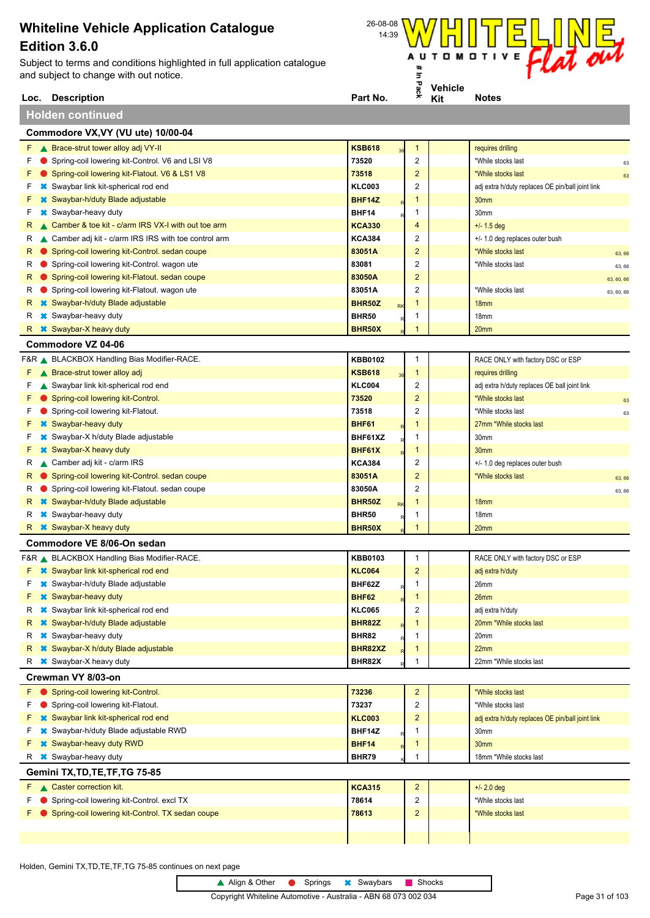Subject to terms and conditions highlighted in full application catalogue and subject to change with out notice.



| and subject to change with out notice.                    |                |           | 71.<br>5                | <b>Vehicle</b> | $\sim$                                           |            |
|-----------------------------------------------------------|----------------|-----------|-------------------------|----------------|--------------------------------------------------|------------|
| <b>Description</b><br>Loc.                                | Part No.       |           | Pack                    | Kit            | <b>Notes</b>                                     |            |
| <b>Holden continued</b>                                   |                |           |                         |                |                                                  |            |
| Commodore VX, VY (VU ute) 10/00-04                        |                |           |                         |                |                                                  |            |
| Brace-strut tower alloy adj VY-II<br>F.                   | <b>KSB618</b>  | 36        | $\mathbf{1}$            |                | requires drilling                                |            |
| Spring-coil lowering kit-Control. V6 and LSI V8<br>F      | 73520          |           | 2                       |                | *While stocks last                               | 63         |
| Spring-coil lowering kit-Flatout. V6 & LS1 V8             | 73518          |           | $\overline{\mathbf{c}}$ |                | *While stocks last                               | 63         |
| <b>*</b> Swaybar link kit-spherical rod end               | <b>KLC003</b>  |           | 2                       |                | adj extra h/duty replaces OE pin/ball joint link |            |
| <b>*</b> Swaybar-h/duty Blade adjustable                  | <b>BHF14Z</b>  |           | 1                       |                | 30mm                                             |            |
| <b>*</b> Swaybar-heavy duty<br>F                          | BHF14          |           | 1                       |                | 30mm                                             |            |
| ▲ Camber & toe kit - c/arm IRS VX-I with out toe arm<br>R | <b>KCA330</b>  |           | 4                       |                | $+/- 1.5$ deg                                    |            |
| Camber adj kit - c/arm IRS IRS with toe control arm<br>R  | <b>KCA384</b>  |           | 2                       |                | +/- 1.0 deg replaces outer bush                  |            |
| Spring-coil lowering kit-Control. sedan coupe<br>R        | 83051A         |           | $\overline{\mathbf{c}}$ |                | *While stocks last                               | 63,66      |
| Spring-coil lowering kit-Control. wagon ute<br>R          | 83081          |           | 2                       |                | *While stocks last                               | 63,66      |
| Spring-coil lowering kit-Flatout. sedan coupe<br>R        | 83050A         |           | $\overline{2}$          |                |                                                  | 63, 60, 66 |
| Spring-coil lowering kit-Flatout. wagon ute<br>R          | 83051A         |           | 2                       |                | *While stocks last                               | 63, 60, 66 |
| <b>*</b> Swaybar-h/duty Blade adjustable<br>R             | <b>BHR50Z</b>  | <b>RK</b> | 1                       |                | 18mm                                             |            |
| <b>*</b> Swaybar-heavy duty<br>R                          | <b>BHR50</b>   |           | 1                       |                | 18 <sub>mm</sub>                                 |            |
| <b>*</b> Swaybar-X heavy duty                             | <b>BHR50X</b>  |           |                         |                | 20 <sub>mm</sub>                                 |            |
| Commodore VZ 04-06                                        |                |           |                         |                |                                                  |            |
| F&R BLACKBOX Handling Bias Modifier-RACE.                 | <b>KBB0102</b> |           | 1                       |                | RACE ONLY with factory DSC or ESP                |            |
| Brace-strut tower alloy adj<br>F.                         | <b>KSB618</b>  | 36        | $\mathbf{1}$            |                | requires drilling                                |            |
| Swaybar link kit-spherical rod end<br>F                   | <b>KLC004</b>  |           | $\overline{c}$          |                | adj extra h/duty replaces OE ball joint link     |            |
| Spring-coil lowering kit-Control.<br>F                    | 73520          |           | $\overline{c}$          |                | *While stocks last                               | 63         |
| Spring-coil lowering kit-Flatout.<br>F                    | 73518          |           | 2                       |                | *While stocks last                               | 63         |
| <b>*</b> Swaybar-heavy duty                               | <b>BHF61</b>   |           | 1                       |                | 27mm *While stocks last                          |            |
| <b><sup>■</sup></b> Swaybar-X h/duty Blade adjustable     | BHF61XZ        |           | 1                       |                | 30mm                                             |            |
| <b>*</b> Swaybar-X heavy duty                             | BHF61X         |           | 1                       |                | 30mm                                             |            |
| Camber adj kit - c/arm IRS<br>R                           | <b>KCA384</b>  |           | 2                       |                | +/- 1.0 deg replaces outer bush                  |            |
| Spring-coil lowering kit-Control. sedan coupe<br>R        | 83051A         |           | $\overline{\mathbf{c}}$ |                | *While stocks last                               | 63,66      |
| Spring-coil lowering kit-Flatout. sedan coupe<br>к        | 83050A         |           | 2                       |                |                                                  | 63, 66     |
| <b>*</b> Swaybar-h/duty Blade adjustable<br>R             | <b>BHR50Z</b>  | <b>RK</b> | 1                       |                | 18 <sub>mm</sub>                                 |            |
| <b>*</b> Swaybar-heavy duty<br>R                          | <b>BHR50</b>   |           | 1                       |                | 18mm                                             |            |
| <b>*</b> Swaybar-X heavy duty<br>R.                       | BHR50X         |           |                         |                | 20 <sub>mm</sub>                                 |            |
| Commodore VE 8/06-On sedan                                |                |           |                         |                |                                                  |            |
| A BLACKBOX Handling Bias Modifier-RACE.                   | KBB0103        |           |                         |                | RACE ONLY with factory DSC or ESP                |            |
| <b>*</b> Swaybar link kit-spherical rod end<br>F.         | <b>KLC064</b>  |           | $\overline{2}$          |                | adj extra h/duty                                 |            |
| <b></b> Swaybar-h/duty Blade adjustable<br>F              | BHF62Z         |           | 1                       |                | 26mm                                             |            |
| F<br><b>*</b> Swaybar-heavy duty                          | <b>BHF62</b>   |           | $\mathbf{1}$            |                | 26mm                                             |            |
| <b></b> Swaybar link kit-spherical rod end<br>R           | <b>KLC065</b>  |           | 2                       |                | adj extra h/duty                                 |            |
| <b>*</b> Swaybar-h/duty Blade adjustable<br>R             | <b>BHR82Z</b>  |           | 1                       |                | 20mm *While stocks last                          |            |
| <b>*</b> Swaybar-heavy duty<br>R                          | <b>BHR82</b>   |           | 1                       |                | 20mm                                             |            |
| <b>*</b> Swaybar-X h/duty Blade adjustable<br>R           | BHR82XZ        |           | 1                       |                | 22mm                                             |            |
| <b>*</b> Swaybar-X heavy duty<br>R                        | BHR82X         |           | 1                       |                | 22mm *While stocks last                          |            |
| Crewman VY 8/03-on                                        |                |           |                         |                |                                                  |            |
| Spring-coil lowering kit-Control.<br>F.                   | 73236          |           | $\overline{c}$          |                | *While stocks last                               |            |
| Spring-coil lowering kit-Flatout.<br>F                    | 73237          |           | 2                       |                | *While stocks last                               |            |
| <b>*</b> Swaybar link kit-spherical rod end               | <b>KLC003</b>  |           | $\overline{\mathbf{c}}$ |                | adj extra h/duty replaces OE pin/ball joint link |            |
| <b>*</b> Swaybar-h/duty Blade adjustable RWD<br>F         | BHF14Z         |           | 1                       |                | 30mm                                             |            |
| <b>*</b> Swaybar-heavy duty RWD                           | <b>BHF14</b>   |           | 1                       |                | 30mm                                             |            |
| <b>*</b> Swaybar-heavy duty<br>R                          | BHR79          |           |                         |                | 18mm *While stocks last                          |            |
| Gemini TX,TD,TE,TF,TG 75-85                               |                |           |                         |                |                                                  |            |
| Caster correction kit.<br>F.                              | <b>KCA315</b>  |           | $\overline{c}$          |                | $+/- 2.0$ deg                                    |            |
| Spring-coil lowering kit-Control. excl TX<br>F            | 78614          |           | 2                       |                | *While stocks last                               |            |
| <b>F</b> Spring-coil lowering kit-Control. TX sedan coupe | 78613          |           | $\overline{2}$          |                | *While stocks last                               |            |

Holden, Gemini TX,TD,TE,TF,TG 75-85 continues on next page

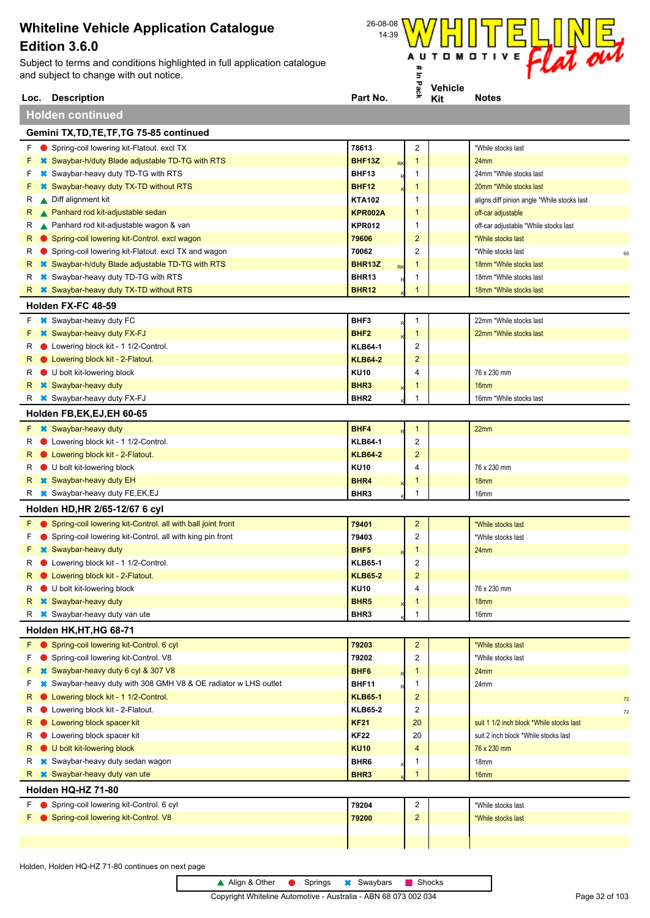Subject to terms and conditions highlighted in full application catalogue and subject to change with out notice.



|    | Loc. Description                                                                  | Part No.                             | 읏              | Kit | <b>Notes</b>                                |
|----|-----------------------------------------------------------------------------------|--------------------------------------|----------------|-----|---------------------------------------------|
|    | <b>Holden continued</b>                                                           |                                      |                |     |                                             |
|    | Gemini TX, TD, TE, TF, TG 75-85 continued                                         |                                      |                |     |                                             |
| F  | Spring-coil lowering kit-Flatout. excl TX                                         | 78613                                | 2              |     | *While stocks last                          |
| F  | <b><sup>■</sup></b> Swaybar-h/duty Blade adjustable TD-TG with RTS                | <b>BHF13Z</b><br><b>RK</b>           | 1              |     | 24mm                                        |
| F  | <b>*</b> Swaybar-heavy duty TD-TG with RTS                                        | BHF13                                | 1              |     | 24mm *While stocks last                     |
| F  | <b><sup>■</sup></b> Swaybar-heavy duty TX-TD without RTS                          | <b>BHF12</b>                         | $\mathbf{1}$   |     | 20mm *While stocks last                     |
| R  | Diff alignment kit                                                                | <b>KTA102</b>                        | 1              |     | aligns diff pinion angle *While stocks last |
| R  | ▲ Panhard rod kit-adjustable sedan                                                | <b>KPR002A</b>                       | $\mathbf{1}$   |     | off-car adjustable                          |
| R  | ▲ Panhard rod kit-adjustable wagon & van                                          | <b>KPR012</b>                        | 1              |     | off-car adjustable *While stocks last       |
| R  | Spring-coil lowering kit-Control. excl wagon                                      | 79606                                | $\overline{2}$ |     | *While stocks last                          |
| R  | Spring-coil lowering kit-Flatout. excl TX and wagon                               | 70062                                | 2              |     | *While stocks last<br>60                    |
| к  | <b><sup>■</sup></b> Swaybar-h/duty Blade adjustable TD-TG with RTS                | BHR13Z<br>RK                         | 1              |     | 18mm *While stocks last                     |
| К  | <b>*</b> Swaybar-heavy duty TD-TG with RTS                                        | BHR13                                | 1              |     | 18mm *While stocks last                     |
| R  | <b>☀</b> Swaybar-heavy duty TX-TD without RTS                                     | <b>BHR12</b>                         | 1              |     | 18mm *While stocks last                     |
|    | Holden FX-FC 48-59                                                                |                                      |                |     |                                             |
| F  | <b>*</b> Swaybar-heavy duty FC                                                    | BHF3                                 | 1              |     | 22mm *While stocks last                     |
| F  | <b>*</b> Swaybar-heavy duty FX-FJ                                                 | BHF <sub>2</sub>                     | $\mathbf{1}$   |     | 22mm *While stocks last                     |
| R  | Lowering block kit - 1 1/2-Control.                                               | <b>KLB64-1</b>                       | 2              |     |                                             |
| R  | ● Lowering block kit - 2-Flatout.                                                 | <b>KLB64-2</b>                       | $\overline{c}$ |     |                                             |
| R  | U bolt kit-lowering block                                                         | <b>KU10</b>                          | 4              |     | 76 x 230 mm                                 |
| R  | <b>*</b> Swaybar-heavy duty                                                       | BHR <sub>3</sub>                     | 1              |     | 16 <sub>mm</sub>                            |
| к  | <b>■ Swaybar-heavy duty FX-FJ</b>                                                 | BHR <sub>2</sub>                     | 1              |     | 16mm *While stocks last                     |
|    | Holden FB,EK,EJ,EH 60-65                                                          |                                      |                |     |                                             |
| F. | <b>**</b> Swaybar-heavy duty                                                      | BHF4                                 | $\mathbf{1}$   |     | 22mm                                        |
| R  | • Lowering block kit - 1 1/2-Control.                                             | <b>KLB64-1</b>                       | 2              |     |                                             |
| R  | • Lowering block kit - 2-Flatout.                                                 | <b>KLB64-2</b>                       | $\overline{2}$ |     |                                             |
| R  | U bolt kit-lowering block                                                         | <b>KU10</b>                          | 4              |     | 76 x 230 mm                                 |
| R  | <b>*</b> Swaybar-heavy duty EH                                                    | BHR4                                 | 1              |     | 18 <sub>mm</sub>                            |
| К  | <b>■ Swaybar-heavy duty FE,EK,EJ</b>                                              | BHR <sub>3</sub>                     | 1              |     | 16mm                                        |
|    | Holden HD,HR 2/65-12/67 6 cyl                                                     |                                      |                |     |                                             |
| F  | Spring-coil lowering kit-Control. all with ball joint front                       | 79401                                | $\overline{c}$ |     | *While stocks last                          |
| F  | Spring-coil lowering kit-Control. all with king pin front                         | 79403                                | 2              |     | *While stocks last                          |
|    | <b>*</b> Swaybar-heavy duty                                                       | BHF <sub>5</sub>                     | $\mathbf{1}$   |     | 24mm                                        |
| R  | Lowering block kit - 1 1/2-Control.                                               | <b>KLB65-1</b>                       | 2              |     |                                             |
| R  | • Lowering block kit - 2-Flatout.                                                 | <b>KLB65-2</b>                       | $\overline{2}$ |     |                                             |
| R  | U bolt kit-lowering block                                                         | <b>KU10</b>                          | 4              |     | 76 x 230 mm                                 |
| R  | <b>*</b> Swaybar-heavy duty                                                       | BHR <sub>5</sub>                     | 1              |     | 18mm                                        |
| R  | <b>*</b> Swaybar-heavy duty van ute                                               | BHR <sub>3</sub>                     | 1              |     | 16mm                                        |
|    | Holden HK, HT, HG 68-71                                                           |                                      |                |     |                                             |
|    | F Spring-coil lowering kit-Control. 6 cyl                                         | 79203                                | $\overline{c}$ |     | *While stocks last                          |
| F  | Spring-coil lowering kit-Control. V8                                              | 79202                                | 2              |     | *While stocks last                          |
| F  | <b>■ Swaybar-heavy duty 6 cyl &amp; 307 V8</b>                                    | BHF <sub>6</sub>                     | 1              |     | 24mm                                        |
| F  | <b><sup>■</sup></b> Swaybar-heavy duty with 308 GMH V8 & OE radiator w LHS outlet | BHF11                                | 1              |     | 24mm                                        |
| R. | • Lowering block kit - 1 1/2-Control.                                             | <b>KLB65-1</b>                       | $\overline{2}$ |     |                                             |
| R  | C Lowering block kit - 2-Flatout.                                                 | <b>KLB65-2</b>                       | 2              |     | 72                                          |
| R  | • Lowering block spacer kit                                                       | <b>KF21</b>                          | 20             |     | suit 1 1/2 inch block *While stocks last    |
| R  | • Lowering block spacer kit                                                       | <b>KF22</b>                          | 20             |     | suit 2 inch block *While stocks last        |
| R  | U bolt kit-lowering block                                                         | <b>KU10</b>                          | 4              |     | 76 x 230 mm                                 |
| R  | <b>*</b> Swaybar-heavy duty sedan wagon                                           | BHR <sub>6</sub><br>BHR <sub>3</sub> | 1<br>1         |     | 18mm                                        |
| R. | <b>■ Swaybar-heavy duty van ute</b>                                               |                                      |                |     | 16 <sub>mm</sub>                            |
|    | Holden HQ-HZ 71-80                                                                |                                      |                |     |                                             |
| F  | Spring-coil lowering kit-Control. 6 cyl                                           | 79204                                | 2              |     | *While stocks last                          |
|    | Spring-coil lowering kit-Control. V8                                              | 79200                                | $\overline{2}$ |     | *While stocks last                          |
|    |                                                                                   |                                      |                |     |                                             |

▲ Align & Other ● Springs <sup>★</sup> Swaybars ■ Shocks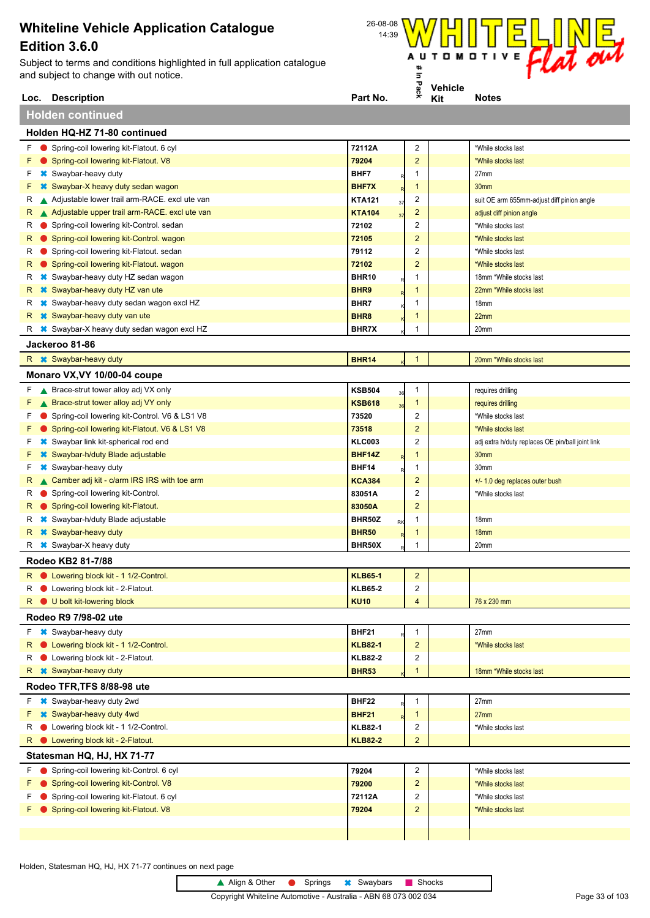Subject to terms and conditions highlighted in full application catalogue and subject to change with out notice.



| Loc.    | <b>Description</b>                                             | Part No.                         | ⋇                       | Kit | <b>Notes</b>                                     |
|---------|----------------------------------------------------------------|----------------------------------|-------------------------|-----|--------------------------------------------------|
|         | <b>Holden continued</b>                                        |                                  |                         |     |                                                  |
|         | Holden HQ-HZ 71-80 continued                                   |                                  |                         |     |                                                  |
| F.      | Spring-coil lowering kit-Flatout. 6 cyl                        | 72112A                           | 2                       |     | *While stocks last                               |
| F       | Spring-coil lowering kit-Flatout. V8                           | 79204                            | $\overline{\mathbf{c}}$ |     | *While stocks last                               |
| F       | <b>*</b> Swaybar-heavy duty                                    | BHF7                             | 1                       |     | 27mm                                             |
| F       | <b><sup>■</sup></b> Swaybar-X heavy duty sedan wagon           | BHF7X                            | 1                       |     | 30 <sub>mm</sub>                                 |
| R       | Adjustable lower trail arm-RACE. excl ute van                  | <b>KTA121</b><br>37              | 2                       |     | suit OE arm 655mm-adjust diff pinion angle       |
| R       | Adjustable upper trail arm-RACE. excl ute van                  | <b>KTA104</b><br>37              | $\overline{\mathbf{c}}$ |     | adjust diff pinion angle                         |
| R       | Spring-coil lowering kit-Control. sedan                        | 72102                            | 2                       |     | *While stocks last                               |
| R       | Spring-coil lowering kit-Control. wagon                        | 72105                            | $\overline{2}$          |     | *While stocks last                               |
| R       | Spring-coil lowering kit-Flatout. sedan                        | 79112                            | 2                       |     | *While stocks last                               |
| R       | Spring-coil lowering kit-Flatout. wagon                        | 72102                            | $\overline{2}$          |     | *While stocks last                               |
| R       | <b><sup>■</sup></b> Swaybar-heavy duty HZ sedan wagon          | <b>BHR10</b>                     | 1                       |     | 18mm *While stocks last                          |
| R       | <b>*</b> Swaybar-heavy duty HZ van ute                         | BHR <sub>9</sub>                 | 1                       |     | 22mm *While stocks last                          |
| R       | <b><sup>■</sup></b> Swaybar-heavy duty sedan wagon excl HZ     | BHR7                             | 1                       |     | 18 <sub>mm</sub>                                 |
| R       | <b>*</b> Swaybar-heavy duty van ute                            | BHR <sub>8</sub>                 | 1                       |     | 22mm                                             |
| R       | <b><sup>■</sup></b> Swaybar-X heavy duty sedan wagon excl HZ   | BHR7X                            | 1                       |     | 20mm                                             |
|         | Jackeroo 81-86                                                 |                                  |                         |     |                                                  |
|         | R <b>*</b> Swaybar-heavy duty                                  | <b>BHR14</b>                     | $\mathbf{1}$            |     | 20mm *While stocks last                          |
|         | Monaro VX,VY 10/00-04 coupe                                    |                                  |                         |     |                                                  |
| F.      | ▲ Brace-strut tower alloy adj VX only                          | <b>KSB504</b><br>36              | 1                       |     | requires drilling                                |
| F       | ▲ Brace-strut tower alloy adj VY only                          | <b>KSB618</b><br>36              | $\mathbf{1}$            |     | requires drilling                                |
| F       | Spring-coil lowering kit-Control. V6 & LS1 V8                  | 73520                            | 2                       |     | *While stocks last                               |
| F       | Spring-coil lowering kit-Flatout. V6 & LS1 V8                  | 73518                            | $\overline{\mathbf{c}}$ |     | *While stocks last                               |
| F       | <b><sup>■</sup></b> Swaybar link kit-spherical rod end         | <b>KLC003</b>                    | 2                       |     | adj extra h/duty replaces OE pin/ball joint link |
|         | <b>*</b> Swaybar-h/duty Blade adjustable                       | <b>BHF14Z</b>                    | 1                       |     | 30mm                                             |
| F       | <b>*</b> Swaybar-heavy duty                                    | BHF14                            | 1                       |     | 30mm                                             |
| R       | Camber adj kit - c/arm IRS IRS with toe arm                    | <b>KCA384</b>                    | 2                       |     | +/- 1.0 deg replaces outer bush                  |
| R       | Spring-coil lowering kit-Control.                              | 83051A                           | 2                       |     | *While stocks last                               |
| R       | Spring-coil lowering kit-Flatout.                              | 83050A                           | $\overline{\mathbf{c}}$ |     |                                                  |
| R       | <b><sup>■</sup></b> Swaybar-h/duty Blade adjustable            | BHR50Z<br>RK                     | 1                       |     | 18 <sub>mm</sub>                                 |
| R       | <b>*</b> Swaybar-heavy duty                                    | <b>BHR50</b><br>BHR50X           | 1                       |     | 18 <sub>mm</sub>                                 |
| R       | <b>*</b> Swaybar-X heavy duty                                  |                                  | 1                       |     | 20mm                                             |
|         | Rodeo KB2 81-7/88                                              |                                  |                         |     |                                                  |
|         | R C Lowering block kit - 1 1/2-Control.                        | <b>KLB65-1</b>                   | $\overline{c}$          |     |                                                  |
| R       | C Lowering block kit - 2-Flatout.                              | <b>KLB65-2</b>                   | 2<br>$\overline{4}$     |     |                                                  |
|         | R U bolt kit-lowering block                                    | <b>KU10</b>                      |                         |     | 76 x 230 mm                                      |
|         | Rodeo R9 7/98-02 ute                                           |                                  |                         |     |                                                  |
| F.      | <b>*</b> Swaybar-heavy duty                                    | BHF21                            | $\mathbf{1}$            |     | 27mm                                             |
| R       | Lowering block kit - 1 1/2-Control.                            | <b>KLB82-1</b>                   | $\overline{2}$          |     | *While stocks last                               |
| R<br>R. | Lowering block kit - 2-Flatout.<br><b>*</b> Swaybar-heavy duty | <b>KLB82-2</b><br><b>BHR53</b>   | 2<br>1                  |     | 18mm *While stocks last                          |
|         |                                                                |                                  |                         |     |                                                  |
|         | Rodeo TFR, TFS 8/88-98 ute                                     |                                  |                         |     |                                                  |
| F.      | <b>*</b> Swaybar-heavy duty 2wd                                | <b>BHF22</b>                     | 1                       |     | 27mm                                             |
| F       | <b>*</b> Swaybar-heavy duty 4wd                                | <b>BHF21</b>                     | $\mathbf{1}$            |     | 27 <sub>mm</sub>                                 |
| R<br>R. | • Lowering block kit - 1 1/2-Control.                          | <b>KLB82-1</b><br><b>KLB82-2</b> | 2<br>$\overline{c}$     |     | *While stocks last                               |
|         | • Lowering block kit - 2-Flatout.                              |                                  |                         |     |                                                  |
|         | Statesman HQ, HJ, HX 71-77                                     |                                  |                         |     |                                                  |
| F.      | Spring-coil lowering kit-Control. 6 cyl                        | 79204                            | $\overline{2}$          |     | *While stocks last                               |
| F       | Spring-coil lowering kit-Control. V8                           | 79200                            | 2                       |     | *While stocks last                               |
| F       | Spring-coil lowering kit-Flatout. 6 cyl                        | 72112A                           | 2                       |     | *While stocks last                               |
|         | Spring-coil lowering kit-Flatout. V8                           | 79204                            | $\overline{\mathbf{c}}$ |     | *While stocks last                               |
|         |                                                                |                                  |                         |     |                                                  |

Holden, Statesman HQ, HJ, HX 71-77 continues on next page

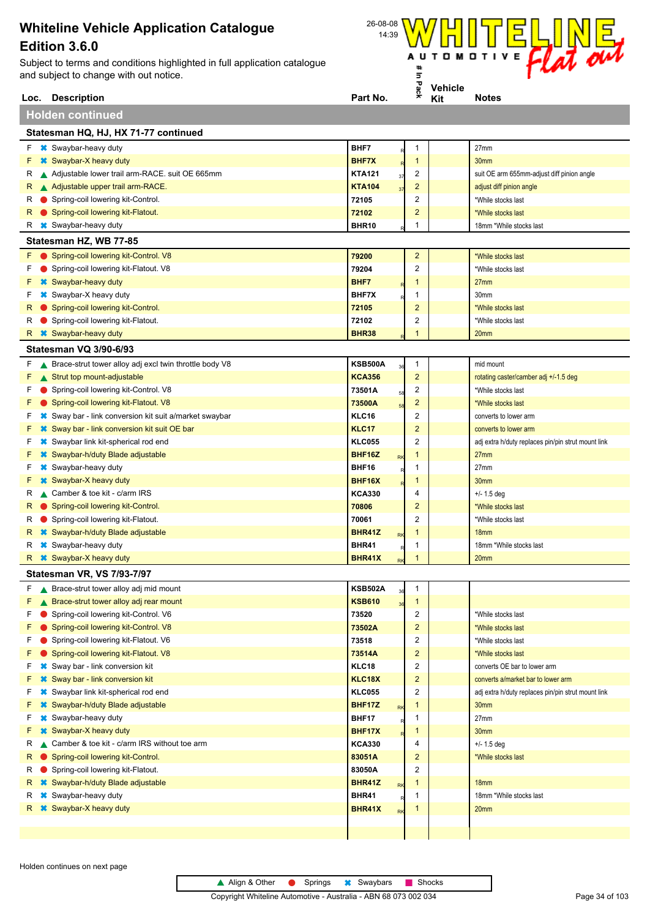

|    | Loc. Description                                         | Part No.          |           | ×.                      | Kit | <b>Notes</b>                                       |
|----|----------------------------------------------------------|-------------------|-----------|-------------------------|-----|----------------------------------------------------|
|    | <b>Holden continued</b>                                  |                   |           |                         |     |                                                    |
|    | Statesman HQ, HJ, HX 71-77 continued                     |                   |           |                         |     |                                                    |
|    | $F \rightarrow$ Swaybar-heavy duty                       | BHF7              |           | 1                       |     | 27mm                                               |
| F  | <b>*</b> Swaybar-X heavy duty                            | <b>BHF7X</b>      |           | $\mathbf{1}$            |     | 30 <sub>mm</sub>                                   |
| к  | A Adjustable lower trail arm-RACE. suit OE 665mm         | <b>KTA121</b>     | 37        | 2                       |     | suit OE arm 655mm-adjust diff pinion angle         |
| R  | A Adjustable upper trail arm-RACE.                       | <b>KTA104</b>     | 37        | $\overline{\mathbf{c}}$ |     | adjust diff pinion angle                           |
| R  | Spring-coil lowering kit-Control.                        | 72105             |           | 2                       |     | *While stocks last                                 |
| R  | Spring-coil lowering kit-Flatout.                        | 72102             |           | 2                       |     | *While stocks last                                 |
| R  | <b>*</b> Swaybar-heavy duty                              | BHR <sub>10</sub> |           | 1                       |     | 18mm *While stocks last                            |
|    | Statesman HZ, WB 77-85                                   |                   |           |                         |     |                                                    |
| F. | Spring-coil lowering kit-Control. V8                     | 79200             |           | $\mathbf 2$             |     | *While stocks last                                 |
| F  | Spring-coil lowering kit-Flatout. V8                     | 79204             |           | $\overline{\mathbf{c}}$ |     | *While stocks last                                 |
| F  | Swaybar-heavy duty                                       | BHF7              |           | 1                       |     | 27mm                                               |
| F  | Swaybar-X heavy duty                                     | BHF7X             |           | 1                       |     | 30mm                                               |
| R  | Spring-coil lowering kit-Control.                        | 72105             |           | $\overline{\mathbf{c}}$ |     | *While stocks last                                 |
| R  | Spring-coil lowering kit-Flatout.                        | 72102             |           | 2                       |     | *While stocks last                                 |
| R  | <b>*</b> Swaybar-heavy duty                              | <b>BHR38</b>      |           | 1                       |     | 20mm                                               |
|    | <b>Statesman VQ 3/90-6/93</b>                            |                   |           |                         |     |                                                    |
| F. | ▲ Brace-strut tower alloy adj excl twin throttle body V8 | <b>KSB500A</b>    | 36        | 1                       |     | mid mount                                          |
| F  | ▲ Strut top mount-adjustable                             | <b>KCA356</b>     |           | $\overline{2}$          |     | rotating caster/camber adj +/-1.5 deg              |
| F  | Spring-coil lowering kit-Control. V8                     | 73501A            | 58        | $\overline{\mathbf{c}}$ |     | *While stocks last                                 |
| F  | Spring-coil lowering kit-Flatout. V8                     | 73500A            | 58        | 2                       |     | *While stocks last                                 |
| F  | Sway bar - link conversion kit suit a/market swaybar     | KLC16             |           | 2                       |     | converts to lower arm                              |
| F  | Sway bar - link conversion kit suit OE bar               | <b>KLC17</b>      |           | $\overline{2}$          |     | converts to lower arm                              |
| F  | Swaybar link kit-spherical rod end                       | <b>KLC055</b>     |           | 2                       |     | adj extra h/duty replaces pin/pin strut mount link |
|    | Swaybar-h/duty Blade adjustable                          | <b>BHF16Z</b>     | <b>RK</b> | 1                       |     | 27 <sub>mm</sub>                                   |
| F  | Swaybar-heavy duty                                       | BHF16             |           | 1                       |     | 27mm                                               |
| F  | Swaybar-X heavy duty                                     | BHF16X            |           | 1                       |     | 30 <sub>mm</sub>                                   |
| R  | Camber & toe kit - c/arm IRS                             | <b>KCA330</b>     |           | 4                       |     | $+/- 1.5$ deg                                      |
| R  | Spring-coil lowering kit-Control.                        | 70806             |           | 2                       |     | *While stocks last                                 |
| R  | Spring-coil lowering kit-Flatout.                        | 70061             |           | 2                       |     | *While stocks last                                 |
| R  | Swaybar-h/duty Blade adjustable                          | <b>BHR41Z</b>     | <b>RK</b> | 1                       |     | 18 <sub>mm</sub>                                   |
| R  | <b>*</b> Swaybar-heavy duty                              | <b>BHR41</b>      |           | 1                       |     | 18mm *While stocks last                            |
|    | <b>*</b> Swaybar-X heavy duty                            | <b>BHR41X</b>     | RK        | 1                       |     | 20 <sub>mm</sub>                                   |
|    | <b>Statesman VR, VS 7/93-7/97</b>                        |                   |           |                         |     |                                                    |
| F  | Brace-strut tower alloy adj mid mount                    | <b>KSB502A</b>    | 36        | 1                       |     |                                                    |
| F  | Brace-strut tower alloy adj rear mount                   | <b>KSB610</b>     | 36        | $\mathbf{1}$            |     |                                                    |
| F  | Spring-coil lowering kit-Control. V6                     | 73520             |           | 2                       |     | *While stocks last                                 |
| F  | Spring-coil lowering kit-Control. V8                     | 73502A            |           | $\overline{\mathbf{c}}$ |     | *While stocks last                                 |
| F  | Spring-coil lowering kit-Flatout. V6                     | 73518             |           | 2                       |     | *While stocks last                                 |
| F  | Spring-coil lowering kit-Flatout. V8                     | 73514A            |           | $\overline{\mathbf{c}}$ |     | *While stocks last                                 |
| F  | Sway bar - link conversion kit                           | KLC18             |           | 2                       |     | converts OE bar to lower arm                       |
| F  | Sway bar - link conversion kit                           | <b>KLC18X</b>     |           | $\overline{2}$          |     | converts a/market bar to lower arm                 |
| F  | Swaybar link kit-spherical rod end                       | <b>KLC055</b>     |           | 2                       |     | adj extra h/duty replaces pin/pin strut mount link |
| F  | Swaybar-h/duty Blade adjustable                          | <b>BHF17Z</b>     | RK        | 1                       |     | 30mm                                               |
| F  | Swaybar-heavy duty                                       | BHF17             |           | 1                       |     | 27mm                                               |
| F  | Swaybar-X heavy duty                                     | BHF17X            |           | 1                       |     | 30mm                                               |
| R  | Camber & toe kit - c/arm IRS without toe arm             | <b>KCA330</b>     |           | 4                       |     | $+/- 1.5$ deg                                      |
| R  | Spring-coil lowering kit-Control.                        | 83051A            |           | $\overline{2}$          |     | *While stocks last                                 |
| R  | Spring-coil lowering kit-Flatout.                        | 83050A            |           | 2                       |     |                                                    |
| R  | Swaybar-h/duty Blade adjustable                          | <b>BHR41Z</b>     | RK        | 1                       |     | 18mm                                               |
| R  | Swaybar-heavy duty                                       | <b>BHR41</b>      |           | 1                       |     | 18mm *While stocks last                            |
| R  | <b>*</b> Swaybar-X heavy duty                            | <b>BHR41X</b>     | RK        | 1                       |     | 20mm                                               |
|    |                                                          |                   |           |                         |     |                                                    |

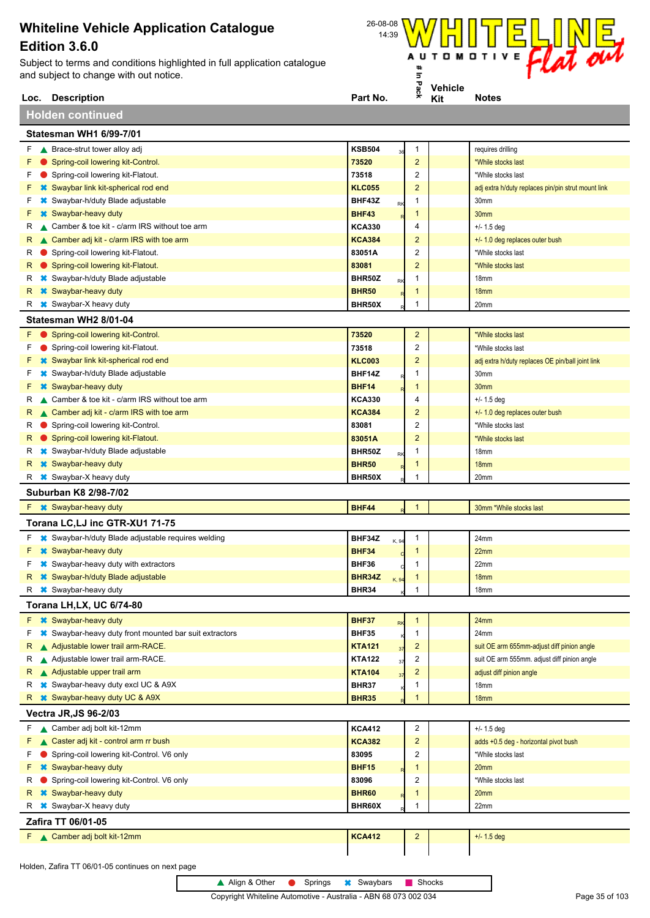Subject to terms and conditions highlighted in full application catalogue and subject to change with out notice.



| Loc.   | <b>Description</b>                                                 | Part No.                       |       | ⋇                            | Kit | <b>Notes</b>                                                            |
|--------|--------------------------------------------------------------------|--------------------------------|-------|------------------------------|-----|-------------------------------------------------------------------------|
|        | <b>Holden continued</b>                                            |                                |       |                              |     |                                                                         |
|        | <b>Statesman WH1 6/99-7/01</b>                                     |                                |       |                              |     |                                                                         |
| F.     | ▲ Brace-strut tower alloy adj                                      | <b>KSB504</b>                  | 36    | 1                            |     | requires drilling                                                       |
| F      | Spring-coil lowering kit-Control.                                  | 73520                          |       | $\overline{c}$               |     | *While stocks last                                                      |
| F      | Spring-coil lowering kit-Flatout.                                  | 73518                          |       | 2                            |     | *While stocks last                                                      |
| F      | <b><sup>■</sup></b> Swaybar link kit-spherical rod end             | <b>KLC055</b>                  |       | $\overline{2}$               |     | adj extra h/duty replaces pin/pin strut mount link                      |
| F      | <b><sup>■</sup></b> Swaybar-h/duty Blade adjustable                | BHF43Z                         | RK    | 1                            |     | 30mm                                                                    |
| F      | <b>*</b> Swaybar-heavy duty                                        | <b>BHF43</b>                   |       | 1                            |     | 30mm                                                                    |
| R      | Camber & toe kit - c/arm IRS without toe arm                       | <b>KCA330</b>                  |       | 4                            |     | $+/- 1.5$ deg                                                           |
| R      | ▲ Camber adj kit - c/arm IRS with toe arm                          | <b>KCA384</b>                  |       | $\overline{c}$               |     | +/- 1.0 deg replaces outer bush                                         |
| R      | Spring-coil lowering kit-Flatout.                                  | 83051A                         |       | 2                            |     | *While stocks last                                                      |
| R      | Spring-coil lowering kit-Flatout.                                  | 83081                          |       | $\overline{c}$               |     | *While stocks last                                                      |
| R      | <b><sup>■</sup></b> Swaybar-h/duty Blade adjustable                | BHR50Z                         | RK    | 1                            |     | 18mm                                                                    |
| R      | <b>*</b> Swaybar-heavy duty                                        | <b>BHR50</b>                   |       | 1                            |     | 18 <sub>mm</sub>                                                        |
| R      | <b>*</b> Swaybar-X heavy duty                                      | BHR50X                         |       | 1                            |     | 20mm                                                                    |
|        | Statesman WH2 8/01-04                                              |                                |       |                              |     |                                                                         |
| F      | Spring-coil lowering kit-Control.                                  | 73520                          |       | $\overline{c}$               |     | *While stocks last                                                      |
| F      | Spring-coil lowering kit-Flatout.                                  | 73518                          |       | 2                            |     | *While stocks last                                                      |
| F      | <b>*</b> Swaybar link kit-spherical rod end                        | <b>KLC003</b>                  |       | $\overline{c}$               |     | adj extra h/duty replaces OE pin/ball joint link                        |
| F      | <b><sup>■</sup></b> Swaybar-h/duty Blade adjustable                | BHF14Z                         |       | 1                            |     | 30mm                                                                    |
| F      | <b>*</b> Swaybar-heavy duty                                        | <b>BHF14</b>                   |       | $\mathbf{1}$                 |     | 30mm                                                                    |
| R      | Camber & toe kit - c/arm IRS without toe arm                       | <b>KCA330</b>                  |       | 4                            |     | $+/- 1.5$ deg                                                           |
| R      | ▲ Camber adj kit - c/arm IRS with toe arm                          | <b>KCA384</b>                  |       | $\overline{\mathbf{c}}$      |     | +/- 1.0 deg replaces outer bush                                         |
| R      | Spring-coil lowering kit-Control.                                  | 83081                          |       | 2                            |     | *While stocks last                                                      |
| R      | Spring-coil lowering kit-Flatout.                                  | 83051A                         |       | $\overline{c}$               |     | *While stocks last                                                      |
| R      | <b>*</b> Swaybar-h/duty Blade adjustable                           | BHR50Z                         | RK    | 1                            |     | 18mm                                                                    |
| R      | <b>*</b> Swaybar-heavy duty                                        | <b>BHR50</b>                   |       | 1                            |     | 18mm                                                                    |
| R      | <b>*</b> Swaybar-X heavy duty                                      | BHR50X                         |       | 1                            |     | 20mm                                                                    |
|        | Suburban K8 2/98-7/02                                              |                                |       |                              |     |                                                                         |
|        | <b>F *</b> Swaybar-heavy duty                                      | <b>BHF44</b>                   |       | $\mathbf{1}$                 |     | 30mm *While stocks last                                                 |
|        | Torana LC,LJ inc GTR-XU1 71-75                                     |                                |       |                              |     |                                                                         |
| F      | <b>*</b> Swaybar-h/duty Blade adjustable requires welding          | BHF34Z                         | K, 94 | 1                            |     | 24mm                                                                    |
| F      | <b>*</b> Swaybar-heavy duty                                        | <b>BHF34</b>                   |       | $\mathbf{1}$                 |     | 22mm                                                                    |
|        | <b>X</b> Swaybar-heavy duty with extractors                        | BHF36                          |       | 1                            |     | 22mm                                                                    |
| R      | <b>*</b> Swaybar-h/duty Blade adjustable                           | BHR34Z<br>BHR34                | K, 94 | 1<br>1                       |     | 18 <sub>mm</sub>                                                        |
|        | R <b>*</b> Swaybar-heavy duty                                      |                                |       |                              |     | 18mm                                                                    |
|        | Torana LH,LX, UC 6/74-80                                           |                                |       |                              |     |                                                                         |
|        | F <b>*</b> Swaybar-heavy duty                                      | <b>BHF37</b>                   | RK    | $\mathbf{1}$                 |     | 24mm                                                                    |
| F      | <sup>*</sup> Swaybar-heavy duty front mounted bar suit extractors  | <b>BHF35</b>                   |       | 1                            |     | 24mm                                                                    |
| R<br>R | A Adjustable lower trail arm-RACE.                                 | <b>KTA121</b>                  | 37    | $\overline{\mathbf{c}}$<br>2 |     | suit OE arm 655mm-adjust diff pinion angle                              |
| R      | A Adjustable lower trail arm-RACE.<br>A Adjustable upper trail arm | <b>KTA122</b><br><b>KTA104</b> | 37    | $\overline{c}$               |     | suit OE arm 555mm. adjust diff pinion angle<br>adjust diff pinion angle |
| R      | <b>*</b> Swaybar-heavy duty excl UC & A9X                          | <b>BHR37</b>                   | 37    | 1                            |     | 18mm                                                                    |
| R      | <b>*</b> Swaybar-heavy duty UC & A9X                               | <b>BHR35</b>                   |       | 1                            |     | 18 <sub>mm</sub>                                                        |
|        | <b>Vectra JR, JS 96-2/03</b>                                       |                                |       |                              |     |                                                                         |
| F.     | ▲ Camber adj bolt kit-12mm                                         | <b>KCA412</b>                  |       | $\overline{c}$               |     | $+/- 1.5$ deg                                                           |
| F      | ▲ Caster adj kit - control arm rr bush                             | <b>KCA382</b>                  |       | $\overline{\mathbf{c}}$      |     | adds +0.5 deg - horizontal pivot bush                                   |
| F      | Spring-coil lowering kit-Control. V6 only                          | 83095                          |       | 2                            |     | *While stocks last                                                      |
| F      | <b>*</b> Swaybar-heavy duty                                        | <b>BHF15</b>                   |       | 1                            |     | 20mm                                                                    |
| R      | Spring-coil lowering kit-Control. V6 only                          | 83096                          |       | 2                            |     | *While stocks last                                                      |
| R      | <b>*</b> Swaybar-heavy duty                                        | <b>BHR60</b>                   |       | 1                            |     | 20mm                                                                    |
| R      | <b>*</b> Swaybar-X heavy duty                                      | BHR60X                         |       | 1                            |     | 22mm                                                                    |
|        | Zafira TT 06/01-05                                                 |                                |       |                              |     |                                                                         |
|        | F Camber adj bolt kit-12mm                                         | <b>KCA412</b>                  |       | $\mathbf 2$                  |     | $+/- 1.5$ deg                                                           |
|        |                                                                    |                                |       |                              |     |                                                                         |
|        |                                                                    |                                |       |                              |     |                                                                         |

Holden, Zafira TT 06/01-05 continues on next page

▲ Align & Other ● Springs <sup>★</sup> Swaybars ■ Shocks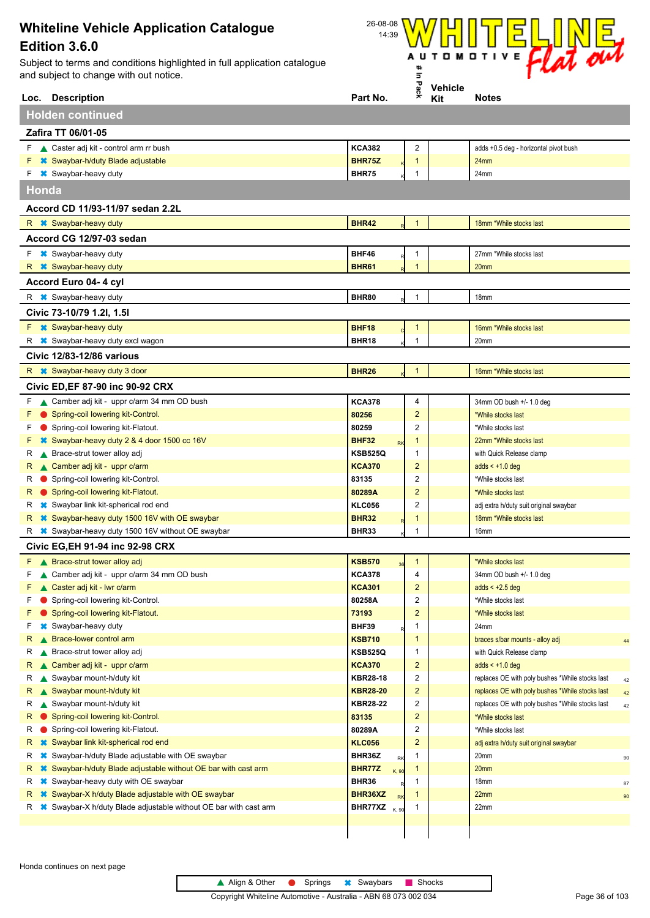

|              | Loc. Description                                                                                   | Part No.                 | ×.                           | Kit | <b>Notes</b>                                    |        |
|--------------|----------------------------------------------------------------------------------------------------|--------------------------|------------------------------|-----|-------------------------------------------------|--------|
|              | <b>Holden continued</b>                                                                            |                          |                              |     |                                                 |        |
|              | Zafira TT 06/01-05                                                                                 |                          |                              |     |                                                 |        |
|              | F Caster adj kit - control arm rr bush                                                             | <b>KCA382</b>            | 2                            |     | adds +0.5 deg - horizontal pivot bush           |        |
|              | F * Swaybar-h/duty Blade adjustable                                                                | <b>BHR75Z</b>            | $\mathbf{1}$                 |     | 24mm                                            |        |
|              | F <b>*</b> Swaybar-heavy duty                                                                      | <b>BHR75</b>             | 1                            |     | 24mm                                            |        |
| <b>Honda</b> |                                                                                                    |                          |                              |     |                                                 |        |
|              | Accord CD 11/93-11/97 sedan 2.2L                                                                   |                          |                              |     |                                                 |        |
|              | R <b>*</b> Swaybar-heavy duty                                                                      | <b>BHR42</b>             | $\mathbf{1}$                 |     | 18mm *While stocks last                         |        |
|              | Accord CG 12/97-03 sedan                                                                           |                          |                              |     |                                                 |        |
|              | $F \rightarrow$ Swaybar-heavy duty                                                                 | BHF46                    | $\mathbf{1}$                 |     | 27mm *While stocks last                         |        |
|              | R <b>*</b> Swaybar-heavy duty                                                                      | <b>BHR61</b>             | $\overline{1}$               |     | 20 <sub>mm</sub>                                |        |
|              | Accord Euro 04-4 cyl                                                                               |                          |                              |     |                                                 |        |
|              | R <b>*</b> Swaybar-heavy duty                                                                      | <b>BHR80</b>             | $\mathbf{1}$                 |     | 18mm                                            |        |
|              | Civic 73-10/79 1.2l, 1.5l                                                                          |                          |                              |     |                                                 |        |
|              | $F \rightarrow$ Swaybar-heavy duty                                                                 | <b>BHF18</b>             | $\mathbf{1}$                 |     | 16mm *While stocks last                         |        |
| R.           | <b>*</b> Swaybar-heavy duty excl wagon                                                             | <b>BHR18</b>             | $\mathbf{1}$                 |     | 20mm                                            |        |
|              | Civic 12/83-12/86 various                                                                          |                          |                              |     |                                                 |        |
|              | R * Swaybar-heavy duty 3 door                                                                      | <b>BHR26</b>             | $\mathbf{1}$                 |     | 16mm *While stocks last                         |        |
|              | Civic ED, EF 87-90 inc 90-92 CRX                                                                   |                          |                              |     |                                                 |        |
|              | F Camber adj kit - uppr c/arm 34 mm OD bush                                                        | <b>KCA378</b>            | 4                            |     | 34mm OD bush +/- 1.0 deg                        |        |
| F            | Spring-coil lowering kit-Control.                                                                  | 80256                    | $\overline{2}$               |     | *While stocks last                              |        |
| F.           | Spring-coil lowering kit-Flatout.                                                                  | 80259                    | 2                            |     | *While stocks last                              |        |
| F.           | Swaybar-heavy duty 2 & 4 door 1500 cc 16V                                                          | <b>BHF32</b><br>RK       | $\mathbf{1}$                 |     | 22mm *While stocks last                         |        |
| R            | Brace-strut tower alloy adj                                                                        | <b>KSB525Q</b>           | 1                            |     | with Quick Release clamp                        |        |
| R            | Camber adj kit - uppr c/arm                                                                        | <b>KCA370</b>            | $\overline{\mathbf{c}}$      |     | adds $< +1.0$ deg                               |        |
| R            | Spring-coil lowering kit-Control.                                                                  | 83135                    | 2                            |     | *While stocks last                              |        |
| R            | Spring-coil lowering kit-Flatout.                                                                  | 80289A                   | $\overline{\mathbf{c}}$      |     | *While stocks last                              |        |
| R            | <b>☀</b> Swaybar link kit-spherical rod end                                                        | <b>KLC056</b>            | 2                            |     | adj extra h/duty suit original swaybar          |        |
| R.           | <b>■ Swaybar-heavy duty 1500 16V with OE swaybar</b>                                               | <b>BHR32</b>             | 1                            |     | 18mm *While stocks last                         |        |
| R            | <b>■ Swaybar-heavy duty 1500 16V without OE swaybar</b>                                            | BHR33                    | 1                            |     | 16mm                                            |        |
|              | Civic EG, EH 91-94 inc 92-98 CRX                                                                   |                          |                              |     |                                                 |        |
|              | F A Brace-strut tower alloy adj                                                                    | <b>KSB570</b>            | $\mathbf{1}$                 |     | *While stocks last                              |        |
|              | F Camber adj kit - uppr c/arm 34 mm OD bush                                                        | <b>KCA378</b>            | 4                            |     | 34mm OD bush +/- 1.0 deg                        |        |
| ۲.           | Caster adj kit - Iwr c/arm                                                                         | <b>KCA301</b>            | $\overline{c}$               |     | adds $< +2.5$ deg                               |        |
| F            | Spring-coil lowering kit-Control.                                                                  | 80258A                   | $\overline{c}$               |     | *While stocks last                              |        |
| F            | Spring-coil lowering kit-Flatout.                                                                  | 73193                    | $\overline{\mathbf{c}}$      |     | *While stocks last                              |        |
| F.           | Swaybar-heavy duty                                                                                 | BHF39                    | 1                            |     | 24mm                                            |        |
| R.           | ▲ Brace-lower control arm                                                                          | <b>KSB710</b>            | 1                            |     | braces s/bar mounts - alloy adj                 | 44     |
| R            | ▲ Brace-strut tower alloy adj                                                                      | <b>KSB525Q</b>           | $\mathbf{1}$                 |     | with Quick Release clamp                        |        |
| R.           | Camber adj kit - uppr c/arm                                                                        | <b>KCA370</b>            | $\overline{2}$               |     | adds $< +1.0$ deg                               |        |
| R            | Swaybar mount-h/duty kit                                                                           | KBR28-18                 | 2                            |     | replaces OE with poly bushes *While stocks last | 42     |
| R.           | Swaybar mount-h/duty kit                                                                           | KBR28-20                 | 2                            |     | replaces OE with poly bushes *While stocks last | $42\,$ |
| R            | Swaybar mount-h/duty kit                                                                           | KBR28-22                 | $\overline{c}$               |     | replaces OE with poly bushes *While stocks last | 42     |
| R.           | Spring-coil lowering kit-Control.                                                                  | 83135                    | $\overline{2}$               |     | *While stocks last                              |        |
| R            | Spring-coil lowering kit-Flatout.                                                                  | 80289A                   | $\overline{2}$               |     | *While stocks last                              |        |
| R            | Swaybar link kit-spherical rod end                                                                 | <b>KLC056</b>            | $\overline{\mathbf{c}}$      |     | adj extra h/duty suit original swaybar          |        |
| R            | Swaybar-h/duty Blade adjustable with OE swaybar                                                    | BHR36Z<br><b>RK</b>      | 1                            |     | 20mm                                            | 90     |
| R<br>R       | Swaybar-h/duty Blade adjustable without OE bar with cast arm<br>Swaybar-heavy duty with OE swaybar | BHR77Z<br>K, 90<br>BHR36 | $\mathbf{1}$<br>$\mathbf{1}$ |     | 20mm<br>18mm                                    |        |
| R.           | Swaybar-X h/duty Blade adjustable with OE swaybar                                                  | BHR36XZ                  | $\mathbf{1}$                 |     | 22mm                                            | 87     |
| R            | Swaybar-X h/duty Blade adjustable without OE bar with cast arm                                     | BHR77XZ                  | $\mathbf{1}$                 |     | 22mm                                            | 90     |
|              |                                                                                                    | K, 90                    |                              |     |                                                 |        |
|              |                                                                                                    |                          |                              |     |                                                 |        |

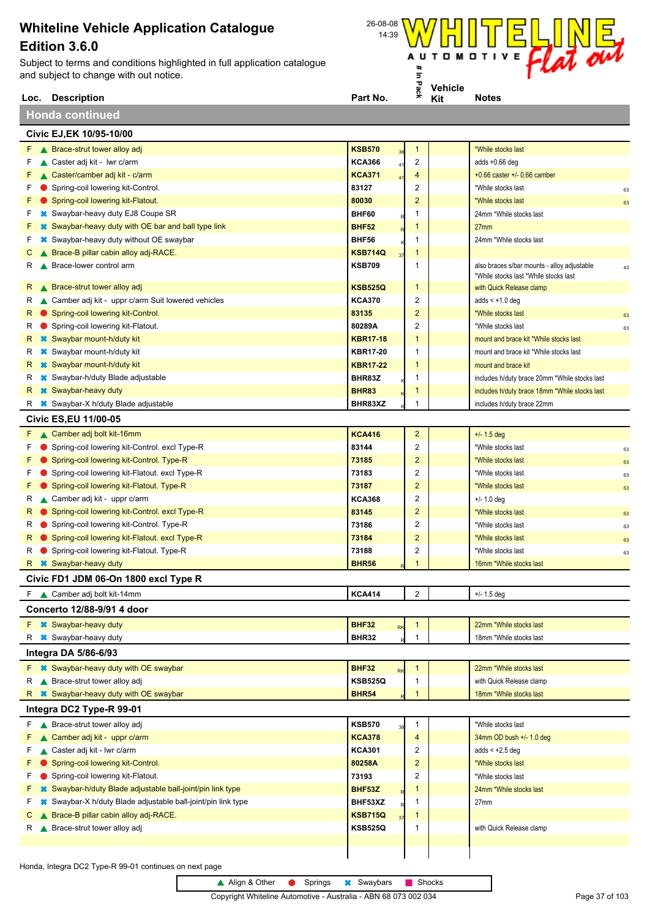Subject to terms and conditions highlighted in full application catalogue and subject to change with out notice.



|    | Honda continued |                                                                                |                 |    |                         |  |                                                                                      |    |
|----|-----------------|--------------------------------------------------------------------------------|-----------------|----|-------------------------|--|--------------------------------------------------------------------------------------|----|
|    |                 | Civic EJ,EK 10/95-10/00                                                        |                 |    |                         |  |                                                                                      |    |
|    |                 | $F \wedge$ Brace-strut tower alloy adj                                         | <b>KSB570</b>   | 36 | 1                       |  | *While stocks last                                                                   |    |
| F. |                 | Caster adj kit - Iwr c/arm                                                     | <b>KCA366</b>   | 41 | 2                       |  | adds $+0.66$ deg                                                                     |    |
| F. |                 | ▲ Caster/camber adj kit - c/arm                                                | <b>KCA371</b>   | 41 | 4                       |  | $+0.66$ caster $+/-0.66$ camber                                                      |    |
| F. |                 | Spring-coil lowering kit-Control.                                              | 83127           |    | 2                       |  | *While stocks last                                                                   | 63 |
| F. |                 | Spring-coil lowering kit-Flatout.                                              | 80030           |    | 2                       |  | *While stocks last                                                                   | 63 |
| F. |                 | <b><sup>■</sup></b> Swaybar-heavy duty EJ8 Coupe SR                            | BHF60           |    | 1                       |  | 24mm *While stocks last                                                              |    |
| F. |                 | <b><sup>■</sup></b> Swaybar-heavy duty with OE bar and ball type link          | <b>BHF52</b>    |    | 1                       |  | 27 <sub>mm</sub>                                                                     |    |
| F. |                 | <b><sup>■</sup></b> Swaybar-heavy duty without OE swaybar                      | <b>BHF56</b>    |    | 1                       |  | 24mm *While stocks last                                                              |    |
| C. |                 | ▲ Brace-B pillar cabin alloy adj-RACE.                                         | KSB714Q         |    | 1                       |  |                                                                                      |    |
|    |                 | R Brace-lower control arm                                                      | <b>KSB709</b>   |    | 1                       |  | also braces s/bar mounts - alloy adjustable<br>*While stocks last *While stocks last | 43 |
|    |                 | R Brace-strut tower alloy adj                                                  | KSB525Q         |    | 1                       |  | with Quick Release clamp                                                             |    |
| R. |                 | Camber adj kit - uppr c/arm Suit lowered vehicles                              | <b>KCA370</b>   |    | 2                       |  | adds $< +1.0$ deg                                                                    |    |
| R  |                 | Spring-coil lowering kit-Control.                                              | 83135           |    | 2                       |  | *While stocks last                                                                   | 63 |
| R  |                 | Spring-coil lowering kit-Flatout.                                              | 80289A          |    | $\overline{\mathbf{c}}$ |  | *While stocks last                                                                   | 63 |
| R. |                 | <b>*</b> Swaybar mount-h/duty kit                                              | <b>KBR17-18</b> |    | 1                       |  | mount and brace kit *While stocks last                                               |    |
| R. |                 | <b>☀</b> Swaybar mount-h/duty kit                                              | <b>KBR17-20</b> |    | 1                       |  | mount and brace kit *While stocks last                                               |    |
| R. |                 | <b>*</b> Swaybar mount-h/duty kit                                              | <b>KBR17-22</b> |    | 1                       |  | mount and brace kit                                                                  |    |
| к  |                 | <b><sup>■</sup></b> Swaybar-h/duty Blade adjustable                            | BHR83Z          |    | 1                       |  | includes h/duty brace 20mm *While stocks last                                        |    |
| R. |                 | <b>*</b> Swaybar-heavy duty                                                    | <b>BHR83</b>    |    | 1                       |  | includes h/duty brace 18mm *While stocks last                                        |    |
| R  |                 | <b>■ Swaybar-X h/duty Blade adjustable</b>                                     | BHR83XZ         |    | 1                       |  | includes h/duty brace 22mm                                                           |    |
|    |                 | <b>Civic ES, EU 11/00-05</b>                                                   |                 |    |                         |  |                                                                                      |    |
|    |                 | $F \wedge$ Camber adj bolt kit-16mm                                            | <b>KCA416</b>   |    | $\overline{c}$          |  | $+/- 1.5$ deg                                                                        |    |
| F. |                 | Spring-coil lowering kit-Control. excl Type-R                                  | 83144           |    | $\overline{\mathbf{c}}$ |  | *While stocks last                                                                   | 63 |
| F. |                 | ● Spring-coil lowering kit-Control. Type-R                                     | 73185           |    | 2                       |  | *While stocks last                                                                   | 63 |
| F. |                 | Spring-coil lowering kit-Flatout. excl Type-R                                  | 73183           |    | 2                       |  | *While stocks last                                                                   | 63 |
| F. |                 | Spring-coil lowering kit-Flatout. Type-R                                       | 73187           |    | 2                       |  | *While stocks last                                                                   | 63 |
| R  |                 | Camber adj kit - uppr c/arm                                                    | <b>KCA368</b>   |    | 2                       |  | $+/- 1.0$ deg                                                                        |    |
| R. |                 | Spring-coil lowering kit-Control. excl Type-R                                  | 83145           |    | 2                       |  | *While stocks last                                                                   | 63 |
| R  |                 | ● Spring-coil lowering kit-Control. Type-R                                     | 73186           |    | 2                       |  | *While stocks last                                                                   | 63 |
| R. |                 | Spring-coil lowering kit-Flatout. excl Type-R                                  | 73184           |    | 2                       |  | *While stocks last                                                                   | 63 |
| R  |                 | Spring-coil lowering kit-Flatout. Type-R                                       | 73188           |    | 2                       |  | *While stocks last                                                                   | 63 |
|    |                 | R <b>*</b> Swaybar-heavy duty                                                  | <b>BHR56</b>    |    | 1                       |  | 16mm *While stocks last                                                              |    |
|    |                 | Civic FD1 JDM 06-On 1800 excl Type R                                           |                 |    |                         |  |                                                                                      |    |
|    |                 | $F \wedge$ Camber adj bolt kit-14mm                                            | <b>KCA414</b>   |    | 2                       |  | $+/- 1.5$ deg                                                                        |    |
|    |                 | Concerto 12/88-9/91 4 door                                                     |                 |    |                         |  |                                                                                      |    |
|    |                 | F * Swaybar-heavy duty                                                         | <b>BHF32</b>    | RK | 1                       |  | 22mm *While stocks last                                                              |    |
|    |                 | R <b>*</b> Swaybar-heavy duty                                                  | <b>BHR32</b>    |    | 1                       |  | 18mm *While stocks last                                                              |    |
|    |                 | Integra DA 5/86-6/93                                                           |                 |    |                         |  |                                                                                      |    |
|    |                 | F * Swaybar-heavy duty with OE swaybar                                         | <b>BHF32</b>    | RK | $\mathbf{1}$            |  | 22mm *While stocks last                                                              |    |
|    |                 | R Brace-strut tower alloy adj                                                  | <b>KSB525Q</b>  |    | 1                       |  | with Quick Release clamp                                                             |    |
|    |                 | R * Swaybar-heavy duty with OE swaybar                                         | <b>BHR54</b>    |    | 1                       |  | 18mm *While stocks last                                                              |    |
|    |                 | Integra DC2 Type-R 99-01                                                       |                 |    |                         |  |                                                                                      |    |
|    |                 | $F \wedge$ Brace-strut tower alloy adj                                         | <b>KSB570</b>   | 36 | 1                       |  | *While stocks last                                                                   |    |
| F. |                 | Camber adj kit - uppr c/arm                                                    | <b>KCA378</b>   |    | 4                       |  | 34mm OD bush +/- 1.0 deg                                                             |    |
| F. |                 | Caster adj kit - Iwr c/arm                                                     | <b>KCA301</b>   |    | 2                       |  | adds $< +2.5$ deg                                                                    |    |
| F. |                 | Spring-coil lowering kit-Control.                                              | 80258A          |    | $\overline{c}$          |  | *While stocks last                                                                   |    |
| F. |                 | Spring-coil lowering kit-Flatout.                                              | 73193           |    | 2                       |  | *While stocks last                                                                   |    |
| F. |                 | <sup>■</sup> Swaybar-h/duty Blade adjustable ball-joint/pin link type          | BHF53Z          |    | 1                       |  | 24mm *While stocks last                                                              |    |
| F. |                 | <b><sup>■</sup></b> Swaybar-X h/duty Blade adjustable ball-joint/pin link type | BHF53XZ         |    | 1                       |  | 27 <sub>mm</sub>                                                                     |    |
| C. |                 | Brace-B pillar cabin alloy adj-RACE.                                           | <b>KSB715Q</b>  |    | 1                       |  |                                                                                      |    |
|    |                 | R Brace-strut tower alloy adj                                                  | <b>KSB525Q</b>  |    | 1                       |  | with Quick Release clamp                                                             |    |
|    |                 |                                                                                |                 |    |                         |  |                                                                                      |    |
|    |                 |                                                                                |                 |    |                         |  |                                                                                      |    |

Honda, Integra DC2 Type-R 99-01 continues on next page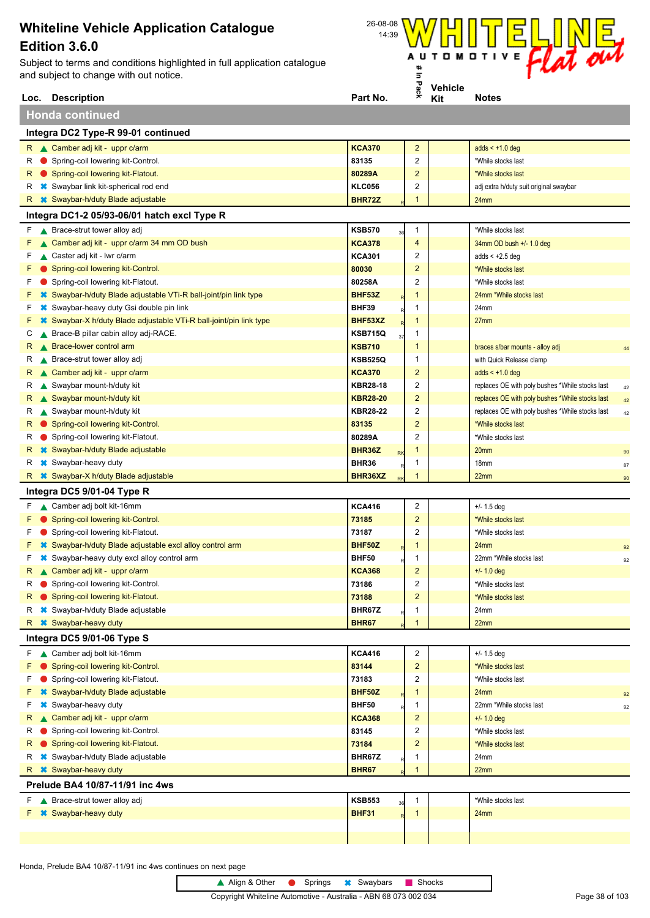Subject to terms and conditions highlighted in full application catalogue and subject to change with out notice.



|        | Loc. Description                                                                     | Part No.                        | ⋇                             | Kit | Notes                                            |    |  |  |  |
|--------|--------------------------------------------------------------------------------------|---------------------------------|-------------------------------|-----|--------------------------------------------------|----|--|--|--|
|        | <b>Honda continued</b>                                                               |                                 |                               |     |                                                  |    |  |  |  |
|        | Integra DC2 Type-R 99-01 continued                                                   |                                 |                               |     |                                                  |    |  |  |  |
| R      | Camber adj kit - uppr c/arm                                                          | <b>KCA370</b>                   | $\overline{2}$                |     | adds $\leq$ +1.0 deg                             |    |  |  |  |
| R      | Spring-coil lowering kit-Control.                                                    | 83135                           | 2                             |     | *While stocks last                               |    |  |  |  |
| R      | Spring-coil lowering kit-Flatout.                                                    | 80289A                          | $\overline{2}$                |     | *While stocks last                               |    |  |  |  |
| R      | <b><sup>■</sup></b> Swaybar link kit-spherical rod end                               | <b>KLC056</b>                   | $\overline{c}$                |     | adj extra h/duty suit original swaybar           |    |  |  |  |
| R.     | <b>*</b> Swaybar-h/duty Blade adjustable                                             | <b>BHR72Z</b>                   | 1                             |     | 24mm                                             |    |  |  |  |
|        | Integra DC1-2 05/93-06/01 hatch excl Type R                                          |                                 |                               |     |                                                  |    |  |  |  |
| F      | ▲ Brace-strut tower alloy adj                                                        | <b>KSB570</b><br>3 <sub>0</sub> | $\mathbf{1}$                  |     | *While stocks last                               |    |  |  |  |
| F      | ▲ Camber adj kit - uppr c/arm 34 mm OD bush                                          | <b>KCA378</b>                   | $\overline{a}$                |     | 34mm OD bush +/- 1.0 deg                         |    |  |  |  |
| F      | Caster adj kit - Iwr c/arm                                                           | <b>KCA301</b>                   | 2                             |     | adds $< +2.5$ deg                                |    |  |  |  |
| F      | Spring-coil lowering kit-Control.                                                    | 80030                           | $\overline{2}$                |     | *While stocks last                               |    |  |  |  |
| F      | Spring-coil lowering kit-Flatout.                                                    | 80258A                          | $\overline{c}$                |     | *While stocks last                               |    |  |  |  |
| F      | <b><sup>■</sup> Swaybar-h/duty Blade adjustable VTi-R ball-joint/pin link type</b>   | BHF53Z                          | $\mathbf{1}$                  |     | 24mm *While stocks last                          |    |  |  |  |
| F      | <u><sup>■</sup></u> Swaybar-heavy duty Gsi double pin link                           | <b>BHF39</b>                    | $\mathbf{1}$                  |     | 24mm                                             |    |  |  |  |
| F      | <b><sup>■</sup> Swaybar-X h/duty Blade adjustable VTi-R ball-joint/pin link type</b> | BHF53XZ                         | $\mathbf{1}$                  |     | 27 <sub>mm</sub>                                 |    |  |  |  |
| С      | ▲ Brace-B pillar cabin alloy adj-RACE.                                               | <b>KSB715Q</b>                  | $\mathbf{1}$                  |     |                                                  |    |  |  |  |
| R      | ▲ Brace-lower control arm                                                            | <b>KSB710</b>                   | $\mathbf{1}$                  |     | braces s/bar mounts - alloy adj                  | 44 |  |  |  |
| R      | ▲ Brace-strut tower alloy adj                                                        | <b>KSB525Q</b><br><b>KCA370</b> | $\mathbf 1$<br>$\overline{2}$ |     | with Quick Release clamp<br>adds $\leq$ +1.0 deg |    |  |  |  |
| R<br>R | Camber adj kit - uppr c/arm<br>Swaybar mount-h/duty kit                              | <b>KBR28-18</b>                 | 2                             |     | replaces OE with poly bushes *While stocks last  |    |  |  |  |
| R      | ▲ Swaybar mount-h/duty kit                                                           | <b>KBR28-20</b>                 | $\overline{2}$                |     | replaces OE with poly bushes *While stocks last  | 42 |  |  |  |
| к      | Swaybar mount-h/duty kit                                                             | <b>KBR28-22</b>                 | 2                             |     | replaces OE with poly bushes *While stocks last  | 42 |  |  |  |
| R      | Spring-coil lowering kit-Control.                                                    | 83135                           | $\overline{2}$                |     | *While stocks last                               | 42 |  |  |  |
| R      | Spring-coil lowering kit-Flatout.                                                    | 80289A                          | $\overline{2}$                |     | *While stocks last                               |    |  |  |  |
| R      | <b>*</b> Swaybar-h/duty Blade adjustable                                             | BHR36Z<br>RK                    | 1                             |     | 20 <sub>mm</sub>                                 | 90 |  |  |  |
| R      | <b>*</b> Swaybar-heavy duty                                                          | <b>BHR36</b>                    | -1                            |     | 18mm                                             | 87 |  |  |  |
| R.     | <b>*</b> Swaybar-X h/duty Blade adjustable                                           | BHR36XZ<br>RK                   |                               |     | 22mm                                             | 90 |  |  |  |
|        | Integra DC5 9/01-04 Type R                                                           |                                 |                               |     |                                                  |    |  |  |  |
| F      | Camber adj bolt kit-16mm                                                             | <b>KCA416</b>                   | $\overline{c}$                |     | $+/- 1.5$ deg                                    |    |  |  |  |
| F      | Spring-coil lowering kit-Control.                                                    | 73185                           | $\overline{2}$                |     | *While stocks last                               |    |  |  |  |
| F      | Spring-coil lowering kit-Flatout.                                                    | 73187                           | $\overline{2}$                |     | *While stocks last                               |    |  |  |  |
| F      | Swaybar-h/duty Blade adjustable excl alloy control arm                               | <b>BHF50Z</b>                   | $\mathbf{1}$                  |     | 24mm                                             | 92 |  |  |  |
| F      | <b><sup>■</sup></b> Swaybar-heavy duty excl alloy control arm                        | <b>BHF50</b>                    | $\mathbf{1}$                  |     | 22mm *While stocks last                          | 92 |  |  |  |
| R.     | ▲ Camber adj kit - uppr c/arm                                                        | <b>KCA368</b>                   | $\overline{c}$                |     | $+/- 1.0$ deg                                    |    |  |  |  |
|        | Spring-coil lowering kit-Control.                                                    | 73186                           | 2                             |     | *While stocks last                               |    |  |  |  |
| R      | Spring-coil lowering kit-Flatout.                                                    | 73188                           | $\overline{2}$                |     | *While stocks last                               |    |  |  |  |
| R      | <b><sup>■</sup></b> Swaybar-h/duty Blade adjustable                                  | BHR67Z                          | 1                             |     | 24mm                                             |    |  |  |  |
| R.     | <b>*</b> Swaybar-heavy duty                                                          | <b>BHR67</b>                    |                               |     | 22mm                                             |    |  |  |  |
|        | Integra DC5 9/01-06 Type S                                                           |                                 |                               |     |                                                  |    |  |  |  |
| F.     | Camber adj bolt kit-16mm                                                             | <b>KCA416</b>                   | $\overline{c}$                |     | $+/- 1.5$ deg                                    |    |  |  |  |
| F      | Spring-coil lowering kit-Control.                                                    | 83144                           | $\overline{2}$                |     | *While stocks last                               |    |  |  |  |
| F      | Spring-coil lowering kit-Flatout.                                                    | 73183                           | $\overline{2}$                |     | *While stocks last                               |    |  |  |  |
| F      | <b>*</b> Swaybar-h/duty Blade adjustable                                             | BHF50Z                          | 1                             |     | 24mm                                             | 92 |  |  |  |
| F      | Swaybar-heavy duty                                                                   | <b>BHF50</b>                    | $\mathbf{1}$                  |     | 22mm *While stocks last                          | 92 |  |  |  |
| R      | Camber adj kit - uppr c/arm                                                          | <b>KCA368</b>                   | $\overline{2}$                |     | $+/- 1.0$ deg                                    |    |  |  |  |
| R<br>R | Spring-coil lowering kit-Control.<br>Spring-coil lowering kit-Flatout.               | 83145<br>73184                  | 2<br>$\overline{2}$           |     | *While stocks last<br>*While stocks last         |    |  |  |  |
| R      | <b><sup>■</sup></b> Swaybar-h/duty Blade adjustable                                  | BHR67Z                          | 1                             |     | 24mm                                             |    |  |  |  |
| R.     | <b>*</b> Swaybar-heavy duty                                                          | <b>BHR67</b>                    | 1                             |     | 22mm                                             |    |  |  |  |
|        | Prelude BA4 10/87-11/91 inc 4ws                                                      |                                 |                               |     |                                                  |    |  |  |  |
|        |                                                                                      |                                 |                               |     |                                                  |    |  |  |  |
| F      | ▲ Brace-strut tower alloy adj                                                        | <b>KSB553</b><br>36             | $\mathbf{1}$                  |     | *While stocks last                               |    |  |  |  |
| F      | <b>*</b> Swaybar-heavy duty                                                          | <b>BHF31</b>                    | $\mathbf{1}$                  |     | 24mm                                             |    |  |  |  |
|        |                                                                                      |                                 |                               |     |                                                  |    |  |  |  |

Honda, Prelude BA4 10/87-11/91 inc 4ws continues on next page

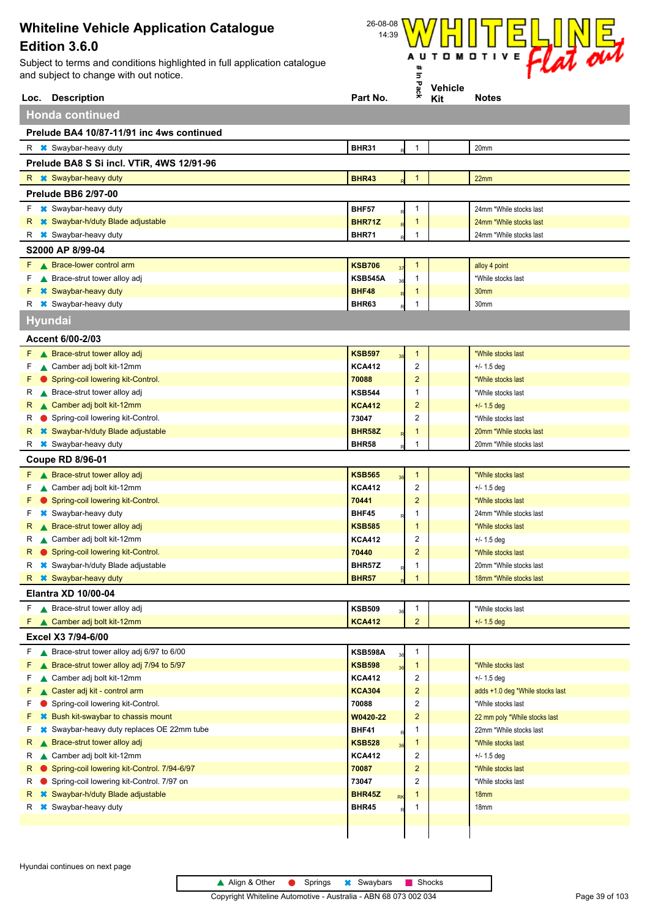

| <b>Description</b><br>Loc.                                                                                    | Part No.                        |    | ack                 | <b>Vehicle</b><br>Kit | <b>Notes</b>                                             |
|---------------------------------------------------------------------------------------------------------------|---------------------------------|----|---------------------|-----------------------|----------------------------------------------------------|
| Honda continued                                                                                               |                                 |    |                     |                       |                                                          |
| Prelude BA4 10/87-11/91 inc 4ws continued                                                                     |                                 |    |                     |                       |                                                          |
| R <b>*</b> Swaybar-heavy duty                                                                                 | <b>BHR31</b>                    |    | 1                   |                       | 20mm                                                     |
|                                                                                                               |                                 |    |                     |                       |                                                          |
| Prelude BA8 S Si incl. VTiR, 4WS 12/91-96                                                                     |                                 |    |                     |                       |                                                          |
| R <b>*</b> Swaybar-heavy duty                                                                                 | <b>BHR43</b>                    |    | $\mathbf{1}$        |                       | 22mm                                                     |
| <b>Prelude BB6 2/97-00</b>                                                                                    |                                 |    |                     |                       |                                                          |
| <b>*</b> Swaybar-heavy duty<br>F.                                                                             | <b>BHF57</b>                    |    | $\mathbf{1}$        |                       | 24mm *While stocks last                                  |
| <b>*</b> Swaybar-h/duty Blade adjustable<br>R                                                                 | <b>BHR71Z</b>                   |    | $\mathbf{1}$<br>1   |                       | 24mm *While stocks last                                  |
| <b>*</b> Swaybar-heavy duty<br>к                                                                              | <b>BHR71</b>                    |    |                     |                       | 24mm *While stocks last                                  |
| S2000 AP 8/99-04                                                                                              |                                 |    |                     |                       |                                                          |
| ▲ Brace-lower control arm<br>F.                                                                               | <b>KSB706</b><br><b>KSB545A</b> | 37 | $\mathbf{1}$        |                       | alloy 4 point                                            |
| ▲ Brace-strut tower alloy adj<br>F<br><b>*</b> Swaybar-heavy duty<br>F                                        | <b>BHF48</b>                    | 36 | 1<br>$\mathbf{1}$   |                       | *While stocks last<br>30mm                               |
| <b>*</b> Swaybar-heavy duty<br>R                                                                              | BHR63                           |    | 1                   |                       | 30mm                                                     |
| <b>Hyundai</b>                                                                                                |                                 |    |                     |                       |                                                          |
|                                                                                                               |                                 |    |                     |                       |                                                          |
| <b>Accent 6/00-2/03</b>                                                                                       |                                 |    |                     |                       |                                                          |
| ▲ Brace-strut tower alloy adj<br>F.                                                                           | <b>KSB597</b>                   |    | $\mathbf{1}$        |                       | *While stocks last                                       |
| Camber adj bolt kit-12mm<br>F                                                                                 | <b>KCA412</b>                   |    | $\overline{c}$      |                       | $+/- 1.5$ deg                                            |
| Spring-coil lowering kit-Control.<br>F                                                                        | 70088                           |    | $\overline{2}$      |                       | *While stocks last                                       |
| Brace-strut tower alloy adj<br>R                                                                              | <b>KSB544</b>                   |    | 1<br>$\overline{2}$ |                       | *While stocks last                                       |
| ▲ Camber adj bolt kit-12mm<br>R<br>Spring-coil lowering kit-Control.<br>R                                     | <b>KCA412</b><br>73047          |    | 2                   |                       | $+/- 1.5$ deg<br>*While stocks last                      |
| <b>*</b> Swaybar-h/duty Blade adjustable<br>R                                                                 | <b>BHR58Z</b>                   |    | $\mathbf 1$         |                       | 20mm *While stocks last                                  |
| <b>*</b> Swaybar-heavy duty<br>R                                                                              | <b>BHR58</b>                    |    | 1                   |                       | 20mm *While stocks last                                  |
| <b>Coupe RD 8/96-01</b>                                                                                       |                                 |    |                     |                       |                                                          |
| ▲ Brace-strut tower alloy adj<br>F.                                                                           | <b>KSB565</b>                   |    | $\mathbf{1}$        |                       | *While stocks last                                       |
| Camber adj bolt kit-12mm<br>F                                                                                 | <b>KCA412</b>                   |    | $\overline{c}$      |                       | $+/- 1.5$ deg                                            |
| Spring-coil lowering kit-Control.<br>F                                                                        | 70441                           |    | $\overline{2}$      |                       | *While stocks last                                       |
| <b>*</b> Swaybar-heavy duty<br>F                                                                              | <b>BHF45</b>                    |    | 1                   |                       | 24mm *While stocks last                                  |
| ▲ Brace-strut tower alloy adj<br>R                                                                            | <b>KSB585</b>                   |    | $\mathbf{1}$        |                       | *While stocks last                                       |
| Camber adj bolt kit-12mm<br>R                                                                                 | <b>KCA412</b>                   |    | 2                   |                       | $+/- 1.5$ deg                                            |
| Spring-coil lowering kit-Control.<br>R                                                                        | 70440                           |    | $\overline{2}$      |                       | *While stocks last                                       |
| <b>*</b> Swaybar-h/duty Blade adjustable<br>R                                                                 | BHR57Z                          |    | 1                   |                       | 20mm *While stocks last                                  |
| R <b>*</b> Swaybar-heavy duty                                                                                 | <b>BHR57</b>                    |    | $\mathbf{1}$        |                       | 18mm *While stocks last                                  |
| Elantra XD 10/00-04                                                                                           |                                 |    |                     |                       |                                                          |
| Brace-strut tower alloy adj<br>F.                                                                             | <b>KSB509</b>                   | 36 | $\mathbf{1}$        |                       | *While stocks last                                       |
| Camber adj bolt kit-12mm                                                                                      | <b>KCA412</b>                   |    | $\overline{2}$      |                       | $+/- 1.5$ deg                                            |
| Excel X3 7/94-6/00                                                                                            |                                 |    |                     |                       |                                                          |
| F Reflecter Brace-strut tower alloy adj 6/97 to 6/00                                                          | <b>KSB598A</b>                  | 36 | $\mathbf{1}$        |                       |                                                          |
| ▲ Brace-strut tower alloy adj 7/94 to 5/97<br>F.                                                              | <b>KSB598</b>                   | 36 | $\mathbf{1}$        |                       | *While stocks last                                       |
| ▲ Camber adj bolt kit-12mm<br>F.                                                                              | <b>KCA412</b>                   |    | 2                   |                       | $+/- 1.5$ deg                                            |
| Caster adj kit - control arm<br>F                                                                             | <b>KCA304</b>                   |    | $\overline{2}$      |                       | adds +1.0 deg *While stocks last                         |
| Spring-coil lowering kit-Control.<br>F                                                                        | 70088                           |    | 2                   |                       | *While stocks last                                       |
| <b>*</b> Bush kit-swaybar to chassis mount<br>F<br><sup>*</sup> Swaybar-heavy duty replaces OE 22mm tube<br>F | W0420-22<br><b>BHF41</b>        |    | $\overline{c}$<br>1 |                       | 22 mm poly *While stocks last<br>22mm *While stocks last |
| ▲ Brace-strut tower alloy adj<br>R                                                                            | <b>KSB528</b>                   |    | $\mathbf{1}$        |                       | *While stocks last                                       |
| Camber adj bolt kit-12mm<br>R                                                                                 | <b>KCA412</b>                   |    | 2                   |                       | $+/- 1.5$ deg                                            |
| Spring-coil lowering kit-Control. 7/94-6/97<br>R                                                              | 70087                           |    | $\overline{2}$      |                       | *While stocks last                                       |
| Spring-coil lowering kit-Control. 7/97 on<br>R                                                                | 73047                           |    | 2                   |                       | *While stocks last                                       |
| <b>*</b> Swaybar-h/duty Blade adjustable<br>R                                                                 | <b>BHR45Z</b>                   | RK | 1                   |                       | 18 <sub>mm</sub>                                         |
| R <b>*</b> Swaybar-heavy duty                                                                                 | <b>BHR45</b>                    |    | 1                   |                       | 18mm                                                     |
|                                                                                                               |                                 |    |                     |                       |                                                          |
|                                                                                                               |                                 |    |                     |                       |                                                          |

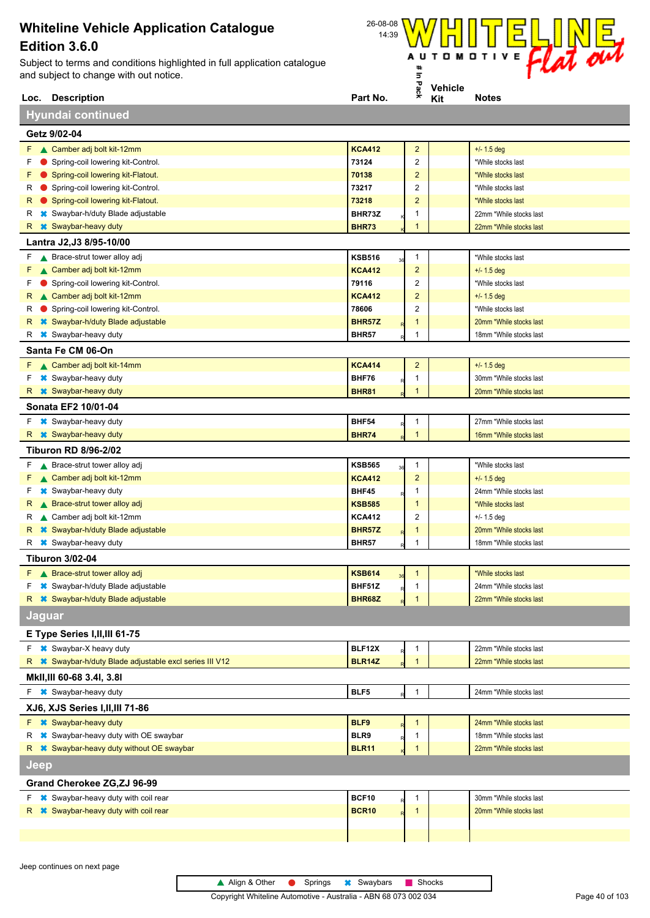

|               | Loc. Description                                             | Part No.                        | *              | Kit | <b>Notes</b>            |
|---------------|--------------------------------------------------------------|---------------------------------|----------------|-----|-------------------------|
|               | <b>Hyundai continued</b>                                     |                                 |                |     |                         |
|               | Getz 9/02-04                                                 |                                 |                |     |                         |
|               | F Camber adj bolt kit-12mm                                   | <b>KCA412</b>                   | $\overline{2}$ |     | $+/- 1.5$ deg           |
| F             | Spring-coil lowering kit-Control.                            | 73124                           | $\overline{c}$ |     | *While stocks last      |
| F             | Spring-coil lowering kit-Flatout.                            | 70138                           | $\overline{2}$ |     | *While stocks last      |
| R             | Spring-coil lowering kit-Control.                            | 73217                           | $\overline{2}$ |     | *While stocks last      |
| R             | Spring-coil lowering kit-Flatout.                            | 73218                           | $\overline{2}$ |     | *While stocks last      |
| R             | <b><sup>■</sup></b> Swaybar-h/duty Blade adjustable          | BHR73Z                          | 1              |     | 22mm *While stocks last |
| R             | <b>*</b> Swaybar-heavy duty                                  | <b>BHR73</b>                    |                |     | 22mm *While stocks last |
|               | Lantra J2, J3 8/95-10/00                                     |                                 |                |     |                         |
| F             | ▲ Brace-strut tower alloy adj                                | <b>KSB516</b><br>3 <sub>0</sub> | $\mathbf{1}$   |     | *While stocks last      |
| F             | ▲ Camber adj bolt kit-12mm                                   | <b>KCA412</b>                   | $\overline{2}$ |     | $+/- 1.5$ deg           |
| F             | Spring-coil lowering kit-Control.                            | 79116                           | $\overline{2}$ |     | *While stocks last      |
| R             | ▲ Camber adj bolt kit-12mm                                   | <b>KCA412</b>                   | $\overline{2}$ |     | $+/- 1.5$ deg           |
| R             | Spring-coil lowering kit-Control.                            | 78606                           | $\overline{2}$ |     | *While stocks last      |
| R             | <b>*</b> Swaybar-h/duty Blade adjustable                     | <b>BHR57Z</b>                   | 1              |     | 20mm *While stocks last |
| R             | <b><sup>■</sup></b> Swaybar-heavy duty                       | <b>BHR57</b>                    | 1              |     | 18mm *While stocks last |
|               | Santa Fe CM 06-On                                            |                                 |                |     |                         |
|               | F Camber adj bolt kit-14mm                                   | <b>KCA414</b>                   | $\overline{2}$ |     | $+/- 1.5$ deg           |
| F             | <b>*</b> Swaybar-heavy duty                                  | <b>BHF76</b>                    | $\mathbf{1}$   |     | 30mm *While stocks last |
|               | R <b>*</b> Swaybar-heavy duty                                | <b>BHR81</b>                    | 1              |     | 20mm *While stocks last |
|               | Sonata EF2 10/01-04                                          |                                 |                |     |                         |
| F.            | <b>*</b> Swaybar-heavy duty                                  | <b>BHF54</b>                    | 1              |     | 27mm *While stocks last |
| R.            | <b>*</b> Swaybar-heavy duty                                  | <b>BHR74</b>                    | $\mathbf 1$    |     | 16mm *While stocks last |
|               | <b>Tiburon RD 8/96-2/02</b>                                  |                                 |                |     |                         |
| F.            | ▲ Brace-strut tower alloy adj                                | <b>KSB565</b><br>36             | $\mathbf{1}$   |     | *While stocks last      |
| F             | ▲ Camber adj bolt kit-12mm                                   | <b>KCA412</b>                   | $\overline{2}$ |     | $+/- 1.5$ deg           |
| F             | <b>*</b> Swaybar-heavy duty                                  | <b>BHF45</b>                    | $\mathbf{1}$   |     | 24mm *While stocks last |
| R             | ▲ Brace-strut tower alloy adj                                | <b>KSB585</b>                   | $\mathbf{1}$   |     | *While stocks last      |
| R             | Camber adj bolt kit-12mm                                     | <b>KCA412</b>                   | $\overline{c}$ |     | $+/- 1.5$ deg           |
| R             | <b>*</b> Swaybar-h/duty Blade adjustable                     | <b>BHR57Z</b>                   | $\mathbf{1}$   |     | 20mm *While stocks last |
| R             | <b>*</b> Swaybar-heavy duty                                  | <b>BHR57</b>                    | 1              |     | 18mm *While stocks last |
|               | Tiburon 3/02-04                                              |                                 |                |     |                         |
|               | F A Brace-strut tower alloy adj                              | <b>KSB614</b><br>36             | $\mathbf{1}$   |     | *While stocks last      |
|               | <b>*</b> Swaybar-h/duty Blade adjustable                     | BHF51Z                          | $\mathbf{1}$   |     | 24mm *While stocks last |
| R.            | <b>*</b> Swaybar-h/duty Blade adjustable                     | BHR68Z                          | $\overline{1}$ |     | 22mm *While stocks last |
| <b>Jaguar</b> |                                                              |                                 |                |     |                         |
|               | E Type Series I, II, III 61-75                               |                                 |                |     |                         |
| F.            | <b>*</b> Swaybar-X heavy duty                                | BLF12X                          | $\mathbf{1}$   |     | 22mm *While stocks last |
| R.            | <b>*</b> Swaybar-h/duty Blade adjustable excl series III V12 | <b>BLR14Z</b>                   | $\mathbf{1}$   |     | 22mm *While stocks last |
|               | MkII, III 60-68 3.4I, 3.8I                                   |                                 |                |     |                         |
|               | F * Swaybar-heavy duty                                       | BLF5                            | $\mathbf{1}$   |     | 24mm *While stocks last |
|               | XJ6, XJS Series I, II, III 71-86                             |                                 |                |     |                         |
|               | F <b>*</b> Swaybar-heavy duty                                | BLF9                            | $\mathbf{1}$   |     | 24mm *While stocks last |
| R             | <b><sup>■</sup></b> Swaybar-heavy duty with OE swaybar       | BLR9                            | 1              |     | 18mm *While stocks last |
| R             | <b>*</b> Swaybar-heavy duty without OE swaybar               | <b>BLR11</b>                    | $\mathbf{1}$   |     | 22mm *While stocks last |
| Jeep          |                                                              |                                 |                |     |                         |
|               | Grand Cherokee ZG, ZJ 96-99                                  |                                 |                |     |                         |
| F.            | <b>*</b> Swaybar-heavy duty with coil rear                   | BCF10                           | 1              |     | 30mm *While stocks last |
| R.            | <b>*</b> Swaybar-heavy duty with coil rear                   | <b>BCR10</b>                    | $\mathbf{1}$   |     | 20mm *While stocks last |
|               |                                                              |                                 |                |     |                         |
|               |                                                              |                                 |                |     |                         |

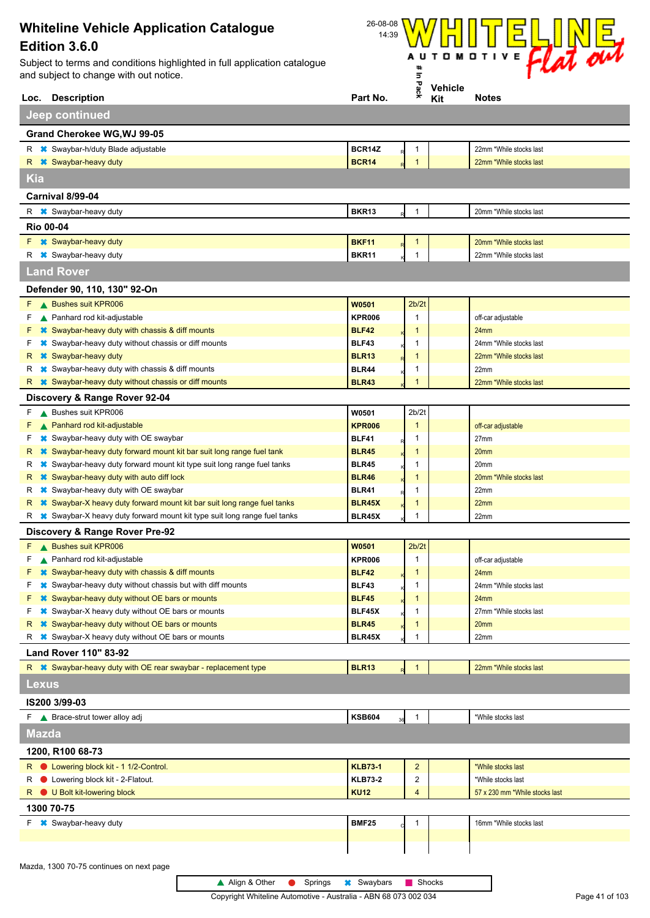

| <b>BCR14Z</b><br><b>BCR14</b><br>BKR13<br>R<br><b>BKF11</b><br><b>BKR11</b><br>W0501<br><b>KPR006</b><br><b>BLF42</b><br><b>BLF43</b><br><b>BLR13</b><br><b>BLR44</b><br><b>BLR43</b><br>W0501<br><b>KPR006</b><br><b>BLF41</b><br><b>BLR45</b> | $\mathbf{1}$<br>$\overline{1}$<br>$\mathbf{1}$<br>$\mathbf{1}$<br>$\overline{1}$<br>2b/2t<br>$\mathbf{1}$<br>$\mathbf 1$<br>1<br>$\mathbf 1$<br>1<br>1<br>2b/2t<br>$\mathbf{1}$ |                    | 22mm *While stocks last<br>22mm *While stocks last<br>20mm *While stocks last<br>20mm *While stocks last<br>22mm *While stocks last<br>off-car adjustable<br>24mm<br>24mm *While stocks last<br>22mm *While stocks last<br>22mm<br>22mm *While stocks last |
|-------------------------------------------------------------------------------------------------------------------------------------------------------------------------------------------------------------------------------------------------|---------------------------------------------------------------------------------------------------------------------------------------------------------------------------------|--------------------|------------------------------------------------------------------------------------------------------------------------------------------------------------------------------------------------------------------------------------------------------------|
|                                                                                                                                                                                                                                                 |                                                                                                                                                                                 |                    |                                                                                                                                                                                                                                                            |
|                                                                                                                                                                                                                                                 |                                                                                                                                                                                 |                    |                                                                                                                                                                                                                                                            |
|                                                                                                                                                                                                                                                 |                                                                                                                                                                                 |                    |                                                                                                                                                                                                                                                            |
|                                                                                                                                                                                                                                                 |                                                                                                                                                                                 |                    |                                                                                                                                                                                                                                                            |
|                                                                                                                                                                                                                                                 |                                                                                                                                                                                 |                    |                                                                                                                                                                                                                                                            |
|                                                                                                                                                                                                                                                 |                                                                                                                                                                                 |                    |                                                                                                                                                                                                                                                            |
|                                                                                                                                                                                                                                                 |                                                                                                                                                                                 |                    |                                                                                                                                                                                                                                                            |
|                                                                                                                                                                                                                                                 |                                                                                                                                                                                 |                    |                                                                                                                                                                                                                                                            |
|                                                                                                                                                                                                                                                 |                                                                                                                                                                                 |                    |                                                                                                                                                                                                                                                            |
|                                                                                                                                                                                                                                                 |                                                                                                                                                                                 |                    |                                                                                                                                                                                                                                                            |
|                                                                                                                                                                                                                                                 |                                                                                                                                                                                 |                    |                                                                                                                                                                                                                                                            |
|                                                                                                                                                                                                                                                 |                                                                                                                                                                                 |                    |                                                                                                                                                                                                                                                            |
|                                                                                                                                                                                                                                                 |                                                                                                                                                                                 |                    |                                                                                                                                                                                                                                                            |
|                                                                                                                                                                                                                                                 |                                                                                                                                                                                 |                    |                                                                                                                                                                                                                                                            |
|                                                                                                                                                                                                                                                 |                                                                                                                                                                                 |                    |                                                                                                                                                                                                                                                            |
|                                                                                                                                                                                                                                                 |                                                                                                                                                                                 |                    |                                                                                                                                                                                                                                                            |
|                                                                                                                                                                                                                                                 |                                                                                                                                                                                 |                    |                                                                                                                                                                                                                                                            |
|                                                                                                                                                                                                                                                 |                                                                                                                                                                                 |                    |                                                                                                                                                                                                                                                            |
|                                                                                                                                                                                                                                                 |                                                                                                                                                                                 |                    |                                                                                                                                                                                                                                                            |
|                                                                                                                                                                                                                                                 |                                                                                                                                                                                 |                    |                                                                                                                                                                                                                                                            |
|                                                                                                                                                                                                                                                 |                                                                                                                                                                                 |                    |                                                                                                                                                                                                                                                            |
|                                                                                                                                                                                                                                                 |                                                                                                                                                                                 |                    | off-car adjustable                                                                                                                                                                                                                                         |
|                                                                                                                                                                                                                                                 | $\mathbf 1$                                                                                                                                                                     |                    | 27mm                                                                                                                                                                                                                                                       |
|                                                                                                                                                                                                                                                 | $\mathbf{1}$                                                                                                                                                                    |                    | 20mm                                                                                                                                                                                                                                                       |
| <b>BLR45</b>                                                                                                                                                                                                                                    | 1                                                                                                                                                                               |                    | 20mm                                                                                                                                                                                                                                                       |
| <b>BLR46</b>                                                                                                                                                                                                                                    | 1                                                                                                                                                                               |                    | 20mm *While stocks last                                                                                                                                                                                                                                    |
| <b>BLR41</b>                                                                                                                                                                                                                                    | 1                                                                                                                                                                               |                    | 22mm                                                                                                                                                                                                                                                       |
| <b>BLR45X</b>                                                                                                                                                                                                                                   | 1                                                                                                                                                                               |                    | 22mm                                                                                                                                                                                                                                                       |
| BLR45X                                                                                                                                                                                                                                          | 1                                                                                                                                                                               |                    | 22mm                                                                                                                                                                                                                                                       |
|                                                                                                                                                                                                                                                 |                                                                                                                                                                                 |                    |                                                                                                                                                                                                                                                            |
| W0501                                                                                                                                                                                                                                           | 2 <sub>b</sub> /2t                                                                                                                                                              |                    |                                                                                                                                                                                                                                                            |
| <b>KPR006</b>                                                                                                                                                                                                                                   | $\mathbf 1$                                                                                                                                                                     |                    | off-car adjustable                                                                                                                                                                                                                                         |
| <b>BLF42</b>                                                                                                                                                                                                                                    | $\mathbf{1}$                                                                                                                                                                    |                    | 24mm                                                                                                                                                                                                                                                       |
| <b>BLF43</b>                                                                                                                                                                                                                                    | 1                                                                                                                                                                               |                    | 24mm *While stocks last                                                                                                                                                                                                                                    |
| <b>BLF45</b>                                                                                                                                                                                                                                    | $\mathbf{1}$                                                                                                                                                                    |                    | 24mm                                                                                                                                                                                                                                                       |
| BLF45X                                                                                                                                                                                                                                          | 1                                                                                                                                                                               |                    | 27mm *While stocks last                                                                                                                                                                                                                                    |
| <b>BLR45</b>                                                                                                                                                                                                                                    | 1                                                                                                                                                                               |                    | 20mm                                                                                                                                                                                                                                                       |
|                                                                                                                                                                                                                                                 | 1                                                                                                                                                                               |                    | 22mm                                                                                                                                                                                                                                                       |
|                                                                                                                                                                                                                                                 |                                                                                                                                                                                 |                    |                                                                                                                                                                                                                                                            |
|                                                                                                                                                                                                                                                 | $\mathbf{1}$                                                                                                                                                                    |                    | 22mm *While stocks last                                                                                                                                                                                                                                    |
|                                                                                                                                                                                                                                                 |                                                                                                                                                                                 |                    |                                                                                                                                                                                                                                                            |
|                                                                                                                                                                                                                                                 |                                                                                                                                                                                 |                    |                                                                                                                                                                                                                                                            |
|                                                                                                                                                                                                                                                 | $\mathbf{1}$                                                                                                                                                                    |                    | *While stocks last                                                                                                                                                                                                                                         |
|                                                                                                                                                                                                                                                 |                                                                                                                                                                                 |                    |                                                                                                                                                                                                                                                            |
|                                                                                                                                                                                                                                                 |                                                                                                                                                                                 |                    |                                                                                                                                                                                                                                                            |
|                                                                                                                                                                                                                                                 | $\overline{2}$                                                                                                                                                                  |                    | *While stocks last                                                                                                                                                                                                                                         |
|                                                                                                                                                                                                                                                 | 2                                                                                                                                                                               |                    | *While stocks last                                                                                                                                                                                                                                         |
|                                                                                                                                                                                                                                                 | 4                                                                                                                                                                               |                    | 57 x 230 mm *While stocks last                                                                                                                                                                                                                             |
|                                                                                                                                                                                                                                                 |                                                                                                                                                                                 |                    |                                                                                                                                                                                                                                                            |
|                                                                                                                                                                                                                                                 |                                                                                                                                                                                 |                    | 16mm *While stocks last                                                                                                                                                                                                                                    |
|                                                                                                                                                                                                                                                 | $\mathbf{1}$                                                                                                                                                                    |                    |                                                                                                                                                                                                                                                            |
|                                                                                                                                                                                                                                                 |                                                                                                                                                                                 |                    |                                                                                                                                                                                                                                                            |
|                                                                                                                                                                                                                                                 |                                                                                                                                                                                 |                    |                                                                                                                                                                                                                                                            |
|                                                                                                                                                                                                                                                 | BLR45X<br><b>BLR13</b><br><b>KSB604</b><br><b>KLB73-1</b><br><b>KLB73-2</b><br><b>KU12</b>                                                                                      | 36<br><b>BMF25</b> |                                                                                                                                                                                                                                                            |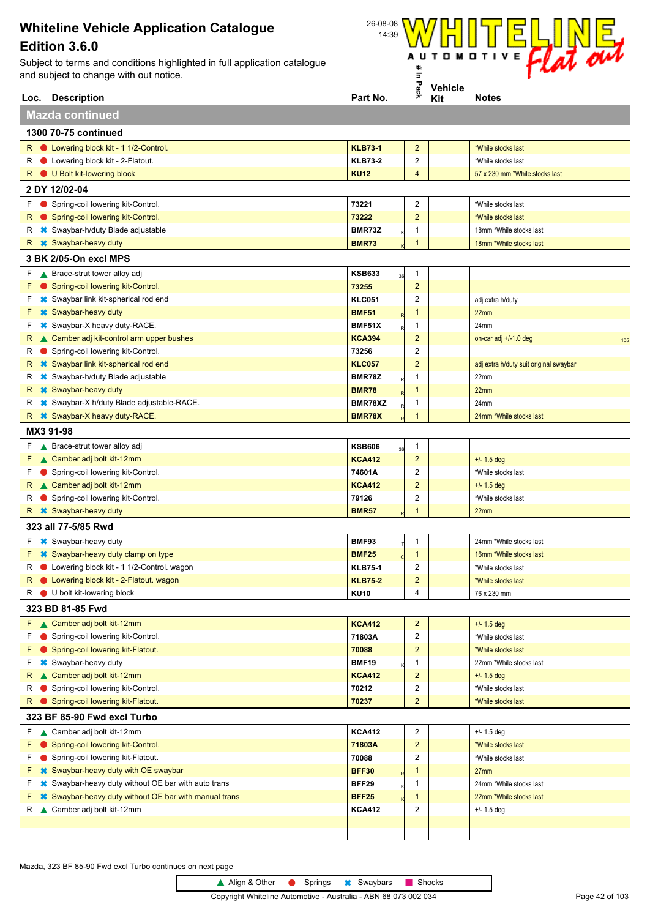Subject to terms and conditions highlighted in full application catalogue and subject to change with out notice.



|        | Loc. Description                                                                                   | Part No.                | ⋇                   | Kit | <b>Notes</b>                           |
|--------|----------------------------------------------------------------------------------------------------|-------------------------|---------------------|-----|----------------------------------------|
|        | <b>Mazda continued</b>                                                                             |                         |                     |     |                                        |
|        | 1300 70-75 continued                                                                               |                         |                     |     |                                        |
|        | R C Lowering block kit - 1 1/2-Control.                                                            | <b>KLB73-1</b>          | $\overline{2}$      |     | *While stocks last                     |
| R      | • Lowering block kit - 2-Flatout.                                                                  | <b>KLB73-2</b>          | 2                   |     | *While stocks last                     |
| R      | U Bolt kit-lowering block                                                                          | <b>KU12</b>             | 4                   |     | 57 x 230 mm *While stocks last         |
|        | 2 DY 12/02-04                                                                                      |                         |                     |     |                                        |
| F.     | Spring-coil lowering kit-Control.                                                                  | 73221                   | $\overline{2}$      |     | *While stocks last                     |
| R      | Spring-coil lowering kit-Control.                                                                  | 73222                   | $\overline{2}$      |     | *While stocks last                     |
| R      | <b>☀</b> Swaybar-h/duty Blade adjustable                                                           | BMR73Z                  | 1                   |     | 18mm *While stocks last                |
| R      | <b>*</b> Swaybar-heavy duty                                                                        | <b>BMR73</b>            | 1                   |     | 18mm *While stocks last                |
|        | 3 BK 2/05-On excl MPS                                                                              |                         |                     |     |                                        |
|        | $F \wedge$ Brace-strut tower alloy adj                                                             | <b>KSB633</b>           | $\mathbf{1}$        |     |                                        |
| F      | Spring-coil lowering kit-Control.                                                                  | 73255                   | $\overline{2}$      |     |                                        |
| F      | <b></b> Swaybar link kit-spherical rod end                                                         | <b>KLC051</b>           | $\overline{2}$      |     | adj extra h/duty                       |
| F      | <b>*</b> Swaybar-heavy duty                                                                        | <b>BMF51</b>            | 1                   |     | 22mm                                   |
| F      | <b>X</b> Swaybar-X heavy duty-RACE.                                                                | BMF51X                  | -1                  |     | 24mm                                   |
| R      | Camber adj kit-control arm upper bushes                                                            | <b>KCA394</b>           | $\overline{c}$      |     | on-car adj +/-1.0 deg<br>105           |
| R      | Spring-coil lowering kit-Control.                                                                  | 73256                   | 2                   |     |                                        |
| R      | <b>*</b> Swaybar link kit-spherical rod end                                                        | <b>KLC057</b>           | $\overline{2}$      |     | adj extra h/duty suit original swaybar |
| R      | <b><sup>■</sup></b> Swaybar-h/duty Blade adjustable                                                | <b>BMR78Z</b>           | $\mathbf 1$         |     | 22mm                                   |
| R      | <b>*</b> Swaybar-heavy duty                                                                        | <b>BMR78</b><br>BMR78XZ | -1<br>-1            |     | 22mm                                   |
| R<br>R | <b><sup>■</sup></b> Swaybar-X h/duty Blade adjustable-RACE.<br><b>*</b> Swaybar-X heavy duty-RACE. | <b>BMR78X</b>           | 1                   |     | 24mm<br>24mm *While stocks last        |
|        |                                                                                                    |                         |                     |     |                                        |
|        | MX3 91-98                                                                                          |                         |                     |     |                                        |
| F.     | Brace-strut tower alloy adj                                                                        | <b>KSB606</b>           | $\mathbf{1}$        |     |                                        |
| F      | Camber adj bolt kit-12mm                                                                           | <b>KCA412</b>           | $\overline{2}$      |     | $+/- 1.5$ deg                          |
| F<br>R | Spring-coil lowering kit-Control.<br>Camber adj bolt kit-12mm                                      | 74601A<br><b>KCA412</b> | 2<br>$\overline{2}$ |     | *While stocks last<br>$+/- 1.5$ deg    |
| R      | Spring-coil lowering kit-Control.                                                                  | 79126                   | 2                   |     | *While stocks last                     |
| R.     | <b>*</b> Swaybar-heavy duty                                                                        | <b>BMR57</b>            | 1                   |     | 22mm                                   |
|        | 323 all 77-5/85 Rwd                                                                                |                         |                     |     |                                        |
| F.     | <b>*</b> Swaybar-heavy duty                                                                        | <b>BMF93</b>            | $\mathbf{1}$        |     | 24mm *While stocks last                |
| F      | <b>*</b> Swaybar-heavy duty clamp on type                                                          | <b>BMF25</b>            | $\mathbf{1}$        |     | 16mm *While stocks last                |
| R      | Lowering block kit - 1 1/2-Control. wagon                                                          | <b>KLB75-1</b>          | 2                   |     | *While stocks last                     |
| R      | C Lowering block kit - 2-Flatout. wagon                                                            | <b>KLB75-2</b>          | $\overline{2}$      |     | *While stocks last                     |
|        | R U bolt kit-lowering block                                                                        | <b>KU10</b>             | $\overline{4}$      |     | 76 x 230 mm                            |
|        | 323 BD 81-85 Fwd                                                                                   |                         |                     |     |                                        |
|        | F Camber adj bolt kit-12mm                                                                         | <b>KCA412</b>           | $\overline{2}$      |     | $+/- 1.5$ deg                          |
| F      | Spring-coil lowering kit-Control.                                                                  | 71803A                  | $\overline{2}$      |     | *While stocks last                     |
| F      | Spring-coil lowering kit-Flatout.                                                                  | 70088                   | $\overline{c}$      |     | *While stocks last                     |
| F      | <b>*</b> Swaybar-heavy duty                                                                        | <b>BMF19</b>            | 1                   |     | 22mm *While stocks last                |
| R      | ▲ Camber adj bolt kit-12mm                                                                         | <b>KCA412</b>           | $\overline{c}$      |     | $+/- 1.5$ deg                          |
| R      | Spring-coil lowering kit-Control.                                                                  | 70212                   | 2                   |     | *While stocks last                     |
|        | R Spring-coil lowering kit-Flatout.                                                                | 70237                   | $\overline{2}$      |     | *While stocks last                     |
|        | 323 BF 85-90 Fwd excl Turbo                                                                        |                         |                     |     |                                        |
| F.     | Camber adj bolt kit-12mm                                                                           | <b>KCA412</b>           | $\overline{2}$      |     | $+/- 1.5$ deg                          |
| F      | Spring-coil lowering kit-Control.                                                                  | 71803A                  | $\overline{2}$      |     | *While stocks last                     |
| F      | Spring-coil lowering kit-Flatout.                                                                  | 70088                   | $\overline{2}$      |     | *While stocks last                     |
| F      | <b>*</b> Swaybar-heavy duty with OE swaybar                                                        | <b>BFF30</b>            | 1                   |     | 27 <sub>mm</sub>                       |
| F      | <b><sup>■</sup></b> Swaybar-heavy duty without OE bar with auto trans                              | <b>BFF29</b>            | 1                   |     | 24mm *While stocks last                |
| F      | <b>■ Swaybar-heavy duty without OE bar with manual trans</b>                                       | <b>BFF25</b>            | $\overline{1}$      |     | 22mm *While stocks last                |
| R      | ▲ Camber adj bolt kit-12mm                                                                         | <b>KCA412</b>           | 2                   |     | $+/- 1.5$ deg                          |
|        |                                                                                                    |                         |                     |     |                                        |
|        |                                                                                                    |                         |                     |     |                                        |

Mazda, 323 BF 85-90 Fwd excl Turbo continues on next page

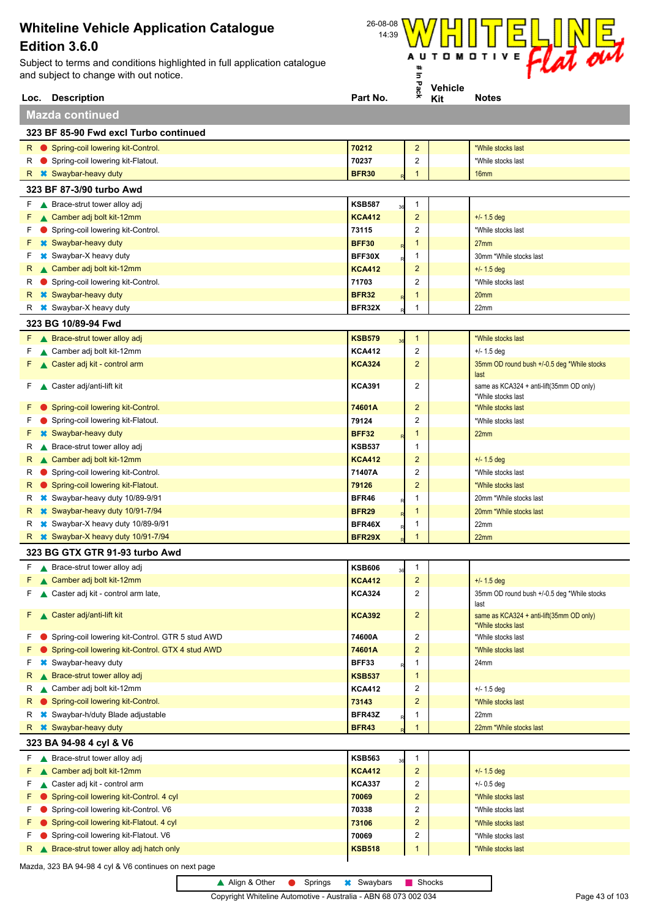

|        | Loc. Description                                                                | Part No.              |    | ⋇                                | Kit | <b>Notes</b>                                                   |
|--------|---------------------------------------------------------------------------------|-----------------------|----|----------------------------------|-----|----------------------------------------------------------------|
|        | <b>Mazda continued</b>                                                          |                       |    |                                  |     |                                                                |
|        | 323 BF 85-90 Fwd excl Turbo continued                                           |                       |    |                                  |     |                                                                |
|        | R Spring-coil lowering kit-Control.                                             | 70212                 |    | $\overline{2}$                   |     | *While stocks last                                             |
| R      | Spring-coil lowering kit-Flatout.                                               | 70237                 |    | 2                                |     | *While stocks last                                             |
| R      | <b>*</b> Swaybar-heavy duty                                                     | <b>BFR30</b>          |    | 1                                |     | 16 <sub>mm</sub>                                               |
|        | 323 BF 87-3/90 turbo Awd                                                        |                       |    |                                  |     |                                                                |
| F      | ▲ Brace-strut tower alloy adj                                                   | <b>KSB587</b>         | 36 | $\mathbf{1}$                     |     |                                                                |
| F      | ▲ Camber adj bolt kit-12mm                                                      | <b>KCA412</b>         |    | $\overline{2}$                   |     | $+/- 1.5$ deg                                                  |
| F      | Spring-coil lowering kit-Control.                                               | 73115                 |    | $\overline{2}$                   |     | *While stocks last                                             |
| F      | <b>*</b> Swaybar-heavy duty                                                     | <b>BFF30</b>          |    | $\mathbf{1}$                     |     | 27 <sub>mm</sub>                                               |
| F      | <b>*</b> Swaybar-X heavy duty                                                   | BFF30X                |    | $\mathbf 1$                      |     | 30mm *While stocks last                                        |
| R      | ▲ Camber adj bolt kit-12mm                                                      | <b>KCA412</b>         |    | $\overline{2}$                   |     | $+/- 1.5$ deg                                                  |
| R      | Spring-coil lowering kit-Control.                                               | 71703                 |    | $\overline{c}$                   |     | *While stocks last                                             |
| R      | <b>*</b> Swaybar-heavy duty                                                     | <b>BFR32</b>          |    | -1                               |     | 20mm                                                           |
| R      | <b>*</b> Swaybar-X heavy duty                                                   | BFR32X                |    | 1                                |     | 22mm                                                           |
|        | 323 BG 10/89-94 Fwd                                                             |                       |    |                                  |     |                                                                |
|        | F A Brace-strut tower alloy adj                                                 | <b>KSB579</b>         | 36 | $\mathbf{1}$                     |     | *While stocks last                                             |
| F      | ▲ Camber adj bolt kit-12mm                                                      | <b>KCA412</b>         |    | 2                                |     | $+/- 1.5$ deg                                                  |
| F      | Caster adj kit - control arm                                                    | <b>KCA324</b>         |    | $\overline{2}$                   |     | 35mm OD round bush +/-0.5 deg *While stocks<br>last            |
| F.     | ▲ Caster adj/anti-lift kit                                                      | <b>KCA391</b>         |    | $\overline{c}$                   |     | same as KCA324 + anti-lift(35mm OD only)<br>*While stocks last |
| F      | Spring-coil lowering kit-Control.                                               | 74601A                |    | $\overline{2}$                   |     | *While stocks last                                             |
| F      | Spring-coil lowering kit-Flatout.                                               | 79124                 |    | $\overline{2}$                   |     | *While stocks last                                             |
| F      | <b>*</b> Swaybar-heavy duty                                                     | <b>BFF32</b>          |    | -1                               |     | 22mm                                                           |
| R      | Brace-strut tower alloy adj                                                     | <b>KSB537</b>         |    | 1                                |     |                                                                |
| R      | Camber adj bolt kit-12mm                                                        | <b>KCA412</b>         |    | $\overline{2}$                   |     | $+/- 1.5$ deg                                                  |
| R      | Spring-coil lowering kit-Control.                                               | 71407A                |    | $\overline{2}$                   |     | *While stocks last                                             |
| R<br>R | Spring-coil lowering kit-Flatout.<br><b>*</b> Swaybar-heavy duty 10/89-9/91     | 79126<br><b>BFR46</b> |    | $\overline{2}$<br>$\mathbf 1$    |     | *While stocks last<br>20mm *While stocks last                  |
| R      | <b>*</b> Swaybar-heavy duty 10/91-7/94                                          | <b>BFR29</b>          |    | $\mathbf{1}$                     |     | 20mm *While stocks last                                        |
| R      | <sup>■</sup> Swaybar-X heavy duty 10/89-9/91                                    | BFR46X                |    | $\mathbf{1}$                     |     | 22mm                                                           |
| R.     | <b>*</b> Swaybar-X heavy duty 10/91-7/94                                        | BFR29X                |    | $\mathbf{1}$                     |     | 22mm                                                           |
|        | 323 BG GTX GTR 91-93 turbo Awd                                                  |                       |    |                                  |     |                                                                |
|        | $F \wedge$ Brace-strut tower alloy adj                                          | <b>KSB606</b>         |    | 1                                |     |                                                                |
| F      | Camber adj bolt kit-12mm                                                        | <b>KCA412</b>         | 36 | $\overline{2}$                   |     | $+/- 1.5$ deg                                                  |
| F.     | Caster adj kit - control arm late,                                              | <b>KCA324</b>         |    | $\overline{c}$                   |     | 35mm OD round bush +/-0.5 deg *While stocks<br>last            |
| F      | ▲ Caster adj/anti-lift kit                                                      | <b>KCA392</b>         |    | $\overline{c}$                   |     | same as KCA324 + anti-lift(35mm OD only)<br>*While stocks last |
| F      | Spring-coil lowering kit-Control. GTR 5 stud AWD                                | 74600A                |    | $\overline{c}$                   |     | *While stocks last                                             |
| F      | Spring-coil lowering kit-Control. GTX 4 stud AWD                                | 74601A                |    | $\overline{2}$                   |     | *While stocks last                                             |
| F      | Swaybar-heavy duty                                                              | BFF33                 |    | $\mathbf 1$                      |     | 24mm                                                           |
| R      | ▲ Brace-strut tower alloy adj                                                   | <b>KSB537</b>         |    | $\mathbf{1}$                     |     |                                                                |
| R      | ▲ Camber adj bolt kit-12mm                                                      | <b>KCA412</b>         |    | 2                                |     | $+/- 1.5$ deg                                                  |
| R      | Spring-coil lowering kit-Control.                                               | 73143                 |    | $\overline{2}$                   |     | *While stocks last                                             |
| R      | <b></b> Swaybar-h/duty Blade adjustable                                         | BFR43Z                |    | $\mathbf 1$                      |     | 22mm                                                           |
| R.     | <b>*</b> Swaybar-heavy duty                                                     | <b>BFR43</b>          |    | 1                                |     | 22mm *While stocks last                                        |
|        | 323 BA 94-98 4 cyl & V6                                                         |                       |    |                                  |     |                                                                |
|        | $F \wedge$ Brace-strut tower alloy adj                                          | <b>KSB563</b>         | 36 | $\mathbf 1$                      |     |                                                                |
| F      | ▲ Camber adj bolt kit-12mm                                                      | <b>KCA412</b>         |    | $\overline{c}$                   |     | $+/- 1.5$ deg                                                  |
| F      | ▲ Caster adj kit - control arm                                                  | <b>KCA337</b>         |    | $\overline{c}$                   |     | $+/- 0.5$ deg                                                  |
| F<br>F | Spring-coil lowering kit-Control. 4 cyl                                         | 70069                 |    | $\overline{c}$<br>$\overline{2}$ |     | *While stocks last                                             |
| F      | Spring-coil lowering kit-Control. V6<br>Spring-coil lowering kit-Flatout. 4 cyl | 70338<br>73106        |    | $\overline{2}$                   |     | *While stocks last<br>*While stocks last                       |
| F      | Spring-coil lowering kit-Flatout. V6                                            | 70069                 |    | 2                                |     | *While stocks last                                             |
| R      | ▲ Brace-strut tower alloy adj hatch only                                        | <b>KSB518</b>         |    |                                  |     | *While stocks last                                             |
|        | Mazda, 323 BA 94-98 4 cyl & V6 continues on next page                           |                       |    |                                  |     |                                                                |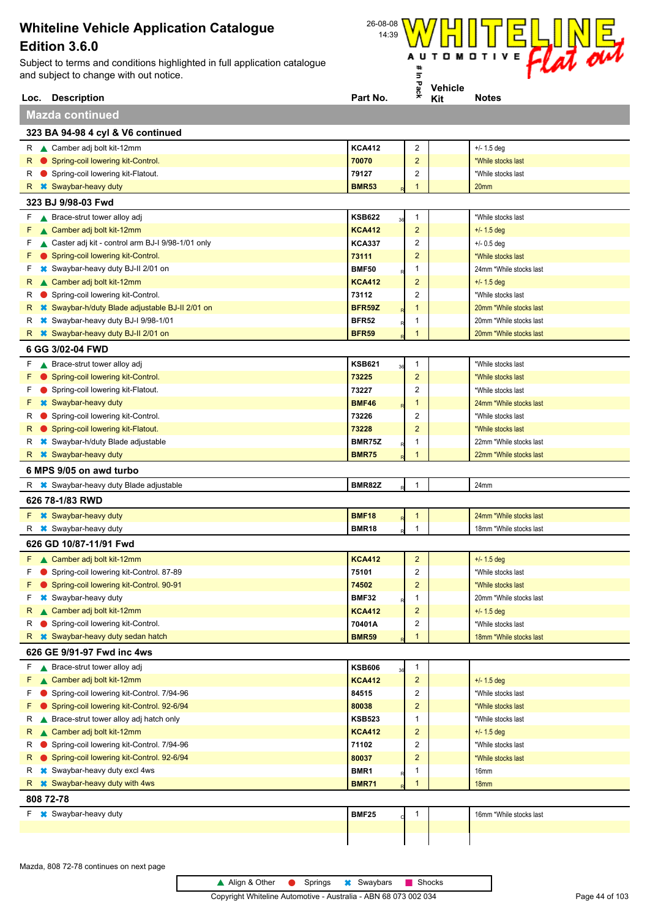

|        | Loc. Description                                                                      | Part No.                      | 쥿                       | <b>A</b> eilicie<br>Kit | <b>Notes</b>                                       |
|--------|---------------------------------------------------------------------------------------|-------------------------------|-------------------------|-------------------------|----------------------------------------------------|
|        | Mazda continued                                                                       |                               |                         |                         |                                                    |
|        | 323 BA 94-98 4 cyl & V6 continued                                                     |                               |                         |                         |                                                    |
|        | R Camber adj bolt kit-12mm                                                            | <b>KCA412</b>                 | $\overline{\mathbf{c}}$ |                         | $+/- 1.5$ deg                                      |
| R.     | Spring-coil lowering kit-Control.                                                     | 70070                         | $\overline{c}$          |                         | *While stocks last                                 |
| R      | Spring-coil lowering kit-Flatout.                                                     | 79127                         | 2                       |                         | *While stocks last                                 |
| R.     | <b>*</b> Swaybar-heavy duty                                                           | <b>BMR53</b>                  | 1                       |                         | 20 <sub>mm</sub>                                   |
|        |                                                                                       |                               |                         |                         |                                                    |
|        | 323 BJ 9/98-03 Fwd                                                                    |                               |                         |                         |                                                    |
|        | $F \wedge$ Brace-strut tower alloy adj                                                | <b>KSB622</b>                 | $\mathbf{1}$            |                         | *While stocks last                                 |
| F      | ▲ Camber adj bolt kit-12mm                                                            | <b>KCA412</b>                 | $\overline{c}$          |                         | $+/- 1.5$ deg                                      |
| F<br>F | Caster adj kit - control arm BJ-I 9/98-1/01 only<br>Spring-coil lowering kit-Control. | <b>KCA337</b><br>73111        | 2<br>$\overline{2}$     |                         | $+/- 0.5$ deg<br>*While stocks last                |
| F      | <b></b> Swaybar-heavy duty BJ-II 2/01 on                                              | <b>BMF50</b>                  | 1                       |                         | 24mm *While stocks last                            |
| R      | Camber adj bolt kit-12mm                                                              | <b>KCA412</b>                 | $\overline{2}$          |                         | $+/- 1.5$ deg                                      |
| R      | Spring-coil lowering kit-Control.                                                     | 73112                         | 2                       |                         | *While stocks last                                 |
| R      | <b><sup>■</sup></b> Swaybar-h/duty Blade adjustable BJ-II 2/01 on                     | <b>BFR59Z</b>                 | $\overline{1}$          |                         | 20mm *While stocks last                            |
| R      | <b>*</b> Swaybar-heavy duty BJ-I 9/98-1/01                                            | <b>BFR52</b>                  | -1                      |                         | 20mm *While stocks last                            |
|        | <b>*</b> Swaybar-heavy duty BJ-II 2/01 on                                             | <b>BFR59</b>                  | $\overline{1}$          |                         | 20mm *While stocks last                            |
|        |                                                                                       |                               |                         |                         |                                                    |
|        | 6 GG 3/02-04 FWD                                                                      |                               |                         |                         |                                                    |
| F      | ▲ Brace-strut tower alloy adj                                                         | <b>KSB621</b><br>36           | 1                       |                         | *While stocks last                                 |
| F      | Spring-coil lowering kit-Control.                                                     | 73225                         | $\overline{c}$          |                         | *While stocks last                                 |
| F      | Spring-coil lowering kit-Flatout.                                                     | 73227                         | 2                       |                         | *While stocks last                                 |
| F      | <b>*</b> Swaybar-heavy duty                                                           | <b>BMF46</b>                  | $\mathbf{1}$            |                         | 24mm *While stocks last                            |
| R      | Spring-coil lowering kit-Control.                                                     | 73226                         | 2<br>$\overline{2}$     |                         | *While stocks last                                 |
| R      | Spring-coil lowering kit-Flatout.                                                     | 73228                         |                         |                         | *While stocks last                                 |
| R      | <b><sup>■</sup></b> Swaybar-h/duty Blade adjustable                                   | <b>BMR75Z</b><br><b>BMR75</b> | 1<br>$\mathbf{1}$       |                         | 22mm *While stocks last<br>22mm *While stocks last |
| R      | <b>*</b> Swaybar-heavy duty                                                           |                               |                         |                         |                                                    |
|        | 6 MPS 9/05 on awd turbo                                                               |                               |                         |                         |                                                    |
|        | R * Swaybar-heavy duty Blade adjustable                                               | <b>BMR82Z</b>                 | 1                       |                         | 24mm                                               |
|        | 626 78-1/83 RWD                                                                       |                               |                         |                         |                                                    |
|        | <b>F *</b> Swaybar-heavy duty                                                         | <b>BMF18</b>                  | $\mathbf{1}$            |                         | 24mm *While stocks last                            |
| R      | <b>*</b> Swaybar-heavy duty                                                           | <b>BMR18</b>                  | 1                       |                         | 18mm *While stocks last                            |
|        | 626 GD 10/87-11/91 Fwd                                                                |                               |                         |                         |                                                    |
| F.     | ▲ Camber adj bolt kit-12mm                                                            | <b>KCA412</b>                 | $\overline{c}$          |                         | $+/- 1.5$ deg                                      |
| F.     | Spring-coil lowering kit-Control. 87-89                                               | 75101                         | $\overline{\mathbf{c}}$ |                         | *While stocks last                                 |
| F      | Spring-coil lowering kit-Control. 90-91                                               | 74502                         | $\overline{c}$          |                         | *While stocks last                                 |
| F      | <b>*</b> Swaybar-heavy duty                                                           | <b>BMF32</b>                  | 1                       |                         | 20mm *While stocks last                            |
| R      | ▲ Camber adj bolt kit-12mm                                                            | <b>KCA412</b>                 | $\overline{c}$          |                         | $+/- 1.5$ deg                                      |
| R      | Spring-coil lowering kit-Control.                                                     | 70401A                        | $\overline{c}$          |                         | *While stocks last                                 |
| R      | <b>*</b> Swaybar-heavy duty sedan hatch                                               | <b>BMR59</b>                  | $\mathbf{1}$            |                         | 18mm *While stocks last                            |
|        | 626 GE 9/91-97 Fwd inc 4ws                                                            |                               |                         |                         |                                                    |
|        | $F \wedge$ Brace-strut tower alloy adj                                                | <b>KSB606</b><br>36           | $\mathbf{1}$            |                         |                                                    |
| F      | ▲ Camber adj bolt kit-12mm                                                            | <b>KCA412</b>                 | $\overline{2}$          |                         | $+/- 1.5$ deg                                      |
| F      | Spring-coil lowering kit-Control. 7/94-96                                             | 84515                         | $\overline{c}$          |                         | *While stocks last                                 |
| F      | Spring-coil lowering kit-Control. 92-6/94                                             | 80038                         | $\overline{c}$          |                         | *While stocks last                                 |
| R      | Brace-strut tower alloy adj hatch only                                                | <b>KSB523</b>                 | 1                       |                         | *While stocks last                                 |
| R      | ▲ Camber adj bolt kit-12mm                                                            | <b>KCA412</b>                 | $\overline{\mathbf{c}}$ |                         | $+/- 1.5$ deg                                      |
| R      | Spring-coil lowering kit-Control. 7/94-96                                             | 71102                         | 2                       |                         | *While stocks last                                 |
| R      | Spring-coil lowering kit-Control. 92-6/94                                             | 80037                         | $\overline{\mathbf{c}}$ |                         | *While stocks last                                 |
| R      | <b><sup>■</sup></b> Swaybar-heavy duty excl 4ws                                       | BMR1                          | 1                       |                         | 16mm                                               |
| R      | <b>*</b> Swaybar-heavy duty with 4ws                                                  | <b>BMR71</b>                  | 1                       |                         | 18 <sub>mm</sub>                                   |
|        | 808 72-78                                                                             |                               |                         |                         |                                                    |
|        | F * Swaybar-heavy duty                                                                | <b>BMF25</b>                  | $\mathbf{1}$            |                         | 16mm *While stocks last                            |
|        |                                                                                       |                               |                         |                         |                                                    |
|        |                                                                                       |                               |                         |                         |                                                    |

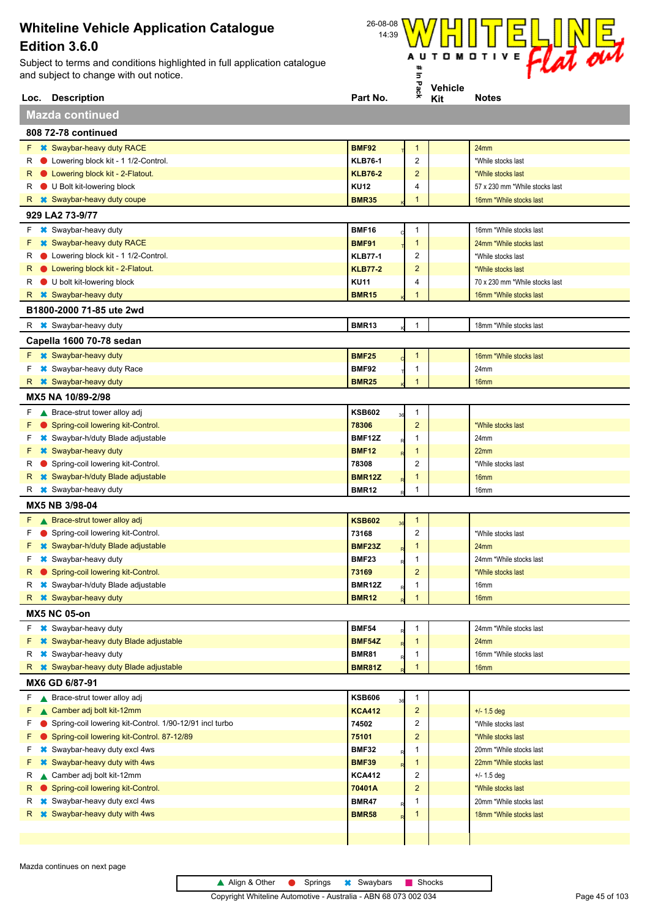Subject to terms and conditions highlighted in full application catalogue and subject to change with out notice.



| Loc.                | <b>Description</b>                                                                                    | Part No.                      | ⋇                                | Kit | <b>Notes</b>                                  |  |  |  |
|---------------------|-------------------------------------------------------------------------------------------------------|-------------------------------|----------------------------------|-----|-----------------------------------------------|--|--|--|
|                     | <b>Mazda continued</b>                                                                                |                               |                                  |     |                                               |  |  |  |
| 808 72-78 continued |                                                                                                       |                               |                                  |     |                                               |  |  |  |
| F.                  | <b>*</b> Swaybar-heavy duty RACE                                                                      | <b>BMF92</b>                  | $\mathbf{1}$                     |     | 24mm                                          |  |  |  |
| R                   | Lowering block kit - 1 1/2-Control.                                                                   | <b>KLB76-1</b>                | 2                                |     | *While stocks last                            |  |  |  |
| R                   | <b>D</b> Lowering block kit - 2-Flatout.                                                              | <b>KLB76-2</b>                | $\overline{2}$                   |     | *While stocks last                            |  |  |  |
| R                   | U Bolt kit-lowering block                                                                             | <b>KU12</b>                   | 4                                |     | 57 x 230 mm *While stocks last                |  |  |  |
| R                   | <b>*</b> Swaybar-heavy duty coupe                                                                     | <b>BMR35</b>                  | 1                                |     | 16mm *While stocks last                       |  |  |  |
|                     | 929 LA2 73-9/77                                                                                       |                               |                                  |     |                                               |  |  |  |
| F                   | <b>*</b> Swaybar-heavy duty                                                                           | <b>BMF16</b>                  | 1                                |     | 16mm *While stocks last                       |  |  |  |
| F                   | <b>*</b> Swaybar-heavy duty RACE                                                                      | <b>BMF91</b>                  | $\mathbf{1}$                     |     | 24mm *While stocks last                       |  |  |  |
| R                   | Lowering block kit - 1 1/2-Control.                                                                   | <b>KLB77-1</b>                | 2                                |     | *While stocks last                            |  |  |  |
| R                   | C Lowering block kit - 2-Flatout.                                                                     | <b>KLB77-2</b>                | $\overline{2}$                   |     | *While stocks last                            |  |  |  |
| R                   | U bolt kit-lowering block                                                                             | <b>KU11</b>                   | 4                                |     | 70 x 230 mm *While stocks last                |  |  |  |
| R.                  | <b>*</b> Swaybar-heavy duty                                                                           | <b>BMR15</b>                  | 1                                |     | 16mm *While stocks last                       |  |  |  |
|                     | B1800-2000 71-85 ute 2wd                                                                              |                               |                                  |     |                                               |  |  |  |
|                     | R <b>*</b> Swaybar-heavy duty                                                                         | <b>BMR13</b>                  | $\mathbf{1}$                     |     | 18mm *While stocks last                       |  |  |  |
|                     | Capella 1600 70-78 sedan                                                                              |                               |                                  |     |                                               |  |  |  |
| F.                  | <b>*</b> Swaybar-heavy duty                                                                           | <b>BMF25</b>                  | $\mathbf{1}$                     |     | 16mm *While stocks last                       |  |  |  |
| F                   | <b>*</b> Swaybar-heavy duty Race                                                                      | <b>BMF92</b>                  | 1                                |     | 24mm                                          |  |  |  |
| R                   | <b>*</b> Swaybar-heavy duty                                                                           | <b>BMR25</b>                  | $\overline{1}$                   |     | 16 <sub>mm</sub>                              |  |  |  |
|                     | MX5 NA 10/89-2/98                                                                                     |                               |                                  |     |                                               |  |  |  |
| F.                  | ▲ Brace-strut tower alloy adj                                                                         | <b>KSB602</b><br>36           | $\mathbf{1}$                     |     |                                               |  |  |  |
| F                   | Spring-coil lowering kit-Control.                                                                     | 78306                         | $\overline{2}$                   |     | *While stocks last                            |  |  |  |
| F                   | <b>*</b> Swaybar-h/duty Blade adjustable                                                              | <b>BMF12Z</b>                 | 1                                |     | 24mm                                          |  |  |  |
| F                   | <b>*</b> Swaybar-heavy duty                                                                           | <b>BMF12</b>                  | $\mathbf 1$                      |     | 22mm                                          |  |  |  |
| R                   | Spring-coil lowering kit-Control.                                                                     | 78308                         | 2                                |     | *While stocks last                            |  |  |  |
| R                   | <b>*</b> Swaybar-h/duty Blade adjustable                                                              | <b>BMR12Z</b>                 | 1                                |     | 16mm                                          |  |  |  |
| R                   | <b>*</b> Swaybar-heavy duty                                                                           | <b>BMR12</b>                  | 1                                |     | 16mm                                          |  |  |  |
|                     | MX5 NB 3/98-04                                                                                        |                               |                                  |     |                                               |  |  |  |
| F.                  | ▲ Brace-strut tower alloy adj                                                                         | <b>KSB602</b>                 | $\mathbf{1}$                     |     |                                               |  |  |  |
| F                   | Spring-coil lowering kit-Control.                                                                     | 73168                         | 2                                |     | *While stocks last                            |  |  |  |
| F                   | <b>*</b> Swaybar-h/duty Blade adjustable                                                              | <b>BMF23Z</b>                 | $\mathbf 1$                      |     | 24mm                                          |  |  |  |
| F                   | <b>*</b> Swaybar-heavy duty                                                                           | <b>BMF23</b>                  | 1                                |     | 24mm *While stocks last                       |  |  |  |
| R                   | Spring-coil lowering kit-Control.                                                                     | 73169                         | $\overline{2}$                   |     | *While stocks last                            |  |  |  |
|                     | <b>*</b> Swaybar-h/duty Blade adjustable                                                              | BMR12Z<br>R                   | 1                                |     | 16mm                                          |  |  |  |
| R.                  | <b>*</b> Swaybar-heavy duty                                                                           | <b>BMR12</b>                  | $\overline{1}$                   |     | 16mm                                          |  |  |  |
|                     | <b>MX5 NC 05-on</b>                                                                                   |                               |                                  |     |                                               |  |  |  |
| F                   | <b>*</b> Swaybar-heavy duty                                                                           | <b>BMF54</b>                  | $\mathbf{1}$                     |     | 24mm *While stocks last                       |  |  |  |
| F                   | <b>*</b> Swaybar-heavy duty Blade adjustable                                                          | <b>BMF54Z</b>                 | $\mathbf{1}$                     |     | 24mm                                          |  |  |  |
| R                   | <b>*</b> Swaybar-heavy duty                                                                           | <b>BMR81</b><br><b>BMR81Z</b> | $\mathbf{1}$<br>1                |     | 16mm *While stocks last                       |  |  |  |
| R                   | <b><sup>■</sup></b> Swaybar-heavy duty Blade adjustable                                               |                               |                                  |     | 16 <sub>mm</sub>                              |  |  |  |
|                     | MX6 GD 6/87-91                                                                                        |                               |                                  |     |                                               |  |  |  |
| F.                  | ▲ Brace-strut tower alloy adj                                                                         | <b>KSB606</b><br>36           | 1                                |     |                                               |  |  |  |
| F                   | Camber adj bolt kit-12mm                                                                              | <b>KCA412</b>                 | $\overline{2}$                   |     | $+/- 1.5$ deg                                 |  |  |  |
| F<br>F              | Spring-coil lowering kit-Control. 1/90-12/91 incl turbo<br>Spring-coil lowering kit-Control. 87-12/89 | 74502<br>75101                | $\overline{c}$<br>$\overline{2}$ |     | *While stocks last                            |  |  |  |
| F                   | Swaybar-heavy duty excl 4ws                                                                           | <b>BMF32</b>                  | $\mathbf{1}$                     |     | *While stocks last<br>20mm *While stocks last |  |  |  |
| F                   | Swaybar-heavy duty with 4ws                                                                           | <b>BMF39</b>                  | $\mathbf 1$                      |     | 22mm *While stocks last                       |  |  |  |
| R                   | Camber adj bolt kit-12mm                                                                              | <b>KCA412</b>                 | 2                                |     | $+/- 1.5$ deg                                 |  |  |  |
| R                   | Spring-coil lowering kit-Control.                                                                     | 70401A                        | $\overline{2}$                   |     | *While stocks last                            |  |  |  |
| R                   | Swaybar-heavy duty excl 4ws                                                                           | <b>BMR47</b>                  | 1                                |     | 20mm *While stocks last                       |  |  |  |
| R                   | <b>*</b> Swaybar-heavy duty with 4ws                                                                  | <b>BMR58</b>                  | $\mathbf{1}$                     |     | 18mm *While stocks last                       |  |  |  |
|                     |                                                                                                       |                               |                                  |     |                                               |  |  |  |
|                     |                                                                                                       |                               |                                  |     |                                               |  |  |  |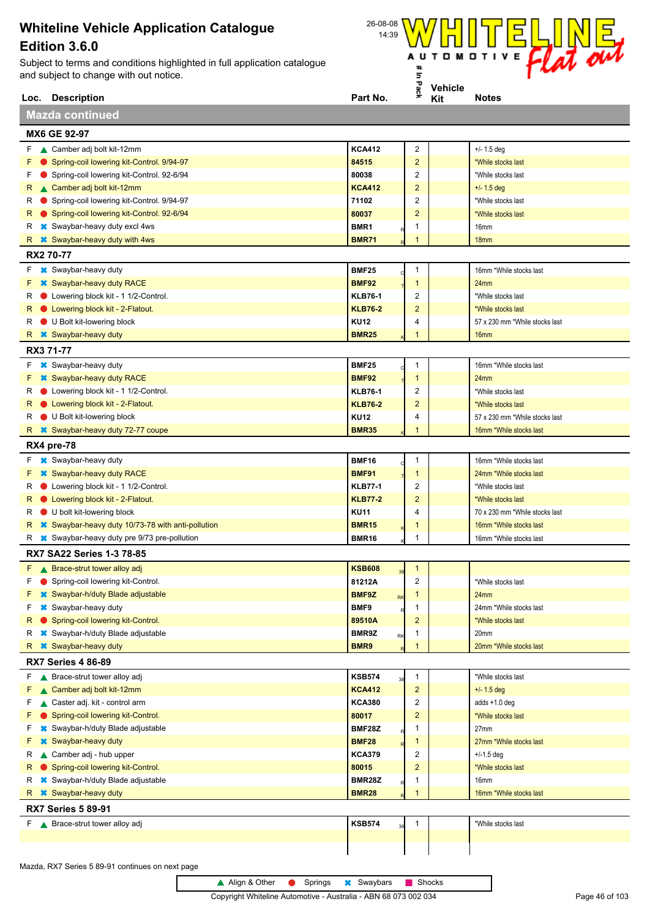Subject to terms and conditions highlighted in full application catalogue and subject to change with out notice.



|    | Loc. Description                                              | Part No.          | ×,                      | Kit | <b>Notes</b>                        |
|----|---------------------------------------------------------------|-------------------|-------------------------|-----|-------------------------------------|
|    | <b>Mazda continued</b>                                        |                   |                         |     |                                     |
|    | MX6 GE 92-97                                                  |                   |                         |     |                                     |
|    | F Camber adj bolt kit-12mm                                    | <b>KCA412</b>     | 2                       |     |                                     |
| F  | Spring-coil lowering kit-Control. 9/94-97                     | 84515             | $\overline{a}$          |     | $+/- 1.5$ deg<br>*While stocks last |
| F  | Spring-coil lowering kit-Control. 92-6/94                     | 80038             | 2                       |     | *While stocks last                  |
| R  | Camber adj bolt kit-12mm                                      | <b>KCA412</b>     | $\overline{2}$          |     | $+/- 1.5$ deg                       |
| R  | Spring-coil lowering kit-Control. 9/94-97                     | 71102             | 2                       |     | *While stocks last                  |
| R  | Spring-coil lowering kit-Control. 92-6/94                     | 80037             | $\overline{2}$          |     | *While stocks last                  |
| R  | <b>*</b> Swaybar-heavy duty excl 4ws                          | BMR1              | 1                       |     | 16mm                                |
| R  | <b>*</b> Swaybar-heavy duty with 4ws                          | <b>BMR71</b>      | 1                       |     | 18mm                                |
|    | <b>RX2 70-77</b>                                              |                   |                         |     |                                     |
| F. | <b>*</b> Swaybar-heavy duty                                   | <b>BMF25</b>      | 1                       |     | 16mm *While stocks last             |
| F  | <b>*</b> Swaybar-heavy duty RACE                              | <b>BMF92</b>      | $\mathbf{1}$            |     | 24mm                                |
| R  | Lowering block kit - 1 1/2-Control.                           | <b>KLB76-1</b>    | 2                       |     | *While stocks last                  |
| R  | C Lowering block kit - 2-Flatout.                             | <b>KLB76-2</b>    | $\overline{2}$          |     | *While stocks last                  |
| R  | U Bolt kit-lowering block                                     | <b>KU12</b>       | 4                       |     | 57 x 230 mm *While stocks last      |
|    | R <b>*</b> Swaybar-heavy duty                                 | <b>BMR25</b>      | 1                       |     | 16mm                                |
|    | RX3 71-77                                                     |                   |                         |     |                                     |
|    | $F \times$ Swaybar-heavy duty                                 | <b>BMF25</b>      | 1                       |     | 16mm *While stocks last             |
|    | <b>*</b> Swaybar-heavy duty RACE                              | <b>BMF92</b>      | 1                       |     | 24mm                                |
| R  | Lowering block kit - 1 1/2-Control.                           | <b>KLB76-1</b>    | 2                       |     | *While stocks last                  |
| R  | C Lowering block kit - 2-Flatout.                             | <b>KLB76-2</b>    | $\overline{2}$          |     | *While stocks last                  |
| R  | U Bolt kit-lowering block                                     | <b>KU12</b>       | 4                       |     | 57 x 230 mm *While stocks last      |
|    | R * Swaybar-heavy duty 72-77 coupe                            | <b>BMR35</b>      | 1                       |     | 16mm *While stocks last             |
|    | RX4 pre-78                                                    |                   |                         |     |                                     |
| F. | <b>*</b> Swaybar-heavy duty                                   | <b>BMF16</b>      | 1                       |     | 16mm *While stocks last             |
| F  | <b>*</b> Swaybar-heavy duty RACE                              | BMF91             | $\mathbf{1}$            |     | 24mm *While stocks last             |
| R  | Lowering block kit - 1 1/2-Control.                           | <b>KLB77-1</b>    | 2                       |     | *While stocks last                  |
| R  | Cowering block kit - 2-Flatout.                               | <b>KLB77-2</b>    | $\overline{2}$          |     | *While stocks last                  |
| R  | U bolt kit-lowering block                                     | KU11              | 4                       |     | 70 x 230 mm *While stocks last      |
| R  | <b>■ Swaybar-heavy duty 10/73-78 with anti-pollution</b>      | <b>BMR15</b>      | 1                       |     | 16mm *While stocks last             |
| к  | <b><sup>■</sup></b> Swaybar-heavy duty pre 9/73 pre-pollution | <b>BMR16</b>      | 1                       |     | 16mm *While stocks last             |
|    | <b>RX7 SA22 Series 1-3 78-85</b>                              |                   |                         |     |                                     |
|    | $F \wedge$ Brace-strut tower alloy adj                        | <b>KSB608</b>     | 1                       |     |                                     |
|    | Spring-coil lowering kit-Control.                             | 81212A            | $\overline{2}$          |     | *While stocks last                  |
|    | <b>F</b> * Swaybar-h/duty Blade adjustable                    | BMF9Z             | 1                       |     | 24mm                                |
|    | <b>*</b> Swaybar-heavy duty                                   | <b>RK</b><br>BMF9 | 1                       |     | 24mm *While stocks last             |
| R  | Spring-coil lowering kit-Control.                             | 89510A            | 2                       |     | *While stocks last                  |
| R  | <b>*</b> Swaybar-h/duty Blade adjustable                      | BMR9Z<br>RK       | 1                       |     | 20mm                                |
| R. | <b>*</b> Swaybar-heavy duty                                   | BMR9              |                         |     | 20mm *While stocks last             |
|    | <b>RX7 Series 4 86-89</b>                                     |                   |                         |     |                                     |
| F. | ▲ Brace-strut tower alloy adj                                 | KSB574            | 1                       |     | *While stocks last                  |
| F  | ▲ Camber adj bolt kit-12mm                                    | <b>KCA412</b>     | $\overline{\mathbf{c}}$ |     | $+/- 1.5$ deg                       |
| F  | Caster adj. kit - control arm                                 | <b>KCA380</b>     | 2                       |     | adds $+1.0$ deg                     |
| F  | Spring-coil lowering kit-Control.                             | 80017             | $\overline{2}$          |     | *While stocks last                  |
| F  | <b><sup>■</sup></b> Swaybar-h/duty Blade adjustable           | BMF28Z            | 1                       |     | 27mm                                |
| F. | <b>*</b> Swaybar-heavy duty                                   | <b>BMF28</b>      | 1                       |     | 27mm *While stocks last             |
| R  | Camber adj - hub upper                                        | <b>KCA379</b>     | 2                       |     | $+/-1.5$ deg                        |
| R  | Spring-coil lowering kit-Control.                             | 80015             | $\overline{2}$          |     | *While stocks last                  |
| R  | <b>*</b> Swaybar-h/duty Blade adjustable                      | <b>BMR28Z</b>     | 1                       |     | 16mm                                |
|    | R <b>*</b> Swaybar-heavy duty                                 | <b>BMR28</b>      | 1                       |     | 16mm *While stocks last             |
|    | <b>RX7 Series 5 89-91</b>                                     |                   |                         |     |                                     |
|    | $F \wedge$ Brace-strut tower alloy adj                        | <b>KSB574</b>     | $\mathbf{1}$            |     | *While stocks last                  |
|    |                                                               |                   |                         |     |                                     |
|    | Mazda, RX7 Series 5 89-91 continues on next page              |                   |                         |     |                                     |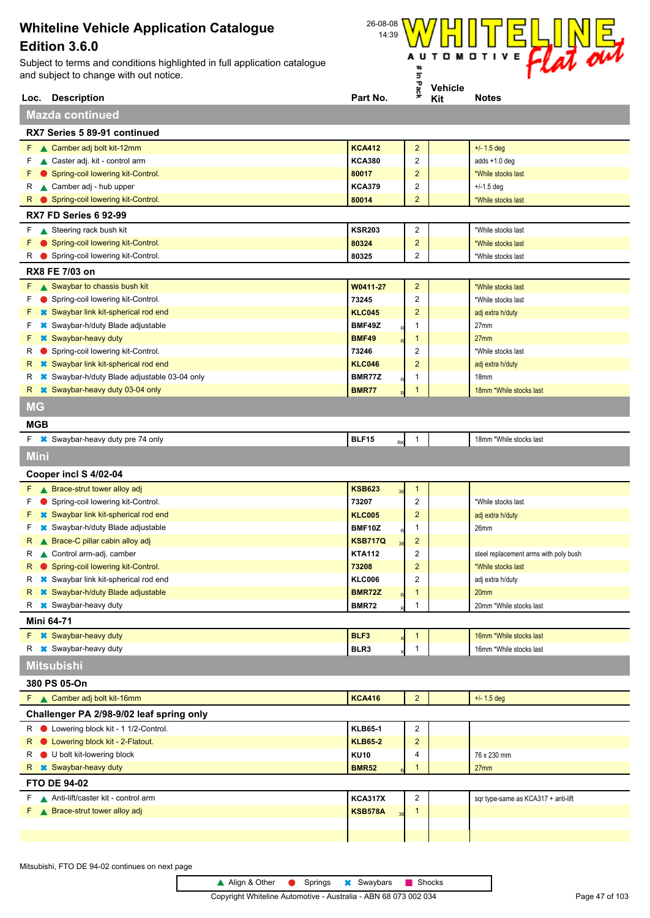

|                        | Loc. Description                                    | Part No.                      | 읏                       | Kit | <b>Notes</b>                          |
|------------------------|-----------------------------------------------------|-------------------------------|-------------------------|-----|---------------------------------------|
|                        | <b>Mazda continued</b>                              |                               |                         |     |                                       |
|                        | RX7 Series 5 89-91 continued                        |                               |                         |     |                                       |
|                        | F Camber adj bolt kit-12mm                          | <b>KCA412</b>                 | $\overline{c}$          |     | $+/- 1.5$ deg                         |
| F                      | Caster adj. kit - control arm                       | <b>KCA380</b>                 | 2                       |     | adds $+1.0$ deg                       |
| F                      | Spring-coil lowering kit-Control.                   | 80017                         | $\overline{c}$          |     | *While stocks last                    |
|                        | $R \triangle$ Camber adj - hub upper                | <b>KCA379</b>                 | 2                       |     | $+/-1.5$ deg                          |
|                        | R Spring-coil lowering kit-Control.                 | 80014                         | $\overline{\mathbf{c}}$ |     | *While stocks last                    |
|                        | <b>RX7 FD Series 6 92-99</b>                        |                               |                         |     |                                       |
|                        | F Steering rack bush kit                            | <b>KSR203</b>                 | 2                       |     | *While stocks last                    |
|                        | F Spring-coil lowering kit-Control.                 | 80324                         | $\overline{\mathbf{c}}$ |     | *While stocks last                    |
|                        | R Spring-coil lowering kit-Control.                 | 80325                         | 2                       |     | *While stocks last                    |
|                        | RX8 FE 7/03 on                                      |                               |                         |     |                                       |
|                        | $F \wedge$ Swaybar to chassis bush kit              | W0411-27                      | $\overline{2}$          |     | *While stocks last                    |
| F                      | Spring-coil lowering kit-Control.                   | 73245                         | 2                       |     | *While stocks last                    |
| F.                     | <b>■ Swaybar link kit-spherical rod end</b>         | <b>KLC045</b>                 | $\overline{2}$          |     | adj extra h/duty                      |
| F                      | <b><sup>■</sup></b> Swaybar-h/duty Blade adjustable | BMF49Z                        | 1                       |     | 27mm                                  |
| F.                     | <b>*</b> Swaybar-heavy duty                         | <b>BMF49</b>                  | 1                       |     | 27 <sub>mm</sub>                      |
| R                      | Spring-coil lowering kit-Control.                   | 73246                         | 2                       |     | *While stocks last                    |
| R.                     | <b>*</b> Swaybar link kit-spherical rod end         | <b>KLC046</b>                 | 2                       |     | adj extra h/duty                      |
| R                      | <b>★</b> Swaybar-h/duty Blade adjustable 03-04 only | BMR77Z                        | 1                       |     | 18mm                                  |
|                        | R * Swaybar-heavy duty 03-04 only                   | <b>BMR77</b>                  | $\mathbf{1}$            |     | 18mm *While stocks last               |
| <b>MG</b>              |                                                     |                               |                         |     |                                       |
| <b>MGB</b>             |                                                     |                               |                         |     |                                       |
|                        | $F$ $\ast$ Swaybar-heavy duty pre 74 only           | <b>BLF15</b><br>RK            | $\mathbf{1}$            |     | 18mm *While stocks last               |
| Mini                   |                                                     |                               |                         |     |                                       |
|                        |                                                     |                               |                         |     |                                       |
|                        | Cooper incl S 4/02-04                               |                               |                         |     |                                       |
|                        | $F \wedge$ Brace-strut tower alloy adj              | <b>KSB623</b><br>36           | 1                       |     |                                       |
| F                      | Spring-coil lowering kit-Control.                   | 73207                         | 2                       |     | *While stocks last                    |
| F                      | <b>*</b> Swaybar link kit-spherical rod end         | <b>KLC005</b>                 | $\overline{\mathbf{c}}$ |     | adj extra h/duty                      |
| F                      | <b></b> Swaybar-h/duty Blade adjustable             | BMF10Z                        | 1                       |     | 26mm                                  |
| R.<br>$\blacktriangle$ | Brace-C pillar cabin alloy adj                      | <b>KSB717Q</b><br>36          | $\overline{\mathbf{c}}$ |     |                                       |
| R                      | Control arm-adj. camber                             | <b>KTA112</b>                 | 2                       |     | steel replacement arms with poly bush |
| R.                     | Spring-coil lowering kit-Control.                   | 73208                         | $\overline{\mathbf{c}}$ |     | *While stocks last                    |
|                        | R * Swaybar link kit-spherical rod end              | <b>KLC006</b>                 | $\overline{\mathbf{c}}$ |     | adj extra h/duty                      |
|                        | R * Swaybar-h/duty Blade adjustable                 | <b>BMR72Z</b><br><b>BMR72</b> | $\mathbf{1}$            |     | 20mm<br>20mm *While stocks last       |
|                        | R <b>*</b> Swaybar-heavy duty                       |                               | 1                       |     |                                       |
|                        | Mini 64-71                                          |                               |                         |     |                                       |
|                        | F * Swaybar-heavy duty                              | BLF3                          | $\mathbf{1}$            |     | 16mm *While stocks last               |
|                        | R <b>*</b> Swaybar-heavy duty                       | BLR3                          | 1                       |     | 16mm *While stocks last               |
|                        | <b>Mitsubishi</b>                                   |                               |                         |     |                                       |
|                        | 380 PS 05-On                                        |                               |                         |     |                                       |
|                        | F <b>A</b> Camber adj bolt kit-16mm                 | <b>KCA416</b>                 | $\overline{2}$          |     | $+/- 1.5$ deg                         |
|                        | Challenger PA 2/98-9/02 leaf spring only            |                               |                         |     |                                       |
|                        | R C Lowering block kit - 1 1/2-Control.             | <b>KLB65-1</b>                | $\overline{c}$          |     |                                       |
|                        | R C Lowering block kit - 2-Flatout.                 | <b>KLB65-2</b>                | $\overline{c}$          |     |                                       |
|                        | R U bolt kit-lowering block                         | <b>KU10</b>                   | 4                       |     | 76 x 230 mm                           |
|                        | R <b>*</b> Swaybar-heavy duty                       | <b>BMR52</b>                  | 1                       |     | 27 <sub>mm</sub>                      |
|                        | <b>FTO DE 94-02</b>                                 |                               |                         |     |                                       |
| ۲.                     | Anti-lift/caster kit - control arm                  | <b>KCA317X</b>                | $\overline{c}$          |     | sqr type-same as KCA317 + anti-lift   |
| F.                     | Brace-strut tower alloy adj                         | <b>KSB578A</b>                | 1                       |     |                                       |
|                        |                                                     |                               |                         |     |                                       |
|                        |                                                     |                               |                         |     |                                       |

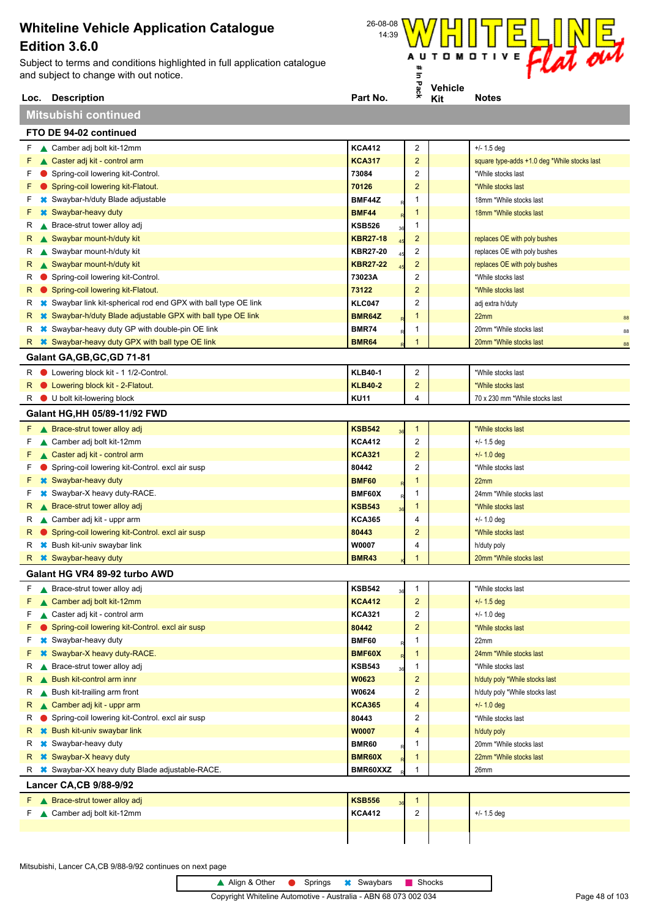

|                | Loc. Description                                                                       | Part No.               | Pack           | <b>Vehicle</b><br>Kit | <b>Notes</b>                                 |
|----------------|----------------------------------------------------------------------------------------|------------------------|----------------|-----------------------|----------------------------------------------|
|                | Mitsubishi continued                                                                   |                        |                |                       |                                              |
|                | FTO DE 94-02 continued                                                                 |                        |                |                       |                                              |
| F.             | ▲ Camber adj bolt kit-12mm                                                             | <b>KCA412</b>          | $\overline{c}$ |                       | $+/- 1.5$ deg                                |
|                | ▲ Caster adj kit - control arm                                                         | <b>KCA317</b>          | $\overline{2}$ |                       | square type-adds +1.0 deg *While stocks last |
| F              | Spring-coil lowering kit-Control.                                                      | 73084                  | 2              |                       | *While stocks last                           |
|                | Spring-coil lowering kit-Flatout.                                                      | 70126                  | $\overline{2}$ |                       | *While stocks last                           |
| F              | <b><sup>■</sup></b> Swaybar-h/duty Blade adjustable                                    | BMF44Z                 | 1              |                       | 18mm *While stocks last                      |
| F              | <b>*</b> Swaybar-heavy duty                                                            | <b>BMF44</b>           | -1             |                       | 18mm *While stocks last                      |
| R              | Brace-strut tower alloy adj                                                            | <b>KSB526</b>          | 1              |                       |                                              |
| R              | Swaybar mount-h/duty kit                                                               | <b>KBR27-18</b>        | $\overline{c}$ |                       | replaces OE with poly bushes                 |
| R              | Swaybar mount-h/duty kit                                                               | <b>KBR27-20</b>        | 2              |                       | replaces OE with poly bushes                 |
| R              | Swaybar mount-h/duty kit                                                               | <b>KBR27-22</b>        | $\overline{c}$ |                       | replaces OE with poly bushes                 |
| R<br>o         | Spring-coil lowering kit-Control.                                                      | 73023A                 | 2              |                       | *While stocks last                           |
| R<br>$\bullet$ | Spring-coil lowering kit-Flatout.                                                      | 73122                  | $\overline{2}$ |                       | *While stocks last                           |
| R              | <b><sup>■</sup></b> Swaybar link kit-spherical rod end GPX with ball type OE link      | <b>KLC047</b>          | 2              |                       | adj extra h/duty                             |
| R              | <b>■ Swaybar-h/duty Blade adjustable GPX with ball type OE link</b>                    | <b>BMR64Z</b>          | 1              |                       | 22mm                                         |
| R              | <sup>■</sup> Swaybar-heavy duty GP with double-pin OE link                             | <b>BMR74</b>           | 1              |                       | 20mm *While stocks last<br>88                |
| R              | <b>*</b> Swaybar-heavy duty GPX with ball type OE link                                 | <b>BMR64</b>           | -1             |                       | 20mm *While stocks last<br>88                |
|                | Galant GA, GB, GC, GD 71-81                                                            |                        |                |                       |                                              |
|                | R Cowering block kit - 1 1/2-Control.                                                  | <b>KLB40-1</b>         | 2              |                       | *While stocks last                           |
| R              | • Lowering block kit - 2-Flatout.                                                      | <b>KLB40-2</b>         | $\overline{c}$ |                       | *While stocks last                           |
| R              | U bolt kit-lowering block                                                              | <b>KU11</b>            | 4              |                       | 70 x 230 mm *While stocks last               |
|                | Galant HG, HH 05/89-11/92 FWD                                                          |                        |                |                       |                                              |
| F              | ▲ Brace-strut tower alloy adj                                                          | <b>KSB542</b>          | 1              |                       | *While stocks last                           |
| F              | Camber adj bolt kit-12mm                                                               | <b>KCA412</b>          | 2              |                       | $+/- 1.5$ deg                                |
|                | ▲ Caster adj kit - control arm                                                         | <b>KCA321</b>          | $\overline{2}$ |                       | $+/- 1.0$ deg                                |
| F              | Spring-coil lowering kit-Control. excl air susp                                        | 80442                  | 2              |                       | *While stocks last                           |
|                | <b>*</b> Swaybar-heavy duty                                                            | <b>BMF60</b>           | 1              |                       | 22mm                                         |
|                | Swaybar-X heavy duty-RACE.                                                             | BMF60X                 | 1              |                       | 24mm *While stocks last                      |
| R              | Brace-strut tower alloy adj                                                            | <b>KSB543</b>          | 1              |                       | *While stocks last                           |
| R              | Camber adj kit - uppr arm                                                              | <b>KCA365</b>          | 4              |                       | $+/- 1.0$ deg                                |
| R.             | Spring-coil lowering kit-Control. excl air susp                                        | 80443                  | $\overline{c}$ |                       | *While stocks last                           |
| R              | <b>*</b> Bush kit-univ swaybar link                                                    | W0007                  | 4              |                       | h/duty poly                                  |
| R              | <b>*</b> Swaybar-heavy duty                                                            | <b>BMR43</b>           |                |                       | 20mm *While stocks last                      |
|                | Galant HG VR4 89-92 turbo AWD                                                          |                        |                |                       |                                              |
|                | $F \wedge$ Brace-strut tower alloy adj                                                 | <b>KSB542</b><br>36    | 1              |                       | *While stocks last                           |
| F              | Camber adj bolt kit-12mm                                                               | <b>KCA412</b>          | $\overline{c}$ |                       | $+/- 1.5$ deg                                |
|                | Caster adj kit - control arm                                                           | <b>KCA321</b>          | 2              |                       | $+/- 1.0$ deg                                |
|                | Spring-coil lowering kit-Control. excl air susp                                        | 80442                  | $\overline{c}$ |                       | *While stocks last                           |
| F              | <b><sup>■</sup></b> Swaybar-heavy duty                                                 | <b>BMF60</b>           | 1              |                       | 22mm                                         |
|                | <b>*</b> Swaybar-X heavy duty-RACE.                                                    | BMF60X                 | 1              |                       | 24mm *While stocks last                      |
| R              | ▲ Brace-strut tower alloy adj                                                          | <b>KSB543</b><br>36    | 1              |                       | *While stocks last                           |
|                | R Bush kit-control arm innr                                                            | W0623                  | $\overline{c}$ |                       | h/duty poly *While stocks last               |
| R              | Bush kit-trailing arm front                                                            | W0624                  | 2              |                       | h/duty poly *While stocks last               |
|                | $R \wedge$ Camber adj kit - uppr arm                                                   | <b>KCA365</b><br>80443 | 4<br>2         |                       | $+/- 1.0$ deg                                |
| R<br>R.        | Spring-coil lowering kit-Control. excl air susp<br><b>*</b> Bush kit-univ swaybar link | W0007                  | 4              |                       | *While stocks last                           |
| R              | <b>*</b> Swaybar-heavy duty                                                            | <b>BMR60</b>           | 1              |                       | h/duty poly<br>20mm *While stocks last       |
|                | R <b>*</b> Swaybar-X heavy duty                                                        | BMR60X                 | -1             |                       | 22mm *While stocks last                      |
| R              | <b>■ Swaybar-XX heavy duty Blade adjustable-RACE.</b>                                  | BMR60XXZ               | 1              |                       | 26mm                                         |
|                | Lancer CA, CB 9/88-9/92                                                                |                        |                |                       |                                              |
| F.             | ▲ Brace-strut tower alloy adj                                                          | <b>KSB556</b>          | $\mathbf{1}$   |                       |                                              |
|                | F Camber adj bolt kit-12mm                                                             | 36<br><b>KCA412</b>    | $\overline{2}$ |                       | $+/- 1.5$ deg                                |
|                |                                                                                        |                        |                |                       |                                              |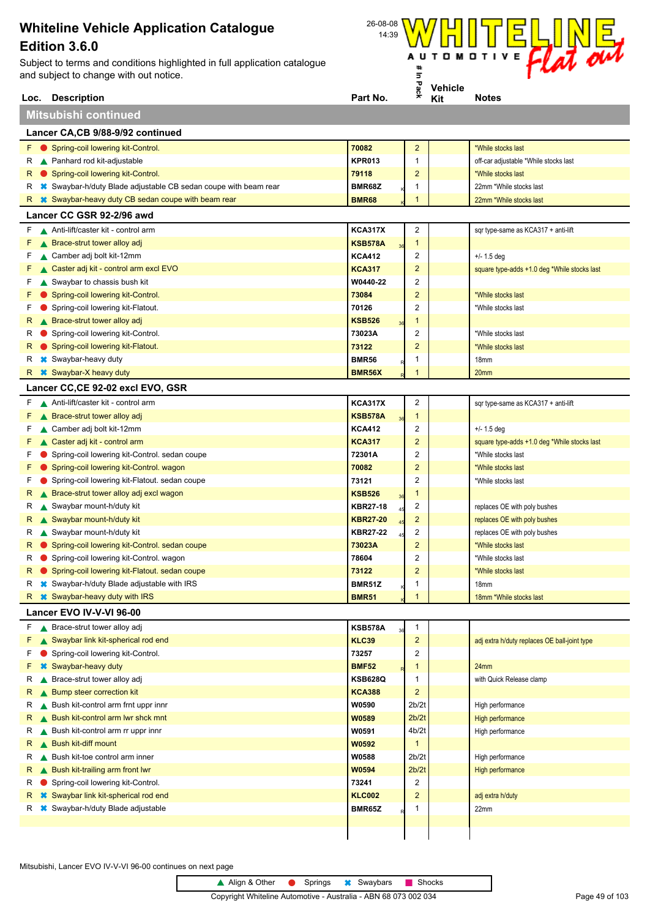Subject to terms and conditions highlighted in full application catalogue and subject to change with out notice.



|                                  | Loc. Description                                                           | Part No.                  |                         | ×, | Kit | <b>Notes</b>                                       |  |  |
|----------------------------------|----------------------------------------------------------------------------|---------------------------|-------------------------|----|-----|----------------------------------------------------|--|--|
|                                  | Mitsubishi continued                                                       |                           |                         |    |     |                                                    |  |  |
| Lancer CA,CB 9/88-9/92 continued |                                                                            |                           |                         |    |     |                                                    |  |  |
|                                  | F Spring-coil lowering kit-Control.                                        | 70082                     | $\overline{c}$          |    |     | *While stocks last                                 |  |  |
| R                                | ▲ Panhard rod kit-adjustable                                               | <b>KPR013</b>             | 1                       |    |     | off-car adjustable *While stocks last              |  |  |
| R.                               | Spring-coil lowering kit-Control.                                          | 79118                     | $\overline{2}$          |    |     | *While stocks last                                 |  |  |
| R                                | <sup>■</sup> Swaybar-h/duty Blade adjustable CB sedan coupe with beam rear | BMR68Z                    | 1                       |    |     | 22mm *While stocks last                            |  |  |
| R.                               | <b><sup>■</sup></b> Swaybar-heavy duty CB sedan coupe with beam rear       | <b>BMR68</b>              | 1                       |    |     | 22mm *While stocks last                            |  |  |
|                                  | Lancer CC GSR 92-2/96 awd                                                  |                           |                         |    |     |                                                    |  |  |
| F                                | Anti-lift/caster kit - control arm                                         | <b>KCA317X</b>            | 2                       |    |     | sqr type-same as KCA317 + anti-lift                |  |  |
| F                                | ▲ Brace-strut tower alloy adj                                              | <b>KSB578A</b>            | $\mathbf{1}$            |    |     |                                                    |  |  |
| F                                | ▲ Camber adj bolt kit-12mm                                                 | <b>KCA412</b>             | 2                       |    |     | $+/- 1.5$ deg                                      |  |  |
| F                                | ▲ Caster adj kit - control arm excl EVO                                    | <b>KCA317</b>             | 2                       |    |     | square type-adds +1.0 deg *While stocks last       |  |  |
| F                                | Swaybar to chassis bush kit                                                | W0440-22                  | 2                       |    |     |                                                    |  |  |
| F                                | Spring-coil lowering kit-Control.                                          | 73084                     | $\overline{2}$          |    |     | *While stocks last                                 |  |  |
| F                                | Spring-coil lowering kit-Flatout.                                          | 70126                     | 2                       |    |     | *While stocks last                                 |  |  |
| R.                               | ▲ Brace-strut tower alloy adj                                              | <b>KSB526</b><br>36       | 1                       |    |     |                                                    |  |  |
| R                                | Spring-coil lowering kit-Control.                                          | 73023A                    | 2                       |    |     | *While stocks last                                 |  |  |
| R.                               | Spring-coil lowering kit-Flatout.                                          | 73122                     | $\overline{2}$          |    |     | *While stocks last                                 |  |  |
| R                                | <b>*</b> Swaybar-heavy duty                                                | <b>BMR56</b>              | 1                       |    |     | 18mm                                               |  |  |
| R                                | <b>*</b> Swaybar-X heavy duty                                              | <b>BMR56X</b>             | 1                       |    |     | 20 <sub>mm</sub>                                   |  |  |
|                                  | Lancer CC,CE 92-02 excl EVO, GSR                                           |                           |                         |    |     |                                                    |  |  |
| F.                               | Anti-lift/caster kit - control arm                                         | <b>KCA317X</b>            | $\overline{c}$          |    |     | sqr type-same as KCA317 + anti-lift                |  |  |
| F                                | ▲ Brace-strut tower alloy adj                                              | <b>KSB578A</b>            | 1                       |    |     |                                                    |  |  |
| F                                | Camber adj bolt kit-12mm                                                   | <b>KCA412</b>             | 2                       |    |     | $+/- 1.5$ deg                                      |  |  |
| F                                | ▲ Caster adj kit - control arm                                             | <b>KCA317</b>             | $\overline{2}$          |    |     | square type-adds +1.0 deg *While stocks last       |  |  |
| F                                | Spring-coil lowering kit-Control. sedan coupe                              | 72301A                    | 2                       |    |     | *While stocks last                                 |  |  |
| F                                | Spring-coil lowering kit-Control. wagon                                    | 70082                     | $\overline{2}$          |    |     | *While stocks last                                 |  |  |
| F                                | Spring-coil lowering kit-Flatout. sedan coupe                              | 73121                     | 2                       |    |     | *While stocks last                                 |  |  |
| R                                | Brace-strut tower alloy adj excl wagon                                     | <b>KSB526</b>             | 1                       |    |     |                                                    |  |  |
| R                                | Swaybar mount-h/duty kit                                                   | <b>KBR27-18</b>           | 2                       |    |     | replaces OE with poly bushes                       |  |  |
| R.                               | Swaybar mount-h/duty kit                                                   | <b>KBR27-20</b>           | $\overline{2}$          |    |     | replaces OE with poly bushes                       |  |  |
| R<br>R.                          | Swaybar mount-h/duty kit<br>Spring-coil lowering kit-Control. sedan coupe  | <b>KBR27-22</b><br>73023A | 2<br>$\overline{2}$     |    |     | replaces OE with poly bushes<br>*While stocks last |  |  |
| R                                | Spring-coil lowering kit-Control. wagon                                    | 78604                     | $\overline{\mathbf{c}}$ |    |     | *While stocks last                                 |  |  |
| R.                               | Spring-coil lowering kit-Flatout. sedan coupe                              | 73122                     | 2                       |    |     | *While stocks last                                 |  |  |
|                                  | R * Swaybar-h/duty Blade adjustable with IRS                               | <b>BMR51Z</b>             | 1                       |    |     | 18mm                                               |  |  |
|                                  | $R \times$ Swaybar-heavy duty with IRS                                     | <b>BMR51</b>              | $\mathbf{1}$            |    |     | 18mm *While stocks last                            |  |  |
|                                  | Lancer EVO IV-V-VI 96-00                                                   |                           |                         |    |     |                                                    |  |  |
|                                  | $F \wedge$ Brace-strut tower alloy adj                                     | <b>KSB578A</b>            | $\mathbf{1}$            |    |     |                                                    |  |  |
| F                                | Swaybar link kit-spherical rod end                                         | 36<br><b>KLC39</b>        | $\overline{\mathbf{c}}$ |    |     | adj extra h/duty replaces OE ball-joint type       |  |  |
| F                                | Spring-coil lowering kit-Control.                                          | 73257                     | 2                       |    |     |                                                    |  |  |
| F                                | <b>*</b> Swaybar-heavy duty                                                | <b>BMF52</b>              | 1                       |    |     | 24mm                                               |  |  |
| R                                | ▲ Brace-strut tower alloy adj                                              | <b>KSB628Q</b>            | 1                       |    |     | with Quick Release clamp                           |  |  |
| R.                               | ▲ Bump steer correction kit                                                | <b>KCA388</b>             | $\overline{\mathbf{c}}$ |    |     |                                                    |  |  |
| R                                | Bush kit-control arm frnt uppr innr                                        | W0590                     | 2b/2t                   |    |     | High performance                                   |  |  |
| R.                               | Bush kit-control arm Iwr shck mnt                                          | W0589                     | 2 <sub>b</sub> /2t      |    |     | <b>High performance</b>                            |  |  |
| R                                | Bush kit-control arm rr uppr innr                                          | W0591                     | 4 <sub>b</sub> /2t      |    |     | High performance                                   |  |  |
| R.                               | ▲ Bush kit-diff mount                                                      | W0592                     | $\mathbf{1}$            |    |     |                                                    |  |  |
| R                                | Bush kit-toe control arm inner                                             | W0588                     | 2 <sub>b</sub> /2t      |    |     | High performance                                   |  |  |
| R.                               | Bush kit-trailing arm front lwr                                            | W0594                     | 2 <sub>b</sub> /2t      |    |     | <b>High performance</b>                            |  |  |
| R                                | Spring-coil lowering kit-Control.                                          | 73241                     | 2                       |    |     |                                                    |  |  |
| R                                | <b>*</b> Swaybar link kit-spherical rod end                                | <b>KLC002</b>             | $\overline{\mathbf{c}}$ |    |     | adj extra h/duty                                   |  |  |
| R                                | <b>☀</b> Swaybar-h/duty Blade adjustable                                   | BMR65Z                    | 1                       |    |     | 22mm                                               |  |  |
|                                  |                                                                            |                           |                         |    |     |                                                    |  |  |

Mitsubishi, Lancer EVO IV-V-VI 96-00 continues on next page



I

Ι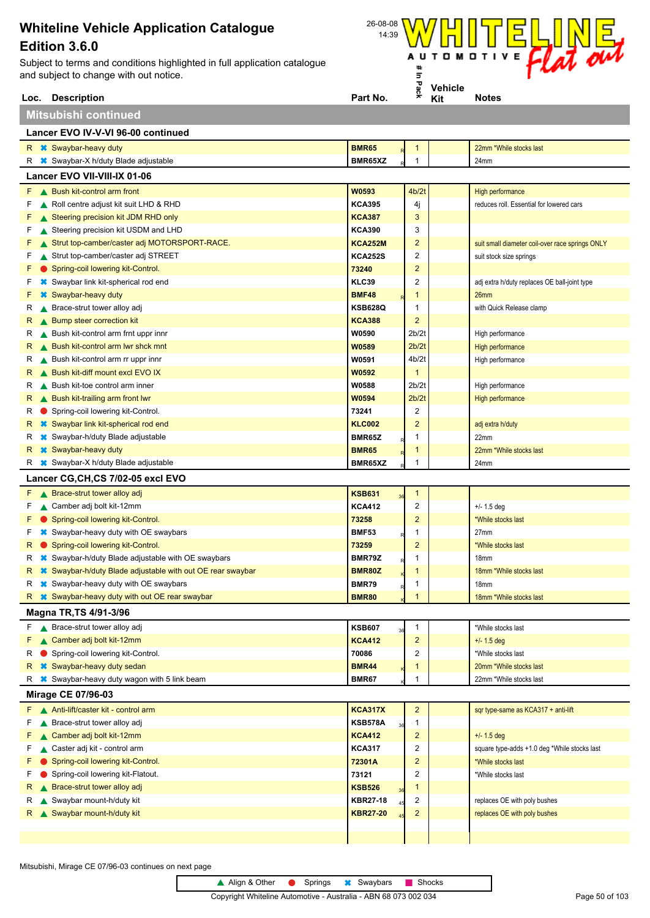

|                                    | Loc. Description                                                     | Part No.                           | ⋇                                  | Kit | <b>Notes</b>                                                 |  |
|------------------------------------|----------------------------------------------------------------------|------------------------------------|------------------------------------|-----|--------------------------------------------------------------|--|
|                                    | <b>Mitsubishi continued</b>                                          |                                    |                                    |     |                                                              |  |
| Lancer EVO IV-V-VI 96-00 continued |                                                                      |                                    |                                    |     |                                                              |  |
|                                    | R <b>*</b> Swaybar-heavy duty                                        | <b>BMR65</b>                       | $\mathbf{1}$                       |     | 22mm *While stocks last                                      |  |
| к                                  | <b>■ Swaybar-X h/duty Blade adjustable</b>                           | BMR65XZ                            | 1                                  |     | 24mm                                                         |  |
|                                    | Lancer EVO VII-VIII-IX 01-06                                         |                                    |                                    |     |                                                              |  |
| F                                  | ▲ Bush kit-control arm front                                         | W0593                              | 4b/2t                              |     | High performance                                             |  |
| F                                  | Roll centre adjust kit suit LHD & RHD                                | <b>KCA395</b>                      | 4j                                 |     | reduces roll. Essential for lowered cars                     |  |
| F                                  | Steering precision kit JDM RHD only                                  | <b>KCA387</b>                      | 3                                  |     |                                                              |  |
| F                                  | Steering precision kit USDM and LHD                                  | <b>KCA390</b>                      | 3                                  |     |                                                              |  |
| F                                  | Strut top-camber/caster adj MOTORSPORT-RACE.                         | <b>KCA252M</b>                     | $\overline{c}$                     |     | suit small diameter coil-over race springs ONLY              |  |
| F                                  | Strut top-camber/caster adj STREET                                   | <b>KCA252S</b>                     | 2                                  |     | suit stock size springs                                      |  |
| F                                  | Spring-coil lowering kit-Control.                                    | 73240                              | $\overline{c}$                     |     |                                                              |  |
| F                                  | <b></b> Swaybar link kit-spherical rod end                           | <b>KLC39</b>                       | 2                                  |     | adj extra h/duty replaces OE ball-joint type                 |  |
| F                                  | <b>*</b> Swaybar-heavy duty                                          | <b>BMF48</b>                       | 1                                  |     | 26mm                                                         |  |
| R                                  | ▲ Brace-strut tower alloy adj                                        | <b>KSB628Q</b>                     | 1                                  |     | with Quick Release clamp                                     |  |
| R.                                 | Bump steer correction kit                                            | <b>KCA388</b>                      | $\overline{c}$                     |     |                                                              |  |
| R                                  | Bush kit-control arm frnt uppr innr                                  | W0590                              | 2 <sub>b</sub> /2t                 |     | High performance                                             |  |
| R.                                 | Bush kit-control arm Iwr shck mnt                                    | W0589                              | 2 <sub>b</sub> /2t                 |     | High performance                                             |  |
| R                                  | Bush kit-control arm rr uppr innr<br>Bush kit-diff mount excl EVO IX | W0591<br>W0592                     | 4 <sub>b</sub> /2t<br>$\mathbf{1}$ |     | High performance                                             |  |
| R.<br>К                            | Bush kit-toe control arm inner                                       | W0588                              | 2b/2t                              |     | High performance                                             |  |
| R.                                 | ▲ Bush kit-trailing arm front lwr                                    | W0594                              | 2 <sub>b</sub> /2t                 |     | High performance                                             |  |
| к                                  | Spring-coil lowering kit-Control.                                    | 73241                              | 2                                  |     |                                                              |  |
| R.                                 | <b>*</b> Swaybar link kit-spherical rod end                          | <b>KLC002</b>                      | $\overline{c}$                     |     | adj extra h/duty                                             |  |
| к                                  | <b>☀</b> Swaybar-h/duty Blade adjustable                             | BMR65Z                             | 1                                  |     | 22mm                                                         |  |
| R                                  | <b>*</b> Swaybar-heavy duty                                          | <b>BMR65</b>                       | $\mathbf{1}$                       |     | 22mm *While stocks last                                      |  |
|                                    | R * Swaybar-X h/duty Blade adjustable                                | BMR65XZ                            | 1                                  |     | 24mm                                                         |  |
|                                    | Lancer CG, CH, CS 7/02-05 excl EVO                                   |                                    |                                    |     |                                                              |  |
| F                                  | ▲ Brace-strut tower alloy adj                                        | <b>KSB631</b>                      | $\mathbf{1}$                       |     |                                                              |  |
| F                                  | ▲ Camber adj bolt kit-12mm                                           | <b>KCA412</b>                      | 2                                  |     | $+/- 1.5$ deg                                                |  |
| F                                  | Spring-coil lowering kit-Control.                                    | 73258                              | $\overline{2}$                     |     | *While stocks last                                           |  |
| F                                  | Swaybar-heavy duty with OE swaybars                                  | <b>BMF53</b>                       | 1                                  |     | 27mm                                                         |  |
| R.                                 | Spring-coil lowering kit-Control.                                    | 73259                              | $\overline{c}$                     |     | *While stocks last                                           |  |
| R                                  | <b><sup>■</sup></b> Swaybar-h/duty Blade adjustable with OE swaybars | BMR79Z                             | 1                                  |     | 18mm                                                         |  |
| R.                                 | <b>■ Swaybar-h/duty Blade adjustable with out OE rear swaybar</b>    | <b>BMR80Z</b>                      | $\mathbf{1}$                       |     | 18mm *While stocks last                                      |  |
|                                    | R $\ast$ Swaybar-heavy duty with OE swaybars                         | <b>BMR79</b>                       | 1                                  |     | 18mm                                                         |  |
|                                    | R * Swaybar-heavy duty with out OE rear swaybar                      | <b>BMR80</b>                       | $\mathbf{1}$                       |     | 18mm *While stocks last                                      |  |
|                                    | Magna TR, TS 4/91-3/96                                               |                                    |                                    |     |                                                              |  |
|                                    | $F \wedge$ Brace-strut tower alloy adj                               | <b>KSB607</b><br>36                | 1                                  |     | *While stocks last                                           |  |
| F                                  | Camber adj bolt kit-12mm                                             | <b>KCA412</b>                      | $\overline{\mathbf{c}}$            |     | $+/- 1.5$ deg                                                |  |
| R                                  | Spring-coil lowering kit-Control.                                    | 70086                              | 2                                  |     | *While stocks last                                           |  |
| R                                  | <b>*</b> Swaybar-heavy duty sedan                                    | <b>BMR44</b>                       | -1                                 |     | 20mm *While stocks last                                      |  |
| R                                  | <b>★</b> Swaybar-heavy duty wagon with 5 link beam                   | <b>BMR67</b>                       | 1                                  |     | 22mm *While stocks last                                      |  |
|                                    | Mirage CE 07/96-03                                                   |                                    |                                    |     |                                                              |  |
| F                                  | Anti-lift/caster kit - control arm                                   | <b>KCA317X</b>                     | $\overline{c}$                     |     | sqr type-same as KCA317 + anti-lift                          |  |
| F                                  | Brace-strut tower alloy adj                                          | <b>KSB578A</b>                     | $\mathbf{1}$                       |     |                                                              |  |
| F                                  | ▲ Camber adj bolt kit-12mm                                           | <b>KCA412</b>                      | $\overline{\mathbf{c}}$            |     | $+/- 1.5$ deg                                                |  |
| F                                  | Caster adj kit - control arm                                         | <b>KCA317</b>                      | 2                                  |     | square type-adds +1.0 deg *While stocks last                 |  |
| F                                  | Spring-coil lowering kit-Control.                                    | 72301A                             | $\overline{\mathbf{c}}$            |     | *While stocks last                                           |  |
| F                                  | Spring-coil lowering kit-Flatout.                                    | 73121                              | 2                                  |     | *While stocks last                                           |  |
| R.                                 | ▲ Brace-strut tower alloy adj<br>Swaybar mount-h/duty kit            | <b>KSB526</b>                      | $\mathbf{1}$                       |     |                                                              |  |
| R<br>R.                            | Swaybar mount-h/duty kit                                             | <b>KBR27-18</b><br><b>KBR27-20</b> | 2<br>$\overline{\mathbf{c}}$       |     | replaces OE with poly bushes<br>replaces OE with poly bushes |  |
|                                    |                                                                      |                                    |                                    |     |                                                              |  |

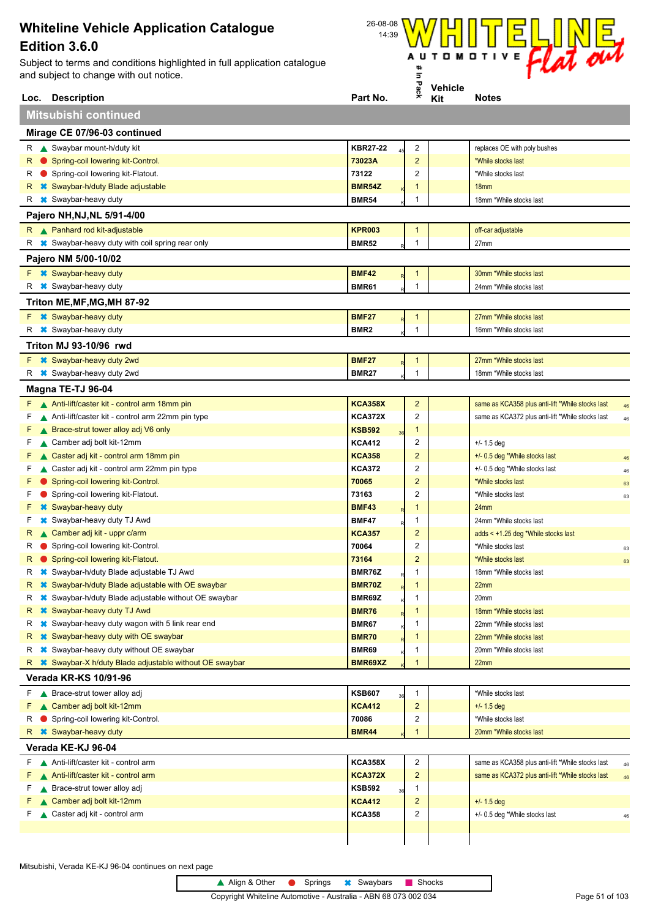Subject to terms and conditions highlighted in full application catalogue and subject to change with out notice.



|    | Loc. Description                                                | Part No.                        | 웃                       | Kit | <b>Notes</b>                                     |            |  |  |
|----|-----------------------------------------------------------------|---------------------------------|-------------------------|-----|--------------------------------------------------|------------|--|--|
|    | <b>Mitsubishi continued</b>                                     |                                 |                         |     |                                                  |            |  |  |
|    | Mirage CE 07/96-03 continued                                    |                                 |                         |     |                                                  |            |  |  |
|    | R Swaybar mount-h/duty kit                                      | <b>KBR27-22</b>                 | 2                       |     | replaces OE with poly bushes                     |            |  |  |
| R. | Spring-coil lowering kit-Control.                               | 73023A                          | $\overline{2}$          |     | *While stocks last                               |            |  |  |
| R  | Spring-coil lowering kit-Flatout.                               | 73122                           | 2                       |     | *While stocks last                               |            |  |  |
| R. | <b>*</b> Swaybar-h/duty Blade adjustable                        | <b>BMR54Z</b>                   | 1                       |     | 18 <sub>mm</sub>                                 |            |  |  |
| R  | <b>*</b> Swaybar-heavy duty                                     | <b>BMR54</b>                    | $\mathbf 1$             |     | 18mm *While stocks last                          |            |  |  |
|    | Pajero NH, NJ, NL 5/91-4/00                                     |                                 |                         |     |                                                  |            |  |  |
|    | R Panhard rod kit-adjustable                                    | <b>KPR003</b>                   | $\mathbf{1}$            |     | off-car adjustable                               |            |  |  |
|    | R * Swaybar-heavy duty with coil spring rear only               | <b>BMR52</b>                    | 1                       |     | 27mm                                             |            |  |  |
|    | Pajero NM 5/00-10/02                                            |                                 |                         |     |                                                  |            |  |  |
|    | F <b>*</b> Swaybar-heavy duty                                   | <b>BMF42</b>                    | $\mathbf{1}$            |     | 30mm *While stocks last                          |            |  |  |
|    | R <b>*</b> Swaybar-heavy duty                                   | <b>BMR61</b>                    | 1                       |     | 24mm *While stocks last                          |            |  |  |
|    | Triton ME, MF, MG, MH 87-92                                     |                                 |                         |     |                                                  |            |  |  |
|    | F * Swaybar-heavy duty                                          | <b>BMF27</b>                    | $\mathbf{1}$            |     | 27mm *While stocks last                          |            |  |  |
| R  | <b>*</b> Swaybar-heavy duty                                     | BMR <sub>2</sub>                | $\mathbf{1}$            |     | 16mm *While stocks last                          |            |  |  |
|    | Triton MJ 93-10/96 rwd                                          |                                 |                         |     |                                                  |            |  |  |
|    | F * Swaybar-heavy duty 2wd                                      | <b>BMF27</b>                    | $\mathbf{1}$            |     | 27mm *While stocks last                          |            |  |  |
| R  | <b>*</b> Swaybar-heavy duty 2wd                                 | <b>BMR27</b>                    | 1                       |     | 18mm *While stocks last                          |            |  |  |
|    | Magna TE-TJ 96-04                                               |                                 |                         |     |                                                  |            |  |  |
| F  | Anti-lift/caster kit - control arm 18mm pin                     | <b>KCA358X</b>                  | $\overline{2}$          |     | same as KCA358 plus anti-lift *While stocks last | 46         |  |  |
| F  | A Anti-lift/caster kit - control arm 22mm pin type              | <b>KCA372X</b>                  | 2                       |     | same as KCA372 plus anti-lift *While stocks last | 46         |  |  |
| F  | ▲ Brace-strut tower alloy adj V6 only                           | <b>KSB592</b><br>3 <sub>0</sub> | 1                       |     |                                                  |            |  |  |
| F  | Camber adj bolt kit-12mm                                        | <b>KCA412</b>                   | 2                       |     | $+/- 1.5$ deg                                    |            |  |  |
| F  | ▲ Caster adj kit - control arm 18mm pin                         | <b>KCA358</b>                   | $\overline{2}$          |     | +/- 0.5 deg *While stocks last                   | 46         |  |  |
| F  | ▲ Caster adj kit - control arm 22mm pin type                    | <b>KCA372</b>                   | 2                       |     | +/- 0.5 deg *While stocks last                   | 46         |  |  |
| F  | Spring-coil lowering kit-Control.                               | 70065                           | $\overline{2}$          |     | *While stocks last                               | 63         |  |  |
| F  | Spring-coil lowering kit-Flatout.                               | 73163                           | $\overline{c}$          |     | *While stocks last                               | 63         |  |  |
| F  | <b>*</b> Swaybar-heavy duty                                     | <b>BMF43</b>                    | $\mathbf 1$             |     | 24mm                                             |            |  |  |
| F  | <b>*</b> Swaybar-heavy duty TJ Awd                              | <b>BMF47</b>                    | 1                       |     | 24mm *While stocks last                          |            |  |  |
| R. | ▲ Camber adj kit - uppr c/arm                                   | <b>KCA357</b>                   | $\overline{2}$          |     | adds < +1.25 deg *While stocks last              |            |  |  |
| R  | Spring-coil lowering kit-Control.                               | 70064                           | 2                       |     | *While stocks last                               | 63         |  |  |
|    | Spring-coil lowering kit-Flatout.                               | 73164                           | $\overline{2}$          |     | *While stocks last                               | 63         |  |  |
|    | R * Swaybar-h/duty Blade adjustable TJ Awd                      | BMR76Z                          | -1                      |     | 18mm *While stocks last                          |            |  |  |
|    | R * Swaybar-h/duty Blade adjustable with OE swaybar             | <b>BMR70Z</b>                   | $\mathbf{1}$            |     | 22mm                                             |            |  |  |
| R  | <sup>■</sup> Swaybar-h/duty Blade adjustable without OE swaybar | BMR69Z                          | 1                       |     | 20mm                                             |            |  |  |
| R. | <b>*</b> Swaybar-heavy duty TJ Awd                              | <b>BMR76</b>                    | $\mathbf 1$             |     | 18mm *While stocks last                          |            |  |  |
| R  | <b>*</b> Swaybar-heavy duty wagon with 5 link rear end          | <b>BMR67</b>                    | 1                       |     | 22mm *While stocks last                          |            |  |  |
| R  | <b>■ Swaybar-heavy duty with OE swaybar</b>                     | <b>BMR70</b>                    | 1                       |     | 22mm *While stocks last                          |            |  |  |
| R  | <b>■ Swaybar-heavy duty without OE swaybar</b>                  | <b>BMR69</b>                    | 1                       |     | 20mm *While stocks last                          |            |  |  |
| R. | <b>■ Swaybar-X h/duty Blade adjustable without OE swaybar</b>   | BMR69XZ                         | 1                       |     | 22mm                                             |            |  |  |
|    | <b>Verada KR-KS 10/91-96</b>                                    |                                 |                         |     |                                                  |            |  |  |
| F  | ▲ Brace-strut tower alloy adj                                   | <b>KSB607</b>                   | $\mathbf{1}$            |     | *While stocks last                               |            |  |  |
| F  | ▲ Camber adj bolt kit-12mm                                      | <b>KCA412</b>                   | $\overline{2}$          |     | $+/- 1.5$ deg                                    |            |  |  |
| R  | Spring-coil lowering kit-Control.                               | 70086                           | $\overline{c}$          |     | *While stocks last                               |            |  |  |
| R. | <b>*</b> Swaybar-heavy duty                                     | <b>BMR44</b>                    |                         |     | 20mm *While stocks last                          |            |  |  |
|    | Verada KE-KJ 96-04                                              |                                 |                         |     |                                                  |            |  |  |
|    | F Anti-lift/caster kit - control arm                            | <b>KCA358X</b>                  | $\overline{\mathbf{c}}$ |     | same as KCA358 plus anti-lift *While stocks last | 46         |  |  |
| F  | A Anti-lift/caster kit - control arm                            | <b>KCA372X</b>                  | $\overline{2}$          |     | same as KCA372 plus anti-lift *While stocks last | ${\bf 46}$ |  |  |
| F  | ▲ Brace-strut tower alloy adj                                   | <b>KSB592</b>                   | 1                       |     |                                                  |            |  |  |
| F  | ▲ Camber adj bolt kit-12mm                                      | <b>KCA412</b>                   | $\overline{2}$          |     | $+/- 1.5$ deg                                    |            |  |  |
| F  | Caster adj kit - control arm                                    | <b>KCA358</b>                   | 2                       |     | +/- 0.5 deg *While stocks last                   | 46         |  |  |
|    |                                                                 |                                 |                         |     |                                                  |            |  |  |
|    |                                                                 |                                 |                         |     |                                                  |            |  |  |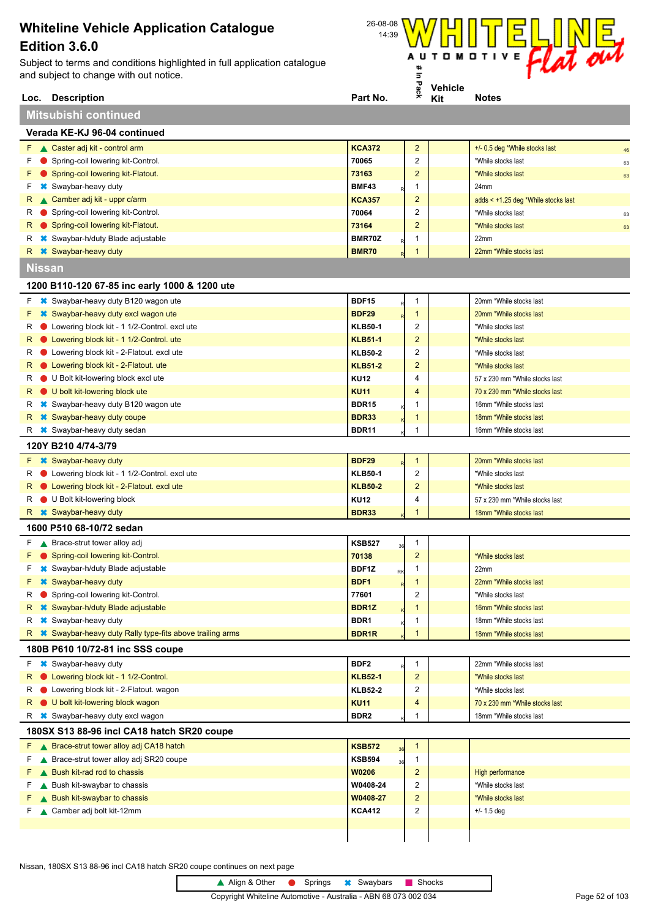Subject to terms and conditions highlighted in full application catalogue and subject to change with out notice.



|                              | Loc. Description                                           | Part No.                     | 웆.                      | Kit | <b>Notes</b>                         |  |  |  |
|------------------------------|------------------------------------------------------------|------------------------------|-------------------------|-----|--------------------------------------|--|--|--|
|                              | Mitsubishi continued                                       |                              |                         |     |                                      |  |  |  |
| Verada KE-KJ 96-04 continued |                                                            |                              |                         |     |                                      |  |  |  |
|                              | F Caster adj kit - control arm                             | <b>KCA372</b>                | $\overline{c}$          |     | +/- 0.5 deg *While stocks last<br>46 |  |  |  |
| F                            | Spring-coil lowering kit-Control.                          | 70065                        | 2                       |     | *While stocks last<br>63             |  |  |  |
| F                            | Spring-coil lowering kit-Flatout.                          | 73163                        | $\overline{\mathbf{c}}$ |     | *While stocks last<br>63             |  |  |  |
| F                            | <b>*</b> Swaybar-heavy duty                                | <b>BMF43</b>                 | 1                       |     | 24mm                                 |  |  |  |
|                              | Camber adj kit - uppr c/arm                                | <b>KCA357</b>                | $\overline{\mathbf{c}}$ |     | adds < +1.25 deg *While stocks last  |  |  |  |
| R                            | Spring-coil lowering kit-Control.                          | 70064                        | 2                       |     | *While stocks last<br>63             |  |  |  |
| R.                           | Spring-coil lowering kit-Flatout.                          | 73164                        | $\overline{\mathbf{c}}$ |     | *While stocks last<br>63             |  |  |  |
| R                            | <b>*</b> Swaybar-h/duty Blade adjustable                   | BMR70Z                       | 1                       |     | 22mm                                 |  |  |  |
| R.                           | <b>*</b> Swaybar-heavy duty                                | <b>BMR70</b><br>$\mathsf{R}$ | 1                       |     | 22mm *While stocks last              |  |  |  |
| Nissan                       |                                                            |                              |                         |     |                                      |  |  |  |
|                              | 1200 B110-120 67-85 inc early 1000 & 1200 ute              |                              |                         |     |                                      |  |  |  |
| F                            | <b>■ Swaybar-heavy duty B120 wagon ute</b>                 | <b>BDF15</b>                 | $\mathbf{1}$            |     | 20mm *While stocks last              |  |  |  |
| F.                           | <b>*</b> Swaybar-heavy duty excl wagon ute                 | <b>BDF29</b>                 | $\mathbf{1}$            |     | 20mm *While stocks last              |  |  |  |
| R                            | • Lowering block kit - 1 1/2-Control. excl ute             | <b>KLB50-1</b>               | 2                       |     | *While stocks last                   |  |  |  |
| R.                           | • Lowering block kit - 1 1/2-Control. ute                  | <b>KLB51-1</b>               | 2                       |     | *While stocks last                   |  |  |  |
| R                            | • Lowering block kit - 2-Flatout. excl ute                 | <b>KLB50-2</b>               | 2                       |     | *While stocks last                   |  |  |  |
| R.                           | • Lowering block kit - 2-Flatout. ute                      | <b>KLB51-2</b>               | 2                       |     | *While stocks last                   |  |  |  |
| R                            | ● U Bolt kit-lowering block excl ute                       | <b>KU12</b>                  | 4                       |     | 57 x 230 mm *While stocks last       |  |  |  |
| R.                           | • U bolt kit-lowering block ute                            | <b>KU11</b>                  | 4                       |     | 70 x 230 mm *While stocks last       |  |  |  |
| R                            | <sup>■</sup> Swaybar-heavy duty B120 wagon ute             | <b>BDR15</b>                 | $\mathbf{1}$            |     | 16mm *While stocks last              |  |  |  |
| R                            | <b>*</b> Swaybar-heavy duty coupe                          | <b>BDR33</b>                 | $\mathbf 1$             |     | 18mm *While stocks last              |  |  |  |
| R                            | <b>*</b> Swaybar-heavy duty sedan                          | <b>BDR11</b>                 | 1                       |     | 16mm *While stocks last              |  |  |  |
|                              | 120Y B210 4/74-3/79                                        |                              |                         |     |                                      |  |  |  |
|                              |                                                            |                              |                         |     |                                      |  |  |  |
| F.                           | <b>*</b> Swaybar-heavy duty                                | <b>BDF29</b>                 | $\mathbf{1}$            |     | 20mm *While stocks last              |  |  |  |
| R                            | Lowering block kit - 1 1/2-Control. excl ute               | <b>KLB50-1</b>               | 2                       |     | *While stocks last                   |  |  |  |
| R.                           | ● Lowering block kit - 2-Flatout. excl ute                 | <b>KLB50-2</b>               | $\overline{c}$          |     | *While stocks last                   |  |  |  |
| R                            | U Bolt kit-lowering block                                  | <b>KU12</b>                  | 4                       |     | 57 x 230 mm *While stocks last       |  |  |  |
| R.                           | <b>*</b> Swaybar-heavy duty                                | <b>BDR33</b>                 | 1                       |     | 18mm *While stocks last              |  |  |  |
|                              | 1600 P510 68-10/72 sedan                                   |                              |                         |     |                                      |  |  |  |
| F                            | ▲ Brace-strut tower alloy adj                              | <b>KSB527</b><br>36          | $\mathbf{1}$            |     |                                      |  |  |  |
| F                            | Spring-coil lowering kit-Control.                          | 70138                        | $\overline{\mathbf{c}}$ |     | *While stocks last                   |  |  |  |
| F                            | <b>*</b> Swaybar-h/duty Blade adjustable                   | BDF1Z<br>RK                  | 1                       |     | 22mm                                 |  |  |  |
|                              | <b>F *</b> Swaybar-heavy duty                              | BDF1                         | $\mathbf{1}$            |     | 22mm *While stocks last              |  |  |  |
|                              | R Spring-coil lowering kit-Control.                        | 77601                        | 2                       |     | *While stocks last                   |  |  |  |
|                              | R * Swaybar-h/duty Blade adjustable                        | <b>BDR1Z</b>                 | $\mathbf{1}$            |     | 16mm *While stocks last              |  |  |  |
| R                            | <b>*</b> Swaybar-heavy duty                                | BDR1                         | 1                       |     | 18mm *While stocks last              |  |  |  |
|                              | R * Swaybar-heavy duty Rally type-fits above trailing arms | <b>BDR1R</b>                 | 1                       |     | 18mm *While stocks last              |  |  |  |
|                              | 180B P610 10/72-81 inc SSS coupe                           |                              |                         |     |                                      |  |  |  |
|                              | $F \rightarrow$ Swaybar-heavy duty                         | BDF <sub>2</sub>             | $\mathbf{1}$            |     | 22mm *While stocks last              |  |  |  |
| R.                           | • Lowering block kit - 1 1/2-Control.                      | <b>KLB52-1</b>               | $\overline{c}$          |     | *While stocks last                   |  |  |  |
| R                            | ● Lowering block kit - 2-Flatout. wagon                    | <b>KLB52-2</b>               | 2                       |     | *While stocks last                   |  |  |  |
| R.                           | U bolt kit-lowering block wagon                            | <b>KU11</b>                  | 4                       |     | 70 x 230 mm *While stocks last       |  |  |  |
| R                            | <b>*</b> Swaybar-heavy duty excl wagon                     | BDR <sub>2</sub>             | 1                       |     | 18mm *While stocks last              |  |  |  |
|                              | 180SX S13 88-96 incl CA18 hatch SR20 coupe                 |                              |                         |     |                                      |  |  |  |
| F.                           | Brace-strut tower alloy adj CA18 hatch                     | <b>KSB572</b><br>36          | $\mathbf{1}$            |     |                                      |  |  |  |
| F                            | ▲ Brace-strut tower alloy adj SR20 coupe                   | <b>KSB594</b><br>36          | $\mathbf{1}$            |     |                                      |  |  |  |
| F                            | Bush kit-rad rod to chassis                                | W0206                        | $\overline{\mathbf{c}}$ |     | High performance                     |  |  |  |
| F                            | Bush kit-swaybar to chassis                                | W0408-24                     | 2                       |     | *While stocks last                   |  |  |  |
| F                            | ▲ Bush kit-swaybar to chassis                              | W0408-27                     | $\overline{\mathbf{c}}$ |     | *While stocks last                   |  |  |  |
| F                            | ▲ Camber adj bolt kit-12mm                                 | <b>KCA412</b>                | 2                       |     | $+/- 1.5$ deg                        |  |  |  |
|                              |                                                            |                              |                         |     |                                      |  |  |  |
|                              |                                                            |                              |                         |     |                                      |  |  |  |

Nissan, 180SX S13 88-96 incl CA18 hatch SR20 coupe continues on next page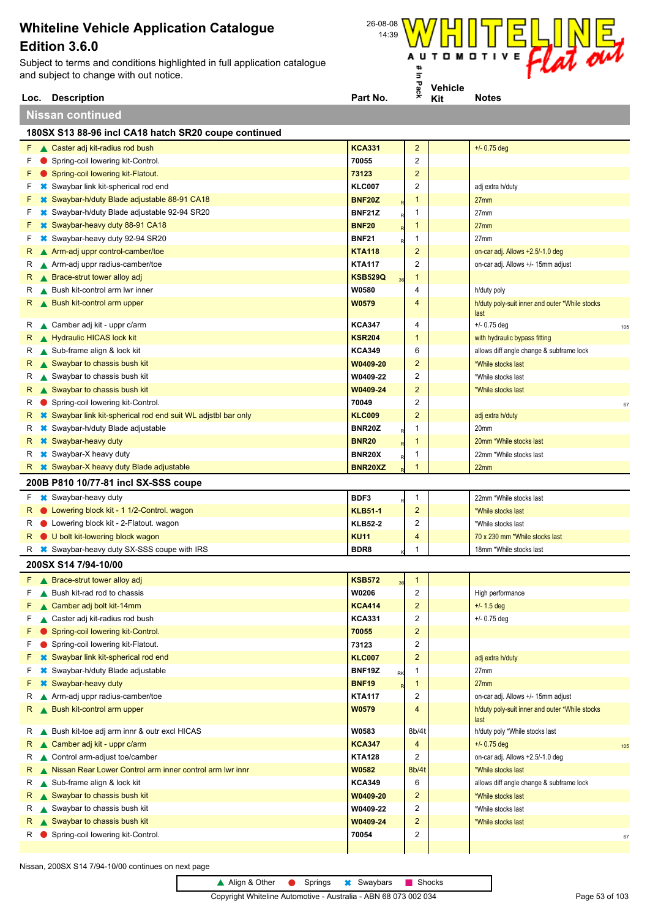**Loc. Description**<br> **Loc. Description**<br> **Part No. Part No. Part No. Part No. Part No. Part No. Part No. Part No. Part No. Part No. Part No. Part No. Part No. Part No. Part No. Part No. P** Subject to terms and conditions highlighted in full application catalogue and subject to change with out notice.



**Nissan continued**

|    |    | 180SX S13 88-96 incl CA18 hatch SR20 coupe continued                            |                     |                         |                                                        |     |
|----|----|---------------------------------------------------------------------------------|---------------------|-------------------------|--------------------------------------------------------|-----|
|    |    | F Caster adj kit-radius rod bush                                                | <b>KCA331</b>       | $\overline{\mathbf{c}}$ | $+/- 0.75$ deg                                         |     |
| F. |    | Spring-coil lowering kit-Control.                                               | 70055               | $\boldsymbol{2}$        |                                                        |     |
| F. |    | Spring-coil lowering kit-Flatout.                                               | 73123               | $\overline{2}$          |                                                        |     |
| F  |    | <b></b> Swaybar link kit-spherical rod end                                      | <b>KLC007</b>       | $\overline{\mathbf{c}}$ | adj extra h/duty                                       |     |
| F. |    | <b><sup>■</sup></b> Swaybar-h/duty Blade adjustable 88-91 CA18                  | <b>BNF20Z</b>       | 1                       | 27 <sub>mm</sub>                                       |     |
| F. |    | <b>*</b> Swaybar-h/duty Blade adjustable 92-94 SR20                             | <b>BNF21Z</b>       | 1                       | 27mm                                                   |     |
| F  |    | <b>*</b> Swaybar-heavy duty 88-91 CA18                                          | <b>BNF20</b>        | 1                       | 27mm                                                   |     |
| F  |    | <sup>■</sup> Swaybar-heavy duty 92-94 SR20                                      | <b>BNF21</b>        | 1                       | 27mm                                                   |     |
| R. |    | Arm-adj uppr control-camber/toe                                                 | <b>KTA118</b>       | $\overline{2}$          | on-car adj. Allows +2.5/-1.0 deg                       |     |
| R  |    | Arm-adj uppr radius-camber/toe                                                  | <b>KTA117</b>       | 2                       | on-car adj. Allows +/- 15mm adjust                     |     |
|    | R. | ▲ Brace-strut tower alloy adj                                                   | KSB529Q             | 1                       |                                                        |     |
|    | R  | Bush kit-control arm Iwr inner                                                  | W0580               | 4                       | h/duty poly                                            |     |
|    |    | R Bush kit-control arm upper                                                    | W0579               | 4                       | h/duty poly-suit inner and outer *While stocks<br>last |     |
|    |    | R Camber adj kit - uppr c/arm                                                   | <b>KCA347</b>       | 4                       | $+/- 0.75$ deg                                         | 105 |
|    |    | R Hydraulic HICAS lock kit                                                      | <b>KSR204</b>       | 1                       | with hydraulic bypass fitting                          |     |
|    |    | R Sub-frame align & lock kit                                                    | <b>KCA349</b>       | 6                       | allows diff angle change & subframe lock               |     |
|    |    | R Swaybar to chassis bush kit                                                   | W0409-20            | 2                       | *While stocks last                                     |     |
|    |    | R Swaybar to chassis bush kit                                                   | W0409-22            | $\overline{\mathbf{c}}$ | *While stocks last                                     |     |
|    |    | R Swaybar to chassis bush kit                                                   | W0409-24            | 2                       | *While stocks last                                     |     |
|    | R  | Spring-coil lowering kit-Control.                                               | 70049               | 2                       |                                                        | 67  |
|    | R. | <b><sup>●</sup></b> Swaybar link kit-spherical rod end suit WL adjstbl bar only | <b>KLC009</b>       | 2                       | adj extra h/duty                                       |     |
| R  |    | <b>☀</b> Swaybar-h/duty Blade adjustable                                        | <b>BNR20Z</b>       | 1                       | 20mm                                                   |     |
|    |    | R <b>*</b> Swaybar-heavy duty                                                   | <b>BNR20</b>        | 1                       | 20mm *While stocks last                                |     |
|    | R  | <b>*</b> Swaybar-X heavy duty                                                   | <b>BNR20X</b>       | 1                       | 22mm *While stocks last                                |     |
|    |    | R * Swaybar-X heavy duty Blade adjustable                                       | BNR20XZ             | 1                       | 22mm                                                   |     |
|    |    | 200B P810 10/77-81 incl SX-SSS coupe                                            |                     |                         |                                                        |     |
|    |    | $F \rightarrow$ Swaybar-heavy duty                                              | BDF3                | 1                       | 22mm *While stocks last                                |     |
|    | R. | • Lowering block kit - 1 1/2-Control. wagon                                     | <b>KLB51-1</b>      | $\overline{2}$          | *While stocks last                                     |     |
|    | R. | • Lowering block kit - 2-Flatout. wagon                                         | <b>KLB52-2</b>      | 2                       | *While stocks last                                     |     |
|    |    | R U bolt kit-lowering block wagon                                               | KU11                | 4                       | 70 x 230 mm *While stocks last                         |     |
|    |    | R <b>*</b> Swaybar-heavy duty SX-SSS coupe with IRS                             | BDR8                | 1                       | 18mm *While stocks last                                |     |
|    |    | 200SX S14 7/94-10/00                                                            |                     |                         |                                                        |     |
|    |    |                                                                                 |                     |                         |                                                        |     |
|    |    | $F \wedge$ Brace-strut tower alloy adj                                          |                     |                         |                                                        |     |
| ۲. |    |                                                                                 | <b>KSB572</b>       | 1                       |                                                        |     |
|    |    | Bush kit-rad rod to chassis                                                     | W0206               | 2                       | High performance                                       |     |
| F. |    | ▲ Camber adj bolt kit-14mm                                                      | <b>KCA414</b>       | 2                       | $+/- 1.5$ deg                                          |     |
|    |    | F Caster adj kit-radius rod bush                                                | <b>KCA331</b>       | $\overline{c}$          | $+/- 0.75$ deg                                         |     |
| F. |    | Spring-coil lowering kit-Control.                                               | 70055               | $\overline{\mathbf{c}}$ |                                                        |     |
| F  |    | Spring-coil lowering kit-Flatout.                                               | 73123               | 2                       |                                                        |     |
| F. |    | <b>*</b> Swaybar link kit-spherical rod end                                     | <b>KLC007</b>       | 2                       | adj extra h/duty                                       |     |
| F. |    | <b><sup>■</sup></b> Swaybar-h/duty Blade adjustable                             | <b>BNF19Z</b><br>RK | 1                       | 27mm                                                   |     |
| F. |    | <b>*</b> Swaybar-heavy duty                                                     | <b>BNF19</b>        | $\mathbf{1}$            | 27mm                                                   |     |
| R  |    | Arm-adj uppr radius-camber/toe                                                  | <b>KTA117</b>       | $\overline{c}$          | on-car adj. Allows +/- 15mm adjust                     |     |
|    |    | R Bush kit-control arm upper                                                    | W0579               | 4                       | h/duty poly-suit inner and outer *While stocks<br>last |     |
|    |    | R Bush kit-toe adj arm innr & outr excl HICAS                                   | W0583               | 8b/4t                   | h/duty poly *While stocks last                         |     |
|    |    | R Camber adj kit - uppr c/arm                                                   | KCA347              | 4                       | $+/- 0.75$ deg                                         | 105 |
|    |    | $R \triangle$ Control arm-adjust toe/camber                                     | KTA128              | $\overline{c}$          | on-car adj. Allows +2.5/-1.0 deg                       |     |
|    |    | R Nissan Rear Lower Control arm inner control arm Iwr innr                      | W0582               | 8b/4t                   | *While stocks last                                     |     |
|    |    | R Sub-frame align & lock kit                                                    | <b>KCA349</b>       | 6                       | allows diff angle change & subframe lock               |     |
|    |    | $R \triangle$ Swaybar to chassis bush kit                                       | W0409-20            | $\overline{\mathbf{c}}$ | *While stocks last                                     |     |
|    |    | $R \triangle$ Swaybar to chassis bush kit                                       | W0409-22            | 2                       | *While stocks last                                     |     |
|    |    | $R \triangle$ Swaybar to chassis bush kit                                       | W0409-24            | $\overline{\mathbf{c}}$ | *While stocks last                                     |     |
|    | R. | Spring-coil lowering kit-Control.                                               | 70054               | 2                       |                                                        | 67  |

Nissan, 200SX S14 7/94-10/00 continues on next page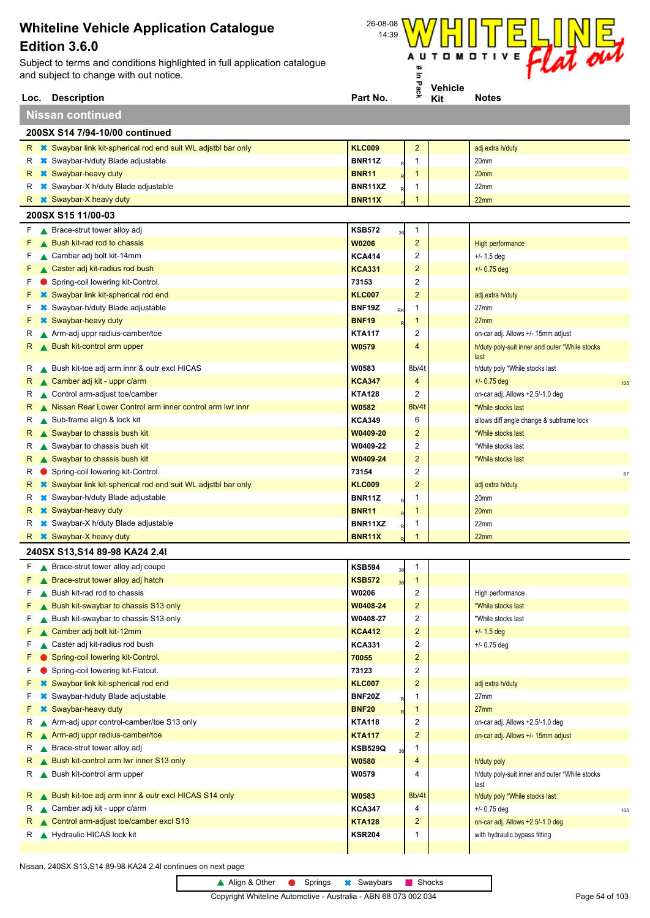**Loc. Description**<br> **Loc. Description**<br> **Part No. Part No. Part No. Part No. Part No. Part No. Part No. Part No. Part No. Part No. Part No. Part No. Part No. Part No. Part No. Part No. P** Subject to terms and conditions highlighted in full application catalogue and subject to change with out notice.



|                                |  | Loc. Description                                                        | Part No.               | ×,                      | Kit | <b>Notes</b>                                           |     |
|--------------------------------|--|-------------------------------------------------------------------------|------------------------|-------------------------|-----|--------------------------------------------------------|-----|
|                                |  | <b>Nissan continued</b>                                                 |                        |                         |     |                                                        |     |
| 200SX S14 7/94-10/00 continued |  |                                                                         |                        |                         |     |                                                        |     |
|                                |  | R * Swaybar link kit-spherical rod end suit WL adjstbl bar only         | <b>KLC009</b>          | $\overline{2}$          |     | adj extra h/duty                                       |     |
| R.                             |  | <b>*</b> Swaybar-h/duty Blade adjustable                                | <b>BNR11Z</b>          | 1                       |     | 20mm                                                   |     |
|                                |  | R <b>*</b> Swaybar-heavy duty                                           | <b>BNR11</b>           | 1                       |     | 20mm                                                   |     |
|                                |  | R <b>*</b> Swaybar-X h/duty Blade adjustable                            | BNR11XZ                | 1                       |     | 22mm                                                   |     |
|                                |  | R <b>*</b> Swaybar-X heavy duty                                         | <b>BNR11X</b>          | 1                       |     | 22mm                                                   |     |
|                                |  | 200SX S15 11/00-03                                                      |                        |                         |     |                                                        |     |
|                                |  | $F \wedge$ Brace-strut tower alloy adj                                  | <b>KSB572</b><br>36    | $\mathbf{1}$            |     |                                                        |     |
| F.                             |  | Bush kit-rad rod to chassis                                             | W0206                  | $\overline{2}$          |     | High performance                                       |     |
| F.                             |  | ▲ Camber adj bolt kit-14mm                                              | <b>KCA414</b>          | 2                       |     | $+/- 1.5$ deg                                          |     |
| F.                             |  | ▲ Caster adj kit-radius rod bush                                        | <b>KCA331</b>          | $\overline{\mathbf{c}}$ |     | $+/- 0.75$ deg                                         |     |
| F.                             |  | Spring-coil lowering kit-Control.                                       | 73153                  | 2                       |     |                                                        |     |
| F.                             |  | <b>☀</b> Swaybar link kit-spherical rod end                             | <b>KLC007</b>          | $\overline{a}$          |     | adj extra h/duty                                       |     |
| F                              |  | <b><sup>■</sup></b> Swaybar-h/duty Blade adjustable                     | <b>BNF19Z</b><br>RK    | 1                       |     | 27mm                                                   |     |
| F.                             |  | <b>*</b> Swaybar-heavy duty                                             | <b>BNF19</b>           | 1                       |     | 27 <sub>mm</sub>                                       |     |
| R                              |  | Arm-adj uppr radius-camber/toe                                          | <b>KTA117</b>          | 2                       |     | on-car adj. Allows +/- 15mm adjust                     |     |
|                                |  | R Bush kit-control arm upper                                            | W0579                  | 4                       |     | h/duty poly-suit inner and outer *While stocks<br>last |     |
|                                |  | R Bush kit-toe adj arm innr & outr excl HICAS                           | W0583                  | 8b/4t                   |     | h/duty poly *While stocks last                         |     |
|                                |  | R Camber adj kit - uppr c/arm                                           | <b>KCA347</b>          | 4                       |     | $+/- 0.75$ deg                                         | 105 |
|                                |  | R Control arm-adjust toe/camber                                         | <b>KTA128</b>          | 2                       |     | on-car adj. Allows +2.5/-1.0 deg                       |     |
|                                |  | R Nissan Rear Lower Control arm inner control arm Iwr innr              | W0582                  | 8b/4t                   |     | *While stocks last                                     |     |
|                                |  | R Sub-frame align & lock kit                                            | <b>KCA349</b>          | 6                       |     | allows diff angle change & subframe lock               |     |
|                                |  | R Swaybar to chassis bush kit                                           | W0409-20               | $\overline{\mathbf{c}}$ |     | *While stocks last                                     |     |
|                                |  | R Swaybar to chassis bush kit                                           | W0409-22               | 2                       |     | *While stocks last                                     |     |
|                                |  | R Swaybar to chassis bush kit                                           | W0409-24               | $\overline{\mathbf{c}}$ |     | *While stocks last                                     |     |
| R                              |  | Spring-coil lowering kit-Control.                                       | 73154                  | 2                       |     |                                                        | 67  |
| R.                             |  | <b>■ Swaybar link kit-spherical rod end suit WL adjstbl bar only</b>    | <b>KLC009</b>          | $\overline{a}$          |     | adj extra h/duty                                       |     |
| R<br>R.                        |  | <b>☀</b> Swaybar-h/duty Blade adjustable<br><b>*</b> Swaybar-heavy duty | BNR11Z<br><b>BNR11</b> | 1<br>1                  |     | 20mm<br>20mm                                           |     |
| R.                             |  | <b>★</b> Swaybar-X h/duty Blade adjustable                              | BNR11XZ                | 1                       |     | 22mm                                                   |     |
| R.                             |  | <b>*</b> Swaybar-X heavy duty                                           | <b>BNR11X</b>          | $\mathbf{1}$            |     | 22mm                                                   |     |
|                                |  | 240SX S13, S14 89-98 KA24 2.41                                          |                        |                         |     |                                                        |     |
|                                |  | F A Brace-strut tower alloy adj coupe                                   | <b>KSB594</b>          | $\mathbf{1}$            |     |                                                        |     |
|                                |  | ▲ Brace-strut tower alloy adj hatch                                     | 36<br><b>KSB572</b>    | 1                       |     |                                                        |     |
|                                |  | $F \wedge$ Bush kit-rad rod to chassis                                  | 36<br>W0206            | $\overline{c}$          |     | High performance                                       |     |
|                                |  | ▲ Bush kit-swaybar to chassis S13 only                                  | W0408-24               | 2                       |     | *While stocks last                                     |     |
| F                              |  | Bush kit-swaybar to chassis S13 only                                    | W0408-27               | 2                       |     | *While stocks last                                     |     |
| F.                             |  | ▲ Camber adj bolt kit-12mm                                              | <b>KCA412</b>          | 2                       |     | $+/- 1.5$ deg                                          |     |
| F.                             |  | Caster adj kit-radius rod bush                                          | <b>KCA331</b>          | 2                       |     | $+/- 0.75$ deg                                         |     |
| F                              |  | Spring-coil lowering kit-Control.                                       | 70055                  | $\overline{c}$          |     |                                                        |     |
| F                              |  | Spring-coil lowering kit-Flatout.                                       | 73123                  | 2                       |     |                                                        |     |
|                                |  | <b>*</b> Swaybar link kit-spherical rod end                             | <b>KLC007</b>          | $\overline{\mathbf{c}}$ |     | adj extra h/duty                                       |     |
|                                |  | Swaybar-h/duty Blade adjustable                                         | <b>BNF20Z</b>          | 1                       |     | 27 <sub>mm</sub>                                       |     |
| F                              |  | Swaybar-heavy duty                                                      | <b>BNF20</b>           | $\mathbf{1}$            |     | 27mm                                                   |     |
| R                              |  | Arm-adj uppr control-camber/toe S13 only                                | <b>KTA118</b>          | 2                       |     | on-car adj. Allows +2.5/-1.0 deg                       |     |
| R.                             |  | A Arm-adj uppr radius-camber/toe                                        | <b>KTA117</b>          | 2                       |     | on-car adj. Allows +/- 15mm adjust                     |     |
| R                              |  | Brace-strut tower alloy adj                                             | <b>KSB529Q</b>         | 1                       |     |                                                        |     |
| R,                             |  | Bush kit-control arm Iwr inner S13 only                                 | <b>W0580</b>           | 4                       |     | h/duty poly                                            |     |
|                                |  | R Bush kit-control arm upper                                            | W0579                  | 4                       |     | h/duty poly-suit inner and outer *While stocks<br>last |     |
|                                |  | R Bush kit-toe adj arm innr & outr excl HICAS S14 only                  | W0583                  | 8b/4t                   |     | h/duty poly *While stocks last                         |     |
| R.                             |  | Camber adj kit - uppr c/arm                                             | <b>KCA347</b>          | 4                       |     | $+/- 0.75$ deg                                         | 105 |
|                                |  | ▲ Control arm-adjust toe/camber excl S13                                | <b>KTA128</b>          | 2                       |     | on-car adj. Allows +2.5/-1.0 deg                       |     |
|                                |  | R Hydraulic HICAS lock kit                                              | <b>KSR204</b>          | 1                       |     | with hydraulic bypass fitting                          |     |
|                                |  |                                                                         |                        |                         |     |                                                        |     |

Nissan, 240SX S13,S14 89-98 KA24 2.4l continues on next page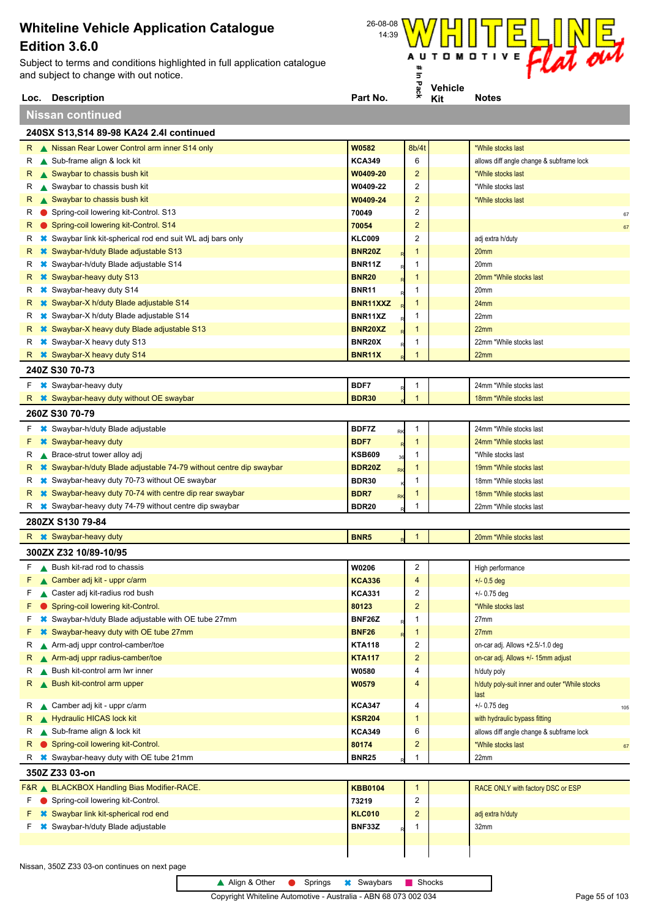Subject to terms and conditions highlighted in full application catalogue and subject to change with out notice.



|    | and subject to change with out notice.                                             |                         | ч.<br>5           |                       | $\sim$                                                 |
|----|------------------------------------------------------------------------------------|-------------------------|-------------------|-----------------------|--------------------------------------------------------|
|    | Loc. Description                                                                   | Part No.                | Pack              | <b>Vehicle</b><br>Kit | <b>Notes</b>                                           |
|    | <b>Nissan continued</b>                                                            |                         |                   |                       |                                                        |
|    | 240SX S13, S14 89-98 KA24 2.4 continued                                            |                         |                   |                       |                                                        |
|    | R Nissan Rear Lower Control arm inner S14 only                                     | <b>W0582</b>            | 8b/4t             |                       | *While stocks last                                     |
|    | R Sub-frame align & lock kit                                                       | <b>KCA349</b>           | 6                 |                       | allows diff angle change & subframe lock               |
|    | R Swaybar to chassis bush kit                                                      | W0409-20                | $\overline{c}$    |                       | *While stocks last                                     |
|    | R Swaybar to chassis bush kit                                                      | W0409-22                | 2                 |                       | *While stocks last                                     |
| R. | Swaybar to chassis bush kit                                                        | W0409-24                | $\overline{c}$    |                       | *While stocks last                                     |
| R  | Spring-coil lowering kit-Control. S13                                              | 70049                   | 2                 |                       | 67                                                     |
| R. | Spring-coil lowering kit-Control. S14                                              | 70054                   | $\overline{2}$    |                       | 67                                                     |
| R. | <sup>■</sup> Swaybar link kit-spherical rod end suit WL adj bars only              | <b>KLC009</b>           | 2                 |                       | adj extra h/duty                                       |
| R. | <b>*</b> Swaybar-h/duty Blade adjustable S13                                       | <b>BNR20Z</b>           | -1                |                       | 20mm                                                   |
| R. | <b><sup>■</sup></b> Swaybar-h/duty Blade adjustable S14                            | <b>BNR11Z</b>           | 1                 |                       | 20 <sub>mm</sub>                                       |
| R. | <b>*</b> Swaybar-heavy duty S13                                                    | <b>BNR20</b>            | $\mathbf 1$       |                       | 20mm *While stocks last                                |
| R. | <b>*</b> Swaybar-heavy duty S14                                                    | <b>BNR11</b>            | 1                 |                       | 20mm                                                   |
| R. | <b>☀ Swaybar-X h/duty Blade adjustable S14</b>                                     | BNR11XXZ                | $\mathbf 1$       |                       | 24mm                                                   |
| R  | <b><sup>■</sup></b> Swaybar-X h/duty Blade adjustable S14                          | BNR11XZ                 | 1                 |                       | 22mm                                                   |
|    | R * Swaybar-X heavy duty Blade adjustable S13                                      | BNR20XZ                 | $\mathbf 1$       |                       | 22mm                                                   |
|    | R <b>*</b> Swaybar-X heavy duty S13                                                | <b>BNR20X</b>           | 1                 |                       | 22mm *While stocks last                                |
| R  | <b>*</b> Swaybar-X heavy duty S14                                                  | <b>BNR11X</b>           | 1                 |                       | 22mm                                                   |
|    | 240Z S30 70-73                                                                     |                         |                   |                       |                                                        |
|    | $F \rightarrow$ Swaybar-heavy duty                                                 | BDF7                    |                   |                       | 24mm *While stocks last                                |
|    |                                                                                    | <b>BDR30</b>            | 1<br>$\mathbf{1}$ |                       | 18mm *While stocks last                                |
|    | R <b>*</b> Swaybar-heavy duty without OE swaybar                                   |                         |                   |                       |                                                        |
|    | 260Z S30 70-79                                                                     |                         |                   |                       |                                                        |
|    | F <b>*</b> Swaybar-h/duty Blade adjustable                                         | BDF7Z<br>RK             | 1                 |                       | 24mm *While stocks last                                |
| F. | <b>*</b> Swaybar-heavy duty                                                        | BDF7                    | $\mathbf{1}$      |                       | 24mm *While stocks last                                |
|    | ▲ Brace-strut tower alloy adj                                                      | <b>KSB609</b><br>36     | 1                 |                       | *While stocks last                                     |
| R. | <b>■ Swaybar-h/duty Blade adjustable 74-79 without centre dip swaybar</b>          | <b>BDR20Z</b><br>RK     | $\mathbf{1}$      |                       | 19mm *While stocks last                                |
| R. | <b>■ Swaybar-heavy duty 70-73 without OE swaybar</b>                               | <b>BDR30</b>            | 1                 |                       | 18mm *While stocks last                                |
| R. | <b>■ Swaybar-heavy duty 70-74 with centre dip rear swaybar</b>                     | BDR7<br>RK              | 1                 |                       | 18mm *While stocks last                                |
|    | R * Swaybar-heavy duty 74-79 without centre dip swaybar                            | <b>BDR20</b>            | 1                 |                       | 22mm *While stocks last                                |
|    | 280ZX S130 79-84                                                                   |                         |                   |                       |                                                        |
|    | R <b>*</b> Swaybar-heavy duty                                                      | <b>BNR5</b>             | $\mathbf 1$       |                       | 20mm *While stocks last                                |
|    | 300ZX Z32 10/89-10/95                                                              |                         |                   |                       |                                                        |
|    | $F \wedge$ Bush kit-rad rod to chassis                                             | W0206                   | $\overline{2}$    |                       | High performance                                       |
|    | F Camber adj kit - uppr c/arm                                                      | <b>KCA336</b>           | 4                 |                       | $+/- 0.5$ deg                                          |
| F. | ▲ Caster adj kit-radius rod bush                                                   | <b>KCA331</b>           | 2                 |                       | $+/- 0.75$ deg                                         |
| F. | Spring-coil lowering kit-Control.                                                  | 80123                   | $\overline{c}$    |                       | *While stocks last                                     |
| F. | <sup>*</sup> Swaybar-h/duty Blade adjustable with OE tube 27mm                     | BNF26Z                  | 1                 |                       | 27mm                                                   |
|    | <b>*</b> Swaybar-heavy duty with OE tube 27mm                                      | <b>BNF26</b>            | $\mathbf 1$       |                       | 27mm                                                   |
| R  | A Arm-adj uppr control-camber/toe                                                  | <b>KTA118</b>           | 2                 |                       | on-car adj. Allows +2.5/-1.0 deg                       |
| R. | A Arm-adj uppr radius-camber/toe                                                   | <b>KTA117</b>           | $\overline{2}$    |                       | on-car adj. Allows +/- 15mm adjust                     |
| R  | Bush kit-control arm Iwr inner                                                     | W0580                   | 4                 |                       | h/duty poly                                            |
| R. | Bush kit-control arm upper                                                         | W0579                   | 4                 |                       | h/duty poly-suit inner and outer *While stocks<br>last |
| R  | Camber adj kit - uppr c/arm                                                        | <b>KCA347</b>           | 4                 |                       | $+/- 0.75$ deg<br>105                                  |
|    | R Hydraulic HICAS lock kit                                                         | <b>KSR204</b>           | $\mathbf 1$       |                       | with hydraulic bypass fitting                          |
| R  | Sub-frame align & lock kit                                                         | <b>KCA349</b>           | 6                 |                       | allows diff angle change & subframe lock               |
| R. | Spring-coil lowering kit-Control.                                                  | 80174                   | $\overline{c}$    |                       | *While stocks last<br>67                               |
| R  | <b><sup>■</sup></b> Swaybar-heavy duty with OE tube 21mm                           | <b>BNR25</b>            | 1                 |                       | 22mm                                                   |
|    | 350Z Z33 03-on                                                                     |                         |                   |                       |                                                        |
|    |                                                                                    |                         |                   |                       |                                                        |
|    | F&R & BLACKBOX Handling Bias Modifier-RACE.<br>F Spring-coil lowering kit-Control. | <b>KBB0104</b><br>73219 | $\mathbf{1}$<br>2 |                       | RACE ONLY with factory DSC or ESP                      |
|    | <b>F *</b> Swaybar link kit-spherical rod end                                      | <b>KLC010</b>           | $\overline{2}$    |                       | adj extra h/duty                                       |
|    |                                                                                    |                         |                   |                       |                                                        |

▲ Align & Other ● Springs <sup>★</sup> Swaybars ■ Shocks

**F \*** Swaybar-h/duty Blade adjustable **B BNF33Z** R 1 32mm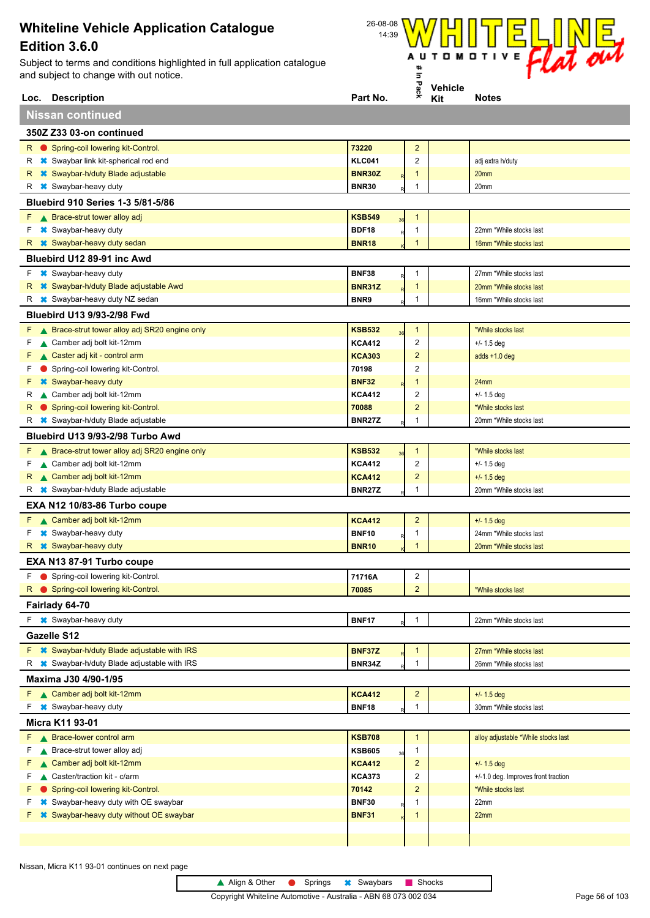Subject to terms and conditions highlighted in full application catalogue and subject to change with out notice.



|                          | Loc. Description                                             | Part No.      | ×.                      | Kit | <b>Notes</b>                        |  |  |
|--------------------------|--------------------------------------------------------------|---------------|-------------------------|-----|-------------------------------------|--|--|
|                          | <b>Nissan continued</b>                                      |               |                         |     |                                     |  |  |
| 350Z Z33 03-on continued |                                                              |               |                         |     |                                     |  |  |
|                          | R Spring-coil lowering kit-Control.                          | 73220         | $\overline{a}$          |     |                                     |  |  |
| R                        | <b></b> Swaybar link kit-spherical rod end                   | <b>KLC041</b> | 2                       |     | adj extra h/duty                    |  |  |
| R                        | <b>*</b> Swaybar-h/duty Blade adjustable                     | <b>BNR30Z</b> | 1                       |     | 20mm                                |  |  |
| R                        | <b>*</b> Swaybar-heavy duty                                  | <b>BNR30</b>  | 1                       |     | 20mm                                |  |  |
|                          | Bluebird 910 Series 1-3 5/81-5/86                            |               |                         |     |                                     |  |  |
| F.                       | ▲ Brace-strut tower alloy adj                                | <b>KSB549</b> | 1                       |     |                                     |  |  |
| F                        | <b>*</b> Swaybar-heavy duty                                  | <b>BDF18</b>  | 1                       |     | 22mm *While stocks last             |  |  |
| R.                       | <b>*</b> Swaybar-heavy duty sedan                            | <b>BNR18</b>  | $\overline{1}$          |     | 16mm *While stocks last             |  |  |
|                          | Bluebird U12 89-91 inc Awd                                   |               |                         |     |                                     |  |  |
|                          | $F \times$ Swaybar-heavy duty                                | <b>BNF38</b>  | 1                       |     | 27mm *While stocks last             |  |  |
|                          | R * Swaybar-h/duty Blade adjustable Awd                      | BNR31Z        | 1                       |     | 20mm *While stocks last             |  |  |
| R                        | <b>*</b> Swaybar-heavy duty NZ sedan                         | BNR9          | 1                       |     | 16mm *While stocks last             |  |  |
|                          | <b>Bluebird U13 9/93-2/98 Fwd</b>                            |               |                         |     |                                     |  |  |
| F.                       | ▲ Brace-strut tower alloy adj SR20 engine only               | <b>KSB532</b> | $\mathbf{1}$            |     | *While stocks last                  |  |  |
| F                        | ▲ Camber adj bolt kit-12mm                                   | <b>KCA412</b> | 2                       |     | $+/- 1.5$ deg                       |  |  |
| F                        | ▲ Caster adj kit - control arm                               | <b>KCA303</b> | $\overline{2}$          |     | $adds + 1.0 deg$                    |  |  |
| F                        | Spring-coil lowering kit-Control.                            | 70198         | 2                       |     |                                     |  |  |
| F                        | <b>*</b> Swaybar-heavy duty                                  | <b>BNF32</b>  | 1                       |     | 24mm                                |  |  |
| R                        | ▲ Camber adj bolt kit-12mm                                   | <b>KCA412</b> | 2                       |     | $+/- 1.5$ deg                       |  |  |
| R                        | Spring-coil lowering kit-Control.                            | 70088         | $\overline{2}$          |     | *While stocks last                  |  |  |
| R                        | <b>*</b> Swaybar-h/duty Blade adjustable                     | <b>BNR27Z</b> | 1                       |     | 20mm *While stocks last             |  |  |
|                          | Bluebird U13 9/93-2/98 Turbo Awd                             |               |                         |     |                                     |  |  |
| F.                       | ▲ Brace-strut tower alloy adj SR20 engine only               | <b>KSB532</b> | $\mathbf{1}$            |     | *While stocks last                  |  |  |
| F                        | ▲ Camber adj bolt kit-12mm                                   | <b>KCA412</b> | 2                       |     | $+/- 1.5$ deg                       |  |  |
| R.                       | Camber adj bolt kit-12mm                                     | <b>KCA412</b> | $\overline{2}$          |     | $+/- 1.5$ deg                       |  |  |
|                          | R * Swaybar-h/duty Blade adjustable                          | <b>BNR27Z</b> | 1                       |     | 20mm *While stocks last             |  |  |
|                          | EXA N12 10/83-86 Turbo coupe                                 |               |                         |     |                                     |  |  |
| F.                       | Camber adj bolt kit-12mm                                     | <b>KCA412</b> | $\overline{\mathbf{c}}$ |     | $+/- 1.5$ deg                       |  |  |
| F                        | <b>*</b> Swaybar-heavy duty                                  | <b>BNF10</b>  | 1                       |     | 24mm *While stocks last             |  |  |
|                          | R <b>*</b> Swaybar-heavy duty                                | <b>BNR10</b>  | 1                       |     | 20mm *While stocks last             |  |  |
|                          | EXA N13 87-91 Turbo coupe                                    |               |                         |     |                                     |  |  |
|                          | F Spring-coil lowering kit-Control.                          | 71716A        | 2                       |     |                                     |  |  |
|                          | R Spring-coil lowering kit-Control.                          | 70085         | $\overline{a}$          |     | *While stocks last                  |  |  |
|                          | Fairlady 64-70                                               |               |                         |     |                                     |  |  |
|                          | $F \times$ Swaybar-heavy duty                                | <b>BNF17</b>  | $\mathbf{1}$            |     | 22mm *While stocks last             |  |  |
|                          | <b>Gazelle S12</b>                                           |               |                         |     |                                     |  |  |
|                          | F * Swaybar-h/duty Blade adjustable with IRS                 | <b>BNF37Z</b> | 1                       |     | 27mm *While stocks last             |  |  |
| R                        | <b><sup>■</sup></b> Swaybar-h/duty Blade adjustable with IRS | BNR34Z        | 1                       |     | 26mm *While stocks last             |  |  |
|                          | Maxima J30 4/90-1/95                                         |               |                         |     |                                     |  |  |
| F.                       | Camber adj bolt kit-12mm                                     | <b>KCA412</b> | $\overline{c}$          |     | $+/- 1.5$ deg                       |  |  |
| F                        | <b>*</b> Swaybar-heavy duty                                  | <b>BNF18</b>  | $\mathbf{1}$            |     | 30mm *While stocks last             |  |  |
|                          | Micra K11 93-01                                              |               |                         |     |                                     |  |  |
|                          | F <b>A</b> Brace-lower control arm                           | <b>KSB708</b> | $\mathbf{1}$            |     | alloy adjustable *While stocks last |  |  |
| F                        | ▲ Brace-strut tower alloy adj                                | <b>KSB605</b> | $\mathbf{1}$            |     |                                     |  |  |
| F                        | ▲ Camber adj bolt kit-12mm                                   | <b>KCA412</b> | $\overline{c}$          |     | $+/- 1.5$ deg                       |  |  |
| F                        | Caster/traction kit - c/arm                                  | <b>KCA373</b> | 2                       |     | +/-1.0 deg. Improves front traction |  |  |
| F                        | Spring-coil lowering kit-Control.                            | 70142         | $\overline{2}$          |     | *While stocks last                  |  |  |
| F                        | Swaybar-heavy duty with OE swaybar                           | <b>BNF30</b>  | 1                       |     | 22mm                                |  |  |
|                          | <b>■ Swaybar-heavy duty without OE swaybar</b>               | <b>BNF31</b>  | 1                       |     | 22mm                                |  |  |
|                          |                                                              |               |                         |     |                                     |  |  |
|                          |                                                              |               |                         |     |                                     |  |  |

Nissan, Micra K11 93-01 continues on next page

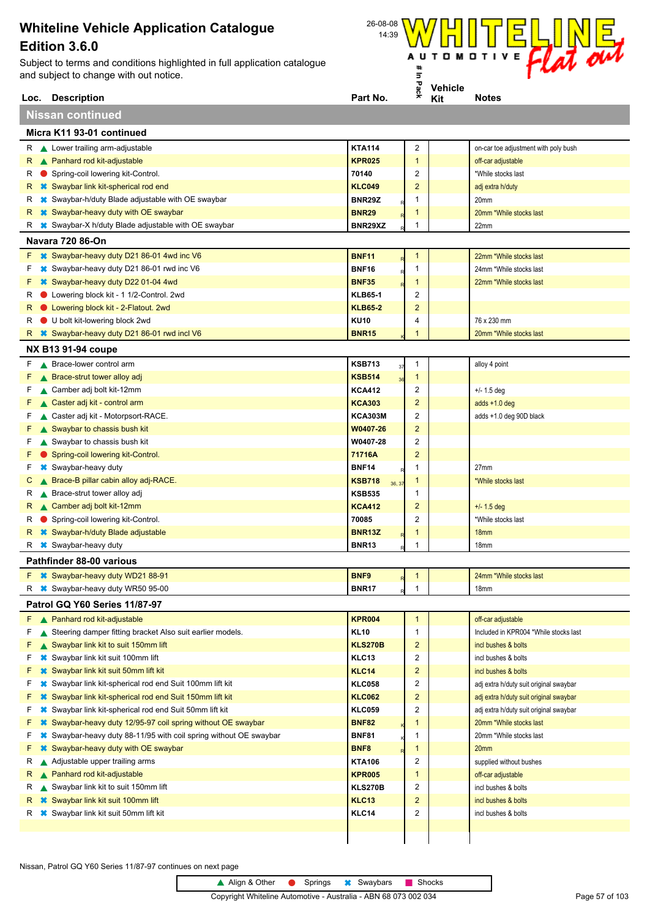Subject to terms and conditions highlighted in full application catalogue and subject to change with out notice.



| Loc.                      | <b>Description</b>                                                  | Part No.                | ×.                      | Kit | <b>Notes</b>                           |  |  |
|---------------------------|---------------------------------------------------------------------|-------------------------|-------------------------|-----|----------------------------------------|--|--|
|                           | <b>Nissan continued</b>                                             |                         |                         |     |                                        |  |  |
| Micra K11 93-01 continued |                                                                     |                         |                         |     |                                        |  |  |
|                           | R Lower trailing arm-adjustable                                     | <b>KTA114</b>           | 2                       |     | on-car toe adjustment with poly bush   |  |  |
| R                         | ▲ Panhard rod kit-adjustable                                        | <b>KPR025</b>           | $\mathbf{1}$            |     | off-car adjustable                     |  |  |
| R                         | Spring-coil lowering kit-Control.                                   | 70140                   | 2                       |     | *While stocks last                     |  |  |
| R                         | <b>*</b> Swaybar link kit-spherical rod end                         | <b>KLC049</b>           | $\overline{c}$          |     | adj extra h/duty                       |  |  |
| R                         | <b><sup>■</sup></b> Swaybar-h/duty Blade adjustable with OE swaybar | <b>BNR29Z</b>           | 1                       |     | 20mm                                   |  |  |
| R                         | <b>■ Swaybar-heavy duty with OE swaybar</b>                         | <b>BNR29</b>            | 1                       |     | 20mm *While stocks last                |  |  |
| R                         | <sup>■</sup> Swaybar-X h/duty Blade adjustable with OE swaybar      | BNR29XZ                 | 1                       |     | 22mm                                   |  |  |
|                           | Navara 720 86-On                                                    |                         |                         |     |                                        |  |  |
| F                         | <b>■ Swaybar-heavy duty D21 86-01 4wd inc V6</b>                    | <b>BNF11</b>            | $\mathbf{1}$            |     | 22mm *While stocks last                |  |  |
| F                         | <sup>■</sup> Swaybar-heavy duty D21 86-01 rwd inc V6                | <b>BNF16</b>            | 1                       |     | 24mm *While stocks last                |  |  |
| F                         | <b>*</b> Swaybar-heavy duty D22 01-04 4wd                           | <b>BNF35</b>            | $\mathbf{1}$            |     | 22mm *While stocks last                |  |  |
| R                         | Lowering block kit - 1 1/2-Control. 2wd                             | <b>KLB65-1</b>          | 2                       |     |                                        |  |  |
| R                         | ● Lowering block kit - 2-Flatout. 2wd                               | <b>KLB65-2</b>          | $\overline{c}$          |     |                                        |  |  |
| R                         | U bolt kit-lowering block 2wd                                       | <b>KU10</b>             | 4                       |     | 76 x 230 mm                            |  |  |
| R.                        | <b>*</b> Swaybar-heavy duty D21 86-01 rwd incl V6                   | <b>BNR15</b>            | 1                       |     | 20mm *While stocks last                |  |  |
|                           | <b>NX B13 91-94 coupe</b>                                           |                         |                         |     |                                        |  |  |
| F                         | Brace-lower control arm                                             | <b>KSB713</b><br>37     | $\mathbf{1}$            |     | alloy 4 point                          |  |  |
| F                         | ▲ Brace-strut tower alloy adj                                       | <b>KSB514</b><br>36     | $\mathbf{1}$            |     |                                        |  |  |
| F                         | ▲ Camber adj bolt kit-12mm                                          | <b>KCA412</b>           | 2                       |     | $+/- 1.5$ deg                          |  |  |
|                           | ▲ Caster adj kit - control arm                                      | <b>KCA303</b>           | $\overline{c}$          |     | adds $+1.0$ deg                        |  |  |
| F                         | Caster adj kit - Motorpsort-RACE.                                   | <b>KCA303M</b>          | 2                       |     | adds +1.0 deg 90D black                |  |  |
| F                         | Swaybar to chassis bush kit                                         | W0407-26                | $\overline{c}$          |     |                                        |  |  |
| F                         | Swaybar to chassis bush kit                                         | W0407-28                | 2                       |     |                                        |  |  |
| F                         | Spring-coil lowering kit-Control.                                   | 71716A                  | $\overline{2}$          |     |                                        |  |  |
| F                         | <b>*</b> Swaybar-heavy duty                                         | <b>BNF14</b>            | 1                       |     | 27 <sub>mm</sub>                       |  |  |
| C                         | Brace-B pillar cabin alloy adj-RACE.                                | <b>KSB718</b><br>36, 37 | 1                       |     | *While stocks last                     |  |  |
| R                         | Brace-strut tower alloy adj                                         | <b>KSB535</b>           | 1                       |     |                                        |  |  |
| R                         | ▲ Camber adj bolt kit-12mm                                          | <b>KCA412</b>           | $\overline{2}$          |     | $+/- 1.5$ deg                          |  |  |
| R                         | Spring-coil lowering kit-Control.                                   | 70085                   | 2                       |     | *While stocks last                     |  |  |
| R.                        | <b>*</b> Swaybar-h/duty Blade adjustable                            | <b>BNR13Z</b>           | 1                       |     | 18 <sub>mm</sub>                       |  |  |
| R                         | <b>*</b> Swaybar-heavy duty                                         | <b>BNR13</b>            | 1                       |     | 18 <sub>mm</sub>                       |  |  |
|                           | <b>Pathfinder 88-00 various</b>                                     |                         |                         |     |                                        |  |  |
|                           | F * Swaybar-heavy duty WD21 88-91                                   | <b>BNF9</b>             | $\mathbf{1}$            |     | 24mm *While stocks last                |  |  |
|                           | R <b>*</b> Swaybar-heavy duty WR50 95-00                            | <b>BNR17</b>            | 1                       |     | 18mm                                   |  |  |
|                           | <b>Patrol GQ Y60 Series 11/87-97</b>                                |                         |                         |     |                                        |  |  |
| F.                        | ▲ Panhard rod kit-adjustable                                        | <b>KPR004</b>           | $\mathbf{1}$            |     | off-car adjustable                     |  |  |
| F                         | Steering damper fitting bracket Also suit earlier models.           | <b>KL10</b>             | 1                       |     | Included in KPR004 *While stocks last  |  |  |
|                           | Swaybar link kit to suit 150mm lift                                 | <b>KLS270B</b>          | $\overline{2}$          |     | incl bushes & bolts                    |  |  |
| F                         | <b></b> Swaybar link kit suit 100mm lift                            | KLC13                   | 2                       |     | incl bushes & bolts                    |  |  |
| F                         | <b>*</b> Swaybar link kit suit 50mm lift kit                        | <b>KLC14</b>            | $\overline{c}$          |     | incl bushes & bolts                    |  |  |
| F                         | Swaybar link kit-spherical rod end Suit 100mm lift kit              | <b>KLC058</b>           | 2                       |     | adj extra h/duty suit original swaybar |  |  |
| F                         | Swaybar link kit-spherical rod end Suit 150mm lift kit              | <b>KLC062</b>           | $\overline{c}$          |     | adj extra h/duty suit original swaybar |  |  |
| F                         | Swaybar link kit-spherical rod end Suit 50mm lift kit               | <b>KLC059</b>           | 2                       |     | adj extra h/duty suit original swaybar |  |  |
| F                         | Swaybar-heavy duty 12/95-97 coil spring without OE swaybar          | <b>BNF82</b>            | 1                       |     | 20mm *While stocks last                |  |  |
| F                         | Swaybar-heavy duty 88-11/95 with coil spring without OE swaybar     | <b>BNF81</b>            | 1                       |     | 20mm *While stocks last                |  |  |
| F                         | Swaybar-heavy duty with OE swaybar                                  | BNF8                    | $\mathbf{1}$            |     | 20 <sub>mm</sub>                       |  |  |
| R                         | Adjustable upper trailing arms                                      | <b>KTA106</b>           | 2                       |     | supplied without bushes                |  |  |
| R                         | Panhard rod kit-adjustable                                          | <b>KPR005</b>           | $\mathbf{1}$            |     | off-car adjustable                     |  |  |
| R                         | Swaybar link kit to suit 150mm lift                                 | <b>KLS270B</b>          | 2                       |     | incl bushes & bolts                    |  |  |
| R                         | Swaybar link kit suit 100mm lift                                    | <b>KLC13</b>            | $\overline{\mathbf{c}}$ |     | incl bushes & bolts                    |  |  |
| R                         | Swaybar link kit suit 50mm lift kit                                 | KLC14                   | 2                       |     | incl bushes & bolts                    |  |  |
|                           |                                                                     |                         |                         |     |                                        |  |  |

Nissan, Patrol GQ Y60 Series 11/87-97 continues on next page

 $\mathbf l$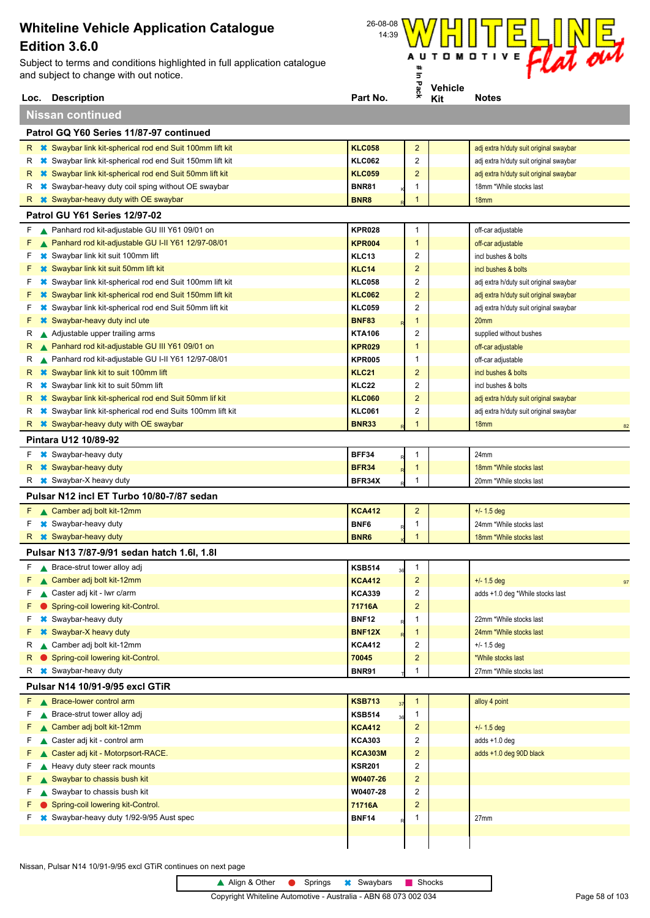Subject to terms and conditions highlighted in full application catalogue and subject to change with out notice.



| Loc. Description                                                                 | Part No.             | ×.                           | Kit | <b>Notes</b>                           |
|----------------------------------------------------------------------------------|----------------------|------------------------------|-----|----------------------------------------|
| <b>Nissan continued</b>                                                          |                      |                              |     |                                        |
| Patrol GQ Y60 Series 11/87-97 continued                                          |                      |                              |     |                                        |
| R * Swaybar link kit-spherical rod end Suit 100mm lift kit                       | <b>KLC058</b>        | $\overline{2}$               |     | adj extra h/duty suit original swaybar |
| <sup>■</sup> Swaybar link kit-spherical rod end Suit 150mm lift kit<br>R         | <b>KLC062</b>        | $\overline{2}$               |     | adj extra h/duty suit original swaybar |
| <b><sup>■</sup></b> Swaybar link kit-spherical rod end Suit 50mm lift kit<br>R.  | <b>KLC059</b>        | $\overline{c}$               |     | adj extra h/duty suit original swaybar |
| <b><sup>■</sup></b> Swaybar-heavy duty coil sping without OE swaybar<br>R        | <b>BNR81</b>         | -1                           |     | 18mm *While stocks last                |
| <b>☀</b> Swaybar-heavy duty with OE swaybar<br>R.                                | BNR8                 | $\overline{1}$               |     | 18mm                                   |
| <b>Patrol GU Y61 Series 12/97-02</b>                                             |                      |                              |     |                                        |
| Panhard rod kit-adjustable GU III Y61 09/01 on<br>F                              | <b>KPR028</b>        | $\mathbf{1}$                 |     | off-car adjustable                     |
| ▲ Panhard rod kit-adjustable GU I-II Y61 12/97-08/01<br>F                        | <b>KPR004</b>        | $\mathbf{1}$                 |     | off-car adjustable                     |
| Swaybar link kit suit 100mm lift<br>F                                            | KLC13                | 2                            |     | incl bushes & bolts                    |
| <b>*</b> Swaybar link kit suit 50mm lift kit<br>F                                | KLC14                | $\overline{c}$               |     | incl bushes & bolts                    |
| F<br>Swaybar link kit-spherical rod end Suit 100mm lift kit                      | <b>KLC058</b>        | 2                            |     | adj extra h/duty suit original swaybar |
| F<br><b><sup>●●</sup> Swaybar link kit-spherical rod end Suit 150mm lift kit</b> | <b>KLC062</b>        | $\overline{c}$               |     | adj extra h/duty suit original swaybar |
| Swaybar link kit-spherical rod end Suit 50mm lift kit<br>F                       | <b>KLC059</b>        | $\overline{2}$               |     | adj extra h/duty suit original swaybar |
| F<br><b><sup>■</sup></b> Swaybar-heavy duty incl ute                             | <b>BNF83</b>         | -1                           |     | 20 <sub>mm</sub>                       |
| Adjustable upper trailing arms<br>R                                              | <b>KTA106</b>        | $\overline{2}$               |     | supplied without bushes                |
| ▲ Panhard rod kit-adjustable GU III Y61 09/01 on<br>R                            | <b>KPR029</b>        | -1                           |     | off-car adjustable                     |
| ▲ Panhard rod kit-adjustable GU I-II Y61 12/97-08/01<br>R                        | <b>KPR005</b>        | -1                           |     | off-car adjustable                     |
| <b>*</b> Swaybar link kit to suit 100mm lift<br>R                                | KLC21                | $\overline{c}$               |     | incl bushes & bolts                    |
| <b>■ Swaybar link kit to suit 50mm lift</b><br>к                                 | KLC22                | 2                            |     | incl bushes & bolts                    |
| <b><sup>●</sup></b> Swaybar link kit-spherical rod end Suit 50mm lif kit<br>к    | <b>KLC060</b>        | $\overline{c}$               |     | adj extra h/duty suit original swaybar |
| <sup>■</sup> Swaybar link kit-spherical rod end Suits 100mm lift kit<br>к        | <b>KLC061</b>        | 2                            |     | adj extra h/duty suit original swaybar |
| <b>☀</b> Swaybar-heavy duty with OE swaybar<br>R.                                | <b>BNR33</b>         | 1                            |     | 18 <sub>mm</sub><br>82                 |
| Pintara U12 10/89-92                                                             |                      |                              |     |                                        |
| <b>*</b> Swaybar-heavy duty<br>F                                                 | <b>BFF34</b>         | $\mathbf 1$                  |     | 24mm                                   |
| <b>*</b> Swaybar-heavy duty<br>R                                                 | <b>BFR34</b>         | $\mathbf{1}$                 |     | 18mm *While stocks last                |
| <b><sup>■</sup></b> Swaybar-X heavy duty<br>к                                    | BFR34X               | $\mathbf{1}$                 |     | 20mm *While stocks last                |
| Pulsar N12 incl ET Turbo 10/80-7/87 sedan                                        |                      |                              |     |                                        |
| Camber adj bolt kit-12mm<br>F.                                                   | <b>KCA412</b>        | $\overline{c}$               |     | $+/- 1.5$ deg                          |
| <b>*</b> Swaybar-heavy duty<br>F                                                 | BNF <sub>6</sub>     | 1                            |     | 24mm *While stocks last                |
| <b>*</b> Swaybar-heavy duty<br>R.                                                | BNR <sub>6</sub>     | $\mathbf 1$                  |     | 18mm *While stocks last                |
| Pulsar N13 7/87-9/91 sedan hatch 1.6I, 1.8I                                      |                      |                              |     |                                        |
| $F \wedge$ Brace-strut tower alloy adj                                           | <b>KSB514</b><br>36  | $\mathbf{1}$                 |     |                                        |
| ▲ Camber adj bolt kit-12mm                                                       | <b>KCA412</b>        | $\overline{2}$               |     | $+/- 1.5$ deg                          |
| ▲ Caster adj kit - Iwr c/arm<br>F                                                | <b>KCA339</b>        | $\overline{2}$               |     | adds +1.0 deg *While stocks last       |
| Spring-coil lowering kit-Control.                                                | 71716A               | $\overline{\mathbf{c}}$      |     |                                        |
| <b>*</b> Swaybar-heavy duty<br>F                                                 | <b>BNF12</b>         | 1                            |     | 22mm *While stocks last                |
| Swaybar-X heavy duty                                                             | <b>BNF12X</b>        | $\mathbf{1}$                 |     | 24mm *While stocks last                |
| Camber adj bolt kit-12mm<br>R                                                    | <b>KCA412</b>        | $\overline{2}$               |     | $+/- 1.5$ deg                          |
| Spring-coil lowering kit-Control.<br>R                                           | 70045                | $\overline{c}$               |     | *While stocks last                     |
| <b>*</b> Swaybar-heavy duty<br>R                                                 | <b>BNR91</b>         | 1                            |     | 27mm *While stocks last                |
| <b>Pulsar N14 10/91-9/95 excl GTiR</b>                                           |                      |                              |     |                                        |
| ▲ Brace-lower control arm<br>F.                                                  | KSB713<br>37         | $\mathbf{1}$                 |     | alloy 4 point                          |
| ▲ Brace-strut tower alloy adj<br>F                                               | <b>KSB514</b><br>36  | $\mathbf{1}$                 |     |                                        |
| ▲ Camber adj bolt kit-12mm<br>F                                                  | <b>KCA412</b>        | $\overline{\mathbf{c}}$      |     | $+/- 1.5$ deg                          |
| Caster adj kit - control arm<br>F                                                | <b>KCA303</b>        | 2                            |     | adds $+1.0$ deg                        |
| Caster adj kit - Motorpsort-RACE.<br>F                                           | <b>KCA303M</b>       | $\overline{\mathbf{c}}$      |     | adds +1.0 deg 90D black                |
| Heavy duty steer rack mounts<br>F                                                | <b>KSR201</b>        | 2                            |     |                                        |
| Swaybar to chassis bush kit<br>F                                                 | W0407-26<br>W0407-28 | $\overline{c}$               |     |                                        |
| Swaybar to chassis bush kit<br>F<br>Spring-coil lowering kit-Control.<br>F       | 71716A               | 2<br>$\overline{\mathbf{c}}$ |     |                                        |
| <b>*</b> Swaybar-heavy duty 1/92-9/95 Aust spec<br>F                             | <b>BNF14</b>         | 1                            |     | 27 <sub>mm</sub>                       |
|                                                                                  |                      |                              |     |                                        |
|                                                                                  |                      |                              |     |                                        |

Nissan, Pulsar N14 10/91-9/95 excl GTiR continues on next page

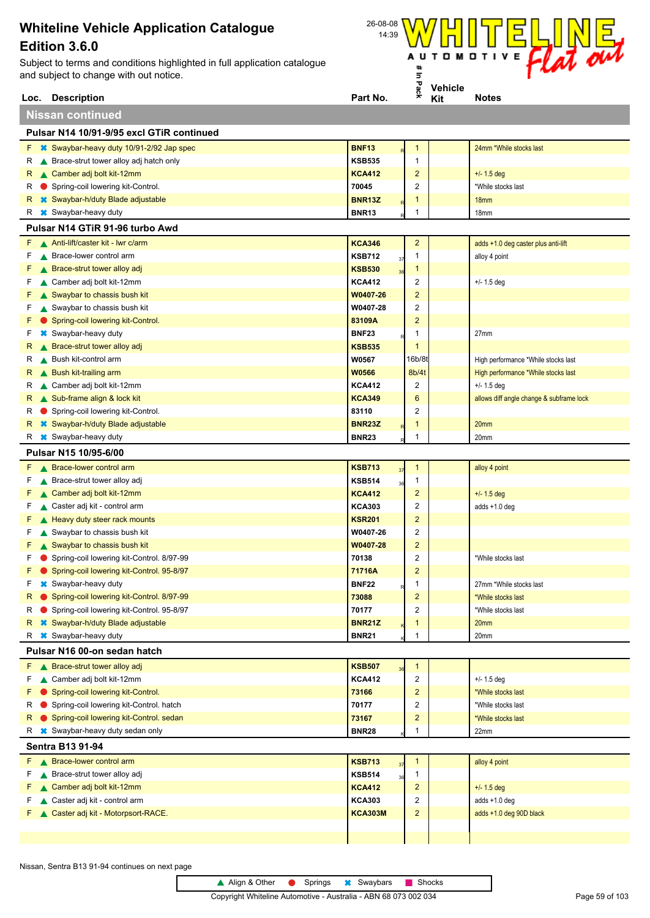Subject to terms and conditions highlighted in full application catalogue and subject to change with out notice.



|                                           | Loc. Description                                                  | Part No.                       | ×.                      | Kit | <b>Notes</b>                             |  |  |  |
|-------------------------------------------|-------------------------------------------------------------------|--------------------------------|-------------------------|-----|------------------------------------------|--|--|--|
|                                           | <b>Nissan continued</b>                                           |                                |                         |     |                                          |  |  |  |
| Pulsar N14 10/91-9/95 excl GTiR continued |                                                                   |                                |                         |     |                                          |  |  |  |
|                                           | <b>F</b> * Swaybar-heavy duty 10/91-2/92 Jap spec                 | <b>BNF13</b>                   | $\mathbf{1}$            |     | 24mm *While stocks last                  |  |  |  |
| R                                         | ▲ Brace-strut tower alloy adj hatch only                          | <b>KSB535</b>                  | 1                       |     |                                          |  |  |  |
| R                                         | Camber adj bolt kit-12mm                                          | <b>KCA412</b>                  | $\overline{\mathbf{c}}$ |     | $+/- 1.5$ deg                            |  |  |  |
| R                                         | Spring-coil lowering kit-Control.                                 | 70045                          | 2                       |     | *While stocks last                       |  |  |  |
| R                                         | <b>*</b> Swaybar-h/duty Blade adjustable                          | <b>BNR13Z</b>                  | 1                       |     | 18mm                                     |  |  |  |
| R                                         | <b>*</b> Swaybar-heavy duty                                       | <b>BNR13</b>                   | 1                       |     | 18mm                                     |  |  |  |
|                                           | Pulsar N14 GTIR 91-96 turbo Awd                                   |                                |                         |     |                                          |  |  |  |
|                                           | F Anti-lift/caster kit - Iwr c/arm                                | <b>KCA346</b>                  | $\overline{c}$          |     | adds +1.0 deg caster plus anti-lift      |  |  |  |
| F.                                        | ▲ Brace-lower control arm                                         | <b>KSB712</b><br>37            | 1                       |     | alloy 4 point                            |  |  |  |
| F.                                        | Brace-strut tower alloy adj                                       | <b>KSB530</b><br>36            | 1                       |     |                                          |  |  |  |
| F.                                        | Camber adj bolt kit-12mm                                          | <b>KCA412</b>                  | 2                       |     | $+/- 1.5$ deg                            |  |  |  |
| F.                                        | Swaybar to chassis bush kit                                       | W0407-26                       | $\overline{\mathbf{c}}$ |     |                                          |  |  |  |
| F.                                        | Swaybar to chassis bush kit                                       | W0407-28                       | 2                       |     |                                          |  |  |  |
| F.                                        | Spring-coil lowering kit-Control.                                 | 83109A                         | $\overline{\mathbf{c}}$ |     |                                          |  |  |  |
| F                                         | <b>*</b> Swaybar-heavy duty                                       | <b>BNF23</b>                   | 1                       |     | 27mm                                     |  |  |  |
| R.                                        | Brace-strut tower alloy adj                                       | <b>KSB535</b>                  | $\mathbf{1}$            |     |                                          |  |  |  |
| R                                         | Bush kit-control arm                                              | W0567                          | 16b/8t                  |     | High performance *While stocks last      |  |  |  |
|                                           | R Bush kit-trailing arm                                           | <b>W0566</b>                   | 8b/4t                   |     | High performance *While stocks last      |  |  |  |
| к                                         | Camber adj bolt kit-12mm                                          | <b>KCA412</b><br><b>KCA349</b> | 2                       |     | $+/- 1.5$ deg                            |  |  |  |
|                                           | R Sub-frame align & lock kit<br>Spring-coil lowering kit-Control. |                                | 6<br>2                  |     | allows diff angle change & subframe lock |  |  |  |
| R.                                        | R <b>*</b> Swaybar-h/duty Blade adjustable                        | 83110<br><b>BNR23Z</b>         | 1                       |     | 20 <sub>mm</sub>                         |  |  |  |
|                                           | R <b>*</b> Swaybar-heavy duty                                     | <b>BNR23</b>                   | 1                       |     | 20mm                                     |  |  |  |
|                                           |                                                                   |                                |                         |     |                                          |  |  |  |
|                                           | Pulsar N15 10/95-6/00                                             |                                |                         |     |                                          |  |  |  |
| F.                                        | <b>A</b> Brace-lower control arm                                  | <b>KSB713</b><br>37            | $\mathbf{1}$            |     | alloy 4 point                            |  |  |  |
| F.                                        | Brace-strut tower alloy adj                                       | <b>KSB514</b><br>36            | 1                       |     |                                          |  |  |  |
| F<br>F.                                   | ▲ Camber adj bolt kit-12mm                                        | <b>KCA412</b><br><b>KCA303</b> | 2<br>2                  |     | $+/- 1.5$ deg                            |  |  |  |
| F                                         | Caster adj kit - control arm<br>Heavy duty steer rack mounts      | <b>KSR201</b>                  | $\overline{\mathbf{c}}$ |     | adds $+1.0$ deg                          |  |  |  |
| F                                         | Swaybar to chassis bush kit                                       | W0407-26                       | 2                       |     |                                          |  |  |  |
| F                                         | Swaybar to chassis bush kit                                       | W0407-28                       | $\overline{\mathbf{c}}$ |     |                                          |  |  |  |
|                                           | Spring-coil lowering kit-Control. 8/97-99                         | 70138                          | 2                       |     | *While stocks last                       |  |  |  |
|                                           | Spring-coil lowering kit-Control. 95-8/97                         | 71716A                         | $\overline{\mathbf{c}}$ |     |                                          |  |  |  |
|                                           | $F \times$ Swaybar-heavy duty                                     | <b>BNF22</b>                   | 1                       |     | 27mm *While stocks last                  |  |  |  |
|                                           | R Spring-coil lowering kit-Control. 8/97-99                       | 73088                          | $\overline{\mathbf{c}}$ |     | *While stocks last                       |  |  |  |
| R                                         | Spring-coil lowering kit-Control. 95-8/97                         | 70177                          | 2                       |     | *While stocks last                       |  |  |  |
| R                                         | <b>*</b> Swaybar-h/duty Blade adjustable                          | <b>BNR21Z</b>                  | 1                       |     | 20 <sub>mm</sub>                         |  |  |  |
| R                                         | <b>*</b> Swaybar-heavy duty                                       | <b>BNR21</b>                   | 1                       |     | 20mm                                     |  |  |  |
|                                           | Pulsar N16 00-on sedan hatch                                      |                                |                         |     |                                          |  |  |  |
|                                           | $F \wedge$ Brace-strut tower alloy adj                            | <b>KSB507</b><br>36            | 1                       |     |                                          |  |  |  |
| F                                         | ▲ Camber adj bolt kit-12mm                                        | <b>KCA412</b>                  | 2                       |     | $+/- 1.5$ deg                            |  |  |  |
| F.                                        | Spring-coil lowering kit-Control.                                 | 73166                          | $\overline{\mathbf{c}}$ |     | *While stocks last                       |  |  |  |
| R                                         | Spring-coil lowering kit-Control. hatch                           | 70177                          | 2                       |     | *While stocks last                       |  |  |  |
|                                           | Spring-coil lowering kit-Control. sedan                           | 73167                          | $\overline{\mathbf{c}}$ |     | *While stocks last                       |  |  |  |
| R                                         | <b>*</b> Swaybar-heavy duty sedan only                            | <b>BNR28</b>                   | 1                       |     | 22mm                                     |  |  |  |
|                                           | <b>Sentra B13 91-94</b>                                           |                                |                         |     |                                          |  |  |  |
| F.                                        | Brace-lower control arm                                           | <b>KSB713</b><br>37            | 1                       |     | alloy 4 point                            |  |  |  |
| F                                         | ▲ Brace-strut tower alloy adj                                     | <b>KSB514</b><br>36            | 1                       |     |                                          |  |  |  |
| F.                                        | Camber adj bolt kit-12mm                                          | <b>KCA412</b>                  | 2                       |     | $+/- 1.5$ deg                            |  |  |  |
| F.                                        | ▲ Caster adj kit - control arm                                    | <b>KCA303</b>                  | 2                       |     | adds $+1.0$ deg                          |  |  |  |
| F.                                        | Caster adj kit - Motorpsort-RACE.                                 | <b>KCA303M</b>                 | $\overline{\mathbf{c}}$ |     | adds +1.0 deg 90D black                  |  |  |  |
|                                           |                                                                   |                                |                         |     |                                          |  |  |  |
|                                           |                                                                   |                                |                         |     |                                          |  |  |  |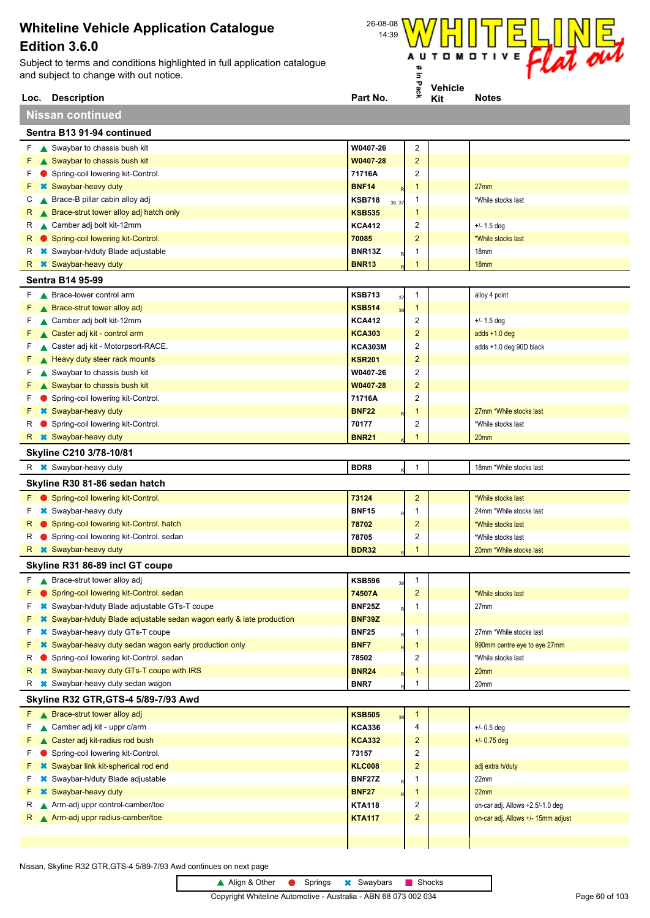Subject to terms and conditions highlighted in full application catalogue and subject to change with out notice.



|    | Loc. Description                                                                            | Part No.            | ×,                      | Kit | <b>Notes</b>                       |
|----|---------------------------------------------------------------------------------------------|---------------------|-------------------------|-----|------------------------------------|
|    | <b>Nissan continued</b>                                                                     |                     |                         |     |                                    |
|    | Sentra B13 91-94 continued                                                                  |                     |                         |     |                                    |
| F. | Swaybar to chassis bush kit                                                                 | W0407-26            | 2                       |     |                                    |
| F  | Swaybar to chassis bush kit                                                                 | W0407-28            | $\overline{2}$          |     |                                    |
| F  | Spring-coil lowering kit-Control.                                                           | 71716A              | $\overline{\mathbf{c}}$ |     |                                    |
| F  | <b>*</b> Swaybar-heavy duty                                                                 | BNF14               | 1                       |     | 27 <sub>mm</sub>                   |
| С  | Brace-B pillar cabin alloy adj                                                              | KSB718<br>36, 37    | 1                       |     | *While stocks last                 |
| R  | ▲ Brace-strut tower alloy adj hatch only                                                    | <b>KSB535</b>       | $\mathbf 1$             |     |                                    |
| R  | ▲ Camber adj bolt kit-12mm                                                                  | <b>KCA412</b>       | $\overline{2}$          |     | $+/- 1.5$ deg                      |
| R  | Spring-coil lowering kit-Control.                                                           | 70085               | $\overline{2}$          |     | *While stocks last                 |
| R  | <b>*</b> Swaybar-h/duty Blade adjustable                                                    | <b>BNR13Z</b>       | 1                       |     | 18 <sub>mm</sub>                   |
| R  | <b>*</b> Swaybar-heavy duty                                                                 | <b>BNR13</b>        | 1                       |     | 18 <sub>mm</sub>                   |
|    | <b>Sentra B14 95-99</b>                                                                     |                     |                         |     |                                    |
| F  | ▲ Brace-lower control arm                                                                   | <b>KSB713</b>       | $\mathbf{1}$            |     | alloy 4 point                      |
| F  | Brace-strut tower alloy adj                                                                 | 37<br><b>KSB514</b> | $\mathbf{1}$            |     |                                    |
| F  | ▲ Camber adj bolt kit-12mm                                                                  | <b>KCA412</b>       | $\overline{\mathbf{c}}$ |     | $+/- 1.5$ deg                      |
| F  | Caster adj kit - control arm                                                                | <b>KCA303</b>       | $\overline{2}$          |     | adds $+1.0$ deg                    |
| F  | Caster adj kit - Motorpsort-RACE.                                                           | <b>KCA303M</b>      | 2                       |     | adds +1.0 deg 90D black            |
| F  | Heavy duty steer rack mounts                                                                | <b>KSR201</b>       | $\overline{2}$          |     |                                    |
| F  | Swaybar to chassis bush kit                                                                 | W0407-26            | 2                       |     |                                    |
| F  | Swaybar to chassis bush kit                                                                 | W0407-28            | $\overline{2}$          |     |                                    |
| F  | Spring-coil lowering kit-Control.                                                           | 71716A              | 2                       |     |                                    |
|    | <b>*</b> Swaybar-heavy duty                                                                 | <b>BNF22</b>        | 1                       |     | 27mm *While stocks last            |
| R  | Spring-coil lowering kit-Control.                                                           | 70177               | 2                       |     | *While stocks last                 |
| R. | <b>*</b> Swaybar-heavy duty                                                                 | <b>BNR21</b>        | 1                       |     | 20 <sub>mm</sub>                   |
|    | Skyline C210 3/78-10/81                                                                     |                     |                         |     |                                    |
|    | R <b>*</b> Swaybar-heavy duty                                                               | BDR8                | 1                       |     | 18mm *While stocks last            |
|    | Skyline R30 81-86 sedan hatch                                                               |                     |                         |     |                                    |
| F. | Spring-coil lowering kit-Control.                                                           | 73124               | $\overline{c}$          |     | *While stocks last                 |
| F  | <b>*</b> Swaybar-heavy duty                                                                 | <b>BNF15</b>        | $\mathbf{1}$            |     | 24mm *While stocks last            |
| R. | Spring-coil lowering kit-Control. hatch                                                     | 78702               | $\overline{2}$          |     | *While stocks last                 |
| R  | Spring-coil lowering kit-Control. sedan                                                     | 78705               | 2                       |     | *While stocks last                 |
|    | R <b>*</b> Swaybar-heavy duty                                                               | <b>BDR32</b>        | $\mathbf{1}$            |     | 20mm *While stocks last            |
|    | Skyline R31 86-89 incl GT coupe                                                             |                     |                         |     |                                    |
|    | $F \wedge$ Brace-strut tower alloy adj                                                      | <b>KSB596</b>       | $\mathbf{1}$            |     |                                    |
| F  | Spring-coil lowering kit-Control. sedan                                                     | 74507A              | $\overline{2}$          |     | *While stocks last                 |
| F  | <b><sup>■</sup></b> Swaybar-h/duty Blade adjustable GTs-T coupe                             | BNF25Z              | 1                       |     | 27mm                               |
| F  | <b><sup>■</sup> Swaybar-h/duty Blade adjustable sedan wagon early &amp; late production</b> | BNF39Z              |                         |     |                                    |
| F  | Swaybar-heavy duty GTs-T coupe                                                              | <b>BNF25</b>        | 1                       |     | 27mm *While stocks last            |
| F  | <b><sup>■</sup></b> Swaybar-heavy duty sedan wagon early production only                    | BNF7                | $\mathbf{1}$            |     | 990mm centre eye to eye 27mm       |
| R  | Spring-coil lowering kit-Control. sedan                                                     | 78502               | $\overline{\mathbf{c}}$ |     | *While stocks last                 |
| R  | <b>*</b> Swaybar-heavy duty GTs-T coupe with IRS                                            | <b>BNR24</b>        | 1                       |     | 20 <sub>mm</sub>                   |
| R  | <b><sup>■</sup></b> Swaybar-heavy duty sedan wagon                                          | BNR7                | 1                       |     | 20mm                               |
|    | Skyline R32 GTR, GTS-4 5/89-7/93 Awd                                                        |                     |                         |     |                                    |
| F. | Brace-strut tower alloy adj                                                                 | <b>KSB505</b>       | $\mathbf{1}$            |     |                                    |
| F  | Camber adj kit - uppr c/arm                                                                 | <b>KCA336</b>       | 4                       |     | $+/- 0.5$ deg                      |
| F  | Caster adj kit-radius rod bush                                                              | <b>KCA332</b>       | $\overline{\mathbf{c}}$ |     | $+/- 0.75$ deg                     |
| F  | Spring-coil lowering kit-Control.                                                           | 73157               | 2                       |     |                                    |
| F  | <b>*</b> Swaybar link kit-spherical rod end                                                 | <b>KLC008</b>       | $\overline{2}$          |     | adj extra h/duty                   |
| F  | <b><sup>■</sup></b> Swaybar-h/duty Blade adjustable                                         | <b>BNF27Z</b>       | 1                       |     | 22mm                               |
| F  | <b>*</b> Swaybar-heavy duty                                                                 | <b>BNF27</b>        | 1                       |     | 22mm                               |
| R  | Arm-adj uppr control-camber/toe                                                             | <b>KTA118</b>       | 2                       |     | on-car adj. Allows +2.5/-1.0 deg   |
| R. | A Arm-adj uppr radius-camber/toe                                                            | <b>KTA117</b>       | $\overline{\mathbf{c}}$ |     | on-car adj. Allows +/- 15mm adjust |
|    |                                                                                             |                     |                         |     |                                    |
|    |                                                                                             |                     |                         |     |                                    |

Nissan, Skyline R32 GTR,GTS-4 5/89-7/93 Awd continues on next page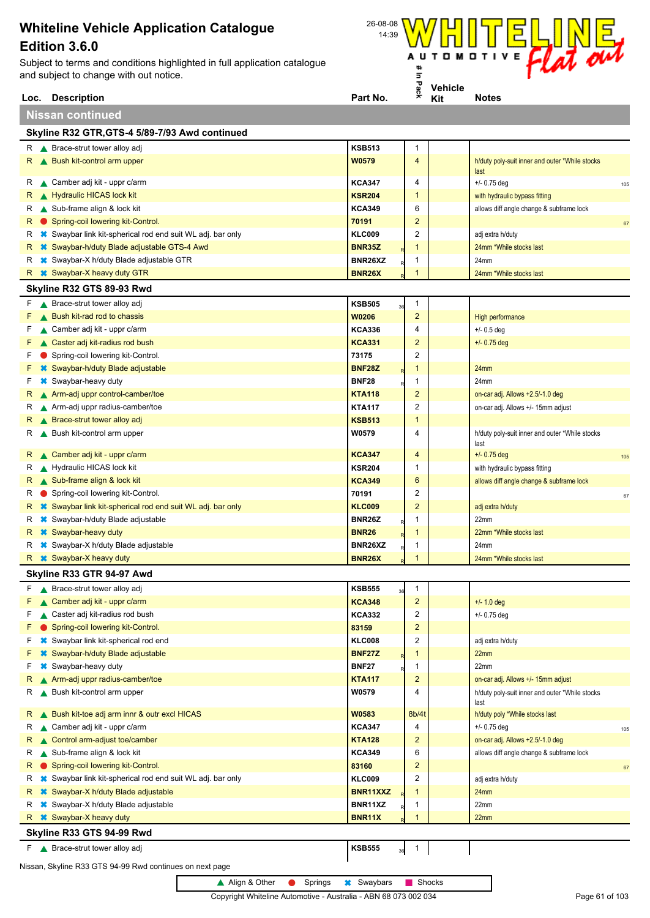Subject to terms and conditions highlighted in full application catalogue and subject to change with out notice.



|    | Loc. Description                                                             | Part No.            | 흇              | <b>ACILIAIS</b><br>Kit | <b>Notes</b>                                           |
|----|------------------------------------------------------------------------------|---------------------|----------------|------------------------|--------------------------------------------------------|
|    | <b>Nissan continued</b>                                                      |                     |                |                        |                                                        |
|    |                                                                              |                     |                |                        |                                                        |
|    | Skyline R32 GTR, GTS-4 5/89-7/93 Awd continued                               |                     |                |                        |                                                        |
| ĸ. | ▲ Brace-strut tower alloy adj                                                | <b>KSB513</b>       | 1              |                        |                                                        |
| R. | Bush kit-control arm upper                                                   | W0579               | $\overline{4}$ |                        | h/duty poly-suit inner and outer *While stocks<br>last |
| R  | Camber adj kit - uppr c/arm                                                  | <b>KCA347</b>       | 4              |                        | $+/- 0.75$ deg<br>105                                  |
| R  | Hydraulic HICAS lock kit                                                     | <b>KSR204</b>       | $\mathbf{1}$   |                        | with hydraulic bypass fitting                          |
| R  | Sub-frame align & lock kit                                                   | <b>KCA349</b>       | 6              |                        | allows diff angle change & subframe lock               |
| R  | Spring-coil lowering kit-Control.                                            | 70191               | $\overline{2}$ |                        | 67                                                     |
| R  | <b><sup>■</sup></b> Swaybar link kit-spherical rod end suit WL adj. bar only | <b>KLC009</b>       | $\overline{2}$ |                        | adj extra h/duty                                       |
| R  | <b>*</b> Swaybar-h/duty Blade adjustable GTS-4 Awd                           | <b>BNR35Z</b>       | $\mathbf 1$    |                        | 24mm *While stocks last                                |
| R  | <b><sup>■</sup></b> Swaybar-X h/duty Blade adjustable GTR                    | BNR26XZ             | $\mathbf 1$    |                        | 24mm                                                   |
| R. | <b>*</b> Swaybar-X heavy duty GTR                                            | <b>BNR26X</b>       | 1              |                        | 24mm *While stocks last                                |
|    | Skyline R32 GTS 89-93 Rwd                                                    |                     |                |                        |                                                        |
| F  | ▲ Brace-strut tower alloy adj                                                | <b>KSB505</b><br>36 | $\mathbf{1}$   |                        |                                                        |
| F  | Bush kit-rad rod to chassis                                                  | <b>W0206</b>        | $\overline{2}$ |                        | High performance                                       |
| F  | Camber adj kit - uppr c/arm                                                  | <b>KCA336</b>       | 4              |                        | $+/- 0.5$ deg                                          |
| F  | ▲ Caster adj kit-radius rod bush                                             | <b>KCA331</b>       | $\overline{2}$ |                        | $+/- 0.75$ deg                                         |
| F  | Spring-coil lowering kit-Control.                                            | 73175               | $\overline{2}$ |                        |                                                        |
| F  | <b>*</b> Swaybar-h/duty Blade adjustable                                     | <b>BNF28Z</b>       | $\mathbf{1}$   |                        | 24mm                                                   |
| F  | <b>*</b> Swaybar-heavy duty                                                  | <b>BNF28</b>        | $\mathbf 1$    |                        | 24mm                                                   |
| R  | A Arm-adj uppr control-camber/toe                                            | <b>KTA118</b>       | $\overline{2}$ |                        | on-car adj. Allows +2.5/-1.0 deg                       |
| R  | Arm-adj uppr radius-camber/toe                                               | <b>KTA117</b>       | 2              |                        | on-car adj. Allows +/- 15mm adjust                     |
| R  | Brace-strut tower alloy adj                                                  | <b>KSB513</b>       | $\mathbf 1$    |                        |                                                        |
| R  | Bush kit-control arm upper                                                   | W0579               | 4              |                        | h/duty poly-suit inner and outer *While stocks<br>last |
| R  | Camber adj kit - uppr c/arm                                                  | <b>KCA347</b>       | $\overline{4}$ |                        | $+/- 0.75$ deg<br>105                                  |
| R  | Hydraulic HICAS lock kit                                                     | <b>KSR204</b>       | 1              |                        | with hydraulic bypass fitting                          |
| R  | Sub-frame align & lock kit                                                   | <b>KCA349</b>       | 6              |                        | allows diff angle change & subframe lock               |
| R  | Spring-coil lowering kit-Control.                                            | 70191               | $\overline{2}$ |                        | 67                                                     |
| R  | <b><sup>■</sup></b> Swaybar link kit-spherical rod end suit WL adj. bar only | <b>KLC009</b>       | $\overline{2}$ |                        | adj extra h/duty                                       |
| R  | <b><sup>■</sup></b> Swaybar-h/duty Blade adjustable                          | <b>BNR26Z</b>       | $\mathbf 1$    |                        | 22mm                                                   |
| R  | <b>*</b> Swaybar-heavy duty                                                  | <b>BNR26</b>        | $\mathbf{1}$   |                        | 22mm *While stocks last                                |
| R  | <b><sup>■</sup></b> Swaybar-X h/duty Blade adjustable                        | BNR26XZ             | $\mathbf{1}$   |                        | 24mm                                                   |
| R. | <b>*</b> Swaybar-X heavy duty                                                | <b>BNR26X</b>       | 1              |                        | 24mm *While stocks last                                |
|    | Skyline R33 GTR 94-97 Awd                                                    |                     |                |                        |                                                        |
| F  | ▲ Brace-strut tower alloy adj                                                | <b>KSB555</b><br>36 | $\mathbf{1}$   |                        |                                                        |
| F  | Camber adj kit - uppr c/arm                                                  | <b>KCA348</b>       | $\overline{c}$ |                        | $+/- 1.0$ deg                                          |
| F  | Caster adj kit-radius rod bush                                               | <b>KCA332</b>       | 2              |                        | $+/- 0.75$ deg                                         |
| F  | Spring-coil lowering kit-Control.                                            | 83159               | $\overline{2}$ |                        |                                                        |
| F  | Swaybar link kit-spherical rod end                                           | <b>KLC008</b>       | $\overline{2}$ |                        | adj extra h/duty                                       |
| F  | Swaybar-h/duty Blade adjustable                                              | <b>BNF27Z</b>       | $\mathbf{1}$   |                        | 22mm                                                   |
| F  | Swaybar-heavy duty                                                           | <b>BNF27</b>        | $\mathbf 1$    |                        | 22mm                                                   |
| R  | Arm-adj uppr radius-camber/toe                                               | <b>KTA117</b>       | $\overline{2}$ |                        | on-car adj. Allows +/- 15mm adjust                     |
| R  | Bush kit-control arm upper                                                   | W0579               | 4              |                        | h/duty poly-suit inner and outer *While stocks<br>last |
| R  | Bush kit-toe adj arm innr & outr excl HICAS                                  | W0583               | 8b/4t          |                        | h/duty poly *While stocks last                         |
| R  | Camber adj kit - uppr c/arm                                                  | <b>KCA347</b>       | 4              |                        | $+/- 0.75$ deg<br>105                                  |
| R. | Control arm-adjust toe/camber                                                | <b>KTA128</b>       | $\overline{c}$ |                        | on-car adj. Allows +2.5/-1.0 deg                       |
| R  | Sub-frame align & lock kit                                                   | <b>KCA349</b>       | 6              |                        | allows diff angle change & subframe lock               |
| R  | Spring-coil lowering kit-Control.                                            | 83160               | $\overline{c}$ |                        | 67                                                     |
| R  | <sup>■</sup> Swaybar link kit-spherical rod end suit WL adj. bar only        | <b>KLC009</b>       | $\overline{2}$ |                        | adj extra h/duty                                       |
| R  | <b>*</b> Swaybar-X h/duty Blade adjustable                                   | BNR11XXZ            | $\mathbf 1$    |                        | 24mm                                                   |
| R  | <b><sup>■</sup></b> Swaybar-X h/duty Blade adjustable                        | BNR11XZ             | $\mathbf 1$    |                        | 22mm                                                   |
| R  | <b>*</b> Swaybar-X heavy duty                                                | <b>BNR11X</b>       | 1              |                        | 22mm                                                   |
|    | Skyline R33 GTS 94-99 Rwd                                                    |                     |                |                        |                                                        |
|    | F A Brace-strut tower alloy adj                                              | <b>KSB555</b>       | $\mathbf{1}$   |                        |                                                        |
|    |                                                                              |                     | 36             |                        |                                                        |

Nissan, Skyline R33 GTS 94-99 Rwd continues on next page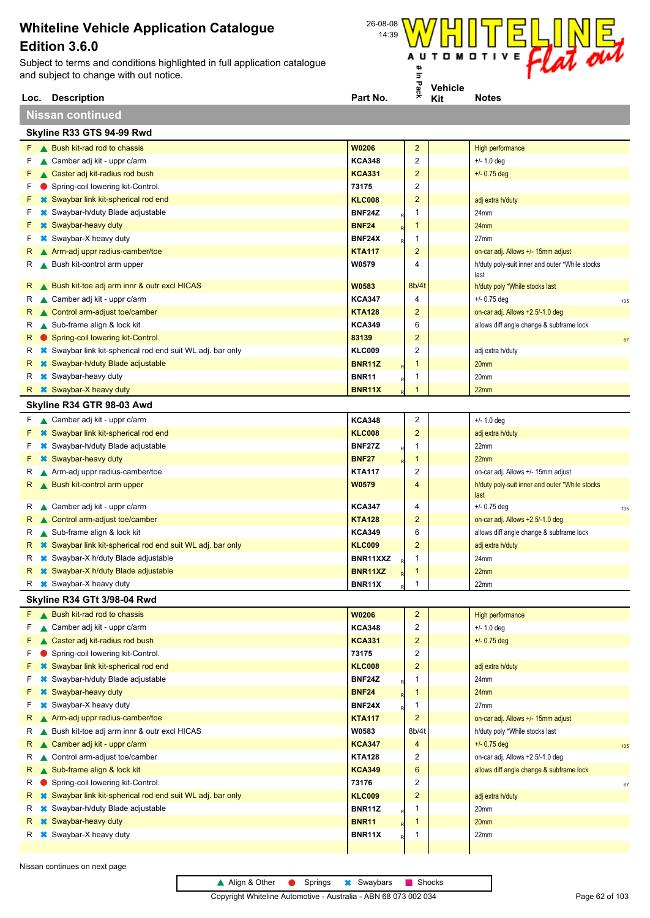Subject to terms and conditions highlighted in full application catalogue and subject to change with out notice.



|        | Loc. Description                                                                  | Part No.               | ×.                      | Kit | <b>Notes</b>                                                         |
|--------|-----------------------------------------------------------------------------------|------------------------|-------------------------|-----|----------------------------------------------------------------------|
|        | <b>Nissan continued</b>                                                           |                        |                         |     |                                                                      |
|        | Skyline R33 GTS 94-99 Rwd                                                         |                        |                         |     |                                                                      |
|        | $F \wedge$ Bush kit-rad rod to chassis                                            | <b>W0206</b>           | $\overline{2}$          |     | High performance                                                     |
| F      | Camber adj kit - uppr c/arm                                                       | <b>KCA348</b>          | 2                       |     | $+/- 1.0$ deg                                                        |
| F      | ▲ Caster adj kit-radius rod bush                                                  | <b>KCA331</b>          | $\overline{c}$          |     | $+/- 0.75$ deg                                                       |
| F      | Spring-coil lowering kit-Control.                                                 | 73175                  | 2                       |     |                                                                      |
| F      | Swaybar link kit-spherical rod end                                                | <b>KLC008</b>          | $\overline{c}$          |     | adj extra h/duty                                                     |
| F      | <b>*</b> Swaybar-h/duty Blade adjustable                                          | BNF24Z                 | 1                       |     | 24mm                                                                 |
| F      | <b>*</b> Swaybar-heavy duty                                                       | <b>BNF24</b>           | 1                       |     | 24 <sub>mm</sub>                                                     |
| F      | <b>*</b> Swaybar-X heavy duty                                                     | <b>BNF24X</b>          | 1                       |     | 27 <sub>mm</sub>                                                     |
| R      | Arm-adj uppr radius-camber/toe                                                    | <b>KTA117</b>          | $\overline{2}$          |     | on-car adj. Allows +/- 15mm adjust                                   |
| R      | Bush kit-control arm upper                                                        | W0579                  | 4                       |     | h/duty poly-suit inner and outer *While stocks<br>last               |
| R.     | Bush kit-toe adj arm innr & outr excl HICAS                                       | W0583                  | 8b/4t                   |     | h/duty poly *While stocks last                                       |
| к      | Camber adj kit - uppr c/arm                                                       | <b>KCA347</b>          | 4                       |     | $+/- 0.75$ deg<br>105                                                |
| R      | ▲ Control arm-adjust toe/camber                                                   | <b>KTA128</b>          | 2                       |     | on-car adj. Allows +2.5/-1.0 deg                                     |
| R      | Sub-frame align & lock kit                                                        | <b>KCA349</b>          | 6                       |     | allows diff angle change & subframe lock                             |
| R      | Spring-coil lowering kit-Control.                                                 | 83139                  | $\overline{c}$          |     | 67                                                                   |
| R      | <sup>■</sup> Swaybar link kit-spherical rod end suit WL adj. bar only             | <b>KLC009</b>          | 2                       |     | adj extra h/duty                                                     |
| R      | <b>*</b> Swaybar-h/duty Blade adjustable                                          | <b>BNR11Z</b>          | 1                       |     | 20mm                                                                 |
| R      | <b>*</b> Swaybar-heavy duty                                                       | <b>BNR11</b>           | 1                       |     | 20mm                                                                 |
| R.     | <b>*</b> Swaybar-X heavy duty                                                     | BNR11X                 | $\mathbf{1}$            |     | 22mm                                                                 |
|        | Skyline R34 GTR 98-03 Awd                                                         |                        |                         |     |                                                                      |
| F.     | Camber adj kit - uppr c/arm                                                       | <b>KCA348</b>          | 2                       |     | $+/- 1.0$ deg                                                        |
| F      | <b>*</b> Swaybar link kit-spherical rod end                                       | <b>KLC008</b>          | $\overline{c}$          |     | adj extra h/duty                                                     |
| F      | <b><sup>■</sup></b> Swaybar-h/duty Blade adjustable                               | <b>BNF27Z</b>          | 1                       |     | 22mm                                                                 |
| F      | <b>*</b> Swaybar-heavy duty                                                       | <b>BNF27</b>           | $\mathbf{1}$            |     | 22mm                                                                 |
| R      | Arm-adj uppr radius-camber/toe                                                    | <b>KTA117</b>          | 2                       |     | on-car adj. Allows +/- 15mm adjust                                   |
| R      | Bush kit-control arm upper                                                        | W0579                  | 4                       |     | h/duty poly-suit inner and outer *While stocks<br>last               |
| R      | Camber adj kit - uppr c/arm                                                       | <b>KCA347</b>          | 4                       |     | $+/- 0.75$ deg<br>105                                                |
| R      | Control arm-adjust toe/camber                                                     | <b>KTA128</b>          | $\overline{\mathbf{c}}$ |     | on-car adj. Allows +2.5/-1.0 deg                                     |
| R      | Sub-frame align & lock kit                                                        | <b>KCA349</b>          | 6                       |     | allows diff angle change & subframe lock                             |
| R      | Swaybar link kit-spherical rod end suit WL adj. bar only                          | <b>KLC009</b>          | $\overline{\mathbf{c}}$ |     | adj extra h/duty                                                     |
| R      | <b><sup>■</sup></b> Swaybar-X h/duty Blade adjustable                             | BNR11XXZ               | 1                       |     | 24mm                                                                 |
| R      | <b>☀</b> Swaybar-X h/duty Blade adjustable                                        | BNR11XZ                | 1                       |     | 22mm                                                                 |
|        | <b>*</b> Swaybar-X heavy duty                                                     | BNR11X<br>R            | 1                       |     | 22mm                                                                 |
|        | Skyline R34 GTt 3/98-04 Rwd                                                       |                        |                         |     |                                                                      |
| F.     | Bush kit-rad rod to chassis                                                       | <b>W0206</b>           | $\overline{2}$          |     | High performance                                                     |
| F      | Camber adj kit - uppr c/arm                                                       | <b>KCA348</b>          | 2                       |     | $+/- 1.0$ deg                                                        |
| F      | ▲ Caster adj kit-radius rod bush                                                  | <b>KCA331</b>          | $\overline{2}$          |     | $+/- 0.75$ deg                                                       |
| F      | Spring-coil lowering kit-Control.                                                 | 73175                  | 2                       |     |                                                                      |
| F      | <b>*</b> Swaybar link kit-spherical rod end                                       | <b>KLC008</b>          | $\overline{c}$          |     | adj extra h/duty                                                     |
| F      | Swaybar-h/duty Blade adjustable                                                   | BNF24Z                 | 1                       |     | 24mm                                                                 |
| F      | <b>*</b> Swaybar-heavy duty                                                       | <b>BNF24</b>           | 1                       |     | 24mm                                                                 |
| F      | <b>*</b> Swaybar-X heavy duty                                                     | BNF24X                 | 1                       |     | 27mm                                                                 |
| R<br>R | A Arm-adj uppr radius-camber/toe<br>▲ Bush kit-toe adj arm innr & outr excl HICAS | <b>KTA117</b><br>W0583 | 2<br>8b/4t              |     | on-car adj. Allows +/- 15mm adjust<br>h/duty poly *While stocks last |
| R      | Camber adj kit - uppr c/arm                                                       | <b>KCA347</b>          | 4                       |     | $+/- 0.75$ deg                                                       |
| R      | Control arm-adjust toe/camber                                                     | <b>KTA128</b>          | 2                       |     | 105<br>on-car adj. Allows +2.5/-1.0 deg                              |
| R      | Sub-frame align & lock kit                                                        | <b>KCA349</b>          | 6                       |     | allows diff angle change & subframe lock                             |
| R      | Spring-coil lowering kit-Control.                                                 | 73176                  | 2                       |     | 67                                                                   |
| R      | <b><sup>■</sup></b> Swaybar link kit-spherical rod end suit WL adj. bar only      | <b>KLC009</b>          | $\overline{2}$          |     | adj extra h/duty                                                     |
| R      | Swaybar-h/duty Blade adjustable                                                   | BNR11Z                 | 1                       |     | 20mm                                                                 |
| R      | <b>Swaybar-heavy duty</b>                                                         | <b>BNR11</b>           | $\mathbf{1}$            |     | 20mm                                                                 |
| R      | <b>*</b> Swaybar-X heavy duty                                                     | BNR11X                 | 1                       |     | 22mm                                                                 |
|        |                                                                                   |                        |                         |     |                                                                      |

▲ Align & Other ● Springs <sup>★</sup> Swaybars ■ Shocks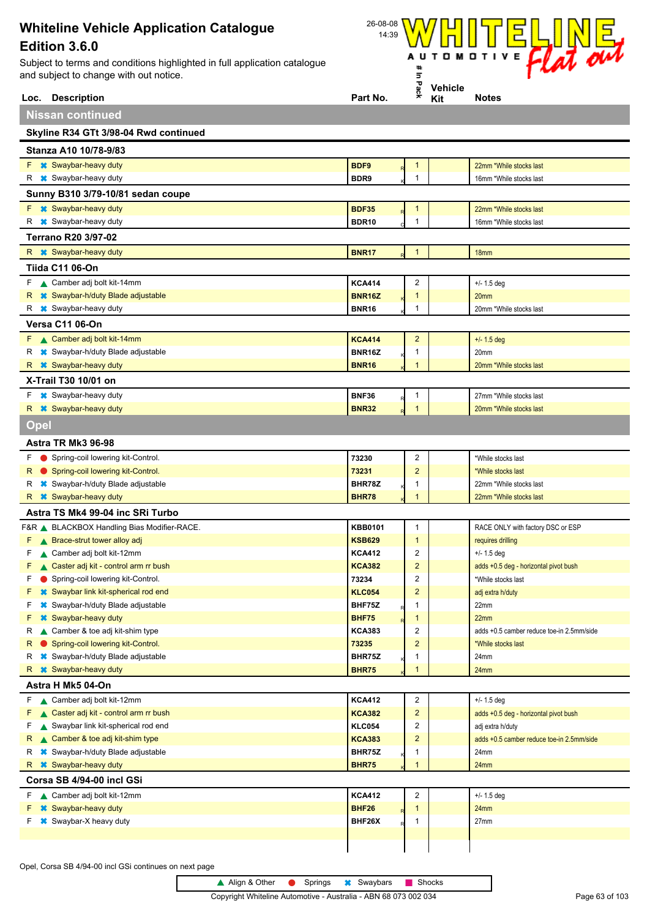Subject to terms and conditions highlighted in full application catalogue and subject to change with out notice.



| Loc. Description                                         | Part No.         | ğ                       | <b>ACILIAL</b><br>Kit | <b>Notes</b>                              |
|----------------------------------------------------------|------------------|-------------------------|-----------------------|-------------------------------------------|
| <b>Nissan continued</b>                                  |                  |                         |                       |                                           |
| Skyline R34 GTt 3/98-04 Rwd continued                    |                  |                         |                       |                                           |
|                                                          |                  |                         |                       |                                           |
| Stanza A10 10/78-9/83                                    |                  |                         |                       |                                           |
| F <b>*</b> Swaybar-heavy duty                            | BDF9             | $\mathbf{1}$            |                       | 22mm *While stocks last                   |
| <b>*</b> Swaybar-heavy duty<br>R.                        | BDR <sub>9</sub> | $\mathbf{1}$            |                       | 16mm *While stocks last                   |
| Sunny B310 3/79-10/81 sedan coupe                        |                  |                         |                       |                                           |
| F <b>*</b> Swaybar-heavy duty                            | <b>BDF35</b>     | $\mathbf{1}$            |                       | 22mm *While stocks last                   |
| <b>*</b> Swaybar-heavy duty<br>R                         | <b>BDR10</b>     | $\mathbf 1$             |                       | 16mm *While stocks last                   |
| <b>Terrano R20 3/97-02</b>                               |                  |                         |                       |                                           |
| R <b>*</b> Swaybar-heavy duty                            | <b>BNR17</b>     | $\mathbf{1}$            |                       | 18 <sub>mm</sub>                          |
| <b>Tiida C11 06-On</b>                                   |                  |                         |                       |                                           |
| F <b>A</b> Camber adj bolt kit-14mm                      | <b>KCA414</b>    | $\overline{c}$          |                       | $+/- 1.5$ deg                             |
| R <b>*</b> Swaybar-h/duty Blade adjustable               | <b>BNR16Z</b>    | $\mathbf 1$             |                       | 20mm                                      |
| <b>*</b> Swaybar-heavy duty<br>R                         | <b>BNR16</b>     | 1                       |                       | 20mm *While stocks last                   |
| Versa C11 06-On                                          |                  |                         |                       |                                           |
| F Camber adj bolt kit-14mm                               | <b>KCA414</b>    | $\overline{2}$          |                       | $+/- 1.5$ deg                             |
| <b>*</b> Swaybar-h/duty Blade adjustable<br>R            | <b>BNR16Z</b>    | 1                       |                       | 20mm                                      |
| <b>*</b> Swaybar-heavy duty<br>R.                        | <b>BNR16</b>     | 1                       |                       | 20mm *While stocks last                   |
| X-Trail T30 10/01 on                                     |                  |                         |                       |                                           |
| <b>*</b> Swaybar-heavy duty<br>F.                        | <b>BNF36</b>     | 1                       |                       | 27mm *While stocks last                   |
| R <b>*</b> Swaybar-heavy duty                            | <b>BNR32</b>     | $\mathbf{1}$            |                       | 20mm *While stocks last                   |
|                                                          |                  |                         |                       |                                           |
| <b>Opel</b>                                              |                  |                         |                       |                                           |
| Astra TR Mk3 96-98                                       |                  |                         |                       |                                           |
| Spring-coil lowering kit-Control.<br>F.                  | 73230            | $\overline{c}$          |                       | *While stocks last                        |
| Spring-coil lowering kit-Control.<br>R                   | 73231            | $\overline{2}$          |                       | *While stocks last                        |
| <b>☀</b> Swaybar-h/duty Blade adjustable<br>R            | BHR78Z           | 1                       |                       | 22mm *While stocks last                   |
| <b>*</b> Swaybar-heavy duty<br>R.                        | <b>BHR78</b>     | 1                       |                       | 22mm *While stocks last                   |
| Astra TS Mk4 99-04 inc SRi Turbo                         |                  |                         |                       |                                           |
| F&R BLACKBOX Handling Bias Modifier-RACE.                | <b>KBB0101</b>   | $\mathbf{1}$            |                       | RACE ONLY with factory DSC or ESP         |
| ▲ Brace-strut tower alloy adj<br>F.                      | <b>KSB629</b>    | $\mathbf{1}$            |                       | requires drilling                         |
| Camber adj bolt kit-12mm<br>F                            | <b>KCA412</b>    | 2                       |                       | $+/- 1.5$ deg                             |
| ▲ Caster adj kit - control arm rr bush<br>F              | <b>KCA382</b>    | $\overline{c}$          |                       | adds +0.5 deg - horizontal pivot bush     |
| F Spring-coil lowering kit-Control.                      | 73234            | $\overline{\mathbf{c}}$ |                       | *While stocks last                        |
| <b>*</b> Swaybar link kit-spherical rod end<br>F.        | <b>KLC054</b>    | $\overline{2}$          |                       | adj extra h/duty                          |
| <b><sup>■</sup></b> Swaybar-h/duty Blade adjustable<br>F | BHF75Z           | 1                       |                       | 22mm                                      |
| <b>*</b> Swaybar-heavy duty<br>F                         | <b>BHF75</b>     | $\mathbf{1}$            |                       | 22mm                                      |
| Camber & toe adj kit-shim type<br>R                      | <b>KCA383</b>    | $\overline{2}$          |                       | adds +0.5 camber reduce toe-in 2.5mm/side |
| Spring-coil lowering kit-Control.<br>R                   | 73235            | $\overline{2}$          |                       | *While stocks last                        |
| <b><sup>■</sup></b> Swaybar-h/duty Blade adjustable<br>R | BHR75Z           | $\mathbf 1$             |                       | 24mm                                      |
| <b>*</b> Swaybar-heavy duty<br>R                         | <b>BHR75</b>     | 1                       |                       | 24mm                                      |
| Astra H Mk5 04-On                                        |                  |                         |                       |                                           |
| ▲ Camber adj bolt kit-12mm<br>F.                         | <b>KCA412</b>    | 2                       |                       | $+/- 1.5$ deg                             |
| ▲ Caster adj kit - control arm rr bush<br>F              | <b>KCA382</b>    | $\overline{2}$          |                       | adds +0.5 deg - horizontal pivot bush     |
| Swaybar link kit-spherical rod end<br>F                  | <b>KLC054</b>    | 2                       |                       | adj extra h/duty                          |
| ▲ Camber & toe adj kit-shim type<br>R                    | <b>KCA383</b>    | $\overline{2}$          |                       | adds +0.5 camber reduce toe-in 2.5mm/side |
| <b>*</b> Swaybar-h/duty Blade adjustable<br>R            | BHR75Z           | 1                       |                       | 24mm                                      |
| <b>*</b> Swaybar-heavy duty<br>R.                        | <b>BHR75</b>     | 1                       |                       | 24mm                                      |
| Corsa SB 4/94-00 incl GSi                                |                  |                         |                       |                                           |
| ▲ Camber adj bolt kit-12mm<br>F.                         | <b>KCA412</b>    | $\overline{\mathbf{c}}$ |                       | $+/- 1.5$ deg                             |
| <b>*</b> Swaybar-heavy duty<br>F                         | <b>BHF26</b>     | $\mathbf{1}$            |                       | 24mm                                      |
| <b>*</b> Swaybar-X heavy duty<br>F                       | BHF26X           | 1                       |                       | 27mm                                      |
|                                                          |                  |                         |                       |                                           |
|                                                          |                  |                         |                       |                                           |
|                                                          |                  |                         |                       |                                           |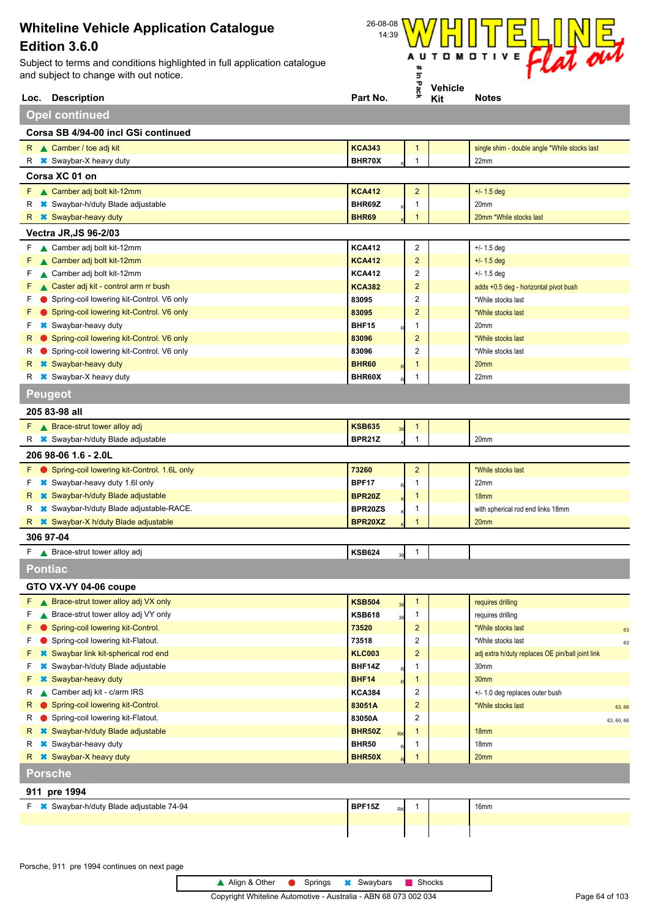

|                | Loc. Description                                                       | Part No.       |           | 쥿                                | "<br>Kit | <b>Notes</b>                                     |            |
|----------------|------------------------------------------------------------------------|----------------|-----------|----------------------------------|----------|--------------------------------------------------|------------|
|                | <b>Opel continued</b>                                                  |                |           |                                  |          |                                                  |            |
|                | Corsa SB 4/94-00 incl GSi continued                                    |                |           |                                  |          |                                                  |            |
|                | R Camber / toe adj kit                                                 | <b>KCA343</b>  |           | $\mathbf{1}$                     |          | single shim - double angle *While stocks last    |            |
|                | R <b>*</b> Swaybar-X heavy duty                                        | BHR70X         |           | 1                                |          | 22mm                                             |            |
|                | Corsa XC 01 on                                                         |                |           |                                  |          |                                                  |            |
|                | F Camber adj bolt kit-12mm                                             | <b>KCA412</b>  |           | $\overline{a}$                   |          | $+/- 1.5$ deg                                    |            |
|                | R * Swaybar-h/duty Blade adjustable                                    | BHR69Z         |           | 1                                |          | 20mm                                             |            |
|                | R <b>*</b> Swaybar-heavy duty                                          | <b>BHR69</b>   |           | $\mathbf{1}$                     |          | 20mm *While stocks last                          |            |
|                | <b>Vectra JR, JS 96-2/03</b>                                           |                |           |                                  |          |                                                  |            |
|                | F Camber adj bolt kit-12mm                                             | <b>KCA412</b>  |           | $\overline{c}$                   |          | $+/- 1.5$ deg                                    |            |
| F.             | Camber adj bolt kit-12mm                                               | <b>KCA412</b>  |           | $\overline{a}$                   |          | $+/- 1.5$ deg                                    |            |
| F.             | ▲ Camber adj bolt kit-12mm                                             | <b>KCA412</b>  |           | 2                                |          | $+/- 1.5$ deg                                    |            |
| F.             | Caster adj kit - control arm rr bush                                   | <b>KCA382</b>  |           | $\overline{c}$                   |          | adds +0.5 deg - horizontal pivot bush            |            |
| F.             | Spring-coil lowering kit-Control. V6 only                              | 83095          |           | 2                                |          | *While stocks last                               |            |
| F.             | Spring-coil lowering kit-Control. V6 only                              | 83095          |           | $\overline{c}$                   |          | *While stocks last                               |            |
| F.             | <b>*</b> Swaybar-heavy duty                                            | <b>BHF15</b>   |           | 1                                |          | 20 <sub>mm</sub>                                 |            |
| R.             | ● Spring-coil lowering kit-Control. V6 only                            | 83096          |           | $\overline{c}$                   |          | *While stocks last                               |            |
| R              | Spring-coil lowering kit-Control. V6 only                              | 83096          |           | $\boldsymbol{2}$                 |          | *While stocks last                               |            |
|                | R <b>*</b> Swaybar-heavy duty                                          | <b>BHR60</b>   |           | 1                                |          | 20 <sub>mm</sub>                                 |            |
|                | R $\ast$ Swaybar-X heavy duty                                          | BHR60X         |           | $\mathbf{1}$                     |          | 22mm                                             |            |
| <b>Peugeot</b> |                                                                        |                |           |                                  |          |                                                  |            |
|                | 205 83-98 all                                                          |                |           |                                  |          |                                                  |            |
|                | $F \wedge$ Brace-strut tower alloy adj                                 | <b>KSB635</b>  |           | $\mathbf{1}$                     |          |                                                  |            |
|                | R * Swaybar-h/duty Blade adjustable                                    | BPR21Z         |           | 1                                |          | 20mm                                             |            |
|                | 206 98-06 1.6 - 2.0L                                                   |                |           |                                  |          |                                                  |            |
|                | F Spring-coil lowering kit-Control. 1.6L only                          | 73260          |           | $\overline{2}$                   |          | *While stocks last                               |            |
| F.             | <b>*</b> Swaybar-heavy duty 1.6l only                                  | <b>BPF17</b>   |           | 1                                |          | 22mm                                             |            |
|                | R * Swaybar-h/duty Blade adjustable                                    | <b>BPR20Z</b>  |           | $\mathbf{1}$                     |          | 18 <sub>mm</sub>                                 |            |
|                | R * Swaybar-h/duty Blade adjustable-RACE.                              | BPR20ZS        |           | 1                                |          | with spherical rod end links 18mm                |            |
|                | R * Swaybar-X h/duty Blade adjustable                                  | BPR20XZ        |           | $\mathbf{1}$                     |          | 20 <sub>mm</sub>                                 |            |
| 306 97-04      |                                                                        |                |           |                                  |          |                                                  |            |
|                | F A Brace-strut tower alloy adj                                        | <b>KSB624</b>  | 36        | 1                                |          |                                                  |            |
| <b>Pontiac</b> |                                                                        |                |           |                                  |          |                                                  |            |
|                |                                                                        |                |           |                                  |          |                                                  |            |
|                | GTO VX-VY 04-06 coupe                                                  |                |           |                                  |          |                                                  |            |
|                | F A Brace-strut tower alloy adj VX only                                | <b>KSB504</b>  | 36        | $\mathbf{1}$                     |          | requires drilling                                |            |
| F.             | ▲ Brace-strut tower alloy adj VY only                                  | <b>KSB618</b>  | 36        | 1                                |          | requires drilling                                |            |
| F<br>F         | Spring-coil lowering kit-Control.<br>Spring-coil lowering kit-Flatout. | 73520<br>73518 |           | $\overline{a}$<br>$\overline{c}$ |          | *While stocks last<br>*While stocks last         | 63         |
| F              | Swaybar link kit-spherical rod end                                     | <b>KLC003</b>  |           | $\overline{c}$                   |          | adj extra h/duty replaces OE pin/ball joint link | 63         |
| F              | Swaybar-h/duty Blade adjustable                                        | BHF14Z         |           | 1                                |          | 30mm                                             |            |
| F              | Swaybar-heavy duty                                                     | <b>BHF14</b>   |           | $\mathbf{1}$                     |          | 30mm                                             |            |
| R              | Camber adj kit - c/arm IRS                                             | <b>KCA384</b>  |           | 2                                |          | +/- 1.0 deg replaces outer bush                  |            |
| R.             | Spring-coil lowering kit-Control.                                      | 83051A         |           | $\overline{c}$                   |          | *While stocks last                               | 63, 66     |
| R              | Spring-coil lowering kit-Flatout.                                      | 83050A         |           | $\overline{\mathbf{c}}$          |          |                                                  | 63, 60, 66 |
| R<br>×         | Swaybar-h/duty Blade adjustable                                        | <b>BHR50Z</b>  | <b>RK</b> | $\mathbf{1}$                     |          | 18 <sub>mm</sub>                                 |            |
| R<br>×         | Swaybar-heavy duty                                                     | <b>BHR50</b>   |           | 1                                |          | 18mm                                             |            |
| R.             | <b>*</b> Swaybar-X heavy duty                                          | BHR50X         |           | $\mathbf{1}$                     |          | 20 <sub>mm</sub>                                 |            |
| <b>Porsche</b> |                                                                        |                |           |                                  |          |                                                  |            |
|                | 911 pre 1994                                                           |                |           |                                  |          |                                                  |            |
|                | F * Swaybar-h/duty Blade adjustable 74-94                              | BPF15Z         | RK        | $\mathbf{1}$                     |          | 16mm                                             |            |
|                |                                                                        |                |           |                                  |          |                                                  |            |
|                |                                                                        |                |           |                                  |          |                                                  |            |
|                |                                                                        |                |           |                                  |          |                                                  |            |

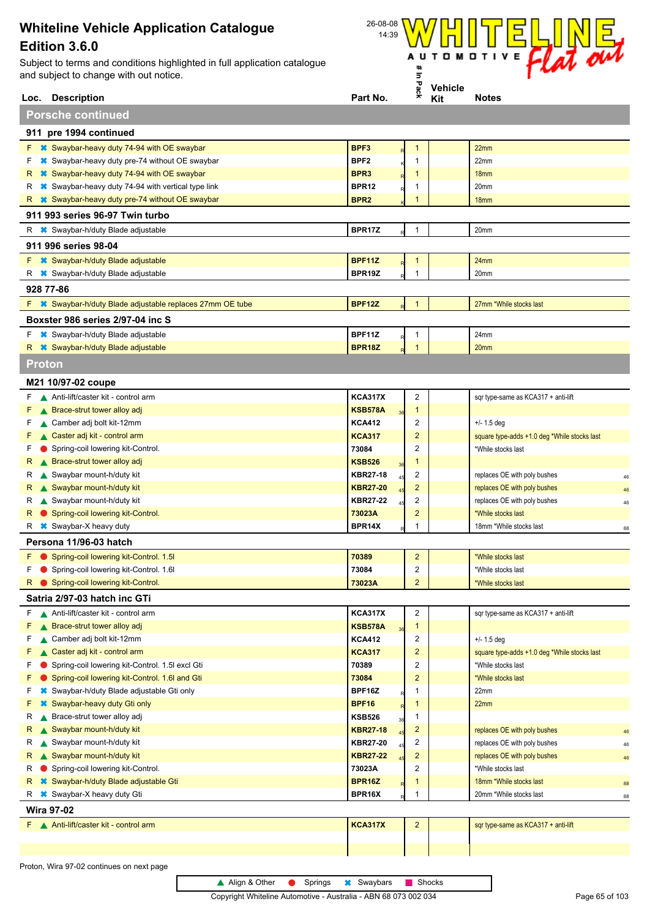Subject to terms and conditions highlighted in full application catalogue and subject to change with out notice.



|    | Loc. Description                                                 | Part No.             | 읏                       | Kit | <b>Notes</b>                                 |            |
|----|------------------------------------------------------------------|----------------------|-------------------------|-----|----------------------------------------------|------------|
|    | <b>Porsche continued</b>                                         |                      |                         |     |                                              |            |
|    | 911 pre 1994 continued                                           |                      |                         |     |                                              |            |
| F. | <b>■ Swaybar-heavy duty 74-94 with OE swaybar</b>                | BPF3                 | $\mathbf{1}$            |     | 22mm                                         |            |
| F. | <sup>■</sup> Swaybar-heavy duty pre-74 without OE swaybar        | BPF <sub>2</sub>     | 1                       |     | 22mm                                         |            |
| R, | <b>■ Swaybar-heavy duty 74-94 with OE swaybar</b>                | BPR <sub>3</sub>     | $\mathbf{1}$            |     | 18mm                                         |            |
| R  | <sup>■</sup> Swaybar-heavy duty 74-94 with vertical type link    | <b>BPR12</b>         | 1                       |     | 20mm                                         |            |
| R  | <b><sup>■</sup></b> Swaybar-heavy duty pre-74 without OE swaybar | BPR <sub>2</sub>     | 1                       |     | 18 <sub>mm</sub>                             |            |
|    | 911 993 series 96-97 Twin turbo                                  |                      |                         |     |                                              |            |
|    | R * Swaybar-h/duty Blade adjustable                              | BPR17Z               | 1                       |     | 20mm                                         |            |
|    | 911 996 series 98-04                                             |                      |                         |     |                                              |            |
|    | F * Swaybar-h/duty Blade adjustable                              | BPF11Z               | $\mathbf{1}$            |     | 24mm                                         |            |
| R  | <b>*</b> Swaybar-h/duty Blade adjustable                         | BPR19Z               | 1                       |     | 20mm                                         |            |
|    | 928 77-86                                                        |                      |                         |     |                                              |            |
|    | <b>■ ※ Swaybar-h/duty Blade adjustable replaces 27mm OE tube</b> | <b>BPF12Z</b>        | $\mathbf{1}$            |     | 27mm *While stocks last                      |            |
|    | Boxster 986 series 2/97-04 inc S                                 |                      |                         |     |                                              |            |
|    | F <b>*</b> Swaybar-h/duty Blade adjustable                       | BPF11Z               | 1                       |     | 24mm                                         |            |
|    | R <b>*</b> Swaybar-h/duty Blade adjustable                       | <b>BPR18Z</b>        | $\mathbf{1}$            |     | 20 <sub>mm</sub>                             |            |
|    | Proton                                                           |                      |                         |     |                                              |            |
|    | M21 10/97-02 coupe                                               |                      |                         |     |                                              |            |
| F. | Anti-lift/caster kit - control arm                               | <b>KCA317X</b>       | 2                       |     | sqr type-same as KCA317 + anti-lift          |            |
| F. | ▲ Brace-strut tower alloy adj                                    | <b>KSB578A</b><br>36 | 1                       |     |                                              |            |
| F. | Camber adj bolt kit-12mm                                         | <b>KCA412</b>        | 2                       |     | $+/- 1.5$ deg                                |            |
| F. | Caster adj kit - control arm                                     | <b>KCA317</b>        | $\overline{2}$          |     | square type-adds +1.0 deg *While stocks last |            |
| F. | Spring-coil lowering kit-Control.                                | 73084                | $\overline{\mathbf{c}}$ |     | *While stocks last                           |            |
| R  | ▲ Brace-strut tower alloy adj                                    | <b>KSB526</b><br>36  | 1                       |     |                                              |            |
| R, | Swaybar mount-h/duty kit                                         | <b>KBR27-18</b>      | 2                       |     | replaces OE with poly bushes                 | 46         |
| R. | Swaybar mount-h/duty kit                                         | <b>KBR27-20</b>      | $\overline{2}$          |     | replaces OE with poly bushes                 | 46         |
| R  | Swaybar mount-h/duty kit                                         | <b>KBR27-22</b>      | 2                       |     | replaces OE with poly bushes                 | 46         |
| R. | Spring-coil lowering kit-Control.                                | 73023A               | $\overline{2}$          |     | *While stocks last                           |            |
|    | R $\ast$ Swaybar-X heavy duty                                    | BPR14X               | 1                       |     | 18mm *While stocks last                      | 88         |
|    | Persona 11/96-03 hatch                                           |                      |                         |     |                                              |            |
|    | Spring-coil lowering kit-Control. 1.5                            | 70389                | $\overline{2}$          |     | *While stocks last                           |            |
|    | Spring-coil lowering kit-Control. 1.6I                           | 73084                | 2                       |     | *While stocks last                           |            |
|    | R Spring-coil lowering kit-Control.                              | 73023A               | $\overline{2}$          |     | *While stocks last                           |            |
|    | Satria 2/97-03 hatch inc GTi                                     |                      |                         |     |                                              |            |
| F. | Anti-lift/caster kit - control arm                               | <b>KCA317X</b>       | 2                       |     | sqr type-same as KCA317 + anti-lift          |            |
| F. | ▲ Brace-strut tower alloy adj                                    | <b>KSB578A</b>       | $\mathbf{1}$            |     |                                              |            |
| F. | ▲ Camber adj bolt kit-12mm                                       | <b>KCA412</b>        | 2                       |     | $+/- 1.5$ deg                                |            |
| F. | ▲ Caster adj kit - control arm                                   | <b>KCA317</b>        | $\overline{\mathbf{c}}$ |     | square type-adds +1.0 deg *While stocks last |            |
| F. | Spring-coil lowering kit-Control. 1.5l excl Gti                  | 70389                | 2                       |     | *While stocks last                           |            |
| F. | Spring-coil lowering kit-Control. 1.6 and Gti                    | 73084                | $\overline{\mathbf{c}}$ |     | *While stocks last                           |            |
| F. | <b>*</b> Swaybar-h/duty Blade adjustable Gti only                | BPF16Z               | 1                       |     | 22mm                                         |            |
| F. | <b>*</b> Swaybar-heavy duty Gti only                             | <b>BPF16</b>         | 1                       |     | 22mm                                         |            |
| R  | ▲ Brace-strut tower alloy adj                                    | <b>KSB526</b>        | 1                       |     |                                              |            |
| R. | Swaybar mount-h/duty kit                                         | <b>KBR27-18</b>      | $\overline{\mathbf{c}}$ |     | replaces OE with poly bushes                 |            |
| R. | Swaybar mount-h/duty kit                                         | <b>KBR27-20</b>      | 2                       |     | replaces OE with poly bushes                 | $46\,$     |
| R. | Swaybar mount-h/duty kit                                         | <b>KBR27-22</b>      | $\overline{\mathbf{c}}$ |     | replaces OE with poly bushes                 | 46         |
| R. | Spring-coil lowering kit-Control.                                | 73023A               | 2                       |     | *While stocks last                           | ${\bf 46}$ |
|    | R <b>*</b> Swaybar-h/duty Blade adjustable Gti                   | <b>BPR16Z</b>        | 1                       |     | 18mm *While stocks last                      |            |
|    | R * Swaybar-X heavy duty Gti                                     | BPR16X               | 1                       |     | 20mm *While stocks last                      | 88         |
|    | <b>Wira 97-02</b>                                                |                      |                         |     |                                              | 88         |
|    |                                                                  |                      |                         |     |                                              |            |
|    | F Anti-lift/caster kit - control arm                             | <b>KCA317X</b>       | $\overline{2}$          |     | sqr type-same as KCA317 + anti-lift          |            |
|    |                                                                  |                      |                         |     |                                              |            |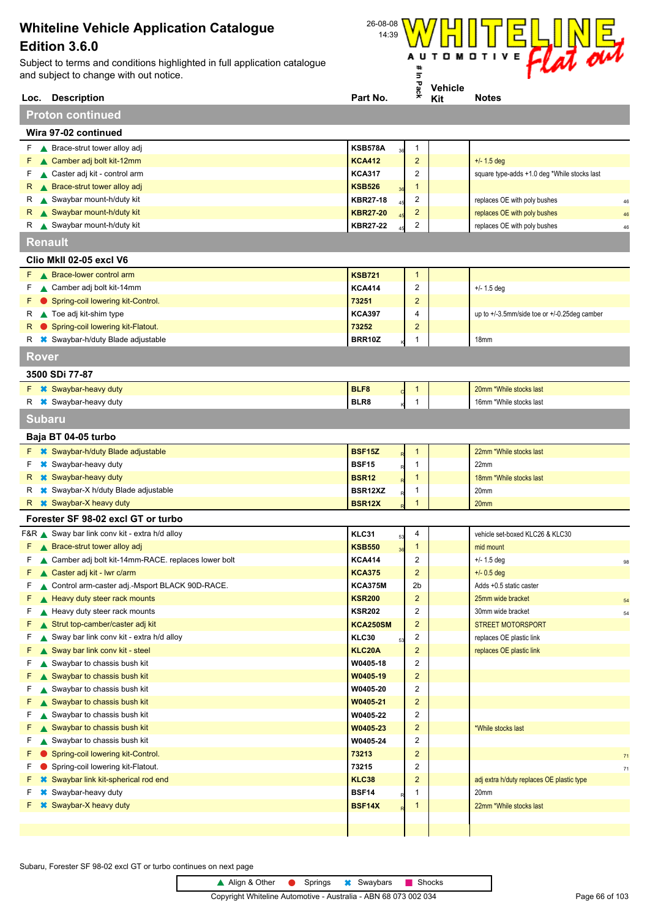Subject to terms and conditions highlighted in full application catalogue and subject to change with out notice.



|              | Loc. Description                                     | Part No.             | ⋇                       | Kit | <b>Notes</b>                                 |
|--------------|------------------------------------------------------|----------------------|-------------------------|-----|----------------------------------------------|
|              | <b>Proton continued</b>                              |                      |                         |     |                                              |
|              | Wira 97-02 continued                                 |                      |                         |     |                                              |
|              | F A Brace-strut tower alloy adj                      | <b>KSB578A</b><br>36 | $\mathbf{1}$            |     |                                              |
|              | $F \wedge$ Camber adj bolt kit-12mm                  | <b>KCA412</b>        | $\overline{2}$          |     | $+/- 1.5$ deg                                |
| F.           | Caster adj kit - control arm                         | <b>KCA317</b>        | $\overline{2}$          |     | square type-adds +1.0 deg *While stocks last |
| R            | ▲ Brace-strut tower alloy adj                        | KSB526               | $\mathbf{1}$            |     |                                              |
|              | R Swaybar mount-h/duty kit                           | KBR27-18             | $\overline{2}$          |     | replaces OE with poly bushes<br>46           |
|              | R Swaybar mount-h/duty kit                           | <b>KBR27-20</b>      | $\overline{c}$          |     | replaces OE with poly bushes<br>46           |
|              | R Swaybar mount-h/duty kit                           | <b>KBR27-22</b>      | $\boldsymbol{2}$        |     | replaces OE with poly bushes<br>46           |
|              | Renault                                              |                      |                         |     |                                              |
|              | Clio Mkll 02-05 excl V6                              |                      |                         |     |                                              |
|              | F <b>A</b> Brace-lower control arm                   | <b>KSB721</b>        | $\mathbf{1}$            |     |                                              |
| F.           | Camber adj bolt kit-14mm                             | <b>KCA414</b>        | $\overline{2}$          |     | $+/- 1.5$ deg                                |
| F.           | Spring-coil lowering kit-Control.                    | 73251                | $\overline{c}$          |     |                                              |
|              | R Toe adj kit-shim type                              | <b>KCA397</b>        | 4                       |     | up to +/-3.5mm/side toe or +/-0.25deg camber |
| R.           | Spring-coil lowering kit-Flatout.                    | 73252                | $\overline{\mathbf{c}}$ |     |                                              |
|              | R * Swaybar-h/duty Blade adjustable                  | BRR10Z               | 1                       |     | 18mm                                         |
| <b>Rover</b> |                                                      |                      |                         |     |                                              |
|              | 3500 SDi 77-87                                       |                      |                         |     |                                              |
|              | $F \times$ Swaybar-heavy duty                        | BLF8<br>C            | $\mathbf{1}$            |     | 20mm *While stocks last                      |
|              | R <b>*</b> Swaybar-heavy duty                        | BLR8                 | $\overline{1}$          |     | 16mm *While stocks last                      |
|              | <b>Subaru</b>                                        |                      |                         |     |                                              |
|              | Baja BT 04-05 turbo                                  |                      |                         |     |                                              |
|              | <b>F *</b> Swaybar-h/duty Blade adjustable           | <b>BSF15Z</b>        | $\mathbf{1}$            |     | 22mm *While stocks last                      |
| F.           | <b>*</b> Swaybar-heavy duty                          | <b>BSF15</b>         | 1                       |     | 22mm                                         |
| R.           | <b>*</b> Swaybar-heavy duty                          | <b>BSR12</b>         | $\mathbf{1}$            |     | 18mm *While stocks last                      |
| R            | <b>*</b> Swaybar-X h/duty Blade adjustable           | BSR12XZ              | 1                       |     | 20mm                                         |
|              | R <b>*</b> Swaybar-X heavy duty                      | <b>BSR12X</b>        | $\mathbf 1$             |     | 20mm                                         |
|              | Forester SF 98-02 excl GT or turbo                   |                      |                         |     |                                              |
|              | F&R Sway bar link conv kit - extra h/d alloy         | KLC31<br>53          | 4                       |     | vehicle set-boxed KLC26 & KLC30              |
|              | $F \wedge$ Brace-strut tower alloy adj               | <b>KSB550</b><br>36  | $\mathbf{1}$            |     | mid mount                                    |
| F            | ▲ Camber adj bolt kit-14mm-RACE. replaces lower bolt | <b>KCA414</b>        | $\overline{2}$          |     | $+/- 1.5$ deg<br>98                          |
|              | Caster adj kit - Iwr c/arm                           | <b>KCA375</b>        | $\overline{2}$          |     | $+/- 0.5$ deg                                |
|              | Control arm-caster adj.-Msport BLACK 90D-RACE.       | KCA375M              | 2b                      |     | Adds +0.5 static caster                      |
| F.           | Heavy duty steer rack mounts                         | <b>KSR200</b>        | $\overline{\mathbf{c}}$ |     | 25mm wide bracket<br>54                      |
| F            | Heavy duty steer rack mounts                         | <b>KSR202</b>        | 2                       |     | 30mm wide bracket<br>54                      |
| F            | Strut top-camber/caster adj kit                      | <b>KCA250SM</b>      | $\overline{\mathbf{c}}$ |     | <b>STREET MOTORSPORT</b>                     |
| F            | Sway bar link conv kit - extra h/d alloy             | KLC30                | 2                       |     | replaces OE plastic link                     |
| F            | Sway bar link conv kit - steel                       | KLC20A               | $\overline{\mathbf{c}}$ |     | replaces OE plastic link                     |
| F            | Swaybar to chassis bush kit                          | W0405-18             | $\boldsymbol{2}$        |     |                                              |
| F            | Swaybar to chassis bush kit                          | W0405-19             | $\overline{\mathbf{c}}$ |     |                                              |
| F.           | Swaybar to chassis bush kit                          | W0405-20             | $\boldsymbol{2}$        |     |                                              |
| F.           | Swaybar to chassis bush kit                          | W0405-21             | $\overline{\mathbf{c}}$ |     |                                              |
| F            | Swaybar to chassis bush kit                          | W0405-22             | $\boldsymbol{2}$        |     |                                              |
| F.           | Swaybar to chassis bush kit                          | W0405-23             | $\overline{\mathbf{c}}$ |     | *While stocks last                           |
| F.           | Swaybar to chassis bush kit                          | W0405-24             | 2                       |     |                                              |
| F.           | Spring-coil lowering kit-Control.                    | 73213                | $\overline{\mathbf{c}}$ |     | 71                                           |
| F.           | Spring-coil lowering kit-Flatout.                    | 73215                | 2                       |     | 71                                           |
| F            | Swaybar link kit-spherical rod end                   | <b>KLC38</b>         | $\overline{\mathbf{c}}$ |     | adj extra h/duty replaces OE plastic type    |
| F            | Swaybar-heavy duty                                   | BSF14                | 1                       |     | 20mm                                         |
| F.           | <b>*</b> Swaybar-X heavy duty                        | <b>BSF14X</b>        | $\mathbf{1}$            |     | 22mm *While stocks last                      |
|              |                                                      |                      |                         |     |                                              |

Subaru, Forester SF 98-02 excl GT or turbo continues on next page

T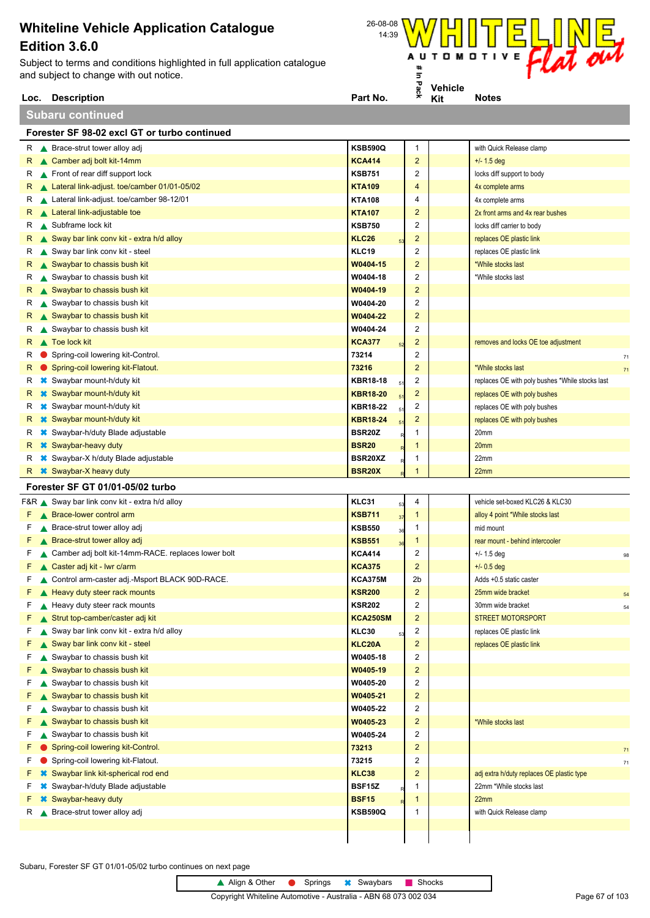Subject to terms and conditions highlighted in full application catalogue and subject to change with out notice.

**Subaru continued**





**Kit**

▲ Align & Other ● Springs <sup>★</sup> Swaybars ■ Shocks Copyright Whiteline Automotive - Australia - ABN 68 073 002 034 Page 67 of 103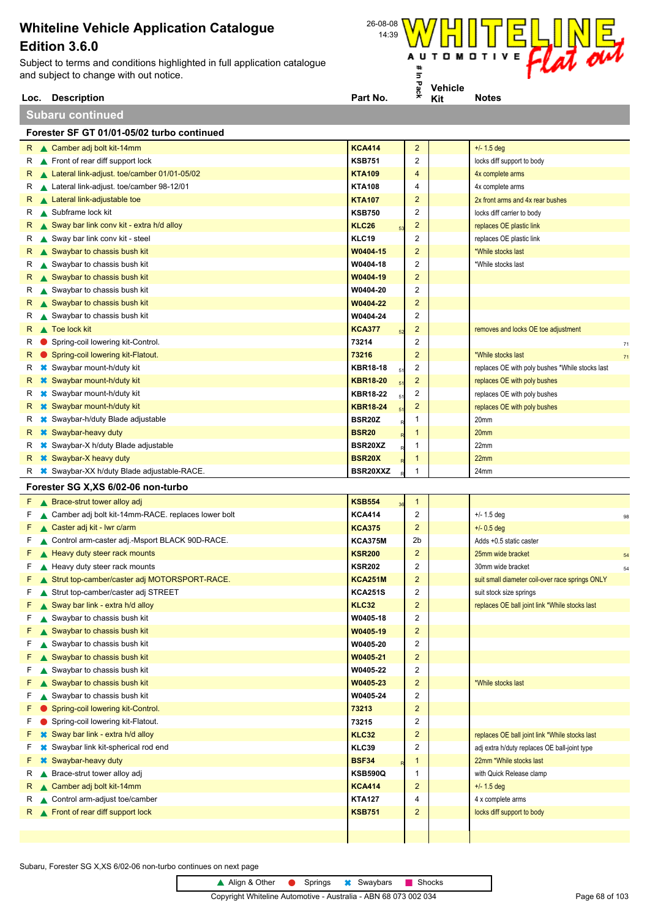Subject to terms and conditions highlighted in full application catalogue and subject to change with out notice.



**Subaru continued**

|    | Forester SF GT 01/01-05/02 turbo continued          |                 |                         |                                                 |    |
|----|-----------------------------------------------------|-----------------|-------------------------|-------------------------------------------------|----|
|    | R Camber adj bolt kit-14mm                          | <b>KCA414</b>   | $\overline{c}$          | $+/- 1.5$ deg                                   |    |
|    | $R \triangle$ Front of rear diff support lock       | <b>KSB751</b>   | 2                       | locks diff support to body                      |    |
|    | R Lateral link-adjust. toe/camber 01/01-05/02       | <b>KTA109</b>   | 4                       | 4x complete arms                                |    |
| R  | Lateral link-adjust. toe/camber 98-12/01            | <b>KTA108</b>   | 4                       | 4x complete arms                                |    |
|    | R Lateral link-adjustable toe                       | <b>KTA107</b>   | 2                       | 2x front arms and 4x rear bushes                |    |
|    | R Subframe lock kit                                 | <b>KSB750</b>   | 2                       | locks diff carrier to body                      |    |
|    | R Sway bar link conv kit - extra h/d alloy          | <b>KLC26</b>    | 2                       | replaces OE plastic link                        |    |
|    | $R \triangle$ Sway bar link conv kit - steel        | KLC19           | 2                       | replaces OE plastic link                        |    |
|    | R Swaybar to chassis bush kit                       | W0404-15        | 2                       | *While stocks last                              |    |
| R  | Swaybar to chassis bush kit                         | W0404-18        | 2                       | *While stocks last                              |    |
|    | R Swaybar to chassis bush kit                       | W0404-19        | $\overline{\mathbf{c}}$ |                                                 |    |
|    | R Swaybar to chassis bush kit                       | W0404-20        | 2                       |                                                 |    |
|    | R Swaybar to chassis bush kit                       | W0404-22        | $\overline{2}$          |                                                 |    |
|    | R Swaybar to chassis bush kit                       | W0404-24        | 2                       |                                                 |    |
|    | R Toe lock kit                                      | <b>KCA377</b>   | 2                       | removes and locks OE toe adjustment             |    |
| R. | Spring-coil lowering kit-Control.                   | 73214           | 2                       |                                                 | 71 |
| R. | Spring-coil lowering kit-Flatout.                   | 73216           | 2                       | *While stocks last                              | 71 |
| R  | <b>☀</b> Swaybar mount-h/duty kit                   | <b>KBR18-18</b> | 2                       | replaces OE with poly bushes *While stocks last |    |
| R. | <b>*</b> Swaybar mount-h/duty kit                   | <b>KBR18-20</b> | $\overline{c}$          | replaces OE with poly bushes                    |    |
| R  | <b>■ Swaybar mount-h/duty kit</b>                   | <b>KBR18-22</b> | 2                       | replaces OE with poly bushes                    |    |
| R. | <b>*</b> Swaybar mount-h/duty kit                   | <b>KBR18-24</b> | $\overline{c}$          | replaces OE with poly bushes                    |    |
| R. | <b><sup>■</sup></b> Swaybar-h/duty Blade adjustable | <b>BSR20Z</b>   | 1                       | 20mm                                            |    |
| R  | <b>*</b> Swaybar-heavy duty                         | <b>BSR20</b>    | 1                       | 20 <sub>mm</sub>                                |    |
| R  | <b>★</b> Swaybar-X h/duty Blade adjustable          | BSR20XZ         | 1                       | 22mm                                            |    |
|    | R <b>*</b> Swaybar-X heavy duty                     | <b>BSR20X</b>   | 1                       | 22mm                                            |    |
|    | R <b>*</b> Swaybar-XX h/duty Blade adjustable-RACE. | BSR20XXZ        | 1                       | 24mm                                            |    |
|    |                                                     |                 |                         |                                                 |    |
|    | Forester SG X, XS 6/02-06 non-turbo                 |                 |                         |                                                 |    |
|    | $F \wedge$ Brace-strut tower alloy adj              | <b>KSB554</b>   | 1                       |                                                 |    |
| F. | Camber adj bolt kit-14mm-RACE. replaces lower bolt  | <b>KCA414</b>   | 2                       | $+/- 1.5$ deg                                   | 98 |
| F. | Caster adj kit - Iwr c/arm                          | <b>KCA375</b>   | $\overline{c}$          | $+/- 0.5$ deg                                   |    |
| F. | Control arm-caster adj.-Msport BLACK 90D-RACE.      | <b>KCA375M</b>  | 2b                      | Adds +0.5 static caster                         |    |
| F. | Heavy duty steer rack mounts                        | <b>KSR200</b>   | $\overline{\mathbf{c}}$ | 25mm wide bracket                               | 54 |
| F. | Heavy duty steer rack mounts                        | <b>KSR202</b>   | 2                       | 30mm wide bracket                               | 54 |
| F. | Strut top-camber/caster adj MOTORSPORT-RACE.        | <b>KCA251M</b>  | 2                       | suit small diameter coil-over race springs ONLY |    |
| F. | Strut top-camber/caster adj STREET                  | <b>KCA251S</b>  | 2                       | suit stock size springs                         |    |
|    | $F \wedge \text{Sway}$ bar link - extra h/d alloy   | <b>KLC32</b>    | $\overline{2}$          | replaces OE ball joint link *While stocks last  |    |
|    | Swaybar to chassis bush kit                         | W0405-18        | 2                       |                                                 |    |
|    | Swaybar to chassis bush kit                         | W0405-19        | $\overline{c}$          |                                                 |    |
| F  | Swaybar to chassis bush kit                         | W0405-20        | 2                       |                                                 |    |
| F  | Swaybar to chassis bush kit                         | W0405-21        | $\overline{\mathbf{c}}$ |                                                 |    |
| F. | Swaybar to chassis bush kit                         | W0405-22        | 2                       |                                                 |    |
| F  | Swaybar to chassis bush kit                         | W0405-23        | $\overline{\mathbf{c}}$ | *While stocks last                              |    |
| F. | Swaybar to chassis bush kit                         | W0405-24        | 2                       |                                                 |    |
| F  | Spring-coil lowering kit-Control.                   | 73213           | $\overline{\mathbf{c}}$ |                                                 |    |
| F  | Spring-coil lowering kit-Flatout.                   | 73215           | 2                       |                                                 |    |
|    | <b>■ Sway bar link - extra h/d alloy</b>            | <b>KLC32</b>    | $\overline{\mathbf{c}}$ | replaces OE ball joint link *While stocks last  |    |
| F. | <b>*</b> Swaybar link kit-spherical rod end         | <b>KLC39</b>    | 2                       | adj extra h/duty replaces OE ball-joint type    |    |
| F. | <b>*</b> Swaybar-heavy duty                         | <b>BSF34</b>    | 1                       | 22mm *While stocks last                         |    |
| R  | Brace-strut tower alloy adj                         | <b>KSB590Q</b>  | 1                       | with Quick Release clamp                        |    |
| R. | Camber adj bolt kit-14mm                            | <b>KCA414</b>   | $\overline{c}$          | $+/- 1.5$ deg                                   |    |
| R  | Control arm-adjust toe/camber                       | <b>KTA127</b>   | 4                       | 4 x complete arms                               |    |
| R. | Front of rear diff support lock                     | <b>KSB751</b>   | $\overline{\mathbf{c}}$ | locks diff support to body                      |    |

Subaru, Forester SG X,XS 6/02-06 non-turbo continues on next page



 $\mathbf{I}$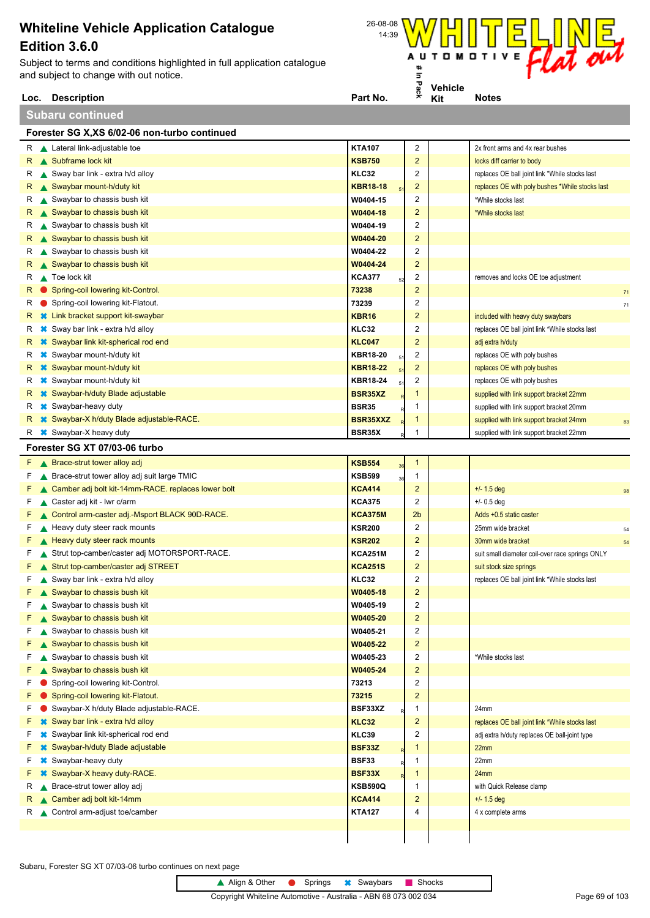Subject to terms and conditions highlighted in full application catalogue and subject to change with out notice.

# **Loc.** Description and Description and Description and Description and Description and Description and Description

**Subaru continued**







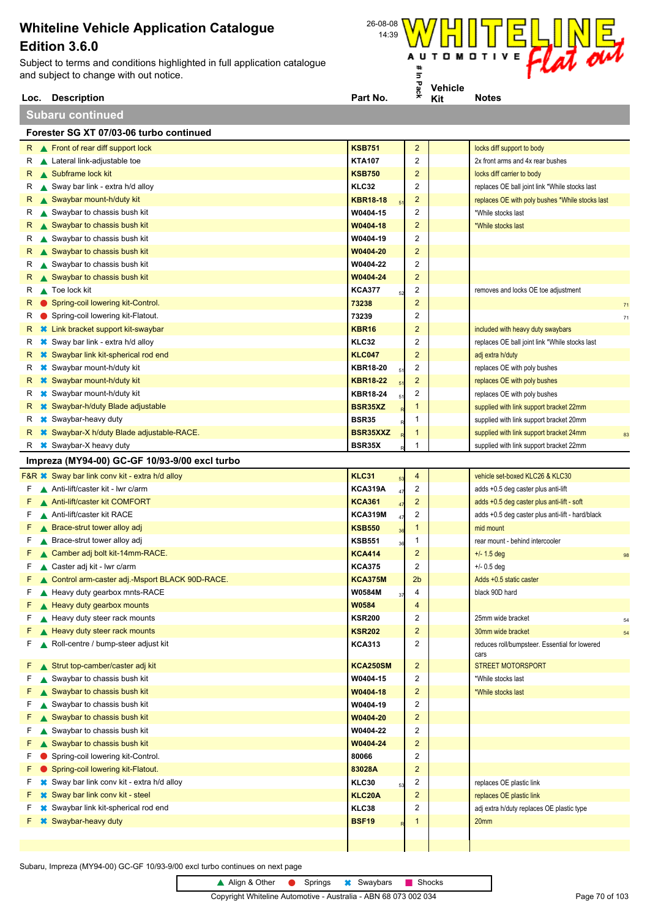Subject to terms and conditions highlighted in full application catalogue and subject to change with out notice.

**Subaru continued**





A Align & Other 
Springs **X** Swaybars **E** Shocks

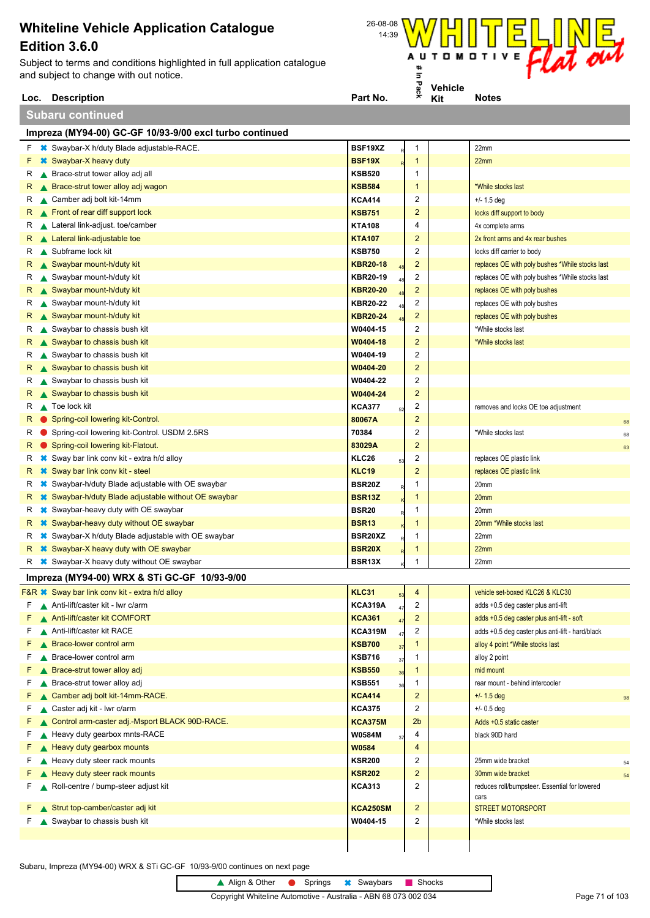Subject to terms and conditions highlighted in full application catalogue and subject to change with out notice.

**Subaru continued**







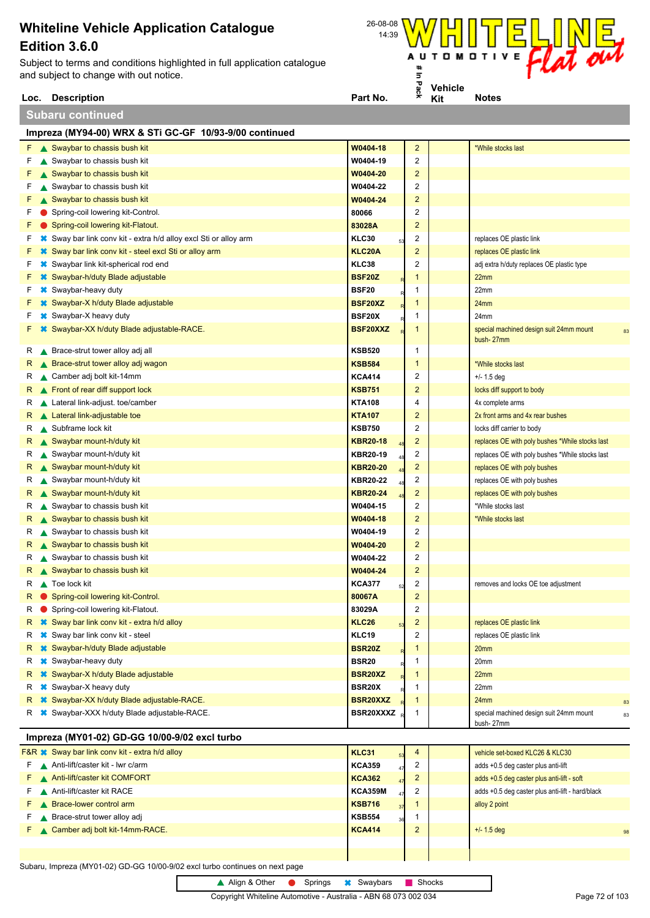Subject to terms and conditions highlighted in full application catalogue and subject to change with out notice.

**Subaru continued**



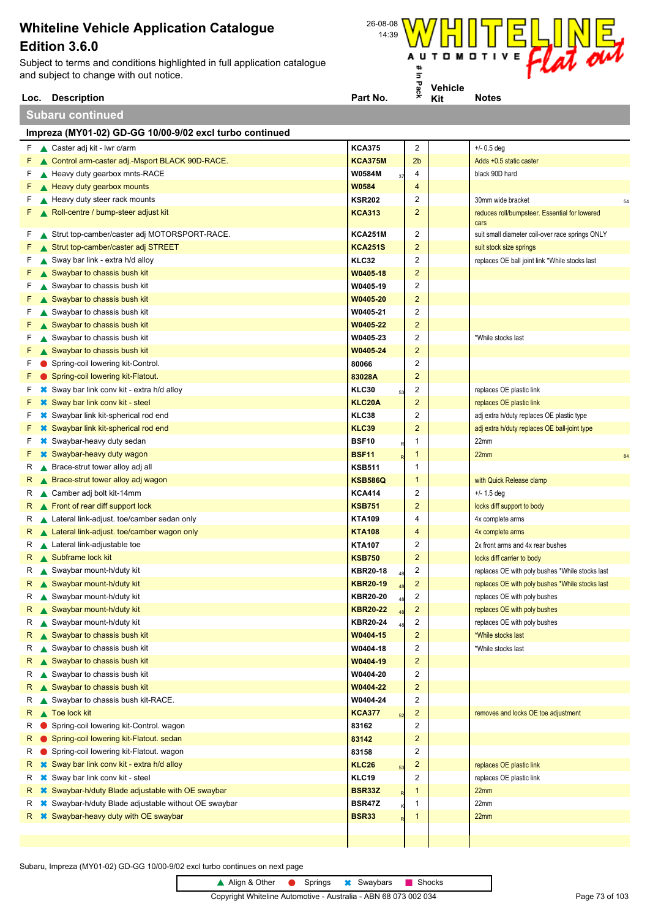**Loc. Description**<br> **Loc. Description**<br> **Part No. Part No. Part No. Part No. Part No. Part No. Part No. Part No. Part No. Part No. Part No. Part No. Part No. Part No. Part No. Part No. P** Subject to terms and conditions highlighted in full application catalogue and subject to change with out notice.



**Subaru continued**

|    | Impreza (MY01-02) GD-GG 10/00-9/02 excl turbo continued             |                 |    |                         |                                                       |
|----|---------------------------------------------------------------------|-----------------|----|-------------------------|-------------------------------------------------------|
|    | F Caster adj kit - Iwr c/arm                                        | <b>KCA375</b>   |    | $\boldsymbol{2}$        | $+/- 0.5$ deg                                         |
|    | F Control arm-caster adj.-Msport BLACK 90D-RACE.                    | <b>KCA375M</b>  |    | 2 <sub>b</sub>          | Adds +0.5 static caster                               |
| F. | Heavy duty gearbox mnts-RACE                                        | W0584M          | 37 | 4                       | black 90D hard                                        |
| F. | Heavy duty gearbox mounts                                           | W0584           |    | 4                       |                                                       |
| F. | Heavy duty steer rack mounts                                        | <b>KSR202</b>   |    | 2                       | 30mm wide bracket<br>54                               |
| F. | Roll-centre / bump-steer adjust kit                                 | <b>KCA313</b>   |    | $\overline{2}$          | reduces roll/bumpsteer. Essential for lowered<br>cars |
| F. | Strut top-camber/caster adj MOTORSPORT-RACE.                        | <b>KCA251M</b>  |    | $\overline{2}$          | suit small diameter coil-over race springs ONLY       |
|    | ▲ Strut top-camber/caster adj STREET                                | <b>KCA251S</b>  |    | $\overline{c}$          | suit stock size springs                               |
| F. | Sway bar link - extra h/d alloy                                     | KLC32           |    | 2                       | replaces OE ball joint link *While stocks last        |
|    | ▲ Swaybar to chassis bush kit                                       | W0405-18        |    | $\overline{2}$          |                                                       |
| F. | Swaybar to chassis bush kit                                         | W0405-19        |    | 2                       |                                                       |
| F. | Swaybar to chassis bush kit                                         | W0405-20        |    | $\overline{2}$          |                                                       |
| F. | Swaybar to chassis bush kit                                         | W0405-21        |    | 2                       |                                                       |
| F. | Swaybar to chassis bush kit                                         | W0405-22        |    | $\overline{2}$          |                                                       |
| F. | Swaybar to chassis bush kit                                         | W0405-23        |    | 2                       | *While stocks last                                    |
| F. | Swaybar to chassis bush kit                                         | W0405-24        |    | 2                       |                                                       |
| F. | Spring-coil lowering kit-Control.                                   | 80066           |    | $\overline{\mathbf{c}}$ |                                                       |
| F. | Spring-coil lowering kit-Flatout.                                   | 83028A          |    | $\overline{2}$          |                                                       |
| F. | <b>*</b> Sway bar link conv kit - extra h/d alloy                   | <b>KLC30</b>    |    | $\overline{2}$          | replaces OE plastic link                              |
| F. | <i><b>☀ Sway bar link conv kit - steel</b></i>                      | KLC20A          |    | $\overline{2}$          | replaces OE plastic link                              |
| F. | <b><sup>■</sup></b> Swaybar link kit-spherical rod end              | KLC38           |    | 2                       | adj extra h/duty replaces OE plastic type             |
| F. | <b>*</b> Swaybar link kit-spherical rod end                         | <b>KLC39</b>    |    | $\overline{c}$          | adj extra h/duty replaces OE ball-joint type          |
| F. | <b></b> Swaybar-heavy duty sedan                                    | <b>BSF10</b>    |    | 1                       | 22mm                                                  |
| F. | <b>*</b> Swaybar-heavy duty wagon                                   | <b>BSF11</b>    |    | $\mathbf{1}$            | 22mm                                                  |
|    | R Brace-strut tower alloy adj all                                   | <b>KSB511</b>   |    | 1                       |                                                       |
| R. | ▲ Brace-strut tower alloy adj wagon                                 | <b>KSB586Q</b>  |    | $\mathbf 1$             | with Quick Release clamp                              |
| R  | Camber adj bolt kit-14mm                                            | <b>KCA414</b>   |    | $\overline{2}$          | $+/- 1.5$ deg                                         |
|    | R Front of rear diff support lock                                   | <b>KSB751</b>   |    | $\overline{c}$          | locks diff support to body                            |
|    | R Lateral link-adjust. toe/camber sedan only                        | <b>KTA109</b>   |    | 4                       | 4x complete arms                                      |
|    | R Lateral link-adjust. toe/camber wagon only                        | <b>KTA108</b>   |    | 4                       | 4x complete arms                                      |
|    | R Lateral link-adjustable toe                                       | <b>KTA107</b>   |    | 2                       | 2x front arms and 4x rear bushes                      |
|    | R Subframe lock kit                                                 | <b>KSB750</b>   |    | 2                       | locks diff carrier to body                            |
|    | R Swaybar mount-h/duty kit                                          | <b>KBR20-18</b> |    | 2                       | replaces OE with poly bushes *While stocks last       |
|    | R Swaybar mount-h/duty kit                                          | <b>KBR20-19</b> |    | $\overline{2}$          | replaces OE with poly bushes *While stocks last       |
|    | R Swaybar mount-h/duty kit                                          | <b>KBR20-20</b> |    | 2                       | replaces OE with poly bushes                          |
|    | R Swaybar mount-h/duty kit                                          | <b>KBR20-22</b> |    | $\overline{2}$          | replaces OE with poly bushes                          |
| к  | Swaybar mount-h/duty kit                                            | KBR20-24        |    | 2                       | replaces OE with poly bushes                          |
| R. | Swaybar to chassis bush kit                                         | W0404-15        |    | $\overline{\mathbf{c}}$ | *While stocks last                                    |
| R  | Swaybar to chassis bush kit                                         | W0404-18        |    | 2                       | *While stocks last                                    |
| R. | $\triangle$ Swaybar to chassis bush kit                             | W0404-19        |    | $\overline{c}$          |                                                       |
| R  | Swaybar to chassis bush kit                                         | W0404-20        |    | $\overline{\mathbf{c}}$ |                                                       |
| R. | $\triangle$ Swaybar to chassis bush kit                             | W0404-22        |    | $\overline{c}$          |                                                       |
| R  | Swaybar to chassis bush kit-RACE.                                   | W0404-24        |    | $\overline{2}$          |                                                       |
| R. | $\triangle$ Toe lock kit                                            | <b>KCA377</b>   |    | $\overline{c}$          | removes and locks OE toe adjustment                   |
| R  | Spring-coil lowering kit-Control. wagon                             | 83162           |    | $\overline{2}$          |                                                       |
| R. | Spring-coil lowering kit-Flatout. sedan                             | 83142           |    | $\overline{c}$          |                                                       |
| R  | Spring-coil lowering kit-Flatout. wagon                             | 83158           |    | $\overline{2}$          |                                                       |
| R. | <b><sup>■</sup></b> Sway bar link conv kit - extra h/d alloy        | <b>KLC26</b>    |    | $\overline{2}$          | replaces OE plastic link                              |
| R  | <b></b> Sway bar link conv kit - steel                              | <b>KLC19</b>    |    | 2                       | replaces OE plastic link                              |
| R  | <b><sup>■</sup></b> Swaybar-h/duty Blade adjustable with OE swaybar | BSR33Z          |    | 1                       | 22mm                                                  |
| R  | <sup>■</sup> Swaybar-h/duty Blade adjustable without OE swaybar     | <b>BSR47Z</b>   |    | 1                       | 22mm                                                  |
| R  | <b>■ Swaybar-heavy duty with OE swaybar</b>                         | <b>BSR33</b>    |    | 1                       | 22mm                                                  |
|    |                                                                     |                 |    |                         |                                                       |
|    |                                                                     |                 |    |                         |                                                       |

Subaru, Impreza (MY01-02) GD-GG 10/00-9/02 excl turbo continues on next page

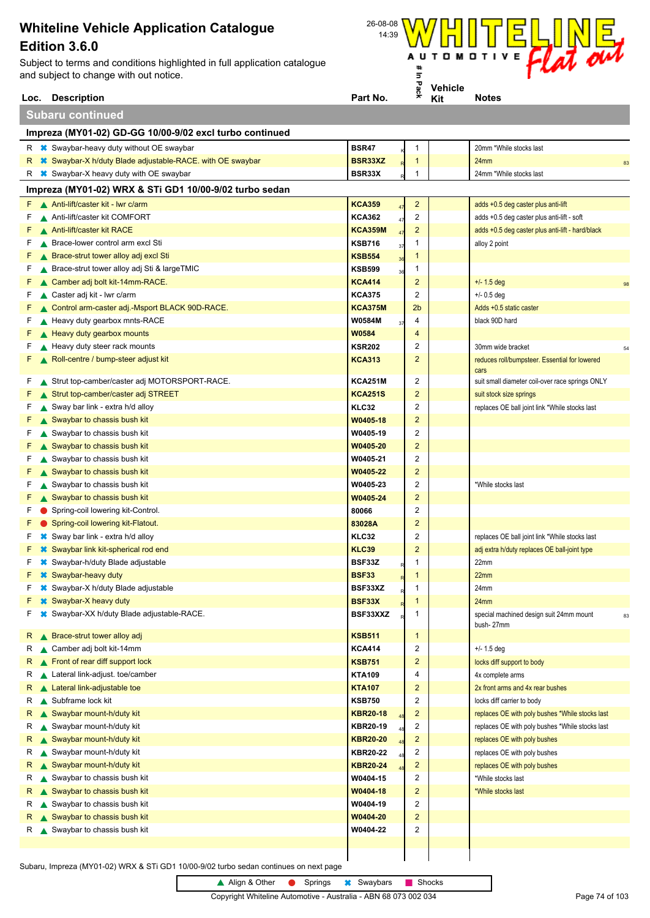**Loc. Description**<br> **Loc. Description**<br> **Part No. Part No. Part No. Part No. Part No. Part No. Part No. Part No. Part No. Part No. Part No. Part No. Part No. Part No. Part No. Part No. P** Subject to terms and conditions highlighted in full application catalogue and subject to change with out notice.



|          | Loc. Description                                                   | Part No.             |    | ×,                           | Kit | <b>Notes</b>                                        |
|----------|--------------------------------------------------------------------|----------------------|----|------------------------------|-----|-----------------------------------------------------|
|          | <b>Subaru continued</b>                                            |                      |    |                              |     |                                                     |
|          | Impreza (MY01-02) GD-GG 10/00-9/02 excl turbo continued            |                      |    |                              |     |                                                     |
|          | R <b>*</b> Swaybar-heavy duty without OE swaybar                   | <b>BSR47</b>         |    | 1                            |     | 20mm *While stocks last                             |
|          | R <b>*</b> Swaybar-X h/duty Blade adjustable-RACE. with OE swaybar | BSR33XZ              |    | $\mathbf{1}$                 |     | 24mm<br>83                                          |
|          | R $\ast$ Swaybar-X heavy duty with OE swaybar                      | BSR33X               |    | 1                            |     | 24mm *While stocks last                             |
|          | Impreza (MY01-02) WRX & STi GD1 10/00-9/02 turbo sedan             |                      |    |                              |     |                                                     |
|          | $F \wedge$ Anti-lift/caster kit - Iwr c/arm                        | <b>KCA359</b>        | 47 | $\overline{\mathbf{c}}$      |     | adds +0.5 deg caster plus anti-lift                 |
| F.       | Anti-lift/caster kit COMFORT                                       | <b>KCA362</b>        | 47 | 2                            |     | adds +0.5 deg caster plus anti-lift - soft          |
| F.       | Anti-lift/caster kit RACE                                          | <b>KCA359M</b>       | 47 | $\overline{\mathbf{c}}$      |     | adds +0.5 deg caster plus anti-lift - hard/black    |
| F.       | ▲ Brace-lower control arm excl Sti                                 | <b>KSB716</b>        | 37 | 1                            |     | alloy 2 point                                       |
| F.       | Brace-strut tower alloy adj excl Sti                               | <b>KSB554</b>        | 36 | 1                            |     |                                                     |
| F.       | ▲ Brace-strut tower alloy adj Sti & largeTMIC                      | <b>KSB599</b>        | 36 | 1                            |     |                                                     |
| F.       | ▲ Camber adj bolt kit-14mm-RACE.                                   | <b>KCA414</b>        |    | 2                            |     | $+/- 1.5$ deg                                       |
| F.       | Caster adj kit - Iwr c/arm                                         | <b>KCA375</b>        |    | 2                            |     | $+/- 0.5$ deg                                       |
| F.       | Control arm-caster adj.-Msport BLACK 90D-RACE.                     | <b>KCA375M</b>       |    | 2 <sub>b</sub>               |     | Adds +0.5 static caster                             |
| F.       | Heavy duty gearbox mnts-RACE                                       | W0584M<br>W0584      | 37 | 4<br>4                       |     | black 90D hard                                      |
| F.<br>F. | Heavy duty gearbox mounts<br>Heavy duty steer rack mounts          | <b>KSR202</b>        |    | 2                            |     | 30mm wide bracket                                   |
|          | F Roll-centre / bump-steer adjust kit                              | <b>KCA313</b>        |    | $\overline{\mathbf{c}}$      |     | 54<br>reduces roll/bumpsteer. Essential for lowered |
|          |                                                                    |                      |    |                              |     | cars                                                |
|          | F Strut top-camber/caster adj MOTORSPORT-RACE.                     | <b>KCA251M</b>       |    | 2                            |     | suit small diameter coil-over race springs ONLY     |
|          | F Strut top-camber/caster adj STREET                               | <b>KCA251S</b>       |    | $\overline{\mathbf{c}}$      |     | suit stock size springs                             |
| F.       | Sway bar link - extra $h/d$ alloy                                  | KLC32                |    | 2                            |     | replaces OE ball joint link *While stocks last      |
|          | $F \rightarrow$ Swaybar to chassis bush kit                        | W0405-18             |    | $\overline{\mathbf{c}}$      |     |                                                     |
| F.       | Swaybar to chassis bush kit                                        | W0405-19             |    | 2                            |     |                                                     |
| F.       | Swaybar to chassis bush kit                                        | W0405-20             |    | $\overline{\mathbf{c}}$      |     |                                                     |
| F.       | Swaybar to chassis bush kit                                        | W0405-21<br>W0405-22 |    | 2                            |     |                                                     |
| F.<br>F. | Swaybar to chassis bush kit<br>Swaybar to chassis bush kit         | W0405-23             |    | $\overline{\mathbf{c}}$<br>2 |     | *While stocks last                                  |
| F.       | Swaybar to chassis bush kit                                        | W0405-24             |    | $\overline{\mathbf{c}}$      |     |                                                     |
| F.       | Spring-coil lowering kit-Control.                                  | 80066                |    | 2                            |     |                                                     |
| F.       | Spring-coil lowering kit-Flatout.                                  | 83028A               |    | $\overline{\mathbf{c}}$      |     |                                                     |
| F.       | <b><sup>■</sup></b> Sway bar link - extra h/d alloy                | KLC32                |    | 2                            |     | replaces OE ball joint link *While stocks last      |
| F.       | <b><sup>■</sup></b> Swaybar link kit-spherical rod end             | <b>KLC39</b>         |    | $\overline{c}$               |     | adj extra h/duty replaces OE ball-joint type        |
| F.       | <b>*</b> Swaybar-h/duty Blade adjustable                           | BSF33Z               |    | 1                            |     | 22mm                                                |
| F.       | <b>*</b> Swaybar-heavy duty                                        | <b>BSF33</b>         |    | $\mathbf{1}$                 |     | 22mm                                                |
|          | <b></b> Swaybar-X h/duty Blade adjustable                          | BSF33XZ              |    | 1                            |     | 24mm                                                |
|          | <b>*</b> Swaybar-X heavy duty                                      | BSF33X               |    | $\mathbf{1}$                 |     | 24mm                                                |
| F.       | Swaybar-XX h/duty Blade adjustable-RACE.                           | BSF33XXZ             |    | 1                            |     | special machined design suit 24mm mount<br>83       |
|          | R Brace-strut tower alloy adj                                      | <b>KSB511</b>        |    | $\mathbf{1}$                 |     | bush-27mm                                           |
|          | R Camber adj bolt kit-14mm                                         | <b>KCA414</b>        |    | 2                            |     | $+/- 1.5$ deg                                       |
|          | R Front of rear diff support lock                                  | <b>KSB751</b>        |    | $\overline{\mathbf{c}}$      |     | locks diff support to body                          |
|          | $R \triangle$ Lateral link-adjust. toe/camber                      | <b>KTA109</b>        |    | 4                            |     | 4x complete arms                                    |
|          | R Lateral link-adjustable toe                                      | <b>KTA107</b>        |    | $\overline{\mathbf{c}}$      |     | 2x front arms and 4x rear bushes                    |
| R        | Subframe lock kit                                                  | <b>KSB750</b>        |    | 2                            |     | locks diff carrier to body                          |
| R.       | Swaybar mount-h/duty kit                                           | <b>KBR20-18</b>      |    | 2                            |     | replaces OE with poly bushes *While stocks last     |
| R        | Swaybar mount-h/duty kit                                           | KBR20-19             |    | 2                            |     | replaces OE with poly bushes *While stocks last     |
| R        | Swaybar mount-h/duty kit                                           | <b>KBR20-20</b>      |    | 2                            |     | replaces OE with poly bushes                        |
| R        | Swaybar mount-h/duty kit                                           | KBR20-22             |    | 2                            |     | replaces OE with poly bushes                        |
| R.       | Swaybar mount-h/duty kit                                           | <b>KBR20-24</b>      |    | $\overline{\mathbf{c}}$      |     | replaces OE with poly bushes                        |
| R        | Swaybar to chassis bush kit                                        | W0404-15             |    | 2                            |     | *While stocks last                                  |
| R.       | Swaybar to chassis bush kit                                        | W0404-18             |    | $\overline{\mathbf{c}}$      |     | *While stocks last                                  |
| R        | Swaybar to chassis bush kit                                        | W0404-19             |    | 2                            |     |                                                     |
| R        | Swaybar to chassis bush kit                                        | W0404-20             |    | 2                            |     |                                                     |
| R        | Swaybar to chassis bush kit                                        | W0404-22             |    | 2                            |     |                                                     |
|          |                                                                    |                      |    |                              |     |                                                     |

Subaru, Impreza (MY01-02) WRX & STi GD1 10/00-9/02 turbo sedan continues on next page

▲ Align & Other ● Springs <sup>★</sup> Swaybars ■ Shocks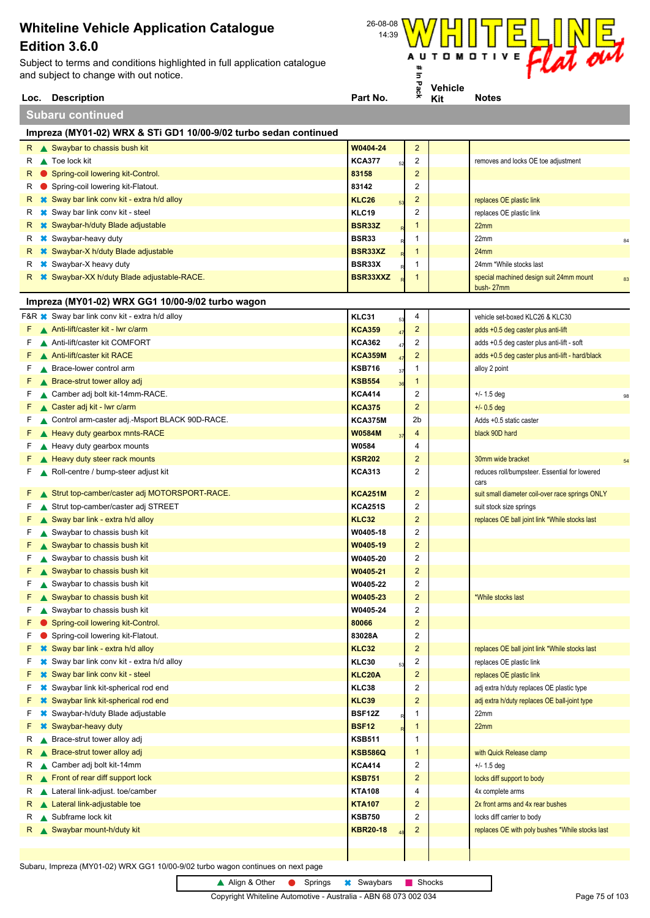**Loc. Description**<br> **Loc. Description**<br> **Part No. Part No. Part No. Part No. Part No. Part No. Part No. Part No. Part No. Part No. Part No. Part No. Part No. Part No. Part No. Part No. P** Subject to terms and conditions highlighted in full application catalogue and subject to change with out notice.



**Subaru continued**

**Kit # In Pack**

|          | Impreza (MY01-02) WRX & STi GD1 10/00-9/02 turbo sedan continued                              |                        |    |                              |                                                                       |    |
|----------|-----------------------------------------------------------------------------------------------|------------------------|----|------------------------------|-----------------------------------------------------------------------|----|
|          | R Swaybar to chassis bush kit                                                                 | W0404-24               |    | $\overline{c}$               |                                                                       |    |
|          | $R \wedge$ Toe lock kit                                                                       | <b>KCA377</b>          |    | 2                            | removes and locks OE toe adjustment                                   |    |
| R.       | Spring-coil lowering kit-Control.                                                             | 83158                  |    | $\overline{2}$               |                                                                       |    |
| R        | Spring-coil lowering kit-Flatout.                                                             | 83142                  |    | 2                            |                                                                       |    |
| R.       | <b>■ Sway bar link conv kit - extra h/d alloy</b>                                             | <b>KLC26</b>           |    | 2                            | replaces OE plastic link                                              |    |
| R        | <b><sup>■</sup></b> Sway bar link conv kit - steel                                            | <b>KLC19</b>           |    | 2                            | replaces OE plastic link                                              |    |
| R        | <b>*</b> Swaybar-h/duty Blade adjustable                                                      | <b>BSR33Z</b>          |    | 1                            | 22mm                                                                  |    |
| R        | <b>*</b> Swaybar-heavy duty                                                                   | <b>BSR33</b>           |    | 1                            | 22mm                                                                  | 84 |
| R.       | <b>☀ Swaybar-X h/duty Blade adjustable</b>                                                    | BSR33XZ                |    | $\mathbf{1}$                 | 24mm                                                                  |    |
| R.       | <b>*</b> Swaybar-X heavy duty                                                                 | BSR33X                 |    | 1                            | 24mm *While stocks last                                               |    |
|          | R * Swaybar-XX h/duty Blade adjustable-RACE.                                                  | BSR33XXZ               |    | 1                            | special machined design suit 24mm mount<br>bush-27mm                  | 83 |
|          | Impreza (MY01-02) WRX GG1 10/00-9/02 turbo wagon                                              |                        |    |                              |                                                                       |    |
|          | F&R <b>*</b> Sway bar link conv kit - extra h/d alloy                                         | KLC31                  | 53 | 4                            | vehicle set-boxed KLC26 & KLC30                                       |    |
|          | $F \wedge$ Anti-lift/caster kit - Iwr c/arm                                                   | <b>KCA359</b>          |    | $\overline{2}$               | adds +0.5 deg caster plus anti-lift                                   |    |
| F.       | A Anti-lift/caster kit COMFORT                                                                | <b>KCA362</b>          |    | 2                            | adds +0.5 deg caster plus anti-lift - soft                            |    |
| F.       | A Anti-lift/caster kit RACE                                                                   | <b>KCA359M</b>         |    | $\overline{c}$               | adds +0.5 deg caster plus anti-lift - hard/black                      |    |
| F.       | Brace-lower control arm                                                                       | <b>KSB716</b>          |    | 1                            | alloy 2 point                                                         |    |
| F.       | ▲ Brace-strut tower alloy adj                                                                 | <b>KSB554</b>          |    | 1                            |                                                                       |    |
| F.       | Camber adj bolt kit-14mm-RACE.                                                                | <b>KCA414</b>          |    | 2                            | $+/- 1.5$ deg                                                         | 98 |
| F.       | ▲ Caster adj kit - Iwr c/arm                                                                  | <b>KCA375</b>          |    | $\overline{2}$               | $+/- 0.5$ deg                                                         |    |
| F.       | Control arm-caster adj.-Msport BLACK 90D-RACE.                                                | <b>KCA375M</b>         |    | 2b                           | Adds +0.5 static caster                                               |    |
| F.       | Heavy duty gearbox mnts-RACE                                                                  | <b>W0584M</b>          |    | 4                            | black 90D hard                                                        |    |
| F.       | Heavy duty gearbox mounts                                                                     | W0584                  |    | 4                            |                                                                       |    |
| F.       | Heavy duty steer rack mounts                                                                  | <b>KSR202</b>          |    | 2                            | 30mm wide bracket                                                     | 54 |
| F.       | Roll-centre / bump-steer adjust kit                                                           | <b>KCA313</b>          |    | 2                            | reduces roll/bumpsteer. Essential for lowered<br>cars                 |    |
| F.       | Strut top-camber/caster adj MOTORSPORT-RACE.                                                  | <b>KCA251M</b>         |    | 2                            | suit small diameter coil-over race springs ONLY                       |    |
| F.       | Strut top-camber/caster adj STREET                                                            | <b>KCA251S</b>         |    | 2                            | suit stock size springs                                               |    |
| F.       | Sway bar link - extra h/d alloy                                                               | <b>KLC32</b>           |    | $\overline{2}$               | replaces OE ball joint link *While stocks last                        |    |
| F.       | Swaybar to chassis bush kit                                                                   | W0405-18               |    | 2                            |                                                                       |    |
| F.       | Swaybar to chassis bush kit                                                                   | W0405-19               |    | $\overline{2}$               |                                                                       |    |
| F.       | Swaybar to chassis bush kit                                                                   | W0405-20               |    | 2                            |                                                                       |    |
| F.       | ▲ Swaybar to chassis bush kit                                                                 | W0405-21               |    | $\overline{2}$               |                                                                       |    |
| F.       | Swaybar to chassis bush kit                                                                   | W0405-22               |    | 2                            |                                                                       |    |
| F.       | ▲ Swaybar to chassis bush kit                                                                 | W0405-23               |    | $\overline{2}$               | *While stocks last                                                    |    |
| F.       | Swaybar to chassis bush kit                                                                   | W0405-24               |    | 2                            |                                                                       |    |
| F        | Spring-coil lowering kit-Control.                                                             | 80066                  |    | $\overline{\mathbf{c}}$      |                                                                       |    |
| F        | Spring-coil lowering kit-Flatout.                                                             | 83028A<br><b>KLC32</b> |    | 2<br>$\overline{\mathbf{c}}$ |                                                                       |    |
| F.<br>F. | <b>■ Sway bar link - extra h/d alloy</b><br><b>*</b> Sway bar link conv kit - extra h/d alloy | <b>KLC30</b>           |    | 2                            | replaces OE ball joint link *While stocks last                        |    |
| F.       | <b>*</b> Sway bar link conv kit - steel                                                       | KLC20A                 |    | $\overline{c}$               | replaces OE plastic link                                              |    |
| F.       | <b></b> Swaybar link kit-spherical rod end                                                    | KLC38                  |    | 2                            | replaces OE plastic link<br>adj extra h/duty replaces OE plastic type |    |
| F.       | <b>*</b> Swaybar link kit-spherical rod end                                                   | <b>KLC39</b>           |    | $\overline{\mathbf{c}}$      | adj extra h/duty replaces OE ball-joint type                          |    |
| F.       | <b><sup>■</sup></b> Swaybar-h/duty Blade adjustable                                           | <b>BSF12Z</b>          |    | 1                            | 22mm                                                                  |    |
| F.       | <b>*</b> Swaybar-heavy duty                                                                   | <b>BSF12</b>           |    | 1                            | 22mm                                                                  |    |
| R        | Brace-strut tower alloy adj                                                                   | <b>KSB511</b>          |    | 1                            |                                                                       |    |
| R.       | ▲ Brace-strut tower alloy adj                                                                 | <b>KSB586Q</b>         |    | $\mathbf 1$                  | with Quick Release clamp                                              |    |
| R        | ▲ Camber adj bolt kit-14mm                                                                    | <b>KCA414</b>          |    | 2                            | $+/- 1.5$ deg                                                         |    |
| R.       | Front of rear diff support lock                                                               | <b>KSB751</b>          |    | $\overline{\mathbf{c}}$      | locks diff support to body                                            |    |
| R        | Lateral link-adjust. toe/camber                                                               | <b>KTA108</b>          |    | 4                            | 4x complete arms                                                      |    |
| R.       | ▲ Lateral link-adjustable toe                                                                 | <b>KTA107</b>          |    | $\overline{\mathbf{c}}$      | 2x front arms and 4x rear bushes                                      |    |
| R.       | Subframe lock kit                                                                             | <b>KSB750</b>          |    | 2                            | locks diff carrier to body                                            |    |
|          | R Swaybar mount-h/duty kit                                                                    | <b>KBR20-18</b>        |    | $\overline{\mathbf{c}}$      | replaces OE with poly bushes *While stocks last                       |    |
|          |                                                                                               |                        |    |                              |                                                                       |    |
|          |                                                                                               |                        |    |                              |                                                                       |    |

Subaru, Impreza (MY01-02) WRX GG1 10/00-9/02 turbo wagon continues on next page

▲ Align & Other ● Springs <sup>★</sup> Swaybars ■ Shocks

Copyright Whiteline Automotive - Australia - ABN 68 073 002 034 Page 75 of 103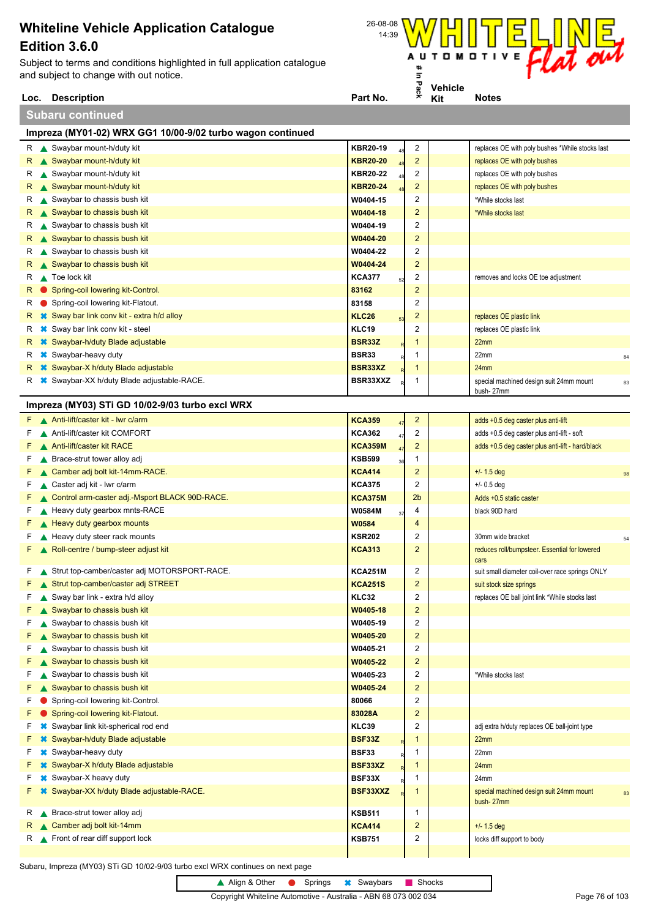Subject to terms and conditions highlighted in full application catalogue and subject to change with out notice.

**Subaru continued**



Subaru, Impreza (MY03) STi GD 10/02-9/03 turbo excl WRX continues on next page



Copyright Whiteline Automotive - Australia - ABN 68 073 002 034 Page 76 of 103



**Kit**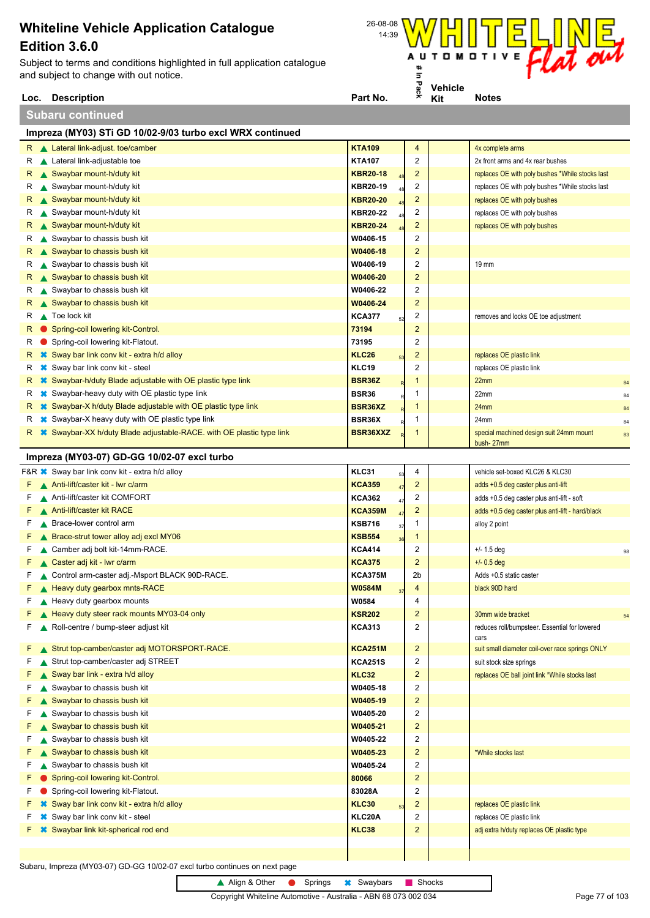Subject to terms and conditions highlighted in full application catalogue and subject to change with out notice.



**Subaru continued**

|    | Impreza (MY03) STi GD 10/02-9/03 turbo excl WRX continued                     |                 |    |                         |                                                         |    |
|----|-------------------------------------------------------------------------------|-----------------|----|-------------------------|---------------------------------------------------------|----|
|    | R Lateral link-adjust. toe/camber                                             | <b>KTA109</b>   |    | 4                       | 4x complete arms                                        |    |
| R  | Lateral link-adjustable toe                                                   | <b>KTA107</b>   |    | $\overline{2}$          | 2x front arms and 4x rear bushes                        |    |
| R. | ▲ Swaybar mount-h/duty kit                                                    | <b>KBR20-18</b> |    | $\overline{2}$          | replaces OE with poly bushes *While stocks last         |    |
| R  | Swaybar mount-h/duty kit                                                      | <b>KBR20-19</b> |    | 2                       | replaces OE with poly bushes *While stocks last         |    |
| R. | Swaybar mount-h/duty kit                                                      | <b>KBR20-20</b> |    | 2                       | replaces OE with poly bushes                            |    |
| R. | Swaybar mount-h/duty kit                                                      | <b>KBR20-22</b> |    | 2                       | replaces OE with poly bushes                            |    |
| R. | Swaybar mount-h/duty kit                                                      | <b>KBR20-24</b> |    | 2                       | replaces OE with poly bushes                            |    |
| R  | Swaybar to chassis bush kit                                                   | W0406-15        |    | 2                       |                                                         |    |
| R. | ▲ Swaybar to chassis bush kit                                                 | W0406-18        |    | $\overline{\mathbf{c}}$ |                                                         |    |
| R  | Swaybar to chassis bush kit                                                   | W0406-19        |    | 2                       | 19 mm                                                   |    |
| R. | ▲ Swaybar to chassis bush kit                                                 | W0406-20        |    | $\overline{\mathbf{c}}$ |                                                         |    |
| R  | Swaybar to chassis bush kit                                                   | W0406-22        |    | 2                       |                                                         |    |
| R. | Swaybar to chassis bush kit                                                   | W0406-24        |    | $\overline{2}$          |                                                         |    |
| R. | $\triangle$ Toe lock kit                                                      | <b>KCA377</b>   |    | 2                       | removes and locks OE toe adjustment                     |    |
| R. | Spring-coil lowering kit-Control.                                             | 73194           |    | $\overline{2}$          |                                                         |    |
| ĸ  | Spring-coil lowering kit-Flatout.                                             | 73195           |    | 2                       |                                                         |    |
| R. | <b>■ Sway bar link conv kit - extra h/d alloy</b>                             | <b>KLC26</b>    |    | 2                       | replaces OE plastic link                                |    |
| R. | <b></b> Sway bar link conv kit - steel                                        | KLC19           |    | 2                       | replaces OE plastic link                                |    |
| R. | <b><sup>■</sup></b> Swaybar-h/duty Blade adjustable with OE plastic type link | <b>BSR36Z</b>   |    | 1                       | 22mm                                                    | 84 |
| R  | <b><sup>■</sup></b> Swaybar-heavy duty with OE plastic type link              | <b>BSR36</b>    |    | 1                       | 22mm                                                    | 84 |
| R. | <b>■ Swaybar-X h/duty Blade adjustable with OE plastic type link</b>          | BSR36XZ         |    | 1                       | 24mm                                                    | 84 |
| R  | <b><sup>■</sup></b> Swaybar-X heavy duty with OE plastic type link            | BSR36X          |    | 1                       | 24mm                                                    | 84 |
| R. | <b>■ Swaybar-XX h/duty Blade adjustable-RACE</b> . with OE plastic type link  | BSR36XXZ        |    | 1                       | special machined design suit 24mm mount                 | 83 |
|    |                                                                               |                 |    |                         | bush-27mm                                               |    |
|    | Impreza (MY03-07) GD-GG 10/02-07 excl turbo                                   |                 |    |                         |                                                         |    |
|    | F&R <sup>*</sup> Sway bar link conv kit - extra h/d alloy                     | KLC31           | 53 | 4                       | vehicle set-boxed KLC26 & KLC30                         |    |
| F. | A Anti-lift/caster kit - Iwr c/arm                                            | <b>KCA359</b>   | 47 | $\overline{c}$          | adds +0.5 deg caster plus anti-lift                     |    |
| F. | A Anti-lift/caster kit COMFORT                                                | <b>KCA362</b>   | 47 | 2                       | adds +0.5 deg caster plus anti-lift - soft              |    |
| F. | A Anti-lift/caster kit RACE                                                   | <b>KCA359M</b>  |    | 2                       | adds +0.5 deg caster plus anti-lift - hard/black        |    |
| F. | Brace-lower control arm                                                       | <b>KSB716</b>   | 37 | 1                       | alloy 2 point                                           |    |
| F. | ▲ Brace-strut tower alloy adj excl MY06                                       | <b>KSB554</b>   |    | 1                       |                                                         |    |
| F. | ▲ Camber adj bolt kit-14mm-RACE.                                              | <b>KCA414</b>   |    | 2                       | $+/- 1.5$ deg                                           | 98 |
| F. | Caster adj kit - Iwr c/arm                                                    | <b>KCA375</b>   |    | $\overline{\mathbf{c}}$ | $+/- 0.5$ deg                                           |    |
| F. | ▲ Control arm-caster adj.-Msport BLACK 90D-RACE.                              | <b>KCA375M</b>  |    | 2 <sub>b</sub>          | Adds +0.5 static caster                                 |    |
|    | ▲ Heavy duty gearbox mnts-RACE                                                | <b>W0584M</b>   |    | 4                       | black 90D hard                                          |    |
|    | $\triangle$ Heavy duty gearbox mounts                                         | W0584           |    | 4                       |                                                         |    |
| F. | Heavy duty steer rack mounts MY03-04 only                                     | <b>KSR202</b>   |    | $\overline{2}$          | 30mm wide bracket                                       | 54 |
| F. | Roll-centre / bump-steer adjust kit                                           | <b>KCA313</b>   |    | 2                       | reduces roll/bumpsteer. Essential for lowered           |    |
| F. | Strut top-camber/caster adj MOTORSPORT-RACE.                                  | <b>KCA251M</b>  |    | $\overline{\mathbf{c}}$ | cars<br>suit small diameter coil-over race springs ONLY |    |
| F  | Strut top-camber/caster adj STREET                                            | <b>KCA251S</b>  |    | 2                       | suit stock size springs                                 |    |
|    | Sway bar link - extra h/d alloy                                               | <b>KLC32</b>    |    | $\overline{2}$          | replaces OE ball joint link *While stocks last          |    |
| F  | Swaybar to chassis bush kit                                                   | W0405-18        |    | 2                       |                                                         |    |
|    | Swaybar to chassis bush kit                                                   | W0405-19        |    | $\overline{\mathbf{c}}$ |                                                         |    |
| F. | Swaybar to chassis bush kit                                                   | W0405-20        |    | 2                       |                                                         |    |
|    | Swaybar to chassis bush kit                                                   | W0405-21        |    | $\overline{\mathbf{c}}$ |                                                         |    |
| F. | Swaybar to chassis bush kit                                                   | W0405-22        |    | 2                       |                                                         |    |
|    | Swaybar to chassis bush kit                                                   | W0405-23        |    | $\overline{c}$          | *While stocks last                                      |    |
| F. | Swaybar to chassis bush kit                                                   | W0405-24        |    | 2                       |                                                         |    |
|    | Spring-coil lowering kit-Control.                                             | 80066           |    | $\overline{\mathbf{c}}$ |                                                         |    |
|    | Spring-coil lowering kit-Flatout.                                             | 83028A          |    | 2                       |                                                         |    |
|    | Sway bar link conv kit - extra h/d alloy                                      | <b>KLC30</b>    |    | $\overline{2}$          | replaces OE plastic link                                |    |
|    | Sway bar link conv kit - steel                                                | KLC20A          |    | 2                       | replaces OE plastic link                                |    |
| F. | <b>*</b> Swaybar link kit-spherical rod end                                   | <b>KLC38</b>    |    | $\overline{2}$          | adj extra h/duty replaces OE plastic type               |    |
|    |                                                                               |                 |    |                         |                                                         |    |
|    |                                                                               |                 |    |                         |                                                         |    |
|    | Subaru, Impreza (MY03-07) GD-GG 10/02-07 excl turbo continues on next page    |                 |    |                         |                                                         |    |

▲ Align & Other ● Springs <sup>★</sup> Swaybars ■ Shocks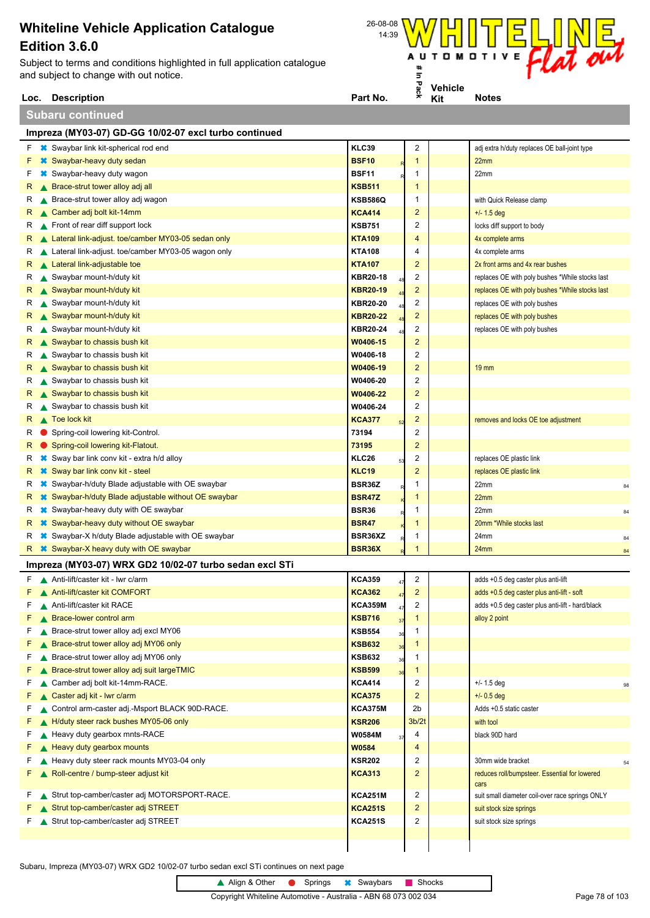**Loc. Description**<br> **Loc. Description**<br> **Part No. Part No. Part No. Part No. Part No. Part No. Part No. Part No. Part No. Part No. Part No. Part No. Part No. Part No. Part No. Part No. P** Subject to terms and conditions highlighted in full application catalogue and subject to change with out notice.

**Subaru continued**

|          | Impreza (MY03-07) GD-GG 10/02-07 excl turbo continued                              |                                  |    |                                  |                                                  |    |
|----------|------------------------------------------------------------------------------------|----------------------------------|----|----------------------------------|--------------------------------------------------|----|
|          | $F \quad \star \quad$ Swaybar link kit-spherical rod end                           | <b>KLC39</b>                     |    | $\boldsymbol{2}$                 | adj extra h/duty replaces OE ball-joint type     |    |
| F.       | <b>*</b> Swaybar-heavy duty sedan                                                  | <b>BSF10</b>                     |    | $\mathbf 1$                      | 22mm                                             |    |
| F.       | <b><sup>■</sup></b> Swaybar-heavy duty wagon                                       | <b>BSF11</b>                     |    | 1                                | 22mm                                             |    |
| R.       | ▲ Brace-strut tower alloy adj all                                                  | <b>KSB511</b>                    |    | 1                                |                                                  |    |
| R        | ▲ Brace-strut tower alloy adj wagon                                                | <b>KSB586Q</b>                   |    | $\mathbf{1}$                     | with Quick Release clamp                         |    |
| R.       | ▲ Camber adj bolt kit-14mm                                                         | <b>KCA414</b>                    |    | $\overline{2}$                   | $+/- 1.5$ deg                                    |    |
| R        | Front of rear diff support lock                                                    | <b>KSB751</b>                    |    | $\overline{2}$                   | locks diff support to body                       |    |
| R.       | ▲ Lateral link-adjust. toe/camber MY03-05 sedan only                               | <b>KTA109</b>                    |    | 4                                | 4x complete arms                                 |    |
| R        | Lateral link-adjust. toe/camber MY03-05 wagon only                                 | <b>KTA108</b>                    |    | 4                                | 4x complete arms                                 |    |
| R.       | ▲ Lateral link-adjustable toe                                                      | <b>KTA107</b>                    |    | $\overline{2}$                   | 2x front arms and 4x rear bushes                 |    |
| R        | Swaybar mount-h/duty kit                                                           | <b>KBR20-18</b>                  |    | $\overline{2}$                   | replaces OE with poly bushes *While stocks last  |    |
| R.       | Swaybar mount-h/duty kit                                                           | <b>KBR20-19</b>                  |    | $\overline{2}$                   | replaces OE with poly bushes *While stocks last  |    |
| R        | Swaybar mount-h/duty kit                                                           | <b>KBR20-20</b>                  |    | $\overline{2}$                   | replaces OE with poly bushes                     |    |
| R.       | ▲ Swaybar mount-h/duty kit                                                         | <b>KBR20-22</b>                  |    | $\overline{2}$                   | replaces OE with poly bushes                     |    |
| R        | Swaybar mount-h/duty kit                                                           | <b>KBR20-24</b>                  |    | $\overline{2}$                   | replaces OE with poly bushes                     |    |
| R.       | $\triangle$ Swaybar to chassis bush kit                                            | W0406-15                         |    | $\overline{2}$                   |                                                  |    |
| R        | Swaybar to chassis bush kit                                                        | W0406-18                         |    | $\overline{2}$                   |                                                  |    |
| R.       | $\triangle$ Swaybar to chassis bush kit                                            | W0406-19                         |    | $\overline{2}$                   | <b>19 mm</b>                                     |    |
| R        | $\triangle$ Swaybar to chassis bush kit                                            | W0406-20                         |    | $\overline{2}$                   |                                                  |    |
| R.       | Swaybar to chassis bush kit                                                        | W0406-22                         |    | $\overline{2}$                   |                                                  |    |
| R        | Swaybar to chassis bush kit                                                        | W0406-24                         |    | $\overline{2}$                   |                                                  |    |
| R.       | Toe lock kit                                                                       | <b>KCA377</b>                    | 52 | $\overline{2}$                   | removes and locks OE toe adjustment              |    |
| R        | Spring-coil lowering kit-Control.                                                  | 73194                            |    | $\overline{2}$                   |                                                  |    |
| R.       | Spring-coil lowering kit-Flatout.                                                  | 73195                            |    | $\overline{2}$                   |                                                  |    |
| R        | <b>★</b> Sway bar link conv kit - extra h/d alloy                                  | <b>KLC26</b>                     | 5. | $\overline{2}$                   | replaces OE plastic link                         |    |
| R        | <b>☀ Sway bar link conv kit - steel</b>                                            | <b>KLC19</b>                     |    | $\overline{2}$                   | replaces OE plastic link                         |    |
| R        | <b><sup>■</sup></b> Swaybar-h/duty Blade adjustable with OE swaybar                | BSR36Z                           |    | 1                                | 22mm                                             | 84 |
| R        | <b><sup>■</sup></b> Swaybar-h/duty Blade adjustable without OE swaybar             | <b>BSR47Z</b>                    |    | $\mathbf{1}$                     | 22mm                                             |    |
| R        | <b><sup>■</sup></b> Swaybar-heavy duty with OE swaybar                             | <b>BSR36</b>                     |    | 1                                | 22mm                                             | 84 |
| R.       | <b><sup>■</sup></b> Swaybar-heavy duty without OE swaybar                          | <b>BSR47</b>                     |    | $\mathbf{1}$                     | 20mm *While stocks last                          |    |
| R        | <sup>■</sup> Swaybar-X h/duty Blade adjustable with OE swaybar                     | BSR36XZ<br>BSR36X                |    | $\mathbf 1$<br>1                 | 24mm                                             | 84 |
| R.       | <b>■ Swaybar-X heavy duty with OE swaybar</b>                                      |                                  |    |                                  | 24mm                                             | 84 |
|          | Impreza (MY03-07) WRX GD2 10/02-07 turbo sedan excl STi                            |                                  |    |                                  |                                                  |    |
|          | $F \wedge$ Anti-lift/caster kit - Iwr c/arm                                        | <b>KCA359</b>                    | 47 | $\overline{2}$                   | adds +0.5 deg caster plus anti-lift              |    |
| F.       | A Anti-lift/caster kit COMFORT                                                     | <b>KCA362</b>                    | 47 | $\overline{c}$                   | adds +0.5 deg caster plus anti-lift - soft       |    |
| F.       | Anti-lift/caster kit RACE<br>▲ Brace-lower control arm                             | <b>KCA359M</b>                   | 47 | $\overline{2}$<br>$\mathbf{1}$   | adds +0.5 deg caster plus anti-lift - hard/black |    |
|          |                                                                                    | <b>KSB716</b><br><b>KSB554</b>   | 37 |                                  | alloy 2 point                                    |    |
| F.<br>F. | ▲ Brace-strut tower alloy adj excl MY06<br>▲ Brace-strut tower alloy adj MY06 only | <b>KSB632</b>                    | 36 | 1<br>$\mathbf{1}$                |                                                  |    |
| F.       | ▲ Brace-strut tower alloy adj MY06 only                                            | <b>KSB632</b>                    | 36 | 1                                |                                                  |    |
| F        | ▲ Brace-strut tower alloy adj suit largeTMIC                                       | <b>KSB599</b>                    | 36 | $\mathbf{1}$                     |                                                  |    |
| F.       | ▲ Camber adj bolt kit-14mm-RACE.                                                   | <b>KCA414</b>                    | 36 | $\overline{2}$                   | $+/- 1.5$ deg                                    |    |
|          | ▲ Caster adj kit - Iwr c/arm                                                       | <b>KCA375</b>                    |    | $\overline{2}$                   | $+/- 0.5$ deg                                    | 98 |
| F.       | Control arm-caster adj.-Msport BLACK 90D-RACE.                                     | <b>KCA375M</b>                   |    | 2 <sub>b</sub>                   | Adds +0.5 static caster                          |    |
|          | H/duty steer rack bushes MY05-06 only                                              | <b>KSR206</b>                    |    | 3 <sub>b</sub> /2t               | with tool                                        |    |
| F.       | Heavy duty gearbox mnts-RACE                                                       | W0584M                           |    | 4                                | black 90D hard                                   |    |
|          | Heavy duty gearbox mounts                                                          | W0584                            | 37 | 4                                |                                                  |    |
| F        | Heavy duty steer rack mounts MY03-04 only                                          | <b>KSR202</b>                    |    | 2                                | 30mm wide bracket                                | 54 |
| F.       | Roll-centre / bump-steer adjust kit                                                | <b>KCA313</b>                    |    | $\overline{2}$                   | reduces roll/bumpsteer. Essential for lowered    |    |
|          |                                                                                    |                                  |    |                                  | cars                                             |    |
| F.       | Strut top-camber/caster adj MOTORSPORT-RACE.                                       | <b>KCA251M</b>                   |    | $\overline{2}$<br>$\overline{2}$ | suit small diameter coil-over race springs ONLY  |    |
|          | ▲ Strut top-camber/caster adj STREET                                               | <b>KCA251S</b><br><b>KCA251S</b> |    | $\overline{2}$                   | suit stock size springs                          |    |
| F.       | Strut top-camber/caster adj STREET                                                 |                                  |    |                                  | suit stock size springs                          |    |
|          |                                                                                    |                                  |    |                                  |                                                  |    |

Subaru, Impreza (MY03-07) WRX GD2 10/02-07 turbo sedan excl STi continues on next page



**Kit**

▲ Align & Other ● Springs <sup>★</sup> Swaybars ■ Shocks Copyright Whiteline Automotive - Australia - ABN 68 073 002 034 Page 78 of 103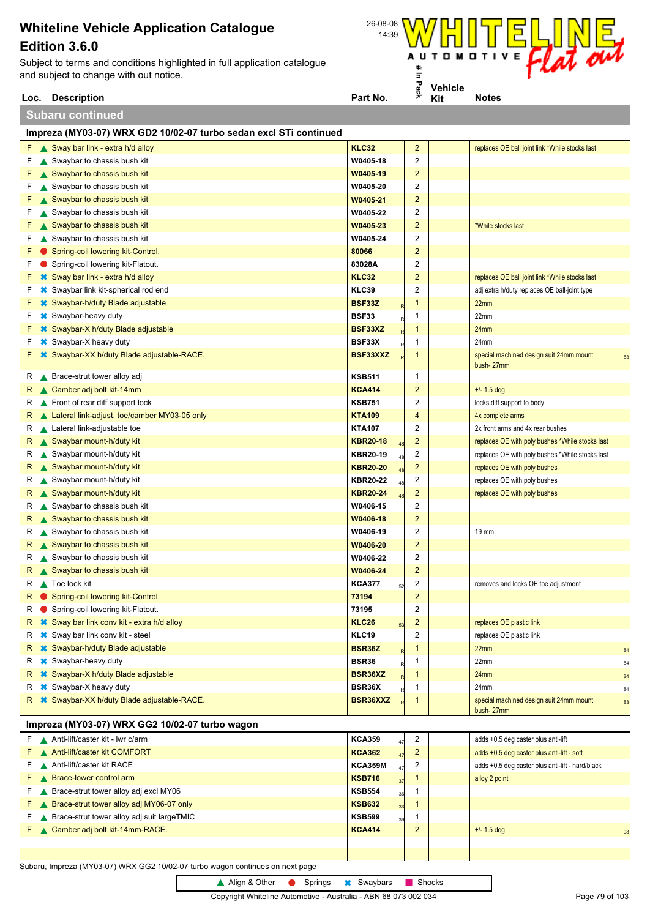**Loc. Description**<br> **Loc. Description**<br> **Part No. Part No. Part No. Part No. Part No. Part No. Part No. Part No. Part No. Part No. Part No. Part No. Part No. Part No. Part No. Part No. P** Subject to terms and conditions highlighted in full application catalogue and subject to change with out notice.

**Subaru continued**



| Part No. |  |
|----------|--|

|    | Impreza (MY03-07) WRX GD2 10/02-07 turbo sedan excl STi continued             |                     |                  |                                                      |    |
|----|-------------------------------------------------------------------------------|---------------------|------------------|------------------------------------------------------|----|
|    | $F \wedge \text{Sway}$ bar link - extra h/d alloy                             | <b>KLC32</b>        | $\overline{2}$   | replaces OE ball joint link *While stocks last       |    |
| F  | Swaybar to chassis bush kit                                                   | W0405-18            | 2                |                                                      |    |
|    | $\triangle$ Swaybar to chassis bush kit                                       | W0405-19            | $\overline{2}$   |                                                      |    |
|    | Swaybar to chassis bush kit                                                   | W0405-20            | $\boldsymbol{2}$ |                                                      |    |
|    | Swaybar to chassis bush kit                                                   | W0405-21            | $\overline{2}$   |                                                      |    |
|    | Swaybar to chassis bush kit                                                   | W0405-22            | $\overline{2}$   |                                                      |    |
|    | Swaybar to chassis bush kit                                                   | W0405-23            | $\overline{2}$   | *While stocks last                                   |    |
| F  | Swaybar to chassis bush kit                                                   | W0405-24            | $\overline{2}$   |                                                      |    |
|    | Spring-coil lowering kit-Control.                                             | 80066               | $\overline{2}$   |                                                      |    |
|    | Spring-coil lowering kit-Flatout.                                             | 83028A              | $\overline{2}$   |                                                      |    |
|    | <i><b>☀ Sway bar link - extra h/d alloy</b></i>                               | <b>KLC32</b>        | $\overline{2}$   | replaces OE ball joint link *While stocks last       |    |
|    | <b></b> Swaybar link kit-spherical rod end                                    | <b>KLC39</b>        | 2                | adj extra h/duty replaces OE ball-joint type         |    |
|    | <b>*</b> Swaybar-h/duty Blade adjustable                                      | <b>BSF33Z</b>       | 1                | 22mm                                                 |    |
|    | <b><sup>■</sup></b> Swaybar-heavy duty                                        | <b>BSF33</b>        | 1                | 22mm                                                 |    |
|    | <b>*</b> Swaybar-X h/duty Blade adjustable                                    | BSF33XZ             | $\mathbf{1}$     | 24mm                                                 |    |
| F  | <b>*</b> Swaybar-X heavy duty                                                 | BSF33X              | 1                | 24mm                                                 |    |
| F. | <b>*</b> Swaybar-XX h/duty Blade adjustable-RACE.                             | BSF33XXZ            | $\mathbf{1}$     | special machined design suit 24mm mount<br>bush-27mm | 83 |
| R. | ▲ Brace-strut tower alloy adj                                                 | <b>KSB511</b>       | $\mathbf 1$      |                                                      |    |
| R, | ▲ Camber adj bolt kit-14mm                                                    | <b>KCA414</b>       | $\overline{2}$   | $+/- 1.5$ deg                                        |    |
| R  | Front of rear diff support lock                                               | <b>KSB751</b>       | $\overline{2}$   | locks diff support to body                           |    |
| R. | ▲ Lateral link-adjust. toe/camber MY03-05 only                                | <b>KTA109</b>       | $\overline{4}$   | 4x complete arms                                     |    |
| R  | ▲ Lateral link-adjustable toe                                                 | <b>KTA107</b>       | $\overline{2}$   | 2x front arms and 4x rear bushes                     |    |
| R. | Swaybar mount-h/duty kit                                                      | <b>KBR20-18</b>     | $\overline{2}$   | replaces OE with poly bushes *While stocks last      |    |
| R  | Swaybar mount-h/duty kit                                                      | <b>KBR20-19</b>     | $\overline{2}$   | replaces OE with poly bushes *While stocks last      |    |
| R. | Swaybar mount-h/duty kit                                                      | <b>KBR20-20</b>     | $\overline{2}$   | replaces OE with poly bushes                         |    |
| R  | Swaybar mount-h/duty kit                                                      | KBR20-22            | $\overline{2}$   | replaces OE with poly bushes                         |    |
| R, | Swaybar mount-h/duty kit                                                      | <b>KBR20-24</b>     | $\overline{2}$   | replaces OE with poly bushes                         |    |
| R  | Swaybar to chassis bush kit                                                   | W0406-15            | $\boldsymbol{2}$ |                                                      |    |
| R. | Swaybar to chassis bush kit                                                   | W0406-18            | $\overline{2}$   |                                                      |    |
| R. | Swaybar to chassis bush kit                                                   | W0406-19            | $\overline{2}$   | $19 \text{ mm}$                                      |    |
|    | R Swaybar to chassis bush kit                                                 | W0406-20            | $\overline{2}$   |                                                      |    |
| R  | Swaybar to chassis bush kit                                                   | W0406-22            | $\overline{2}$   |                                                      |    |
| R. | ▲ Swaybar to chassis bush kit                                                 | W0406-24            | $\overline{2}$   |                                                      |    |
| R  | $\triangle$ Toe lock kit                                                      | <b>KCA377</b><br>52 | $\overline{2}$   | removes and locks OE toe adjustment                  |    |
| R, | Spring-coil lowering kit-Control.                                             | 73194               | $\overline{2}$   |                                                      |    |
| R. | Spring-coil lowering kit-Flatout.                                             | 73195               | 2                |                                                      |    |
| R. | <b>★ Sway bar link conv kit - extra h/d alloy</b>                             | <b>KLC26</b>        | $\overline{2}$   | replaces OE plastic link                             |    |
| R  | <b><sup>■</sup></b> Sway bar link conv kit - steel                            | <b>KLC19</b>        | $\overline{c}$   | replaces OE plastic link                             |    |
| R. | <b>*</b> Swaybar-h/duty Blade adjustable                                      | BSR36Z              | $\mathbf 1$      | 22mm                                                 | 84 |
| R  | <b>*</b> Swaybar-heavy duty                                                   | <b>BSR36</b>        | 1                | 22mm                                                 | 84 |
| R. | <b>*</b> Swaybar-X h/duty Blade adjustable                                    | BSR36XZ             | $\mathbf{1}$     | 24mm                                                 | 84 |
| R  | <b>*</b> Swaybar-X heavy duty                                                 | BSR36X              | 1                | 24mm                                                 | 84 |
| R. | <b>*</b> Swaybar-XX h/duty Blade adjustable-RACE.                             | BSR36XXZ            | 1                | special machined design suit 24mm mount<br>bush-27mm | 83 |
|    | Impreza (MY03-07) WRX GG2 10/02-07 turbo wagon                                |                     |                  |                                                      |    |
|    | F Anti-lift/caster kit - Iwr c/arm                                            | <b>KCA359</b><br>47 | 2                | adds +0.5 deg caster plus anti-lift                  |    |
| F  | A Anti-lift/caster kit COMFORT                                                | <b>KCA362</b>       | $\overline{2}$   | adds +0.5 deg caster plus anti-lift - soft           |    |
| F  | Anti-lift/caster kit RACE                                                     | <b>KCA359M</b>      | $\overline{c}$   | adds +0.5 deg caster plus anti-lift - hard/black     |    |
| F. | ▲ Brace-lower control arm                                                     | <b>KSB716</b><br>37 | 1                | alloy 2 point                                        |    |
| F. | Brace-strut tower alloy adj excl MY06                                         | <b>KSB554</b><br>36 | 1                |                                                      |    |
| F. | ▲ Brace-strut tower alloy adj MY06-07 only                                    | <b>KSB632</b>       | 1                |                                                      |    |
| F. | ▲ Brace-strut tower alloy adj suit largeTMIC                                  | <b>KSB599</b>       | 1                |                                                      |    |
| F. | ▲ Camber adj bolt kit-14mm-RACE.                                              | <b>KCA414</b>       | $\overline{c}$   | $+/- 1.5$ deg                                        |    |
|    |                                                                               |                     |                  |                                                      |    |
|    |                                                                               |                     |                  |                                                      |    |
|    | Subaru, Impreza (MY03-07) WRX GG2 10/02-07 turbo wagon continues on next page |                     |                  |                                                      |    |
|    | ▲ Align & Other<br>Springs                                                    | <b>*</b> Swaybars   | Shocks           |                                                      |    |

I

 $\overline{\phantom{a}}$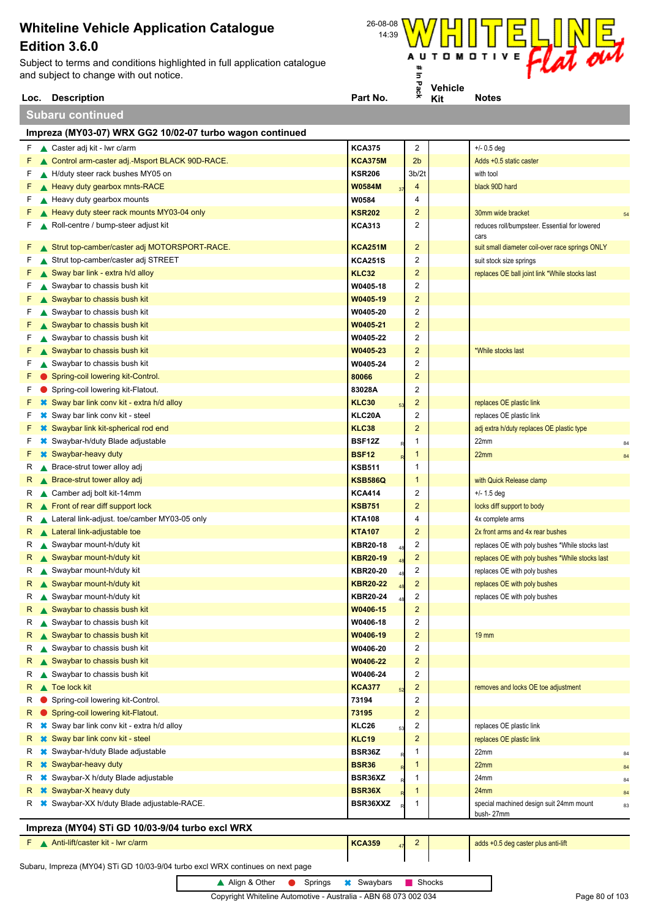**Loc. Description**<br> **Loc. Description**<br> **Part No. Part No. Part No. Part No. Part No. Part No. Part No. Part No. Part No. Part No. Part No. Part No. Part No. Part No. Part No. Part No. P** Subject to terms and conditions highlighted in full application catalogue and subject to change with out notice.



**Subaru continued**

|    | Impreza (MY03-07) WRX GG2 10/02-07 turbo wagon continued                          |                 |                         |                                                       |    |
|----|-----------------------------------------------------------------------------------|-----------------|-------------------------|-------------------------------------------------------|----|
|    | F Caster adj kit - Iwr c/arm                                                      | <b>KCA375</b>   | $\overline{2}$          | $+/- 0.5$ deg                                         |    |
|    | Control arm-caster adj.-Msport BLACK 90D-RACE.                                    | <b>KCA375M</b>  | 2 <sub>b</sub>          | Adds +0.5 static caster                               |    |
|    | H/duty steer rack bushes MY05 on                                                  | <b>KSR206</b>   | 3b/2t                   | with tool                                             |    |
|    | Heavy duty gearbox mnts-RACE                                                      | W0584M          | 4                       | black 90D hard                                        |    |
|    | Heavy duty gearbox mounts                                                         | W0584           | 4                       |                                                       |    |
|    | Heavy duty steer rack mounts MY03-04 only                                         | <b>KSR202</b>   | $\overline{2}$          | 30mm wide bracket                                     | 54 |
| F. | Roll-centre / bump-steer adjust kit                                               | <b>KCA313</b>   | $\overline{2}$          | reduces roll/bumpsteer. Essential for lowered<br>cars |    |
| F. | Strut top-camber/caster adj MOTORSPORT-RACE.                                      | KCA251M         | $\overline{2}$          | suit small diameter coil-over race springs ONLY       |    |
| F  | Strut top-camber/caster adj STREET                                                | <b>KCA251S</b>  | $\overline{2}$          | suit stock size springs                               |    |
|    | Sway bar link - extra h/d alloy                                                   | <b>KLC32</b>    | $\overline{2}$          | replaces OE ball joint link *While stocks last        |    |
| F  | Swaybar to chassis bush kit                                                       | W0405-18        | $\overline{2}$          |                                                       |    |
| F  | $\triangle$ Swaybar to chassis bush kit                                           | W0405-19        | $\overline{\mathbf{c}}$ |                                                       |    |
| F  | Swaybar to chassis bush kit                                                       | W0405-20        | $\overline{2}$          |                                                       |    |
|    | Swaybar to chassis bush kit                                                       | W0405-21        | $\overline{2}$          |                                                       |    |
| F  | Swaybar to chassis bush kit                                                       | W0405-22        | $\overline{2}$          |                                                       |    |
|    | Swaybar to chassis bush kit                                                       | W0405-23        | $\overline{2}$          | *While stocks last                                    |    |
|    | $\triangle$ Swaybar to chassis bush kit                                           | W0405-24        | $\overline{2}$          |                                                       |    |
|    | Spring-coil lowering kit-Control.                                                 | 80066           | $\overline{c}$          |                                                       |    |
|    | Spring-coil lowering kit-Flatout.                                                 | 83028A          | $\boldsymbol{2}$        |                                                       |    |
|    | <b><sup>■</sup></b> Sway bar link conv kit - extra h/d alloy                      | KLC30           | $\overline{2}$          | replaces OE plastic link                              |    |
|    | <b></b> Sway bar link conv kit - steel                                            | KLC20A          | $\overline{2}$          | replaces OE plastic link                              |    |
|    | <b><sup>■</sup></b> Swaybar link kit-spherical rod end                            | <b>KLC38</b>    | $\overline{2}$          | adj extra h/duty replaces OE plastic type             |    |
|    | <b>*</b> Swaybar-h/duty Blade adjustable                                          | <b>BSF12Z</b>   | 1                       | 22mm                                                  | 84 |
|    | <b>*</b> Swaybar-heavy duty                                                       | <b>BSF12</b>    | -1                      | 22mm                                                  |    |
| R  | ▲ Brace-strut tower alloy adj                                                     | <b>KSB511</b>   | -1                      |                                                       |    |
|    | R Brace-strut tower alloy adj                                                     | KSB586Q         | $\mathbf{1}$            | with Quick Release clamp                              |    |
|    | R Camber adj bolt kit-14mm                                                        | <b>KCA414</b>   | $\overline{2}$          | $+/- 1.5$ deg                                         |    |
|    | R Front of rear diff support lock                                                 | <b>KSB751</b>   | $\overline{c}$          | locks diff support to body                            |    |
|    | R Lateral link-adjust. toe/camber MY03-05 only                                    | <b>KTA108</b>   | 4                       | 4x complete arms                                      |    |
|    | $R \triangle$ Lateral link-adjustable toe                                         | <b>KTA107</b>   | $\overline{2}$          | 2x front arms and 4x rear bushes                      |    |
|    | R Swaybar mount-h/duty kit                                                        | <b>KBR20-18</b> | $\overline{c}$          | replaces OE with poly bushes *While stocks last       |    |
|    | R Swaybar mount-h/duty kit                                                        | <b>KBR20-19</b> | $\overline{2}$          | replaces OE with poly bushes *While stocks last       |    |
| R  | Swaybar mount-h/duty kit                                                          | <b>KBR20-20</b> | $\overline{2}$          | replaces OE with poly bushes                          |    |
| R  | Swaybar mount-h/duty kit                                                          | <b>KBR20-22</b> | $\overline{c}$          | replaces OE with poly bushes                          |    |
| R  | Swaybar mount-h/duty kit                                                          | <b>KBR20-24</b> | $\overline{2}$          | replaces OE with poly bushes                          |    |
|    | R Swaybar to chassis bush kit                                                     | W0406-15        | $\overline{2}$          |                                                       |    |
| R  | Swaybar to chassis bush kit                                                       | W0406-18        | $\overline{2}$          |                                                       |    |
|    | $R \triangle$ Swaybar to chassis bush kit                                         | W0406-19        | $\overline{2}$          | $19 \, \text{mm}$                                     |    |
| R  | Swaybar to chassis bush kit                                                       | W0406-20        | $\overline{2}$          |                                                       |    |
| R  | ▲ Swaybar to chassis bush kit                                                     | W0406-22        | $\overline{2}$          |                                                       |    |
| R  | Swaybar to chassis bush kit                                                       | W0406-24        | $\overline{2}$          |                                                       |    |
| R. | $\triangle$ Toe lock kit                                                          | <b>KCA377</b>   | $\overline{c}$          | removes and locks OE toe adjustment                   |    |
| R  | Spring-coil lowering kit-Control.                                                 | 73194           | $\overline{2}$          |                                                       |    |
| R. | Spring-coil lowering kit-Flatout.                                                 | 73195           | $\overline{2}$          |                                                       |    |
| R. | <sup>■</sup> Sway bar link conv kit - extra h/d alloy                             | KLC26           | $\overline{2}$          | replaces OE plastic link                              |    |
| R. | <b>■ Sway bar link conv kit - steel</b>                                           | <b>KLC19</b>    | $\overline{\mathbf{c}}$ | replaces OE plastic link                              |    |
| R. | <b>*</b> Swaybar-h/duty Blade adjustable                                          | BSR36Z          | 1                       | 22mm                                                  |    |
| R. | <b>*</b> Swaybar-heavy duty                                                       | <b>BSR36</b>    | 1                       | 22mm                                                  | 84 |
| R  | <b>*</b> Swaybar-X h/duty Blade adjustable                                        | BSR36XZ         | 1                       | 24mm                                                  | 84 |
| R. | <b>*</b> Swaybar-X heavy duty                                                     | <b>BSR36X</b>   | 1                       | 24mm                                                  | 84 |
| R  | <b>*</b> Swaybar-XX h/duty Blade adjustable-RACE.                                 | BSR36XXZ        | 1                       |                                                       | 84 |
|    | $lmnna=0$ $\frac{100000}{1000}$ $\frac{1000000}{1000}$ $\frac{1000000000}{10000}$ |                 |                         | special machined design suit 24mm mount<br>bush-27mm  | 83 |

| Impreza (MY04) STi GD 10/03-9/04 turbo excl WRX |                     |                                     |
|-------------------------------------------------|---------------------|-------------------------------------|
| Anti-lift/caster kit - Iwr c/arm                | <b>KCA359</b><br>77 | adds +0.5 deg caster plus anti-lift |

Subaru, Impreza (MY04) STi GD 10/03-9/04 turbo excl WRX continues on next page

▲ Align & Other ● Springs <sup>★</sup> Swaybars ■ Shocks

Copyright Whiteline Automotive - Australia - ABN 68 073 002 034 Page 80 of 103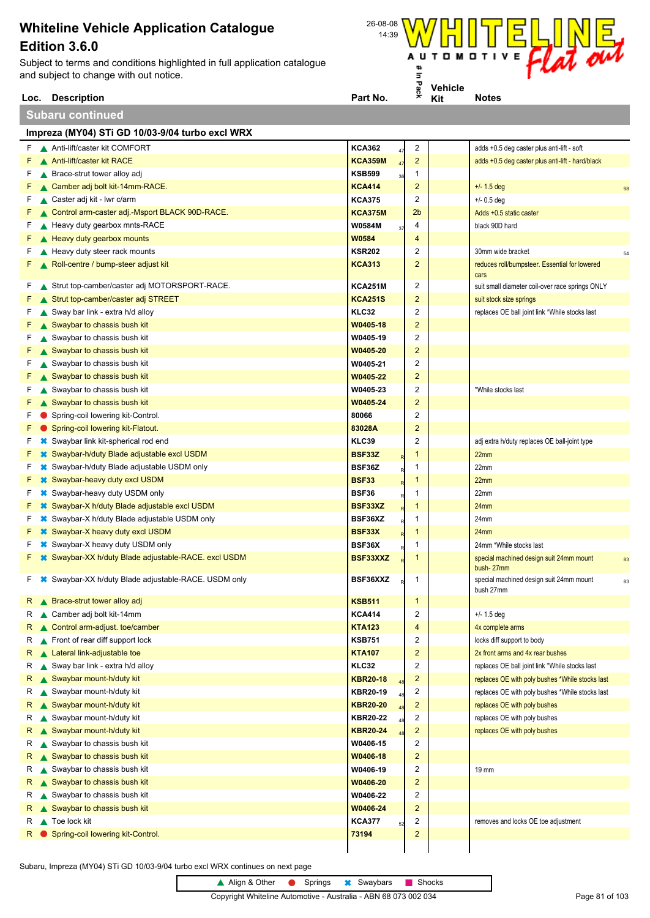Subject to terms and conditions highlighted in full and subject to change with out notice.



**Loc. Description** 

| <b>Subaru continued</b> |  |
|-------------------------|--|
|                         |  |

| Subject to terms and conditions highlighted in full application catalogue<br>ind subject to change with out notice. |                | $\ddot{}$      |                       | rear cur                                         |
|---------------------------------------------------------------------------------------------------------------------|----------------|----------------|-----------------------|--------------------------------------------------|
| Loc. Description                                                                                                    | Part No.       | Pac            | <b>Vehicle</b><br>Kit | <b>Notes</b>                                     |
| <b>Subaru continued</b>                                                                                             |                |                |                       |                                                  |
| Impreza (MY04) STi GD 10/03-9/04 turbo excl WRX                                                                     |                |                |                       |                                                  |
| Anti-lift/caster kit COMFORT<br>F A                                                                                 | <b>KCA362</b>  | c              |                       | adds +0.5 deg caster plus anti-lift - soft       |
| Anti-lift/caster kit RACE<br>F A                                                                                    | <b>KCA359M</b> | $\overline{2}$ |                       | adds +0.5 deg caster plus anti-lift - hard/black |
| $F \rightarrow \mathbb{R}$ Researched tower allowed in                                                              | <b>KCDE00</b>  |                |                       |                                                  |

| F. | Anti-lift/caster kit COMFORT                                           | <b>KCA362</b>       | $\overline{2}$          | adds +0.5 deg caster plus anti-lift - soft            |    |
|----|------------------------------------------------------------------------|---------------------|-------------------------|-------------------------------------------------------|----|
|    | A Anti-lift/caster kit RACE                                            | <b>KCA359M</b>      | $\overline{2}$          | adds +0.5 deg caster plus anti-lift - hard/black      |    |
| F  | Brace-strut tower alloy adj                                            | <b>KSB599</b><br>36 | $\mathbf{1}$            |                                                       |    |
| F  | Camber adj bolt kit-14mm-RACE.                                         | <b>KCA414</b>       | $\overline{c}$          | $+/- 1.5$ deg                                         | 98 |
| F  | Caster adj kit - Iwr c/arm                                             | <b>KCA375</b>       | 2                       | $+/- 0.5$ deg                                         |    |
| F  | Control arm-caster adj.-Msport BLACK 90D-RACE.                         | <b>KCA375M</b>      | 2 <sub>b</sub>          | Adds +0.5 static caster                               |    |
| F  | Heavy duty gearbox mnts-RACE                                           | <b>W0584M</b><br>37 | 4                       | black 90D hard                                        |    |
| F. | Heavy duty gearbox mounts                                              | W0584               | 4                       |                                                       |    |
| F. | Heavy duty steer rack mounts                                           | <b>KSR202</b>       | 2                       | 30mm wide bracket                                     | 54 |
| F. | Roll-centre / bump-steer adjust kit                                    | <b>KCA313</b>       | $\overline{\mathbf{c}}$ | reduces roll/bumpsteer. Essential for lowered<br>cars |    |
| F. | Strut top-camber/caster adj MOTORSPORT-RACE.                           | <b>KCA251M</b>      | 2                       | suit small diameter coil-over race springs ONLY       |    |
|    | ▲ Strut top-camber/caster adj STREET                                   | <b>KCA251S</b>      | $\overline{c}$          | suit stock size springs                               |    |
| F, | Sway bar link - extra h/d alloy                                        | KLC32               | $\boldsymbol{2}$        | replaces OE ball joint link *While stocks last        |    |
|    | ▲ Swaybar to chassis bush kit                                          | W0405-18            | $\overline{2}$          |                                                       |    |
| F. | Swaybar to chassis bush kit                                            | W0405-19            | 2                       |                                                       |    |
| F  | ▲ Swaybar to chassis bush kit                                          | W0405-20            | $\overline{2}$          |                                                       |    |
| F. | Swaybar to chassis bush kit                                            | W0405-21            | 2                       |                                                       |    |
| F  | ▲ Swaybar to chassis bush kit                                          | W0405-22            | $\overline{c}$          |                                                       |    |
| F. | Swaybar to chassis bush kit                                            | W0405-23            | 2                       | *While stocks last                                    |    |
| F  | ▲ Swaybar to chassis bush kit                                          | W0405-24            | $\overline{c}$          |                                                       |    |
| F  | Spring-coil lowering kit-Control.                                      | 80066               | 2                       |                                                       |    |
|    |                                                                        |                     | $\overline{\mathbf{c}}$ |                                                       |    |
| F. | Spring-coil lowering kit-Flatout.                                      | 83028A              |                         |                                                       |    |
| F. | <b><sup>■</sup></b> Swaybar link kit-spherical rod end                 | KLC39               | 2                       | adj extra h/duty replaces OE ball-joint type          |    |
| F. | <b><sup>■</sup></b> Swaybar-h/duty Blade adjustable excl USDM          | <b>BSF33Z</b>       | -1                      | 22mm                                                  |    |
| F. | <b><sup>■</sup></b> Swaybar-h/duty Blade adjustable USDM only          | BSF36Z              | $\mathbf{1}$            | 22mm                                                  |    |
| F. | <b>*</b> Swaybar-heavy duty excl USDM                                  | <b>BSF33</b>        | $\mathbf{1}$            | 22mm                                                  |    |
| F. | <b><sup>■</sup></b> Swaybar-heavy duty USDM only                       | <b>BSF36</b>        | $\mathbf{1}$            | 22mm                                                  |    |
| F. | <b><sup>■</sup></b> Swaybar-X h/duty Blade adjustable excl USDM        | BSF33XZ             | $\mathbf{1}$            | 24mm                                                  |    |
| F. | <b><sup>■</sup></b> Swaybar-X h/duty Blade adjustable USDM only        | BSF36XZ             | $\mathbf{1}$            | 24mm                                                  |    |
| F. | <b><sup>■</sup></b> Swaybar-X heavy duty excl USDM                     | BSF33X              | $\mathbf{1}$            | 24mm                                                  |    |
| F. | <b><sup>■</sup></b> Swaybar-X heavy duty USDM only                     | BSF36X              | $\mathbf{1}$            | 24mm *While stocks last                               |    |
| F. | <b><sup>■</sup></b> Swaybar-XX h/duty Blade adjustable-RACE. excl USDM | BSF33XXZ            | $\mathbf{1}$            | special machined design suit 24mm mount<br>bush-27mm  | 83 |
| F. | <sup>■</sup> Swaybar-XX h/duty Blade adjustable-RACE. USDM only        | BSF36XXZ            | $\mathbf{1}$            | special machined design suit 24mm mount<br>bush 27mm  | 83 |
|    | R Brace-strut tower alloy adj                                          | <b>KSB511</b>       | $\mathbf{1}$            |                                                       |    |
|    | R Camber adj bolt kit-14mm                                             | <b>KCA414</b>       | 2                       | $+/- 1.5$ deg                                         |    |
| R. | Control arm-adjust. toe/camber                                         | <b>KTA123</b>       | $\overline{4}$          | 4x complete arms                                      |    |
|    | $R \triangle$ Front of rear diff support lock                          | <b>KSB751</b>       | 2                       | locks diff support to body                            |    |
|    | R Lateral link-adjustable toe                                          | <b>KTA107</b>       | $\overline{\mathbf{c}}$ | 2x front arms and 4x rear bushes                      |    |
| R. | Sway bar link - extra h/d alloy                                        | KLC32               | 2                       | replaces OE ball joint link *While stocks last        |    |
| R. | Swaybar mount-h/duty kit                                               | <b>KBR20-18</b>     | $\overline{\mathbf{c}}$ | replaces OE with poly bushes *While stocks last       |    |
| R  | Swaybar mount-h/duty kit                                               | <b>KBR20-19</b>     | 2                       | replaces OE with poly bushes *While stocks last       |    |
| R. | Swaybar mount-h/duty kit                                               | <b>KBR20-20</b>     | $\overline{2}$          | replaces OE with poly bushes                          |    |
| R  | Swaybar mount-h/duty kit                                               | <b>KBR20-22</b>     | $\overline{\mathbf{c}}$ | replaces OE with poly bushes                          |    |
| R, | Swaybar mount-h/duty kit                                               | <b>KBR20-24</b>     | $\overline{2}$          | replaces OE with poly bushes                          |    |
| R  | Swaybar to chassis bush kit                                            | W0406-15            | 2                       |                                                       |    |
| R, | Swaybar to chassis bush kit                                            | W0406-18            | $\overline{\mathbf{c}}$ |                                                       |    |
| R  | Swaybar to chassis bush kit                                            | W0406-19            | 2                       | 19 mm                                                 |    |
|    | R Swaybar to chassis bush kit                                          | W0406-20            | $\overline{\mathbf{c}}$ |                                                       |    |
| R. | Swaybar to chassis bush kit                                            | W0406-22            | 2                       |                                                       |    |
| R. | ▲ Swaybar to chassis bush kit                                          | W0406-24            | $\mathbf 2$             |                                                       |    |
|    | $R \triangle$ Toe lock kit                                             | <b>KCA377</b>       | 2                       | removes and locks OE toe adjustment                   |    |
|    | R Spring-coil lowering kit-Control.                                    | 73194               | $\overline{\mathbf{c}}$ |                                                       |    |
|    |                                                                        |                     |                         |                                                       |    |

Subaru, Impreza (MY04) STi GD 10/03-9/04 turbo excl WRX continues on next page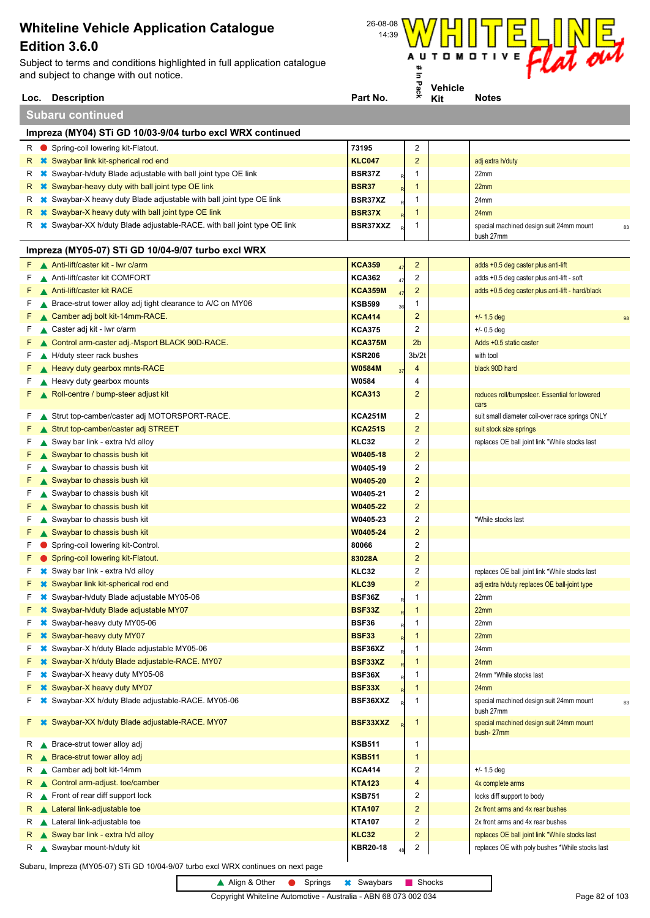Subject to terms and conditions highlighted in full application catalogue and subject to change with out notice.



|          |                                                           | Loc. Description                                                                                                | Part No.                        |    | ×.                      | Kit | <b>Notes</b>                                          |    |  |
|----------|-----------------------------------------------------------|-----------------------------------------------------------------------------------------------------------------|---------------------------------|----|-------------------------|-----|-------------------------------------------------------|----|--|
|          |                                                           | <b>Subaru continued</b>                                                                                         |                                 |    |                         |     |                                                       |    |  |
|          | Impreza (MY04) STi GD 10/03-9/04 turbo excl WRX continued |                                                                                                                 |                                 |    |                         |     |                                                       |    |  |
|          |                                                           | R Spring-coil lowering kit-Flatout.                                                                             | 73195                           |    | 2                       |     |                                                       |    |  |
|          |                                                           | R <b>*</b> Swaybar link kit-spherical rod end                                                                   | <b>KLC047</b>                   |    | $\overline{2}$          |     | adj extra h/duty                                      |    |  |
|          |                                                           | R * Swaybar-h/duty Blade adjustable with ball joint type OE link                                                | BSR37Z                          |    | 1                       |     | 22mm                                                  |    |  |
| R.       |                                                           | <b>■ Swaybar-heavy duty with ball joint type OE link</b>                                                        | <b>BSR37</b>                    |    | $\mathbf 1$             |     | 22mm                                                  |    |  |
| R.       |                                                           | <b><sup>■</sup></b> Swaybar-X heavy duty Blade adjustable with ball joint type OE link                          | BSR37XZ                         |    | 1                       |     | 24mm                                                  |    |  |
|          |                                                           | $R$ $\ast$ Swaybar-X heavy duty with ball joint type OE link                                                    | BSR37X                          |    | $\mathbf 1$             |     | 24mm                                                  |    |  |
|          |                                                           | R * Swaybar-XX h/duty Blade adjustable-RACE. with ball joint type OE link                                       | BSR37XXZ                        |    | 1                       |     | special machined design suit 24mm mount<br>bush 27mm  | 83 |  |
|          |                                                           | Impreza (MY05-07) STi GD 10/04-9/07 turbo excl WRX                                                              |                                 |    |                         |     |                                                       |    |  |
|          |                                                           | $F \wedge$ Anti-lift/caster kit - Iwr c/arm                                                                     | <b>KCA359</b>                   |    | $\overline{c}$          |     | adds +0.5 deg caster plus anti-lift                   |    |  |
| F.       |                                                           | Anti-lift/caster kit COMFORT                                                                                    | <b>KCA362</b>                   | 47 | 2                       |     | adds +0.5 deg caster plus anti-lift - soft            |    |  |
| F.       |                                                           | A Anti-lift/caster kit RACE                                                                                     | <b>KCA359M</b>                  |    | $\overline{\mathbf{c}}$ |     | adds +0.5 deg caster plus anti-lift - hard/black      |    |  |
| F.       |                                                           | ▲ Brace-strut tower alloy adj tight clearance to A/C on MY06                                                    | <b>KSB599</b>                   |    | 1                       |     |                                                       |    |  |
| F.       |                                                           | Camber adj bolt kit-14mm-RACE.                                                                                  | <b>KCA414</b>                   |    | $\overline{\mathbf{c}}$ |     | $+/- 1.5$ deg                                         | 98 |  |
| F.       |                                                           | Caster adj kit - Iwr c/arm                                                                                      | <b>KCA375</b>                   |    | 2                       |     | $+/- 0.5$ deg                                         |    |  |
| F.       |                                                           | ▲ Control arm-caster adj.-Msport BLACK 90D-RACE.                                                                | <b>KCA375M</b>                  |    | 2 <sub>b</sub>          |     | Adds +0.5 static caster                               |    |  |
| F.       |                                                           | H/duty steer rack bushes                                                                                        | <b>KSR206</b>                   |    | 3b/2t                   |     | with tool                                             |    |  |
| F.       |                                                           | Heavy duty gearbox mnts-RACE                                                                                    | <b>W0584M</b>                   |    | 4                       |     | black 90D hard                                        |    |  |
| F.       |                                                           | $\triangle$ Heavy duty gearbox mounts                                                                           | W0584                           |    | 4                       |     |                                                       |    |  |
| F.       |                                                           | Roll-centre / bump-steer adjust kit                                                                             | <b>KCA313</b>                   |    | $\overline{c}$          |     | reduces roll/bumpsteer. Essential for lowered<br>cars |    |  |
| F.       |                                                           | Strut top-camber/caster adj MOTORSPORT-RACE.                                                                    | <b>KCA251M</b>                  |    | 2                       |     | suit small diameter coil-over race springs ONLY       |    |  |
|          |                                                           | Strut top-camber/caster adj STREET                                                                              | <b>KCA251S</b>                  |    | $\overline{c}$          |     | suit stock size springs                               |    |  |
| F.       |                                                           | Sway bar link - extra h/d alloy                                                                                 | KLC32                           |    | 2                       |     | replaces OE ball joint link *While stocks last        |    |  |
| F.       |                                                           | Swaybar to chassis bush kit                                                                                     | W0405-18                        |    | $\overline{c}$          |     |                                                       |    |  |
| F.       |                                                           | Swaybar to chassis bush kit                                                                                     | W0405-19                        |    | 2                       |     |                                                       |    |  |
| F.       |                                                           | Swaybar to chassis bush kit                                                                                     | W0405-20                        |    | $\overline{2}$          |     |                                                       |    |  |
| F.       |                                                           | Swaybar to chassis bush kit                                                                                     | W0405-21                        |    | 2                       |     |                                                       |    |  |
| F.       |                                                           | Swaybar to chassis bush kit                                                                                     | W0405-22                        |    | $\overline{c}$          |     |                                                       |    |  |
| F.       |                                                           | Swaybar to chassis bush kit                                                                                     | W0405-23                        |    | 2                       |     | *While stocks last                                    |    |  |
| F.       |                                                           | Swaybar to chassis bush kit                                                                                     | W0405-24                        |    | $\overline{c}$          |     |                                                       |    |  |
|          |                                                           | Spring-coil lowering kit-Control.                                                                               | 80066                           |    | 2                       |     |                                                       |    |  |
|          |                                                           | Spring-coil lowering kit-Flatout.                                                                               | 83028A                          |    | $\overline{c}$          |     |                                                       |    |  |
| F.       |                                                           | Sway bar link - extra h/d alloy                                                                                 | <b>KLC32</b>                    |    | 2                       |     | replaces OE ball joint link *While stocks last        |    |  |
|          |                                                           | <b>F</b> * Swaybar link kit-spherical rod end                                                                   | <b>KLC39</b>                    |    | $\overline{\mathbf{c}}$ |     | adj extra h/duty replaces OE ball-joint type          |    |  |
| F.       |                                                           | <b>*</b> Swaybar-h/duty Blade adjustable MY05-06                                                                | BSF36Z                          |    | 1                       |     | 22mm                                                  |    |  |
| F.       |                                                           | <b>*</b> Swaybar-h/duty Blade adjustable MY07                                                                   | <b>BSF33Z</b>                   |    | $\mathbf{1}$            |     | 22mm                                                  |    |  |
| F.       |                                                           | <b>*</b> Swaybar-heavy duty MY05-06                                                                             | <b>BSF36</b>                    |    | 1                       |     | 22mm                                                  |    |  |
| F.       |                                                           | <b>*</b> Swaybar-heavy duty MY07                                                                                | <b>BSF33</b>                    |    | $\mathbf 1$             |     | 22mm                                                  |    |  |
| F.<br>F. |                                                           | <sup>■</sup> Swaybar-X h/duty Blade adjustable MY05-06<br><b>*</b> Swaybar-X h/duty Blade adjustable-RACE. MY07 | BSF36XZ<br>BSF33XZ              |    | 1                       |     | 24mm<br>24mm                                          |    |  |
| F.       |                                                           | <b></b> Swaybar-X heavy duty MY05-06                                                                            | BSF36X                          |    | $\mathbf{1}$<br>1       |     | 24mm *While stocks last                               |    |  |
| F.       |                                                           | <b>*</b> Swaybar-X heavy duty MY07                                                                              | BSF33X                          |    | $\mathbf{1}$            |     | 24mm                                                  |    |  |
| F.       |                                                           | Swaybar-XX h/duty Blade adjustable-RACE. MY05-06                                                                | BSF36XXZ                        |    | 1                       |     | special machined design suit 24mm mount               |    |  |
| F.       |                                                           | <sup>■</sup> Swaybar-XX h/duty Blade adjustable-RACE. MY07                                                      | BSF33XXZ                        |    | $\mathbf{1}$            |     | bush 27mm<br>special machined design suit 24mm mount  | 83 |  |
|          |                                                           |                                                                                                                 |                                 |    |                         |     | bush-27mm                                             |    |  |
| R        |                                                           | ▲ Brace-strut tower alloy adj                                                                                   | <b>KSB511</b>                   |    | 1                       |     |                                                       |    |  |
| R.       |                                                           | ▲ Brace-strut tower alloy adj                                                                                   | <b>KSB511</b>                   |    | $\mathbf{1}$<br>2       |     |                                                       |    |  |
| R        |                                                           | ▲ Camber adj bolt kit-14mm                                                                                      | <b>KCA414</b>                   |    |                         |     | $+/- 1.5$ deg                                         |    |  |
| R.       |                                                           | Control arm-adjust. toe/camber                                                                                  | <b>KTA123</b>                   |    | 4<br>2                  |     | 4x complete arms                                      |    |  |
| R        |                                                           | Front of rear diff support lock                                                                                 | <b>KSB751</b>                   |    | $\overline{c}$          |     | locks diff support to body                            |    |  |
| R.       |                                                           | Lateral link-adjustable toe                                                                                     | <b>KTA107</b>                   |    | 2                       |     | 2x front arms and 4x rear bushes                      |    |  |
| R        |                                                           | Lateral link-adjustable toe                                                                                     | <b>KTA107</b>                   |    | $\overline{c}$          |     | 2x front arms and 4x rear bushes                      |    |  |
| R.       |                                                           | Sway bar link - extra h/d alloy<br>Swaybar mount-h/duty kit                                                     | <b>KLC32</b><br><b>KBR20-18</b> |    | 2                       |     | replaces OE ball joint link *While stocks last        |    |  |
| R        |                                                           |                                                                                                                 |                                 |    |                         |     | replaces OE with poly bushes *While stocks last       |    |  |

Subaru, Impreza (MY05-07) STi GD 10/04-9/07 turbo excl WRX continues on next page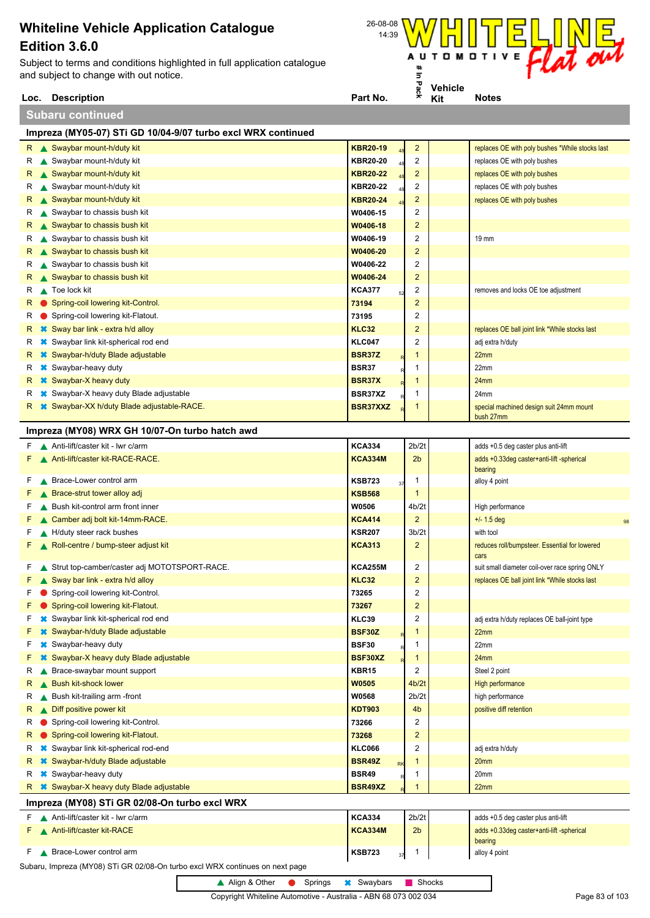Subject to terms and conditions highlighted in full application catalogue and subject to change with out notice.

**Subaru continued**





**Kit**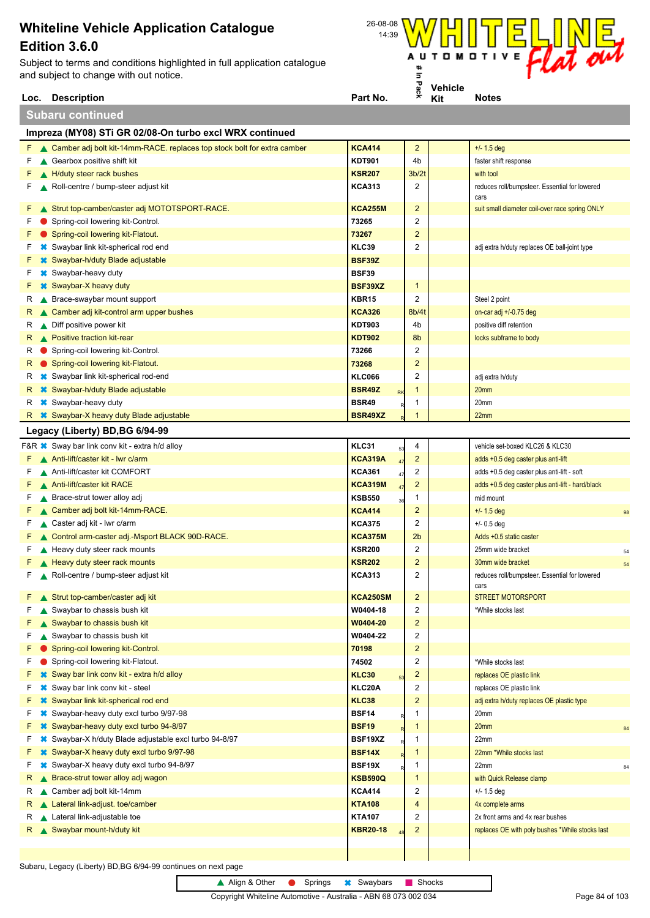Subject to terms and conditions highlighted in full application catalogue and subject to change with out notice.



| <b>Description</b><br>Loc.                                                            | Part No.      |                    | Kit | <b>Notes</b>          |
|---------------------------------------------------------------------------------------|---------------|--------------------|-----|-----------------------|
| <b>Subaru continued</b>                                                               |               |                    |     |                       |
| Impreza (MY08) STi GR 02/08-On turbo excl WRX continued                               |               |                    |     |                       |
| $F \triangle$ Camber adj bolt kit-14mm-RACE, replaces top stock bolt for extra camber | <b>KCA414</b> | $\overline{2}$     |     | $+/- 1.5$ deg         |
| Gearbox positive shift kit                                                            | <b>KDT901</b> | 4b                 |     | faster shift response |
| H/duty steer rack bushes                                                              | <b>KSR207</b> | 3 <sub>b</sub> /2t |     | with tool             |
|                                                                                       |               |                    |     |                       |

| F. |                     | Roll-centre / bump-steer adjust kit                               | <b>KCA313</b>       | 2              | reduces roll/bumpsteer. Essential for lowered<br>cars |    |
|----|---------------------|-------------------------------------------------------------------|---------------------|----------------|-------------------------------------------------------|----|
| н. |                     | Strut top-camber/caster adj MOTOTSPORT-RACE.                      | <b>KCA255M</b>      | $\overline{2}$ | suit small diameter coil-over race spring ONLY        |    |
| F. |                     | Spring-coil lowering kit-Control.                                 | 73265               | $\overline{2}$ |                                                       |    |
| F. |                     | Spring-coil lowering kit-Flatout.                                 | 73267               | $\overline{2}$ |                                                       |    |
| F. |                     | <b><sup>■</sup></b> Swaybar link kit-spherical rod end            | KLC39               | $\overline{2}$ | adj extra h/duty replaces OE ball-joint type          |    |
| F. |                     | <b>☀</b> Swaybar-h/duty Blade adjustable                          | <b>BSF39Z</b>       |                |                                                       |    |
| F. |                     | <b>*</b> Swaybar-heavy duty                                       | <b>BSF39</b>        |                |                                                       |    |
| F. |                     | <b>*</b> Swaybar-X heavy duty                                     | BSF39XZ             | $\mathbf{1}$   |                                                       |    |
| R. |                     | Brace-swaybar mount support                                       | KBR15               | $\overline{2}$ | Steel 2 point                                         |    |
| R. |                     | ▲ Camber adj kit-control arm upper bushes                         | <b>KCA326</b>       | 8b/4t          | on-car adj $+/-0.75$ deg                              |    |
|    |                     | R Diff positive power kit                                         | <b>KDT903</b>       | 4b             | positive diff retention                               |    |
|    |                     | R <b>A</b> Positive traction kit-rear                             | <b>KDT902</b>       | 8b             | locks subframe to body                                |    |
| R  |                     | Spring-coil lowering kit-Control.                                 | 73266               | $\overline{2}$ |                                                       |    |
| R. |                     | Spring-coil lowering kit-Flatout.                                 | 73268               | $\overline{2}$ |                                                       |    |
| R. |                     | <b>*</b> Swaybar link kit-spherical rod-end                       | <b>KLC066</b>       | 2              | adj extra h/duty                                      |    |
|    |                     | R * Swaybar-h/duty Blade adjustable                               | <b>BSR49Z</b><br>RK | -1             | 20mm                                                  |    |
|    |                     | R <b>*</b> Swaybar-heavy duty                                     | <b>BSR49</b>        | -1             | 20mm                                                  |    |
|    |                     | R <b>*</b> Swaybar-X heavy duty Blade adjustable                  | BSR49XZ             | 1              | 22mm                                                  |    |
|    |                     | Legacy (Liberty) BD, BG 6/94-99                                   |                     |                |                                                       |    |
|    |                     | F&R X: Sway bar link conv kit - extra h/d alloy                   | KLC31<br>53         | 4              | vehicle set-boxed KLC26 & KLC30                       |    |
| Н. |                     | Anti-lift/caster kit - Iwr c/arm                                  | <b>KCA319A</b>      | $\overline{2}$ | adds +0.5 deg caster plus anti-lift                   |    |
| F. |                     | Anti-lift/caster kit COMFORT                                      | <b>KCA361</b>       | $\overline{2}$ | adds +0.5 deg caster plus anti-lift - soft            |    |
| F. |                     | A Anti-lift/caster kit RACE                                       | <b>KCA319M</b>      | $\overline{c}$ | adds +0.5 deg caster plus anti-lift - hard/black      |    |
| F. |                     | ▲ Brace-strut tower alloy adj                                     | <b>KSB550</b>       | 1              | mid mount                                             |    |
| F. |                     | ▲ Camber adj bolt kit-14mm-RACE.                                  | <b>KCA414</b>       | $\overline{2}$ | $+/- 1.5$ deg                                         | 98 |
| F. |                     | Caster adj kit - Iwr c/arm                                        | <b>KCA375</b>       | 2              | $+/- 0.5$ deg                                         |    |
| F. |                     | Control arm-caster adj.-Msport BLACK 90D-RACE.                    | <b>KCA375M</b>      | 2 <sub>b</sub> | Adds +0.5 static caster                               |    |
| F. |                     | Heavy duty steer rack mounts                                      | <b>KSR200</b>       | $\overline{2}$ | 25mm wide bracket                                     | 54 |
| F. |                     | Heavy duty steer rack mounts                                      | <b>KSR202</b>       | $\overline{2}$ | 30mm wide bracket                                     | 54 |
| F. |                     | Roll-centre / bump-steer adjust kit                               | <b>KCA313</b>       | $\overline{2}$ | reduces roll/bumpsteer. Essential for lowered<br>cars |    |
| F. |                     | Strut top-camber/caster adj kit                                   | <b>KCA250SM</b>     | $\overline{2}$ | <b>STREET MOTORSPORT</b>                              |    |
| F. |                     | Swaybar to chassis bush kit                                       | W0404-18            | $\overline{2}$ | *While stocks last                                    |    |
|    |                     | ▲ Swaybar to chassis bush kit                                     | W0404-20            | $\overline{2}$ |                                                       |    |
| F. |                     | Swaybar to chassis bush kit                                       | W0404-22            | $\overline{2}$ |                                                       |    |
|    |                     | Spring-coil lowering kit-Control.                                 | 70198               | $\overline{2}$ |                                                       |    |
|    |                     | Spring-coil lowering kit-Flatout.                                 | 74502               | $\overline{2}$ | *While stocks last                                    |    |
|    |                     | <b>■ Sway bar link conv kit - extra h/d alloy</b>                 | KLC30               | $\overline{2}$ | replaces OE plastic link                              |    |
| F. |                     | <b><sup>■</sup></b> Sway bar link conv kit - steel                | KLC20A              | $\overline{c}$ | replaces OE plastic link                              |    |
| F  | ×                   | Swaybar link kit-spherical rod end                                | <b>KLC38</b>        | $\overline{2}$ | adj extra h/duty replaces OE plastic type             |    |
| F. | ×                   | Swaybar-heavy duty excl turbo 9/97-98                             | <b>BSF14</b>        | $\mathbf{1}$   | 20 <sub>mm</sub>                                      |    |
| F. | $\boldsymbol{\ast}$ | Swaybar-heavy duty excl turbo 94-8/97                             | <b>BSF19</b>        | $\mathbf 1$    | 20mm                                                  | 84 |
| F. |                     | <sup>■</sup> Swaybar-X h/duty Blade adjustable excl turbo 94-8/97 | BSF19XZ             | $\mathbf{1}$   | 22mm                                                  |    |
| F. |                     | <b>*</b> Swaybar-X heavy duty excl turbo 9/97-98                  | <b>BSF14X</b>       | $\mathbf{1}$   | 22mm *While stocks last                               |    |
| F. |                     | <b>*</b> Swaybar-X heavy duty excl turbo 94-8/97                  | BSF19X              | 1              | 22mm                                                  | 84 |
|    |                     | $R \triangle$ Brace-strut tower alloy adj wagon                   | KSB590Q             | $\mathbf{1}$   | with Quick Release clamp                              |    |
|    |                     | R Camber adj bolt kit-14mm                                        | <b>KCA414</b>       | $\overline{2}$ | $+/- 1.5$ deg                                         |    |
|    |                     | R Lateral link-adjust. toe/camber                                 | <b>KTA108</b>       | $\overline{4}$ | 4x complete arms                                      |    |
|    |                     | R <b>A</b> Lateral link-adjustable toe                            | <b>KTA107</b>       | $\overline{2}$ | 2x front arms and 4x rear bushes                      |    |
|    |                     | R Swaybar mount-h/duty kit                                        | <b>KBR20-18</b>     | $\overline{2}$ | replaces OE with poly bushes *While stocks last       |    |
|    |                     |                                                                   |                     |                |                                                       |    |

Subaru, Legacy (Liberty) BD,BG 6/94-99 continues on next page

▲ Align & Other ● Springs <sup>★</sup> Swaybars ■ Shocks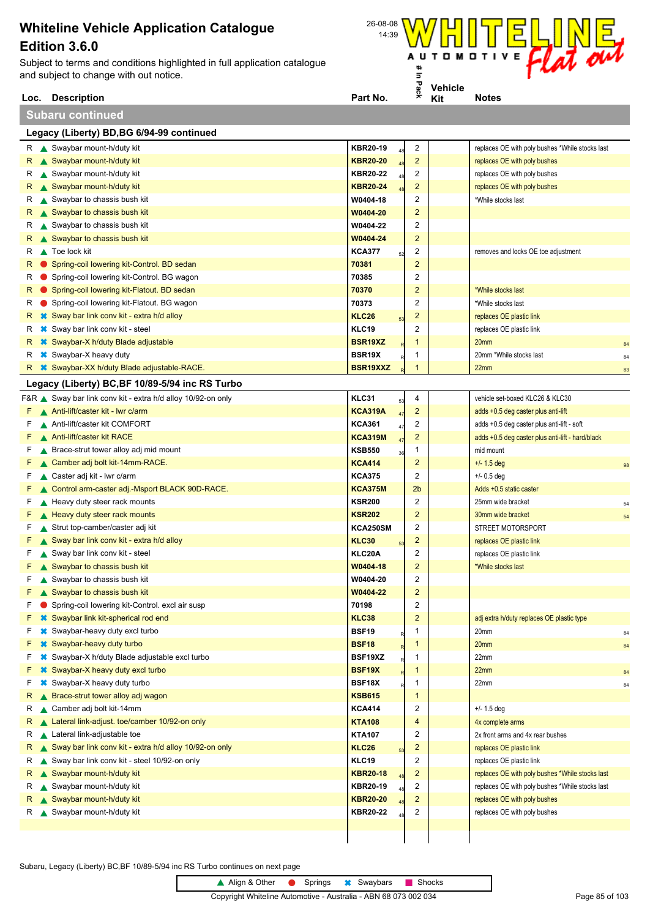**Loc. Description**<br> **Loc. Description**<br> **Part No. Part No. Part No. Part No. Part No. Part No. Part No. Part No. Part No. Part No. Part No. Part No. Part No. Part No. Part No. Part No. P** Subject to terms and conditions highlighted in full application catalogue and subject to change with out notice.



**Subaru continued**

|    |     | Legacy (Liberty) BD, BG 6/94-99 continued                    |                      |    |                         |                                                  |    |
|----|-----|--------------------------------------------------------------|----------------------|----|-------------------------|--------------------------------------------------|----|
|    |     | R Swaybar mount-h/duty kit                                   | KBR20-19             |    | $\overline{\mathbf{c}}$ | replaces OE with poly bushes *While stocks last  |    |
|    |     | R Swaybar mount-h/duty kit                                   | <b>KBR20-20</b>      |    | $\overline{2}$          | replaces OE with poly bushes                     |    |
|    |     | R Swaybar mount-h/duty kit                                   | <b>KBR20-22</b>      |    | $\overline{2}$          | replaces OE with poly bushes                     |    |
|    |     | R Swaybar mount-h/duty kit                                   | <b>KBR20-24</b>      |    | $\overline{2}$          | replaces OE with poly bushes                     |    |
|    | R A | Swaybar to chassis bush kit                                  | W0404-18             |    | 2                       | *While stocks last                               |    |
|    |     | R Swaybar to chassis bush kit                                | W0404-20             |    | 2                       |                                                  |    |
|    | R ▲ | Swaybar to chassis bush kit                                  | W0404-22             |    | 2                       |                                                  |    |
|    | R A | Swaybar to chassis bush kit                                  | W0404-24             |    | $\overline{2}$          |                                                  |    |
|    | R A | Toe lock kit                                                 | KCA377               |    | $\overline{\mathbf{c}}$ | removes and locks OE toe adjustment              |    |
| R. |     | Spring-coil lowering kit-Control. BD sedan                   | 70381                |    | $\overline{2}$          |                                                  |    |
| R  |     | Spring-coil lowering kit-Control. BG wagon                   | 70385                |    | $\overline{\mathbf{c}}$ |                                                  |    |
| R. |     | Spring-coil lowering kit-Flatout. BD sedan                   | 70370                |    | 2                       | *While stocks last                               |    |
| к  |     | Spring-coil lowering kit-Flatout. BG wagon                   | 70373                |    | 2                       | *While stocks last                               |    |
| R. |     | <b><sup>■</sup></b> Sway bar link conv kit - extra h/d alloy | KLC26                | 53 | $\overline{2}$          | replaces OE plastic link                         |    |
| к  |     | <b><del></del></b> Sway bar link conv kit - steel            | KLC19                |    | 2                       | replaces OE plastic link                         |    |
| R. |     | <b>☀</b> Swaybar-X h/duty Blade adjustable                   | BSR <sub>19</sub> XZ |    | 1                       | 20mm                                             | 84 |
| R  |     | <b>*</b> Swaybar-X heavy duty                                | BSR19X               |    | 1                       | 20mm *While stocks last                          | 84 |
|    |     | R * Swaybar-XX h/duty Blade adjustable-RACE.                 | BSR19XXZ             |    | 1                       | 22mm                                             | 83 |
|    |     | Legacy (Liberty) BC, BF 10/89-5/94 inc RS Turbo              |                      |    |                         |                                                  |    |
|    |     | F&R Sway bar link conv kit - extra h/d alloy 10/92-on only   | KLC31                | 53 | 4                       | vehicle set-boxed KLC26 & KLC30                  |    |
|    |     | $F \wedge$ Anti-lift/caster kit - Iwr c/arm                  | <b>KCA319A</b>       | 47 | $\overline{\mathbf{c}}$ | adds +0.5 deg caster plus anti-lift              |    |
| F. |     | Anti-lift/caster kit COMFORT                                 | <b>KCA361</b>        | 47 | 2                       | adds +0.5 deg caster plus anti-lift - soft       |    |
| F. |     | Anti-lift/caster kit RACE                                    | <b>KCA319M</b>       | 47 | $\overline{2}$          | adds +0.5 deg caster plus anti-lift - hard/black |    |
| F. |     | ▲ Brace-strut tower alloy adj mid mount                      | <b>KSB550</b>        | 36 | 1                       | mid mount                                        |    |
| F. |     | Camber adj bolt kit-14mm-RACE.                               | <b>KCA414</b>        |    | 2                       | $+/- 1.5$ deg                                    | 98 |
| F. |     | Caster adj kit - Iwr c/arm                                   | <b>KCA375</b>        |    | 2                       | $+/- 0.5$ deg                                    |    |
| F. |     | ▲ Control arm-caster adj.-Msport BLACK 90D-RACE.             | <b>KCA375M</b>       |    | 2 <sub>b</sub>          | Adds +0.5 static caster                          |    |
| F. |     | Heavy duty steer rack mounts                                 | <b>KSR200</b>        |    | 2                       | 25mm wide bracket                                | 54 |
| F. |     | Heavy duty steer rack mounts                                 | <b>KSR202</b>        |    | $\overline{2}$          | 30mm wide bracket                                | 54 |
| F. |     | Strut top-camber/caster adj kit                              | KCA250SM             |    | 2                       | STREET MOTORSPORT                                |    |
| F. |     | ▲ Sway bar link conv kit - extra h/d alloy                   | KLC30                |    | $\overline{\mathbf{c}}$ | replaces OE plastic link                         |    |
| F. |     | Sway bar link conv kit - steel                               | KLC20A               |    | 2                       | replaces OE plastic link                         |    |
| F  |     | Swaybar to chassis bush kit                                  | W0404-18             |    | $\overline{2}$          | *While stocks last                               |    |
| F. |     | Swaybar to chassis bush kit                                  | W0404-20             |    | 2                       |                                                  |    |
| F  |     | Swaybar to chassis bush kit                                  | W0404-22             |    | $\overline{2}$          |                                                  |    |
| F. |     | Spring-coil lowering kit-Control. excl air susp              | 70198                |    | 2                       |                                                  |    |
|    |     | F <b>*</b> Swaybar link kit-spherical rod end                | <b>KLC38</b>         |    | $\overline{\mathbf{c}}$ | adj extra h/duty replaces OE plastic type        |    |
| F. |     | <b>☀</b> Swaybar-heavy duty excl turbo                       | BSF19                |    | 1                       | 20 <sub>mm</sub>                                 | 84 |
| F. |     | <b>*</b> Swaybar-heavy duty turbo                            | BSF18                |    | 1                       | 20 <sub>mm</sub>                                 | 84 |
| F. |     | <b>*</b> Swaybar-X h/duty Blade adjustable excl turbo        | BSF19XZ              |    | 1                       | 22mm                                             |    |
| F. |     | <b>*</b> Swaybar-X heavy duty excl turbo                     | BSF19X               |    | 1                       | 22mm                                             | 84 |
| F. |     | <b><sup>■</sup></b> Swaybar-X heavy duty turbo               | BSF18X               |    | 1                       | 22mm                                             | 84 |
|    |     | $R \triangle$ Brace-strut tower alloy adj wagon              | <b>KSB615</b>        |    | 1                       |                                                  |    |
|    |     | R Camber adj bolt kit-14mm                                   | <b>KCA414</b>        |    | 2                       | $+/- 1.5$ deg                                    |    |
|    |     | $R \triangle$ Lateral link-adjust. toe/camber 10/92-on only  | <b>KTA108</b>        |    | 4                       | 4x complete arms                                 |    |
|    |     | R Lateral link-adjustable toe                                | <b>KTA107</b>        |    | 2                       | 2x front arms and 4x rear bushes                 |    |
|    |     | R Sway bar link conv kit - extra h/d alloy 10/92-on only     | KLC <sub>26</sub>    |    | $\overline{\mathbf{c}}$ | replaces OE plastic link                         |    |
|    |     | R Sway bar link conv kit - steel 10/92-on only               | KLC19                |    | 2                       | replaces OE plastic link                         |    |
|    |     | R Swaybar mount-h/duty kit                                   | <b>KBR20-18</b>      |    | $\overline{\mathbf{c}}$ | replaces OE with poly bushes *While stocks last  |    |
|    |     | R Swaybar mount-h/duty kit                                   | KBR20-19             |    | $\overline{c}$          | replaces OE with poly bushes *While stocks last  |    |
|    |     | R Swaybar mount-h/duty kit                                   | <b>KBR20-20</b>      |    | $\overline{\mathbf{c}}$ | replaces OE with poly bushes                     |    |
|    |     | R Swaybar mount-h/duty kit                                   | KBR20-22             |    | 2                       | replaces OE with poly bushes                     |    |
|    |     |                                                              |                      |    |                         |                                                  |    |
|    |     |                                                              |                      |    |                         |                                                  |    |

Subaru, Legacy (Liberty) BC,BF 10/89-5/94 inc RS Turbo continues on next page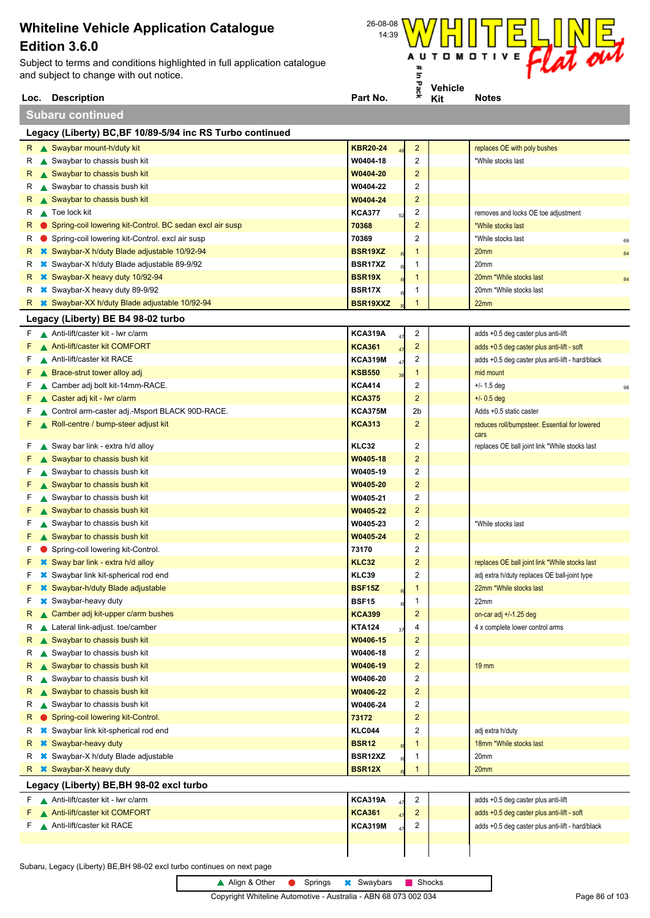**Loc. Description**<br> **Loc. Description**<br> **Part No. Part No. Part No. Part No. Part No. Part No. Part No. Part No. Part No. Part No. Part No. Part No. Part No. Part No. Part No. Part No. P** Subject to terms and conditions highlighted in full application catalogue and subject to change with out notice.



**Subaru continued**

| Legacy (Liberty) BC, BF 10/89-5/94 inc RS Turbo continued                      |                      |                         |                                                           |
|--------------------------------------------------------------------------------|----------------------|-------------------------|-----------------------------------------------------------|
| R Swaybar mount-h/duty kit                                                     | <b>KBR20-24</b>      | $\overline{2}$          | replaces OE with poly bushes                              |
| R Swaybar to chassis bush kit                                                  | W0404-18             | 2                       | *While stocks last                                        |
| R Swaybar to chassis bush kit                                                  | W0404-20             | $\overline{2}$          |                                                           |
| Swaybar to chassis bush kit<br>R                                               | W0404-22             | 2                       |                                                           |
| R Swaybar to chassis bush kit                                                  | W0404-24             | $\overline{2}$          |                                                           |
| $R \wedge$ Toe lock kit                                                        | <b>KCA377</b>        | 2                       |                                                           |
| ● Spring-coil lowering kit-Control. BC sedan excl air susp<br>R.               | 52<br>70368          | $\overline{2}$          | removes and locks OE toe adjustment<br>*While stocks last |
| Spring-coil lowering kit-Control. excl air susp<br>R                           | 70369                | 2                       | *While stocks last                                        |
| <b>■ Swaybar-X h/duty Blade adjustable 10/92-94</b><br>R.                      | BSR <sub>19</sub> XZ | 1                       | 69<br>20 <sub>mm</sub>                                    |
| <b>■ Swaybar-X h/duty Blade adjustable 89-9/92</b><br>R                        | BSR17XZ              | 1                       | 84<br>20mm                                                |
| R $\ast$ Swaybar-X heavy duty 10/92-94                                         | BSR <sub>19</sub> X  | $\mathbf{1}$            | 20mm *While stocks last                                   |
| R $\bullet\!\!\!\!\!\downarrow\!\!\!\!\downarrow$ Swaybar-X heavy duty 89-9/92 | <b>BSR17X</b>        | 1                       | 84<br>20mm *While stocks last                             |
| <b>■ Swaybar-XX h/duty Blade adjustable 10/92-94</b>                           | BSR19XXZ             | 1                       | 22mm                                                      |
|                                                                                |                      |                         |                                                           |
| Legacy (Liberty) BE B4 98-02 turbo                                             |                      |                         |                                                           |
| $F \wedge$ Anti-lift/caster kit - Iwr c/arm                                    | <b>KCA319A</b><br>47 | 2                       | adds +0.5 deg caster plus anti-lift                       |
| A Anti-lift/caster kit COMFORT<br>F.                                           | <b>KCA361</b>        | $\overline{c}$          | adds +0.5 deg caster plus anti-lift - soft                |
| A Anti-lift/caster kit RACE<br>F.                                              | <b>KCA319M</b>       | $\overline{c}$          | adds +0.5 deg caster plus anti-lift - hard/black          |
| ▲ Brace-strut tower alloy adj<br>F.                                            | <b>KSB550</b>        | 1                       | mid mount                                                 |
| Camber adj bolt kit-14mm-RACE.<br>F.                                           | <b>KCA414</b>        | 2                       | $+/- 1.5$ deg<br>98                                       |
| ▲ Caster adj kit - Iwr c/arm<br>F                                              | <b>KCA375</b>        | $\overline{2}$          | $+/- 0.5$ deg                                             |
| Control arm-caster adj.-Msport BLACK 90D-RACE.<br>F.                           | <b>KCA375M</b>       | 2b                      | Adds +0.5 static caster                                   |
| Roll-centre / bump-steer adjust kit<br>F.                                      | <b>KCA313</b>        | 2                       | reduces roll/bumpsteer. Essential for lowered<br>cars     |
| Sway bar link - extra h/d alloy<br>F.                                          | <b>KLC32</b>         | 2                       | replaces OE ball joint link *While stocks last            |
| ▲ Swaybar to chassis bush kit<br>F.                                            | W0405-18             | $\overline{2}$          |                                                           |
| F<br>Swaybar to chassis bush kit                                               | W0405-19             | 2                       |                                                           |
| ▲ Swaybar to chassis bush kit<br>F.                                            | W0405-20             | 2                       |                                                           |
| F.<br>Swaybar to chassis bush kit                                              | W0405-21             | 2                       |                                                           |
| ▲ Swaybar to chassis bush kit<br>F.                                            | W0405-22             | 2                       |                                                           |
| F.<br>Swaybar to chassis bush kit                                              | W0405-23             | 2                       | *While stocks last                                        |
| $\triangle$ Swaybar to chassis bush kit<br>F.                                  | W0405-24             | 2                       |                                                           |
| Spring-coil lowering kit-Control.<br>F.                                        | 73170                | 2                       |                                                           |
| F.<br><b><sup>■</sup></b> Sway bar link - extra h/d alloy                      | <b>KLC32</b>         | 2                       | replaces OE ball joint link *While stocks last            |
| <b><sup>■</sup></b> Swaybar link kit-spherical rod end<br>F                    | <b>KLC39</b>         | 2                       | adj extra h/duty replaces OE ball-joint type              |
| <b>*</b> Swaybar-h/duty Blade adjustable                                       | <b>BSF15Z</b>        | 1                       | 22mm *While stocks last                                   |
| <b>*</b> Swaybar-heavy duty<br>F.                                              | <b>BSF15</b>         | 1                       | 22mm                                                      |
| R Camber adj kit-upper c/arm bushes                                            | <b>KCA399</b>        | 2                       | on-car adj +/-1.25 deg                                    |
| Lateral link-adjust. toe/camber<br>R                                           | <b>KTA124</b>        | 4                       | 4 x complete lower control arms                           |
| R Swaybar to chassis bush kit                                                  | W0406-15             | 2                       |                                                           |
| Swaybar to chassis bush kit<br>R.                                              | W0406-18             | 2                       |                                                           |
| Swaybar to chassis bush kit<br>R.                                              | W0406-19             | $\overline{\mathbf{c}}$ | $19 \, \text{mm}$                                         |
| Swaybar to chassis bush kit<br>R.                                              | W0406-20             | 2                       |                                                           |
| R Swaybar to chassis bush kit                                                  | W0406-22             | $\overline{c}$          |                                                           |
| Swaybar to chassis bush kit<br>R.                                              | W0406-24             | 2                       |                                                           |
| Spring-coil lowering kit-Control.<br>R.                                        | 73172                | 2                       |                                                           |
| <b></b> Swaybar link kit-spherical rod end<br>R                                | <b>KLC044</b>        | 2                       | adj extra h/duty                                          |
| R <b>*</b> Swaybar-heavy duty                                                  | <b>BSR12</b>         | 1                       | 18mm *While stocks last                                   |
| <b>*</b> Swaybar-X h/duty Blade adjustable                                     | BSR12XZ              | 1                       | 20mm                                                      |
| R <b>*</b> Swaybar-X heavy duty                                                | <b>BSR12X</b>        | 1                       | 20 <sub>mm</sub>                                          |
| Legacy (Liberty) BE, BH 98-02 excl turbo                                       |                      |                         |                                                           |
| Anti-lift/caster kit - Iwr c/arm<br>F.                                         | <b>KCA319A</b>       | $\overline{\mathbf{c}}$ | adds +0.5 deg caster plus anti-lift                       |
| A Anti-lift/caster kit COMFORT<br>F                                            | <b>KCA361</b>        | $\overline{2}$          | adds +0.5 deg caster plus anti-lift - soft                |
| Anti-lift/caster kit RACE<br>F                                                 | <b>KCA319M</b>       | $\overline{c}$          | adds +0.5 deg caster plus anti-lift - hard/black          |
|                                                                                |                      |                         |                                                           |
|                                                                                |                      |                         |                                                           |
| Subaru, Legacy (Liberty) BE, BH 98-02 excl turbo continues on next page        |                      |                         |                                                           |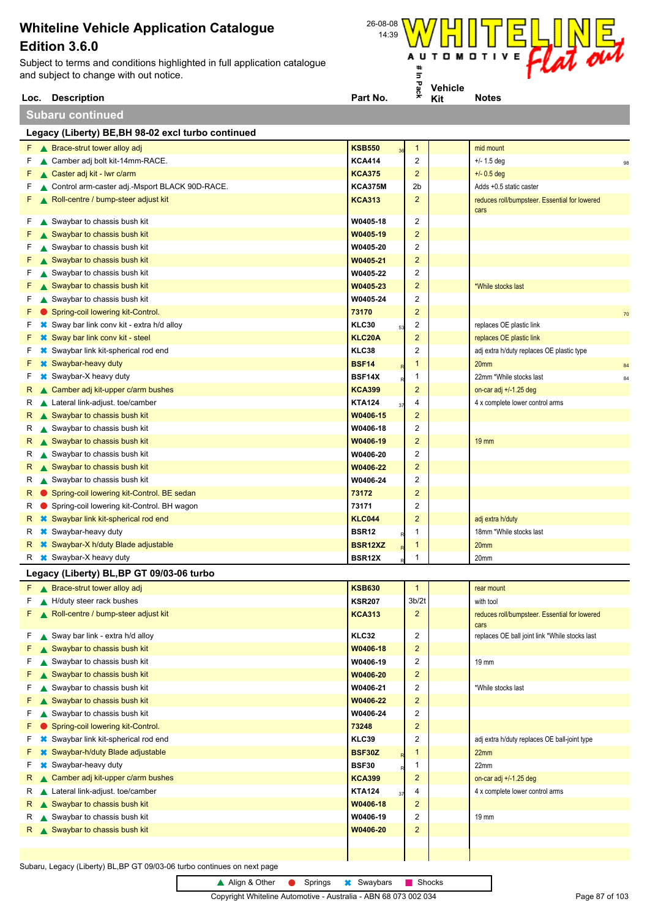**Loc. Description**<br> **Loc. Description**<br> **Part No. Part No. Part No. Part No. Part No. Part No. Part No. Part No. Part No. Part No. Part No. Part No. Part No. Part No. Part No. Part No. P** Subject to terms and conditions highlighted in full application catalogue and subject to change with out notice.



| <b>Subaru continued</b> |  |
|-------------------------|--|
|                         |  |

|    | Legacy (Liberty) BE, BH 98-02 excl turbo continued |                |                         |                                                |    |
|----|----------------------------------------------------|----------------|-------------------------|------------------------------------------------|----|
|    | F A Brace-strut tower alloy adj                    | <b>KSB550</b>  | 1                       | mid mount                                      |    |
| F. | Camber adj bolt kit-14mm-RACE.                     | <b>KCA414</b>  | 2                       | $+/- 1.5$ deg                                  | 98 |
| F. | Caster adj kit - Iwr c/arm                         | <b>KCA375</b>  | $\overline{c}$          | $+/- 0.5$ deg                                  |    |
| F. | Control arm-caster adj.-Msport BLACK 90D-RACE.     | <b>KCA375M</b> | 2b                      | Adds +0.5 static caster                        |    |
| F. | Roll-centre / bump-steer adjust kit                | <b>KCA313</b>  | 2                       | reduces roll/bumpsteer. Essential for lowered  |    |
| F. | Swaybar to chassis bush kit                        | W0405-18       | 2                       | cars                                           |    |
| F. | Swaybar to chassis bush kit                        | W0405-19       | $\overline{\mathbf{c}}$ |                                                |    |
| F. | Swaybar to chassis bush kit                        | W0405-20       | 2                       |                                                |    |
|    | Swaybar to chassis bush kit                        | W0405-21       | 2                       |                                                |    |
| F. | Swaybar to chassis bush kit                        | W0405-22       | 2                       |                                                |    |
| F. | Swaybar to chassis bush kit                        | W0405-23       | 2                       | *While stocks last                             |    |
| F. | Swaybar to chassis bush kit                        | W0405-24       | 2                       |                                                |    |
| F. | Spring-coil lowering kit-Control.                  | 73170          | $\overline{\mathbf{c}}$ |                                                |    |
| F. | <b>■ Sway bar link conv kit - extra h/d alloy</b>  | KLC30          | 2                       | replaces OE plastic link                       | 70 |
|    | <b><sup>■</sup></b> Sway bar link conv kit - steel | KLC20A         | $\overline{c}$          | replaces OE plastic link                       |    |
| F. | <b></b> Swaybar link kit-spherical rod end         | KLC38          | 2                       | adj extra h/duty replaces OE plastic type      |    |
| F  | <b>*</b> Swaybar-heavy duty                        | <b>BSF14</b>   | 1                       | 20 <sub>mm</sub>                               |    |
| F. | <b><sup>■</sup></b> Swaybar-X heavy duty           | BSF14X         | 1                       | 22mm *While stocks last                        | 84 |
| R. | Camber adj kit-upper c/arm bushes                  | <b>KCA399</b>  | $\overline{2}$          | on-car adj +/-1.25 deg                         | 84 |
| R  | Lateral link-adjust. toe/camber                    | <b>KTA124</b>  | 4                       | 4 x complete lower control arms                |    |
|    | R Swaybar to chassis bush kit                      | W0406-15       | $\overline{2}$          |                                                |    |
|    | $R \triangle$ Swaybar to chassis bush kit          | W0406-18       | 2                       |                                                |    |
|    | R Swaybar to chassis bush kit                      | W0406-19       | $\overline{2}$          | $19 \text{ mm}$                                |    |
|    | R Swaybar to chassis bush kit                      | W0406-20       | 2                       |                                                |    |
|    | R Swaybar to chassis bush kit                      | W0406-22       | $\overline{\mathbf{c}}$ |                                                |    |
|    | R Swaybar to chassis bush kit                      | W0406-24       | 2                       |                                                |    |
| R. | Spring-coil lowering kit-Control. BE sedan         | 73172          | $\overline{2}$          |                                                |    |
| R  | ● Spring-coil lowering kit-Control. BH wagon       | 73171          | 2                       |                                                |    |
| R  | <b>*</b> Swaybar link kit-spherical rod end        | <b>KLC044</b>  | 2                       | adj extra h/duty                               |    |
| R  | <b>*</b> Swaybar-heavy duty                        | <b>BSR12</b>   | 1                       | 18mm *While stocks last                        |    |
| R. | <b>*</b> Swaybar-X h/duty Blade adjustable         | <b>BSR12XZ</b> | 1                       | 20 <sub>mm</sub>                               |    |
| R  | <b>*</b> Swaybar-X heavy duty                      | BSR12X         | 1                       | 20mm                                           |    |
|    | Legacy (Liberty) BL, BP GT 09/03-06 turbo          |                |                         |                                                |    |
|    | F A Brace-strut tower alloy adj                    | <b>KSB630</b>  | $\mathbf{1}$            | rear mount                                     |    |
|    | H/duty steer rack bushes                           | <b>KSR207</b>  | 3b/2t                   | with tool                                      |    |
|    | Roll-centre / bump-steer adjust kit                | <b>KCA313</b>  | $\overline{c}$          | reduces roll/bumpsteer. Essential for lowered  |    |
|    |                                                    |                |                         | cars                                           |    |
| F. | Sway bar link - extra h/d alloy                    | <b>KLC32</b>   | 2                       | replaces OE ball joint link *While stocks last |    |
| F  | Swaybar to chassis bush kit                        | W0406-18       | $\overline{\mathbf{c}}$ |                                                |    |
| F. | Swaybar to chassis bush kit                        | W0406-19       | 2                       | 19 mm                                          |    |
| F  | Swaybar to chassis bush kit                        | W0406-20       | $\overline{\mathbf{c}}$ |                                                |    |
| F. | Swaybar to chassis bush kit                        | W0406-21       | 2                       | *While stocks last                             |    |
| F. | Swaybar to chassis bush kit                        | W0406-22       | $\overline{2}$          |                                                |    |
| F. | Swaybar to chassis bush kit                        | W0406-24       | 2                       |                                                |    |
| F. | Spring-coil lowering kit-Control.                  | 73248          | $\overline{\mathbf{c}}$ |                                                |    |
| F. | <b>*</b> Swaybar link kit-spherical rod end        | KLC39          | 2                       | adj extra h/duty replaces OE ball-joint type   |    |
|    | <b>*</b> Swaybar-h/duty Blade adjustable           | BSF30Z         | 1                       | 22mm                                           |    |
| F. | <b>*</b> Swaybar-heavy duty                        | <b>BSF30</b>   | 1                       | 22mm                                           |    |
| R. | Camber adj kit-upper c/arm bushes                  | <b>KCA399</b>  | $\overline{\mathbf{c}}$ | on-car adj +/-1.25 deg                         |    |
| R. | Lateral link-adjust. toe/camber                    | <b>KTA124</b>  | 4                       | 4 x complete lower control arms                |    |
| R. | Swaybar to chassis bush kit                        | W0406-18       | $\overline{\mathbf{c}}$ |                                                |    |
| R. | Swaybar to chassis bush kit                        | W0406-19       | 2                       | 19 mm                                          |    |
|    | R Swaybar to chassis bush kit                      | W0406-20       | $\overline{2}$          |                                                |    |

Subaru, Legacy (Liberty) BL,BP GT 09/03-06 turbo continues on next page

▲ Align & Other ● Springs <sup>★</sup> Swaybars ■ Shocks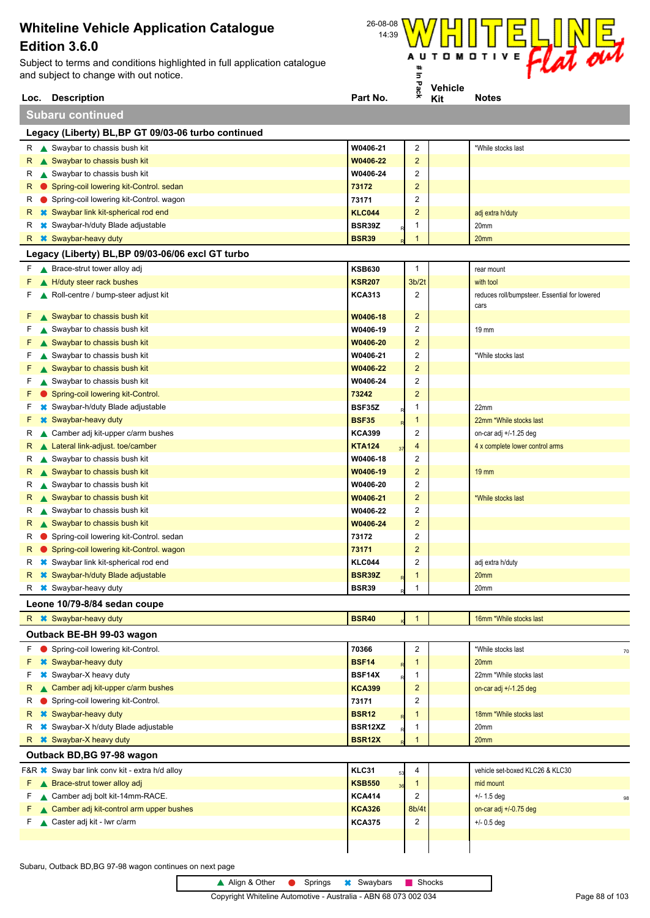Subject to terms and conditions highlighted in full application catalogue and subject to change with out notice.



|    | Loc. Description                                       | Part No.            | 웃                       | Kit | <b>Notes</b>                                  |
|----|--------------------------------------------------------|---------------------|-------------------------|-----|-----------------------------------------------|
|    | <b>Subaru continued</b>                                |                     |                         |     |                                               |
|    | Legacy (Liberty) BL, BP GT 09/03-06 turbo continued    |                     |                         |     |                                               |
|    | $R \triangle$ Swaybar to chassis bush kit              | W0406-21            | $\overline{\mathbf{c}}$ |     | *While stocks last                            |
| R  | Swaybar to chassis bush kit                            | W0406-22            | $\overline{\mathbf{c}}$ |     |                                               |
| к  | Swaybar to chassis bush kit                            | W0406-24            | 2                       |     |                                               |
| R  | Spring-coil lowering kit-Control. sedan                | 73172               | $\overline{\mathbf{c}}$ |     |                                               |
| R  | Spring-coil lowering kit-Control. wagon                | 73171               | 2                       |     |                                               |
| R. | <b>*</b> Swaybar link kit-spherical rod end            | <b>KLC044</b>       | $\overline{\mathbf{c}}$ |     | adj extra h/duty                              |
| R  | <b>*</b> Swaybar-h/duty Blade adjustable               | BSR39Z              | 1                       |     | 20mm                                          |
| R. | <b>*</b> Swaybar-heavy duty                            | <b>BSR39</b>        | 1                       |     | 20 <sub>mm</sub>                              |
|    | Legacy (Liberty) BL, BP 09/03-06/06 excl GT turbo      |                     |                         |     |                                               |
| F. | ▲ Brace-strut tower alloy adj                          | <b>KSB630</b>       | $\mathbf{1}$            |     | rear mount                                    |
| F  | H/duty steer rack bushes                               | <b>KSR207</b>       | 3 <sub>b</sub> /2t      |     | with tool                                     |
| F  | Roll-centre / bump-steer adjust kit                    | <b>KCA313</b>       | 2                       |     | reduces roll/bumpsteer. Essential for lowered |
| F  | Swaybar to chassis bush kit                            | W0406-18            | $\overline{\mathbf{c}}$ |     | cars                                          |
| F  | Swaybar to chassis bush kit                            | W0406-19            | 2                       |     | 19 mm                                         |
| F  | Swaybar to chassis bush kit                            | W0406-20            | 2                       |     |                                               |
| F  | Swaybar to chassis bush kit                            | W0406-21            | 2                       |     | *While stocks last                            |
| F  | Swaybar to chassis bush kit                            | W0406-22            | 2                       |     |                                               |
| F  | Swaybar to chassis bush kit                            | W0406-24            | 2                       |     |                                               |
| F  | Spring-coil lowering kit-Control.                      | 73242               | $\overline{\mathbf{c}}$ |     |                                               |
| F  | <b><sup>■</sup></b> Swaybar-h/duty Blade adjustable    | BSF35Z              | 1                       |     | 22mm                                          |
| F  | <b>*</b> Swaybar-heavy duty                            | <b>BSF35</b>        | 1                       |     | 22mm *While stocks last                       |
| R  | Camber adj kit-upper c/arm bushes                      | <b>KCA399</b>       | 2                       |     | on-car adj +/-1.25 deg                        |
| R  | ▲ Lateral link-adjust. toe/camber                      | <b>KTA124</b>       | 4                       |     | 4 x complete lower control arms               |
| R  | Swaybar to chassis bush kit                            | W0406-18            | 2                       |     |                                               |
| R  | Swaybar to chassis bush kit                            | W0406-19            | $\overline{2}$          |     | $19 \, \text{mm}$                             |
| R  | Swaybar to chassis bush kit                            | W0406-20            | 2                       |     |                                               |
| R  | Swaybar to chassis bush kit                            | W0406-21            | $\overline{\mathbf{c}}$ |     | *While stocks last                            |
| R  | Swaybar to chassis bush kit                            | W0406-22            | 2                       |     |                                               |
| R  | Swaybar to chassis bush kit                            | W0406-24            | $\overline{\mathbf{c}}$ |     |                                               |
| R  | Spring-coil lowering kit-Control. sedan                | 73172               | 2                       |     |                                               |
| R  | Spring-coil lowering kit-Control. wagon                | 73171               | $\overline{\mathbf{c}}$ |     |                                               |
| R  | <b><sup>■</sup></b> Swaybar link kit-spherical rod end | <b>KLC044</b>       | 2                       |     | adj extra h/duty                              |
| R. | <b>*</b> Swaybar-h/duty Blade adjustable               | <b>BSR39Z</b>       | 1                       |     | 20 <sub>mm</sub>                              |
|    | R <b>*</b> Swaybar-heavy duty                          | <b>BSR39</b>        | $\mathbf{1}$            |     | 20mm                                          |
|    | Leone 10/79-8/84 sedan coupe                           |                     |                         |     |                                               |
|    | R <b>*</b> Swaybar-heavy duty                          | <b>BSR40</b>        | 1                       |     | 16mm *While stocks last                       |
|    | Outback BE-BH 99-03 wagon                              |                     |                         |     |                                               |
| F  | Spring-coil lowering kit-Control.                      | 70366               | $\overline{2}$          |     | *While stocks last<br>70                      |
| F  | <b>*</b> Swaybar-heavy duty                            | <b>BSF14</b>        | 1                       |     | 20 <sub>mm</sub>                              |
| F  | <b>*</b> Swaybar-X heavy duty                          | <b>BSF14X</b>       | 1                       |     | 22mm *While stocks last                       |
| R  | ▲ Camber adj kit-upper c/arm bushes                    | <b>KCA399</b>       | $\overline{\mathbf{c}}$ |     | on-car adj +/-1.25 deg                        |
| R  | Spring-coil lowering kit-Control.                      | 73171               | 2                       |     |                                               |
| R  | <b>*</b> Swaybar-heavy duty                            | <b>BSR12</b>        | 1                       |     | 18mm *While stocks last                       |
| R  | <b>*</b> Swaybar-X h/duty Blade adjustable             | BSR12XZ             | 1                       |     | 20mm                                          |
| R  | <b>*</b> Swaybar-X heavy duty                          | <b>BSR12X</b>       | 1                       |     | 20 <sub>mm</sub>                              |
|    | Outback BD, BG 97-98 wagon                             |                     |                         |     |                                               |
|    | F&R <b>X</b> Sway bar link conv kit - extra h/d alloy  | KLC31<br>53         | 4                       |     | vehicle set-boxed KLC26 & KLC30               |
|    | F A Brace-strut tower alloy adj                        | <b>KSB550</b><br>36 | $\mathbf{1}$            |     | mid mount                                     |
| F  | Camber adj bolt kit-14mm-RACE.                         | <b>KCA414</b>       | 2                       |     | $+/- 1.5$ deg<br>98                           |
| F  | ▲ Camber adj kit-control arm upper bushes              | <b>KCA326</b>       | 8b/4t                   |     | on-car adj +/-0.75 deg                        |
| F  | Caster adj kit - Iwr c/arm                             | <b>KCA375</b>       | 2                       |     | $+/- 0.5$ deg                                 |
|    |                                                        |                     |                         |     |                                               |
|    |                                                        |                     |                         |     |                                               |

Subaru, Outback BD,BG 97-98 wagon continues on next page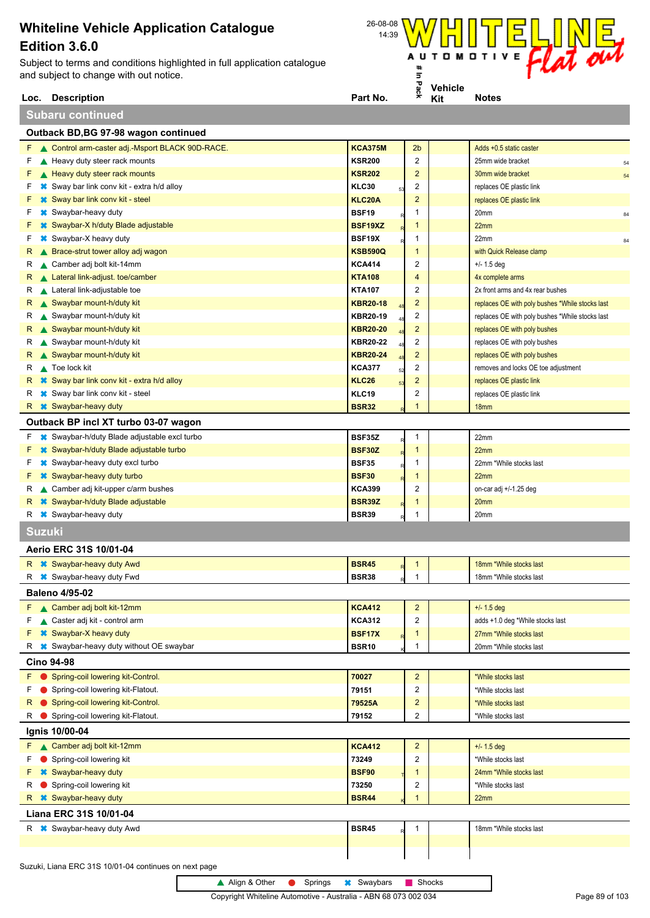Subject to terms and conditions highlighted in full application catalogue and subject to change with out notice.



**Subaru continued**

| Outback BD, BG 97-98 wagon continued                                  |                               |                         |                                                 |
|-----------------------------------------------------------------------|-------------------------------|-------------------------|-------------------------------------------------|
| F Control arm-caster adj.-Msport BLACK 90D-RACE.                      | <b>KCA375M</b>                | 2 <sub>b</sub>          | Adds +0.5 static caster                         |
| Heavy duty steer rack mounts<br>F.                                    | <b>KSR200</b>                 | 2                       | 25mm wide bracket<br>54                         |
| Heavy duty steer rack mounts<br>F.                                    | <b>KSR202</b>                 | $\overline{2}$          | 30mm wide bracket<br>54                         |
| <b>*</b> Sway bar link conv kit - extra h/d alloy<br>F.               | KLC30                         | $\overline{\mathbf{c}}$ | replaces OE plastic link                        |
| <b>*</b> Sway bar link conv kit - steel<br>F.                         | KLC20A                        | $\overline{\mathbf{c}}$ | replaces OE plastic link                        |
| <b><sup>■</sup></b> Swaybar-heavy duty<br>F.                          | <b>BSF19</b>                  | 1                       | 20mm<br>84                                      |
| <b>*</b> Swaybar-X h/duty Blade adjustable<br>F.                      | <b>BSF19XZ</b>                | 1                       | 22mm                                            |
| <b>*</b> Swaybar-X heavy duty<br>F.                                   | BSF19X                        | 1                       | 22mm<br>84                                      |
| ▲ Brace-strut tower alloy adj wagon<br>R.                             | KSB590Q                       | 1                       | with Quick Release clamp                        |
| Camber adj bolt kit-14mm<br>R                                         | <b>KCA414</b>                 | 2                       | $+/- 1.5$ deg                                   |
| ▲ Lateral link-adjust. toe/camber<br>R.                               | <b>KTA108</b>                 | 4                       | 4x complete arms                                |
| ▲ Lateral link-adjustable toe<br>R                                    | KTA107                        | 2                       | 2x front arms and 4x rear bushes                |
| Swaybar mount-h/duty kit<br>R.                                        | <b>KBR20-18</b>               | 2                       | replaces OE with poly bushes *While stocks last |
| Swaybar mount-h/duty kit<br>R                                         | KBR20-19                      | 2                       | replaces OE with poly bushes *While stocks last |
| Swaybar mount-h/duty kit<br>R.                                        | <b>KBR20-20</b>               | $\overline{c}$          | replaces OE with poly bushes                    |
| Swaybar mount-h/duty kit<br>R                                         | KBR20-22                      | 2                       | replaces OE with poly bushes                    |
| Swaybar mount-h/duty kit<br>R.                                        | <b>KBR20-24</b>               | $\overline{2}$          | replaces OE with poly bushes                    |
| R ▲ Toe lock kit                                                      | <b>KCA377</b>                 | $\overline{\mathbf{c}}$ | removes and locks OE toe adjustment             |
| R * Sway bar link conv kit - extra h/d alloy                          | <b>KLC26</b>                  | $\overline{c}$          | replaces OE plastic link                        |
| R <b>*</b> Sway bar link conv kit - steel                             | KLC19                         | 2                       | replaces OE plastic link                        |
| R <b>*</b> Swaybar-heavy duty                                         | <b>BSR32</b>                  | 1                       | 18 <sub>mm</sub>                                |
| Outback BP incl XT turbo 03-07 wagon                                  |                               |                         |                                                 |
|                                                                       | BSF35Z                        |                         |                                                 |
| <b><sup>■</sup></b> Swaybar-h/duty Blade adjustable excl turbo<br>F.  |                               | 1                       | 22mm                                            |
| <b>*</b> Swaybar-h/duty Blade adjustable turbo<br>F                   | <b>BSF30Z</b>                 | $\mathbf{1}$            | 22mm                                            |
| <b></b> Swaybar-heavy duty excl turbo<br>F.                           | <b>BSF35</b>                  | 1                       | 22mm *While stocks last                         |
| <b>*</b> Swaybar-heavy duty turbo<br>F                                | <b>BSF30</b>                  | $\mathbf{1}$            | 22mm                                            |
| Camber adj kit-upper c/arm bushes<br>R                                | <b>KCA399</b>                 | 2                       | on-car adj +/-1.25 deg                          |
| <b>*</b> Swaybar-h/duty Blade adjustable<br>R.                        | BSR39Z                        | 1                       | 20mm                                            |
| R <b>*</b> Swaybar-heavy duty                                         | <b>BSR39</b>                  | 1                       | 20mm                                            |
| <b>Suzuki</b>                                                         |                               |                         |                                                 |
| Aerio ERC 31S 10/01-04                                                |                               |                         |                                                 |
| R <b>*</b> Swaybar-heavy duty Awd                                     | <b>BSR45</b>                  | 1                       | 18mm *While stocks last                         |
| R <b>X</b> Swaybar-heavy duty Fwd                                     | <b>BSR38</b>                  | 1                       | 18mm *While stocks last                         |
| <b>Baleno 4/95-02</b>                                                 |                               |                         |                                                 |
|                                                                       | <b>KCA412</b>                 | $\overline{2}$          |                                                 |
| ▲ Camber adj bolt kit-12mm                                            |                               |                         | $+/- 1.5$ deg                                   |
| F Caster adj kit - control arm                                        | <b>KCA312</b>                 | $\overline{2}$          | adds +1.0 deg *While stocks last                |
| F * Swaybar-X heavy duty<br>R * Swaybar-heavy duty without OE swaybar | <b>BSF17X</b><br><b>BSR10</b> | 1<br>$\mathbf{1}$       | 27mm *While stocks last                         |
|                                                                       |                               |                         | 20mm *While stocks last                         |
| <b>Cino 94-98</b>                                                     |                               |                         |                                                 |
| F Spring-coil lowering kit-Control.                                   | 70027                         | $\overline{a}$          | *While stocks last                              |
| F Spring-coil lowering kit-Flatout.                                   | 79151                         | 2                       | *While stocks last                              |
| R Spring-coil lowering kit-Control.                                   | 79525A                        | 2                       | *While stocks last                              |
| Spring-coil lowering kit-Flatout.<br>R                                | 79152                         | 2                       | *While stocks last                              |
| Ignis 10/00-04                                                        |                               |                         |                                                 |
| F Camber adj bolt kit-12mm                                            | <b>KCA412</b>                 | $\overline{c}$          | $+/- 1.5$ deg                                   |
| Spring-coil lowering kit<br>۲.                                        | 73249                         | 2                       | *While stocks last                              |
|                                                                       |                               |                         |                                                 |

|   | $\blacksquare$ $\blacksquare$ $\blacksquare$ $\blacksquare$ $\blacksquare$ $\blacksquare$ $\blacksquare$ $\blacksquare$ $\blacksquare$ $\blacksquare$ $\blacksquare$ $\blacksquare$ $\blacksquare$ $\blacksquare$ $\blacksquare$ $\blacksquare$ $\blacksquare$ $\blacksquare$ $\blacksquare$ $\blacksquare$ $\blacksquare$ $\blacksquare$ $\blacksquare$ $\blacksquare$ $\blacksquare$ $\blacksquare$ $\blacksquare$ $\blacksquare$ $\blacksquare$ $\blacksquare$ $\blacksquare$ $\blacks$ |              |  |                         |
|---|--------------------------------------------------------------------------------------------------------------------------------------------------------------------------------------------------------------------------------------------------------------------------------------------------------------------------------------------------------------------------------------------------------------------------------------------------------------------------------------------|--------------|--|-------------------------|
|   | $R \times$ Swaybar-heavy duty                                                                                                                                                                                                                                                                                                                                                                                                                                                              | <b>BSR44</b> |  | 22mm                    |
| R | Spring-coil lowering kit                                                                                                                                                                                                                                                                                                                                                                                                                                                                   | 73250        |  | *While stocks last      |
|   | <b>*</b> Swaybar-heavy duty                                                                                                                                                                                                                                                                                                                                                                                                                                                                | <b>BSF90</b> |  | 24mm *While stocks last |

#### **Liana ERC 31S 10/01-04**

| R <b>*</b> Swaybar-heavy duty Awd | <b>BSR45</b> |  | 18mm *While stocks last |
|-----------------------------------|--------------|--|-------------------------|
|                                   |              |  |                         |
|                                   |              |  |                         |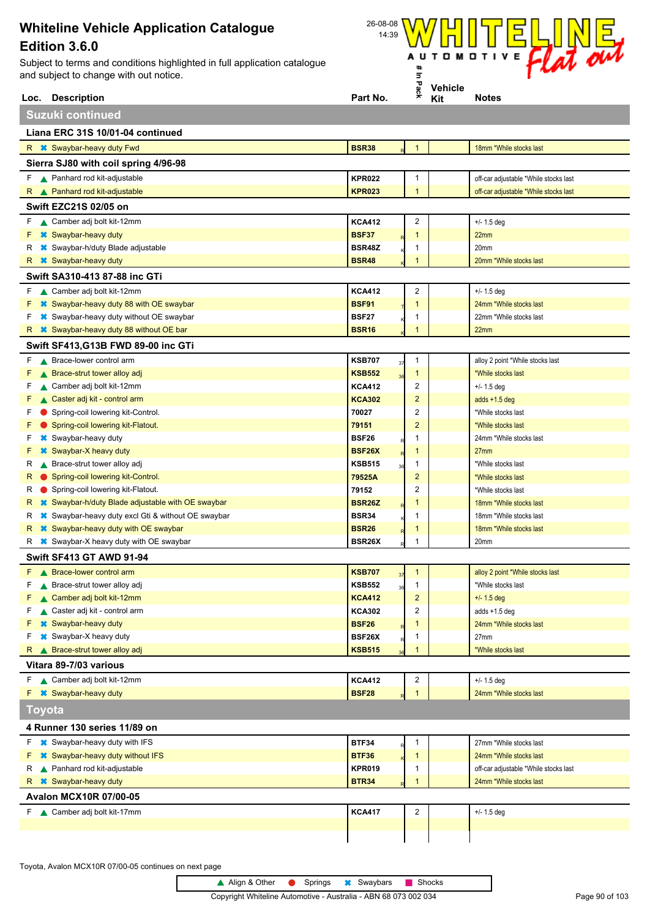Subject to terms and conditions highlighted in full application catalogue and subject to change with out notice.



|        | Loc. Description                                             | Part No.                       | 쥿                            | <b>ACILIAI</b><br>Kit | <b>Notes</b>                                |
|--------|--------------------------------------------------------------|--------------------------------|------------------------------|-----------------------|---------------------------------------------|
|        | <b>Suzuki continued</b>                                      |                                |                              |                       |                                             |
|        | Liana ERC 31S 10/01-04 continued                             |                                |                              |                       |                                             |
|        | R <b>*</b> Swaybar-heavy duty Fwd                            | <b>BSR38</b>                   | $\mathbf{1}$                 |                       | 18mm *While stocks last                     |
|        |                                                              |                                |                              |                       |                                             |
|        | Sierra SJ80 with coil spring 4/96-98                         |                                |                              |                       |                                             |
|        | F Panhard rod kit-adjustable<br>R Panhard rod kit-adjustable | <b>KPR022</b><br><b>KPR023</b> | $\mathbf{1}$<br>$\mathbf{1}$ |                       | off-car adjustable *While stocks last       |
|        |                                                              |                                |                              |                       | off-car adjustable *While stocks last       |
|        | Swift EZC21S 02/05 on                                        |                                |                              |                       |                                             |
| F.     | Camber adj bolt kit-12mm                                     | <b>KCA412</b>                  | 2                            |                       | $+/- 1.5$ deg                               |
| F      | <b>*</b> Swaybar-heavy duty                                  | <b>BSF37</b>                   | $\mathbf{1}$                 |                       | 22mm                                        |
| R      | <b>☀</b> Swaybar-h/duty Blade adjustable                     | BSR48Z                         | -1<br>1                      |                       | 20mm                                        |
| R      | <b>*</b> Swaybar-heavy duty                                  | <b>BSR48</b>                   |                              |                       | 20mm *While stocks last                     |
|        | Swift SA310-413 87-88 inc GTi                                |                                |                              |                       |                                             |
| F      | ▲ Camber adj bolt kit-12mm                                   | <b>KCA412</b>                  | $\overline{\mathbf{c}}$      |                       | $+/- 1.5$ deg                               |
| F      | <b>*</b> Swaybar-heavy duty 88 with OE swaybar               | <b>BSF91</b>                   | $\mathbf{1}$                 |                       | 24mm *While stocks last                     |
| F      | <b></b> Swaybar-heavy duty without OE swaybar                | <b>BSF27</b>                   | 1                            |                       | 22mm *While stocks last                     |
| R      | <b><sup>■</sup></b> Swaybar-heavy duty 88 without OE bar     | <b>BSR16</b>                   | $\overline{1}$               |                       | 22mm                                        |
|        | Swift SF413, G13B FWD 89-00 inc GTi                          |                                |                              |                       |                                             |
| F.     | ▲ Brace-lower control arm                                    | <b>KSB707</b><br>37            | $\mathbf{1}$                 |                       | alloy 2 point *While stocks last            |
| F      | ▲ Brace-strut tower alloy adj                                | <b>KSB552</b>                  | $\mathbf{1}$                 |                       | *While stocks last                          |
| F      | ▲ Camber adj bolt kit-12mm                                   | <b>KCA412</b>                  | 2                            |                       | $+/- 1.5$ deg                               |
| F      | Caster adj kit - control arm                                 | <b>KCA302</b>                  | $\overline{c}$               |                       | adds $+1.5$ deg                             |
| F      | Spring-coil lowering kit-Control.                            | 70027                          | $\overline{2}$               |                       | *While stocks last                          |
| F<br>F | Spring-coil lowering kit-Flatout.                            | 79151<br><b>BSF26</b>          | 2<br>1                       |                       | *While stocks last                          |
| F      | Swaybar-heavy duty<br><b>*</b> Swaybar-X heavy duty          | <b>BSF26X</b>                  | $\overline{1}$               |                       | 24mm *While stocks last<br>27 <sub>mm</sub> |
| R      | Brace-strut tower alloy adj                                  | <b>KSB515</b>                  | $\mathbf 1$                  |                       | *While stocks last                          |
| R      | Spring-coil lowering kit-Control.                            | 36<br>79525A                   | $\overline{2}$               |                       | *While stocks last                          |
| R      | Spring-coil lowering kit-Flatout.                            | 79152                          | 2                            |                       | *While stocks last                          |
| R      | <b>■ Swaybar-h/duty Blade adjustable with OE swaybar</b>     | <b>BSR26Z</b>                  | $\mathbf 1$                  |                       | 18mm *While stocks last                     |
| R      | <b>X</b> Swaybar-heavy duty excl Gti & without OE swaybar    | <b>BSR34</b>                   | $\mathbf 1$                  |                       | 18mm *While stocks last                     |
| R      | <sup>*</sup> Swaybar-heavy duty with OE swaybar              | <b>BSR26</b>                   | -1                           |                       | 18mm *While stocks last                     |
| R      | <b><sup>■</sup></b> Swaybar-X heavy duty with OE swaybar     | <b>BSR26X</b>                  | 1                            |                       | 20mm                                        |
|        | <b>Swift SF413 GT AWD 91-94</b>                              |                                |                              |                       |                                             |
|        | <b>F</b> A Brace-lower control arm                           | <b>KSB707</b><br>37            | $\mathbf{1}$                 |                       | alloy 2 point *While stocks last            |
| F.     | ▲ Brace-strut tower alloy adj                                | <b>KSB552</b><br>36            | $\mathbf{1}$                 |                       | *While stocks last                          |
| F      | ▲ Camber adj bolt kit-12mm                                   | <b>KCA412</b>                  | $\overline{2}$               |                       | $+/- 1.5$ deg                               |
| F      | Caster adj kit - control arm                                 | <b>KCA302</b>                  | $\overline{2}$               |                       | adds $+1.5$ deg                             |
| F      | <b>*</b> Swaybar-heavy duty                                  | <b>BSF26</b>                   | $\mathbf{1}$                 |                       | 24mm *While stocks last                     |
| F      | <b>*</b> Swaybar-X heavy duty                                | BSF26X                         | $\mathbf{1}$                 |                       | 27 <sub>mm</sub>                            |
|        | R Brace-strut tower alloy adj                                | <b>KSB515</b>                  | 1                            |                       | *While stocks last                          |
|        | Vitara 89-7/03 various                                       |                                |                              |                       |                                             |
|        | F Camber adj bolt kit-12mm                                   | <b>KCA412</b>                  | 2                            |                       | $+/- 1.5$ deg                               |
| F.     | <b>**</b> Swaybar-heavy duty                                 | <b>BSF28</b>                   | $\mathbf{1}$                 |                       | 24mm *While stocks last                     |
| Toyota |                                                              |                                |                              |                       |                                             |
|        | 4 Runner 130 series 11/89 on                                 |                                |                              |                       |                                             |
| F.     | <b>■ Swaybar-heavy duty with IFS</b>                         | <b>BTF34</b>                   | $\mathbf{1}$                 |                       | 27mm *While stocks last                     |
| F      | <b>*</b> Swaybar-heavy duty without IFS                      | <b>BTF36</b>                   | $\mathbf{1}$                 |                       | 24mm *While stocks last                     |
| R      | ▲ Panhard rod kit-adjustable                                 | <b>KPR019</b>                  | $\mathbf{1}$                 |                       | off-car adjustable *While stocks last       |
|        | R <b>*</b> Swaybar-heavy duty                                | <b>BTR34</b>                   | $\overline{1}$               |                       | 24mm *While stocks last                     |
|        | <b>Avalon MCX10R 07/00-05</b>                                |                                |                              |                       |                                             |
|        | F Camber adj bolt kit-17mm                                   | <b>KCA417</b>                  | $\overline{2}$               |                       | $+/- 1.5$ deg                               |
|        |                                                              |                                |                              |                       |                                             |
|        |                                                              |                                |                              |                       |                                             |

Toyota, Avalon MCX10R 07/00-05 continues on next page

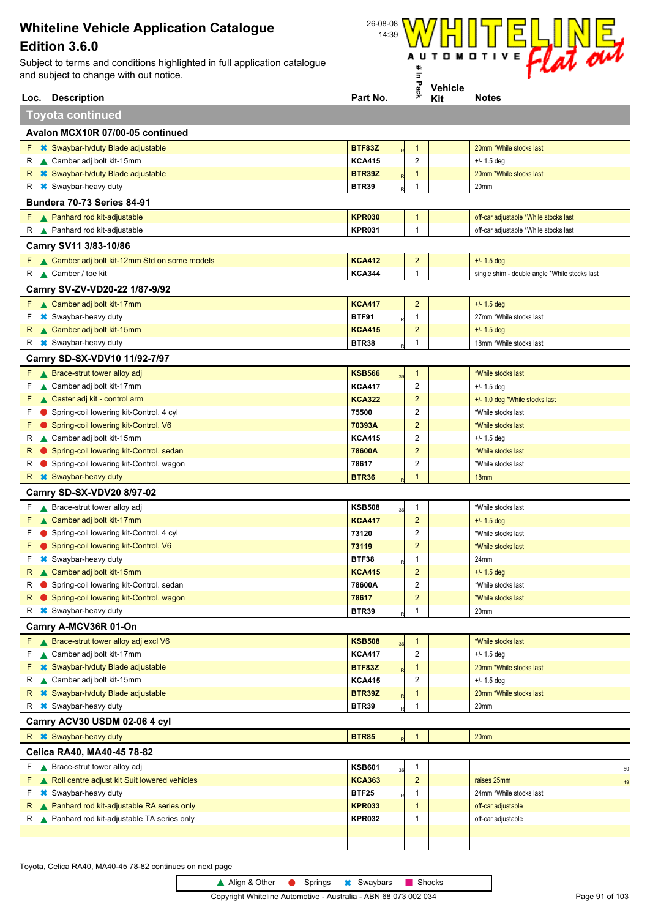Subject to terms and conditions highlighted in full application catalogue and subject to change with out notice.



|         | Loc. Description                                                            | Part No.            | £                              | Kit | <b>Notes</b>                                  |  |  |  |  |
|---------|-----------------------------------------------------------------------------|---------------------|--------------------------------|-----|-----------------------------------------------|--|--|--|--|
|         | <b>Toyota continued</b>                                                     |                     |                                |     |                                               |  |  |  |  |
|         | Avalon MCX10R 07/00-05 continued                                            |                     |                                |     |                                               |  |  |  |  |
|         | <b>F</b> * Swaybar-h/duty Blade adjustable                                  | <b>BTF83Z</b>       | $\mathbf{1}$                   |     | 20mm *While stocks last                       |  |  |  |  |
| R       | Camber adj bolt kit-15mm                                                    | <b>KCA415</b>       | $\overline{c}$                 |     | $+/- 1.5$ deg                                 |  |  |  |  |
|         | R * Swaybar-h/duty Blade adjustable                                         | <b>BTR39Z</b>       | $\mathbf{1}$                   |     | 20mm *While stocks last                       |  |  |  |  |
| R       | <b>*</b> Swaybar-heavy duty                                                 | <b>BTR39</b>        | 1                              |     | 20mm                                          |  |  |  |  |
|         | <b>Bundera 70-73 Series 84-91</b>                                           |                     |                                |     |                                               |  |  |  |  |
|         | F <b>A</b> Panhard rod kit-adjustable                                       | <b>KPR030</b>       | $\mathbf{1}$                   |     | off-car adjustable *While stocks last         |  |  |  |  |
|         | R Panhard rod kit-adjustable                                                | KPR031              | 1                              |     | off-car adjustable *While stocks last         |  |  |  |  |
|         | Camry SV11 3/83-10/86                                                       |                     |                                |     |                                               |  |  |  |  |
|         | F Camber adj bolt kit-12mm Std on some models                               | <b>KCA412</b>       | $\overline{a}$                 |     | $+/- 1.5$ deg                                 |  |  |  |  |
|         | R Camber / toe kit                                                          | <b>KCA344</b>       | 1                              |     | single shim - double angle *While stocks last |  |  |  |  |
|         | Camry SV-ZV-VD20-22 1/87-9/92                                               |                     |                                |     |                                               |  |  |  |  |
|         | F Camber adj bolt kit-17mm                                                  | <b>KCA417</b>       | $\overline{2}$                 |     | $+/- 1.5$ deg                                 |  |  |  |  |
| F.      | <b>*</b> Swaybar-heavy duty                                                 | <b>BTF91</b>        | 1                              |     | 27mm *While stocks last                       |  |  |  |  |
|         | Camber adj bolt kit-15mm                                                    | <b>KCA415</b>       | $\overline{\mathbf{c}}$        |     | $+/- 1.5$ deg                                 |  |  |  |  |
|         | R <b>*</b> Swaybar-heavy duty                                               | <b>BTR38</b>        | 1                              |     | 18mm *While stocks last                       |  |  |  |  |
|         | Camry SD-SX-VDV10 11/92-7/97                                                |                     |                                |     |                                               |  |  |  |  |
|         | F A Brace-strut tower alloy adj                                             | <b>KSB566</b>       | $\mathbf{1}$                   |     | *While stocks last                            |  |  |  |  |
| F       | Camber adj bolt kit-17mm                                                    | <b>KCA417</b>       | $\overline{c}$                 |     | $+/- 1.5$ deg                                 |  |  |  |  |
| F       | Caster adj kit - control arm                                                | <b>KCA322</b>       | $\overline{2}$                 |     | +/- 1.0 deg *While stocks last                |  |  |  |  |
| F       | Spring-coil lowering kit-Control. 4 cyl                                     | 75500               | 2                              |     | *While stocks last                            |  |  |  |  |
| F       | Spring-coil lowering kit-Control. V6                                        | 70393A              | $\overline{2}$                 |     | *While stocks last                            |  |  |  |  |
| R       | Camber adj bolt kit-15mm                                                    | <b>KCA415</b>       | 2                              |     | $+/- 1.5$ deg                                 |  |  |  |  |
| R.      | Spring-coil lowering kit-Control. sedan                                     | 78600A              | $\overline{2}$                 |     | *While stocks last                            |  |  |  |  |
| R       | Spring-coil lowering kit-Control. wagon                                     | 78617               | 2                              |     | *While stocks last                            |  |  |  |  |
|         | R <b>*</b> Swaybar-heavy duty                                               | <b>BTR36</b>        | 1                              |     | 18 <sub>mm</sub>                              |  |  |  |  |
|         | Camry SD-SX-VDV20 8/97-02                                                   |                     |                                |     |                                               |  |  |  |  |
|         | F A Brace-strut tower alloy adj                                             | <b>KSB508</b>       | $\mathbf{1}$                   |     | *While stocks last                            |  |  |  |  |
| F.      | ▲ Camber adj bolt kit-17mm                                                  | <b>KCA417</b>       | $\overline{c}$                 |     | $+/- 1.5$ deg                                 |  |  |  |  |
| F       | Spring-coil lowering kit-Control. 4 cyl                                     | 73120               | 2                              |     | *While stocks last                            |  |  |  |  |
| F       | Spring-coil lowering kit-Control. V6                                        | 73119               | $\overline{2}$                 |     | *While stocks last                            |  |  |  |  |
| F       | <b>*</b> Swaybar-heavy duty                                                 | <b>BTF38</b>        | 1                              |     | 24mm                                          |  |  |  |  |
|         | R Camber adj bolt kit-15mm                                                  | <b>KCA415</b>       | $\overline{2}$                 |     | $+/- 1.5$ deg                                 |  |  |  |  |
|         | R Spring-coil lowering kit-Control. sedan                                   | 78600A              | $\overline{\mathbf{c}}$        |     | *While stocks last                            |  |  |  |  |
|         | R Spring-coil lowering kit-Control. wagon                                   | 78617               | $\overline{\mathbf{c}}$        |     | *While stocks last                            |  |  |  |  |
|         | R <b>*</b> Swaybar-heavy duty                                               | <b>BTR39</b>        | 1                              |     | 20 <sub>mm</sub>                              |  |  |  |  |
|         | Camry A-MCV36R 01-On                                                        |                     |                                |     |                                               |  |  |  |  |
|         | F A Brace-strut tower alloy adj excl V6                                     | <b>KSB508</b>       | $\mathbf{1}$                   |     | *While stocks last                            |  |  |  |  |
| F       | Camber adj bolt kit-17mm                                                    | <b>KCA417</b>       | 2                              |     | $+/- 1.5$ deg                                 |  |  |  |  |
| F       | <b>*</b> Swaybar-h/duty Blade adjustable                                    | <b>BTF83Z</b>       | $\mathbf{1}$                   |     | 20mm *While stocks last                       |  |  |  |  |
| R       | Camber adj bolt kit-15mm                                                    | <b>KCA415</b>       | 2                              |     | $+/- 1.5$ deg                                 |  |  |  |  |
| R       | <b>*</b> Swaybar-h/duty Blade adjustable                                    | <b>BTR39Z</b>       | $\mathbf{1}$                   |     | 20mm *While stocks last                       |  |  |  |  |
| R       | <b>*</b> Swaybar-heavy duty                                                 | <b>BTR39</b>        | 1                              |     | 20mm                                          |  |  |  |  |
|         | Camry ACV30 USDM 02-06 4 cyl                                                | <b>BTR85</b>        |                                |     |                                               |  |  |  |  |
|         | R <b>*</b> Swaybar-heavy duty                                               |                     | $\mathbf{1}$                   |     | 20mm                                          |  |  |  |  |
|         | Celica RA40, MA40-45 78-82                                                  | <b>KSB601</b>       |                                |     |                                               |  |  |  |  |
|         | $F \wedge$ Brace-strut tower alloy adj                                      | 36<br><b>KCA363</b> | $\mathbf{1}$<br>$\overline{2}$ |     | 50<br>raises 25mm                             |  |  |  |  |
| F.<br>F | Roll centre adjust kit Suit lowered vehicles<br><b>*</b> Swaybar-heavy duty | <b>BTF25</b>        | 1                              |     | 49<br>24mm *While stocks last                 |  |  |  |  |
| R.      | ▲ Panhard rod kit-adjustable RA series only                                 | <b>KPR033</b>       | $\mathbf{1}$                   |     | off-car adjustable                            |  |  |  |  |
| R       | ▲ Panhard rod kit-adjustable TA series only                                 | <b>KPR032</b>       | 1                              |     | off-car adjustable                            |  |  |  |  |
|         |                                                                             |                     |                                |     |                                               |  |  |  |  |
|         |                                                                             |                     |                                |     |                                               |  |  |  |  |

Toyota, Celica RA40, MA40-45 78-82 continues on next page

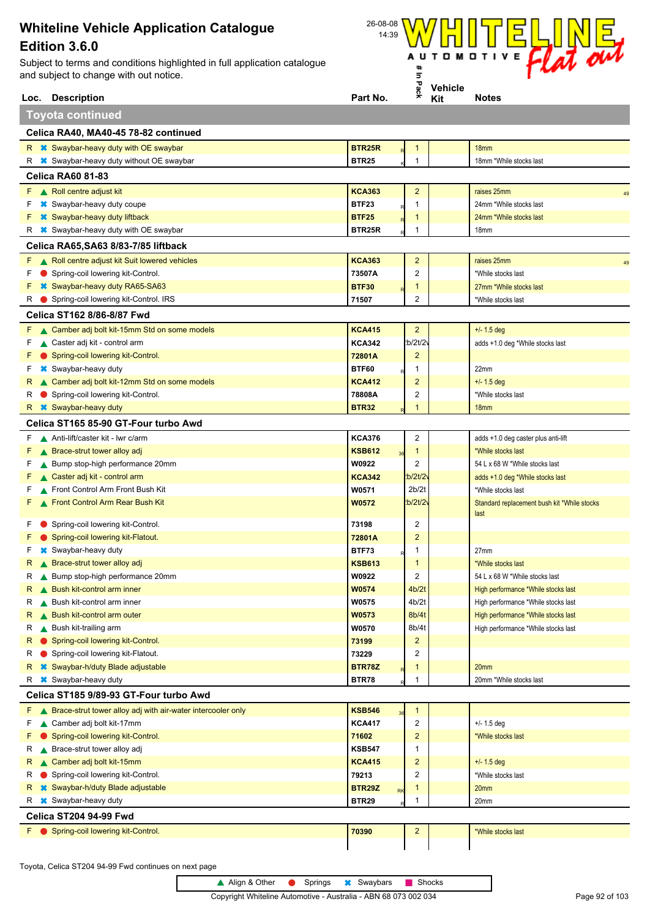Subject to terms and conditions highlighted in full application catalogue and subject to change with out notice.



|        | Loc. Description                                                      | Part No.               | ×.                               | Kit | <b>Notes</b>                                        |
|--------|-----------------------------------------------------------------------|------------------------|----------------------------------|-----|-----------------------------------------------------|
|        | <b>Toyota continued</b>                                               |                        |                                  |     |                                                     |
|        | Celica RA40, MA40-45 78-82 continued                                  |                        |                                  |     |                                                     |
|        | $R \times$ Swaybar-heavy duty with OE swaybar                         | BTR25R                 | $\mathbf{1}$                     |     | 18 <sub>mm</sub>                                    |
| R      | <b><sup>■</sup></b> Swaybar-heavy duty without OE swaybar             | <b>BTR25</b>           | 1                                |     | 18mm *While stocks last                             |
|        | <b>Celica RA60 81-83</b>                                              |                        |                                  |     |                                                     |
| F.     | Roll centre adjust kit                                                | <b>KCA363</b>          | $\overline{2}$                   |     | raises 25mm<br>49                                   |
| F      | <b>*</b> Swaybar-heavy duty coupe                                     | <b>BTF23</b>           | $\mathbf{1}$                     |     | 24mm *While stocks last                             |
| F      | <b>*</b> Swaybar-heavy duty liftback                                  | <b>BTF25</b>           | 1                                |     | 24mm *While stocks last                             |
| R      | <b><sup>■</sup></b> Swaybar-heavy duty with OE swaybar                | BTR25R                 | 1                                |     | 18mm                                                |
|        | Celica RA65, SA63 8/83-7/85 liftback                                  |                        |                                  |     |                                                     |
|        | F A Roll centre adjust kit Suit lowered vehicles                      | <b>KCA363</b>          | $\overline{2}$                   |     | raises 25mm<br>49                                   |
| F.     | Spring-coil lowering kit-Control.                                     | 73507A                 | 2                                |     | *While stocks last                                  |
|        | <b>*</b> Swaybar-heavy duty RA65-SA63                                 | <b>BTF30</b>           | 1                                |     | 27mm *While stocks last                             |
|        | R Spring-coil lowering kit-Control. IRS                               | 71507                  | 2                                |     | *While stocks last                                  |
|        | Celica ST162 8/86-8/87 Fwd                                            |                        |                                  |     |                                                     |
|        | Camber adj bolt kit-15mm Std on some models                           | <b>KCA415</b>          | $\overline{2}$                   |     | $+/- 1.5$ deg                                       |
| F      | Caster adj kit - control arm                                          | <b>KCA342</b>          | b/2t/2                           |     | adds +1.0 deg *While stocks last                    |
| F      | Spring-coil lowering kit-Control.                                     | 72801A                 | $\overline{c}$                   |     |                                                     |
| F      | <b>*</b> Swaybar-heavy duty                                           | BTF60                  | $\mathbf 1$                      |     | 22mm                                                |
| R      | ▲ Camber adj bolt kit-12mm Std on some models                         | <b>KCA412</b>          | $\overline{c}$                   |     | $+/- 1.5$ deg                                       |
| R      | Spring-coil lowering kit-Control.                                     | 78808A                 | 2                                |     | *While stocks last                                  |
|        | R <b>*</b> Swaybar-heavy duty                                         | <b>BTR32</b>           | 1                                |     | 18 <sub>mm</sub>                                    |
|        | Celica ST165 85-90 GT-Four turbo Awd                                  |                        |                                  |     |                                                     |
| F.     | Anti-lift/caster kit - Iwr c/arm                                      | <b>KCA376</b>          | $\overline{\mathbf{c}}$          |     | adds +1.0 deg caster plus anti-lift                 |
| F      | ▲ Brace-strut tower alloy adj                                         | <b>KSB612</b>          | $\mathbf{1}$                     |     | *While stocks last                                  |
| F      | Bump stop-high performance 20mm                                       | W0922                  | 2                                |     | 54 L x 68 W *While stocks last                      |
| F      | ▲ Caster adj kit - control arm                                        | <b>KCA342</b>          | b/2t/2                           |     | adds +1.0 deg *While stocks last                    |
| F      | Front Control Arm Front Bush Kit                                      | W0571                  | 2 <sub>b</sub> /2t               |     | *While stocks last                                  |
| F      | Front Control Arm Rear Bush Kit                                       | W0572                  | b/2t/2                           |     | Standard replacement bush kit *While stocks<br>last |
| F      | Spring-coil lowering kit-Control.                                     | 73198                  | $\overline{2}$                   |     |                                                     |
|        | Spring-coil lowering kit-Flatout.                                     | 72801A                 | $\overline{2}$                   |     |                                                     |
| F      | <b>*</b> Swaybar-heavy duty                                           | <b>BTF73</b>           | $\mathbf{1}$                     |     | 27 <sub>mm</sub>                                    |
| R      | ▲ Brace-strut tower alloy adj                                         | <b>KSB613</b>          | $\mathbf 1$                      |     | *While stocks last                                  |
| R      | Bump stop-high performance 20mm                                       | W0922                  | $\boldsymbol{2}$                 |     | 54 L x 68 W *While stocks last                      |
| R,     | Bush kit-control arm inner                                            | <b>W0574</b>           | 4b/2t                            |     | High performance *While stocks last                 |
| R      | Bush kit-control arm inner                                            | W0575                  | 4b/2t                            |     | High performance *While stocks last                 |
| R      | Bush kit-control arm outer                                            | W0573                  | 8b/4t                            |     | High performance *While stocks last                 |
| R      | Bush kit-trailing arm                                                 | W0570                  | 8b/4t                            |     | High performance *While stocks last                 |
| R      | Spring-coil lowering kit-Control.                                     | 73199                  | $\overline{2}$                   |     |                                                     |
| R      | Spring-coil lowering kit-Flatout.                                     | 73229                  | 2                                |     |                                                     |
| R      | <b>*</b> Swaybar-h/duty Blade adjustable                              | BTR78Z                 | 1                                |     | 20 <sub>mm</sub>                                    |
| R      | <b>*</b> Swaybar-heavy duty<br>Celica ST185 9/89-93 GT-Four turbo Awd | <b>BTR78</b>           | 1                                |     | 20mm *While stocks last                             |
|        |                                                                       |                        |                                  |     |                                                     |
| F.     | ▲ Brace-strut tower alloy adj with air-water intercooler only         | <b>KSB546</b>          | $\mathbf{1}$                     |     |                                                     |
| F<br>F | Camber adj bolt kit-17mm<br>Spring-coil lowering kit-Control.         | <b>KCA417</b>          | $\overline{c}$<br>$\overline{c}$ |     | $+/- 1.5$ deg                                       |
|        |                                                                       | 71602<br><b>KSB547</b> | $\mathbf{1}$                     |     | *While stocks last                                  |
| R<br>R | Brace-strut tower alloy adj<br>Camber adj bolt kit-15mm               | <b>KCA415</b>          | $\overline{2}$                   |     |                                                     |
| R      | Spring-coil lowering kit-Control.                                     | 79213                  | 2                                |     | $+/- 1.5$ deg<br>*While stocks last                 |
| R      | <b>*</b> Swaybar-h/duty Blade adjustable                              | BTR29Z                 | 1                                |     | 20 <sub>mm</sub>                                    |
| R      | <b>*</b> Swaybar-heavy duty                                           | RK<br><b>BTR29</b>     | 1                                |     | 20mm                                                |
|        | <b>Celica ST204 94-99 Fwd</b>                                         |                        |                                  |     |                                                     |
| F.     | Spring-coil lowering kit-Control.                                     | 70390                  | $\overline{\mathbf{c}}$          |     | *While stocks last                                  |
|        |                                                                       |                        |                                  |     |                                                     |

Toyota, Celica ST204 94-99 Fwd continues on next page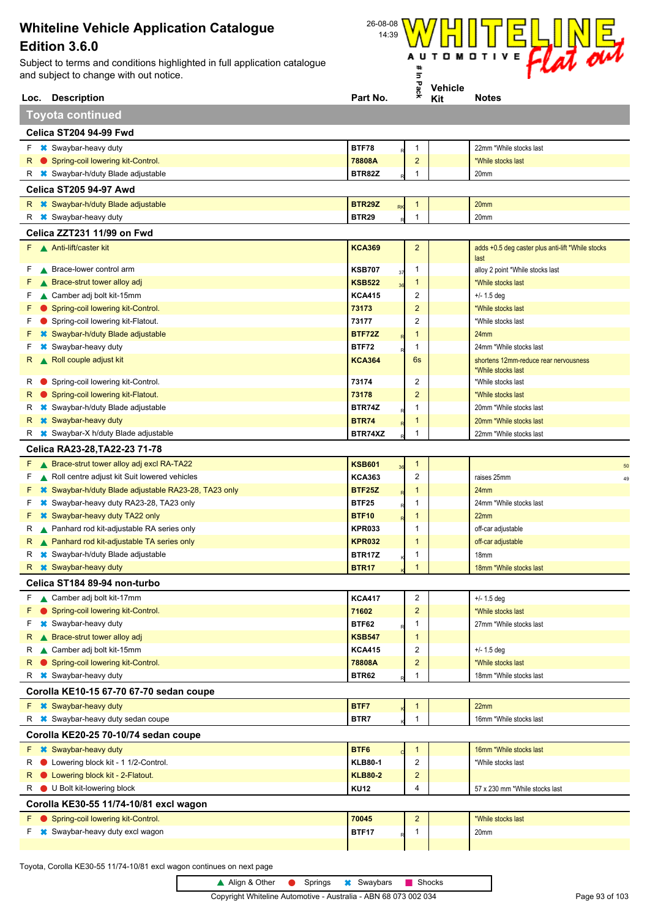Subject to terms and conditions highlighted in full application catalogue and subject to change with out notice.



|        | Loc. Description                                                         | Part No.               |    | ×.                      | Kit | <b>Notes</b>                                                |
|--------|--------------------------------------------------------------------------|------------------------|----|-------------------------|-----|-------------------------------------------------------------|
|        | <b>Toyota continued</b>                                                  |                        |    |                         |     |                                                             |
|        | Celica ST204 94-99 Fwd                                                   |                        |    |                         |     |                                                             |
|        | $F \times$ Swaybar-heavy duty                                            | <b>BTF78</b>           |    | 1                       |     | 22mm *While stocks last                                     |
| R      | Spring-coil lowering kit-Control.                                        | 78808A                 |    | $\overline{c}$          |     | *While stocks last                                          |
| R      | <b>*</b> Swaybar-h/duty Blade adjustable                                 | BTR82Z                 |    | 1                       |     | 20mm                                                        |
|        | <b>Celica ST205 94-97 Awd</b>                                            |                        |    |                         |     |                                                             |
|        | R <b>*</b> Swaybar-h/duty Blade adjustable                               | <b>BTR29Z</b>          | RK | $\mathbf{1}$            |     | 20 <sub>mm</sub>                                            |
|        | R <b>*</b> Swaybar-heavy duty                                            | <b>BTR29</b>           |    | 1                       |     | 20mm                                                        |
|        | Celica ZZT231 11/99 on Fwd                                               |                        |    |                         |     |                                                             |
|        | F Anti-lift/caster kit                                                   | <b>KCA369</b>          |    | $\overline{c}$          |     | adds +0.5 deg caster plus anti-lift *While stocks<br>last   |
| F      | ▲ Brace-lower control arm                                                | <b>KSB707</b>          | 37 | 1                       |     | alloy 2 point *While stocks last                            |
| F      | Brace-strut tower alloy adj                                              | <b>KSB522</b>          | 36 | 1                       |     | *While stocks last                                          |
| F      | ▲ Camber adj bolt kit-15mm                                               | <b>KCA415</b>          |    | 2                       |     | $+/- 1.5$ deg                                               |
| F      | Spring-coil lowering kit-Control.                                        | 73173                  |    | $\overline{2}$          |     | *While stocks last                                          |
| F      | Spring-coil lowering kit-Flatout.                                        | 73177                  |    | 2                       |     | *While stocks last                                          |
| F      | <b>*</b> Swaybar-h/duty Blade adjustable                                 | <b>BTF72Z</b>          |    | -1                      |     | 24mm                                                        |
| F      | <b>*</b> Swaybar-heavy duty<br>Roll couple adjust kit                    | <b>BTF72</b>           |    | 1                       |     | 24mm *While stocks last                                     |
| R      |                                                                          | <b>KCA364</b>          |    | 6s                      |     | shortens 12mm-reduce rear nervousness<br>*While stocks last |
| R      | Spring-coil lowering kit-Control.<br>Spring-coil lowering kit-Flatout.   | 73174                  |    | 2<br>$\overline{2}$     |     | *While stocks last                                          |
| R<br>R | <b><sup>■</sup></b> Swaybar-h/duty Blade adjustable                      | 73178<br>BTR74Z        |    | 1                       |     | *While stocks last<br>20mm *While stocks last               |
| R.     | <b>*</b> Swaybar-heavy duty                                              | <b>BTR74</b>           |    | 1                       |     | 20mm *While stocks last                                     |
| R      | <b>*</b> Swaybar-X h/duty Blade adjustable                               | BTR74XZ                |    | 1                       |     | 22mm *While stocks last                                     |
|        | Celica RA23-28, TA22-23 71-78                                            |                        |    |                         |     |                                                             |
| F.     | Brace-strut tower alloy adj excl RA-TA22                                 | <b>KSB601</b>          |    | $\mathbf{1}$            |     |                                                             |
| F      | Roll centre adjust kit Suit lowered vehicles                             | <b>KCA363</b>          | 36 | 2                       |     | raises 25mm                                                 |
| F      | <b><sup>■</sup></b> Swaybar-h/duty Blade adjustable RA23-28, TA23 only   | <b>BTF25Z</b>          |    | 1                       |     | 49<br>24mm                                                  |
| F      | <sup>■</sup> Swaybar-heavy duty RA23-28, TA23 only                       | <b>BTF25</b>           |    | 1                       |     | 24mm *While stocks last                                     |
| F      | <b>*</b> Swaybar-heavy duty TA22 only                                    | <b>BTF10</b>           |    | 1                       |     | 22mm                                                        |
| К      | ▲ Panhard rod kit-adjustable RA series only                              | <b>KPR033</b>          |    | 1                       |     | off-car adjustable                                          |
| R      | ▲ Panhard rod kit-adjustable TA series only                              | <b>KPR032</b>          |    | $\mathbf{1}$            |     | off-car adjustable                                          |
| R      | <b><sup>■</sup></b> Swaybar-h/duty Blade adjustable                      | BTR17Z                 |    | 1                       |     | 18mm                                                        |
|        | R <b>*</b> Swaybar-heavy duty                                            | <b>BTR17</b>           |    | 1                       |     | 18mm *While stocks last                                     |
|        | Celica ST184 89-94 non-turbo                                             |                        |    |                         |     |                                                             |
|        | F Camber adj bolt kit-17mm                                               | <b>KCA417</b>          |    | 2                       |     | $+/- 1.5$ deg                                               |
| F      | Spring-coil lowering kit-Control.                                        | 71602                  |    | $\overline{2}$          |     | *While stocks last                                          |
| F      | <b>*</b> Swaybar-heavy duty                                              | <b>BTF62</b>           |    | 1                       |     | 27mm *While stocks last                                     |
| R.     | ▲ Brace-strut tower alloy adj                                            | <b>KSB547</b>          |    | $\mathbf{1}$            |     |                                                             |
| R      | Camber adj bolt kit-15mm                                                 | <b>KCA415</b>          |    | 2                       |     | $+/- 1.5$ deg                                               |
|        | R Spring-coil lowering kit-Control.                                      | 78808A<br><b>BTR62</b> |    | $\overline{c}$<br>1     |     | *While stocks last                                          |
|        | R <b>*</b> Swaybar-heavy duty<br>Corolla KE10-15 67-70 67-70 sedan coupe |                        |    |                         |     | 18mm *While stocks last                                     |
|        | F * Swaybar-heavy duty                                                   | BTF7                   |    | $\mathbf{1}$            |     | 22mm                                                        |
|        | R * Swaybar-heavy duty sedan coupe                                       | BTR7                   |    | $\mathbf{1}$            |     | 16mm *While stocks last                                     |
|        |                                                                          |                        |    |                         |     |                                                             |
|        | Corolla KE20-25 70-10/74 sedan coupe                                     |                        |    |                         |     |                                                             |
| R      | F * Swaybar-heavy duty<br>• Lowering block kit - 1 1/2-Control.          | BTF6<br><b>KLB80-1</b> |    | $\mathbf{1}$<br>2       |     | 16mm *While stocks last<br>*While stocks last               |
| R.     | C Lowering block kit - 2-Flatout.                                        | <b>KLB80-2</b>         |    | $\overline{\mathbf{c}}$ |     |                                                             |
|        | R U Bolt kit-lowering block                                              | <b>KU12</b>            |    | 4                       |     | 57 x 230 mm *While stocks last                              |
|        | Corolla KE30-55 11/74-10/81 excl wagon                                   |                        |    |                         |     |                                                             |
|        | F Spring-coil lowering kit-Control.                                      | 70045                  |    | $\overline{c}$          |     | *While stocks last                                          |
| F      | <b>*</b> Swaybar-heavy duty excl wagon                                   | <b>BTF17</b>           |    | 1                       |     | 20mm                                                        |
|        |                                                                          |                        |    |                         |     |                                                             |
|        |                                                                          |                        |    |                         |     |                                                             |

Toyota, Corolla KE30-55 11/74-10/81 excl wagon continues on next page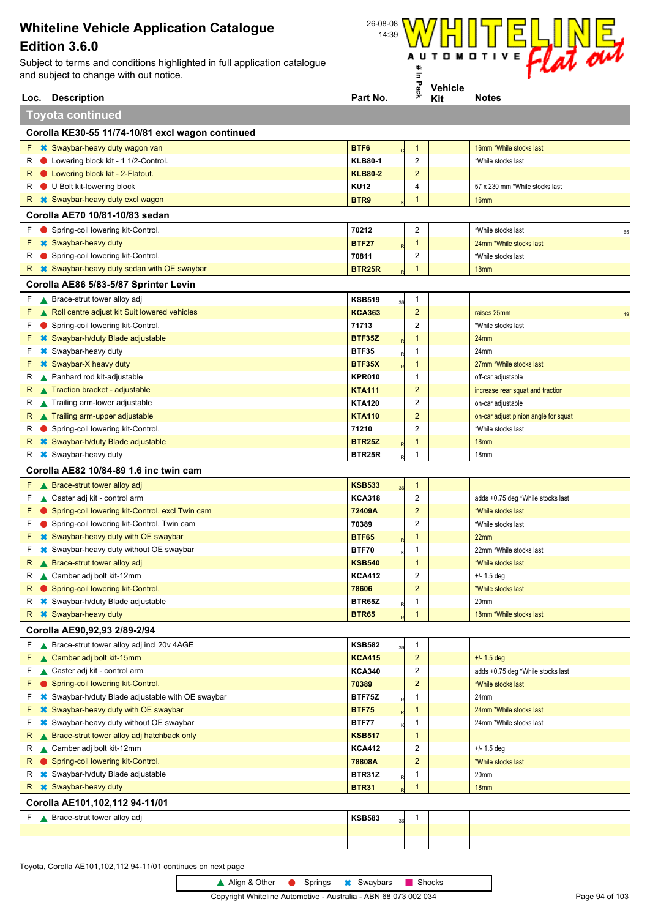Subject to terms and conditions highlighted in full application catalogue and subject to change with out notice.



|                                                  | Loc. Description                                                      | Part No.                |    | ×.                  | Kit | <b>Notes</b>                         |  |  |  |  |
|--------------------------------------------------|-----------------------------------------------------------------------|-------------------------|----|---------------------|-----|--------------------------------------|--|--|--|--|
|                                                  | <b>Toyota continued</b>                                               |                         |    |                     |     |                                      |  |  |  |  |
| Corolla KE30-55 11/74-10/81 excl wagon continued |                                                                       |                         |    |                     |     |                                      |  |  |  |  |
|                                                  | F <b>*</b> Swaybar-heavy duty wagon van                               | BTF6                    |    | $\mathbf 1$         |     | 16mm *While stocks last              |  |  |  |  |
| R                                                | Lowering block kit - 1 1/2-Control.                                   | <b>KLB80-1</b>          |    | $\boldsymbol{2}$    |     | *While stocks last                   |  |  |  |  |
| R                                                | C Lowering block kit - 2-Flatout.                                     | <b>KLB80-2</b>          |    | $\overline{c}$      |     |                                      |  |  |  |  |
| R                                                | U Bolt kit-lowering block                                             | KU12                    |    | 4                   |     | 57 x 230 mm *While stocks last       |  |  |  |  |
| R.                                               | <b>☀ Swaybar-heavy duty excl wagon</b>                                | BTR9                    |    | 1                   |     | 16 <sub>mm</sub>                     |  |  |  |  |
|                                                  | Corolla AE70 10/81-10/83 sedan                                        |                         |    |                     |     |                                      |  |  |  |  |
| F.                                               | Spring-coil lowering kit-Control.                                     | 70212                   |    | $\overline{c}$      |     | *While stocks last<br>65             |  |  |  |  |
| F                                                | <b>*</b> Swaybar-heavy duty                                           | <b>BTF27</b>            |    | $\mathbf 1$         |     | 24mm *While stocks last              |  |  |  |  |
| R                                                | Spring-coil lowering kit-Control.                                     | 70811                   |    | 2                   |     | *While stocks last                   |  |  |  |  |
| R.                                               | <b>*</b> Swaybar-heavy duty sedan with OE swaybar                     | BTR <sub>25R</sub>      |    | 1                   |     | 18 <sub>mm</sub>                     |  |  |  |  |
|                                                  | Corolla AE86 5/83-5/87 Sprinter Levin                                 |                         |    |                     |     |                                      |  |  |  |  |
| F.                                               | Brace-strut tower alloy adj                                           | <b>KSB519</b>           |    | $\mathbf{1}$        |     |                                      |  |  |  |  |
| F                                                | Roll centre adjust kit Suit lowered vehicles                          | <b>KCA363</b>           |    | $\overline{c}$      |     | raises 25mm<br>49                    |  |  |  |  |
| F                                                | Spring-coil lowering kit-Control.                                     | 71713                   |    | 2                   |     | *While stocks last                   |  |  |  |  |
| F                                                | <b>*</b> Swaybar-h/duty Blade adjustable                              | BTF35Z                  |    | 1                   |     | 24mm                                 |  |  |  |  |
| F                                                | <b>*</b> Swaybar-heavy duty                                           | <b>BTF35</b>            |    | -1                  |     | 24mm                                 |  |  |  |  |
| F                                                | <b>*</b> Swaybar-X heavy duty                                         | BTF35X                  |    | 1                   |     | 27mm *While stocks last              |  |  |  |  |
| R                                                | ▲ Panhard rod kit-adjustable                                          | <b>KPR010</b>           |    | -1                  |     | off-car adjustable                   |  |  |  |  |
| R                                                | ▲ Traction bracket - adjustable                                       | KTA111                  |    | $\overline{c}$      |     | increase rear squat and traction     |  |  |  |  |
| R                                                | Trailing arm-lower adjustable                                         | <b>KTA120</b>           |    | 2                   |     | on-car adjustable                    |  |  |  |  |
| к                                                | Trailing arm-upper adjustable                                         | <b>KTA110</b>           |    | $\overline{c}$<br>2 |     | on-car adjust pinion angle for squat |  |  |  |  |
| R                                                | Spring-coil lowering kit-Control.                                     | 71210                   |    |                     |     | *While stocks last                   |  |  |  |  |
| R                                                | <b>*</b> Swaybar-h/duty Blade adjustable                              | <b>BTR25Z</b><br>BTR25R |    | 1<br>1              |     | 18 <sub>mm</sub>                     |  |  |  |  |
| R                                                | <b>*</b> Swaybar-heavy duty<br>Corolla AE82 10/84-89 1.6 inc twin cam |                         |    |                     |     | 18mm                                 |  |  |  |  |
| F.                                               | Brace-strut tower alloy adj                                           | <b>KSB533</b>           |    | $\mathbf{1}$        |     |                                      |  |  |  |  |
| F                                                | Caster adj kit - control arm                                          | <b>KCA318</b>           |    | $\overline{c}$      |     | adds +0.75 deg *While stocks last    |  |  |  |  |
| F                                                | Spring-coil lowering kit-Control. excl Twin cam                       | 72409A                  |    | $\overline{2}$      |     | *While stocks last                   |  |  |  |  |
| F                                                | Spring-coil lowering kit-Control. Twin cam                            | 70389                   |    | 2                   |     | *While stocks last                   |  |  |  |  |
| F                                                | <b>■ Swaybar-heavy duty with OE swaybar</b>                           | <b>BTF65</b>            |    | $\mathbf 1$         |     | 22mm                                 |  |  |  |  |
| F                                                | <b></b> Swaybar-heavy duty without OE swaybar                         | <b>BTF70</b>            |    | 1                   |     | 22mm *While stocks last              |  |  |  |  |
| R                                                | ▲ Brace-strut tower alloy adj                                         | <b>KSB540</b>           |    | $\mathbf 1$         |     | *While stocks last                   |  |  |  |  |
| R                                                | ▲ Camber adj bolt kit-12mm                                            | <b>KCA412</b>           |    | $\overline{2}$      |     | $+/- 1.5$ deg                        |  |  |  |  |
| R                                                | Spring-coil lowering kit-Control.                                     | 78606                   |    | $\overline{c}$      |     | *While stocks last                   |  |  |  |  |
| R                                                | <b><sup>■</sup></b> Swaybar-h/duty Blade adjustable                   | BTR65Z                  |    | $\mathbf{1}$        |     | 20mm                                 |  |  |  |  |
| R.                                               | <b>*</b> Swaybar-heavy duty                                           | <b>BTR65</b>            |    | $\mathbf{1}$        |     | 18mm *While stocks last              |  |  |  |  |
|                                                  | Corolla AE90,92,93 2/89-2/94                                          |                         |    |                     |     |                                      |  |  |  |  |
| F.                                               | ▲ Brace-strut tower alloy adj incl 20v 4AGE                           | <b>KSB582</b>           | 36 | $\mathbf{1}$        |     |                                      |  |  |  |  |
| F                                                | ▲ Camber adj bolt kit-15mm                                            | <b>KCA415</b>           |    | $\overline{2}$      |     | $+/- 1.5$ deg                        |  |  |  |  |
| F                                                | ▲ Caster adj kit - control arm                                        | <b>KCA340</b>           |    | 2                   |     | adds +0.75 deg *While stocks last    |  |  |  |  |
| F                                                | Spring-coil lowering kit-Control.                                     | 70389                   |    | $\overline{c}$      |     | *While stocks last                   |  |  |  |  |
| F                                                | <b><sup>■</sup></b> Swaybar-h/duty Blade adjustable with OE swaybar   | BTF75Z                  |    | $\mathbf 1$         |     | 24mm                                 |  |  |  |  |
| F                                                | <b>■ Swaybar-heavy duty with OE swaybar</b>                           | <b>BTF75</b>            |    | -1                  |     | 24mm *While stocks last              |  |  |  |  |
| F                                                | Swaybar-heavy duty without OE swaybar                                 | <b>BTF77</b>            |    | $\mathbf 1$         |     | 24mm *While stocks last              |  |  |  |  |
| R                                                | Brace-strut tower alloy adj hatchback only                            | KSB517                  |    | -1                  |     |                                      |  |  |  |  |
| R                                                | Camber adj bolt kit-12mm                                              | <b>KCA412</b>           |    | $\overline{2}$      |     | $+/- 1.5$ deg                        |  |  |  |  |
| R                                                | Spring-coil lowering kit-Control.                                     | 78808A                  |    | $\overline{c}$      |     | *While stocks last                   |  |  |  |  |
| R                                                | <b><sup>■</sup></b> Swaybar-h/duty Blade adjustable                   | BTR31Z                  |    | -1                  |     | 20mm                                 |  |  |  |  |
| R                                                | <b>*</b> Swaybar-heavy duty                                           | <b>BTR31</b>            |    | 1                   |     | 18 <sub>mm</sub>                     |  |  |  |  |
|                                                  | Corolla AE101,102,112 94-11/01                                        |                         |    |                     |     |                                      |  |  |  |  |
|                                                  | $F \wedge$ Brace-strut tower alloy adj                                | KSB583                  | 36 | $\mathbf{1}$        |     |                                      |  |  |  |  |
|                                                  |                                                                       |                         |    |                     |     |                                      |  |  |  |  |
|                                                  |                                                                       |                         |    |                     |     |                                      |  |  |  |  |

Toyota, Corolla AE101,102,112 94-11/01 continues on next page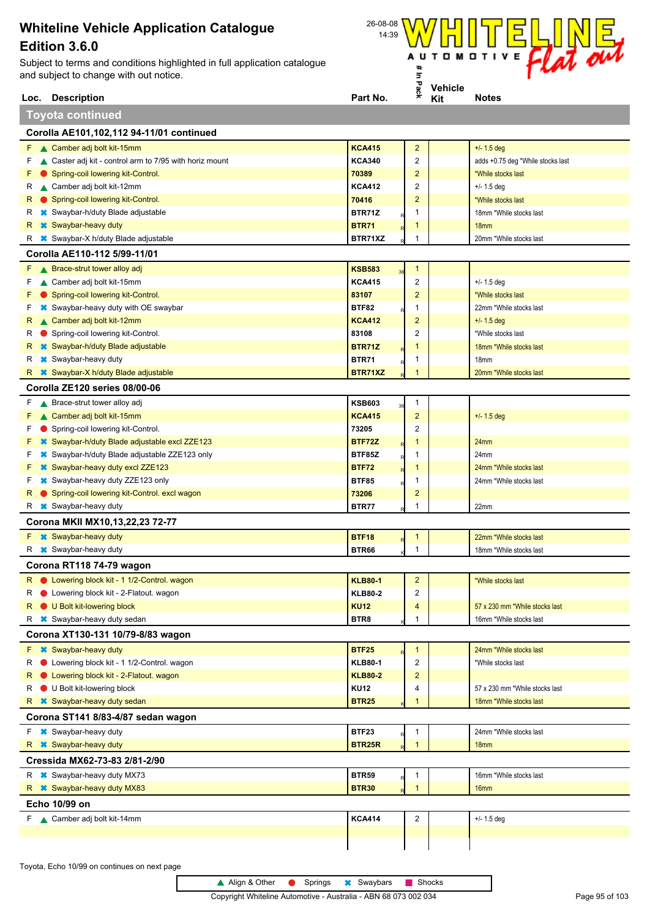

|                                          | Loc. Description                                                        | Part No.                     | ⋇                            | Kit | <b>Notes</b>                                |  |  |  |  |
|------------------------------------------|-------------------------------------------------------------------------|------------------------------|------------------------------|-----|---------------------------------------------|--|--|--|--|
|                                          | <b>Toyota continued</b>                                                 |                              |                              |     |                                             |  |  |  |  |
| Corolla AE101,102,112 94-11/01 continued |                                                                         |                              |                              |     |                                             |  |  |  |  |
|                                          | $F \wedge$ Camber adj bolt kit-15mm                                     | <b>KCA415</b>                | $\overline{2}$               |     | $+/- 1.5$ deg                               |  |  |  |  |
| F                                        | ▲ Caster adj kit - control arm to 7/95 with horiz mount                 | <b>KCA340</b>                | 2                            |     | adds +0.75 deg *While stocks last           |  |  |  |  |
| F                                        | Spring-coil lowering kit-Control.                                       | 70389                        | $\overline{2}$               |     | *While stocks last                          |  |  |  |  |
| R                                        | ▲ Camber adj bolt kit-12mm                                              | <b>KCA412</b>                | 2                            |     | $+/- 1.5$ deg                               |  |  |  |  |
| R                                        | Spring-coil lowering kit-Control.                                       | 70416                        | $\overline{2}$               |     | *While stocks last                          |  |  |  |  |
| R                                        | <b>*</b> Swaybar-h/duty Blade adjustable                                | BTR71Z                       | 1                            |     | 18mm *While stocks last                     |  |  |  |  |
| R                                        | <b>*</b> Swaybar-heavy duty                                             | <b>BTR71</b>                 | $\mathbf{1}$                 |     | 18mm                                        |  |  |  |  |
| R                                        | <b>☀</b> Swaybar-X h/duty Blade adjustable                              | BTR71XZ                      | 1                            |     | 20mm *While stocks last                     |  |  |  |  |
|                                          | Corolla AE110-112 5/99-11/01                                            |                              |                              |     |                                             |  |  |  |  |
| F.                                       | ▲ Brace-strut tower alloy adj                                           | <b>KSB583</b><br>36          | $\mathbf{1}$                 |     |                                             |  |  |  |  |
| F                                        | Camber adj bolt kit-15mm                                                | <b>KCA415</b>                | $\overline{c}$               |     | $+/- 1.5$ deg                               |  |  |  |  |
| F                                        | Spring-coil lowering kit-Control.                                       | 83107                        | $\overline{c}$               |     | *While stocks last                          |  |  |  |  |
| F                                        | <b>*</b> Swaybar-heavy duty with OE swaybar                             | <b>BTF82</b>                 | 1                            |     | 22mm *While stocks last                     |  |  |  |  |
| R                                        | Camber adj bolt kit-12mm                                                | <b>KCA412</b>                | $\overline{c}$               |     | $+/- 1.5$ deg                               |  |  |  |  |
| R                                        | Spring-coil lowering kit-Control.                                       | 83108<br><b>BTR71Z</b>       | 2<br>-1                      |     | *While stocks last                          |  |  |  |  |
| R<br>R                                   | <b>*</b> Swaybar-h/duty Blade adjustable<br><b>*</b> Swaybar-heavy duty | <b>BTR71</b>                 | 1                            |     | 18mm *While stocks last<br>18 <sub>mm</sub> |  |  |  |  |
| R                                        | <b>*</b> Swaybar-X h/duty Blade adjustable                              | BTR71XZ                      | $\mathbf{1}$                 |     | 20mm *While stocks last                     |  |  |  |  |
|                                          |                                                                         |                              |                              |     |                                             |  |  |  |  |
|                                          | Corolla ZE120 series 08/00-06                                           |                              |                              |     |                                             |  |  |  |  |
| F.                                       | ▲ Brace-strut tower alloy adj                                           | <b>KSB603</b><br>3(          | 1                            |     |                                             |  |  |  |  |
| F<br>F                                   | ▲ Camber adj bolt kit-15mm<br>Spring-coil lowering kit-Control.         | <b>KCA415</b><br>73205       | $\overline{2}$<br>2          |     | $+/- 1.5$ deg                               |  |  |  |  |
| F                                        | <b><sup>■</sup></b> Swaybar-h/duty Blade adjustable excl ZZE123         | <b>BTF72Z</b>                | $\mathbf{1}$                 |     | 24 <sub>mm</sub>                            |  |  |  |  |
| F                                        | <b><sup>■</sup></b> Swaybar-h/duty Blade adjustable ZZE123 only         | <b>BTF85Z</b>                | 1                            |     | 24mm                                        |  |  |  |  |
| F                                        | <b>■ Swaybar-heavy duty excl ZZE123</b>                                 | <b>BTF72</b>                 | $\mathbf{1}$                 |     | 24mm *While stocks last                     |  |  |  |  |
| F                                        | <b><sup>■</sup></b> Swaybar-heavy duty ZZE123 only                      | <b>BTF85</b>                 | 1                            |     | 24mm *While stocks last                     |  |  |  |  |
| R                                        | Spring-coil lowering kit-Control. excl wagon                            | 73206                        | $\overline{2}$               |     |                                             |  |  |  |  |
| R                                        | <b>*</b> Swaybar-heavy duty                                             | <b>BTR77</b>                 | 1                            |     | 22mm                                        |  |  |  |  |
|                                          | Corona MKII MX10,13,22,23 72-77                                         |                              |                              |     |                                             |  |  |  |  |
|                                          | $F \times$ Swaybar-heavy duty                                           | <b>BTF18</b>                 | $\mathbf{1}$                 |     | 22mm *While stocks last                     |  |  |  |  |
| R                                        | <b>*</b> Swaybar-heavy duty                                             | <b>BTR66</b>                 | 1                            |     | 18mm *While stocks last                     |  |  |  |  |
|                                          | Corona RT118 74-79 wagon                                                |                              |                              |     |                                             |  |  |  |  |
|                                          | R C Lowering block kit - 1 1/2-Control. wagon                           | <b>KLB80-1</b>               | $\overline{2}$               |     | *While stocks last                          |  |  |  |  |
| R.                                       | C Lowering block kit - 2-Flatout. wagon                                 | <b>KLB80-2</b>               | $\overline{c}$               |     |                                             |  |  |  |  |
| R                                        | U Bolt kit-lowering block                                               | <b>KU12</b>                  | 4                            |     | 57 x 230 mm *While stocks last              |  |  |  |  |
|                                          | R <b>*</b> Swaybar-heavy duty sedan                                     | BTR8                         | 1                            |     | 16mm *While stocks last                     |  |  |  |  |
|                                          | Corona XT130-131 10/79-8/83 wagon                                       |                              |                              |     |                                             |  |  |  |  |
|                                          | F <b>*</b> Swaybar-heavy duty                                           | <b>BTF25</b>                 | $\mathbf{1}$                 |     | 24mm *While stocks last                     |  |  |  |  |
| R                                        | • Lowering block kit - 1 1/2-Control. wagon                             | <b>KLB80-1</b>               | $\overline{c}$               |     | *While stocks last                          |  |  |  |  |
| R                                        | • Lowering block kit - 2-Flatout. wagon                                 | <b>KLB80-2</b>               | $\overline{2}$               |     |                                             |  |  |  |  |
| R                                        | U Bolt kit-lowering block                                               | <b>KU12</b>                  | 4                            |     | 57 x 230 mm *While stocks last              |  |  |  |  |
|                                          | R <b>*</b> Swaybar-heavy duty sedan                                     | <b>BTR25</b>                 | 1                            |     | 18mm *While stocks last                     |  |  |  |  |
|                                          | Corona ST141 8/83-4/87 sedan wagon                                      |                              |                              |     |                                             |  |  |  |  |
|                                          | F <b>*</b> Swaybar-heavy duty                                           | <b>BTF23</b>                 | 1                            |     | 24mm *While stocks last                     |  |  |  |  |
|                                          | R <b>*</b> Swaybar-heavy duty                                           | BTR25R                       | $\mathbf{1}$                 |     | 18 <sub>mm</sub>                            |  |  |  |  |
|                                          | Cressida MX62-73-83 2/81-2/90                                           |                              |                              |     |                                             |  |  |  |  |
|                                          |                                                                         |                              |                              |     |                                             |  |  |  |  |
|                                          | R <b>*</b> Swaybar-heavy duty MX73                                      | <b>BTR59</b><br><b>BTR30</b> | $\mathbf{1}$<br>$\mathbf{1}$ |     | 16mm *While stocks last                     |  |  |  |  |
|                                          | R <b>*</b> Swaybar-heavy duty MX83                                      |                              |                              |     | 16 <sub>mm</sub>                            |  |  |  |  |
|                                          | Echo 10/99 on                                                           |                              |                              |     |                                             |  |  |  |  |
|                                          | F Camber adj bolt kit-14mm                                              | <b>KCA414</b>                | $\overline{c}$               |     | $+/- 1.5$ deg                               |  |  |  |  |
|                                          |                                                                         |                              |                              |     |                                             |  |  |  |  |
|                                          |                                                                         |                              |                              |     |                                             |  |  |  |  |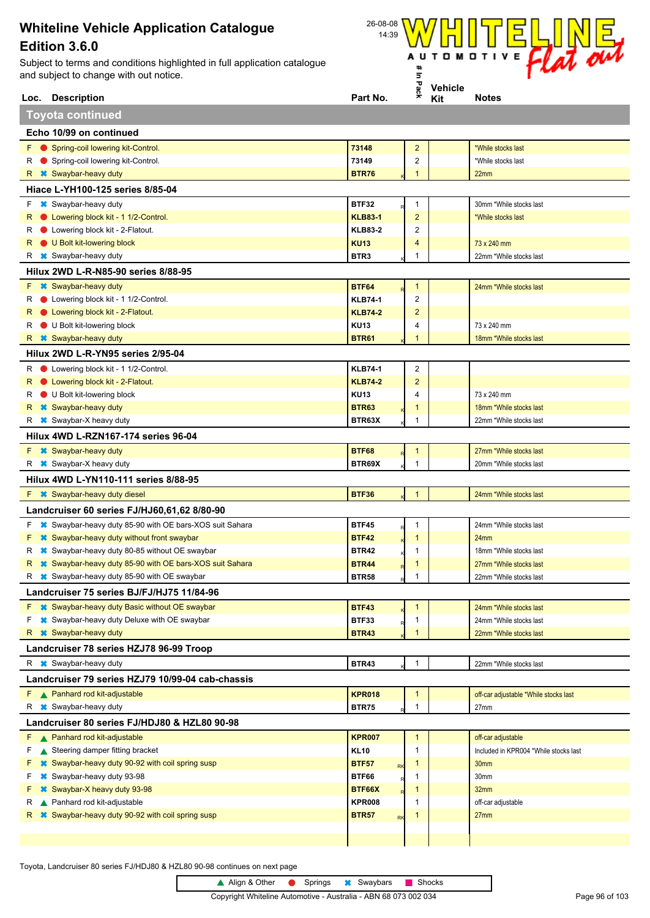Subject to terms and conditions highlighted in full application catalogue and subject to change with out notice.



|                         | Loc. Description                                                   | Part No.                  | ⋇              | Kit | <b>Notes</b>                          |  |  |  |  |  |
|-------------------------|--------------------------------------------------------------------|---------------------------|----------------|-----|---------------------------------------|--|--|--|--|--|
|                         | <b>Toyota continued</b>                                            |                           |                |     |                                       |  |  |  |  |  |
| Echo 10/99 on continued |                                                                    |                           |                |     |                                       |  |  |  |  |  |
| F.                      | Spring-coil lowering kit-Control.                                  | 73148                     | $\overline{2}$ |     | *While stocks last                    |  |  |  |  |  |
| R                       | Spring-coil lowering kit-Control.                                  | 73149                     | $\overline{2}$ |     | *While stocks last                    |  |  |  |  |  |
| R.                      | <b>*</b> Swaybar-heavy duty                                        | <b>BTR76</b>              | 1              |     | 22mm                                  |  |  |  |  |  |
|                         | Hiace L-YH100-125 series 8/85-04                                   |                           |                |     |                                       |  |  |  |  |  |
| F                       | <b>*</b> Swaybar-heavy duty                                        | <b>BTF32</b>              | $\mathbf{1}$   |     | 30mm *While stocks last               |  |  |  |  |  |
| R                       | • Lowering block kit - 1 1/2-Control.                              | <b>KLB83-1</b>            | $\overline{2}$ |     | *While stocks last                    |  |  |  |  |  |
| R                       | Lowering block kit - 2-Flatout.                                    | <b>KLB83-2</b>            | $\overline{2}$ |     |                                       |  |  |  |  |  |
| R                       | U Bolt kit-lowering block                                          | <b>KU13</b>               | $\overline{4}$ |     | 73 x 240 mm                           |  |  |  |  |  |
| R                       | <b>*</b> Swaybar-heavy duty                                        | BTR <sub>3</sub>          | 1              |     | 22mm *While stocks last               |  |  |  |  |  |
|                         | Hilux 2WD L-R-N85-90 series 8/88-95                                |                           |                |     |                                       |  |  |  |  |  |
|                         | F <b>*</b> Swaybar-heavy duty                                      | <b>BTF64</b>              | $\mathbf 1$    |     | 24mm *While stocks last               |  |  |  |  |  |
| R                       | • Lowering block kit - 1 1/2-Control.                              | <b>KLB74-1</b>            | $\overline{2}$ |     |                                       |  |  |  |  |  |
| R                       | • Lowering block kit - 2-Flatout.                                  | <b>KLB74-2</b>            | $\overline{2}$ |     |                                       |  |  |  |  |  |
| R                       | U Bolt kit-lowering block                                          | <b>KU13</b>               | 4              |     | 73 x 240 mm                           |  |  |  |  |  |
|                         | R <b>*</b> Swaybar-heavy duty                                      | <b>BTR61</b>              | 1              |     | 18mm *While stocks last               |  |  |  |  |  |
|                         | <b>Hilux 2WD L-R-YN95 series 2/95-04</b>                           |                           |                |     |                                       |  |  |  |  |  |
| R                       | Colowering block kit - 1 1/2-Control.                              | <b>KLB74-1</b>            | $\overline{2}$ |     |                                       |  |  |  |  |  |
| R.                      | • Lowering block kit - 2-Flatout.                                  | <b>KLB74-2</b>            | $\overline{2}$ |     |                                       |  |  |  |  |  |
| R                       | U Bolt kit-lowering block                                          | <b>KU13</b>               | 4              |     | 73 x 240 mm                           |  |  |  |  |  |
| R.                      | <b>*</b> Swaybar-heavy duty                                        | <b>BTR63</b>              | 1              |     | 18mm *While stocks last               |  |  |  |  |  |
| R                       | <b>*</b> Swaybar-X heavy duty                                      | BTR63X                    | $\mathbf{1}$   |     | 22mm *While stocks last               |  |  |  |  |  |
|                         | <b>Hilux 4WD L-RZN167-174 series 96-04</b>                         |                           |                |     |                                       |  |  |  |  |  |
|                         | F <b>*</b> Swaybar-heavy duty                                      | <b>BTF68</b>              | 1              |     | 27mm *While stocks last               |  |  |  |  |  |
| R                       | <b>*</b> Swaybar-X heavy duty                                      | BTR69X                    | 1              |     | 20mm *While stocks last               |  |  |  |  |  |
|                         | Hilux 4WD L-YN110-111 series 8/88-95                               |                           |                |     |                                       |  |  |  |  |  |
|                         | F * Swaybar-heavy duty diesel                                      | <b>BTF36</b>              | $\mathbf{1}$   |     | 24mm *While stocks last               |  |  |  |  |  |
|                         | Landcruiser 60 series FJ/HJ60,61,62 8/80-90                        |                           |                |     |                                       |  |  |  |  |  |
| F.                      | <sup>■</sup> Swaybar-heavy duty 85-90 with OE bars-XOS suit Sahara | <b>BTF45</b>              | 1              |     | 24mm *While stocks last               |  |  |  |  |  |
| F                       | <b><sup>■</sup></b> Swaybar-heavy duty without front swaybar       | <b>BTF42</b>              | $\mathbf{1}$   |     | 24mm                                  |  |  |  |  |  |
| R                       | <sup>■</sup> Swaybar-heavy duty 80-85 without OE swaybar           | <b>BTR42</b>              | 1              |     | 18mm *While stocks last               |  |  |  |  |  |
| R                       | <sup>■</sup> Swaybar-heavy duty 85-90 with OE bars-XOS suit Sahara | <b>BTR44</b>              | -1             |     | 27mm *While stocks last               |  |  |  |  |  |
| R                       | <b></b> Swaybar-heavy duty 85-90 with OE swaybar                   | <b>BTR58</b>              | $\mathbf{1}$   |     | 22mm *While stocks last               |  |  |  |  |  |
|                         | Landcruiser 75 series BJ/FJ/HJ75 11/84-96                          |                           |                |     |                                       |  |  |  |  |  |
|                         | <b>F *</b> Swaybar-heavy duty Basic without OE swaybar             | <b>BTF43</b>              | 1              |     | 24mm *While stocks last               |  |  |  |  |  |
| F                       | <b><sup>■</sup></b> Swaybar-heavy duty Deluxe with OE swaybar      | <b>BTF33</b>              | $\mathbf{1}$   |     | 24mm *While stocks last               |  |  |  |  |  |
| R                       | <b>*</b> Swaybar-heavy duty                                        | <b>BTR43</b>              | 1              |     | 22mm *While stocks last               |  |  |  |  |  |
|                         | Landcruiser 78 series HZJ78 96-99 Troop                            |                           |                |     |                                       |  |  |  |  |  |
|                         | R <b>*</b> Swaybar-heavy duty                                      | <b>BTR43</b>              | 1              |     | 22mm *While stocks last               |  |  |  |  |  |
|                         | Landcruiser 79 series HZJ79 10/99-04 cab-chassis                   |                           |                |     |                                       |  |  |  |  |  |
|                         | F <b>A</b> Panhard rod kit-adjustable                              | <b>KPR018</b>             | $\mathbf{1}$   |     | off-car adjustable *While stocks last |  |  |  |  |  |
|                         | R <b>*</b> Swaybar-heavy duty                                      | <b>BTR75</b>              | $\mathbf{1}$   |     | 27mm                                  |  |  |  |  |  |
|                         | Landcruiser 80 series FJ/HDJ80 & HZL80 90-98                       |                           |                |     |                                       |  |  |  |  |  |
|                         | F <b>A</b> Panhard rod kit-adjustable                              | <b>KPR007</b>             | $\mathbf{1}$   |     | off-car adjustable                    |  |  |  |  |  |
| F                       | ▲ Steering damper fitting bracket                                  | <b>KL10</b>               | 1              |     | Included in KPR004 *While stocks last |  |  |  |  |  |
| F                       | <b>■ Swaybar-heavy duty 90-92 with coil spring susp</b>            | <b>BTF57</b><br><b>RK</b> | $\mathbf{1}$   |     | 30mm                                  |  |  |  |  |  |
| F                       | <b>*</b> Swaybar-heavy duty 93-98                                  | <b>BTF66</b>              | 1              |     | 30mm                                  |  |  |  |  |  |
| F                       | <b>*</b> Swaybar-X heavy duty 93-98                                | <b>BTF66X</b>             | $\mathbf{1}$   |     | 32mm                                  |  |  |  |  |  |
| R                       | ▲ Panhard rod kit-adjustable                                       | <b>KPR008</b>             | $\mathbf{1}$   |     | off-car adjustable                    |  |  |  |  |  |
| R                       | <b>*</b> Swaybar-heavy duty 90-92 with coil spring susp            | <b>BTR57</b><br>RK        | $\mathbf{1}$   |     | 27mm                                  |  |  |  |  |  |
|                         |                                                                    |                           |                |     |                                       |  |  |  |  |  |
|                         |                                                                    |                           |                |     |                                       |  |  |  |  |  |

Toyota, Landcruiser 80 series FJ/HDJ80 & HZL80 90-98 continues on next page

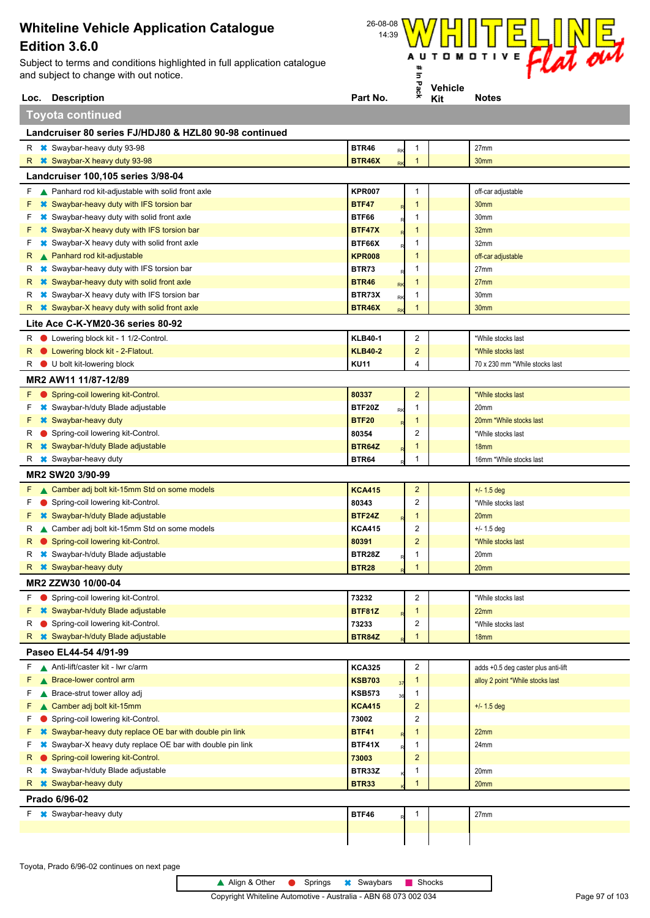Subject to terms and conditions highlighted in full application catalogue and subject to change with out notice.



| Loc. | <b>Description</b>                                     | Part No.                   | ⋇ | Kit | <b>Notes</b>       |
|------|--------------------------------------------------------|----------------------------|---|-----|--------------------|
|      | <b>Toyota continued</b>                                |                            |   |     |                    |
|      | Landcruiser 80 series FJ/HDJ80 & HZL80 90-98 continued |                            |   |     |                    |
| R    | <b>*</b> Swaybar-heavy duty 93-98                      | <b>BTR46</b><br>RK         |   |     | 27 <sub>mm</sub>   |
|      | R * Swaybar-X heavy duty 93-98                         | <b>BTR46X</b><br><b>RK</b> |   |     | 30 <sub>mm</sub>   |
|      | Landcruiser 100,105 series 3/98-04                     |                            |   |     |                    |
| F.   | ▲ Panhard rod kit-adjustable with solid front axle     | <b>KPR007</b>              |   |     | off-car adjustable |
| F.   | <b>*</b> Swaybar-heavy duty with IFS torsion bar       | <b>BTF47</b>               |   |     | 30 <sub>mm</sub>   |
| F    | <b>■ Swaybar-heavy duty with solid front axle</b>      | <b>BTF66</b>               |   |     | 30mm               |
| F.   | <b></b> Swaybar-X heavy duty with IFS torsion bar      | <b>BTF47X</b>              |   |     | 32mm               |
| F    | Swaybar-X heavy duty with solid front axle             | BTF66X                     |   |     | 32mm               |
| R.   | ▲ Panhard rod kit-adjustable                           | <b>KPR008</b>              |   |     | off-car adjustable |
| R    | <b></b> Swaybar-heavy duty with IFS torsion bar        | BTR73                      |   |     | 27 <sub>mm</sub>   |
| R.   | <b></b> Swaybar-heavy duty with solid front axle       | <b>BTR46</b><br>RK         |   |     | 27 <sub>mm</sub>   |

R **\*** Swaybar-X heavy duty with IFS torsion bar **BTR73X** RK 1 30mm R **Consumer-X** Swaybar-X heavy duty with solid front axle **BTR46X** RK 1 30mm **Lite Ace C-K-YM20-36 series 80-92** R C Lowering block kit - 1 1/2-Control. **KLB40-1 KLB40-1** 2 **KLB40-1 While stocks last R ● Lowering block kit - 2-Flatout. KLB40-2 KLB40-2 2 <sup>\*</sup>While stocks last** 

R **\*** Swaybar-h/duty Blade adjustable **BTR64Z** R 1 18mm

| U bolt kit-lowering block<br>R (           | <b>KU11</b>         |            |  | 70 x 230 mm *While stocks last |  |  |
|--------------------------------------------|---------------------|------------|--|--------------------------------|--|--|
| MR2 AW11 11/87-12/89                       |                     |            |  |                                |  |  |
| Spring-coil lowering kit-Control.<br>F (   | 80337               | $\Omega$   |  | *While stocks last             |  |  |
| $F \times$ Swaybar-h/duty Blade adjustable | BTF20Z<br><b>RK</b> |            |  | 20 <sub>mm</sub>               |  |  |
| $F \times$ Swaybar-heavy duty              | <b>BTF20</b>        |            |  | 20mm *While stocks last        |  |  |
| Spring-coil lowering kit-Control.<br>R (   | 80354               | $\sqrt{2}$ |  | *While stocks last             |  |  |

| R $\bullet\hspace{-.15cm}\bullet\hspace{-.15cm}\bullet$ Swaybar-heavy duty | <b>BTR64</b>  |                |  | 16mm *While stocks last |  |  |  |  |
|----------------------------------------------------------------------------|---------------|----------------|--|-------------------------|--|--|--|--|
| MR2 SW20 3/90-99                                                           |               |                |  |                         |  |  |  |  |
| F A Camber adj bolt kit-15mm Std on some models                            | <b>KCA415</b> | $\overline{2}$ |  | $+/- 1.5$ deg           |  |  |  |  |
| Spring-coil lowering kit-Control.<br>F 1                                   | 80343         | 2              |  | *While stocks last      |  |  |  |  |
| <b>F</b> * Swaybar-h/duty Blade adjustable                                 | <b>BTF24Z</b> |                |  | 20mm                    |  |  |  |  |
| R Camber adj bolt kit-15mm Std on some models                              | <b>KCA415</b> |                |  | $+/- 1.5$ deg           |  |  |  |  |
| R Spring-coil lowering kit-Control.                                        | 80391         | $\overline{2}$ |  | *While stocks last      |  |  |  |  |
| R * Swaybar-h/duty Blade adjustable                                        | <b>BTR28Z</b> |                |  | 20mm                    |  |  |  |  |
| R <b>*</b> Swaybar-heavy duty                                              | <b>BTR28</b>  |                |  | 20mm                    |  |  |  |  |
| MR2 ZZW30 10/00-04                                                         |               |                |  |                         |  |  |  |  |
| Spring-coil lowering kit-Control.<br>F.                                    | 73232         | 2              |  | *While stocks last      |  |  |  |  |
| E Mayayhar-h/duty Rlade adjustable                                         | DTE947        |                |  | 22mm                    |  |  |  |  |

| R S | Swaybar-h/duty Blade adjustable   | BTR84Z        |  | 18mm               |
|-----|-----------------------------------|---------------|--|--------------------|
| R ( | Spring-coil lowering kit-Control. | 73233         |  | *While stocks last |
|     | Swaybar-h/duty Blade adjustable   | <b>BTF81Z</b> |  | 22mm               |

**Paseo EL44-54 4/91-99**

| F Anti-lift/caster kit - Iwr c/arm                                          | <b>KCA325</b>       | $\overline{2}$ |  | adds +0.5 deg caster plus anti-lift |  |  |  |
|-----------------------------------------------------------------------------|---------------------|----------------|--|-------------------------------------|--|--|--|
| F A Brace-lower control arm                                                 | <b>KSB703</b><br>37 |                |  | alloy 2 point *While stocks last    |  |  |  |
| ▲ Brace-strut tower alloy adj<br>F.                                         | <b>KSB573</b><br>36 |                |  |                                     |  |  |  |
| F Camber adj bolt kit-15mm                                                  | <b>KCA415</b>       | $\overline{2}$ |  | $+/- 1.5$ deg                       |  |  |  |
| Spring-coil lowering kit-Control.<br>F (                                    | 73002               | 2              |  |                                     |  |  |  |
| $F$ $\ast$ Swaybar-heavy duty replace OE bar with double pin link           | <b>BTF41</b>        |                |  | 22mm                                |  |  |  |
| <sup>■</sup> Swaybar-X heavy duty replace OE bar with double pin link<br>F. | BTF41X              |                |  | 24 <sub>mm</sub>                    |  |  |  |
| R Spring-coil lowering kit-Control.                                         | 73003               | $\overline{2}$ |  |                                     |  |  |  |
| R <b>*</b> Swaybar-h/duty Blade adjustable                                  | BTR33Z              |                |  | 20mm                                |  |  |  |
| R <b>*</b> Swaybar-heavy duty                                               | <b>BTR33</b>        |                |  | 20 <sub>mm</sub>                    |  |  |  |
| Prado 6/96-02                                                               |                     |                |  |                                     |  |  |  |

**F \*** Swaybar-heavy duty **BTF46** R 1 27mm

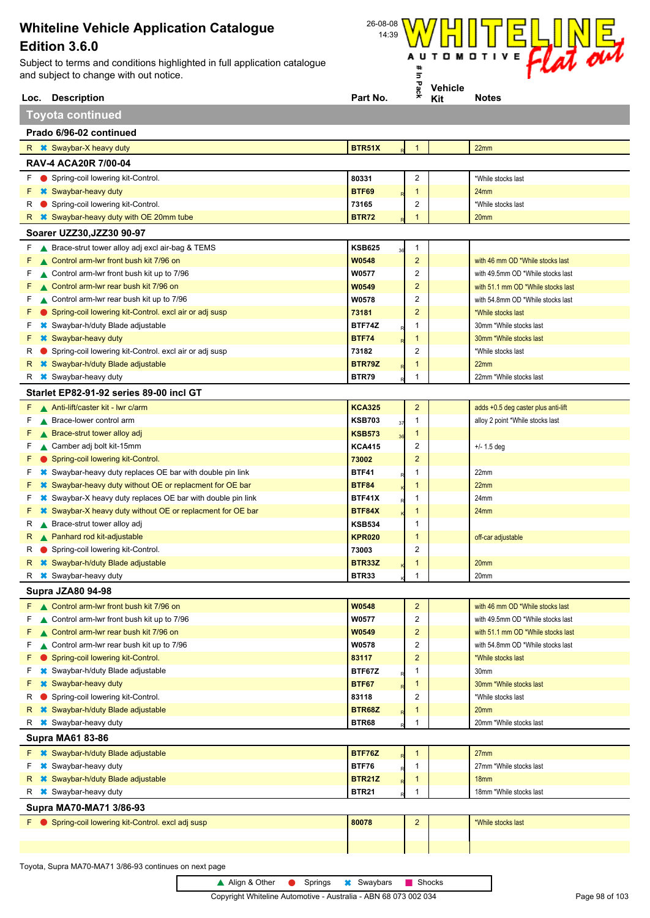Subject to terms and conditions highlighted in full application catalogue and subject to change with out notice.



|                          | Loc. Description                                                                                                 | Part No.              | ×.                      | Kit | <b>Notes</b>                        |  |  |  |  |  |
|--------------------------|------------------------------------------------------------------------------------------------------------------|-----------------------|-------------------------|-----|-------------------------------------|--|--|--|--|--|
|                          | <b>Toyota continued</b>                                                                                          |                       |                         |     |                                     |  |  |  |  |  |
| Prado 6/96-02 continued  |                                                                                                                  |                       |                         |     |                                     |  |  |  |  |  |
|                          | R <b>*</b> Swaybar-X heavy duty                                                                                  | BTR51X                | $\mathbf{1}$            |     | 22mm                                |  |  |  |  |  |
|                          | <b>RAV-4 ACA20R 7/00-04</b>                                                                                      |                       |                         |     |                                     |  |  |  |  |  |
| ۲.                       | Spring-coil lowering kit-Control.                                                                                | 80331                 | 2                       |     | *While stocks last                  |  |  |  |  |  |
| F.                       | <b>*</b> Swaybar-heavy duty                                                                                      | <b>BTF69</b>          | 1                       |     | 24 <sub>mm</sub>                    |  |  |  |  |  |
| ĸ                        | Spring-coil lowering kit-Control.                                                                                | 73165                 | 2                       |     | *While stocks last                  |  |  |  |  |  |
|                          | R <b>*</b> Swaybar-heavy duty with OE 20mm tube                                                                  | <b>BTR72</b>          | 1                       |     | 20mm                                |  |  |  |  |  |
| Soarer UZZ30,JZZ30 90-97 |                                                                                                                  |                       |                         |     |                                     |  |  |  |  |  |
| F.                       | ▲ Brace-strut tower alloy adj excl air-bag & TEMS                                                                | <b>KSB625</b><br>36   | 1                       |     |                                     |  |  |  |  |  |
| F.                       | ▲ Control arm-lwr front bush kit 7/96 on                                                                         | <b>W0548</b>          | $\overline{c}$          |     | with 46 mm OD *While stocks last    |  |  |  |  |  |
| F.                       | ▲ Control arm-lwr front bush kit up to 7/96                                                                      | W0577                 | 2                       |     | with 49.5mm OD *While stocks last   |  |  |  |  |  |
| F.                       | ▲ Control arm-lwr rear bush kit 7/96 on                                                                          | W0549                 | 2                       |     | with 51.1 mm OD *While stocks last  |  |  |  |  |  |
| F.                       | ▲ Control arm-lwr rear bush kit up to 7/96                                                                       | W0578                 | 2                       |     | with 54.8mm OD *While stocks last   |  |  |  |  |  |
| F.                       | Spring-coil lowering kit-Control. excl air or adj susp                                                           | 73181                 | 2                       |     | *While stocks last                  |  |  |  |  |  |
| F.                       | <b><sup>■</sup></b> Swaybar-h/duty Blade adjustable                                                              | <b>BTF74Z</b>         | 1                       |     | 30mm *While stocks last             |  |  |  |  |  |
| F.                       | <b>*</b> Swaybar-heavy duty                                                                                      | <b>BTF74</b>          | 1                       |     | 30mm *While stocks last             |  |  |  |  |  |
| ĸ                        | Spring-coil lowering kit-Control. excl air or adj susp                                                           | 73182                 | 2                       |     | *While stocks last                  |  |  |  |  |  |
|                          | R <b>*</b> Swaybar-h/duty Blade adjustable                                                                       | <b>BTR79Z</b>         | 1                       |     | 22mm                                |  |  |  |  |  |
|                          | R <b>*</b> Swaybar-heavy duty                                                                                    | <b>BTR79</b>          | 1                       |     | 22mm *While stocks last             |  |  |  |  |  |
|                          | Starlet EP82-91-92 series 89-00 incl GT                                                                          |                       |                         |     |                                     |  |  |  |  |  |
| ۲.                       | Anti-lift/caster kit - Iwr c/arm                                                                                 | <b>KCA325</b>         | $\overline{\mathbf{c}}$ |     | adds +0.5 deg caster plus anti-lift |  |  |  |  |  |
| F.                       | Brace-lower control arm                                                                                          | <b>KSB703</b><br>37   | 1                       |     | alloy 2 point *While stocks last    |  |  |  |  |  |
| F.                       | ▲ Brace-strut tower alloy adj                                                                                    | <b>KSB573</b>         | 1                       |     |                                     |  |  |  |  |  |
| F.<br>F.                 | Camber adj bolt kit-15mm                                                                                         | <b>KCA415</b>         | 2<br>$\overline{2}$     |     | $+/- 1.5$ deg                       |  |  |  |  |  |
| F.                       | Spring-coil lowering kit-Control.<br><b><sup>■</sup></b> Swaybar-heavy duty replaces OE bar with double pin link | 73002<br><b>BTF41</b> | 1                       |     | 22mm                                |  |  |  |  |  |
| F.                       | <b><sup>■</sup></b> Swaybar-heavy duty without OE or replacment for OE bar                                       | <b>BTF84</b>          | 1                       |     | 22mm                                |  |  |  |  |  |
| F.                       | <b>■ Swaybar-X heavy duty replaces OE bar with double pin link</b>                                               | BTF41X                | 1                       |     | 24mm                                |  |  |  |  |  |
| F.                       | Swaybar-X heavy duty without OE or replacment for OE bar                                                         | <b>BTF84X</b>         | 1                       |     | 24 <sub>mm</sub>                    |  |  |  |  |  |
| R                        | ▲ Brace-strut tower alloy adj                                                                                    | <b>KSB534</b>         | 1                       |     |                                     |  |  |  |  |  |
| R.                       | ▲ Panhard rod kit-adjustable                                                                                     | <b>KPR020</b>         | $\mathbf{1}$            |     | off-car adjustable                  |  |  |  |  |  |
| R                        | Spring-coil lowering kit-Control.                                                                                | 73003                 | 2                       |     |                                     |  |  |  |  |  |
| R.                       | <b>*</b> Swaybar-h/duty Blade adjustable                                                                         | <b>BTR33Z</b>         | 1                       |     | 20 <sub>mm</sub>                    |  |  |  |  |  |
| R                        | <b>*</b> Swaybar-heavy duty                                                                                      | <b>BTR33</b>          | 1                       |     | 20mm                                |  |  |  |  |  |
|                          | <b>Supra JZA80 94-98</b>                                                                                         |                       |                         |     |                                     |  |  |  |  |  |
|                          | F A Control arm-lwr front bush kit 7/96 on                                                                       | <b>W0548</b>          | $\mathbf 2$             |     | with 46 mm OD *While stocks last    |  |  |  |  |  |
| F.                       | ▲ Control arm-lwr front bush kit up to 7/96                                                                      | W0577                 | 2                       |     | with 49.5mm OD *While stocks last   |  |  |  |  |  |
| F.                       | ▲ Control arm-lwr rear bush kit 7/96 on                                                                          | W0549                 | 2                       |     | with 51.1 mm OD *While stocks last  |  |  |  |  |  |
| F.                       | ▲ Control arm-lwr rear bush kit up to 7/96                                                                       | W0578                 | 2                       |     | with 54.8mm OD *While stocks last   |  |  |  |  |  |
| F.                       | Spring-coil lowering kit-Control.                                                                                | 83117                 | $\overline{2}$          |     | *While stocks last                  |  |  |  |  |  |
| F                        | <b><sup>■</sup></b> Swaybar-h/duty Blade adjustable                                                              | BTF67Z                | 1                       |     | 30mm                                |  |  |  |  |  |
|                          | <b>*</b> Swaybar-heavy duty                                                                                      | <b>BTF67</b>          | 1                       |     | 30mm *While stocks last             |  |  |  |  |  |
| R                        | Spring-coil lowering kit-Control.                                                                                | 83118                 | 2                       |     | *While stocks last                  |  |  |  |  |  |
| R.                       | <b>*</b> Swaybar-h/duty Blade adjustable                                                                         | <b>BTR68Z</b>         | 1                       |     | 20 <sub>mm</sub>                    |  |  |  |  |  |
| R                        | <b>*</b> Swaybar-heavy duty                                                                                      | <b>BTR68</b>          | 1                       |     | 20mm *While stocks last             |  |  |  |  |  |
|                          | <b>Supra MA61 83-86</b>                                                                                          |                       |                         |     |                                     |  |  |  |  |  |
| F.                       | <b>■ Swaybar-h/duty Blade adjustable</b>                                                                         | <b>BTF76Z</b>         | 1                       |     | 27 <sub>mm</sub>                    |  |  |  |  |  |
| F                        | <b>*</b> Swaybar-heavy duty                                                                                      | <b>BTF76</b>          | 1                       |     | 27mm *While stocks last             |  |  |  |  |  |
| R.                       | <b>*</b> Swaybar-h/duty Blade adjustable                                                                         | <b>BTR21Z</b>         | 1                       |     | 18 <sub>mm</sub>                    |  |  |  |  |  |
| R                        | <b>*</b> Swaybar-heavy duty                                                                                      | <b>BTR21</b>          | 1                       |     | 18mm *While stocks last             |  |  |  |  |  |
|                          | Supra MA70-MA71 3/86-93                                                                                          |                       |                         |     |                                     |  |  |  |  |  |
|                          | F Spring-coil lowering kit-Control. excl adj susp                                                                | 80078                 | $\overline{c}$          |     | *While stocks last                  |  |  |  |  |  |
|                          |                                                                                                                  |                       |                         |     |                                     |  |  |  |  |  |
|                          |                                                                                                                  |                       |                         |     |                                     |  |  |  |  |  |

Toyota, Supra MA70-MA71 3/86-93 continues on next page

▲ Align & Other ● Springs <sup>★</sup> Swaybars ■ Shocks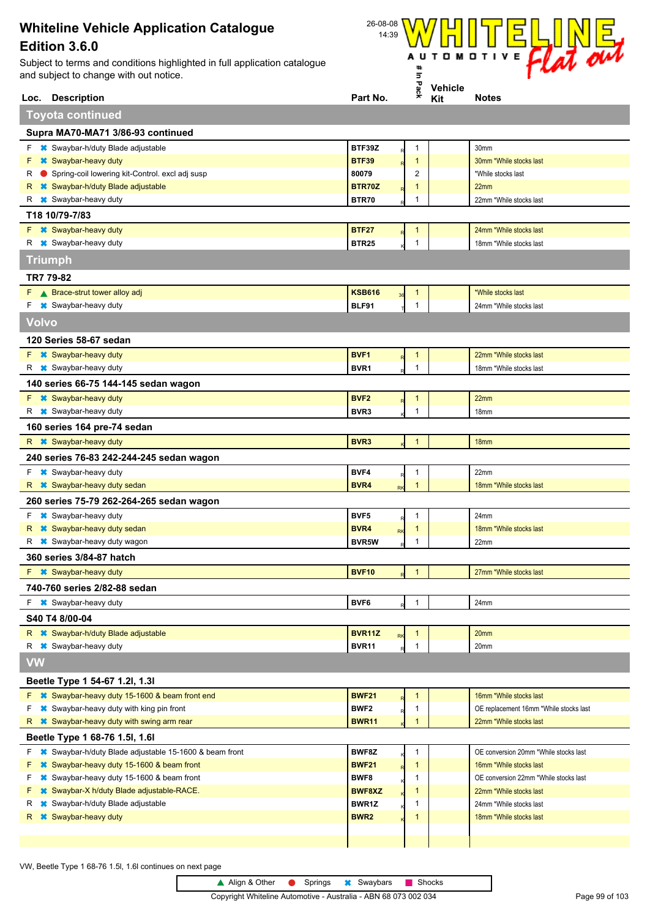Subject to terms and conditions highlighted in full application catalogue and subject to change with out notice.



|                                | Loc. Description                                                  | Part No.                 | 윳            | Kit | <b>Notes</b>                           |
|--------------------------------|-------------------------------------------------------------------|--------------------------|--------------|-----|----------------------------------------|
|                                | <b>Toyota continued</b>                                           |                          |              |     |                                        |
|                                | Supra MA70-MA71 3/86-93 continued                                 |                          |              |     |                                        |
| F.                             | <b>*</b> Swaybar-h/duty Blade adjustable                          | BTF39Z                   | 1            |     | 30mm                                   |
| F.                             | <b>*</b> Swaybar-heavy duty                                       | <b>BTF39</b>             | $\mathbf{1}$ |     | 30mm *While stocks last                |
| R                              | Spring-coil lowering kit-Control. excl adj susp                   | 80079                    | 2            |     | *While stocks last                     |
| R.                             | <b>*</b> Swaybar-h/duty Blade adjustable                          | <b>BTR70Z</b>            | 1            |     | 22mm                                   |
| R                              | <b>*</b> Swaybar-heavy duty                                       | <b>BTR70</b>             | 1            |     | 22mm *While stocks last                |
|                                | T18 10/79-7/83                                                    |                          |              |     |                                        |
|                                | F * Swaybar-heavy duty                                            | <b>BTF27</b><br>R        | $\mathbf{1}$ |     | 24mm *While stocks last                |
|                                | R <b>*</b> Swaybar-heavy duty                                     | <b>BTR25</b>             | $\mathbf{1}$ |     | 18mm *While stocks last                |
|                                | <b>Triumph</b>                                                    |                          |              |     |                                        |
|                                | TR7 79-82                                                         |                          |              |     |                                        |
|                                | F <b>A</b> Brace-strut tower alloy adj                            | <b>KSB616</b><br>36      | $\mathbf{1}$ |     | *While stocks last                     |
| F.                             | <b>*</b> Swaybar-heavy duty                                       | BLF91                    | $\mathbf{1}$ |     | 24mm *While stocks last                |
| <b>Volvo</b>                   |                                                                   |                          |              |     |                                        |
|                                | 120 Series 58-67 sedan                                            |                          |              |     |                                        |
|                                | F * Swaybar-heavy duty                                            | BVF <sub>1</sub>         | $\mathbf{1}$ |     | 22mm *While stocks last                |
|                                | R <b>*</b> Swaybar-heavy duty                                     | BVR1                     | 1            |     | 18mm *While stocks last                |
|                                | 140 series 66-75 144-145 sedan wagon                              |                          |              |     |                                        |
|                                | F * Swaybar-heavy duty                                            | <b>BVF2</b>              | $\mathbf{1}$ |     | 22mm                                   |
|                                | R <b>*</b> Swaybar-heavy duty                                     | BVR3                     | $\mathbf 1$  |     | 18mm                                   |
|                                | 160 series 164 pre-74 sedan                                       |                          |              |     |                                        |
|                                | R <b>*</b> Swaybar-heavy duty                                     | <b>BVR3</b>              | $\mathbf{1}$ |     | 18 <sub>mm</sub>                       |
|                                | 240 series 76-83 242-244-245 sedan wagon                          |                          |              |     |                                        |
|                                | F * Swaybar-heavy duty                                            | BVF4<br>R                | 1            |     | 22mm                                   |
|                                | R <b>*</b> Swaybar-heavy duty sedan                               | BVR4<br><b>RK</b>        | 1            |     | 18mm *While stocks last                |
|                                | 260 series 75-79 262-264-265 sedan wagon                          |                          |              |     |                                        |
| F.                             | <b>*</b> Swaybar-heavy duty                                       | BVF5                     | 1            |     | 24mm                                   |
|                                | R <b>*</b> Swaybar-heavy duty sedan                               | <b>BVR4</b><br><b>RK</b> | $\mathbf{1}$ |     | 18mm *While stocks last                |
| R                              | <b>*</b> Swaybar-heavy duty wagon                                 | <b>BVR5W</b>             | 1            |     | 22mm                                   |
|                                | 360 series 3/84-87 hatch                                          |                          |              |     |                                        |
|                                | F * Swaybar-heavy duty                                            | <b>BVF10</b>             | $\mathbf{1}$ |     | 27mm *While stocks last                |
|                                | 740-760 series 2/82-88 sedan                                      |                          |              |     |                                        |
|                                | $F \times$ Swaybar-heavy duty                                     | BVF6                     | $\mathbf{1}$ |     | 24mm                                   |
| S40 T4 8/00-04                 |                                                                   |                          |              |     |                                        |
|                                | R * Swaybar-h/duty Blade adjustable                               | <b>BVR11Z</b><br>RK      | $\mathbf{1}$ |     | 20mm                                   |
| R                              | <b>*</b> Swaybar-heavy duty                                       | <b>BVR11</b>             | $\mathbf{1}$ |     | 20mm                                   |
| <b>VW</b>                      |                                                                   |                          |              |     |                                        |
|                                | Beetle Type 1 54-67 1.2l, 1.3l                                    |                          |              |     |                                        |
|                                | F * Swaybar-heavy duty 15-1600 & beam front end                   | <b>BWF21</b>             | $\mathbf{1}$ |     | 16mm *While stocks last                |
| F.                             | <b>*</b> Swaybar-heavy duty with king pin front                   | BWF <sub>2</sub>         | 1            |     | OE replacement 16mm *While stocks last |
|                                | R * Swaybar-heavy duty with swing arm rear                        | <b>BWR11</b>             | 1            |     | 22mm *While stocks last                |
| Beetle Type 1 68-76 1.5l, 1.6l |                                                                   |                          |              |     |                                        |
| F.                             | <sup>■</sup> Swaybar-h/duty Blade adjustable 15-1600 & beam front | BWF8Z                    | 1            |     | OE conversion 20mm *While stocks last  |
| F                              | <b>*</b> Swaybar-heavy duty 15-1600 & beam front                  | <b>BWF21</b>             | $\mathbf{1}$ |     | 16mm *While stocks last                |
| F.                             | <b>■ Swaybar-heavy duty 15-1600 &amp; beam front</b>              | BWF8                     | 1            |     | OE conversion 22mm *While stocks last  |
| F                              | Swaybar-X h/duty Blade adjustable-RACE.                           | BWF8XZ                   | $\mathbf{1}$ |     | 22mm *While stocks last                |
| R                              | Swaybar-h/duty Blade adjustable                                   | BWR1Z                    | 1            |     | 24mm *While stocks last                |
| R.<br>$\boldsymbol{\ast}$      | Swaybar-heavy duty                                                | <b>BWR2</b>              | 1            |     | 18mm *While stocks last                |
|                                |                                                                   |                          |              |     |                                        |

VW, Beetle Type 1 68-76 1.5l, 1.6l continues on next page



 $\mathbf{I}$ 

L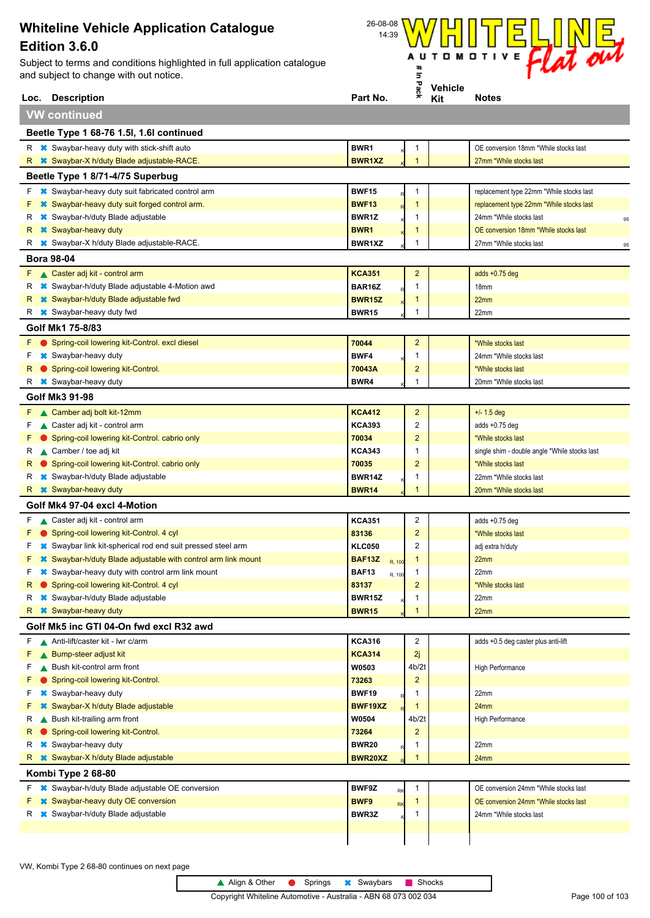

| Part No.               | ack                                                                                                   | <b>Vehicle</b><br>Kit                                                                              | <b>Notes</b>                                                     |
|------------------------|-------------------------------------------------------------------------------------------------------|----------------------------------------------------------------------------------------------------|------------------------------------------------------------------|
|                        |                                                                                                       |                                                                                                    |                                                                  |
|                        |                                                                                                       |                                                                                                    |                                                                  |
| BWR1                   | $\mathbf{1}$                                                                                          |                                                                                                    | OE conversion 18mm *While stocks last                            |
| <b>BWR1XZ</b>          | $\overline{1}$                                                                                        |                                                                                                    | 27mm *While stocks last                                          |
|                        |                                                                                                       |                                                                                                    |                                                                  |
| <b>BWF15</b>           | $\mathbf{1}$                                                                                          |                                                                                                    | replacement type 22mm *While stocks last                         |
| <b>BWF13</b>           | $\mathbf{1}$                                                                                          |                                                                                                    | replacement type 22mm *While stocks last                         |
| BWR1Z                  | $\mathbf{1}$                                                                                          |                                                                                                    | 24mm *While stocks last                                          |
| <b>BWR1</b>            | $\mathbf{1}$                                                                                          |                                                                                                    | OE conversion 18mm *While stocks last                            |
| BWR1XZ                 | 1                                                                                                     |                                                                                                    | 27mm *While stocks last                                          |
|                        |                                                                                                       |                                                                                                    |                                                                  |
| <b>KCA351</b>          | $\mathbf 2$                                                                                           |                                                                                                    | adds $+0.75$ deg                                                 |
| BAR16Z                 | $\mathbf 1$                                                                                           |                                                                                                    | 18mm                                                             |
| <b>BWR15Z</b>          | $\mathbf{1}$                                                                                          |                                                                                                    | 22mm                                                             |
| <b>BWR15</b>           | -1                                                                                                    |                                                                                                    | 22mm                                                             |
|                        |                                                                                                       |                                                                                                    |                                                                  |
| 70044                  | $\overline{2}$                                                                                        |                                                                                                    | *While stocks last                                               |
| BWF4                   | $\mathbf 1$                                                                                           |                                                                                                    | 24mm *While stocks last                                          |
| 70043A                 | $\overline{\mathbf{c}}$                                                                               |                                                                                                    | *While stocks last                                               |
| BWR4                   | 1                                                                                                     |                                                                                                    | 20mm *While stocks last                                          |
|                        |                                                                                                       |                                                                                                    |                                                                  |
| <b>KCA412</b>          |                                                                                                       |                                                                                                    | $+/- 1.5$ deg                                                    |
| <b>KCA393</b>          | 2                                                                                                     |                                                                                                    | adds $+0.75$ deg                                                 |
| 70034                  | $\overline{2}$                                                                                        |                                                                                                    | *While stocks last                                               |
| <b>KCA343</b>          | 1                                                                                                     |                                                                                                    | single shim - double angle *While stocks last                    |
| 70035                  | $\overline{c}$                                                                                        |                                                                                                    | *While stocks last                                               |
| <b>BWR14Z</b>          | -1                                                                                                    |                                                                                                    | 22mm *While stocks last                                          |
| <b>BWR14</b>           | 1                                                                                                     |                                                                                                    | 20mm *While stocks last                                          |
|                        |                                                                                                       |                                                                                                    |                                                                  |
| <b>KCA351</b>          | $\overline{c}$                                                                                        |                                                                                                    | adds $+0.75$ deg                                                 |
| 83136                  | $\overline{2}$                                                                                        |                                                                                                    | *While stocks last                                               |
| <b>KLC050</b>          | 2                                                                                                     |                                                                                                    | adj extra h/duty                                                 |
| BAF13Z                 | -1                                                                                                    |                                                                                                    | 22mm                                                             |
| <b>BAF13</b><br>R, 100 |                                                                                                       |                                                                                                    | 22mm                                                             |
| 83137                  | $\overline{2}$                                                                                        |                                                                                                    | *While stocks last                                               |
|                        | -1                                                                                                    |                                                                                                    | 22mm                                                             |
|                        |                                                                                                       |                                                                                                    | 22mm                                                             |
|                        |                                                                                                       |                                                                                                    |                                                                  |
| <b>KCA316</b>          | $\overline{2}$                                                                                        |                                                                                                    | adds +0.5 deg caster plus anti-lift                              |
| <b>KCA314</b>          | 2j                                                                                                    |                                                                                                    |                                                                  |
| W0503                  |                                                                                                       |                                                                                                    | High Performance                                                 |
| 73263                  | $\overline{2}$                                                                                        |                                                                                                    |                                                                  |
|                        |                                                                                                       |                                                                                                    | 22mm                                                             |
|                        |                                                                                                       |                                                                                                    | 24mm                                                             |
|                        |                                                                                                       |                                                                                                    | High Performance                                                 |
|                        |                                                                                                       |                                                                                                    |                                                                  |
|                        |                                                                                                       |                                                                                                    | 22mm                                                             |
|                        |                                                                                                       |                                                                                                    | 24mm                                                             |
|                        |                                                                                                       |                                                                                                    |                                                                  |
| <b>BWF9Z</b><br>RK     | $\mathbf{1}$                                                                                          |                                                                                                    | OE conversion 24mm *While stocks last                            |
|                        |                                                                                                       |                                                                                                    |                                                                  |
| BWF9<br>RK<br>BWR3Z    | $\mathbf{1}$<br>-1                                                                                    |                                                                                                    | OE conversion 24mm *While stocks last<br>24mm *While stocks last |
|                        | <b>BWR15Z</b><br><b>BWR15</b><br><b>BWF19</b><br>BWF19XZ<br>W0504<br>73264<br><b>BWR20</b><br>BWR20XZ | $\overline{2}$<br>R, 100<br>1<br>$\mathbf{1}$<br>$\mathbf{1}$<br>$\overline{\mathbf{c}}$<br>1<br>1 | 4b/2t<br>4 <sub>b</sub> /2t                                      |

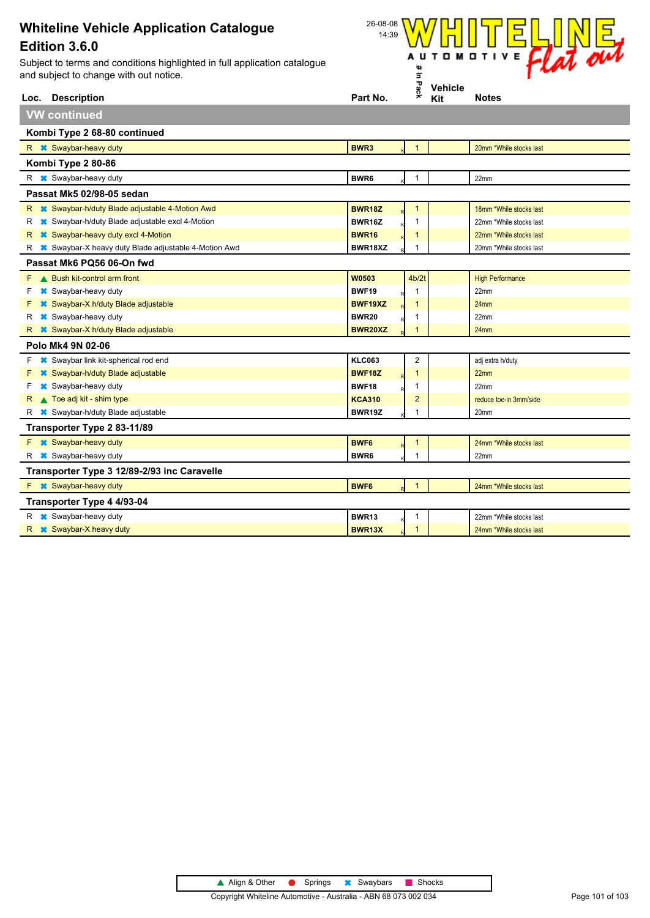

| <b>Description</b><br>Loc.                                             | Part No.         | ⋇              | Kit | <b>Notes</b>            |
|------------------------------------------------------------------------|------------------|----------------|-----|-------------------------|
| <b>VW continued</b>                                                    |                  |                |     |                         |
| Kombi Type 2 68-80 continued                                           |                  |                |     |                         |
| R <b>*</b> Swaybar-heavy duty                                          | BWR3             | $\mathbf{1}$   |     | 20mm *While stocks last |
| Kombi Type 2 80-86                                                     |                  |                |     |                         |
| R <b>*</b> Swaybar-heavy duty                                          | BWR <sub>6</sub> | 1              |     | 22mm                    |
| Passat Mk5 02/98-05 sedan                                              |                  |                |     |                         |
| R * Swaybar-h/duty Blade adjustable 4-Motion Awd                       | <b>BWR18Z</b>    | $\mathbf{1}$   |     | 18mm *While stocks last |
| <b><sup>■</sup></b> Swaybar-h/duty Blade adjustable excl 4-Motion<br>R | BWR16Z           | $\mathbf{1}$   |     | 22mm *While stocks last |
| <b>*</b> Swaybar-heavy duty excl 4-Motion<br>R.                        | <b>BWR16</b>     | $\mathbf 1$    |     | 22mm *While stocks last |
| <sup>■</sup> Swaybar-X heavy duty Blade adjustable 4-Motion Awd<br>R   | BWR18XZ          | $\mathbf{1}$   |     | 20mm *While stocks last |
| Passat Mk6 PQ56 06-On fwd                                              |                  |                |     |                         |
| F A Bush kit-control arm front                                         | W0503            | 4b/2t          |     | <b>High Performance</b> |
| <b>*</b> Swaybar-heavy duty<br>F                                       | BWF19            | 1              |     | 22mm                    |
| <b>*</b> Swaybar-X h/duty Blade adjustable                             | BWF19XZ          | $\mathbf 1$    |     | 24mm                    |
| <b>*</b> Swaybar-heavy duty<br>R                                       | <b>BWR20</b>     | 1              |     | 22mm                    |
| <b>*</b> Swaybar-X h/duty Blade adjustable                             | BWR20XZ          | $\mathbf 1$    |     | 24mm                    |
| Polo Mk4 9N 02-06                                                      |                  |                |     |                         |
| <b>*</b> Swaybar link kit-spherical rod end                            | <b>KLC063</b>    | $\overline{2}$ |     | adj extra h/duty        |
| <b>*</b> Swaybar-h/duty Blade adjustable                               | <b>BWF18Z</b>    | $\mathbf 1$    |     | 22mm                    |
| Swaybar-heavy duty<br>F                                                | BWF18            | -1             |     | 22mm                    |
| $\triangle$ Toe adj kit - shim type<br>R.                              | <b>KCA310</b>    | $\overline{2}$ |     | reduce toe-in 3mm/side  |
| <b>*</b> Swaybar-h/duty Blade adjustable                               | BWR19Z           | 1              |     | 20 <sub>mm</sub>        |
| Transporter Type 2 83-11/89                                            |                  |                |     |                         |
| F * Swaybar-heavy duty                                                 | <b>BWF6</b>      | $\mathbf{1}$   |     | 24mm *While stocks last |
| <b>*</b> Swaybar-heavy duty<br>R                                       | BWR <sub>6</sub> | 1              |     | 22mm                    |
| Transporter Type 3 12/89-2/93 inc Caravelle                            |                  |                |     |                         |
| F * Swaybar-heavy duty                                                 | <b>BWF6</b>      | $\mathbf{1}$   |     | 24mm *While stocks last |
| Transporter Type 4 4/93-04                                             |                  |                |     |                         |
| R <b>*</b> Swaybar-heavy duty                                          | <b>BWR13</b>     | $\mathbf{1}$   |     | 22mm *While stocks last |
| R * Swaybar-X heavy duty                                               | <b>BWR13X</b>    | $\mathbf{1}$   |     | 24mm *While stocks last |

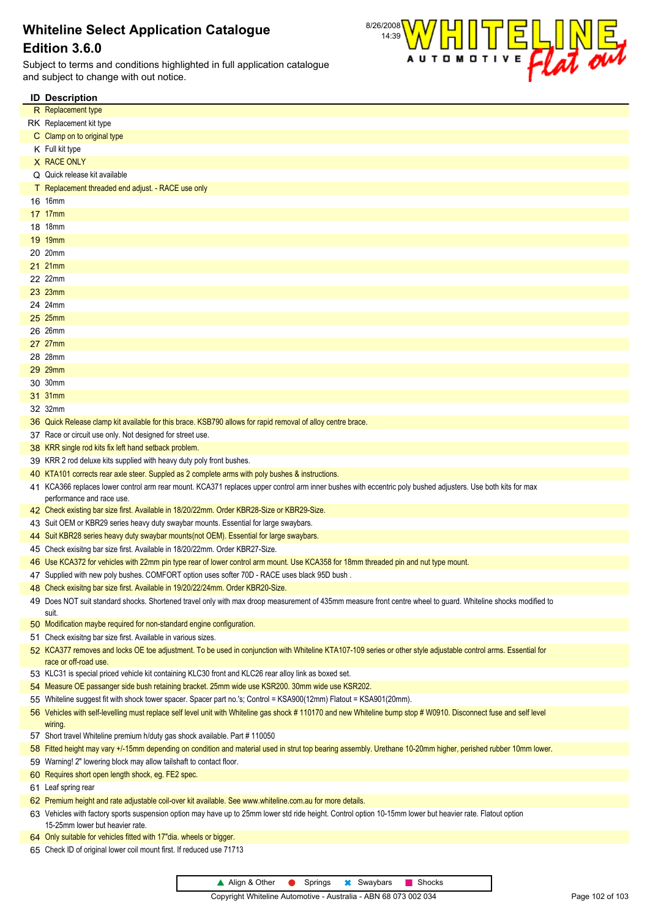

|     | <b>ID Description</b>                                                                                                                                                                         |
|-----|-----------------------------------------------------------------------------------------------------------------------------------------------------------------------------------------------|
|     | R Replacement type                                                                                                                                                                            |
|     | RK Replacement kit type                                                                                                                                                                       |
|     | C Clamp on to original type                                                                                                                                                                   |
|     | K Full kit type                                                                                                                                                                               |
|     | X RACE ONLY                                                                                                                                                                                   |
|     | Q Quick release kit available                                                                                                                                                                 |
|     | T Replacement threaded end adjust. - RACE use only                                                                                                                                            |
|     | 16 16mm                                                                                                                                                                                       |
|     | 17 17mm                                                                                                                                                                                       |
|     | 18 18mm                                                                                                                                                                                       |
| 19  | 19mm                                                                                                                                                                                          |
| 20  | 20mm                                                                                                                                                                                          |
| 21. | 21mm                                                                                                                                                                                          |
|     | 22 22mm<br>23 23mm                                                                                                                                                                            |
|     | 24 24mm                                                                                                                                                                                       |
|     | 25 25mm                                                                                                                                                                                       |
|     | 26 26mm                                                                                                                                                                                       |
|     | 27 27mm                                                                                                                                                                                       |
|     | 28 28mm                                                                                                                                                                                       |
|     | 29 29mm                                                                                                                                                                                       |
| 30  | 30mm                                                                                                                                                                                          |
|     | 31 31mm                                                                                                                                                                                       |
| 32  | 32mm                                                                                                                                                                                          |
| 36  | Quick Release clamp kit available for this brace. KSB790 allows for rapid removal of alloy centre brace.                                                                                      |
| 37  | Race or circuit use only. Not designed for street use.                                                                                                                                        |
| 38  | KRR single rod kits fix left hand setback problem.                                                                                                                                            |
| 39. | KRR 2 rod deluxe kits supplied with heavy duty poly front bushes.                                                                                                                             |
|     | 40 KTA101 corrects rear axle steer. Suppled as 2 complete arms with poly bushes & instructions.                                                                                               |
|     | 41 KCA366 replaces lower control arm rear mount. KCA371 replaces upper control arm inner bushes with eccentric poly bushed adjusters. Use both kits for max                                   |
|     | performance and race use.                                                                                                                                                                     |
|     | 42 Check existing bar size first. Available in 18/20/22mm. Order KBR28-Size or KBR29-Size.                                                                                                    |
|     | 43 Suit OEM or KBR29 series heavy duty swaybar mounts. Essential for large swaybars.                                                                                                          |
|     | 44 Suit KBR28 series heavy duty swaybar mounts(not OEM). Essential for large swaybars.                                                                                                        |
|     | 45 Check exisitng bar size first. Available in 18/20/22mm. Order KBR27-Size.                                                                                                                  |
|     | 46 Use KCA372 for vehicles with 22mm pin type rear of lower control arm mount. Use KCA358 for 18mm threaded pin and nut type mount.                                                           |
|     | 47 Supplied with new poly bushes. COMFORT option uses softer 70D - RACE uses black 95D bush                                                                                                   |
|     | 48 Check exisitng bar size first. Available in 19/20/22/24mm. Order KBR20-Size.                                                                                                               |
|     | 49 Does NOT suit standard shocks. Shortened travel only with max droop measurement of 435mm measure front centre wheel to guard. Whiteline shocks modified to                                 |
|     | suit.<br>50 Modification maybe required for non-standard engine configuration.                                                                                                                |
|     | 51 Check exisitng bar size first. Available in various sizes.                                                                                                                                 |
|     | 52 KCA377 removes and locks OE toe adjustment. To be used in conjunction with Whiteline KTA107-109 series or other style adjustable control arms. Essential for                               |
|     | race or off-road use.                                                                                                                                                                         |
|     | 53 KLC31 is special priced vehicle kit containing KLC30 front and KLC26 rear alloy link as boxed set.                                                                                         |
|     | 54 Measure OE passanger side bush retaining bracket. 25mm wide use KSR200. 30mm wide use KSR202.                                                                                              |
|     | 55 Whiteline suggest fit with shock tower spacer. Spacer part no.'s; Control = KSA900(12mm) Flatout = KSA901(20mm).                                                                           |
|     | 56 Vehicles with self-levelling must replace self level unit with Whiteline gas shock #110170 and new Whiteline bump stop # W0910. Disconnect fuse and self level                             |
|     | wiring.                                                                                                                                                                                       |
|     | 57 Short travel Whiteline premium h/duty gas shock available. Part #110050                                                                                                                    |
|     | 58 Fitted height may vary +/-15mm depending on condition and material used in strut top bearing assembly. Urethane 10-20mm higher, perished rubber 10mm lower.                                |
| 59  | Warning! 2" lowering block may allow tailshaft to contact floor.                                                                                                                              |
| 60  | Requires short open length shock, eg. FE2 spec.                                                                                                                                               |
|     | 61 Leaf spring rear                                                                                                                                                                           |
|     | 62 Premium height and rate adjustable coil-over kit available. See www.whiteline.com.au for more details.                                                                                     |
|     | 63 Vehicles with factory sports suspension option may have up to 25mm lower std ride height. Control option 10-15mm lower but heavier rate. Flatout option<br>15-25mm lower but heavier rate. |
|     | 64 Only suitable for vehicles fitted with 17"dia. wheels or bigger.                                                                                                                           |
|     | 65 Check ID of original lower coil mount first. If reduced use 71713                                                                                                                          |
|     |                                                                                                                                                                                               |
|     | Align & Other<br>Springs<br><b>*</b> Swaybars<br>Shocks<br>$\bullet$                                                                                                                          |